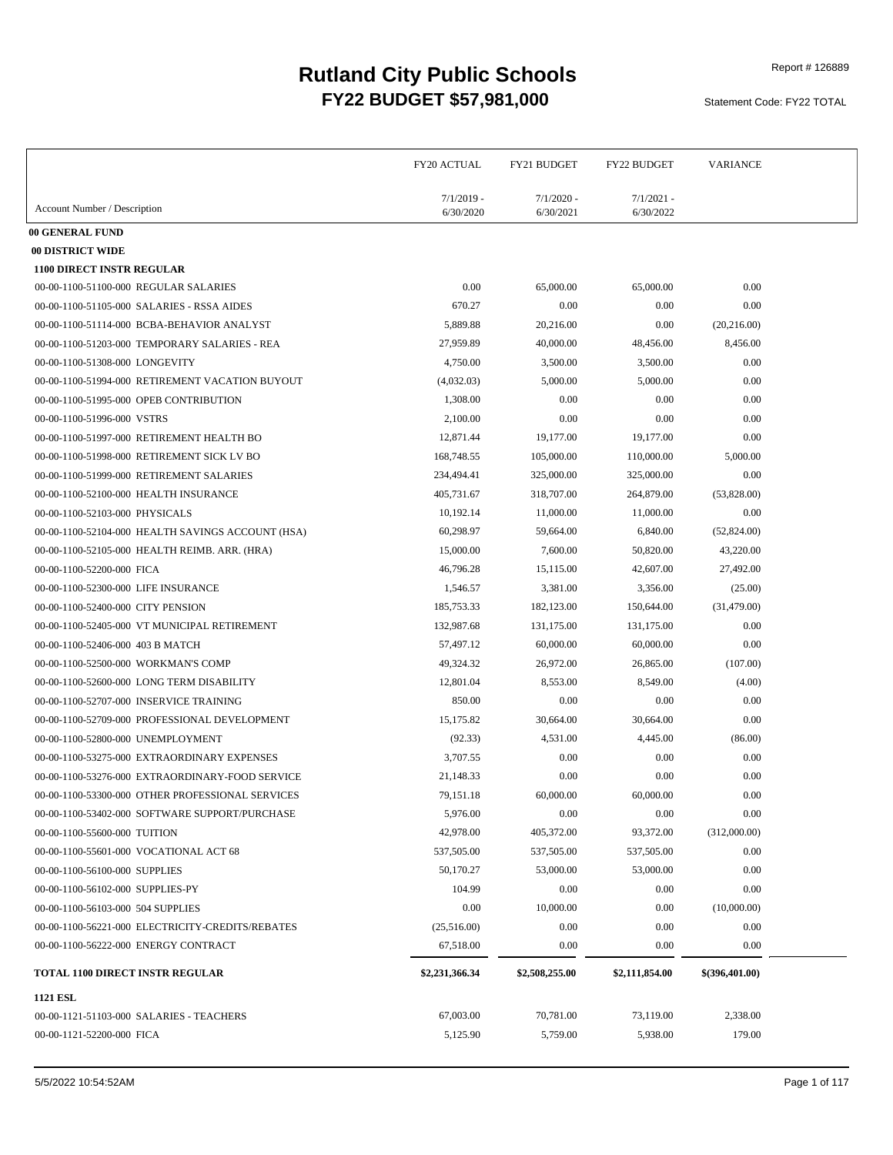## **FY22 BUDGET \$57,981,000** Statement Code: FY22 TOTAL **Rutland City Public Schools**

|                                                   | FY20 ACTUAL    | FY21 BUDGET    | FY22 BUDGET    | <b>VARIANCE</b> |  |
|---------------------------------------------------|----------------|----------------|----------------|-----------------|--|
|                                                   | $7/1/2019$ -   | $7/1/2020$ -   | $7/1/2021 -$   |                 |  |
| Account Number / Description                      | 6/30/2020      | 6/30/2021      | 6/30/2022      |                 |  |
| 00 GENERAL FUND                                   |                |                |                |                 |  |
| <b>00 DISTRICT WIDE</b>                           |                |                |                |                 |  |
| <b>1100 DIRECT INSTR REGULAR</b>                  |                |                |                |                 |  |
| 00-00-1100-51100-000 REGULAR SALARIES             | 0.00           | 65,000.00      | 65,000.00      | 0.00            |  |
| 00-00-1100-51105-000 SALARIES - RSSA AIDES        | 670.27         | 0.00           | 0.00           | 0.00            |  |
| 00-00-1100-51114-000 BCBA-BEHAVIOR ANALYST        | 5,889.88       | 20,216.00      | 0.00           | (20, 216.00)    |  |
| 00-00-1100-51203-000 TEMPORARY SALARIES - REA     | 27,959.89      | 40,000.00      | 48,456.00      | 8,456.00        |  |
| 00-00-1100-51308-000 LONGEVITY                    | 4,750.00       | 3,500.00       | 3,500.00       | 0.00            |  |
| 00-00-1100-51994-000 RETIREMENT VACATION BUYOUT   | (4,032.03)     | 5,000.00       | 5,000.00       | 0.00            |  |
| 00-00-1100-51995-000 OPEB CONTRIBUTION            | 1,308.00       | 0.00           | 0.00           | 0.00            |  |
| 00-00-1100-51996-000 VSTRS                        | 2,100.00       | 0.00           | 0.00           | 0.00            |  |
| 00-00-1100-51997-000 RETIREMENT HEALTH BO         | 12,871.44      | 19,177.00      | 19,177.00      | 0.00            |  |
| 00-00-1100-51998-000 RETIREMENT SICK LV BO        | 168,748.55     | 105,000.00     | 110,000.00     | 5,000.00        |  |
| 00-00-1100-51999-000 RETIREMENT SALARIES          | 234,494.41     | 325,000.00     | 325,000.00     | 0.00            |  |
| 00-00-1100-52100-000 HEALTH INSURANCE             | 405,731.67     | 318,707.00     | 264,879.00     | (53,828.00)     |  |
| 00-00-1100-52103-000 PHYSICALS                    | 10,192.14      | 11,000.00      | 11,000.00      | 0.00            |  |
| 00-00-1100-52104-000 HEALTH SAVINGS ACCOUNT (HSA) | 60,298.97      | 59,664.00      | 6,840.00       | (52,824.00)     |  |
| 00-00-1100-52105-000 HEALTH REIMB. ARR. (HRA)     | 15,000.00      | 7,600.00       | 50,820.00      | 43,220.00       |  |
| 00-00-1100-52200-000 FICA                         | 46,796.28      | 15,115.00      | 42,607.00      | 27,492.00       |  |
| 00-00-1100-52300-000 LIFE INSURANCE               | 1,546.57       | 3,381.00       | 3,356.00       | (25.00)         |  |
| 00-00-1100-52400-000 CITY PENSION                 | 185,753.33     | 182,123.00     | 150,644.00     | (31, 479.00)    |  |
| 00-00-1100-52405-000 VT MUNICIPAL RETIREMENT      | 132,987.68     | 131,175.00     | 131,175.00     | 0.00            |  |
| 00-00-1100-52406-000 403 B MATCH                  | 57,497.12      | 60,000.00      | 60,000.00      | 0.00            |  |
| 00-00-1100-52500-000 WORKMAN'S COMP               | 49,324.32      | 26,972.00      | 26,865.00      | (107.00)        |  |
| 00-00-1100-52600-000 LONG TERM DISABILITY         | 12,801.04      | 8,553.00       | 8,549.00       | (4.00)          |  |
| 00-00-1100-52707-000 INSERVICE TRAINING           | 850.00         | 0.00           | 0.00           | 0.00            |  |
| 00-00-1100-52709-000 PROFESSIONAL DEVELOPMENT     | 15,175.82      | 30,664.00      | 30,664.00      | 0.00            |  |
| 00-00-1100-52800-000 UNEMPLOYMENT                 | (92.33)        | 4,531.00       | 4,445.00       | (86.00)         |  |
| 00-00-1100-53275-000 EXTRAORDINARY EXPENSES       | 3,707.55       | 0.00           | 0.00           | 0.00            |  |
| 00-00-1100-53276-000 EXTRAORDINARY-FOOD SERVICE   | 21,148.33      | 0.00           | 0.00           | 0.00            |  |
| 00-00-1100-53300-000 OTHER PROFESSIONAL SERVICES  | 79,151.18      | 60,000.00      | 60,000.00      | 0.00            |  |
| 00-00-1100-53402-000 SOFTWARE SUPPORT/PURCHASE    | 5,976.00       | 0.00           | 0.00           | 0.00            |  |
| 00-00-1100-55600-000 TUITION                      | 42,978.00      | 405,372.00     | 93,372.00      | (312,000.00)    |  |
| 00-00-1100-55601-000 VOCATIONAL ACT 68            | 537,505.00     | 537,505.00     | 537,505.00     | 0.00            |  |
| 00-00-1100-56100-000 SUPPLIES                     | 50,170.27      | 53,000.00      | 53,000.00      | 0.00            |  |
| 00-00-1100-56102-000 SUPPLIES-PY                  | 104.99         | 0.00           | 0.00           | 0.00            |  |
| 00-00-1100-56103-000 504 SUPPLIES                 | 0.00           | 10,000.00      | 0.00           | (10,000.00)     |  |
| 00-00-1100-56221-000 ELECTRICITY-CREDITS/REBATES  | (25,516.00)    | 0.00           | 0.00           | 0.00            |  |
| 00-00-1100-56222-000 ENERGY CONTRACT              | 67,518.00      | 0.00           | 0.00           | 0.00            |  |
| <b>TOTAL 1100 DIRECT INSTR REGULAR</b>            | \$2,231,366.34 | \$2,508,255.00 | \$2,111,854.00 | \$(396,401.00)  |  |
| <b>1121 ESL</b>                                   |                |                |                |                 |  |
| 00-00-1121-51103-000 SALARIES - TEACHERS          | 67,003.00      | 70,781.00      | 73,119.00      | 2,338.00        |  |
| 00-00-1121-52200-000 FICA                         | 5,125.90       | 5,759.00       | 5,938.00       | 179.00          |  |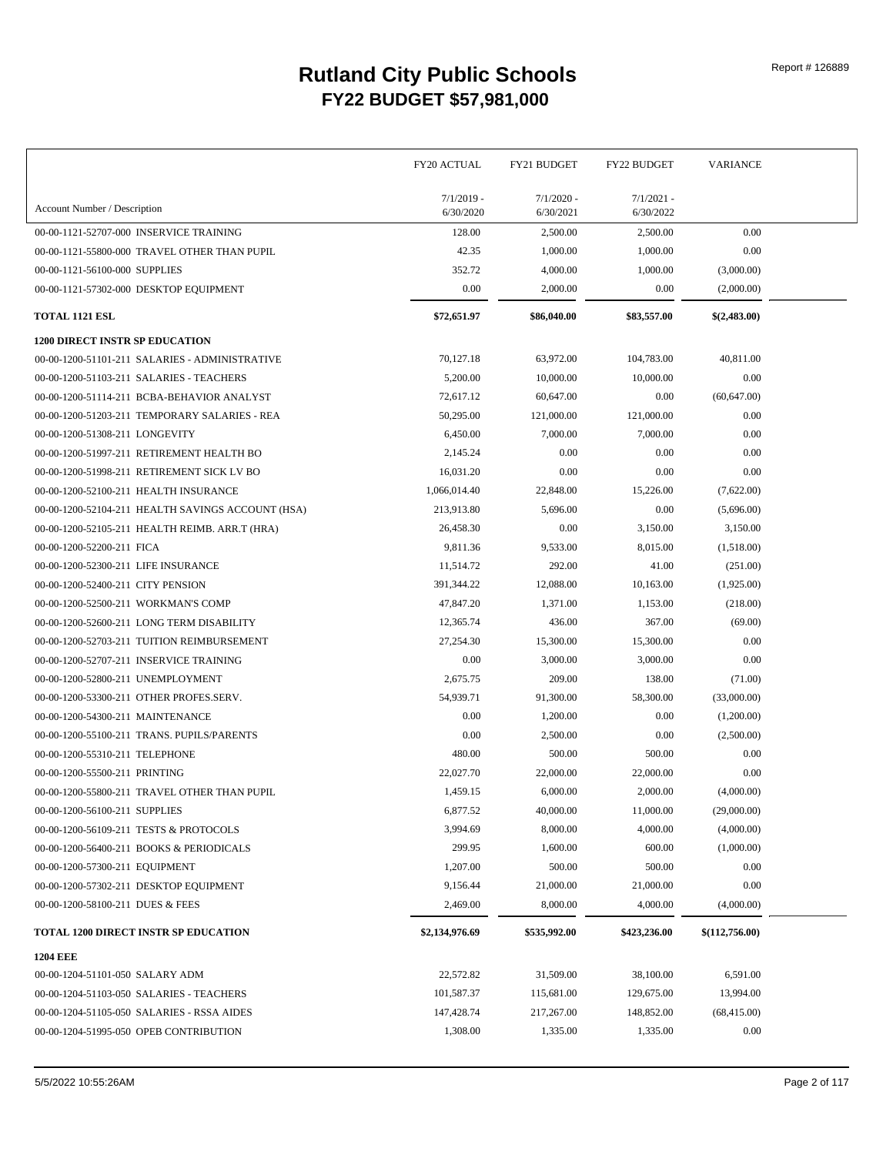|                                                    | FY20 ACTUAL    | FY21 BUDGET  | FY22 BUDGET  | <b>VARIANCE</b> |  |
|----------------------------------------------------|----------------|--------------|--------------|-----------------|--|
|                                                    | $7/1/2019$ -   | $7/1/2020$ - | $7/1/2021 -$ |                 |  |
| Account Number / Description                       | 6/30/2020      | 6/30/2021    | 6/30/2022    |                 |  |
| 00-00-1121-52707-000 INSERVICE TRAINING            | 128.00         | 2,500.00     | 2,500.00     | 0.00            |  |
| 00-00-1121-55800-000 TRAVEL OTHER THAN PUPIL       | 42.35          | 1,000.00     | 1,000.00     | 0.00            |  |
| 00-00-1121-56100-000 SUPPLIES                      | 352.72         | 4,000.00     | 1,000.00     | (3,000.00)      |  |
| 00-00-1121-57302-000 DESKTOP EQUIPMENT             | 0.00           | 2,000.00     | 0.00         | (2,000.00)      |  |
| <b>TOTAL 1121 ESL</b>                              | \$72,651.97    | \$86,040.00  | \$83,557.00  | \$(2,483.00)    |  |
| <b>1200 DIRECT INSTR SP EDUCATION</b>              |                |              |              |                 |  |
| 00-00-1200-51101-211 SALARIES - ADMINISTRATIVE     | 70,127.18      | 63,972.00    | 104,783.00   | 40,811.00       |  |
| 00-00-1200-51103-211 SALARIES - TEACHERS           | 5,200.00       | 10,000.00    | 10,000.00    | 0.00            |  |
| 00-00-1200-51114-211 BCBA-BEHAVIOR ANALYST         | 72,617.12      | 60,647.00    | 0.00         | (60, 647.00)    |  |
| 00-00-1200-51203-211 TEMPORARY SALARIES - REA      | 50,295.00      | 121,000.00   | 121,000.00   | 0.00            |  |
| 00-00-1200-51308-211 LONGEVITY                     | 6,450.00       | 7,000.00     | 7,000.00     | 0.00            |  |
| 00-00-1200-51997-211 RETIREMENT HEALTH BO          | 2,145.24       | 0.00         | 0.00         | 0.00            |  |
| 00-00-1200-51998-211 RETIREMENT SICK LV BO         | 16,031.20      | 0.00         | 0.00         | 0.00            |  |
| 00-00-1200-52100-211 HEALTH INSURANCE              | 1,066,014.40   | 22,848.00    | 15,226.00    | (7,622.00)      |  |
| 00-00-1200-52104-211 HEALTH SAVINGS ACCOUNT (HSA)  | 213,913.80     | 5,696.00     | 0.00         | (5,696.00)      |  |
| 00-00-1200-52105-211 HEALTH REIMB. ARR.T (HRA)     | 26,458.30      | 0.00         | 3,150.00     | 3,150.00        |  |
| 00-00-1200-52200-211 FICA                          | 9,811.36       | 9,533.00     | 8,015.00     | (1,518.00)      |  |
| 00-00-1200-52300-211 LIFE INSURANCE                | 11,514.72      | 292.00       | 41.00        | (251.00)        |  |
| 00-00-1200-52400-211 CITY PENSION                  | 391,344.22     | 12,088.00    | 10,163.00    | (1,925.00)      |  |
| 00-00-1200-52500-211 WORKMAN'S COMP                | 47,847.20      | 1,371.00     | 1,153.00     | (218.00)        |  |
| 00-00-1200-52600-211 LONG TERM DISABILITY          | 12,365.74      | 436.00       | 367.00       | (69.00)         |  |
| 00-00-1200-52703-211 TUITION REIMBURSEMENT         | 27,254.30      | 15,300.00    | 15,300.00    | 0.00            |  |
| 00-00-1200-52707-211 INSERVICE TRAINING            | 0.00           | 3,000.00     | 3,000.00     | 0.00            |  |
| 00-00-1200-52800-211 UNEMPLOYMENT                  | 2,675.75       | 209.00       | 138.00       | (71.00)         |  |
| 00-00-1200-53300-211 OTHER PROFES.SERV.            | 54,939.71      | 91,300.00    | 58,300.00    | (33,000.00)     |  |
| 00-00-1200-54300-211 MAINTENANCE                   | 0.00           | 1,200.00     | 0.00         | (1,200.00)      |  |
| 00-00-1200-55100-211 TRANS. PUPILS/PARENTS         | 0.00           | 2,500.00     | 0.00         | (2,500.00)      |  |
| 00-00-1200-55310-211 TELEPHONE                     | 480.00         | 500.00       | 500.00       | 0.00            |  |
| 00-00-1200-55500-211 PRINTING                      | 22,027.70      | 22,000.00    | 22,000.00    | 0.00            |  |
| 00-00-1200-55800-211 TRAVEL OTHER THAN PUPIL       | 1,459.15       | 6,000.00     | 2,000.00     | (4,000.00)      |  |
| 00-00-1200-56100-211 SUPPLIES                      | 6,877.52       | 40,000.00    | 11,000.00    | (29,000.00)     |  |
| 00-00-1200-56109-211 TESTS & PROTOCOLS             | 3,994.69       | 8,000.00     | 4,000.00     | (4,000.00)      |  |
| 00-00-1200-56400-211 BOOKS & PERIODICALS           | 299.95         | 1,600.00     | 600.00       | (1,000.00)      |  |
| 00-00-1200-57300-211 EQUIPMENT                     | 1,207.00       | 500.00       | 500.00       | 0.00            |  |
| 00-00-1200-57302-211 DESKTOP EQUIPMENT             | 9,156.44       | 21,000.00    | 21,000.00    | 0.00            |  |
| 00-00-1200-58100-211 DUES & FEES                   | 2,469.00       | 8,000.00     | 4,000.00     | (4,000.00)      |  |
| <b>TOTAL 1200 DIRECT INSTR SP EDUCATION</b>        | \$2,134,976.69 | \$535,992.00 | \$423,236.00 | \$(112,756.00)  |  |
|                                                    |                |              |              |                 |  |
| <b>1204 EEE</b><br>00-00-1204-51101-050 SALARY ADM | 22,572.82      | 31,509.00    | 38,100.00    | 6,591.00        |  |
| 00-00-1204-51103-050 SALARIES - TEACHERS           | 101,587.37     | 115,681.00   | 129,675.00   | 13,994.00       |  |
| 00-00-1204-51105-050 SALARIES - RSSA AIDES         | 147,428.74     | 217,267.00   | 148,852.00   | (68, 415.00)    |  |
|                                                    |                |              |              |                 |  |
| 00-00-1204-51995-050 OPEB CONTRIBUTION             | 1,308.00       | 1,335.00     | 1,335.00     | 0.00            |  |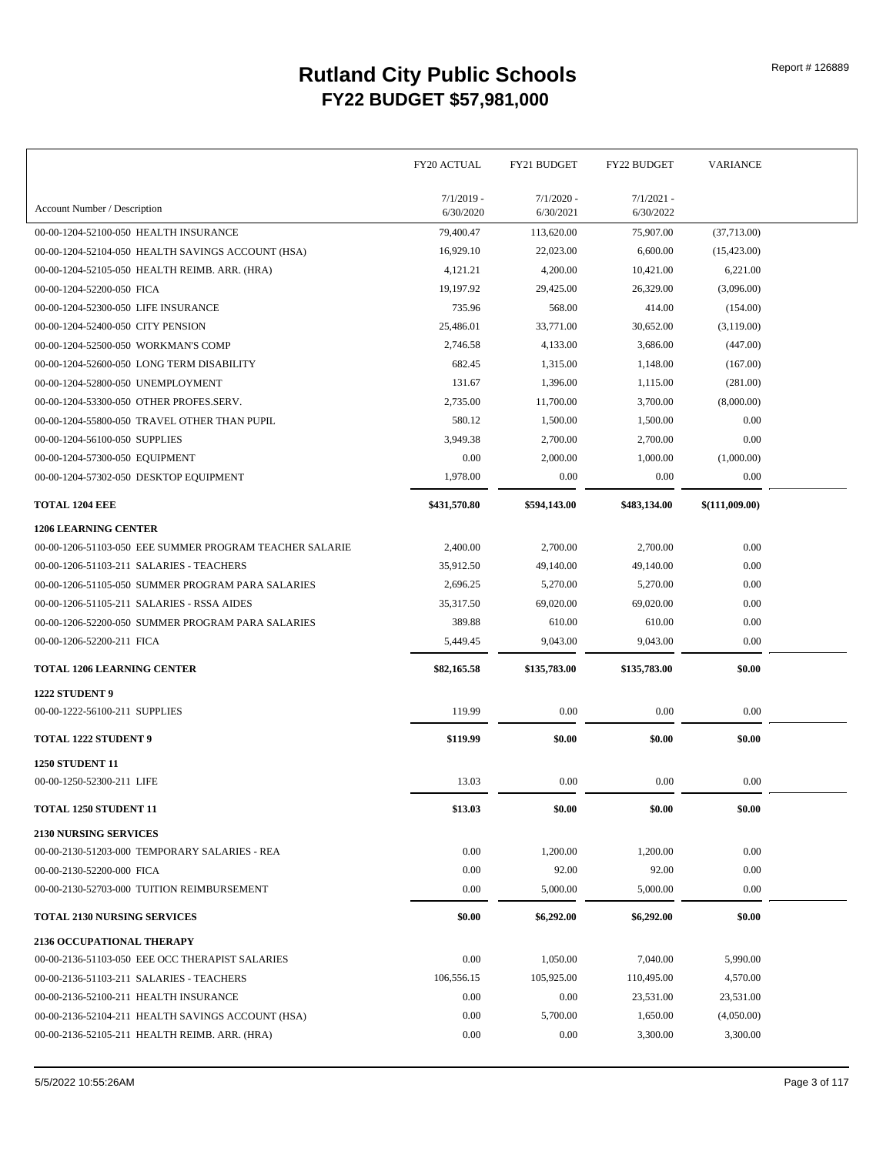|                                                         | FY20 ACTUAL               | FY21 BUDGET               | FY22 BUDGET               | <b>VARIANCE</b> |  |
|---------------------------------------------------------|---------------------------|---------------------------|---------------------------|-----------------|--|
| Account Number / Description                            | $7/1/2019$ -<br>6/30/2020 | $7/1/2020$ -<br>6/30/2021 | $7/1/2021$ -<br>6/30/2022 |                 |  |
| 00-00-1204-52100-050 HEALTH INSURANCE                   | 79,400.47                 | 113,620.00                | 75,907.00                 | (37,713.00)     |  |
| 00-00-1204-52104-050 HEALTH SAVINGS ACCOUNT (HSA)       | 16,929.10                 | 22,023.00                 | 6,600.00                  | (15, 423.00)    |  |
| 00-00-1204-52105-050 HEALTH REIMB. ARR. (HRA)           | 4,121.21                  | 4,200.00                  | 10,421.00                 | 6,221.00        |  |
| 00-00-1204-52200-050 FICA                               | 19,197.92                 | 29,425.00                 | 26,329.00                 | (3,096.00)      |  |
| 00-00-1204-52300-050 LIFE INSURANCE                     | 735.96                    | 568.00                    | 414.00                    | (154.00)        |  |
|                                                         | 25,486.01                 | 33,771.00                 | 30,652.00                 | (3,119.00)      |  |
| 00-00-1204-52400-050 CITY PENSION                       |                           |                           |                           |                 |  |
| 00-00-1204-52500-050 WORKMAN'S COMP                     | 2,746.58                  | 4,133.00                  | 3,686.00                  | (447.00)        |  |
| 00-00-1204-52600-050 LONG TERM DISABILITY               | 682.45                    | 1,315.00                  | 1,148.00                  | (167.00)        |  |
| 00-00-1204-52800-050 UNEMPLOYMENT                       | 131.67                    | 1,396.00                  | 1,115.00                  | (281.00)        |  |
| 00-00-1204-53300-050 OTHER PROFES.SERV.                 | 2,735.00                  | 11,700.00                 | 3,700.00                  | (8,000.00)      |  |
| 00-00-1204-55800-050 TRAVEL OTHER THAN PUPIL            | 580.12                    | 1,500.00                  | 1,500.00                  | 0.00            |  |
| 00-00-1204-56100-050 SUPPLIES                           | 3,949.38                  | 2,700.00                  | 2,700.00                  | 0.00            |  |
| 00-00-1204-57300-050 EQUIPMENT                          | 0.00                      | 2,000.00                  | 1,000.00                  | (1,000.00)      |  |
| 00-00-1204-57302-050 DESKTOP EQUIPMENT                  | 1,978.00                  | 0.00                      | 0.00                      | 0.00            |  |
| <b>TOTAL 1204 EEE</b>                                   | \$431,570.80              | \$594,143.00              | \$483,134.00              | \$(111,009.00)  |  |
| <b>1206 LEARNING CENTER</b>                             |                           |                           |                           |                 |  |
| 00-00-1206-51103-050 EEE SUMMER PROGRAM TEACHER SALARIE | 2,400.00                  | 2,700.00                  | 2,700.00                  | 0.00            |  |
| 00-00-1206-51103-211 SALARIES - TEACHERS                | 35,912.50                 | 49,140.00                 | 49,140.00                 | 0.00            |  |
| 00-00-1206-51105-050 SUMMER PROGRAM PARA SALARIES       | 2,696.25                  | 5,270.00                  | 5,270.00                  | 0.00            |  |
| 00-00-1206-51105-211 SALARIES - RSSA AIDES              | 35,317.50                 | 69,020.00                 | 69,020.00                 | 0.00            |  |
| 00-00-1206-52200-050 SUMMER PROGRAM PARA SALARIES       | 389.88                    | 610.00                    | 610.00                    | 0.00            |  |
| 00-00-1206-52200-211 FICA                               | 5,449.45                  | 9,043.00                  | 9,043.00                  | 0.00            |  |
| <b>TOTAL 1206 LEARNING CENTER</b>                       | \$82,165.58               | \$135,783.00              | \$135,783.00              | \$0.00          |  |
| <b>1222 STUDENT 9</b>                                   |                           |                           |                           |                 |  |
| 00-00-1222-56100-211 SUPPLIES                           | 119.99                    | 0.00                      | 0.00                      | 0.00            |  |
| TOTAL 1222 STUDENT 9                                    | \$119.99                  | \$0.00                    | \$0.00                    | \$0.00          |  |
| <b>1250 STUDENT 11</b>                                  |                           |                           |                           |                 |  |
| 00-00-1250-52300-211 LIFE                               | 13.03                     | 0.00                      | 0.00                      | 0.00            |  |
| TOTAL 1250 STUDENT 11                                   | \$13.03                   | \$0.00                    | \$0.00                    | \$0.00          |  |
| <b>2130 NURSING SERVICES</b>                            |                           |                           |                           |                 |  |
| 00-00-2130-51203-000 TEMPORARY SALARIES - REA           | 0.00                      | 1,200.00                  | 1,200.00                  | 0.00            |  |
| 00-00-2130-52200-000 FICA                               | 0.00                      | 92.00                     | 92.00                     | 0.00            |  |
| 00-00-2130-52703-000 TUITION REIMBURSEMENT              | 0.00                      | 5,000.00                  | 5,000.00                  | 0.00            |  |
| TOTAL 2130 NURSING SERVICES                             | \$0.00                    | \$6,292.00                | \$6,292.00                | \$0.00          |  |
| <b>2136 OCCUPATIONAL THERAPY</b>                        |                           |                           |                           |                 |  |
| 00-00-2136-51103-050 EEE OCC THERAPIST SALARIES         | 0.00                      | 1,050.00                  | 7,040.00                  | 5,990.00        |  |
| 00-00-2136-51103-211 SALARIES - TEACHERS                | 106,556.15                | 105,925.00                | 110,495.00                | 4,570.00        |  |
| 00-00-2136-52100-211 HEALTH INSURANCE                   | 0.00                      | 0.00                      | 23,531.00                 | 23,531.00       |  |
| 00-00-2136-52104-211 HEALTH SAVINGS ACCOUNT (HSA)       | 0.00                      | 5,700.00                  | 1,650.00                  | (4,050.00)      |  |
| 00-00-2136-52105-211 HEALTH REIMB. ARR. (HRA)           | 0.00                      | 0.00                      | 3,300.00                  | 3,300.00        |  |
|                                                         |                           |                           |                           |                 |  |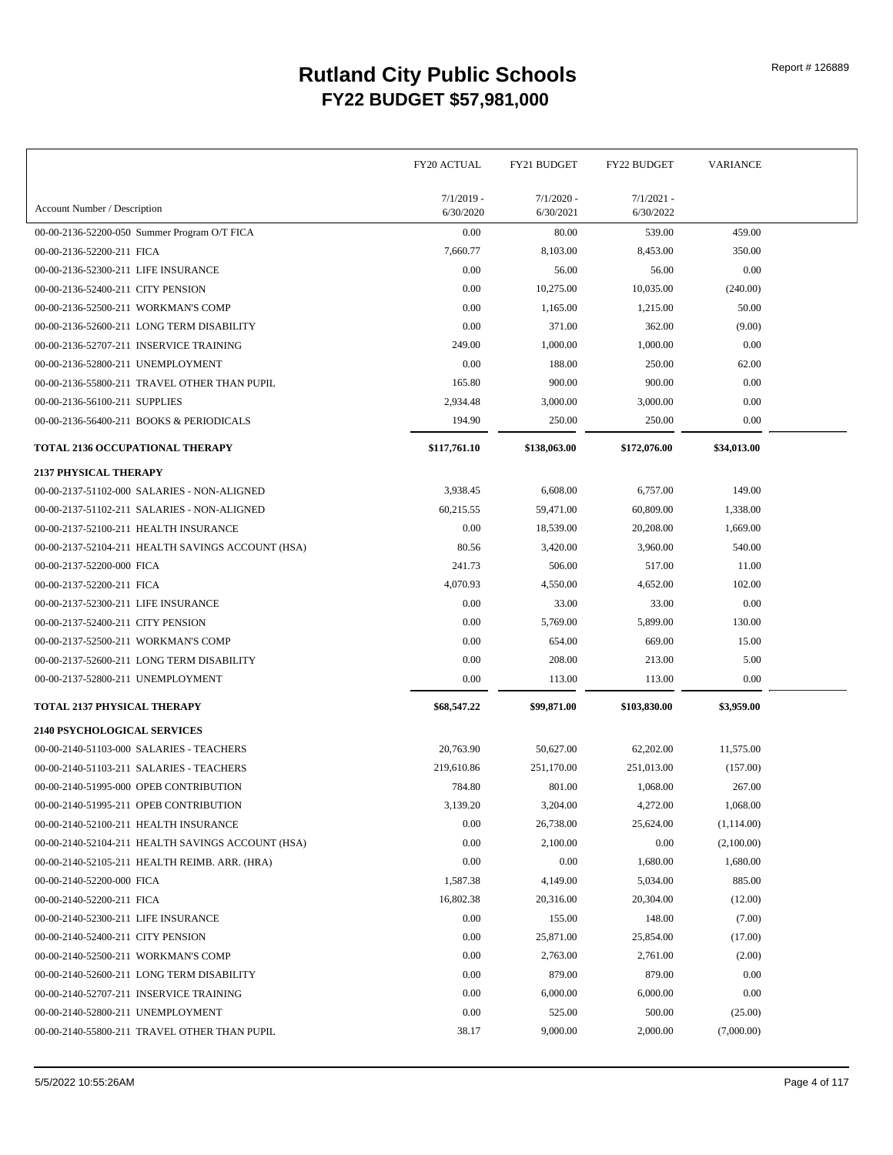| $7/1/2019$ -<br>$7/1/2020$ -<br>$7/1/2021 -$<br>Account Number / Description<br>6/30/2020<br>6/30/2021<br>6/30/2022<br>0.00<br>80.00<br>539.00<br>459.00<br>7,660.77<br>8,103.00<br>8,453.00<br>350.00<br>00-00-2136-52200-211 FICA<br>0.00<br>0.00<br>56.00<br>56.00<br>00-00-2136-52300-211 LIFE INSURANCE<br>00-00-2136-52400-211 CITY PENSION<br>0.00<br>10,275.00<br>10,035.00<br>(240.00)<br>0.00<br>50.00<br>00-00-2136-52500-211 WORKMAN'S COMP<br>1,165.00<br>1,215.00<br>0.00<br>362.00<br>(9.00)<br>371.00<br>00-00-2136-52600-211 LONG TERM DISABILITY<br>249.00<br>1,000.00<br>1,000.00<br>0.00<br>00-00-2136-52707-211 INSERVICE TRAINING<br>0.00<br>188.00<br>250.00<br>62.00<br>00-00-2136-52800-211 UNEMPLOYMENT<br>00-00-2136-55800-211 TRAVEL OTHER THAN PUPIL<br>165.80<br>900.00<br>900.00<br>0.00<br>2,934.48<br>3,000.00<br>3,000.00<br>0.00<br>194.90<br>250.00<br>0.00<br>250.00<br>\$117,761.10<br>\$138,063.00<br>\$172,076.00<br>\$34,013.00<br>3,938.45<br>6,608.00<br>6,757.00<br>149.00<br>1,338.00<br>00-00-2137-51102-211 SALARIES - NON-ALIGNED<br>60,215.55<br>59,471.00<br>60,809.00<br>0.00<br>00-00-2137-52100-211 HEALTH INSURANCE<br>18,539.00<br>20,208.00<br>1,669.00<br>80.56<br>3,960.00<br>540.00<br>00-00-2137-52104-211 HEALTH SAVINGS ACCOUNT (HSA)<br>3,420.00<br>241.73<br>517.00<br>11.00<br>506.00<br>00-00-2137-52200-000 FICA<br>4,070.93<br>4,550.00<br>4,652.00<br>102.00<br>00-00-2137-52200-211 FICA<br>0.00<br>33.00<br>0.00<br>00-00-2137-52300-211 LIFE INSURANCE<br>33.00<br>0.00<br>5,899.00<br>130.00<br>5,769.00<br>00-00-2137-52400-211 CITY PENSION<br>0.00<br>669.00<br>15.00<br>00-00-2137-52500-211 WORKMAN'S COMP<br>654.00<br>0.00<br>208.00<br>213.00<br>5.00<br>00-00-2137-52600-211 LONG TERM DISABILITY<br>0.00<br>113.00<br>113.00<br>0.00<br>\$68,547.22<br>\$99,871.00<br>\$103,830.00<br>\$3,959.00<br>20,763.90<br>50,627.00<br>62,202.00<br>11,575.00<br>219,610.86<br>251,170.00<br>251,013.00<br>(157.00)<br>00-00-2140-51103-211 SALARIES - TEACHERS<br>784.80<br>801.00<br>1,068.00<br>267.00<br>3,139.20<br>3,204.00<br>4,272.00<br>1,068.00<br>0.00<br>25,624.00<br>26,738.00<br>(1,114.00)<br>0.00<br>2,100.00<br>0.00<br>(2,100.00)<br>0.00<br>0.00<br>1,680.00<br>1,680.00<br>1,587.38<br>4,149.00<br>885.00<br>5,034.00<br>16,802.38<br>20,316.00<br>20,304.00<br>(12.00)<br>00-00-2140-52200-211 FICA<br>0.00<br>(7.00)<br>155.00<br>148.00<br>0.00<br>25,871.00<br>25,854.00<br>(17.00)<br>0.00<br>(2.00)<br>2,763.00<br>2,761.00<br>00-00-2140-52500-211 WORKMAN'S COMP<br>0.00<br>879.00<br>879.00<br>0.00<br>0.00<br>6,000.00<br>6,000.00<br>0.00<br>00-00-2140-52707-211 INSERVICE TRAINING<br>0.00<br>525.00<br>500.00<br>(25.00)<br>00-00-2140-52800-211 UNEMPLOYMENT<br>9,000.00<br>2,000.00<br>(7,000.00)<br>38.17 |                                                   | FY20 ACTUAL | FY21 BUDGET | FY22 BUDGET | <b>VARIANCE</b> |  |
|--------------------------------------------------------------------------------------------------------------------------------------------------------------------------------------------------------------------------------------------------------------------------------------------------------------------------------------------------------------------------------------------------------------------------------------------------------------------------------------------------------------------------------------------------------------------------------------------------------------------------------------------------------------------------------------------------------------------------------------------------------------------------------------------------------------------------------------------------------------------------------------------------------------------------------------------------------------------------------------------------------------------------------------------------------------------------------------------------------------------------------------------------------------------------------------------------------------------------------------------------------------------------------------------------------------------------------------------------------------------------------------------------------------------------------------------------------------------------------------------------------------------------------------------------------------------------------------------------------------------------------------------------------------------------------------------------------------------------------------------------------------------------------------------------------------------------------------------------------------------------------------------------------------------------------------------------------------------------------------------------------------------------------------------------------------------------------------------------------------------------------------------------------------------------------------------------------------------------------------------------------------------------------------------------------------------------------------------------------------------------------------------------------------------------------------------------------------------------------------------------------------------------------------------------------------------------------------------------------------------------------------------------------------------------------------------------------------------------------------------------------------------------------------------------------------------------|---------------------------------------------------|-------------|-------------|-------------|-----------------|--|
|                                                                                                                                                                                                                                                                                                                                                                                                                                                                                                                                                                                                                                                                                                                                                                                                                                                                                                                                                                                                                                                                                                                                                                                                                                                                                                                                                                                                                                                                                                                                                                                                                                                                                                                                                                                                                                                                                                                                                                                                                                                                                                                                                                                                                                                                                                                                                                                                                                                                                                                                                                                                                                                                                                                                                                                                                          |                                                   |             |             |             |                 |  |
|                                                                                                                                                                                                                                                                                                                                                                                                                                                                                                                                                                                                                                                                                                                                                                                                                                                                                                                                                                                                                                                                                                                                                                                                                                                                                                                                                                                                                                                                                                                                                                                                                                                                                                                                                                                                                                                                                                                                                                                                                                                                                                                                                                                                                                                                                                                                                                                                                                                                                                                                                                                                                                                                                                                                                                                                                          |                                                   |             |             |             |                 |  |
|                                                                                                                                                                                                                                                                                                                                                                                                                                                                                                                                                                                                                                                                                                                                                                                                                                                                                                                                                                                                                                                                                                                                                                                                                                                                                                                                                                                                                                                                                                                                                                                                                                                                                                                                                                                                                                                                                                                                                                                                                                                                                                                                                                                                                                                                                                                                                                                                                                                                                                                                                                                                                                                                                                                                                                                                                          | 00-00-2136-52200-050 Summer Program O/T FICA      |             |             |             |                 |  |
|                                                                                                                                                                                                                                                                                                                                                                                                                                                                                                                                                                                                                                                                                                                                                                                                                                                                                                                                                                                                                                                                                                                                                                                                                                                                                                                                                                                                                                                                                                                                                                                                                                                                                                                                                                                                                                                                                                                                                                                                                                                                                                                                                                                                                                                                                                                                                                                                                                                                                                                                                                                                                                                                                                                                                                                                                          |                                                   |             |             |             |                 |  |
|                                                                                                                                                                                                                                                                                                                                                                                                                                                                                                                                                                                                                                                                                                                                                                                                                                                                                                                                                                                                                                                                                                                                                                                                                                                                                                                                                                                                                                                                                                                                                                                                                                                                                                                                                                                                                                                                                                                                                                                                                                                                                                                                                                                                                                                                                                                                                                                                                                                                                                                                                                                                                                                                                                                                                                                                                          |                                                   |             |             |             |                 |  |
|                                                                                                                                                                                                                                                                                                                                                                                                                                                                                                                                                                                                                                                                                                                                                                                                                                                                                                                                                                                                                                                                                                                                                                                                                                                                                                                                                                                                                                                                                                                                                                                                                                                                                                                                                                                                                                                                                                                                                                                                                                                                                                                                                                                                                                                                                                                                                                                                                                                                                                                                                                                                                                                                                                                                                                                                                          |                                                   |             |             |             |                 |  |
|                                                                                                                                                                                                                                                                                                                                                                                                                                                                                                                                                                                                                                                                                                                                                                                                                                                                                                                                                                                                                                                                                                                                                                                                                                                                                                                                                                                                                                                                                                                                                                                                                                                                                                                                                                                                                                                                                                                                                                                                                                                                                                                                                                                                                                                                                                                                                                                                                                                                                                                                                                                                                                                                                                                                                                                                                          |                                                   |             |             |             |                 |  |
|                                                                                                                                                                                                                                                                                                                                                                                                                                                                                                                                                                                                                                                                                                                                                                                                                                                                                                                                                                                                                                                                                                                                                                                                                                                                                                                                                                                                                                                                                                                                                                                                                                                                                                                                                                                                                                                                                                                                                                                                                                                                                                                                                                                                                                                                                                                                                                                                                                                                                                                                                                                                                                                                                                                                                                                                                          |                                                   |             |             |             |                 |  |
|                                                                                                                                                                                                                                                                                                                                                                                                                                                                                                                                                                                                                                                                                                                                                                                                                                                                                                                                                                                                                                                                                                                                                                                                                                                                                                                                                                                                                                                                                                                                                                                                                                                                                                                                                                                                                                                                                                                                                                                                                                                                                                                                                                                                                                                                                                                                                                                                                                                                                                                                                                                                                                                                                                                                                                                                                          |                                                   |             |             |             |                 |  |
|                                                                                                                                                                                                                                                                                                                                                                                                                                                                                                                                                                                                                                                                                                                                                                                                                                                                                                                                                                                                                                                                                                                                                                                                                                                                                                                                                                                                                                                                                                                                                                                                                                                                                                                                                                                                                                                                                                                                                                                                                                                                                                                                                                                                                                                                                                                                                                                                                                                                                                                                                                                                                                                                                                                                                                                                                          |                                                   |             |             |             |                 |  |
|                                                                                                                                                                                                                                                                                                                                                                                                                                                                                                                                                                                                                                                                                                                                                                                                                                                                                                                                                                                                                                                                                                                                                                                                                                                                                                                                                                                                                                                                                                                                                                                                                                                                                                                                                                                                                                                                                                                                                                                                                                                                                                                                                                                                                                                                                                                                                                                                                                                                                                                                                                                                                                                                                                                                                                                                                          |                                                   |             |             |             |                 |  |
|                                                                                                                                                                                                                                                                                                                                                                                                                                                                                                                                                                                                                                                                                                                                                                                                                                                                                                                                                                                                                                                                                                                                                                                                                                                                                                                                                                                                                                                                                                                                                                                                                                                                                                                                                                                                                                                                                                                                                                                                                                                                                                                                                                                                                                                                                                                                                                                                                                                                                                                                                                                                                                                                                                                                                                                                                          | 00-00-2136-56100-211 SUPPLIES                     |             |             |             |                 |  |
|                                                                                                                                                                                                                                                                                                                                                                                                                                                                                                                                                                                                                                                                                                                                                                                                                                                                                                                                                                                                                                                                                                                                                                                                                                                                                                                                                                                                                                                                                                                                                                                                                                                                                                                                                                                                                                                                                                                                                                                                                                                                                                                                                                                                                                                                                                                                                                                                                                                                                                                                                                                                                                                                                                                                                                                                                          | 00-00-2136-56400-211 BOOKS & PERIODICALS          |             |             |             |                 |  |
|                                                                                                                                                                                                                                                                                                                                                                                                                                                                                                                                                                                                                                                                                                                                                                                                                                                                                                                                                                                                                                                                                                                                                                                                                                                                                                                                                                                                                                                                                                                                                                                                                                                                                                                                                                                                                                                                                                                                                                                                                                                                                                                                                                                                                                                                                                                                                                                                                                                                                                                                                                                                                                                                                                                                                                                                                          | TOTAL 2136 OCCUPATIONAL THERAPY                   |             |             |             |                 |  |
|                                                                                                                                                                                                                                                                                                                                                                                                                                                                                                                                                                                                                                                                                                                                                                                                                                                                                                                                                                                                                                                                                                                                                                                                                                                                                                                                                                                                                                                                                                                                                                                                                                                                                                                                                                                                                                                                                                                                                                                                                                                                                                                                                                                                                                                                                                                                                                                                                                                                                                                                                                                                                                                                                                                                                                                                                          | <b>2137 PHYSICAL THERAPY</b>                      |             |             |             |                 |  |
|                                                                                                                                                                                                                                                                                                                                                                                                                                                                                                                                                                                                                                                                                                                                                                                                                                                                                                                                                                                                                                                                                                                                                                                                                                                                                                                                                                                                                                                                                                                                                                                                                                                                                                                                                                                                                                                                                                                                                                                                                                                                                                                                                                                                                                                                                                                                                                                                                                                                                                                                                                                                                                                                                                                                                                                                                          | 00-00-2137-51102-000 SALARIES - NON-ALIGNED       |             |             |             |                 |  |
|                                                                                                                                                                                                                                                                                                                                                                                                                                                                                                                                                                                                                                                                                                                                                                                                                                                                                                                                                                                                                                                                                                                                                                                                                                                                                                                                                                                                                                                                                                                                                                                                                                                                                                                                                                                                                                                                                                                                                                                                                                                                                                                                                                                                                                                                                                                                                                                                                                                                                                                                                                                                                                                                                                                                                                                                                          |                                                   |             |             |             |                 |  |
|                                                                                                                                                                                                                                                                                                                                                                                                                                                                                                                                                                                                                                                                                                                                                                                                                                                                                                                                                                                                                                                                                                                                                                                                                                                                                                                                                                                                                                                                                                                                                                                                                                                                                                                                                                                                                                                                                                                                                                                                                                                                                                                                                                                                                                                                                                                                                                                                                                                                                                                                                                                                                                                                                                                                                                                                                          |                                                   |             |             |             |                 |  |
|                                                                                                                                                                                                                                                                                                                                                                                                                                                                                                                                                                                                                                                                                                                                                                                                                                                                                                                                                                                                                                                                                                                                                                                                                                                                                                                                                                                                                                                                                                                                                                                                                                                                                                                                                                                                                                                                                                                                                                                                                                                                                                                                                                                                                                                                                                                                                                                                                                                                                                                                                                                                                                                                                                                                                                                                                          |                                                   |             |             |             |                 |  |
|                                                                                                                                                                                                                                                                                                                                                                                                                                                                                                                                                                                                                                                                                                                                                                                                                                                                                                                                                                                                                                                                                                                                                                                                                                                                                                                                                                                                                                                                                                                                                                                                                                                                                                                                                                                                                                                                                                                                                                                                                                                                                                                                                                                                                                                                                                                                                                                                                                                                                                                                                                                                                                                                                                                                                                                                                          |                                                   |             |             |             |                 |  |
|                                                                                                                                                                                                                                                                                                                                                                                                                                                                                                                                                                                                                                                                                                                                                                                                                                                                                                                                                                                                                                                                                                                                                                                                                                                                                                                                                                                                                                                                                                                                                                                                                                                                                                                                                                                                                                                                                                                                                                                                                                                                                                                                                                                                                                                                                                                                                                                                                                                                                                                                                                                                                                                                                                                                                                                                                          |                                                   |             |             |             |                 |  |
|                                                                                                                                                                                                                                                                                                                                                                                                                                                                                                                                                                                                                                                                                                                                                                                                                                                                                                                                                                                                                                                                                                                                                                                                                                                                                                                                                                                                                                                                                                                                                                                                                                                                                                                                                                                                                                                                                                                                                                                                                                                                                                                                                                                                                                                                                                                                                                                                                                                                                                                                                                                                                                                                                                                                                                                                                          |                                                   |             |             |             |                 |  |
|                                                                                                                                                                                                                                                                                                                                                                                                                                                                                                                                                                                                                                                                                                                                                                                                                                                                                                                                                                                                                                                                                                                                                                                                                                                                                                                                                                                                                                                                                                                                                                                                                                                                                                                                                                                                                                                                                                                                                                                                                                                                                                                                                                                                                                                                                                                                                                                                                                                                                                                                                                                                                                                                                                                                                                                                                          |                                                   |             |             |             |                 |  |
|                                                                                                                                                                                                                                                                                                                                                                                                                                                                                                                                                                                                                                                                                                                                                                                                                                                                                                                                                                                                                                                                                                                                                                                                                                                                                                                                                                                                                                                                                                                                                                                                                                                                                                                                                                                                                                                                                                                                                                                                                                                                                                                                                                                                                                                                                                                                                                                                                                                                                                                                                                                                                                                                                                                                                                                                                          |                                                   |             |             |             |                 |  |
|                                                                                                                                                                                                                                                                                                                                                                                                                                                                                                                                                                                                                                                                                                                                                                                                                                                                                                                                                                                                                                                                                                                                                                                                                                                                                                                                                                                                                                                                                                                                                                                                                                                                                                                                                                                                                                                                                                                                                                                                                                                                                                                                                                                                                                                                                                                                                                                                                                                                                                                                                                                                                                                                                                                                                                                                                          |                                                   |             |             |             |                 |  |
|                                                                                                                                                                                                                                                                                                                                                                                                                                                                                                                                                                                                                                                                                                                                                                                                                                                                                                                                                                                                                                                                                                                                                                                                                                                                                                                                                                                                                                                                                                                                                                                                                                                                                                                                                                                                                                                                                                                                                                                                                                                                                                                                                                                                                                                                                                                                                                                                                                                                                                                                                                                                                                                                                                                                                                                                                          | 00-00-2137-52800-211 UNEMPLOYMENT                 |             |             |             |                 |  |
|                                                                                                                                                                                                                                                                                                                                                                                                                                                                                                                                                                                                                                                                                                                                                                                                                                                                                                                                                                                                                                                                                                                                                                                                                                                                                                                                                                                                                                                                                                                                                                                                                                                                                                                                                                                                                                                                                                                                                                                                                                                                                                                                                                                                                                                                                                                                                                                                                                                                                                                                                                                                                                                                                                                                                                                                                          | TOTAL 2137 PHYSICAL THERAPY                       |             |             |             |                 |  |
|                                                                                                                                                                                                                                                                                                                                                                                                                                                                                                                                                                                                                                                                                                                                                                                                                                                                                                                                                                                                                                                                                                                                                                                                                                                                                                                                                                                                                                                                                                                                                                                                                                                                                                                                                                                                                                                                                                                                                                                                                                                                                                                                                                                                                                                                                                                                                                                                                                                                                                                                                                                                                                                                                                                                                                                                                          | <b>2140 PSYCHOLOGICAL SERVICES</b>                |             |             |             |                 |  |
|                                                                                                                                                                                                                                                                                                                                                                                                                                                                                                                                                                                                                                                                                                                                                                                                                                                                                                                                                                                                                                                                                                                                                                                                                                                                                                                                                                                                                                                                                                                                                                                                                                                                                                                                                                                                                                                                                                                                                                                                                                                                                                                                                                                                                                                                                                                                                                                                                                                                                                                                                                                                                                                                                                                                                                                                                          | 00-00-2140-51103-000 SALARIES - TEACHERS          |             |             |             |                 |  |
|                                                                                                                                                                                                                                                                                                                                                                                                                                                                                                                                                                                                                                                                                                                                                                                                                                                                                                                                                                                                                                                                                                                                                                                                                                                                                                                                                                                                                                                                                                                                                                                                                                                                                                                                                                                                                                                                                                                                                                                                                                                                                                                                                                                                                                                                                                                                                                                                                                                                                                                                                                                                                                                                                                                                                                                                                          |                                                   |             |             |             |                 |  |
|                                                                                                                                                                                                                                                                                                                                                                                                                                                                                                                                                                                                                                                                                                                                                                                                                                                                                                                                                                                                                                                                                                                                                                                                                                                                                                                                                                                                                                                                                                                                                                                                                                                                                                                                                                                                                                                                                                                                                                                                                                                                                                                                                                                                                                                                                                                                                                                                                                                                                                                                                                                                                                                                                                                                                                                                                          | 00-00-2140-51995-000 OPEB CONTRIBUTION            |             |             |             |                 |  |
|                                                                                                                                                                                                                                                                                                                                                                                                                                                                                                                                                                                                                                                                                                                                                                                                                                                                                                                                                                                                                                                                                                                                                                                                                                                                                                                                                                                                                                                                                                                                                                                                                                                                                                                                                                                                                                                                                                                                                                                                                                                                                                                                                                                                                                                                                                                                                                                                                                                                                                                                                                                                                                                                                                                                                                                                                          | 00-00-2140-51995-211 OPEB CONTRIBUTION            |             |             |             |                 |  |
|                                                                                                                                                                                                                                                                                                                                                                                                                                                                                                                                                                                                                                                                                                                                                                                                                                                                                                                                                                                                                                                                                                                                                                                                                                                                                                                                                                                                                                                                                                                                                                                                                                                                                                                                                                                                                                                                                                                                                                                                                                                                                                                                                                                                                                                                                                                                                                                                                                                                                                                                                                                                                                                                                                                                                                                                                          | 00-00-2140-52100-211 HEALTH INSURANCE             |             |             |             |                 |  |
|                                                                                                                                                                                                                                                                                                                                                                                                                                                                                                                                                                                                                                                                                                                                                                                                                                                                                                                                                                                                                                                                                                                                                                                                                                                                                                                                                                                                                                                                                                                                                                                                                                                                                                                                                                                                                                                                                                                                                                                                                                                                                                                                                                                                                                                                                                                                                                                                                                                                                                                                                                                                                                                                                                                                                                                                                          | 00-00-2140-52104-211 HEALTH SAVINGS ACCOUNT (HSA) |             |             |             |                 |  |
|                                                                                                                                                                                                                                                                                                                                                                                                                                                                                                                                                                                                                                                                                                                                                                                                                                                                                                                                                                                                                                                                                                                                                                                                                                                                                                                                                                                                                                                                                                                                                                                                                                                                                                                                                                                                                                                                                                                                                                                                                                                                                                                                                                                                                                                                                                                                                                                                                                                                                                                                                                                                                                                                                                                                                                                                                          | 00-00-2140-52105-211 HEALTH REIMB. ARR. (HRA)     |             |             |             |                 |  |
|                                                                                                                                                                                                                                                                                                                                                                                                                                                                                                                                                                                                                                                                                                                                                                                                                                                                                                                                                                                                                                                                                                                                                                                                                                                                                                                                                                                                                                                                                                                                                                                                                                                                                                                                                                                                                                                                                                                                                                                                                                                                                                                                                                                                                                                                                                                                                                                                                                                                                                                                                                                                                                                                                                                                                                                                                          | 00-00-2140-52200-000 FICA                         |             |             |             |                 |  |
|                                                                                                                                                                                                                                                                                                                                                                                                                                                                                                                                                                                                                                                                                                                                                                                                                                                                                                                                                                                                                                                                                                                                                                                                                                                                                                                                                                                                                                                                                                                                                                                                                                                                                                                                                                                                                                                                                                                                                                                                                                                                                                                                                                                                                                                                                                                                                                                                                                                                                                                                                                                                                                                                                                                                                                                                                          |                                                   |             |             |             |                 |  |
|                                                                                                                                                                                                                                                                                                                                                                                                                                                                                                                                                                                                                                                                                                                                                                                                                                                                                                                                                                                                                                                                                                                                                                                                                                                                                                                                                                                                                                                                                                                                                                                                                                                                                                                                                                                                                                                                                                                                                                                                                                                                                                                                                                                                                                                                                                                                                                                                                                                                                                                                                                                                                                                                                                                                                                                                                          | 00-00-2140-52300-211 LIFE INSURANCE               |             |             |             |                 |  |
|                                                                                                                                                                                                                                                                                                                                                                                                                                                                                                                                                                                                                                                                                                                                                                                                                                                                                                                                                                                                                                                                                                                                                                                                                                                                                                                                                                                                                                                                                                                                                                                                                                                                                                                                                                                                                                                                                                                                                                                                                                                                                                                                                                                                                                                                                                                                                                                                                                                                                                                                                                                                                                                                                                                                                                                                                          | 00-00-2140-52400-211 CITY PENSION                 |             |             |             |                 |  |
|                                                                                                                                                                                                                                                                                                                                                                                                                                                                                                                                                                                                                                                                                                                                                                                                                                                                                                                                                                                                                                                                                                                                                                                                                                                                                                                                                                                                                                                                                                                                                                                                                                                                                                                                                                                                                                                                                                                                                                                                                                                                                                                                                                                                                                                                                                                                                                                                                                                                                                                                                                                                                                                                                                                                                                                                                          |                                                   |             |             |             |                 |  |
|                                                                                                                                                                                                                                                                                                                                                                                                                                                                                                                                                                                                                                                                                                                                                                                                                                                                                                                                                                                                                                                                                                                                                                                                                                                                                                                                                                                                                                                                                                                                                                                                                                                                                                                                                                                                                                                                                                                                                                                                                                                                                                                                                                                                                                                                                                                                                                                                                                                                                                                                                                                                                                                                                                                                                                                                                          | 00-00-2140-52600-211 LONG TERM DISABILITY         |             |             |             |                 |  |
|                                                                                                                                                                                                                                                                                                                                                                                                                                                                                                                                                                                                                                                                                                                                                                                                                                                                                                                                                                                                                                                                                                                                                                                                                                                                                                                                                                                                                                                                                                                                                                                                                                                                                                                                                                                                                                                                                                                                                                                                                                                                                                                                                                                                                                                                                                                                                                                                                                                                                                                                                                                                                                                                                                                                                                                                                          |                                                   |             |             |             |                 |  |
|                                                                                                                                                                                                                                                                                                                                                                                                                                                                                                                                                                                                                                                                                                                                                                                                                                                                                                                                                                                                                                                                                                                                                                                                                                                                                                                                                                                                                                                                                                                                                                                                                                                                                                                                                                                                                                                                                                                                                                                                                                                                                                                                                                                                                                                                                                                                                                                                                                                                                                                                                                                                                                                                                                                                                                                                                          |                                                   |             |             |             |                 |  |
|                                                                                                                                                                                                                                                                                                                                                                                                                                                                                                                                                                                                                                                                                                                                                                                                                                                                                                                                                                                                                                                                                                                                                                                                                                                                                                                                                                                                                                                                                                                                                                                                                                                                                                                                                                                                                                                                                                                                                                                                                                                                                                                                                                                                                                                                                                                                                                                                                                                                                                                                                                                                                                                                                                                                                                                                                          | 00-00-2140-55800-211 TRAVEL OTHER THAN PUPIL      |             |             |             |                 |  |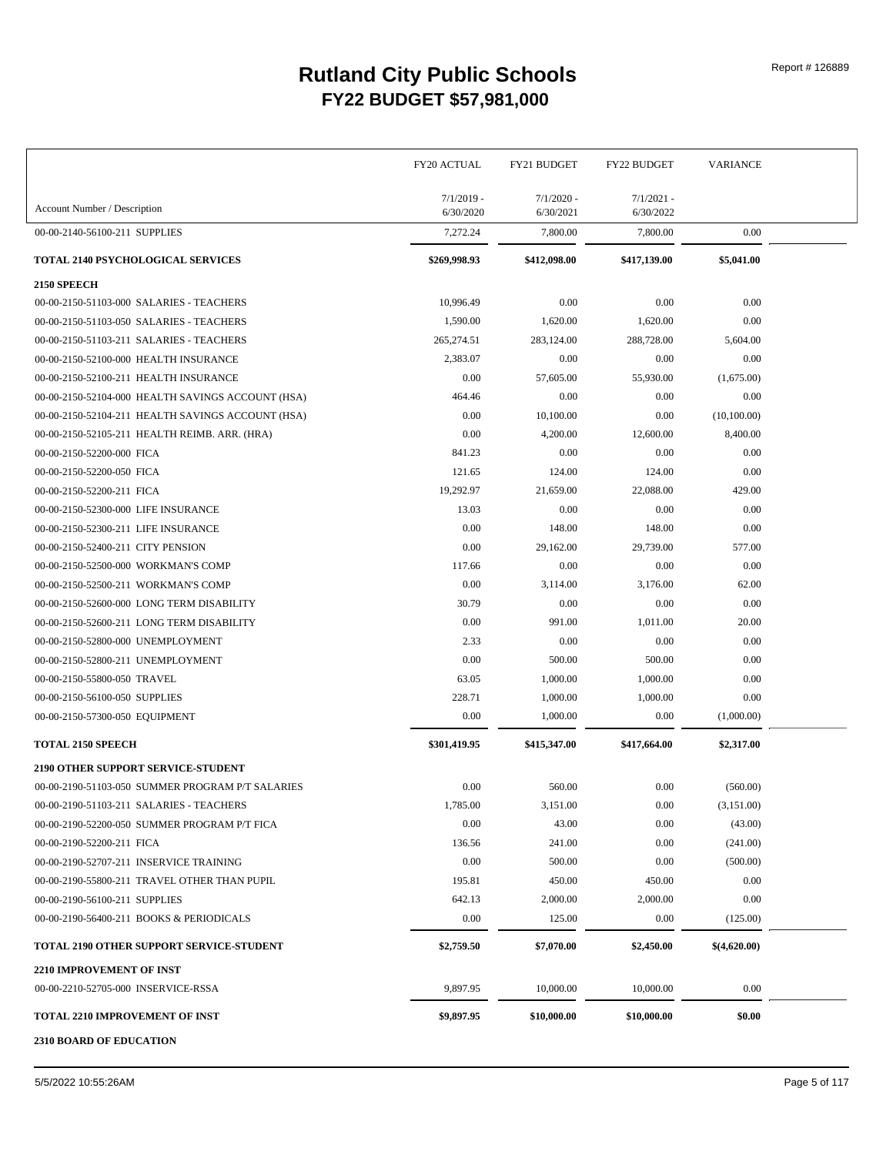|                                                   | <b>FY20 ACTUAL</b> | <b>FY21 BUDGET</b> | <b>FY22 BUDGET</b> | <b>VARIANCE</b> |  |
|---------------------------------------------------|--------------------|--------------------|--------------------|-----------------|--|
|                                                   | $7/1/2019$ -       | $7/1/2020$ -       | $7/1/2021 -$       |                 |  |
| Account Number / Description                      | 6/30/2020          | 6/30/2021          | 6/30/2022          |                 |  |
| 00-00-2140-56100-211 SUPPLIES                     | 7,272.24           | 7,800.00           | 7,800.00           | 0.00            |  |
| TOTAL 2140 PSYCHOLOGICAL SERVICES                 | \$269,998.93       | \$412,098.00       | \$417,139.00       | \$5,041.00      |  |
| <b>2150 SPEECH</b>                                |                    |                    |                    |                 |  |
| 00-00-2150-51103-000 SALARIES - TEACHERS          | 10,996.49          | $0.00\,$           | 0.00               | 0.00            |  |
| 00-00-2150-51103-050 SALARIES - TEACHERS          | 1,590.00           | 1,620.00           | 1,620.00           | 0.00            |  |
| 00-00-2150-51103-211 SALARIES - TEACHERS          | 265,274.51         | 283,124.00         | 288,728.00         | 5,604.00        |  |
| 00-00-2150-52100-000 HEALTH INSURANCE             | 2,383.07           | 0.00               | 0.00               | 0.00            |  |
| 00-00-2150-52100-211 HEALTH INSURANCE             | 0.00               | 57,605.00          | 55,930.00          | (1,675.00)      |  |
| 00-00-2150-52104-000 HEALTH SAVINGS ACCOUNT (HSA) | 464.46             | 0.00               | 0.00               | 0.00            |  |
| 00-00-2150-52104-211 HEALTH SAVINGS ACCOUNT (HSA) | 0.00               | 10,100.00          | 0.00               | (10, 100.00)    |  |
| 00-00-2150-52105-211 HEALTH REIMB. ARR. (HRA)     | 0.00               | 4,200.00           | 12,600.00          | 8,400.00        |  |
| 00-00-2150-52200-000 FICA                         | 841.23             | 0.00               | 0.00               | 0.00            |  |
| 00-00-2150-52200-050 FICA                         | 121.65             | 124.00             | 124.00             | 0.00            |  |
| 00-00-2150-52200-211 FICA                         | 19,292.97          | 21,659.00          | 22,088.00          | 429.00          |  |
| 00-00-2150-52300-000 LIFE INSURANCE               | 13.03              | 0.00               | 0.00               | 0.00            |  |
| 00-00-2150-52300-211 LIFE INSURANCE               | 0.00               | 148.00             | 148.00             | 0.00            |  |
| 00-00-2150-52400-211 CITY PENSION                 | 0.00               | 29,162.00          | 29,739.00          | 577.00          |  |
| 00-00-2150-52500-000 WORKMAN'S COMP               | 117.66             | 0.00               | 0.00               | 0.00            |  |
| 00-00-2150-52500-211 WORKMAN'S COMP               | 0.00               | 3,114.00           | 3,176.00           | 62.00           |  |
| 00-00-2150-52600-000 LONG TERM DISABILITY         | 30.79              | 0.00               | 0.00               | 0.00            |  |
| 00-00-2150-52600-211 LONG TERM DISABILITY         | 0.00               | 991.00             | 1,011.00           | 20.00           |  |
| 00-00-2150-52800-000 UNEMPLOYMENT                 | 2.33               | 0.00               | 0.00               | 0.00            |  |
| 00-00-2150-52800-211 UNEMPLOYMENT                 | 0.00               | 500.00             | 500.00             | 0.00            |  |
| 00-00-2150-55800-050 TRAVEL                       | 63.05              | 1,000.00           | 1,000.00           | 0.00            |  |
| 00-00-2150-56100-050 SUPPLIES                     | 228.71             | 1,000.00           | 1,000.00           | 0.00            |  |
| 00-00-2150-57300-050 EQUIPMENT                    | 0.00               | 1,000.00           | 0.00               | (1,000.00)      |  |
| <b>TOTAL 2150 SPEECH</b>                          | \$301,419.95       | \$415,347.00       | \$417,664.00       | \$2,317.00      |  |
| <b>2190 OTHER SUPPORT SERVICE-STUDENT</b>         |                    |                    |                    |                 |  |
| 00-00-2190-51103-050 SUMMER PROGRAM P/T SALARIES  | 0.00               | 560.00             | 0.00               | (560.00)        |  |
| 00-00-2190-51103-211 SALARIES - TEACHERS          | 1,785.00           | 3,151.00           | 0.00               | (3,151.00)      |  |
| 00-00-2190-52200-050 SUMMER PROGRAM P/T FICA      | 0.00               | 43.00              | 0.00               | (43.00)         |  |
| 00-00-2190-52200-211 FICA                         | 136.56             | 241.00             | 0.00               | (241.00)        |  |
| 00-00-2190-52707-211 INSERVICE TRAINING           | 0.00               | 500.00             | 0.00               | (500.00)        |  |
| 00-00-2190-55800-211 TRAVEL OTHER THAN PUPIL      | 195.81             | 450.00             | 450.00             | 0.00            |  |
| 00-00-2190-56100-211 SUPPLIES                     | 642.13             | 2,000.00           | 2,000.00           | 0.00            |  |
| 00-00-2190-56400-211 BOOKS & PERIODICALS          | 0.00               | 125.00             | $0.00\,$           | (125.00)        |  |
| <b>TOTAL 2190 OTHER SUPPORT SERVICE-STUDENT</b>   | \$2,759.50         | \$7,070.00         | \$2,450.00         | \$(4,620.00)    |  |
| <b>2210 IMPROVEMENT OF INST</b>                   |                    |                    |                    |                 |  |
| 00-00-2210-52705-000 INSERVICE-RSSA               | 9,897.95           | 10,000.00          | 10,000.00          | 0.00            |  |
| <b>TOTAL 2210 IMPROVEMENT OF INST</b>             | \$9,897.95         | \$10,000.00        | \$10,000.00        | \$0.00          |  |
| <b>2310 BOARD OF EDUCATION</b>                    |                    |                    |                    |                 |  |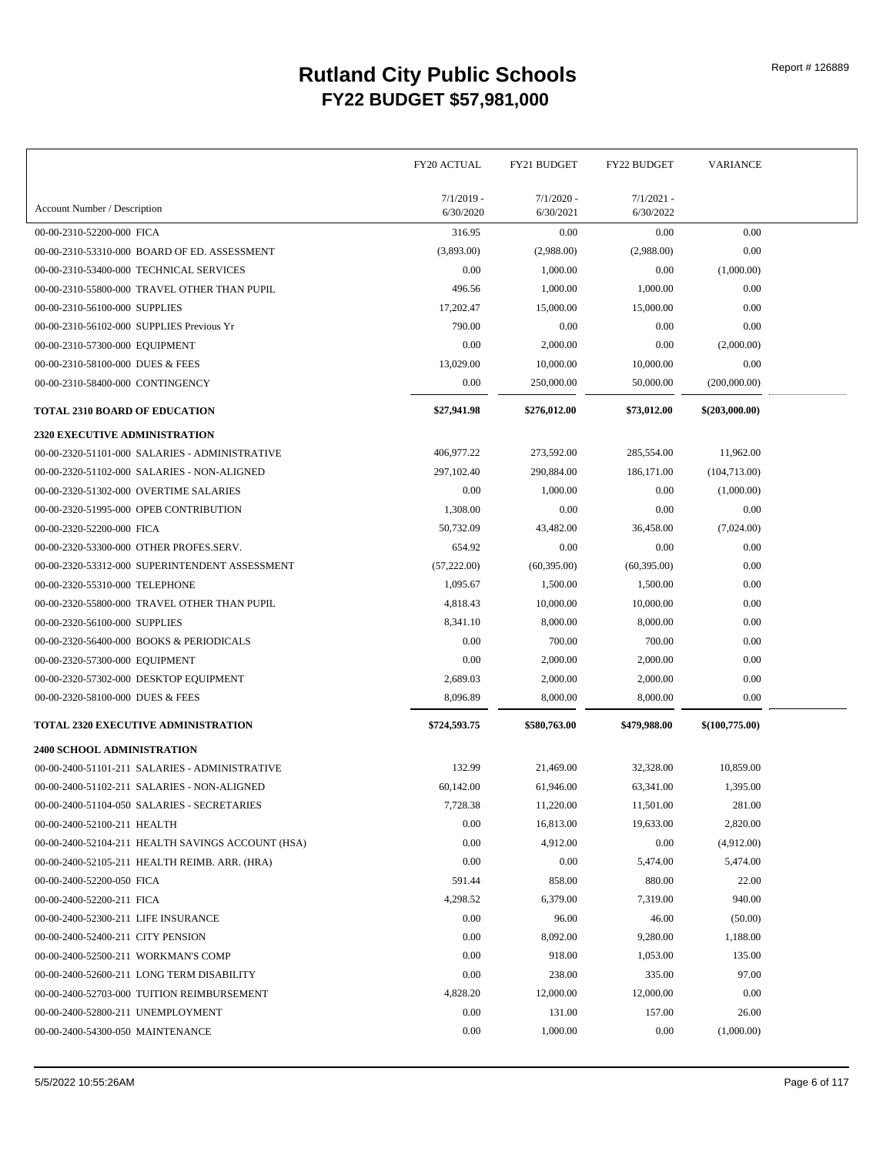|                                                   | <b>FY20 ACTUAL</b>        | FY21 BUDGET               | FY22 BUDGET               | <b>VARIANCE</b> |  |
|---------------------------------------------------|---------------------------|---------------------------|---------------------------|-----------------|--|
|                                                   |                           |                           |                           |                 |  |
| Account Number / Description                      | $7/1/2019$ -<br>6/30/2020 | $7/1/2020$ -<br>6/30/2021 | $7/1/2021 -$<br>6/30/2022 |                 |  |
| 00-00-2310-52200-000 FICA                         | 316.95                    | 0.00                      | 0.00                      | 0.00            |  |
| 00-00-2310-53310-000 BOARD OF ED. ASSESSMENT      | (3,893.00)                | (2,988.00)                | (2,988.00)                | 0.00            |  |
| 00-00-2310-53400-000 TECHNICAL SERVICES           | 0.00                      | 1,000.00                  | 0.00                      | (1,000.00)      |  |
| 00-00-2310-55800-000 TRAVEL OTHER THAN PUPIL      | 496.56                    | 1,000.00                  | 1,000.00                  | 0.00            |  |
| 00-00-2310-56100-000 SUPPLIES                     | 17,202.47                 | 15,000.00                 | 15,000.00                 | 0.00            |  |
| 00-00-2310-56102-000 SUPPLIES Previous Yr         | 790.00                    | 0.00                      | 0.00                      | 0.00            |  |
| 00-00-2310-57300-000 EQUIPMENT                    | 0.00                      | 2,000.00                  | 0.00                      | (2,000.00)      |  |
| 00-00-2310-58100-000 DUES & FEES                  | 13,029.00                 | 10,000.00                 | 10,000.00                 | 0.00            |  |
| 00-00-2310-58400-000 CONTINGENCY                  | 0.00                      | 250,000.00                | 50,000.00                 | (200,000.00)    |  |
| <b>TOTAL 2310 BOARD OF EDUCATION</b>              | \$27,941.98               | \$276,012.00              | \$73,012.00               | \$(203,000.00)  |  |
| <b>2320 EXECUTIVE ADMINISTRATION</b>              |                           |                           |                           |                 |  |
| 00-00-2320-51101-000 SALARIES - ADMINISTRATIVE    | 406,977.22                | 273,592.00                | 285,554.00                | 11,962.00       |  |
| 00-00-2320-51102-000 SALARIES - NON-ALIGNED       | 297,102.40                | 290,884.00                | 186,171.00                | (104,713.00)    |  |
| 00-00-2320-51302-000 OVERTIME SALARIES            | 0.00                      | 1,000.00                  | 0.00                      | (1,000.00)      |  |
| 00-00-2320-51995-000 OPEB CONTRIBUTION            | 1,308.00                  | 0.00                      | 0.00                      | 0.00            |  |
| 00-00-2320-52200-000 FICA                         | 50,732.09                 | 43,482.00                 | 36,458.00                 | (7,024.00)      |  |
| 00-00-2320-53300-000 OTHER PROFES.SERV.           | 654.92                    | 0.00                      | 0.00                      | 0.00            |  |
| 00-00-2320-53312-000 SUPERINTENDENT ASSESSMENT    | (57, 222.00)              | (60, 395.00)              | (60, 395.00)              | 0.00            |  |
| 00-00-2320-55310-000 TELEPHONE                    | 1,095.67                  | 1,500.00                  | 1,500.00                  | 0.00            |  |
| 00-00-2320-55800-000 TRAVEL OTHER THAN PUPIL      | 4,818.43                  | 10,000.00                 | 10,000.00                 | 0.00            |  |
| 00-00-2320-56100-000 SUPPLIES                     | 8,341.10                  | 8,000.00                  | 8,000.00                  | 0.00            |  |
| 00-00-2320-56400-000 BOOKS & PERIODICALS          | 0.00                      | 700.00                    | 700.00                    | 0.00            |  |
| 00-00-2320-57300-000 EQUIPMENT                    | 0.00                      | 2,000.00                  | 2,000.00                  | 0.00            |  |
| 00-00-2320-57302-000 DESKTOP EQUIPMENT            | 2,689.03                  | 2,000.00                  | 2,000.00                  | 0.00            |  |
| 00-00-2320-58100-000 DUES & FEES                  | 8,096.89                  | 8,000.00                  | 8,000.00                  | 0.00            |  |
| <b>TOTAL 2320 EXECUTIVE ADMINISTRATION</b>        | \$724,593.75              | \$580,763.00              | \$479,988.00              | \$(100,775.00)  |  |
| <b>2400 SCHOOL ADMINISTRATION</b>                 |                           |                           |                           |                 |  |
| 00-00-2400-51101-211 SALARIES - ADMINISTRATIVE    | 132.99                    | 21,469.00                 | 32,328.00                 | 10,859.00       |  |
| 00-00-2400-51102-211 SALARIES - NON-ALIGNED       | 60,142.00                 | 61,946.00                 | 63,341.00                 | 1,395.00        |  |
| 00-00-2400-51104-050 SALARIES - SECRETARIES       | 7,728.38                  | 11,220.00                 | 11,501.00                 | 281.00          |  |
| 00-00-2400-52100-211 HEALTH                       | 0.00                      | 16,813.00                 | 19,633.00                 | 2,820.00        |  |
| 00-00-2400-52104-211 HEALTH SAVINGS ACCOUNT (HSA) | 0.00                      | 4,912.00                  | $0.00\,$                  | (4,912.00)      |  |
| 00-00-2400-52105-211 HEALTH REIMB. ARR. (HRA)     | 0.00                      | 0.00                      | 5,474.00                  | 5,474.00        |  |
| 00-00-2400-52200-050 FICA                         | 591.44                    | 858.00                    | 880.00                    | 22.00           |  |
| 00-00-2400-52200-211 FICA                         | 4,298.52                  | 6,379.00                  | 7,319.00                  | 940.00          |  |
| 00-00-2400-52300-211 LIFE INSURANCE               | 0.00                      | 96.00                     | 46.00                     | (50.00)         |  |
| 00-00-2400-52400-211 CITY PENSION                 | 0.00                      | 8,092.00                  | 9,280.00                  | 1,188.00        |  |
| 00-00-2400-52500-211 WORKMAN'S COMP               | 0.00                      | 918.00                    | 1,053.00                  | 135.00          |  |
| 00-00-2400-52600-211 LONG TERM DISABILITY         | 0.00                      | 238.00                    | 335.00                    | 97.00           |  |
| 00-00-2400-52703-000 TUITION REIMBURSEMENT        | 4,828.20                  | 12,000.00                 | 12,000.00                 | 0.00            |  |
| 00-00-2400-52800-211 UNEMPLOYMENT                 | 0.00                      | 131.00                    | 157.00                    | 26.00           |  |
| 00-00-2400-54300-050 MAINTENANCE                  | 0.00                      | 1,000.00                  | 0.00                      | (1,000.00)      |  |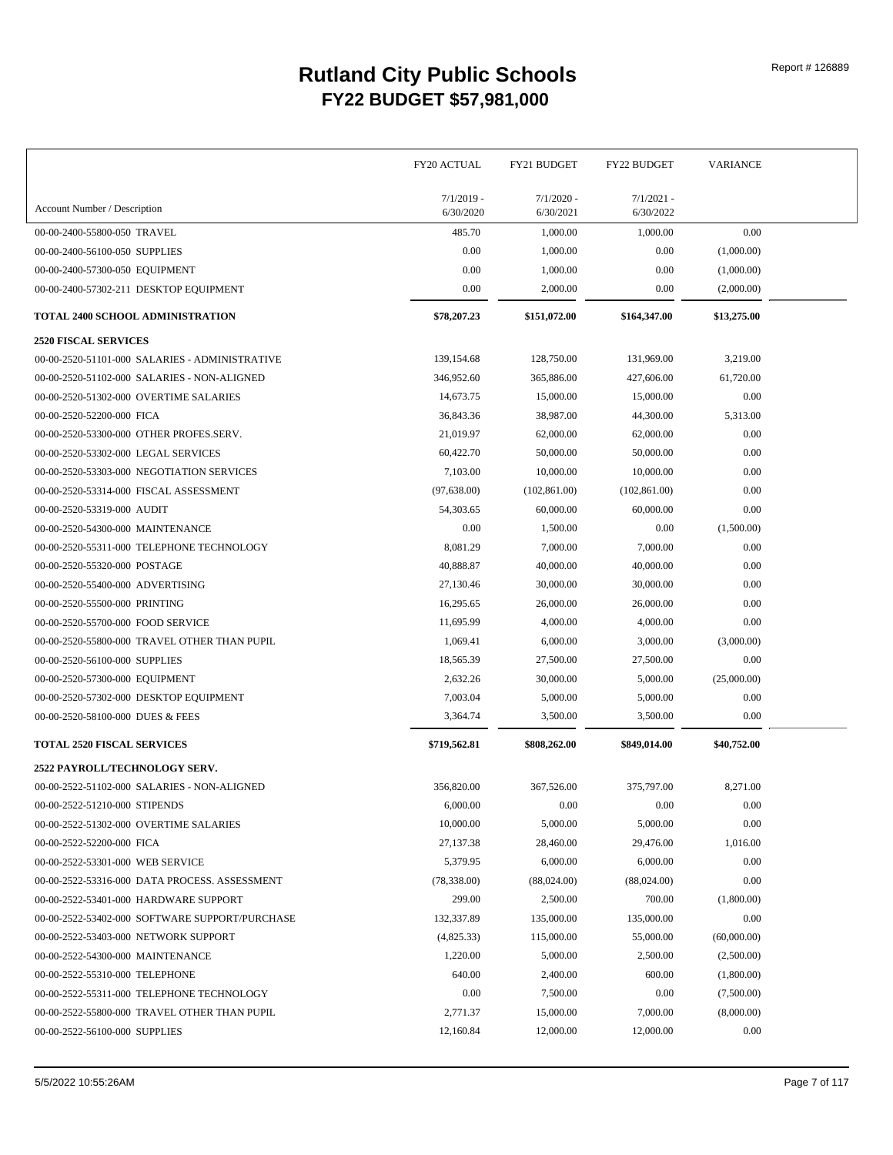|                                                | <b>FY20 ACTUAL</b>        | <b>FY21 BUDGET</b>        | <b>FY22 BUDGET</b>        | <b>VARIANCE</b> |  |
|------------------------------------------------|---------------------------|---------------------------|---------------------------|-----------------|--|
|                                                |                           |                           |                           |                 |  |
| Account Number / Description                   | $7/1/2019$ -<br>6/30/2020 | $7/1/2020$ -<br>6/30/2021 | $7/1/2021 -$<br>6/30/2022 |                 |  |
| 00-00-2400-55800-050 TRAVEL                    | 485.70                    | 1,000.00                  | 1,000.00                  | 0.00            |  |
| 00-00-2400-56100-050 SUPPLIES                  | 0.00                      | 1,000.00                  | 0.00                      | (1,000.00)      |  |
| 00-00-2400-57300-050 EQUIPMENT                 | 0.00                      | 1,000.00                  | 0.00                      | (1,000.00)      |  |
| 00-00-2400-57302-211 DESKTOP EQUIPMENT         | 0.00                      | 2,000.00                  | 0.00                      | (2,000.00)      |  |
|                                                |                           |                           |                           |                 |  |
| TOTAL 2400 SCHOOL ADMINISTRATION               | \$78,207.23               | \$151,072.00              | \$164,347.00              | \$13,275.00     |  |
| <b>2520 FISCAL SERVICES</b>                    |                           |                           |                           |                 |  |
| 00-00-2520-51101-000 SALARIES - ADMINISTRATIVE | 139, 154. 68              | 128,750.00                | 131,969.00                | 3,219.00        |  |
| 00-00-2520-51102-000 SALARIES - NON-ALIGNED    | 346,952.60                | 365,886.00                | 427,606.00                | 61,720.00       |  |
| 00-00-2520-51302-000 OVERTIME SALARIES         | 14,673.75                 | 15,000.00                 | 15,000.00                 | 0.00            |  |
| 00-00-2520-52200-000 FICA                      | 36,843.36                 | 38,987.00                 | 44,300.00                 | 5,313.00        |  |
| 00-00-2520-53300-000 OTHER PROFES.SERV.        | 21,019.97                 | 62,000.00                 | 62,000.00                 | 0.00            |  |
| 00-00-2520-53302-000 LEGAL SERVICES            | 60,422.70                 | 50,000.00                 | 50,000.00                 | 0.00            |  |
| 00-00-2520-53303-000 NEGOTIATION SERVICES      | 7,103.00                  | 10,000.00                 | 10,000.00                 | 0.00            |  |
| 00-00-2520-53314-000 FISCAL ASSESSMENT         | (97, 638.00)              | (102, 861.00)             | (102, 861.00)             | 0.00            |  |
| 00-00-2520-53319-000 AUDIT                     | 54,303.65                 | 60,000.00                 | 60,000.00                 | 0.00            |  |
| 00-00-2520-54300-000 MAINTENANCE               | 0.00                      | 1,500.00                  | 0.00                      | (1,500.00)      |  |
| 00-00-2520-55311-000 TELEPHONE TECHNOLOGY      | 8,081.29                  | 7,000.00                  | 7,000.00                  | 0.00            |  |
| 00-00-2520-55320-000 POSTAGE                   | 40,888.87                 | 40,000.00                 | 40,000.00                 | 0.00            |  |
| 00-00-2520-55400-000 ADVERTISING               | 27,130.46                 | 30,000.00                 | 30,000.00                 | 0.00            |  |
| 00-00-2520-55500-000 PRINTING                  | 16,295.65                 | 26,000.00                 | 26,000.00                 | 0.00            |  |
| 00-00-2520-55700-000 FOOD SERVICE              | 11,695.99                 | 4,000.00                  | 4,000.00                  | 0.00            |  |
| 00-00-2520-55800-000 TRAVEL OTHER THAN PUPIL   | 1,069.41                  | 6,000.00                  | 3,000.00                  | (3,000.00)      |  |
| 00-00-2520-56100-000 SUPPLIES                  | 18,565.39                 | 27,500.00                 | 27,500.00                 | 0.00            |  |
| 00-00-2520-57300-000 EQUIPMENT                 | 2,632.26                  | 30,000.00                 | 5,000.00                  | (25,000.00)     |  |
| 00-00-2520-57302-000 DESKTOP EQUIPMENT         | 7,003.04                  | 5,000.00                  | 5,000.00                  | 0.00            |  |
| 00-00-2520-58100-000 DUES & FEES               | 3,364.74                  | 3,500.00                  | 3,500.00                  | 0.00            |  |
| <b>TOTAL 2520 FISCAL SERVICES</b>              | \$719,562.81              | \$808,262.00              | \$849,014.00              | \$40,752.00     |  |
| <b>2522 PAYROLL/TECHNOLOGY SERV.</b>           |                           |                           |                           |                 |  |
| 00-00-2522-51102-000 SALARIES - NON-ALIGNED    | 356,820.00                | 367,526.00                | 375,797.00                | 8,271.00        |  |
| 00-00-2522-51210-000 STIPENDS                  | 6,000.00                  | 0.00                      | 0.00                      | 0.00            |  |
| 00-00-2522-51302-000 OVERTIME SALARIES         | 10,000.00                 | 5,000.00                  | 5,000.00                  | 0.00            |  |
| 00-00-2522-52200-000 FICA                      | 27,137.38                 | 28,460.00                 | 29,476.00                 | 1,016.00        |  |
| 00-00-2522-53301-000 WEB SERVICE               | 5,379.95                  | 6,000.00                  | 6,000.00                  | 0.00            |  |
| 00-00-2522-53316-000 DATA PROCESS. ASSESSMENT  | (78,338.00)               | (88,024.00)               | (88,024.00)               | 0.00            |  |
| 00-00-2522-53401-000 HARDWARE SUPPORT          | 299.00                    | 2,500.00                  | 700.00                    | (1,800.00)      |  |
| 00-00-2522-53402-000 SOFTWARE SUPPORT/PURCHASE | 132,337.89                | 135,000.00                | 135,000.00                | 0.00            |  |
| 00-00-2522-53403-000 NETWORK SUPPORT           | (4,825.33)                | 115,000.00                | 55,000.00                 | (60,000.00)     |  |
| 00-00-2522-54300-000 MAINTENANCE               | 1,220.00                  | 5,000.00                  | 2,500.00                  | (2,500.00)      |  |
| 00-00-2522-55310-000 TELEPHONE                 | 640.00                    | 2,400.00                  | 600.00                    | (1,800.00)      |  |
| 00-00-2522-55311-000 TELEPHONE TECHNOLOGY      | 0.00                      | 7,500.00                  | 0.00                      | (7,500.00)      |  |
| 00-00-2522-55800-000 TRAVEL OTHER THAN PUPIL   | 2,771.37                  | 15,000.00                 | 7,000.00                  | (8,000.00)      |  |
| 00-00-2522-56100-000 SUPPLIES                  | 12,160.84                 | 12,000.00                 | 12,000.00                 | 0.00            |  |
|                                                |                           |                           |                           |                 |  |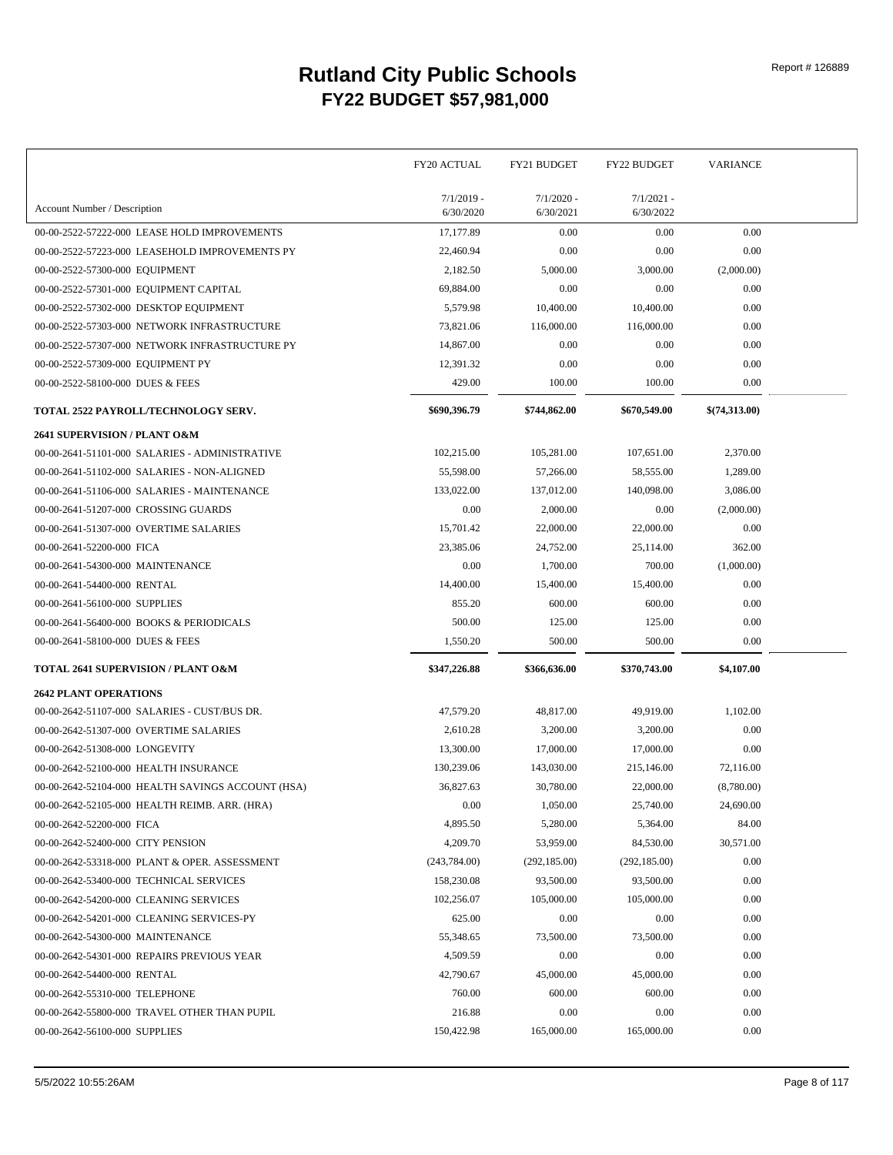|                                                   | FY20 ACTUAL  | FY21 BUDGET   | <b>FY22 BUDGET</b> | <b>VARIANCE</b> |  |
|---------------------------------------------------|--------------|---------------|--------------------|-----------------|--|
|                                                   | $7/1/2019$ - | $7/1/2020$ -  | $7/1/2021 -$       |                 |  |
| Account Number / Description                      | 6/30/2020    | 6/30/2021     | 6/30/2022          |                 |  |
| 00-00-2522-57222-000 LEASE HOLD IMPROVEMENTS      | 17,177.89    | 0.00          | 0.00               | 0.00            |  |
| 00-00-2522-57223-000 LEASEHOLD IMPROVEMENTS PY    | 22,460.94    | 0.00          | 0.00               | 0.00            |  |
| 00-00-2522-57300-000 EQUIPMENT                    | 2,182.50     | 5,000.00      | 3,000.00           | (2,000.00)      |  |
| 00-00-2522-57301-000 EQUIPMENT CAPITAL            | 69,884.00    | 0.00          | 0.00               | 0.00            |  |
| 00-00-2522-57302-000 DESKTOP EQUIPMENT            | 5,579.98     | 10,400.00     | 10,400.00          | 0.00            |  |
| 00-00-2522-57303-000 NETWORK INFRASTRUCTURE       | 73,821.06    | 116,000.00    | 116,000.00         | 0.00            |  |
| 00-00-2522-57307-000 NETWORK INFRASTRUCTURE PY    | 14,867.00    | 0.00          | 0.00               | 0.00            |  |
| 00-00-2522-57309-000 EQUIPMENT PY                 | 12,391.32    | 0.00          | 0.00               | 0.00            |  |
| 00-00-2522-58100-000 DUES & FEES                  | 429.00       | 100.00        | 100.00             | 0.00            |  |
| TOTAL 2522 PAYROLL/TECHNOLOGY SERV.               | \$690,396.79 | \$744,862.00  | \$670,549.00       | \$(74,313.00)   |  |
| 2641 SUPERVISION / PLANT O&M                      |              |               |                    |                 |  |
| 00-00-2641-51101-000 SALARIES - ADMINISTRATIVE    | 102,215.00   | 105,281.00    | 107,651.00         | 2,370.00        |  |
| 00-00-2641-51102-000 SALARIES - NON-ALIGNED       | 55,598.00    | 57,266.00     | 58,555.00          | 1,289.00        |  |
| 00-00-2641-51106-000 SALARIES - MAINTENANCE       | 133,022.00   | 137,012.00    | 140,098.00         | 3.086.00        |  |
| 00-00-2641-51207-000 CROSSING GUARDS              | 0.00         | 2,000.00      | 0.00               | (2,000.00)      |  |
| 00-00-2641-51307-000 OVERTIME SALARIES            | 15,701.42    | 22,000.00     | 22,000.00          | 0.00            |  |
| 00-00-2641-52200-000 FICA                         | 23,385.06    | 24,752.00     | 25,114.00          | 362.00          |  |
| 00-00-2641-54300-000 MAINTENANCE                  | 0.00         | 1,700.00      | 700.00             | (1,000.00)      |  |
| 00-00-2641-54400-000 RENTAL                       | 14,400.00    | 15,400.00     | 15,400.00          | 0.00            |  |
| 00-00-2641-56100-000 SUPPLIES                     | 855.20       | 600.00        | 600.00             | 0.00            |  |
| 00-00-2641-56400-000 BOOKS & PERIODICALS          | 500.00       | 125.00        | 125.00             | 0.00            |  |
| 00-00-2641-58100-000 DUES & FEES                  | 1,550.20     | 500.00        | 500.00             | 0.00            |  |
| TOTAL 2641 SUPERVISION / PLANT O&M                | \$347,226.88 | \$366,636.00  | \$370,743.00       | \$4,107.00      |  |
| <b>2642 PLANT OPERATIONS</b>                      |              |               |                    |                 |  |
| 00-00-2642-51107-000 SALARIES - CUST/BUS DR.      | 47,579.20    | 48,817.00     | 49,919.00          | 1,102.00        |  |
| 00-00-2642-51307-000 OVERTIME SALARIES            | 2,610.28     | 3,200.00      | 3,200.00           | 0.00            |  |
| 00-00-2642-51308-000 LONGEVITY                    | 13,300.00    | 17,000.00     | 17,000.00          | 0.00            |  |
| 00-00-2642-52100-000 HEALTH INSURANCE             | 130,239.06   | 143,030.00    | 215,146.00         | 72,116.00       |  |
| 00-00-2642-52104-000 HEALTH SAVINGS ACCOUNT (HSA) | 36,827.63    | 30,780.00     | 22,000.00          | (8,780.00)      |  |
| 00-00-2642-52105-000 HEALTH REIMB. ARR. (HRA)     | $0.00\,$     | 1,050.00      | 25,740.00          | 24,690.00       |  |
| 00-00-2642-52200-000 FICA                         | 4,895.50     | 5,280.00      | 5,364.00           | 84.00           |  |
| 00-00-2642-52400-000 CITY PENSION                 | 4,209.70     | 53,959.00     | 84,530.00          | 30,571.00       |  |
| 00-00-2642-53318-000 PLANT & OPER. ASSESSMENT     | (243,784.00) | (292, 185.00) | (292, 185.00)      | 0.00            |  |
| 00-00-2642-53400-000 TECHNICAL SERVICES           | 158,230.08   | 93,500.00     | 93,500.00          | 0.00            |  |
| 00-00-2642-54200-000 CLEANING SERVICES            | 102,256.07   | 105,000.00    | 105,000.00         | 0.00            |  |
| 00-00-2642-54201-000 CLEANING SERVICES-PY         | 625.00       | 0.00          | 0.00               | 0.00            |  |
| 00-00-2642-54300-000 MAINTENANCE                  | 55,348.65    | 73,500.00     | 73,500.00          | 0.00            |  |
| 00-00-2642-54301-000 REPAIRS PREVIOUS YEAR        | 4,509.59     | 0.00          | 0.00               | 0.00            |  |
| 00-00-2642-54400-000 RENTAL                       | 42,790.67    | 45,000.00     | 45,000.00          | 0.00            |  |
| 00-00-2642-55310-000 TELEPHONE                    | 760.00       | 600.00        | 600.00             | 0.00            |  |
| 00-00-2642-55800-000 TRAVEL OTHER THAN PUPIL      | 216.88       | 0.00          | 0.00               | 0.00            |  |
| 00-00-2642-56100-000 SUPPLIES                     | 150,422.98   | 165,000.00    | 165,000.00         | 0.00            |  |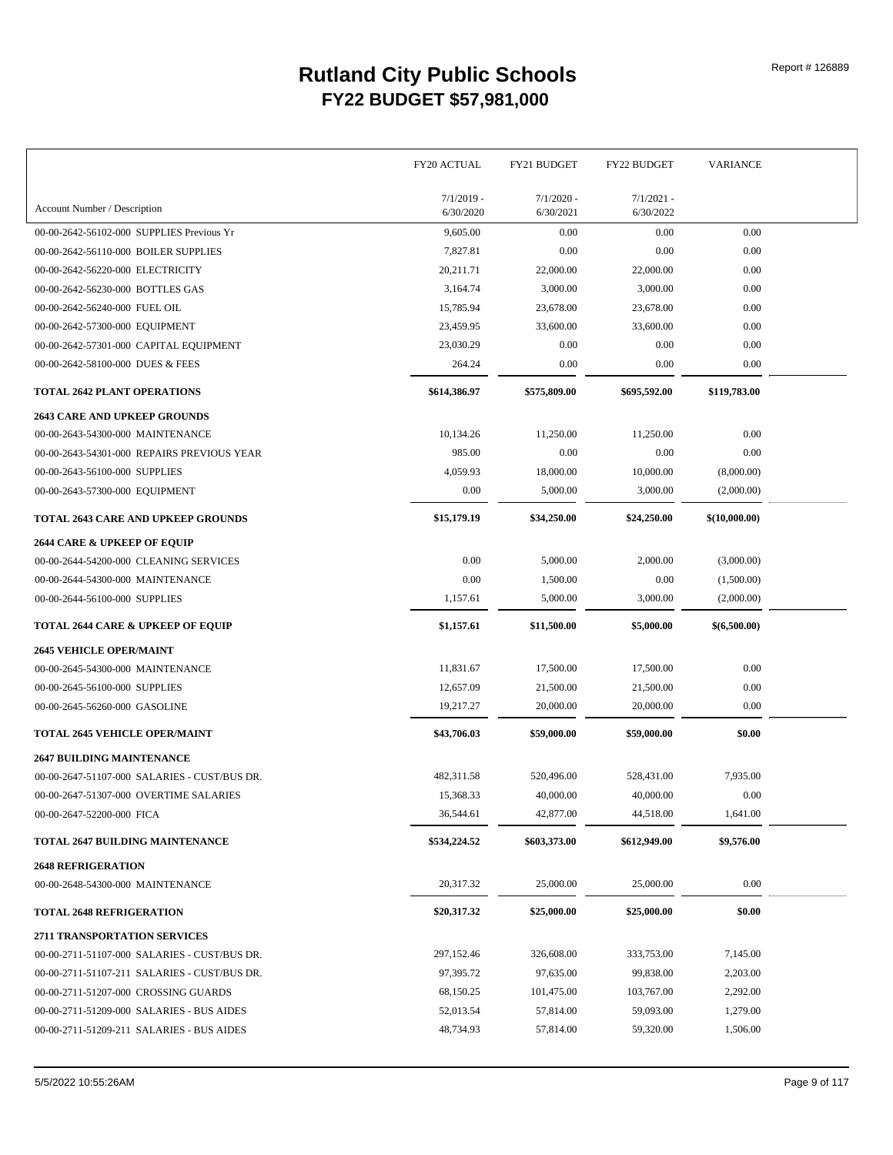|                                              | FY20 ACTUAL               | FY21 BUDGET               | <b>FY22 BUDGET</b>        | <b>VARIANCE</b> |  |
|----------------------------------------------|---------------------------|---------------------------|---------------------------|-----------------|--|
|                                              |                           |                           |                           |                 |  |
| Account Number / Description                 | $7/1/2019$ -<br>6/30/2020 | $7/1/2020$ -<br>6/30/2021 | $7/1/2021$ -<br>6/30/2022 |                 |  |
| 00-00-2642-56102-000 SUPPLIES Previous Yr    | 9,605.00                  | 0.00                      | 0.00                      | 0.00            |  |
| 00-00-2642-56110-000 BOILER SUPPLIES         | 7,827.81                  | 0.00                      | 0.00                      | 0.00            |  |
| 00-00-2642-56220-000 ELECTRICITY             | 20,211.71                 | 22,000.00                 | 22,000.00                 | 0.00            |  |
| 00-00-2642-56230-000 BOTTLES GAS             | 3,164.74                  | 3,000.00                  | 3,000.00                  | 0.00            |  |
| 00-00-2642-56240-000 FUEL OIL                | 15,785.94                 | 23,678.00                 | 23,678.00                 | 0.00            |  |
| 00-00-2642-57300-000 EQUIPMENT               | 23,459.95                 | 33,600.00                 | 33,600.00                 | 0.00            |  |
| 00-00-2642-57301-000 CAPITAL EQUIPMENT       | 23,030.29                 | 0.00                      | 0.00                      | 0.00            |  |
| 00-00-2642-58100-000 DUES & FEES             | 264.24                    | 0.00                      | 0.00                      | 0.00            |  |
| TOTAL 2642 PLANT OPERATIONS                  | \$614,386.97              | \$575,809.00              | \$695,592.00              | \$119,783.00    |  |
| <b>2643 CARE AND UPKEEP GROUNDS</b>          |                           |                           |                           |                 |  |
| 00-00-2643-54300-000 MAINTENANCE             | 10,134.26                 | 11,250.00                 | 11,250.00                 | 0.00            |  |
| 00-00-2643-54301-000 REPAIRS PREVIOUS YEAR   | 985.00                    | 0.00                      | 0.00                      | 0.00            |  |
| 00-00-2643-56100-000 SUPPLIES                | 4,059.93                  | 18,000.00                 | 10,000.00                 | (8,000.00)      |  |
| 00-00-2643-57300-000 EQUIPMENT               | 0.00                      | 5,000.00                  | 3,000.00                  | (2,000.00)      |  |
| <b>TOTAL 2643 CARE AND UPKEEP GROUNDS</b>    | \$15,179.19               | \$34,250.00               | \$24,250.00               | \$(10,000.00)   |  |
| <b>2644 CARE &amp; UPKEEP OF EQUIP</b>       |                           |                           |                           |                 |  |
| 00-00-2644-54200-000 CLEANING SERVICES       | 0.00                      | 5,000.00                  | 2,000.00                  | (3,000.00)      |  |
| 00-00-2644-54300-000 MAINTENANCE             | 0.00                      | 1,500.00                  | 0.00                      | (1,500.00)      |  |
| 00-00-2644-56100-000 SUPPLIES                | 1,157.61                  | 5,000.00                  | 3,000.00                  | (2,000.00)      |  |
| <b>TOTAL 2644 CARE &amp; UPKEEP OF EQUIP</b> | \$1,157.61                | \$11,500.00               | \$5,000.00                | \$(6,500.00)    |  |
| <b>2645 VEHICLE OPER/MAINT</b>               |                           |                           |                           |                 |  |
| 00-00-2645-54300-000 MAINTENANCE             | 11,831.67                 | 17,500.00                 | 17,500.00                 | 0.00            |  |
| 00-00-2645-56100-000 SUPPLIES                | 12,657.09                 | 21,500.00                 | 21,500.00                 | 0.00            |  |
| 00-00-2645-56260-000 GASOLINE                | 19,217.27                 | 20,000.00                 | 20,000.00                 | 0.00            |  |
| <b>TOTAL 2645 VEHICLE OPER/MAINT</b>         | \$43,706.03               | \$59,000.00               | \$59,000.00               | \$0.00          |  |
| <b>2647 BUILDING MAINTENANCE</b>             |                           |                           |                           |                 |  |
| 00-00-2647-51107-000 SALARIES - CUST/BUS DR. | 482,311.58                | 520,496.00                | 528,431.00                | 7,935.00        |  |
| 00-00-2647-51307-000 OVERTIME SALARIES       | 15,368.33                 | 40,000.00                 | 40,000.00                 | 0.00            |  |
| 00-00-2647-52200-000 FICA                    | 36,544.61                 | 42,877.00                 | 44,518.00                 | 1,641.00        |  |
| TOTAL 2647 BUILDING MAINTENANCE              | \$534,224.52              | \$603,373.00              | \$612,949.00              | \$9,576.00      |  |
| <b>2648 REFRIGERATION</b>                    |                           |                           |                           |                 |  |
| 00-00-2648-54300-000 MAINTENANCE             | 20,317.32                 | 25,000.00                 | 25,000.00                 | 0.00            |  |
| <b>TOTAL 2648 REFRIGERATION</b>              | \$20,317.32               | \$25,000.00               | \$25,000.00               | \$0.00          |  |
| 2711 TRANSPORTATION SERVICES                 |                           |                           |                           |                 |  |
| 00-00-2711-51107-000 SALARIES - CUST/BUS DR. | 297,152.46                | 326,608.00                | 333,753.00                | 7,145.00        |  |
| 00-00-2711-51107-211 SALARIES - CUST/BUS DR. | 97,395.72                 | 97,635.00                 | 99,838.00                 | 2,203.00        |  |
| 00-00-2711-51207-000 CROSSING GUARDS         | 68,150.25                 | 101,475.00                | 103,767.00                | 2,292.00        |  |
| 00-00-2711-51209-000 SALARIES - BUS AIDES    | 52,013.54                 | 57,814.00                 | 59,093.00                 | 1,279.00        |  |
| 00-00-2711-51209-211 SALARIES - BUS AIDES    | 48,734.93                 | 57,814.00                 | 59,320.00                 | 1,506.00        |  |
|                                              |                           |                           |                           |                 |  |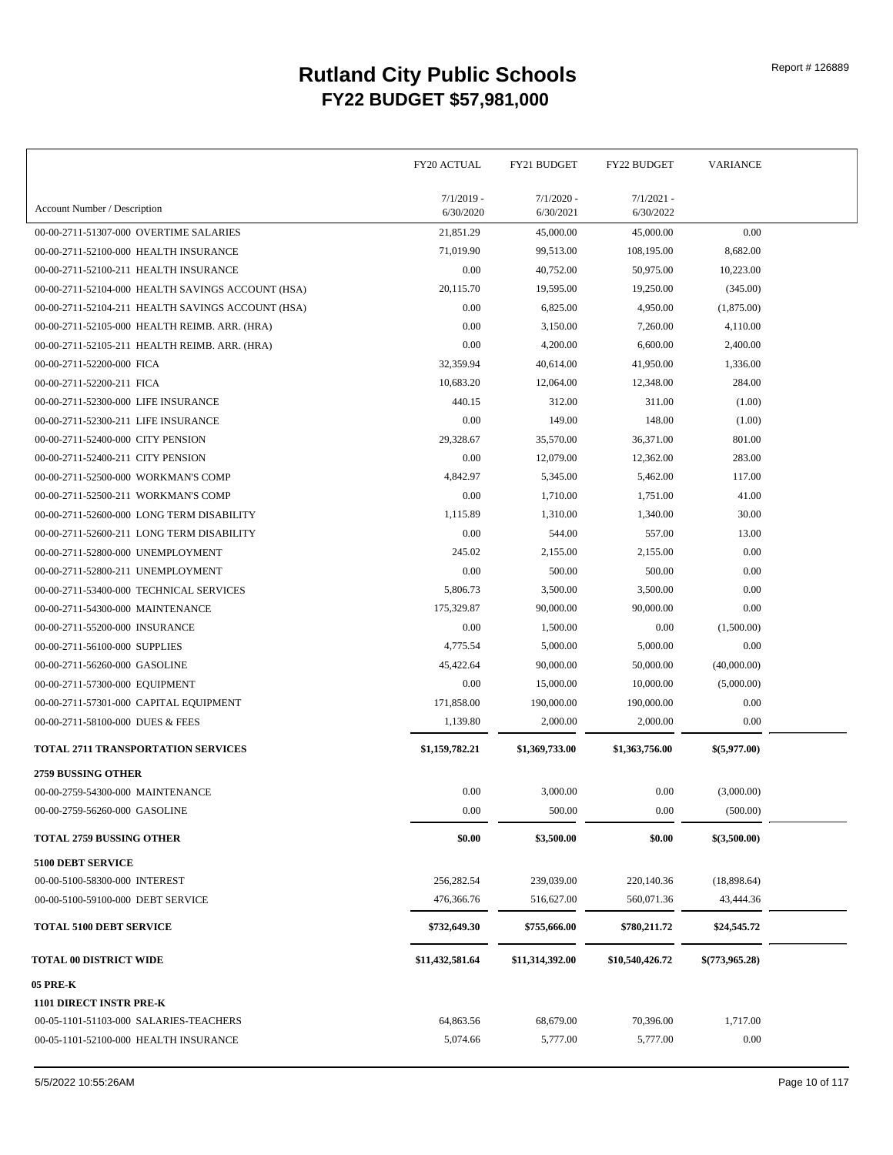|                                                   | FY20 ACTUAL               | FY21 BUDGET               | FY22 BUDGET               | <b>VARIANCE</b> |  |
|---------------------------------------------------|---------------------------|---------------------------|---------------------------|-----------------|--|
|                                                   |                           |                           |                           |                 |  |
| Account Number / Description                      | $7/1/2019$ -<br>6/30/2020 | $7/1/2020$ -<br>6/30/2021 | $7/1/2021$ -<br>6/30/2022 |                 |  |
| 00-00-2711-51307-000 OVERTIME SALARIES            | 21,851.29                 | 45,000.00                 | 45,000.00                 | 0.00            |  |
| 00-00-2711-52100-000 HEALTH INSURANCE             | 71,019.90                 | 99,513.00                 | 108,195.00                | 8,682.00        |  |
| 00-00-2711-52100-211 HEALTH INSURANCE             | 0.00                      | 40,752.00                 | 50,975.00                 | 10,223.00       |  |
| 00-00-2711-52104-000 HEALTH SAVINGS ACCOUNT (HSA) | 20,115.70                 | 19,595.00                 | 19,250.00                 | (345.00)        |  |
| 00-00-2711-52104-211 HEALTH SAVINGS ACCOUNT (HSA) | 0.00                      | 6,825.00                  | 4,950.00                  | (1,875.00)      |  |
| 00-00-2711-52105-000 HEALTH REIMB. ARR. (HRA)     | 0.00                      | 3,150.00                  | 7,260.00                  | 4,110.00        |  |
| 00-00-2711-52105-211 HEALTH REIMB. ARR. (HRA)     | 0.00                      | 4,200.00                  | 6,600.00                  | 2,400.00        |  |
| 00-00-2711-52200-000 FICA                         | 32,359.94                 | 40,614.00                 | 41,950.00                 | 1,336.00        |  |
| 00-00-2711-52200-211 FICA                         | 10,683.20                 | 12,064.00                 | 12,348.00                 | 284.00          |  |
| 00-00-2711-52300-000 LIFE INSURANCE               | 440.15                    | 312.00                    | 311.00                    | (1.00)          |  |
| 00-00-2711-52300-211 LIFE INSURANCE               | 0.00                      | 149.00                    | 148.00                    | (1.00)          |  |
| 00-00-2711-52400-000 CITY PENSION                 | 29,328.67                 | 35,570.00                 | 36,371.00                 | 801.00          |  |
| 00-00-2711-52400-211 CITY PENSION                 | 0.00                      | 12,079.00                 | 12,362.00                 | 283.00          |  |
| 00-00-2711-52500-000 WORKMAN'S COMP               | 4,842.97                  | 5,345.00                  | 5,462.00                  | 117.00          |  |
| 00-00-2711-52500-211 WORKMAN'S COMP               | 0.00                      | 1,710.00                  | 1,751.00                  | 41.00           |  |
| 00-00-2711-52600-000 LONG TERM DISABILITY         | 1,115.89                  | 1,310.00                  | 1,340.00                  | 30.00           |  |
| 00-00-2711-52600-211 LONG TERM DISABILITY         | 0.00                      | 544.00                    | 557.00                    | 13.00           |  |
| 00-00-2711-52800-000 UNEMPLOYMENT                 | 245.02                    | 2,155.00                  | 2,155.00                  | 0.00            |  |
| 00-00-2711-52800-211 UNEMPLOYMENT                 | 0.00                      | 500.00                    | 500.00                    | 0.00            |  |
| 00-00-2711-53400-000 TECHNICAL SERVICES           | 5,806.73                  | 3,500.00                  | 3,500.00                  | 0.00            |  |
| 00-00-2711-54300-000 MAINTENANCE                  | 175,329.87                | 90,000.00                 | 90,000.00                 | 0.00            |  |
| 00-00-2711-55200-000 INSURANCE                    | 0.00                      | 1,500.00                  | 0.00                      | (1,500.00)      |  |
| 00-00-2711-56100-000 SUPPLIES                     | 4,775.54                  | 5,000.00                  | 5,000.00                  | 0.00            |  |
| 00-00-2711-56260-000 GASOLINE                     | 45,422.64                 | 90,000.00                 | 50,000.00                 | (40,000.00)     |  |
| 00-00-2711-57300-000 EQUIPMENT                    | 0.00                      | 15,000.00                 | 10,000.00                 | (5,000.00)      |  |
| 00-00-2711-57301-000 CAPITAL EQUIPMENT            | 171,858.00                | 190,000.00                | 190,000.00                | 0.00            |  |
| 00-00-2711-58100-000 DUES & FEES                  | 1,139.80                  | 2,000.00                  | 2,000.00                  | 0.00            |  |
| <b>TOTAL 2711 TRANSPORTATION SERVICES</b>         | \$1,159,782.21            | \$1,369,733.00            | \$1,363,756.00            | \$(5,977,00)    |  |
| <b>2759 BUSSING OTHER</b>                         |                           |                           |                           |                 |  |
| 00-00-2759-54300-000 MAINTENANCE                  | 0.00                      | 3,000.00                  | 0.00                      | (3,000.00)      |  |
| 00-00-2759-56260-000 GASOLINE                     | 0.00                      | 500.00                    | 0.00                      | (500.00)        |  |
| <b>TOTAL 2759 BUSSING OTHER</b>                   | \$0.00                    | \$3,500.00                | \$0.00                    | \$(3,500.00)    |  |
| <b>5100 DEBT SERVICE</b>                          |                           |                           |                           |                 |  |
| 00-00-5100-58300-000 INTEREST                     | 256,282.54                | 239,039.00                | 220,140.36                | (18,898.64)     |  |
| 00-00-5100-59100-000 DEBT SERVICE                 | 476,366.76                | 516,627.00                | 560,071.36                | 43,444.36       |  |
| <b>TOTAL 5100 DEBT SERVICE</b>                    | \$732,649.30              | \$755,666.00              | \$780,211.72              | \$24,545.72     |  |
| <b>TOTAL 00 DISTRICT WIDE</b>                     | \$11,432,581.64           | \$11,314,392.00           | \$10,540,426.72           | \$(773,965.28)  |  |
| <b>05 PRE-K</b>                                   |                           |                           |                           |                 |  |
| 1101 DIRECT INSTR PRE-K                           |                           |                           |                           |                 |  |
| 00-05-1101-51103-000 SALARIES-TEACHERS            | 64,863.56                 | 68,679.00                 | 70,396.00                 | 1,717.00        |  |
| 00-05-1101-52100-000 HEALTH INSURANCE             | 5,074.66                  | 5,777.00                  | 5,777.00                  | 0.00            |  |
|                                                   |                           |                           |                           |                 |  |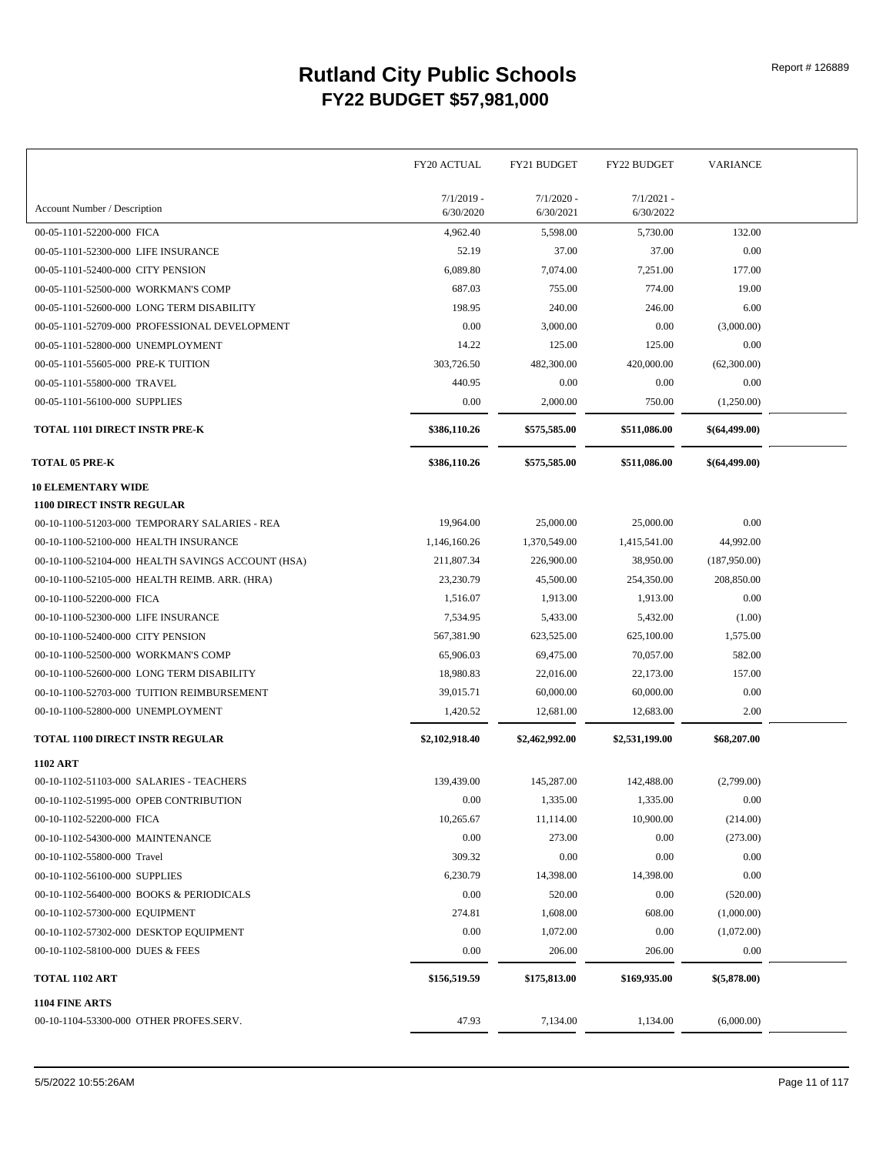|                                                   | FY20 ACTUAL    | FY21 BUDGET    | <b>FY22 BUDGET</b> | <b>VARIANCE</b> |  |
|---------------------------------------------------|----------------|----------------|--------------------|-----------------|--|
|                                                   | $7/1/2019$ -   | $7/1/2020$ -   | $7/1/2021 -$       |                 |  |
| Account Number / Description                      | 6/30/2020      | 6/30/2021      | 6/30/2022          |                 |  |
| 00-05-1101-52200-000 FICA                         | 4,962.40       | 5,598.00       | 5,730.00           | 132.00          |  |
| 00-05-1101-52300-000 LIFE INSURANCE               | 52.19          | 37.00          | 37.00              | 0.00            |  |
| 00-05-1101-52400-000 CITY PENSION                 | 6,089.80       | 7,074.00       | 7,251.00           | 177.00          |  |
| 00-05-1101-52500-000 WORKMAN'S COMP               | 687.03         | 755.00         | 774.00             | 19.00           |  |
| 00-05-1101-52600-000 LONG TERM DISABILITY         | 198.95         | 240.00         | 246.00             | 6.00            |  |
| 00-05-1101-52709-000 PROFESSIONAL DEVELOPMENT     | 0.00           | 3,000.00       | 0.00               | (3,000.00)      |  |
| 00-05-1101-52800-000 UNEMPLOYMENT                 | 14.22          | 125.00         | 125.00             | 0.00            |  |
| 00-05-1101-55605-000 PRE-K TUITION                | 303,726.50     | 482,300.00     | 420,000.00         | (62,300.00)     |  |
| 00-05-1101-55800-000 TRAVEL                       | 440.95         | 0.00           | 0.00               | 0.00            |  |
| 00-05-1101-56100-000 SUPPLIES                     | 0.00           | 2,000.00       | 750.00             | (1,250.00)      |  |
| <b>TOTAL 1101 DIRECT INSTR PRE-K</b>              | \$386,110.26   | \$575,585.00   | \$511,086.00       | \$(64,499.00)   |  |
| <b>TOTAL 05 PRE-K</b>                             | \$386,110.26   | \$575,585.00   | \$511,086.00       | \$(64,499.00)   |  |
| <b>10 ELEMENTARY WIDE</b>                         |                |                |                    |                 |  |
| <b>1100 DIRECT INSTR REGULAR</b>                  |                |                |                    |                 |  |
| 00-10-1100-51203-000 TEMPORARY SALARIES - REA     | 19,964.00      | 25,000.00      | 25,000.00          | 0.00            |  |
| 00-10-1100-52100-000 HEALTH INSURANCE             | 1,146,160.26   | 1,370,549.00   | 1,415,541.00       | 44,992.00       |  |
| 00-10-1100-52104-000 HEALTH SAVINGS ACCOUNT (HSA) | 211,807.34     | 226,900.00     | 38,950.00          | (187,950.00)    |  |
| 00-10-1100-52105-000 HEALTH REIMB. ARR. (HRA)     | 23,230.79      | 45,500.00      | 254,350.00         | 208,850.00      |  |
| 00-10-1100-52200-000 FICA                         | 1,516.07       | 1,913.00       | 1,913.00           | 0.00            |  |
| 00-10-1100-52300-000 LIFE INSURANCE               | 7,534.95       | 5,433.00       | 5,432.00           | (1.00)          |  |
| 00-10-1100-52400-000 CITY PENSION                 | 567,381.90     | 623,525.00     | 625,100.00         | 1,575.00        |  |
| 00-10-1100-52500-000 WORKMAN'S COMP               | 65,906.03      | 69,475.00      | 70,057.00          | 582.00          |  |
| 00-10-1100-52600-000 LONG TERM DISABILITY         | 18,980.83      | 22,016.00      | 22,173.00          | 157.00          |  |
| 00-10-1100-52703-000 TUITION REIMBURSEMENT        | 39,015.71      | 60,000.00      | 60,000.00          | 0.00            |  |
| 00-10-1100-52800-000 UNEMPLOYMENT                 | 1,420.52       | 12,681.00      | 12,683.00          | 2.00            |  |
| <b>TOTAL 1100 DIRECT INSTR REGULAR</b>            | \$2,102,918.40 | \$2,462,992.00 | \$2,531,199.00     | \$68,207.00     |  |
| <b>1102 ART</b>                                   |                |                |                    |                 |  |
| 00-10-1102-51103-000 SALARIES - TEACHERS          | 139,439.00     | 145,287.00     | 142,488.00         | (2,799.00)      |  |
| 00-10-1102-51995-000 OPEB CONTRIBUTION            | 0.00           | 1,335.00       | 1,335.00           | 0.00            |  |
| 00-10-1102-52200-000 FICA                         | 10,265.67      | 11,114.00      | 10,900.00          | (214.00)        |  |
| 00-10-1102-54300-000 MAINTENANCE                  | 0.00           | 273.00         | 0.00               | (273.00)        |  |
| 00-10-1102-55800-000 Travel                       | 309.32         | $0.00\,$       | 0.00               | 0.00            |  |
| 00-10-1102-56100-000 SUPPLIES                     | 6,230.79       | 14,398.00      | 14,398.00          | 0.00            |  |
| 00-10-1102-56400-000 BOOKS & PERIODICALS          | 0.00           | 520.00         | 0.00               | (520.00)        |  |
| 00-10-1102-57300-000 EQUIPMENT                    | 274.81         | 1,608.00       | 608.00             | (1,000.00)      |  |
| 00-10-1102-57302-000 DESKTOP EQUIPMENT            | 0.00           | 1,072.00       | 0.00               | (1,072.00)      |  |
| 00-10-1102-58100-000 DUES & FEES                  | 0.00           | 206.00         | 206.00             | 0.00            |  |
| <b>TOTAL 1102 ART</b>                             | \$156,519.59   | \$175,813.00   | \$169,935.00       | \$(5,878.00)    |  |
| 1104 FINE ARTS                                    |                |                |                    |                 |  |
| 00-10-1104-53300-000 OTHER PROFES.SERV.           | 47.93          | 7,134.00       | 1,134.00           | (6,000.00)      |  |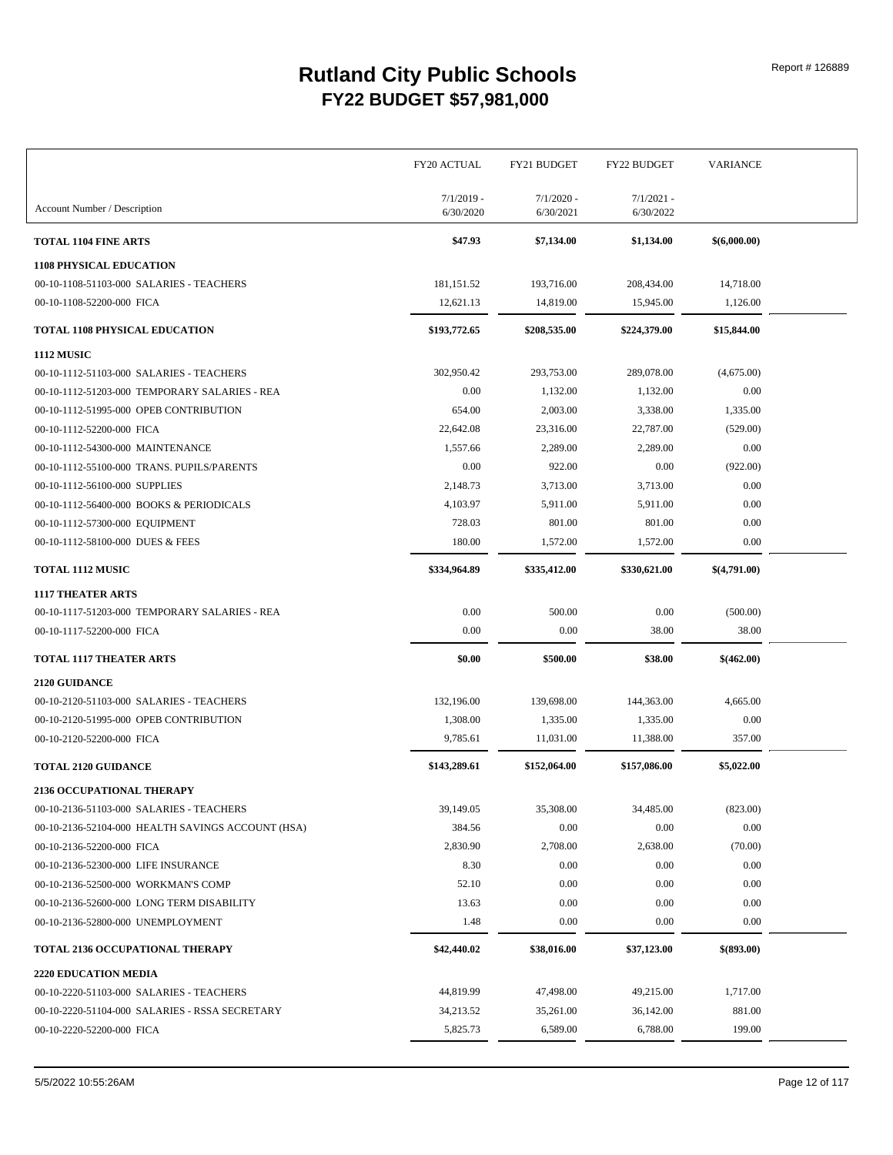|                                                   | FY20 ACTUAL  | FY21 BUDGET  | FY22 BUDGET   | <b>VARIANCE</b> |  |
|---------------------------------------------------|--------------|--------------|---------------|-----------------|--|
|                                                   | $7/1/2019$ - | $7/1/2020$ - | $7/1/2021$ -  |                 |  |
| Account Number / Description                      | 6/30/2020    | 6/30/2021    | 6/30/2022     |                 |  |
| <b>TOTAL 1104 FINE ARTS</b>                       | \$47.93      | \$7,134.00   | \$1,134.00    | \$(6,000.00)    |  |
| <b>1108 PHYSICAL EDUCATION</b>                    |              |              |               |                 |  |
| 00-10-1108-51103-000 SALARIES - TEACHERS          | 181, 151.52  | 193,716.00   | 208,434.00    | 14,718.00       |  |
| 00-10-1108-52200-000 FICA                         | 12,621.13    | 14,819.00    | 15,945.00     | 1,126.00        |  |
| <b>TOTAL 1108 PHYSICAL EDUCATION</b>              | \$193,772.65 | \$208,535.00 | \$224,379.00  | \$15,844.00     |  |
| <b>1112 MUSIC</b>                                 |              |              |               |                 |  |
| 00-10-1112-51103-000 SALARIES - TEACHERS          | 302,950.42   | 293,753.00   | 289,078.00    | (4,675.00)      |  |
| 00-10-1112-51203-000 TEMPORARY SALARIES - REA     | 0.00         | 1,132.00     | 1,132.00      | 0.00            |  |
| 00-10-1112-51995-000 OPEB CONTRIBUTION            | 654.00       | 2,003.00     | 3,338.00      | 1,335.00        |  |
| 00-10-1112-52200-000 FICA                         | 22,642.08    | 23,316.00    | 22,787.00     | (529.00)        |  |
| 00-10-1112-54300-000 MAINTENANCE                  | 1,557.66     | 2,289.00     | 2,289.00      | 0.00            |  |
| 00-10-1112-55100-000 TRANS. PUPILS/PARENTS        | 0.00         | 922.00       | 0.00          | (922.00)        |  |
| 00-10-1112-56100-000 SUPPLIES                     | 2,148.73     | 3,713.00     | 3,713.00      | 0.00            |  |
| 00-10-1112-56400-000 BOOKS & PERIODICALS          | 4,103.97     | 5,911.00     | 5,911.00      | 0.00            |  |
| 00-10-1112-57300-000 EQUIPMENT                    | 728.03       | 801.00       | 801.00        | 0.00            |  |
| 00-10-1112-58100-000 DUES & FEES                  | 180.00       | 1,572.00     | 1,572.00      | 0.00            |  |
| <b>TOTAL 1112 MUSIC</b>                           | \$334,964.89 | \$335,412.00 | \$330,621.00  | \$(4,791.00)    |  |
| <b>1117 THEATER ARTS</b>                          |              |              |               |                 |  |
| 00-10-1117-51203-000 TEMPORARY SALARIES - REA     | 0.00         | 500.00       | 0.00          | (500.00)        |  |
| 00-10-1117-52200-000 FICA                         | 0.00         | 0.00         | 38.00         | 38.00           |  |
| <b>TOTAL 1117 THEATER ARTS</b>                    | \$0.00       | \$500.00     | \$38.00       | \$(462.00)      |  |
| <b>2120 GUIDANCE</b>                              |              |              |               |                 |  |
| 00-10-2120-51103-000 SALARIES - TEACHERS          | 132,196.00   | 139,698.00   | 144,363.00    | 4,665.00        |  |
| 00-10-2120-51995-000 OPEB CONTRIBUTION            | 1,308.00     | 1,335.00     | 1,335.00      | 0.00            |  |
| 00-10-2120-52200-000 FICA                         | 9,785.61     | 11,031.00    | 11,388.00     | 357.00          |  |
| <b>TOTAL 2120 GUIDANCE</b>                        | \$143,289.61 | \$152,064.00 | \$157,086.00  | \$5,022.00      |  |
| <b>2136 OCCUPATIONAL THERAPY</b>                  |              |              |               |                 |  |
| 00-10-2136-51103-000 SALARIES - TEACHERS          | 39,149.05    | 35,308.00    | $34,\!485.00$ | (823.00)        |  |
| 00-10-2136-52104-000 HEALTH SAVINGS ACCOUNT (HSA) | 384.56       | 0.00         | 0.00          | 0.00            |  |
| 00-10-2136-52200-000 FICA                         | 2,830.90     | 2,708.00     | 2,638.00      | (70.00)         |  |
| 00-10-2136-52300-000 LIFE INSURANCE               | 8.30         | 0.00         | 0.00          | 0.00            |  |
| 00-10-2136-52500-000 WORKMAN'S COMP               | 52.10        | 0.00         | 0.00          | 0.00            |  |
| 00-10-2136-52600-000 LONG TERM DISABILITY         | 13.63        | 0.00         | 0.00          | 0.00            |  |
| 00-10-2136-52800-000 UNEMPLOYMENT                 | 1.48         | 0.00         | 0.00          | 0.00            |  |
| <b>TOTAL 2136 OCCUPATIONAL THERAPY</b>            | \$42,440.02  | \$38,016.00  | \$37,123.00   | \$(893.00)      |  |
| <b>2220 EDUCATION MEDIA</b>                       |              |              |               |                 |  |
| 00-10-2220-51103-000 SALARIES - TEACHERS          | 44,819.99    | 47,498.00    | 49,215.00     | 1,717.00        |  |
| 00-10-2220-51104-000 SALARIES - RSSA SECRETARY    | 34,213.52    | 35,261.00    | 36,142.00     | 881.00          |  |
| 00-10-2220-52200-000 FICA                         | 5,825.73     | 6,589.00     | 6,788.00      | 199.00          |  |
|                                                   |              |              |               |                 |  |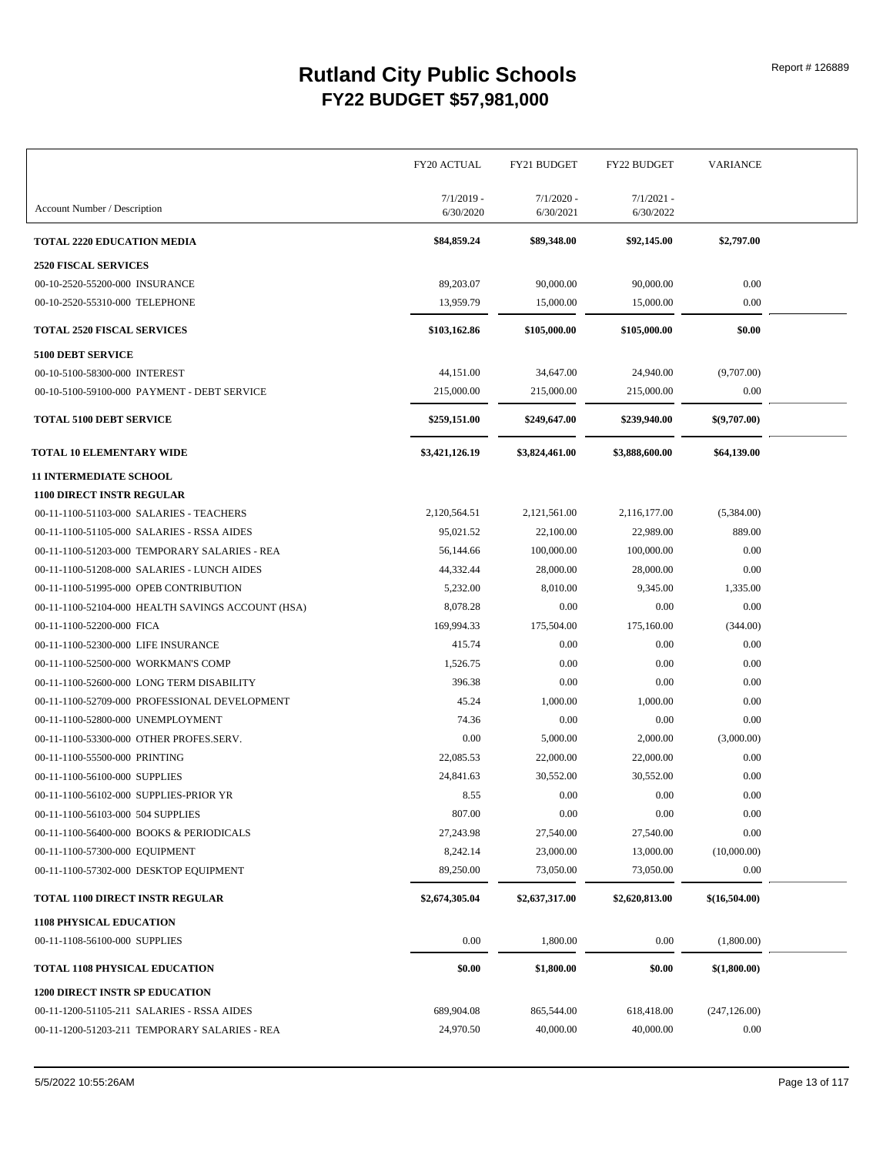|                                                   | FY20 ACTUAL    | FY21 BUDGET    | FY22 BUDGET    | <b>VARIANCE</b> |  |
|---------------------------------------------------|----------------|----------------|----------------|-----------------|--|
|                                                   | $7/1/2019$ -   | $7/1/2020$ -   | $7/1/2021$ -   |                 |  |
| Account Number / Description                      | 6/30/2020      | 6/30/2021      | 6/30/2022      |                 |  |
| <b>TOTAL 2220 EDUCATION MEDIA</b>                 | \$84,859.24    | \$89,348.00    | \$92,145.00    | \$2,797.00      |  |
| <b>2520 FISCAL SERVICES</b>                       |                |                |                |                 |  |
| 00-10-2520-55200-000 INSURANCE                    | 89,203.07      | 90,000.00      | 90,000.00      | 0.00            |  |
| 00-10-2520-55310-000 TELEPHONE                    | 13,959.79      | 15,000.00      | 15,000.00      | 0.00            |  |
| <b>TOTAL 2520 FISCAL SERVICES</b>                 | \$103,162.86   | \$105,000.00   | \$105,000.00   | \$0.00          |  |
| <b>5100 DEBT SERVICE</b>                          |                |                |                |                 |  |
| 00-10-5100-58300-000 INTEREST                     | 44,151.00      | 34,647.00      | 24,940.00      | (9,707.00)      |  |
| 00-10-5100-59100-000 PAYMENT - DEBT SERVICE       | 215,000.00     | 215,000.00     | 215,000.00     | 0.00            |  |
| <b>TOTAL 5100 DEBT SERVICE</b>                    | \$259,151.00   | \$249,647.00   | \$239,940.00   | \$(9,707.00)    |  |
| <b>TOTAL 10 ELEMENTARY WIDE</b>                   | \$3,421,126.19 | \$3,824,461.00 | \$3,888,600.00 | \$64,139.00     |  |
| <b>11 INTERMEDIATE SCHOOL</b>                     |                |                |                |                 |  |
| <b>1100 DIRECT INSTR REGULAR</b>                  |                |                |                |                 |  |
| 00-11-1100-51103-000 SALARIES - TEACHERS          | 2,120,564.51   | 2,121,561.00   | 2,116,177.00   | (5,384.00)      |  |
| 00-11-1100-51105-000 SALARIES - RSSA AIDES        | 95,021.52      | 22,100.00      | 22,989.00      | 889.00          |  |
| 00-11-1100-51203-000 TEMPORARY SALARIES - REA     | 56,144.66      | 100,000.00     | 100,000.00     | 0.00            |  |
| 00-11-1100-51208-000 SALARIES - LUNCH AIDES       | 44,332.44      | 28,000.00      | 28,000.00      | 0.00            |  |
| 00-11-1100-51995-000 OPEB CONTRIBUTION            | 5,232.00       | 8,010.00       | 9,345.00       | 1,335.00        |  |
| 00-11-1100-52104-000 HEALTH SAVINGS ACCOUNT (HSA) | 8,078.28       | 0.00           | 0.00           | 0.00            |  |
| 00-11-1100-52200-000 FICA                         | 169,994.33     | 175,504.00     | 175,160.00     | (344.00)        |  |
| 00-11-1100-52300-000 LIFE INSURANCE               | 415.74         | 0.00           | 0.00           | 0.00            |  |
| 00-11-1100-52500-000 WORKMAN'S COMP               | 1,526.75       | 0.00           | 0.00           | 0.00            |  |
| 00-11-1100-52600-000 LONG TERM DISABILITY         | 396.38         | 0.00           | 0.00           | 0.00            |  |
| 00-11-1100-52709-000 PROFESSIONAL DEVELOPMENT     | 45.24          | 1,000.00       | 1,000.00       | 0.00            |  |
| 00-11-1100-52800-000 UNEMPLOYMENT                 | 74.36          | 0.00           | 0.00           | 0.00            |  |
| 00-11-1100-53300-000 OTHER PROFES.SERV.           | 0.00           | 5,000.00       | 2,000.00       | (3,000.00)      |  |
| 00-11-1100-55500-000 PRINTING                     | 22,085.53      | 22,000.00      | 22,000.00      | 0.00            |  |
| 00-11-1100-56100-000 SUPPLIES                     | 24,841.63      | 30,552.00      | 30,552.00      | 0.00            |  |
| 00-11-1100-56102-000 SUPPLIES-PRIOR YR            | 8.55           | 0.00           | 0.00           | 0.00            |  |
| 00-11-1100-56103-000 504 SUPPLIES                 | 807.00         | 0.00           | 0.00           | 0.00            |  |
| 00-11-1100-56400-000 BOOKS & PERIODICALS          | 27,243.98      | 27,540.00      | 27,540.00      | 0.00            |  |
| 00-11-1100-57300-000 EQUIPMENT                    | 8,242.14       | 23,000.00      | 13,000.00      | (10,000.00)     |  |
| 00-11-1100-57302-000 DESKTOP EQUIPMENT            | 89,250.00      | 73,050.00      | 73,050.00      | 0.00            |  |
| <b>TOTAL 1100 DIRECT INSTR REGULAR</b>            | \$2,674,305.04 | \$2,637,317.00 | \$2,620,813.00 | \$(16,504.00)   |  |
| <b>1108 PHYSICAL EDUCATION</b>                    |                |                |                |                 |  |
| 00-11-1108-56100-000 SUPPLIES                     | 0.00           | 1,800.00       | 0.00           | (1,800.00)      |  |
| <b>TOTAL 1108 PHYSICAL EDUCATION</b>              | \$0.00         | \$1,800.00     | \$0.00         | \$(1,800.00)    |  |
| <b>1200 DIRECT INSTR SP EDUCATION</b>             |                |                |                |                 |  |
| 00-11-1200-51105-211 SALARIES - RSSA AIDES        | 689,904.08     | 865,544.00     | 618,418.00     | (247, 126.00)   |  |
| 00-11-1200-51203-211 TEMPORARY SALARIES - REA     | 24,970.50      | 40,000.00      | 40,000.00      | 0.00            |  |
|                                                   |                |                |                |                 |  |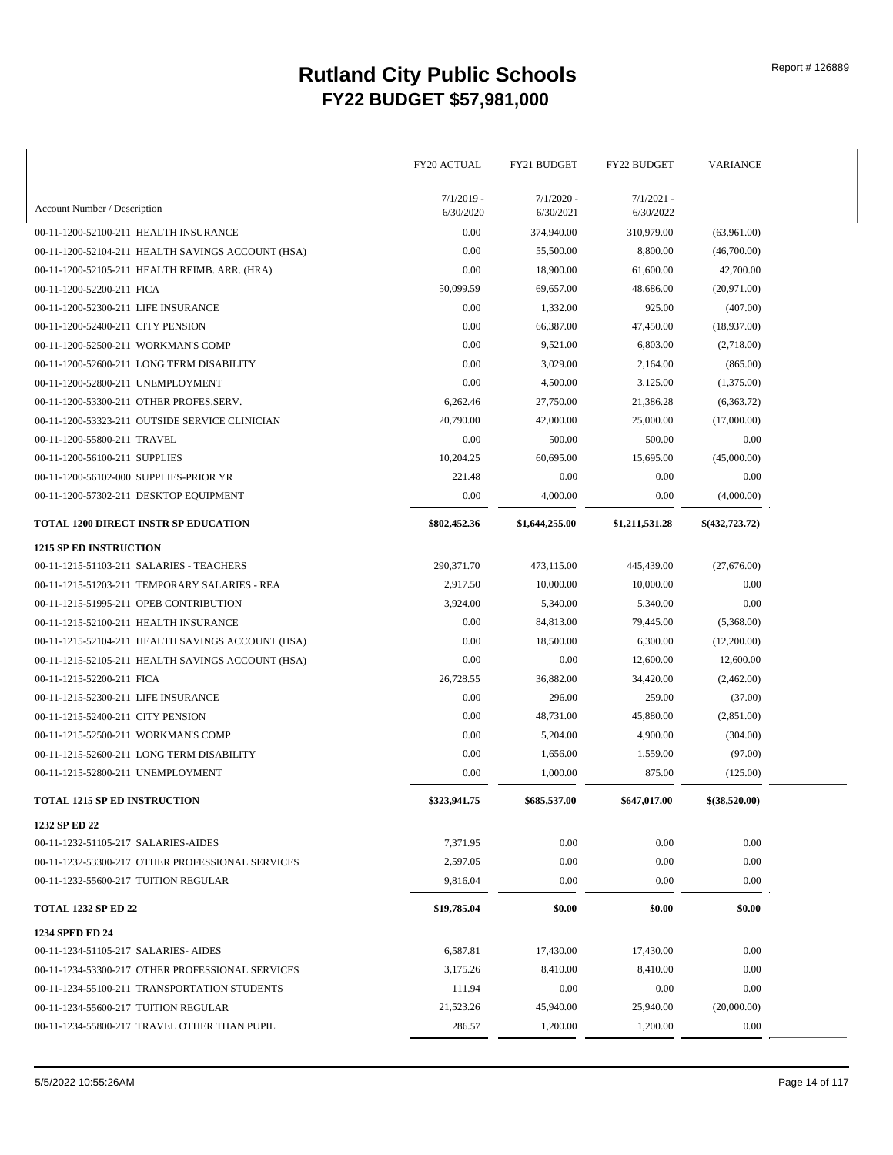|                                                   | FY20 ACTUAL  | FY21 BUDGET    | <b>FY22 BUDGET</b> | <b>VARIANCE</b> |  |
|---------------------------------------------------|--------------|----------------|--------------------|-----------------|--|
|                                                   | $7/1/2019$ - | $7/1/2020$ -   | $7/1/2021 -$       |                 |  |
| Account Number / Description                      | 6/30/2020    | 6/30/2021      | 6/30/2022          |                 |  |
| 00-11-1200-52100-211 HEALTH INSURANCE             | 0.00         | 374,940.00     | 310,979.00         | (63,961.00)     |  |
| 00-11-1200-52104-211 HEALTH SAVINGS ACCOUNT (HSA) | 0.00         | 55,500.00      | 8,800.00           | (46,700.00)     |  |
| 00-11-1200-52105-211 HEALTH REIMB. ARR. (HRA)     | 0.00         | 18,900.00      | 61,600.00          | 42,700.00       |  |
| 00-11-1200-52200-211 FICA                         | 50,099.59    | 69,657.00      | 48,686.00          | (20,971.00)     |  |
| 00-11-1200-52300-211 LIFE INSURANCE               | 0.00         | 1,332.00       | 925.00             | (407.00)        |  |
| 00-11-1200-52400-211 CITY PENSION                 | 0.00         | 66,387.00      | 47,450.00          | (18,937.00)     |  |
| 00-11-1200-52500-211 WORKMAN'S COMP               | 0.00         | 9,521.00       | 6,803.00           | (2,718.00)      |  |
| 00-11-1200-52600-211 LONG TERM DISABILITY         | 0.00         | 3,029.00       | 2,164.00           | (865.00)        |  |
| 00-11-1200-52800-211 UNEMPLOYMENT                 | 0.00         | 4,500.00       | 3,125.00           | (1,375.00)      |  |
| 00-11-1200-53300-211 OTHER PROFES.SERV.           | 6,262.46     | 27,750.00      | 21,386.28          | (6,363.72)      |  |
| 00-11-1200-53323-211 OUTSIDE SERVICE CLINICIAN    | 20,790.00    | 42,000.00      | 25,000.00          | (17,000.00)     |  |
| 00-11-1200-55800-211 TRAVEL                       | 0.00         | 500.00         | 500.00             | 0.00            |  |
| 00-11-1200-56100-211 SUPPLIES                     | 10,204.25    | 60,695.00      | 15,695.00          | (45,000.00)     |  |
| 00-11-1200-56102-000 SUPPLIES-PRIOR YR            | 221.48       | 0.00           | 0.00               | 0.00            |  |
| 00-11-1200-57302-211 DESKTOP EQUIPMENT            | 0.00         | 4,000.00       | 0.00               | (4,000.00)      |  |
| <b>TOTAL 1200 DIRECT INSTR SP EDUCATION</b>       | \$802,452.36 | \$1,644,255.00 | \$1,211,531.28     | \$(432,723.72)  |  |
| <b>1215 SP ED INSTRUCTION</b>                     |              |                |                    |                 |  |
| 00-11-1215-51103-211 SALARIES - TEACHERS          | 290,371.70   | 473,115.00     | 445,439.00         | (27,676.00)     |  |
| 00-11-1215-51203-211 TEMPORARY SALARIES - REA     | 2,917.50     | 10,000.00      | 10,000.00          | 0.00            |  |
| 00-11-1215-51995-211 OPEB CONTRIBUTION            | 3,924.00     | 5,340.00       | 5,340.00           | 0.00            |  |
| 00-11-1215-52100-211 HEALTH INSURANCE             | 0.00         | 84,813.00      | 79,445.00          | (5,368.00)      |  |
| 00-11-1215-52104-211 HEALTH SAVINGS ACCOUNT (HSA) | 0.00         | 18,500.00      | 6,300.00           | (12,200.00)     |  |
| 00-11-1215-52105-211 HEALTH SAVINGS ACCOUNT (HSA) | 0.00         | 0.00           | 12,600.00          | 12,600.00       |  |
| 00-11-1215-52200-211 FICA                         | 26,728.55    | 36,882.00      | 34,420.00          | (2,462.00)      |  |
| 00-11-1215-52300-211 LIFE INSURANCE               | 0.00         | 296.00         | 259.00             | (37.00)         |  |
| 00-11-1215-52400-211 CITY PENSION                 | 0.00         | 48,731.00      | 45,880.00          | (2,851.00)      |  |
| 00-11-1215-52500-211 WORKMAN'S COMP               | 0.00         | 5,204.00       | 4,900.00           | (304.00)        |  |
| 00-11-1215-52600-211 LONG TERM DISABILITY         | 0.00         | 1,656.00       | 1,559.00           | (97.00)         |  |
| 00-11-1215-52800-211 UNEMPLOYMENT                 | 0.00         | 1,000.00       | 875.00             | (125.00)        |  |
| <b>TOTAL 1215 SP ED INSTRUCTION</b>               | \$323,941.75 | \$685,537.00   | \$647,017.00       | \$(38,520.00)   |  |
| 1232 SP ED 22                                     |              |                |                    |                 |  |
| 00-11-1232-51105-217 SALARIES-AIDES               | 7,371.95     | 0.00           | 0.00               | 0.00            |  |
| 00-11-1232-53300-217 OTHER PROFESSIONAL SERVICES  | 2,597.05     | 0.00           | 0.00               | 0.00            |  |
| 00-11-1232-55600-217 TUITION REGULAR              | 9,816.04     | 0.00           | $0.00\,$           | 0.00            |  |
| <b>TOTAL 1232 SP ED 22</b>                        | \$19,785.04  | \$0.00         | \$0.00             | \$0.00          |  |
| 1234 SPED ED 24                                   |              |                |                    |                 |  |
| 00-11-1234-51105-217 SALARIES-AIDES               | 6,587.81     | 17,430.00      | 17,430.00          | 0.00            |  |
| 00-11-1234-53300-217 OTHER PROFESSIONAL SERVICES  | 3,175.26     | 8,410.00       | 8,410.00           | 0.00            |  |
| 00-11-1234-55100-211 TRANSPORTATION STUDENTS      |              |                | $0.00\,$           | 0.00            |  |
|                                                   | 111.94       | 0.00           |                    |                 |  |
| 00-11-1234-55600-217 TUITION REGULAR              | 21,523.26    | 45,940.00      | 25,940.00          | (20,000.00)     |  |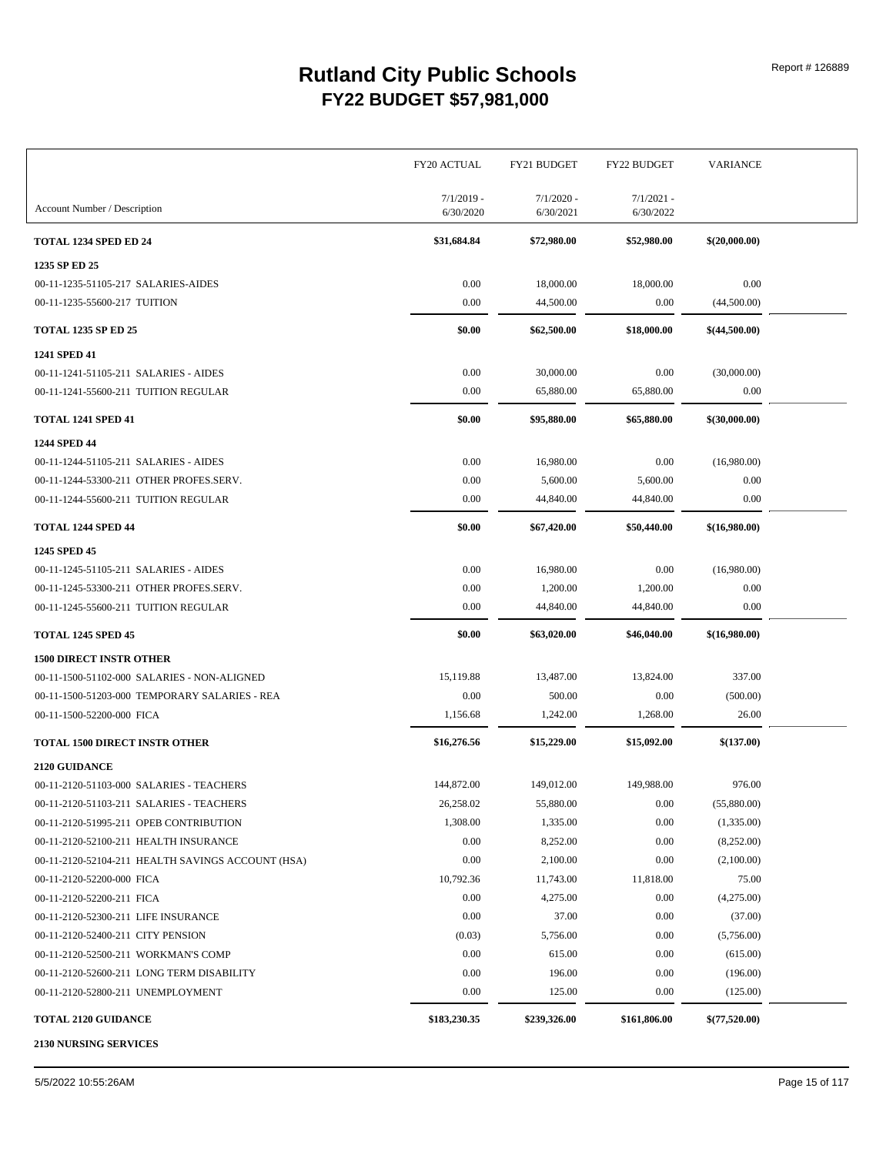|                                                      | FY20 ACTUAL  | FY21 BUDGET  | FY22 BUDGET  | <b>VARIANCE</b> |  |
|------------------------------------------------------|--------------|--------------|--------------|-----------------|--|
| Account Number / Description                         | $7/1/2019$ - | $7/1/2020$ - | $7/1/2021$ - |                 |  |
|                                                      | 6/30/2020    | 6/30/2021    | 6/30/2022    |                 |  |
| TOTAL 1234 SPED ED 24                                | \$31,684.84  | \$72,980.00  | \$52,980.00  | \$(20,000.00)   |  |
| 1235 SP ED 25<br>00-11-1235-51105-217 SALARIES-AIDES | 0.00         | 18,000.00    | 18,000.00    | 0.00            |  |
| 00-11-1235-55600-217 TUITION                         | 0.00         | 44,500.00    | 0.00         | (44,500.00)     |  |
|                                                      |              |              |              |                 |  |
| <b>TOTAL 1235 SP ED 25</b>                           | \$0.00       | \$62,500.00  | \$18,000.00  | \$(44,500.00)   |  |
| 1241 SPED 41                                         |              |              |              |                 |  |
| 00-11-1241-51105-211 SALARIES - AIDES                | 0.00         | 30,000.00    | 0.00         | (30,000.00)     |  |
| 00-11-1241-55600-211 TUITION REGULAR                 | 0.00         | 65,880.00    | 65,880.00    | 0.00            |  |
| <b>TOTAL 1241 SPED 41</b>                            | \$0.00       | \$95,880.00  | \$65,880.00  | \$(30,000.00)   |  |
| 1244 SPED 44                                         |              |              |              |                 |  |
| 00-11-1244-51105-211 SALARIES - AIDES                | 0.00         | 16,980.00    | 0.00         | (16,980.00)     |  |
| 00-11-1244-53300-211 OTHER PROFES.SERV.              | 0.00         | 5,600.00     | 5,600.00     | 0.00            |  |
| 00-11-1244-55600-211 TUITION REGULAR                 | 0.00         | 44,840.00    | 44,840.00    | 0.00            |  |
| <b>TOTAL 1244 SPED 44</b>                            | \$0.00       | \$67,420.00  | \$50,440.00  | \$(16,980.00)   |  |
| 1245 SPED 45                                         |              |              |              |                 |  |
| 00-11-1245-51105-211 SALARIES - AIDES                | 0.00         | 16,980.00    | 0.00         | (16,980.00)     |  |
| 00-11-1245-53300-211 OTHER PROFES.SERV.              | 0.00         | 1,200.00     | 1,200.00     | 0.00            |  |
| 00-11-1245-55600-211 TUITION REGULAR                 | 0.00         | 44,840.00    | 44,840.00    | 0.00            |  |
| <b>TOTAL 1245 SPED 45</b>                            | \$0.00       | \$63,020.00  | \$46,040.00  | \$(16,980.00)   |  |
| <b>1500 DIRECT INSTR OTHER</b>                       |              |              |              |                 |  |
| 00-11-1500-51102-000 SALARIES - NON-ALIGNED          | 15,119.88    | 13,487.00    | 13,824.00    | 337.00          |  |
| 00-11-1500-51203-000 TEMPORARY SALARIES - REA        | 0.00         | 500.00       | 0.00         | (500.00)        |  |
| 00-11-1500-52200-000 FICA                            | 1,156.68     | 1,242.00     | 1,268.00     | 26.00           |  |
| <b>TOTAL 1500 DIRECT INSTR OTHER</b>                 | \$16,276.56  | \$15,229.00  | \$15,092.00  | \$(137.00)      |  |
| <b>2120 GUIDANCE</b>                                 |              |              |              |                 |  |
| 00-11-2120-51103-000 SALARIES - TEACHERS             | 144,872.00   | 149,012.00   | 149,988.00   | 976.00          |  |
| 00-11-2120-51103-211 SALARIES - TEACHERS             | 26,258.02    | 55,880.00    | 0.00         | (55,880.00)     |  |
| 00-11-2120-51995-211 OPEB CONTRIBUTION               | 1,308.00     | 1,335.00     | 0.00         | (1,335.00)      |  |
| 00-11-2120-52100-211 HEALTH INSURANCE                | 0.00         | 8,252.00     | 0.00         | (8,252.00)      |  |
| 00-11-2120-52104-211 HEALTH SAVINGS ACCOUNT (HSA)    | 0.00         | 2,100.00     | 0.00         | (2,100.00)      |  |
| 00-11-2120-52200-000 FICA                            | 10,792.36    | 11,743.00    | 11,818.00    | 75.00           |  |
| 00-11-2120-52200-211 FICA                            | 0.00         | 4,275.00     | 0.00         | (4,275.00)      |  |
| 00-11-2120-52300-211 LIFE INSURANCE                  | 0.00         | 37.00        | 0.00         | (37.00)         |  |
| 00-11-2120-52400-211 CITY PENSION                    | (0.03)       | 5,756.00     | 0.00         | (5,756.00)      |  |
| 00-11-2120-52500-211 WORKMAN'S COMP                  | 0.00         | 615.00       | 0.00         | (615.00)        |  |
| 00-11-2120-52600-211 LONG TERM DISABILITY            | 0.00         | 196.00       | 0.00         | (196.00)        |  |
| 00-11-2120-52800-211 UNEMPLOYMENT                    | 0.00         | 125.00       | 0.00         | (125.00)        |  |
| <b>TOTAL 2120 GUIDANCE</b>                           | \$183,230.35 | \$239,326.00 | \$161,806.00 | \$(77,520.00)   |  |
|                                                      |              |              |              |                 |  |

 **2130 NURSING SERVICES**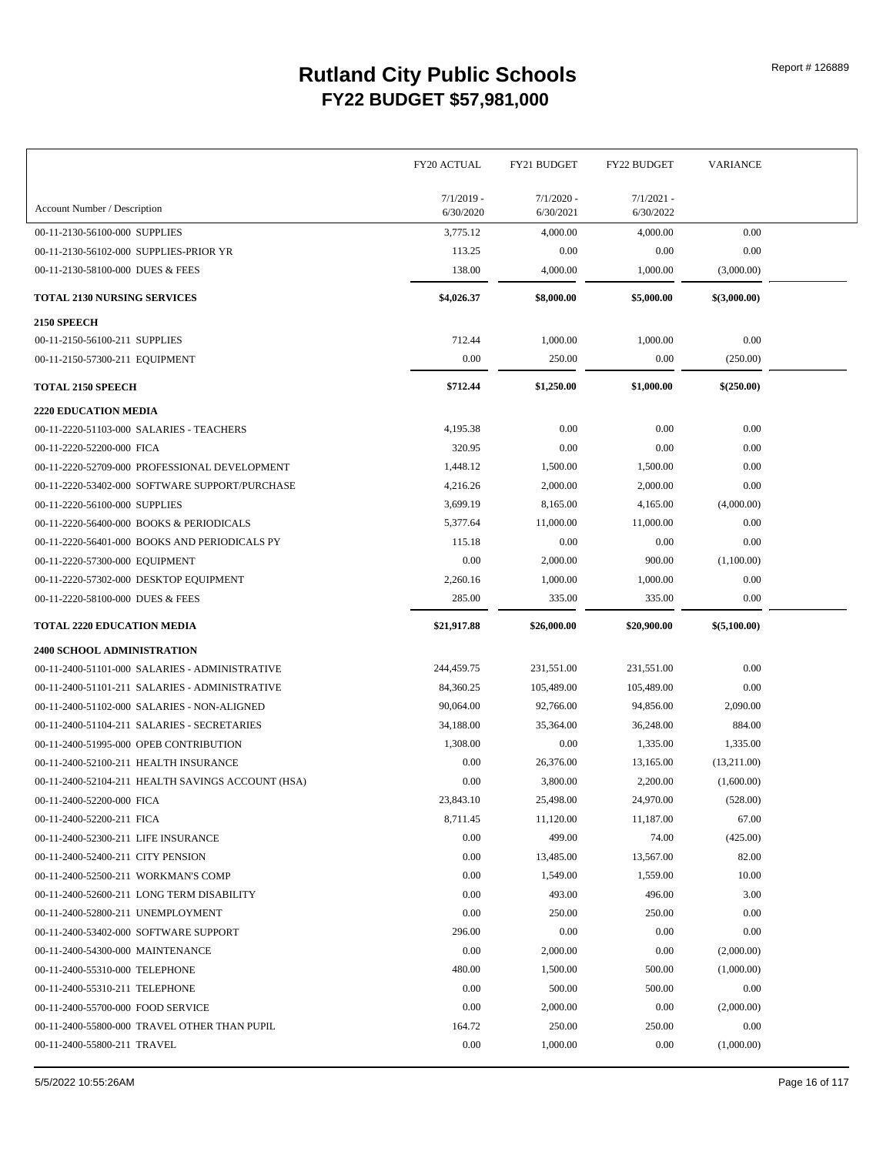|                                                   | FY20 ACTUAL  | FY21 BUDGET  | FY22 BUDGET  | <b>VARIANCE</b> |  |
|---------------------------------------------------|--------------|--------------|--------------|-----------------|--|
|                                                   | $7/1/2019$ - | $7/1/2020$ - | $7/1/2021$ - |                 |  |
| Account Number / Description                      | 6/30/2020    | 6/30/2021    | 6/30/2022    |                 |  |
| 00-11-2130-56100-000 SUPPLIES                     | 3,775.12     | 4,000.00     | 4,000.00     | 0.00            |  |
| 00-11-2130-56102-000 SUPPLIES-PRIOR YR            | 113.25       | 0.00         | 0.00         | 0.00            |  |
| 00-11-2130-58100-000 DUES & FEES                  | 138.00       | 4,000.00     | 1,000.00     | (3,000.00)      |  |
| <b>TOTAL 2130 NURSING SERVICES</b>                | \$4,026.37   | \$8,000.00   | \$5,000.00   | \$(3,000.00)    |  |
| 2150 SPEECH                                       |              |              |              |                 |  |
| 00-11-2150-56100-211 SUPPLIES                     | 712.44       | 1,000.00     | 1,000.00     | 0.00            |  |
| 00-11-2150-57300-211 EQUIPMENT                    | 0.00         | 250.00       | 0.00         | (250.00)        |  |
| <b>TOTAL 2150 SPEECH</b>                          | \$712.44     | \$1,250.00   | \$1,000.00   | \$(250.00)      |  |
| <b>2220 EDUCATION MEDIA</b>                       |              |              |              |                 |  |
| 00-11-2220-51103-000 SALARIES - TEACHERS          | 4,195.38     | 0.00         | 0.00         | 0.00            |  |
| 00-11-2220-52200-000 FICA                         | 320.95       | 0.00         | 0.00         | 0.00            |  |
| 00-11-2220-52709-000 PROFESSIONAL DEVELOPMENT     | 1,448.12     | 1,500.00     | 1,500.00     | 0.00            |  |
| 00-11-2220-53402-000 SOFTWARE SUPPORT/PURCHASE    | 4,216.26     | 2,000.00     | 2,000.00     | 0.00            |  |
| 00-11-2220-56100-000 SUPPLIES                     | 3,699.19     | 8,165.00     | 4,165.00     | (4,000.00)      |  |
| 00-11-2220-56400-000 BOOKS & PERIODICALS          | 5,377.64     | 11,000.00    | 11,000.00    | 0.00            |  |
| 00-11-2220-56401-000 BOOKS AND PERIODICALS PY     | 115.18       | 0.00         | 0.00         | 0.00            |  |
| 00-11-2220-57300-000 EQUIPMENT                    | 0.00         | 2,000.00     | 900.00       | (1,100.00)      |  |
| 00-11-2220-57302-000 DESKTOP EQUIPMENT            | 2,260.16     | 1,000.00     | 1,000.00     | 0.00            |  |
| 00-11-2220-58100-000 DUES & FEES                  | 285.00       | 335.00       | 335.00       | 0.00            |  |
| <b>TOTAL 2220 EDUCATION MEDIA</b>                 | \$21,917.88  | \$26,000.00  | \$20,900.00  | \$(5,100.00)    |  |
|                                                   |              |              |              |                 |  |
| 2400 SCHOOL ADMINISTRATION                        |              |              |              |                 |  |
| 00-11-2400-51101-000 SALARIES - ADMINISTRATIVE    | 244,459.75   | 231,551.00   | 231,551.00   | 0.00            |  |
| 00-11-2400-51101-211 SALARIES - ADMINISTRATIVE    | 84,360.25    | 105,489.00   | 105,489.00   | 0.00            |  |
| 00-11-2400-51102-000 SALARIES - NON-ALIGNED       | 90,064.00    | 92,766.00    | 94,856.00    | 2,090.00        |  |
| 00-11-2400-51104-211 SALARIES - SECRETARIES       | 34,188,00    | 35,364.00    | 36,248.00    | 884.00          |  |
| 00-11-2400-51995-000 OPEB CONTRIBUTION            | 1,308.00     | 0.00         | 1,335.00     | 1,335.00        |  |
| 00-11-2400-52100-211 HEALTH INSURANCE             | 0.00         | 26,376.00    | 13,165.00    | (13,211.00)     |  |
| 00-11-2400-52104-211 HEALTH SAVINGS ACCOUNT (HSA) | 0.00         | 3,800.00     | 2,200.00     | (1,600.00)      |  |
| 00-11-2400-52200-000 FICA                         | 23,843.10    | 25,498.00    | 24,970.00    | (528.00)        |  |
| 00-11-2400-52200-211 FICA                         | 8,711.45     | 11,120.00    | 11,187.00    | 67.00           |  |
| 00-11-2400-52300-211 LIFE INSURANCE               | 0.00         | 499.00       | 74.00        | (425.00)        |  |
| 00-11-2400-52400-211 CITY PENSION                 | 0.00         | 13,485.00    | 13,567.00    | 82.00           |  |
| 00-11-2400-52500-211 WORKMAN'S COMP               | 0.00         | 1,549.00     | 1,559.00     | 10.00           |  |
| 00-11-2400-52600-211 LONG TERM DISABILITY         | 0.00         | 493.00       | 496.00       | 3.00            |  |
| 00-11-2400-52800-211 UNEMPLOYMENT                 | 0.00         | 250.00       | 250.00       | 0.00            |  |
| 00-11-2400-53402-000 SOFTWARE SUPPORT             | 296.00       | 0.00         | 0.00         | 0.00            |  |
| 00-11-2400-54300-000 MAINTENANCE                  | 0.00         | 2,000.00     | 0.00         | (2,000.00)      |  |
| 00-11-2400-55310-000 TELEPHONE                    | 480.00       | 1,500.00     | 500.00       | (1,000.00)      |  |
| 00-11-2400-55310-211 TELEPHONE                    | 0.00         | 500.00       | 500.00       | 0.00            |  |
| 00-11-2400-55700-000 FOOD SERVICE                 | 0.00         | 2,000.00     | 0.00         | (2,000.00)      |  |
| 00-11-2400-55800-000 TRAVEL OTHER THAN PUPIL      | 164.72       | 250.00       | 250.00       | 0.00            |  |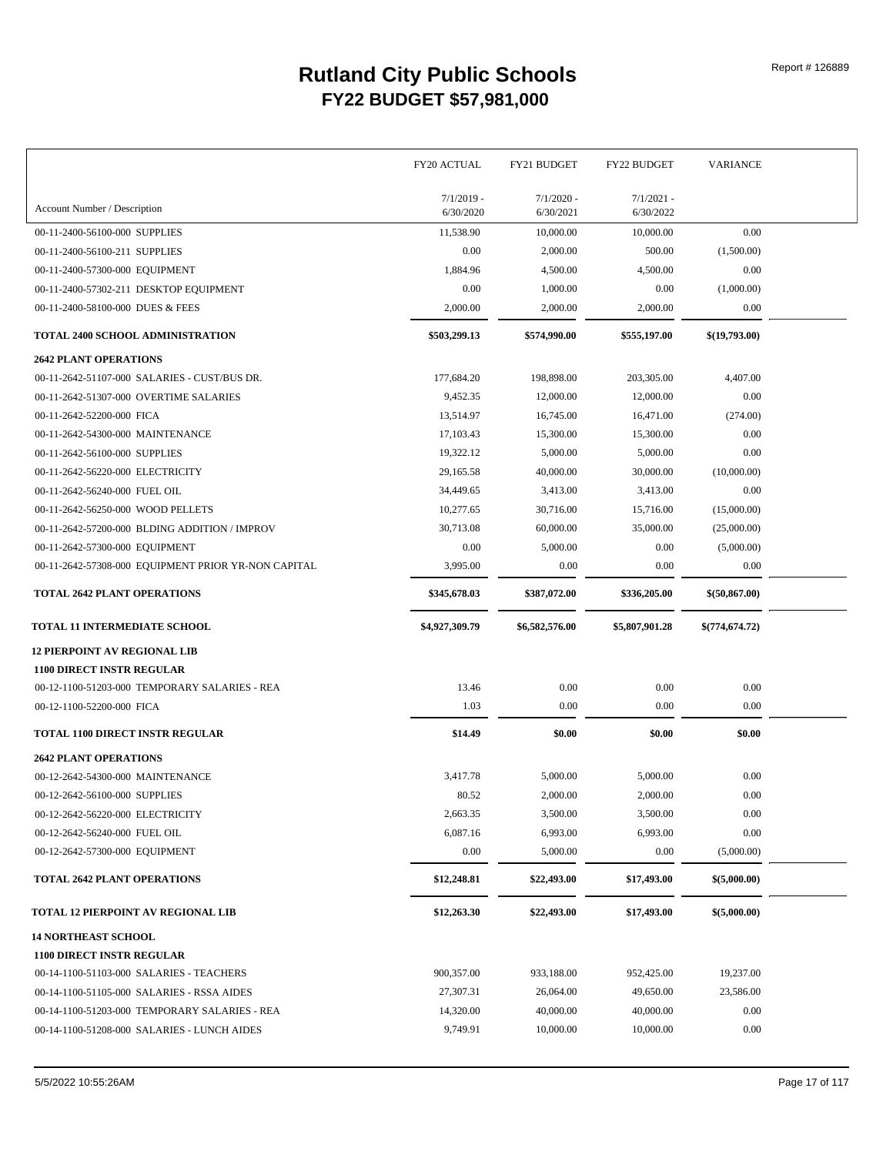|                                                     | FY20 ACTUAL    | FY21 BUDGET    | FY22 BUDGET    | <b>VARIANCE</b> |  |
|-----------------------------------------------------|----------------|----------------|----------------|-----------------|--|
|                                                     | $7/1/2019$ -   | $7/1/2020$ -   | $7/1/2021 -$   |                 |  |
| Account Number / Description                        | 6/30/2020      | 6/30/2021      | 6/30/2022      |                 |  |
| 00-11-2400-56100-000 SUPPLIES                       | 11,538.90      | 10,000.00      | 10,000.00      | 0.00            |  |
| 00-11-2400-56100-211 SUPPLIES                       | 0.00           | 2,000.00       | 500.00         | (1,500.00)      |  |
| 00-11-2400-57300-000 EQUIPMENT                      | 1,884.96       | 4,500.00       | 4,500.00       | 0.00            |  |
| 00-11-2400-57302-211 DESKTOP EQUIPMENT              | 0.00           | 1,000.00       | 0.00           | (1,000.00)      |  |
| 00-11-2400-58100-000 DUES & FEES                    | 2,000.00       | 2,000.00       | 2,000.00       | 0.00            |  |
| TOTAL 2400 SCHOOL ADMINISTRATION                    | \$503,299.13   | \$574,990.00   | \$555,197.00   | \$(19,793.00)   |  |
| <b>2642 PLANT OPERATIONS</b>                        |                |                |                |                 |  |
| 00-11-2642-51107-000 SALARIES - CUST/BUS DR.        | 177,684.20     | 198,898.00     | 203,305.00     | 4,407.00        |  |
| 00-11-2642-51307-000 OVERTIME SALARIES              | 9,452.35       | 12,000.00      | 12,000.00      | 0.00            |  |
| 00-11-2642-52200-000 FICA                           | 13,514.97      | 16,745.00      | 16,471.00      | (274.00)        |  |
| 00-11-2642-54300-000 MAINTENANCE                    | 17,103.43      | 15,300.00      | 15,300.00      | 0.00            |  |
| 00-11-2642-56100-000 SUPPLIES                       | 19,322.12      | 5,000.00       | 5,000.00       | 0.00            |  |
| 00-11-2642-56220-000 ELECTRICITY                    | 29,165.58      | 40,000.00      | 30,000.00      | (10,000.00)     |  |
| 00-11-2642-56240-000 FUEL OIL                       | 34,449.65      | 3,413.00       | 3,413.00       | 0.00            |  |
| 00-11-2642-56250-000 WOOD PELLETS                   | 10,277.65      | 30.716.00      | 15,716.00      | (15,000.00)     |  |
| 00-11-2642-57200-000 BLDING ADDITION / IMPROV       | 30,713.08      | 60,000.00      | 35,000.00      | (25,000.00)     |  |
| 00-11-2642-57300-000 EQUIPMENT                      | 0.00           | 5,000.00       | 0.00           | (5,000.00)      |  |
| 00-11-2642-57308-000 EQUIPMENT PRIOR YR-NON CAPITAL | 3,995.00       | 0.00           | 0.00           | 0.00            |  |
| TOTAL 2642 PLANT OPERATIONS                         | \$345,678.03   | \$387,072.00   | \$336,205.00   | \$(50,867.00)   |  |
| <b>TOTAL 11 INTERMEDIATE SCHOOL</b>                 | \$4,927,309.79 | \$6,582,576.00 | \$5,807,901.28 | \$(774,674.72)  |  |
| <b>12 PIERPOINT AV REGIONAL LIB</b>                 |                |                |                |                 |  |
| <b>1100 DIRECT INSTR REGULAR</b>                    |                |                |                |                 |  |
| 00-12-1100-51203-000 TEMPORARY SALARIES - REA       | 13.46          | $0.00\,$       | 0.00           | 0.00            |  |
| 00-12-1100-52200-000 FICA                           | 1.03           | 0.00           | 0.00           | 0.00            |  |
| <b>TOTAL 1100 DIRECT INSTR REGULAR</b>              | \$14.49        | \$0.00         | \$0.00         | \$0.00          |  |
| <b>2642 PLANT OPERATIONS</b>                        |                |                |                |                 |  |
| 00-12-2642-54300-000 MAINTENANCE                    | 3,417.78       | 5,000.00       | 5,000.00       | 0.00            |  |
| 00-12-2642-56100-000 SUPPLIES                       | 80.52          | 2,000.00       | 2,000.00       | 0.00            |  |
| 00-12-2642-56220-000 ELECTRICITY                    | 2,663.35       | 3,500.00       | 3,500.00       | 0.00            |  |
| 00-12-2642-56240-000 FUEL OIL                       | 6,087.16       | 6,993.00       | 6,993.00       | 0.00            |  |
| 00-12-2642-57300-000 EQUIPMENT                      | 0.00           | 5,000.00       | 0.00           | (5,000.00)      |  |
| TOTAL 2642 PLANT OPERATIONS                         | \$12,248.81    | \$22,493.00    | \$17,493.00    | \$(5,000.00)    |  |
| <b>TOTAL 12 PIERPOINT AV REGIONAL LIB</b>           | \$12,263.30    | \$22,493.00    | \$17,493.00    | \$(5,000.00)    |  |
| <b>14 NORTHEAST SCHOOL</b>                          |                |                |                |                 |  |
| <b>1100 DIRECT INSTR REGULAR</b>                    |                |                |                |                 |  |
| 00-14-1100-51103-000 SALARIES - TEACHERS            | 900,357.00     | 933,188.00     | 952,425.00     | 19,237.00       |  |
| 00-14-1100-51105-000 SALARIES - RSSA AIDES          | 27,307.31      | 26,064.00      | 49,650.00      | 23,586.00       |  |
| 00-14-1100-51203-000 TEMPORARY SALARIES - REA       | 14,320.00      | 40,000.00      | 40,000.00      | 0.00            |  |
| 00-14-1100-51208-000 SALARIES - LUNCH AIDES         | 9,749.91       | 10,000.00      | 10,000.00      | 0.00            |  |
|                                                     |                |                |                |                 |  |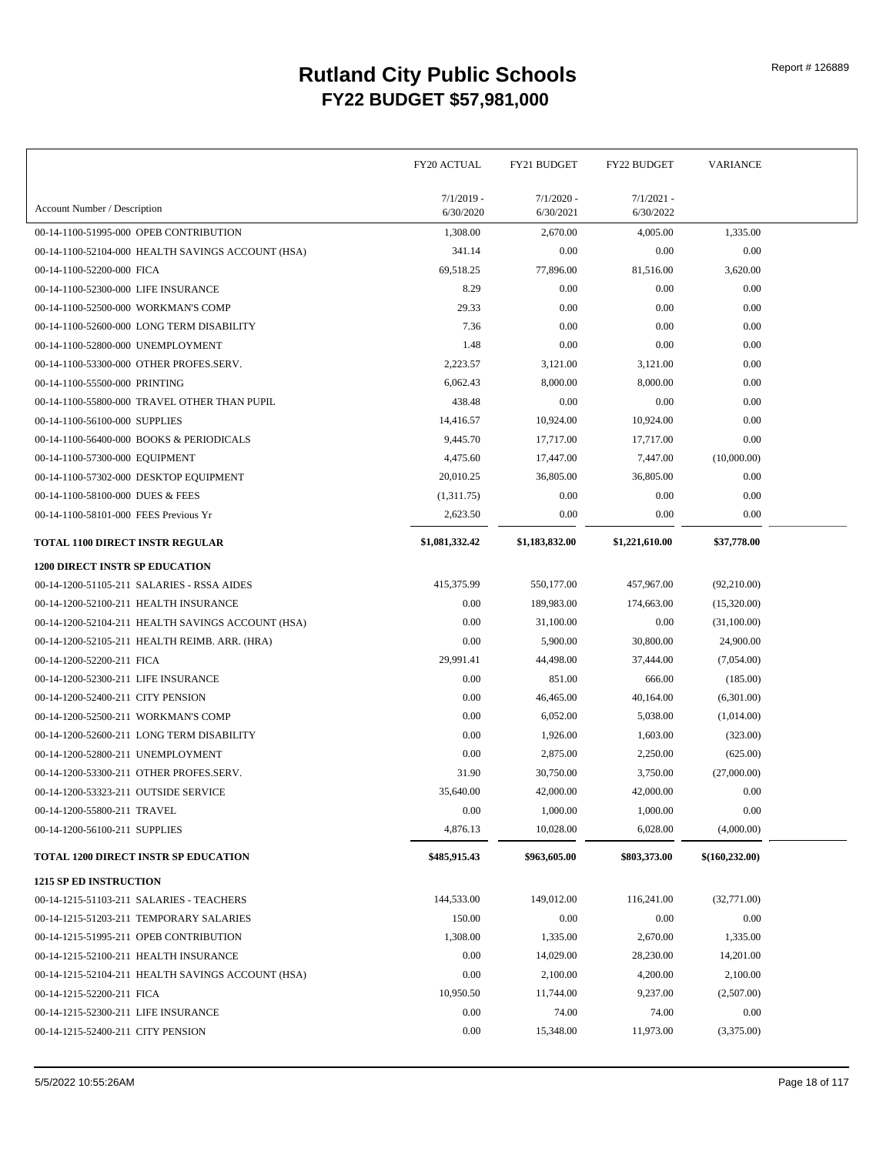|                                                   | FY20 ACTUAL               | FY21 BUDGET               | FY22 BUDGET               | <b>VARIANCE</b> |  |
|---------------------------------------------------|---------------------------|---------------------------|---------------------------|-----------------|--|
|                                                   |                           |                           |                           |                 |  |
| Account Number / Description                      | $7/1/2019$ -<br>6/30/2020 | $7/1/2020$ -<br>6/30/2021 | $7/1/2021$ -<br>6/30/2022 |                 |  |
| 00-14-1100-51995-000 OPEB CONTRIBUTION            | 1,308.00                  | 2,670.00                  | 4,005.00                  | 1,335.00        |  |
| 00-14-1100-52104-000 HEALTH SAVINGS ACCOUNT (HSA) | 341.14                    | 0.00                      | 0.00                      | 0.00            |  |
| 00-14-1100-52200-000 FICA                         | 69,518.25                 | 77,896.00                 | 81,516.00                 | 3,620.00        |  |
| 00-14-1100-52300-000 LIFE INSURANCE               | 8.29                      | 0.00                      | 0.00                      | 0.00            |  |
| 00-14-1100-52500-000 WORKMAN'S COMP               | 29.33                     | 0.00                      | 0.00                      | 0.00            |  |
| 00-14-1100-52600-000 LONG TERM DISABILITY         | 7.36                      | 0.00                      | 0.00                      | 0.00            |  |
| 00-14-1100-52800-000 UNEMPLOYMENT                 | 1.48                      | 0.00                      | 0.00                      | 0.00            |  |
| 00-14-1100-53300-000 OTHER PROFES.SERV.           | 2,223.57                  | 3,121.00                  | 3,121.00                  | 0.00            |  |
| 00-14-1100-55500-000 PRINTING                     | 6,062.43                  | 8,000.00                  | 8,000.00                  | 0.00            |  |
| 00-14-1100-55800-000 TRAVEL OTHER THAN PUPIL      | 438.48                    | 0.00                      | 0.00                      | 0.00            |  |
| 00-14-1100-56100-000 SUPPLIES                     | 14,416.57                 | 10,924.00                 | 10,924.00                 | 0.00            |  |
| 00-14-1100-56400-000 BOOKS & PERIODICALS          | 9,445.70                  | 17,717.00                 | 17,717.00                 | 0.00            |  |
| 00-14-1100-57300-000 EQUIPMENT                    | 4,475.60                  | 17,447.00                 | 7,447.00                  | (10,000.00)     |  |
| 00-14-1100-57302-000 DESKTOP EQUIPMENT            | 20,010.25                 | 36,805.00                 | 36,805.00                 | 0.00            |  |
| 00-14-1100-58100-000 DUES & FEES                  | (1,311.75)                | 0.00                      | 0.00                      | 0.00            |  |
| 00-14-1100-58101-000 FEES Previous Yr             | 2,623.50                  | 0.00                      | 0.00                      | 0.00            |  |
|                                                   |                           |                           |                           |                 |  |
| <b>TOTAL 1100 DIRECT INSTR REGULAR</b>            | \$1,081,332.42            | \$1,183,832.00            | \$1,221,610.00            | \$37,778.00     |  |
| <b>1200 DIRECT INSTR SP EDUCATION</b>             |                           |                           |                           |                 |  |
| 00-14-1200-51105-211 SALARIES - RSSA AIDES        | 415,375.99                | 550,177.00                | 457,967.00                | (92,210.00)     |  |
| 00-14-1200-52100-211 HEALTH INSURANCE             | 0.00                      | 189,983.00                | 174,663.00                | (15,320.00)     |  |
| 00-14-1200-52104-211 HEALTH SAVINGS ACCOUNT (HSA) | 0.00                      | 31,100.00                 | 0.00                      | (31,100.00)     |  |
| 00-14-1200-52105-211 HEALTH REIMB. ARR. (HRA)     | 0.00                      | 5,900.00                  | 30,800.00                 | 24,900.00       |  |
| 00-14-1200-52200-211 FICA                         | 29,991.41                 | 44,498.00                 | 37,444.00                 | (7,054.00)      |  |
| 00-14-1200-52300-211 LIFE INSURANCE               | 0.00                      | 851.00                    | 666.00                    | (185.00)        |  |
| 00-14-1200-52400-211 CITY PENSION                 | 0.00                      | 46,465.00                 | 40,164.00                 | (6,301.00)      |  |
| 00-14-1200-52500-211 WORKMAN'S COMP               | 0.00                      | 6,052.00                  | 5,038.00                  | (1,014.00)      |  |
| 00-14-1200-52600-211 LONG TERM DISABILITY         | 0.00                      | 1,926.00                  | 1,603.00                  | (323.00)        |  |
| 00-14-1200-52800-211 UNEMPLOYMENT                 | 0.00                      | 2,875.00                  | 2,250.00                  | (625.00)        |  |
| 00-14-1200-53300-211 OTHER PROFES.SERV.           | 31.90                     | 30,750.00                 | 3,750.00                  | (27,000.00)     |  |
| 00-14-1200-53323-211 OUTSIDE SERVICE              | 35,640.00                 | 42,000.00                 | 42,000.00                 | 0.00            |  |
| 00-14-1200-55800-211 TRAVEL                       | $0.00\,$                  | 1,000.00                  | 1,000.00                  | 0.00            |  |
| 00-14-1200-56100-211 SUPPLIES                     | 4,876.13                  | 10,028.00                 | 6,028.00                  | (4,000.00)      |  |
| <b>TOTAL 1200 DIRECT INSTR SP EDUCATION</b>       | \$485,915.43              | \$963,605.00              | \$803,373.00              | \$(160, 232.00) |  |
| <b>1215 SP ED INSTRUCTION</b>                     |                           |                           |                           |                 |  |
| 00-14-1215-51103-211 SALARIES - TEACHERS          | 144,533.00                | 149,012.00                | 116,241.00                | (32,771.00)     |  |
| 00-14-1215-51203-211 TEMPORARY SALARIES           | 150.00                    | 0.00                      | 0.00                      | 0.00            |  |
| 00-14-1215-51995-211 OPEB CONTRIBUTION            | 1,308.00                  | 1,335.00                  | 2,670.00                  | 1,335.00        |  |
| 00-14-1215-52100-211 HEALTH INSURANCE             | 0.00                      | 14,029.00                 | 28,230.00                 | 14,201.00       |  |
| 00-14-1215-52104-211 HEALTH SAVINGS ACCOUNT (HSA) | 0.00                      | 2,100.00                  | 4,200.00                  | 2,100.00        |  |
| 00-14-1215-52200-211 FICA                         |                           |                           |                           |                 |  |
|                                                   | 10,950.50                 | 11,744.00                 | 9,237.00                  | (2,507.00)      |  |
| 00-14-1215-52300-211 LIFE INSURANCE               | 0.00                      | 74.00                     | 74.00                     | 0.00            |  |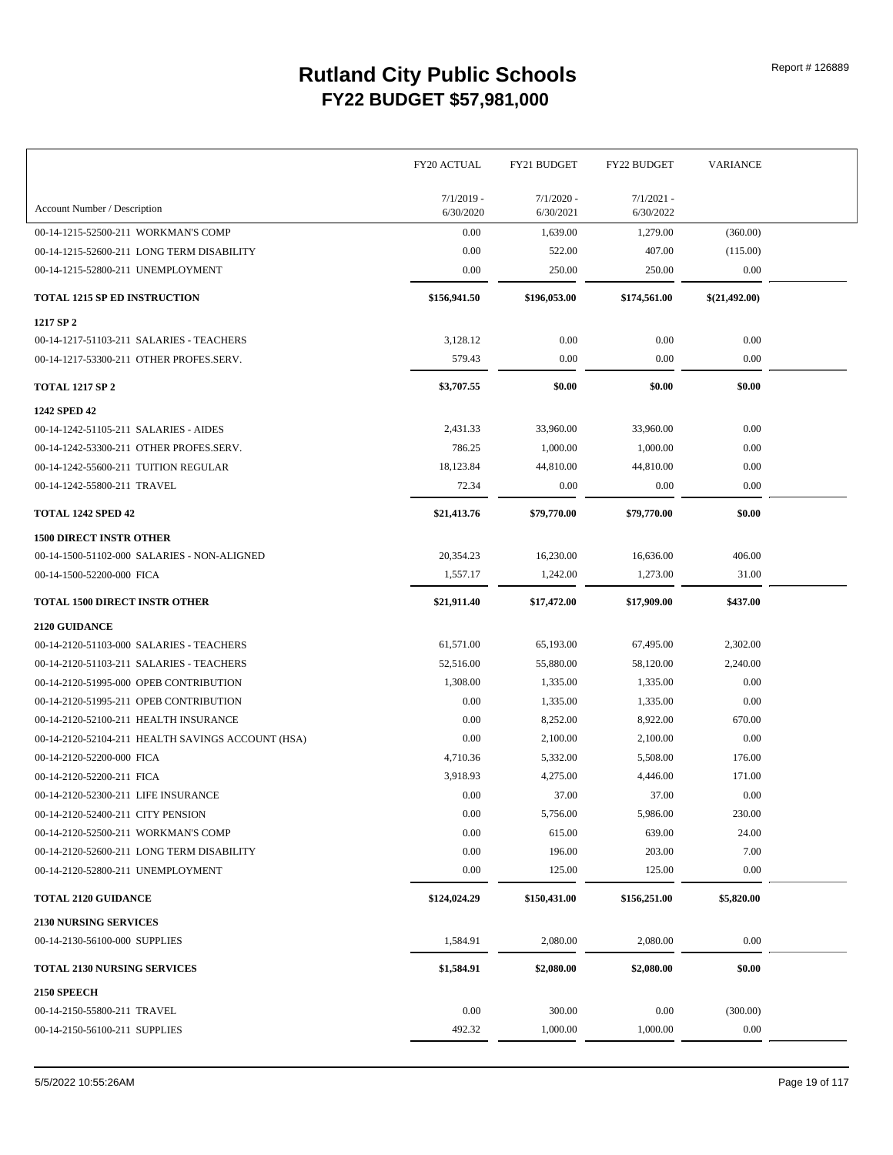|                                                   | FY20 ACTUAL  | FY21 BUDGET  | FY22 BUDGET  | <b>VARIANCE</b> |  |
|---------------------------------------------------|--------------|--------------|--------------|-----------------|--|
| Account Number / Description                      | $7/1/2019$ - | $7/1/2020$ - | $7/1/2021 -$ |                 |  |
|                                                   | 6/30/2020    | 6/30/2021    | 6/30/2022    |                 |  |
| 00-14-1215-52500-211 WORKMAN'S COMP               | 0.00         | 1,639.00     | 1,279.00     | (360.00)        |  |
| 00-14-1215-52600-211 LONG TERM DISABILITY         | 0.00         | 522.00       | 407.00       | (115.00)        |  |
| 00-14-1215-52800-211 UNEMPLOYMENT                 | 0.00         | 250.00       | 250.00       | 0.00            |  |
| <b>TOTAL 1215 SP ED INSTRUCTION</b>               | \$156,941.50 | \$196,053.00 | \$174,561.00 | \$(21,492.00)   |  |
| 1217 SP 2                                         |              |              |              |                 |  |
| 00-14-1217-51103-211 SALARIES - TEACHERS          | 3,128.12     | $0.00\,$     | 0.00         | 0.00            |  |
| 00-14-1217-53300-211 OTHER PROFES.SERV.           | 579.43       | 0.00         | 0.00         | 0.00            |  |
| <b>TOTAL 1217 SP 2</b>                            | \$3,707.55   | \$0.00       | \$0.00       | \$0.00          |  |
| 1242 SPED 42                                      |              |              |              |                 |  |
| 00-14-1242-51105-211 SALARIES - AIDES             | 2,431.33     | 33,960.00    | 33,960.00    | 0.00            |  |
| 00-14-1242-53300-211 OTHER PROFES.SERV.           | 786.25       | 1,000.00     | 1,000.00     | 0.00            |  |
| 00-14-1242-55600-211 TUITION REGULAR              | 18,123.84    | 44,810.00    | 44,810.00    | 0.00            |  |
| 00-14-1242-55800-211 TRAVEL                       | 72.34        | 0.00         | 0.00         | 0.00            |  |
| <b>TOTAL 1242 SPED 42</b>                         | \$21,413.76  | \$79,770.00  | \$79,770.00  | \$0.00          |  |
| <b>1500 DIRECT INSTR OTHER</b>                    |              |              |              |                 |  |
| 00-14-1500-51102-000 SALARIES - NON-ALIGNED       | 20,354.23    | 16,230.00    | 16,636.00    | 406.00          |  |
| 00-14-1500-52200-000 FICA                         | 1,557.17     | 1,242.00     | 1,273.00     | 31.00           |  |
| <b>TOTAL 1500 DIRECT INSTR OTHER</b>              | \$21,911.40  | \$17,472.00  | \$17,909.00  | \$437.00        |  |
| <b>2120 GUIDANCE</b>                              |              |              |              |                 |  |
| 00-14-2120-51103-000 SALARIES - TEACHERS          | 61,571.00    | 65,193.00    | 67,495.00    | 2,302.00        |  |
| 00-14-2120-51103-211 SALARIES - TEACHERS          | 52,516.00    | 55,880.00    | 58,120.00    | 2,240.00        |  |
| 00-14-2120-51995-000 OPEB CONTRIBUTION            | 1,308.00     | 1,335.00     | 1,335.00     | 0.00            |  |
| 00-14-2120-51995-211 OPEB CONTRIBUTION            | 0.00         | 1,335.00     | 1,335.00     | 0.00            |  |
| 00-14-2120-52100-211 HEALTH INSURANCE             | 0.00         | 8,252.00     | 8,922.00     | 670.00          |  |
| 00-14-2120-52104-211 HEALTH SAVINGS ACCOUNT (HSA) | 0.00         | 2,100.00     | 2,100.00     | 0.00            |  |
| 00-14-2120-52200-000 FICA                         | 4,710.36     | 5,332.00     | 5,508.00     | 176.00          |  |
| 00-14-2120-52200-211 FICA                         | 3,918.93     | 4,275.00     | 4,446.00     | 171.00          |  |
| 00-14-2120-52300-211 LIFE INSURANCE               | 0.00         | 37.00        | 37.00        | 0.00            |  |
| 00-14-2120-52400-211 CITY PENSION                 | $0.00\,$     | 5,756.00     | 5,986.00     | 230.00          |  |
| 00-14-2120-52500-211 WORKMAN'S COMP               | 0.00         | 615.00       | 639.00       | 24.00           |  |
| 00-14-2120-52600-211 LONG TERM DISABILITY         | 0.00         | 196.00       | 203.00       | 7.00            |  |
| 00-14-2120-52800-211 UNEMPLOYMENT                 | 0.00         | 125.00       | 125.00       | 0.00            |  |
| <b>TOTAL 2120 GUIDANCE</b>                        | \$124,024.29 | \$150,431.00 | \$156,251.00 | \$5,820.00      |  |
| <b>2130 NURSING SERVICES</b>                      |              |              |              |                 |  |
| 00-14-2130-56100-000 SUPPLIES                     | 1,584.91     | 2,080.00     | 2,080.00     | 0.00            |  |
| TOTAL 2130 NURSING SERVICES                       | \$1,584.91   | \$2,080.00   | \$2,080.00   | \$0.00          |  |
| 2150 SPEECH                                       |              |              |              |                 |  |
| 00-14-2150-55800-211 TRAVEL                       | 0.00         | 300.00       | 0.00         | (300.00)        |  |
| 00-14-2150-56100-211 SUPPLIES                     | 492.32       | 1,000.00     | 1,000.00     | 0.00            |  |
|                                                   |              |              |              |                 |  |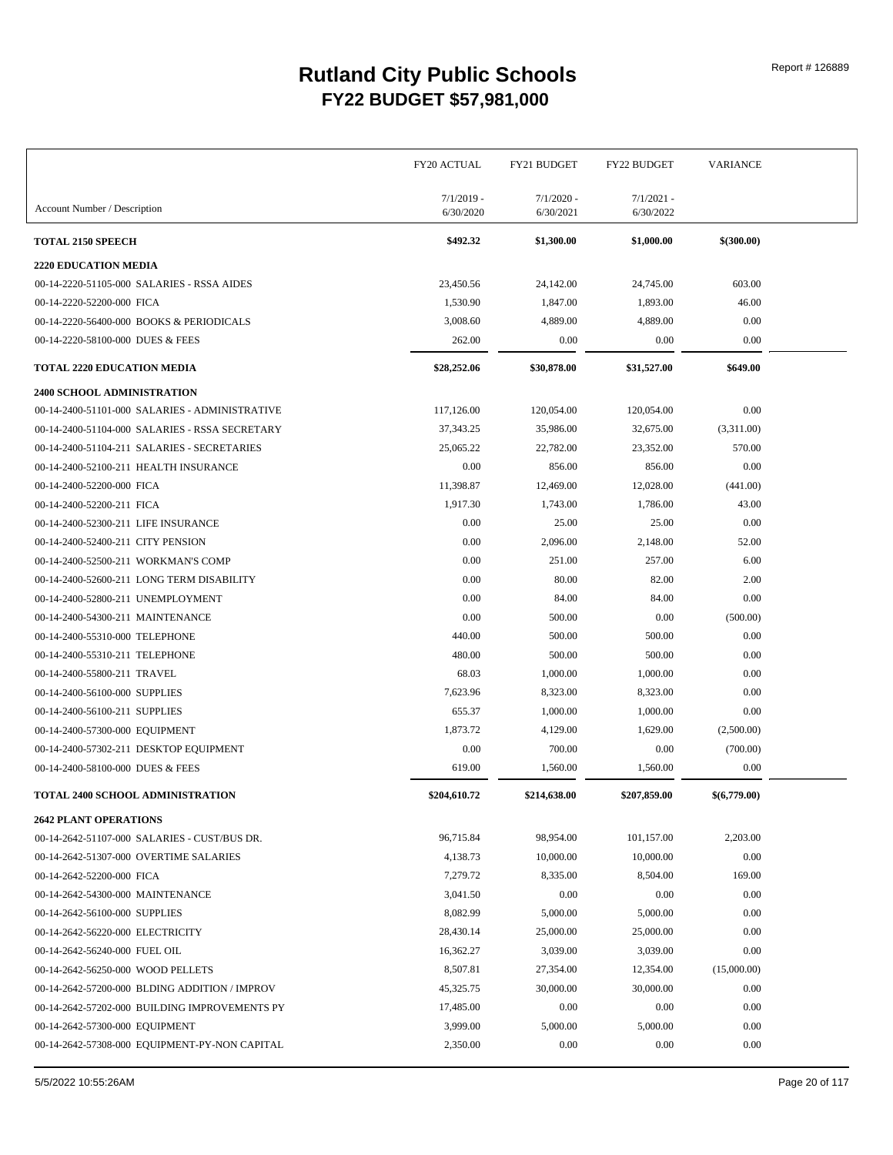|                                                | FY20 ACTUAL  | FY21 BUDGET  | <b>FY22 BUDGET</b> | <b>VARIANCE</b> |  |
|------------------------------------------------|--------------|--------------|--------------------|-----------------|--|
|                                                | $7/1/2019$ - | $7/1/2020$ - | $7/1/2021 -$       |                 |  |
| Account Number / Description                   | 6/30/2020    | 6/30/2021    | 6/30/2022          |                 |  |
| TOTAL 2150 SPEECH                              | \$492.32     | \$1,300.00   | \$1,000.00         | \$(300.00)      |  |
| <b>2220 EDUCATION MEDIA</b>                    |              |              |                    |                 |  |
| 00-14-2220-51105-000 SALARIES - RSSA AIDES     | 23,450.56    | 24,142.00    | 24,745.00          | 603.00          |  |
| 00-14-2220-52200-000 FICA                      | 1,530.90     | 1,847.00     | 1,893.00           | 46.00           |  |
| 00-14-2220-56400-000 BOOKS & PERIODICALS       | 3,008.60     | 4,889.00     | 4,889.00           | 0.00            |  |
| 00-14-2220-58100-000 DUES & FEES               | 262.00       | 0.00         | 0.00               | 0.00            |  |
| <b>TOTAL 2220 EDUCATION MEDIA</b>              | \$28,252.06  | \$30,878.00  | \$31,527.00        | \$649.00        |  |
| 2400 SCHOOL ADMINISTRATION                     |              |              |                    |                 |  |
| 00-14-2400-51101-000 SALARIES - ADMINISTRATIVE | 117,126.00   | 120,054.00   | 120,054.00         | 0.00            |  |
| 00-14-2400-51104-000 SALARIES - RSSA SECRETARY | 37, 343. 25  | 35,986.00    | 32,675.00          | (3,311.00)      |  |
| 00-14-2400-51104-211 SALARIES - SECRETARIES    | 25,065.22    | 22,782.00    | 23,352.00          | 570.00          |  |
| 00-14-2400-52100-211 HEALTH INSURANCE          | 0.00         | 856.00       | 856.00             | 0.00            |  |
| 00-14-2400-52200-000 FICA                      | 11,398.87    | 12,469.00    | 12,028.00          | (441.00)        |  |
| 00-14-2400-52200-211 FICA                      | 1,917.30     | 1,743.00     | 1,786.00           | 43.00           |  |
| 00-14-2400-52300-211 LIFE INSURANCE            | 0.00         | 25.00        | 25.00              | 0.00            |  |
| 00-14-2400-52400-211 CITY PENSION              | 0.00         | 2,096.00     | 2,148.00           | 52.00           |  |
| 00-14-2400-52500-211 WORKMAN'S COMP            | 0.00         | 251.00       | 257.00             | 6.00            |  |
| 00-14-2400-52600-211 LONG TERM DISABILITY      | 0.00         | 80.00        | 82.00              | 2.00            |  |
| 00-14-2400-52800-211 UNEMPLOYMENT              | 0.00         | 84.00        | 84.00              | 0.00            |  |
| 00-14-2400-54300-211 MAINTENANCE               | 0.00         | 500.00       | 0.00               | (500.00)        |  |
| 00-14-2400-55310-000 TELEPHONE                 | 440.00       | 500.00       | 500.00             | 0.00            |  |
| 00-14-2400-55310-211 TELEPHONE                 | 480.00       | 500.00       | 500.00             | 0.00            |  |
| 00-14-2400-55800-211 TRAVEL                    | 68.03        | 1,000.00     | 1,000.00           | 0.00            |  |
| 00-14-2400-56100-000 SUPPLIES                  | 7,623.96     | 8,323.00     | 8,323.00           | 0.00            |  |
| 00-14-2400-56100-211 SUPPLIES                  | 655.37       | 1,000.00     | 1,000.00           | 0.00            |  |
| 00-14-2400-57300-000 EQUIPMENT                 | 1,873.72     | 4,129.00     | 1,629.00           | (2,500.00)      |  |
| 00-14-2400-57302-211 DESKTOP EQUIPMENT         | 0.00         | 700.00       | 0.00               | (700.00)        |  |
| 00-14-2400-58100-000 DUES & FEES               | 619.00       | 1,560.00     | 1,560.00           | 0.00            |  |
| TOTAL 2400 SCHOOL ADMINISTRATION               | \$204,610.72 | \$214,638.00 | \$207,859.00       | \$(6,779.00)    |  |
| <b>2642 PLANT OPERATIONS</b>                   |              |              |                    |                 |  |
| 00-14-2642-51107-000 SALARIES - CUST/BUS DR.   | 96,715.84    | 98,954.00    | 101,157.00         | 2,203.00        |  |
| 00-14-2642-51307-000 OVERTIME SALARIES         | 4,138.73     | 10,000.00    | 10,000.00          | 0.00            |  |
| 00-14-2642-52200-000 FICA                      | 7,279.72     | 8,335.00     | 8,504.00           | 169.00          |  |
| 00-14-2642-54300-000 MAINTENANCE               | 3,041.50     | 0.00         | 0.00               | 0.00            |  |
| 00-14-2642-56100-000 SUPPLIES                  | 8,082.99     | 5,000.00     | 5,000.00           | 0.00            |  |
| 00-14-2642-56220-000 ELECTRICITY               | 28,430.14    | 25,000.00    | 25,000.00          | 0.00            |  |
| 00-14-2642-56240-000 FUEL OIL                  | 16,362.27    | 3,039.00     | 3,039.00           | 0.00            |  |
| 00-14-2642-56250-000 WOOD PELLETS              | 8,507.81     | 27,354.00    | 12,354.00          | (15,000.00)     |  |
| 00-14-2642-57200-000 BLDING ADDITION / IMPROV  | 45,325.75    | 30,000.00    | 30,000,00          | 0.00            |  |
| 00-14-2642-57202-000 BUILDING IMPROVEMENTS PY  | 17,485.00    | 0.00         | 0.00               | 0.00            |  |
| 00-14-2642-57300-000 EQUIPMENT                 | 3,999.00     | 5,000.00     | 5,000.00           | 0.00            |  |
| 00-14-2642-57308-000 EQUIPMENT-PY-NON CAPITAL  | 2,350.00     | 0.00         | $0.00\,$           | 0.00            |  |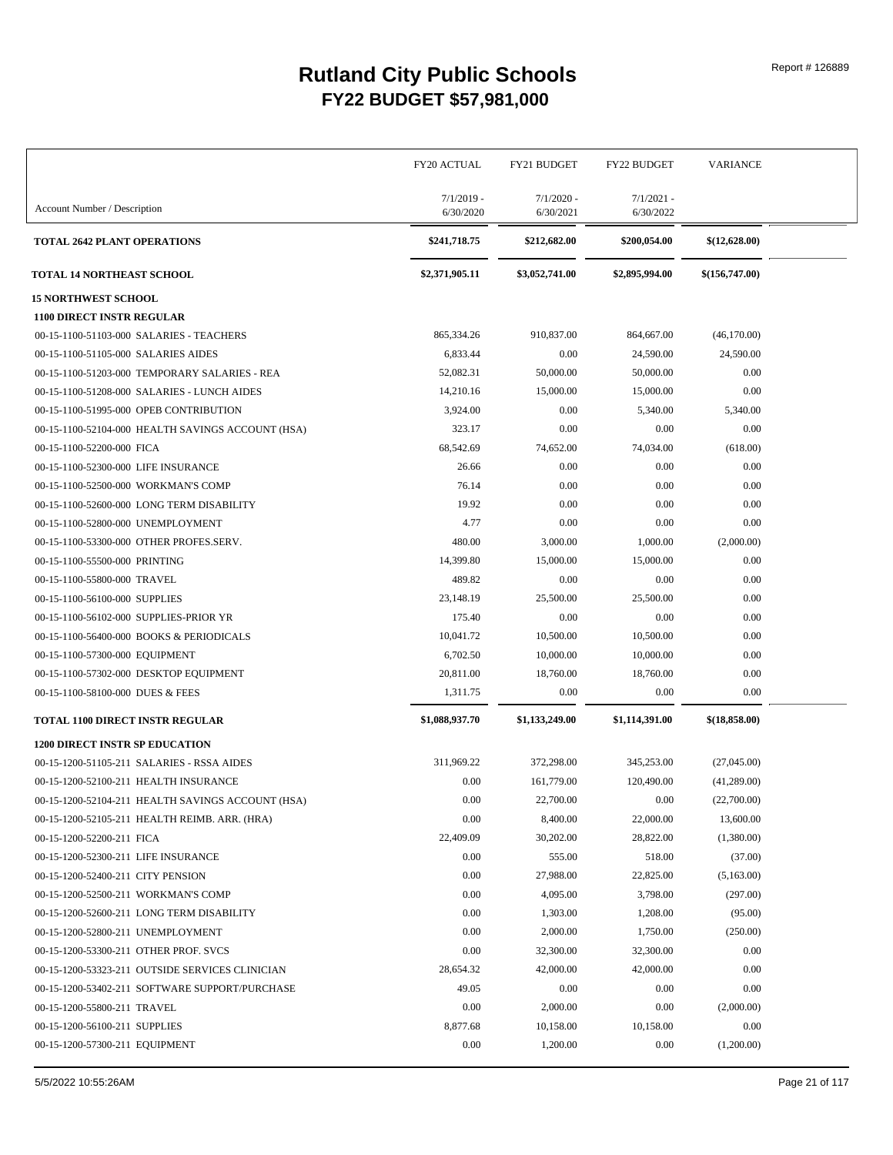|                                                   | FY20 ACTUAL               | <b>FY21 BUDGET</b>        | FY22 BUDGET               | <b>VARIANCE</b> |  |
|---------------------------------------------------|---------------------------|---------------------------|---------------------------|-----------------|--|
| Account Number / Description                      | $7/1/2019$ -<br>6/30/2020 | $7/1/2020$ -<br>6/30/2021 | $7/1/2021 -$<br>6/30/2022 |                 |  |
| <b>TOTAL 2642 PLANT OPERATIONS</b>                | \$241,718.75              | \$212,682.00              | \$200,054.00              | \$(12,628.00)   |  |
| <b>TOTAL 14 NORTHEAST SCHOOL</b>                  | \$2,371,905.11            | \$3,052,741.00            | \$2,895,994.00            | \$(156,747.00)  |  |
| <b>15 NORTHWEST SCHOOL</b>                        |                           |                           |                           |                 |  |
| <b>1100 DIRECT INSTR REGULAR</b>                  |                           |                           |                           |                 |  |
| 00-15-1100-51103-000 SALARIES - TEACHERS          | 865,334.26                | 910,837.00                | 864,667.00                | (46,170.00)     |  |
| 00-15-1100-51105-000 SALARIES AIDES               | 6,833.44                  | 0.00                      | 24,590.00                 | 24,590.00       |  |
| 00-15-1100-51203-000 TEMPORARY SALARIES - REA     | 52,082.31                 | 50,000.00                 | 50,000.00                 | 0.00            |  |
| 00-15-1100-51208-000 SALARIES - LUNCH AIDES       | 14,210.16                 | 15,000.00                 | 15,000.00                 | 0.00            |  |
| 00-15-1100-51995-000 OPEB CONTRIBUTION            | 3,924.00                  | 0.00                      | 5,340.00                  | 5,340.00        |  |
| 00-15-1100-52104-000 HEALTH SAVINGS ACCOUNT (HSA) | 323.17                    | 0.00                      | 0.00                      | 0.00            |  |
| 00-15-1100-52200-000 FICA                         | 68,542.69                 | 74,652.00                 | 74,034.00                 | (618.00)        |  |
| 00-15-1100-52300-000 LIFE INSURANCE               | 26.66                     | 0.00                      | 0.00                      | 0.00            |  |
| 00-15-1100-52500-000 WORKMAN'S COMP               | 76.14                     | 0.00                      | 0.00                      | 0.00            |  |
| 00-15-1100-52600-000 LONG TERM DISABILITY         | 19.92                     | 0.00                      | 0.00                      | 0.00            |  |
| 00-15-1100-52800-000 UNEMPLOYMENT                 | 4.77                      | 0.00                      | 0.00                      | 0.00            |  |
| 00-15-1100-53300-000 OTHER PROFES.SERV.           | 480.00                    | 3,000.00                  | 1,000.00                  | (2,000.00)      |  |
| 00-15-1100-55500-000 PRINTING                     | 14,399.80                 | 15,000.00                 | 15,000.00                 | 0.00            |  |
| 00-15-1100-55800-000 TRAVEL                       | 489.82                    | 0.00                      | 0.00                      | 0.00            |  |
| 00-15-1100-56100-000 SUPPLIES                     | 23,148.19                 | 25,500.00                 | 25,500.00                 | 0.00            |  |
| 00-15-1100-56102-000 SUPPLIES-PRIOR YR            | 175.40                    | $0.00\,$                  | 0.00                      | 0.00            |  |
| 00-15-1100-56400-000 BOOKS & PERIODICALS          | 10,041.72                 | 10,500.00                 | 10,500.00                 | 0.00            |  |
| 00-15-1100-57300-000 EQUIPMENT                    | 6,702.50                  | 10,000.00                 | 10,000.00                 | 0.00            |  |
| 00-15-1100-57302-000 DESKTOP EQUIPMENT            | 20,811.00                 | 18,760.00                 | 18,760.00                 | 0.00            |  |
| 00-15-1100-58100-000 DUES & FEES                  | 1,311.75                  | 0.00                      | 0.00                      | 0.00            |  |
| <b>TOTAL 1100 DIRECT INSTR REGULAR</b>            | \$1,088,937.70            | \$1,133,249.00            | \$1,114,391.00            | \$(18,858.00)   |  |
| <b>1200 DIRECT INSTR SP EDUCATION</b>             |                           |                           |                           |                 |  |
| 00-15-1200-51105-211 SALARIES - RSSA AIDES        | 311,969.22                | 372,298.00                | 345,253.00                | (27,045.00)     |  |
| 00-15-1200-52100-211 HEALTH INSURANCE             | 0.00                      | 161,779.00                | 120,490.00                | (41,289.00)     |  |
| 00-15-1200-52104-211 HEALTH SAVINGS ACCOUNT (HSA) | 0.00                      | 22,700.00                 | 0.00                      | (22,700.00)     |  |
| 00-15-1200-52105-211 HEALTH REIMB. ARR. (HRA)     | 0.00                      | 8,400.00                  | 22,000.00                 | 13,600.00       |  |
| 00-15-1200-52200-211 FICA                         | 22,409.09                 | 30,202.00                 | 28,822.00                 | (1,380.00)      |  |
| 00-15-1200-52300-211 LIFE INSURANCE               | 0.00                      | 555.00                    | 518.00                    | (37.00)         |  |
| 00-15-1200-52400-211 CITY PENSION                 | 0.00                      | 27,988.00                 | 22,825.00                 | (5,163.00)      |  |
| 00-15-1200-52500-211 WORKMAN'S COMP               | 0.00                      | 4,095.00                  | 3,798.00                  | (297.00)        |  |
| 00-15-1200-52600-211 LONG TERM DISABILITY         | 0.00                      | 1,303.00                  | 1,208.00                  | (95.00)         |  |
| 00-15-1200-52800-211 UNEMPLOYMENT                 | 0.00                      | 2,000.00                  | 1,750.00                  | (250.00)        |  |
| 00-15-1200-53300-211 OTHER PROF. SVCS             | 0.00                      | 32,300.00                 | 32,300.00                 | 0.00            |  |
| 00-15-1200-53323-211 OUTSIDE SERVICES CLINICIAN   | 28,654.32                 | 42,000.00                 | 42,000.00                 | 0.00            |  |
| 00-15-1200-53402-211 SOFTWARE SUPPORT/PURCHASE    | 49.05                     | 0.00                      | $0.00\,$                  | 0.00            |  |
| 00-15-1200-55800-211 TRAVEL                       | 0.00                      | 2,000.00                  | 0.00                      | (2,000.00)      |  |
| 00-15-1200-56100-211 SUPPLIES                     | 8,877.68                  | 10,158.00                 | 10,158.00                 | 0.00            |  |
| 00-15-1200-57300-211 EQUIPMENT                    | 0.00                      | 1,200.00                  | 0.00                      | (1,200.00)      |  |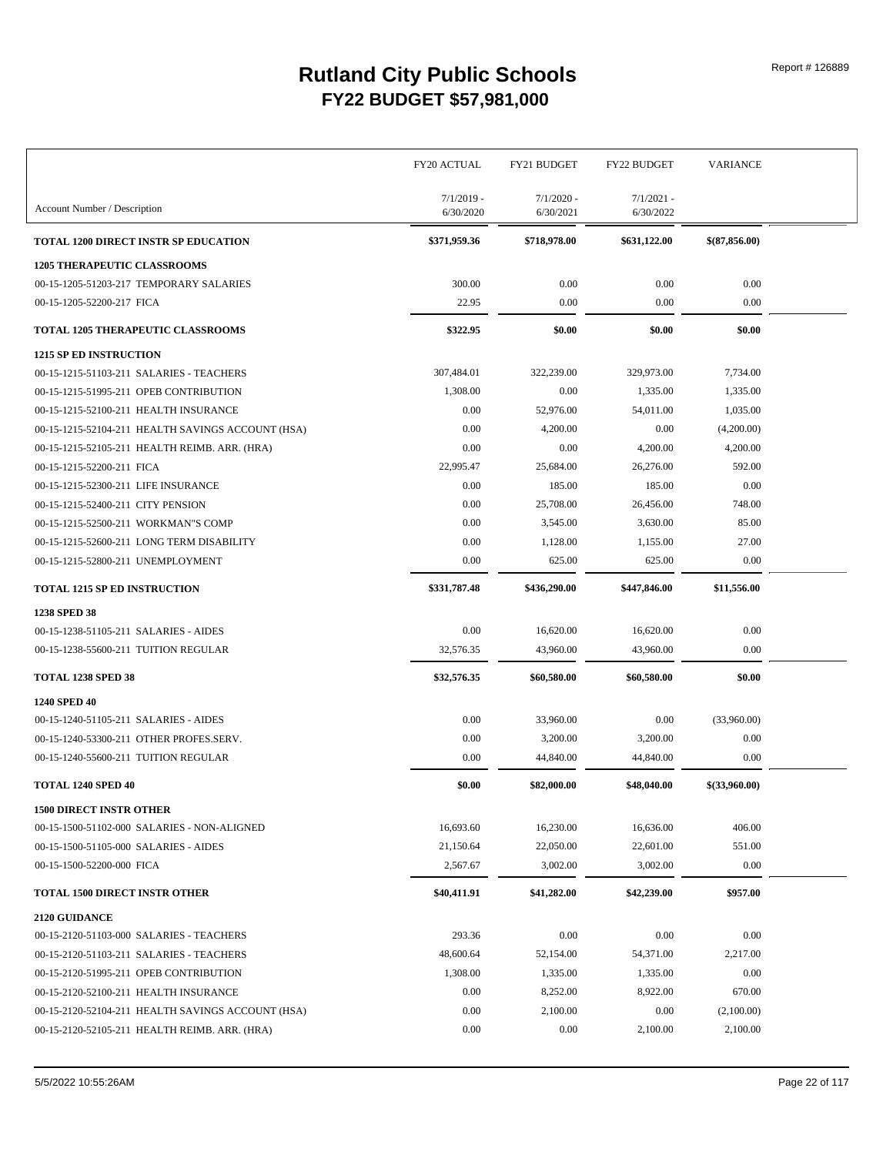| <b>FY20 ACTUAL</b><br>FY21 BUDGET<br><b>FY22 BUDGET</b><br><b>VARIANCE</b>                                   |        |
|--------------------------------------------------------------------------------------------------------------|--------|
| $7/1/2019$ -<br>$7/1/2020$ -<br>$7/1/2021 -$                                                                 |        |
| Account Number / Description<br>6/30/2020<br>6/30/2021<br>6/30/2022                                          |        |
| <b>TOTAL 1200 DIRECT INSTR SP EDUCATION</b><br>\$(87,856.00)<br>\$371,959.36<br>\$718,978.00<br>\$631,122.00 |        |
| <b>1205 THERAPEUTIC CLASSROOMS</b>                                                                           |        |
| 300.00<br>0.00<br>0.00<br>00-15-1205-51203-217 TEMPORARY SALARIES                                            | 0.00   |
| 22.95<br>0.00<br>0.00<br>00-15-1205-52200-217 FICA                                                           | 0.00   |
| \$322.95<br>\$0.00<br>\$0.00<br><b>TOTAL 1205 THERAPEUTIC CLASSROOMS</b>                                     | \$0.00 |
| <b>1215 SP ED INSTRUCTION</b>                                                                                |        |
| 307,484.01<br>322,239.00<br>329,973.00<br>7,734.00<br>00-15-1215-51103-211 SALARIES - TEACHERS               |        |
| 1,308.00<br>0.00<br>00-15-1215-51995-211 OPEB CONTRIBUTION<br>1,335.00<br>1,335.00                           |        |
| 00-15-1215-52100-211 HEALTH INSURANCE<br>0.00<br>52,976.00<br>54,011.00<br>1,035.00                          |        |
| 0.00<br>4,200.00<br>0.00<br>(4,200.00)<br>00-15-1215-52104-211 HEALTH SAVINGS ACCOUNT (HSA)                  |        |
| 0.00<br>0.00<br>4,200.00<br>4,200.00<br>00-15-1215-52105-211 HEALTH REIMB. ARR. (HRA)                        |        |
| 22,995.47<br>25,684.00<br>26,276.00<br>00-15-1215-52200-211 FICA                                             | 592.00 |
| 0.00<br>185.00<br>185.00<br>00-15-1215-52300-211 LIFE INSURANCE                                              | 0.00   |
| 0.00<br>25,708.00<br>26,456.00<br>00-15-1215-52400-211 CITY PENSION                                          | 748.00 |
| 0.00<br>3,545.00<br>3,630.00<br>00-15-1215-52500-211 WORKMAN"S COMP                                          | 85.00  |
| 0.00<br>1,128.00<br>00-15-1215-52600-211 LONG TERM DISABILITY<br>1,155.00                                    | 27.00  |
| 0.00<br>625.00<br>625.00<br>00-15-1215-52800-211 UNEMPLOYMENT                                                | 0.00   |
| <b>TOTAL 1215 SP ED INSTRUCTION</b><br>\$331,787.48<br>\$436,290.00<br>\$447,846.00<br>\$11,556.00           |        |
| <b>1238 SPED 38</b>                                                                                          |        |
| 0.00<br>16,620.00<br>00-15-1238-51105-211 SALARIES - AIDES<br>16,620.00                                      | 0.00   |
| 32,576.35<br>43,960.00<br>43,960.00<br>00-15-1238-55600-211 TUITION REGULAR                                  | 0.00   |
| \$32,576.35<br>\$60,580.00<br>\$60,580.00<br><b>TOTAL 1238 SPED 38</b>                                       | \$0.00 |
| <b>1240 SPED 40</b>                                                                                          |        |
| 0.00<br>33,960.00<br>0.00<br>00-15-1240-51105-211 SALARIES - AIDES<br>(33,960.00)                            |        |
| 0.00<br>3,200.00<br>3,200.00<br>00-15-1240-53300-211 OTHER PROFES.SERV.                                      | 0.00   |
| 0.00<br>00-15-1240-55600-211 TUITION REGULAR<br>44,840.00<br>44,840.00                                       | 0.00   |
| \$0.00<br>\$82,000.00<br>\$48,040.00<br>$$$ (33,960.00)<br><b>TOTAL 1240 SPED 40</b>                         |        |
| <b>1500 DIRECT INSTR OTHER</b>                                                                               |        |
| 16,693.60<br>16,230.00<br>16,636.00<br>00-15-1500-51102-000 SALARIES - NON-ALIGNED                           | 406.00 |
| 21,150.64<br>22,050.00<br>22,601.00<br>00-15-1500-51105-000 SALARIES - AIDES                                 | 551.00 |
| 2,567.67<br>3,002.00<br>3,002.00<br>00-15-1500-52200-000 FICA                                                | 0.00   |
| \$40,411.91<br>\$41,282.00<br>\$42,239.00<br>\$957.00<br><b>TOTAL 1500 DIRECT INSTR OTHER</b>                |        |
| <b>2120 GUIDANCE</b>                                                                                         |        |
| 293.36<br>0.00<br>0.00<br>00-15-2120-51103-000 SALARIES - TEACHERS                                           | 0.00   |
| 48,600.64<br>2,217.00<br>52,154.00<br>54,371.00<br>00-15-2120-51103-211 SALARIES - TEACHERS                  |        |
| 00-15-2120-51995-211 OPEB CONTRIBUTION<br>1,308.00<br>1,335.00<br>1,335.00                                   | 0.00   |
| 0.00<br>00-15-2120-52100-211 HEALTH INSURANCE<br>8,252.00<br>8,922.00                                        | 670.00 |
|                                                                                                              |        |
| 0.00<br>00-15-2120-52104-211 HEALTH SAVINGS ACCOUNT (HSA)<br>2,100.00<br>$0.00\,$<br>(2,100.00)              |        |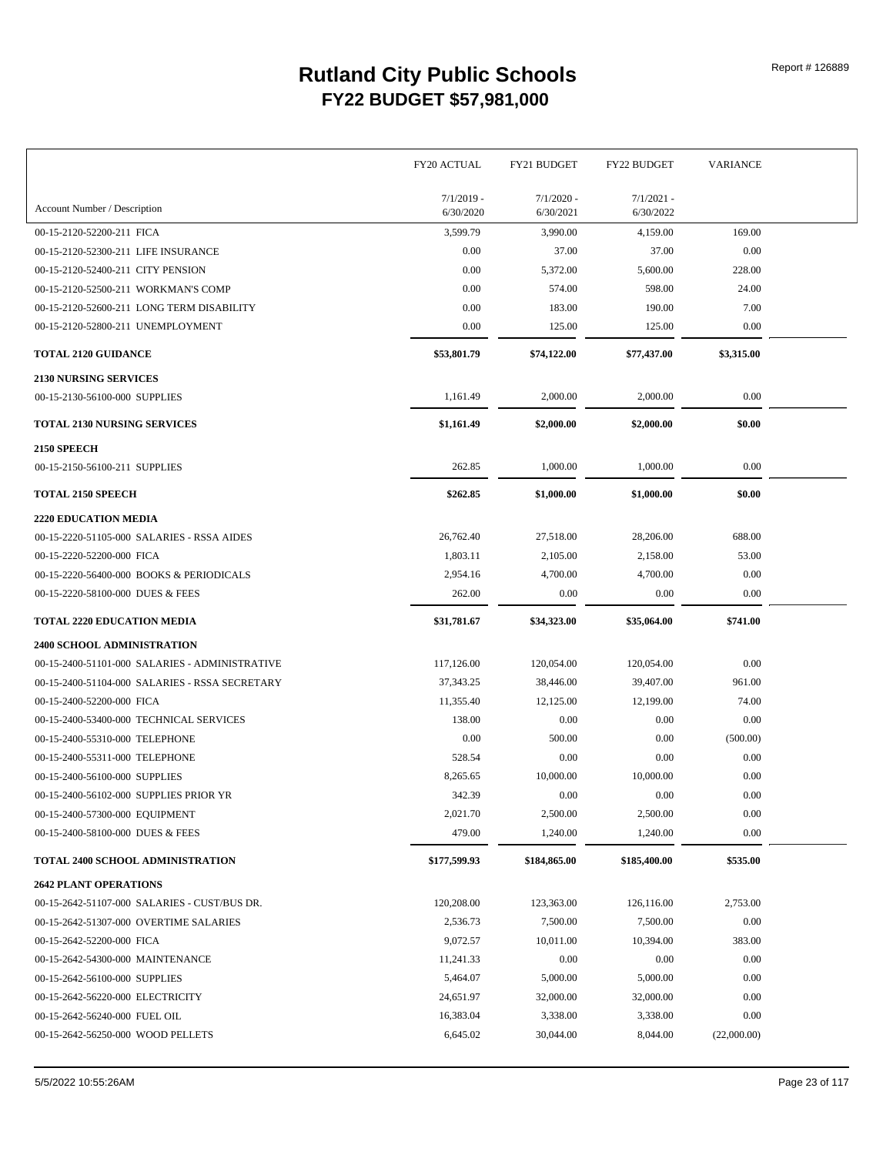|                                                | <b>FY20 ACTUAL</b> | FY21 BUDGET  | FY22 BUDGET  | <b>VARIANCE</b> |  |
|------------------------------------------------|--------------------|--------------|--------------|-----------------|--|
|                                                | $7/1/2019$ -       | $7/1/2020$ - | $7/1/2021 -$ |                 |  |
| Account Number / Description                   | 6/30/2020          | 6/30/2021    | 6/30/2022    |                 |  |
| 00-15-2120-52200-211 FICA                      | 3,599.79           | 3,990.00     | 4,159.00     | 169.00          |  |
| 00-15-2120-52300-211 LIFE INSURANCE            | 0.00               | 37.00        | 37.00        | 0.00            |  |
| 00-15-2120-52400-211 CITY PENSION              | 0.00               | 5,372.00     | 5,600.00     | 228.00          |  |
| 00-15-2120-52500-211 WORKMAN'S COMP            | 0.00               | 574.00       | 598.00       | 24.00           |  |
| 00-15-2120-52600-211 LONG TERM DISABILITY      | 0.00               | 183.00       | 190.00       | 7.00            |  |
| 00-15-2120-52800-211 UNEMPLOYMENT              | 0.00               | 125.00       | 125.00       | 0.00            |  |
| <b>TOTAL 2120 GUIDANCE</b>                     | \$53,801.79        | \$74,122.00  | \$77,437.00  | \$3,315.00      |  |
| <b>2130 NURSING SERVICES</b>                   |                    |              |              |                 |  |
| 00-15-2130-56100-000 SUPPLIES                  | 1,161.49           | 2,000.00     | 2,000.00     | 0.00            |  |
| <b>TOTAL 2130 NURSING SERVICES</b>             | \$1,161.49         | \$2,000.00   | \$2,000.00   | \$0.00          |  |
| 2150 SPEECH                                    |                    |              |              |                 |  |
| 00-15-2150-56100-211 SUPPLIES                  | 262.85             | 1,000.00     | 1,000.00     | 0.00            |  |
| <b>TOTAL 2150 SPEECH</b>                       | \$262.85           | \$1,000.00   | \$1,000.00   | \$0.00          |  |
| <b>2220 EDUCATION MEDIA</b>                    |                    |              |              |                 |  |
| 00-15-2220-51105-000 SALARIES - RSSA AIDES     | 26,762.40          | 27,518.00    | 28,206.00    | 688.00          |  |
| 00-15-2220-52200-000 FICA                      | 1,803.11           | 2,105.00     | 2,158.00     | 53.00           |  |
| 00-15-2220-56400-000 BOOKS & PERIODICALS       | 2,954.16           | 4,700.00     | 4,700.00     | 0.00            |  |
| 00-15-2220-58100-000 DUES & FEES               | 262.00             | 0.00         | 0.00         | 0.00            |  |
|                                                |                    |              |              |                 |  |
| TOTAL 2220 EDUCATION MEDIA                     | \$31,781.67        | \$34,323.00  | \$35,064.00  | \$741.00        |  |
| <b>2400 SCHOOL ADMINISTRATION</b>              |                    |              |              |                 |  |
| 00-15-2400-51101-000 SALARIES - ADMINISTRATIVE | 117,126.00         | 120,054.00   | 120,054.00   | 0.00            |  |
| 00-15-2400-51104-000 SALARIES - RSSA SECRETARY | 37, 343. 25        | 38,446.00    | 39,407.00    | 961.00          |  |
| 00-15-2400-52200-000 FICA                      | 11,355.40          | 12,125.00    | 12,199.00    | 74.00           |  |
| 00-15-2400-53400-000 TECHNICAL SERVICES        | 138.00             | 0.00         | 0.00         | 0.00            |  |
| 00-15-2400-55310-000 TELEPHONE                 | 0.00               | 500.00       | 0.00         | (500.00)        |  |
| 00-15-2400-55311-000 TELEPHONE                 | 528.54             | 0.00         | 0.00         | 0.00            |  |
| 00-15-2400-56100-000 SUPPLIES                  | 8,265.65           | 10,000.00    | 10,000.00    | 0.00            |  |
| 00-15-2400-56102-000 SUPPLIES PRIOR YR         | 342.39             | 0.00         | 0.00         | 0.00            |  |
| 00-15-2400-57300-000 EQUIPMENT                 | 2,021.70           | 2,500.00     | 2,500.00     | 0.00            |  |
| 00-15-2400-58100-000 DUES & FEES               | 479.00             | 1,240.00     | 1,240.00     | 0.00            |  |
| TOTAL 2400 SCHOOL ADMINISTRATION               | \$177,599.93       | \$184,865.00 | \$185,400.00 | \$535.00        |  |
| <b>2642 PLANT OPERATIONS</b>                   |                    |              |              |                 |  |
| 00-15-2642-51107-000 SALARIES - CUST/BUS DR.   | 120,208.00         | 123,363.00   | 126,116.00   | 2,753.00        |  |
| 00-15-2642-51307-000 OVERTIME SALARIES         | 2,536.73           | 7,500.00     | 7,500.00     | 0.00            |  |
| 00-15-2642-52200-000 FICA                      | 9,072.57           | 10,011.00    | 10,394.00    | 383.00          |  |
| 00-15-2642-54300-000 MAINTENANCE               | 11,241.33          | 0.00         | 0.00         | 0.00            |  |
| 00-15-2642-56100-000 SUPPLIES                  | 5,464.07           | 5,000.00     | 5,000.00     | 0.00            |  |
| 00-15-2642-56220-000 ELECTRICITY               | 24,651.97          | 32,000.00    | 32,000.00    | 0.00            |  |
| 00-15-2642-56240-000 FUEL OIL                  | 16,383.04          | 3,338.00     | 3,338.00     | 0.00            |  |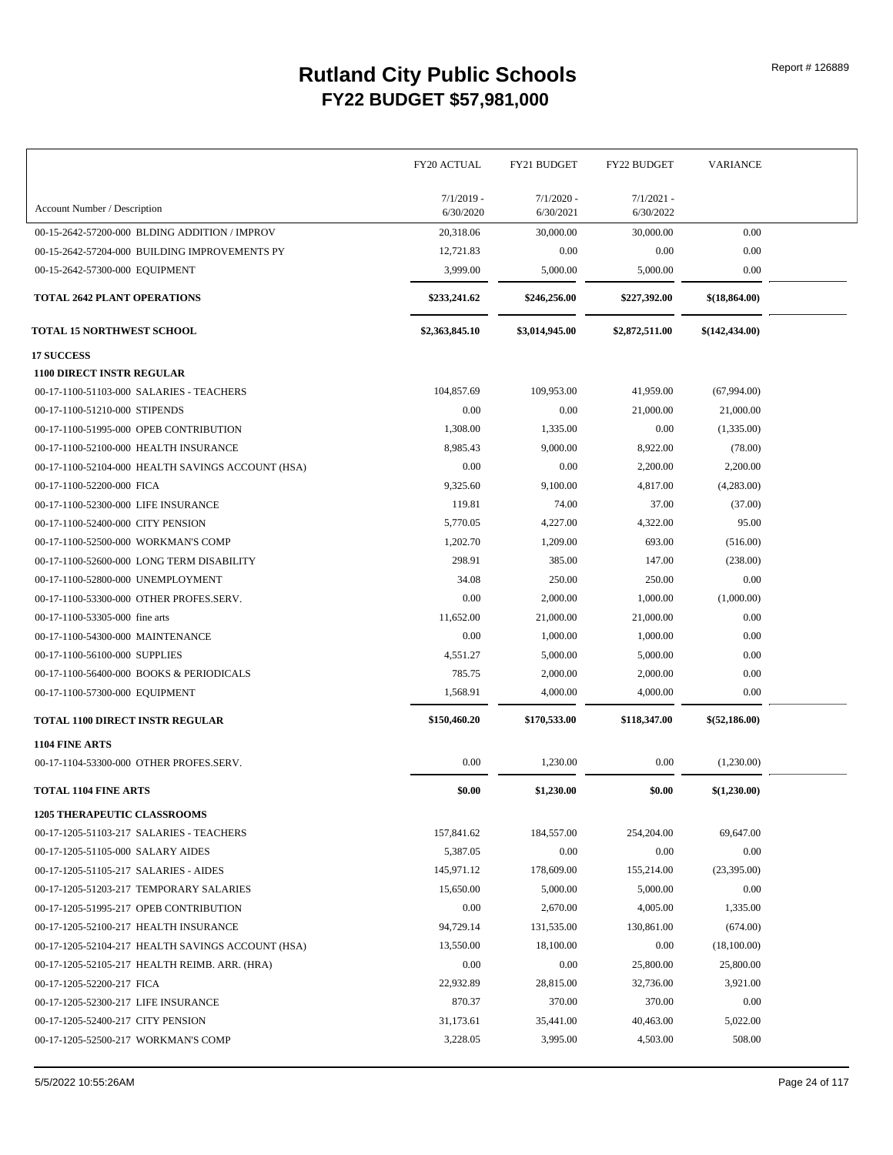|                                                   | <b>FY20 ACTUAL</b>        | <b>FY21 BUDGET</b>        | <b>FY22 BUDGET</b>        | <b>VARIANCE</b> |  |
|---------------------------------------------------|---------------------------|---------------------------|---------------------------|-----------------|--|
| Account Number / Description                      | $7/1/2019$ -<br>6/30/2020 | $7/1/2020$ -<br>6/30/2021 | $7/1/2021$ -<br>6/30/2022 |                 |  |
| 00-15-2642-57200-000 BLDING ADDITION / IMPROV     | 20,318.06                 | 30,000.00                 | 30,000.00                 | 0.00            |  |
| 00-15-2642-57204-000 BUILDING IMPROVEMENTS PY     | 12,721.83                 | 0.00                      | 0.00                      | 0.00            |  |
| 00-15-2642-57300-000 EQUIPMENT                    | 3,999.00                  | 5,000.00                  | 5,000.00                  | 0.00            |  |
| <b>TOTAL 2642 PLANT OPERATIONS</b>                | \$233,241.62              | \$246,256.00              | \$227,392.00              | \$(18,864.00)   |  |
| <b>TOTAL 15 NORTHWEST SCHOOL</b>                  | \$2,363,845.10            | \$3,014,945.00            | \$2,872,511.00            | \$(142,434.00)  |  |
| <b>17 SUCCESS</b>                                 |                           |                           |                           |                 |  |
| <b>1100 DIRECT INSTR REGULAR</b>                  |                           |                           |                           |                 |  |
| 00-17-1100-51103-000 SALARIES - TEACHERS          | 104,857.69                | 109,953.00                | 41,959.00                 | (67,994.00)     |  |
| 00-17-1100-51210-000 STIPENDS                     | 0.00                      | 0.00                      | 21,000.00                 | 21,000.00       |  |
| 00-17-1100-51995-000 OPEB CONTRIBUTION            | 1,308.00                  | 1,335.00                  | 0.00                      | (1,335.00)      |  |
| 00-17-1100-52100-000 HEALTH INSURANCE             | 8,985.43                  | 9,000.00                  | 8,922.00                  | (78.00)         |  |
| 00-17-1100-52104-000 HEALTH SAVINGS ACCOUNT (HSA) | 0.00                      | 0.00                      | 2,200.00                  | 2,200.00        |  |
| 00-17-1100-52200-000 FICA                         | 9,325.60                  | 9,100.00                  | 4,817.00                  | (4,283.00)      |  |
| 00-17-1100-52300-000 LIFE INSURANCE               | 119.81                    | 74.00                     | 37.00                     | (37.00)         |  |
| 00-17-1100-52400-000 CITY PENSION                 | 5,770.05                  | 4,227.00                  | 4,322.00                  | 95.00           |  |
| 00-17-1100-52500-000 WORKMAN'S COMP               | 1,202.70                  | 1,209.00                  | 693.00                    | (516.00)        |  |
| 00-17-1100-52600-000 LONG TERM DISABILITY         | 298.91                    | 385.00                    | 147.00                    | (238.00)        |  |
| 00-17-1100-52800-000 UNEMPLOYMENT                 | 34.08                     | 250.00                    | 250.00                    | 0.00            |  |
| 00-17-1100-53300-000 OTHER PROFES.SERV.           | 0.00                      | 2,000.00                  | 1,000.00                  | (1,000.00)      |  |
| 00-17-1100-53305-000 fine arts                    | 11,652.00                 | 21,000.00                 | 21,000.00                 | 0.00            |  |
| 00-17-1100-54300-000 MAINTENANCE                  | 0.00                      | 1,000.00                  | 1,000.00                  | 0.00            |  |
| 00-17-1100-56100-000 SUPPLIES                     | 4,551.27                  | 5,000.00                  | 5,000.00                  | 0.00            |  |
| 00-17-1100-56400-000 BOOKS & PERIODICALS          | 785.75                    | 2,000.00                  | 2,000.00                  | 0.00            |  |
| 00-17-1100-57300-000 EQUIPMENT                    | 1,568.91                  | 4,000.00                  | 4,000.00                  | 0.00            |  |
| <b>TOTAL 1100 DIRECT INSTR REGULAR</b>            | \$150,460.20              | \$170,533.00              | \$118,347.00              | \$(52,186.00)   |  |
| 1104 FINE ARTS                                    |                           |                           |                           |                 |  |
| 00-17-1104-53300-000 OTHER PROFES.SERV.           | 0.00                      | 1,230.00                  | 0.00                      | (1,230.00)      |  |
| <b>TOTAL 1104 FINE ARTS</b>                       | \$0.00                    | \$1,230.00                | \$0.00                    | \$(1,230.00)    |  |
| <b>1205 THERAPEUTIC CLASSROOMS</b>                |                           |                           |                           |                 |  |
| 00-17-1205-51103-217 SALARIES - TEACHERS          | 157,841.62                | 184,557.00                | 254,204.00                | 69,647.00       |  |
| 00-17-1205-51105-000 SALARY AIDES                 | 5,387.05                  | 0.00                      | $0.00\,$                  | 0.00            |  |
| 00-17-1205-51105-217 SALARIES - AIDES             | 145,971.12                | 178,609.00                | 155,214.00                | (23,395.00)     |  |
| 00-17-1205-51203-217 TEMPORARY SALARIES           | 15,650.00                 | 5,000.00                  | 5,000.00                  | 0.00            |  |
| 00-17-1205-51995-217 OPEB CONTRIBUTION            | 0.00                      | 2,670.00                  | 4,005.00                  | 1,335.00        |  |
| 00-17-1205-52100-217 HEALTH INSURANCE             | 94,729.14                 | 131,535.00                | 130,861.00                | (674.00)        |  |
| 00-17-1205-52104-217 HEALTH SAVINGS ACCOUNT (HSA) | 13,550.00                 | 18,100.00                 | 0.00                      | (18,100.00)     |  |
| 00-17-1205-52105-217 HEALTH REIMB. ARR. (HRA)     | 0.00                      | 0.00                      | 25,800.00                 | 25,800.00       |  |
| 00-17-1205-52200-217 FICA                         | 22,932.89                 | 28,815.00                 | 32,736.00                 | 3,921.00        |  |
| 00-17-1205-52300-217 LIFE INSURANCE               | 870.37                    | 370.00                    | 370.00                    | 0.00            |  |
| 00-17-1205-52400-217 CITY PENSION                 | 31,173.61                 | 35,441.00                 | 40,463.00                 | 5,022.00        |  |
| 00-17-1205-52500-217 WORKMAN'S COMP               | 3,228.05                  | 3,995.00                  | 4,503.00                  | 508.00          |  |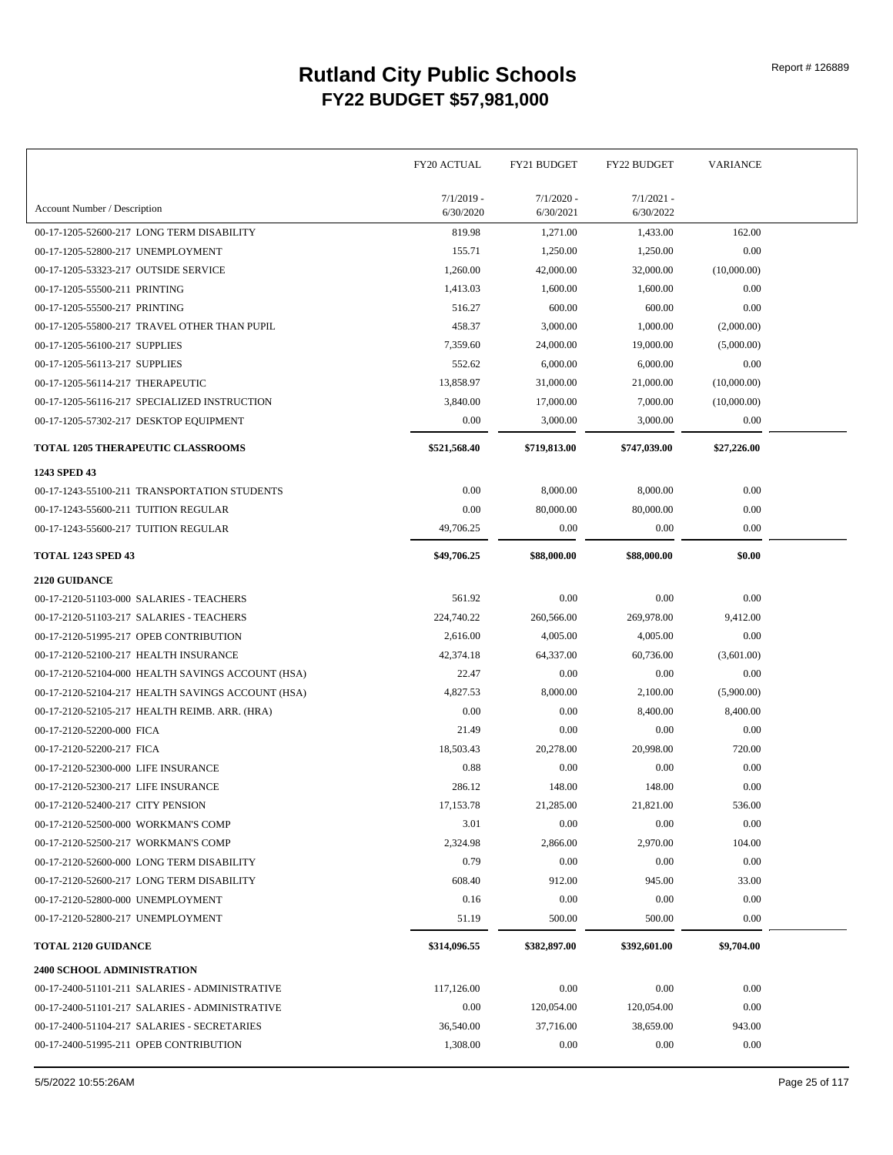|                                                   | FY20 ACTUAL               | <b>FY21 BUDGET</b>        | <b>FY22 BUDGET</b>        | <b>VARIANCE</b> |  |
|---------------------------------------------------|---------------------------|---------------------------|---------------------------|-----------------|--|
| Account Number / Description                      | $7/1/2019$ -<br>6/30/2020 | $7/1/2020$ -<br>6/30/2021 | $7/1/2021 -$<br>6/30/2022 |                 |  |
| 00-17-1205-52600-217 LONG TERM DISABILITY         | 819.98                    | 1,271.00                  | 1,433.00                  | 162.00          |  |
| 00-17-1205-52800-217 UNEMPLOYMENT                 | 155.71                    | 1,250.00                  | 1,250.00                  | 0.00            |  |
| 00-17-1205-53323-217 OUTSIDE SERVICE              | 1,260.00                  | 42,000.00                 | 32,000.00                 | (10,000.00)     |  |
| 00-17-1205-55500-211 PRINTING                     | 1,413.03                  | 1,600.00                  | 1,600.00                  | 0.00            |  |
| 00-17-1205-55500-217 PRINTING                     | 516.27                    | 600.00                    | 600.00                    | 0.00            |  |
| 00-17-1205-55800-217 TRAVEL OTHER THAN PUPIL      | 458.37                    | 3,000.00                  | 1,000.00                  | (2,000.00)      |  |
| 00-17-1205-56100-217 SUPPLIES                     | 7,359.60                  | 24,000.00                 | 19,000.00                 | (5,000.00)      |  |
| 00-17-1205-56113-217 SUPPLIES                     | 552.62                    | 6,000.00                  | 6,000.00                  | 0.00            |  |
| 00-17-1205-56114-217 THERAPEUTIC                  | 13,858.97                 | 31,000.00                 | 21,000.00                 | (10,000.00)     |  |
| 00-17-1205-56116-217 SPECIALIZED INSTRUCTION      | 3,840.00                  | 17,000.00                 | 7,000.00                  | (10,000.00)     |  |
| 00-17-1205-57302-217 DESKTOP EQUIPMENT            | 0.00                      | 3,000.00                  | 3,000.00                  | 0.00            |  |
| <b>TOTAL 1205 THERAPEUTIC CLASSROOMS</b>          | \$521,568.40              | \$719,813.00              | \$747,039.00              | \$27,226.00     |  |
| 1243 SPED 43                                      |                           |                           |                           |                 |  |
| 00-17-1243-55100-211 TRANSPORTATION STUDENTS      | 0.00                      | 8,000.00                  | 8,000.00                  | 0.00            |  |
| 00-17-1243-55600-211 TUITION REGULAR              | 0.00                      | 80,000.00                 | 80,000.00                 | 0.00            |  |
| 00-17-1243-55600-217 TUITION REGULAR              | 49,706.25                 | 0.00                      | 0.00                      | 0.00            |  |
| <b>TOTAL 1243 SPED 43</b>                         | \$49,706.25               | \$88,000.00               | \$88,000.00               | \$0.00          |  |
| <b>2120 GUIDANCE</b>                              |                           |                           |                           |                 |  |
| 00-17-2120-51103-000 SALARIES - TEACHERS          | 561.92                    | 0.00                      | 0.00                      | 0.00            |  |
| 00-17-2120-51103-217 SALARIES - TEACHERS          | 224,740.22                | 260,566.00                | 269,978.00                | 9,412.00        |  |
| 00-17-2120-51995-217 OPEB CONTRIBUTION            | 2,616.00                  | 4,005.00                  | 4,005.00                  | 0.00            |  |
| 00-17-2120-52100-217 HEALTH INSURANCE             | 42,374.18                 | 64,337.00                 | 60,736.00                 | (3,601.00)      |  |
| 00-17-2120-52104-000 HEALTH SAVINGS ACCOUNT (HSA) | 22.47                     | 0.00                      | 0.00                      | 0.00            |  |
| 00-17-2120-52104-217 HEALTH SAVINGS ACCOUNT (HSA) | 4,827.53                  | 8,000.00                  | 2,100.00                  | (5,900.00)      |  |
| 00-17-2120-52105-217 HEALTH REIMB. ARR. (HRA)     | 0.00                      | 0.00                      | 8,400.00                  | 8,400.00        |  |
| 00-17-2120-52200-000 FICA                         | 21.49                     | 0.00                      | 0.00                      | 0.00            |  |
| 00-17-2120-52200-217 FICA                         | 18,503.43                 | 20,278.00                 | 20,998.00                 | 720.00          |  |
| 00-17-2120-52300-000 LIFE INSURANCE               | 0.88                      | 0.00                      | 0.00                      | 0.00            |  |
| 00-17-2120-52300-217 LIFE INSURANCE               | 286.12                    | 148.00                    | 148.00                    | 0.00            |  |
| 00-17-2120-52400-217 CITY PENSION                 | 17,153.78                 | 21,285.00                 | 21,821.00                 | 536.00          |  |
| 00-17-2120-52500-000 WORKMAN'S COMP               | 3.01                      | 0.00                      | 0.00                      | 0.00            |  |
| 00-17-2120-52500-217 WORKMAN'S COMP               | 2,324.98                  | 2,866.00                  | 2,970.00                  | 104.00          |  |
| 00-17-2120-52600-000 LONG TERM DISABILITY         | 0.79                      | 0.00                      | 0.00                      | 0.00            |  |
| 00-17-2120-52600-217 LONG TERM DISABILITY         | 608.40                    | 912.00                    | 945.00                    | 33.00           |  |
| 00-17-2120-52800-000 UNEMPLOYMENT                 | 0.16                      | 0.00                      | 0.00                      | 0.00            |  |
| 00-17-2120-52800-217 UNEMPLOYMENT                 | 51.19                     | 500.00                    | 500.00                    | 0.00            |  |
| <b>TOTAL 2120 GUIDANCE</b>                        | \$314,096.55              | \$382,897.00              | \$392,601.00              | \$9,704.00      |  |
| 2400 SCHOOL ADMINISTRATION                        |                           |                           |                           |                 |  |
| 00-17-2400-51101-211 SALARIES - ADMINISTRATIVE    | 117,126.00                | 0.00                      | 0.00                      | 0.00            |  |
| 00-17-2400-51101-217 SALARIES - ADMINISTRATIVE    | 0.00                      | 120,054.00                | 120,054.00                | 0.00            |  |
| 00-17-2400-51104-217 SALARIES - SECRETARIES       | 36,540.00                 | 37,716.00                 | 38,659.00                 | 943.00          |  |
| 00-17-2400-51995-211 OPEB CONTRIBUTION            | 1,308.00                  | 0.00                      | 0.00                      | 0.00            |  |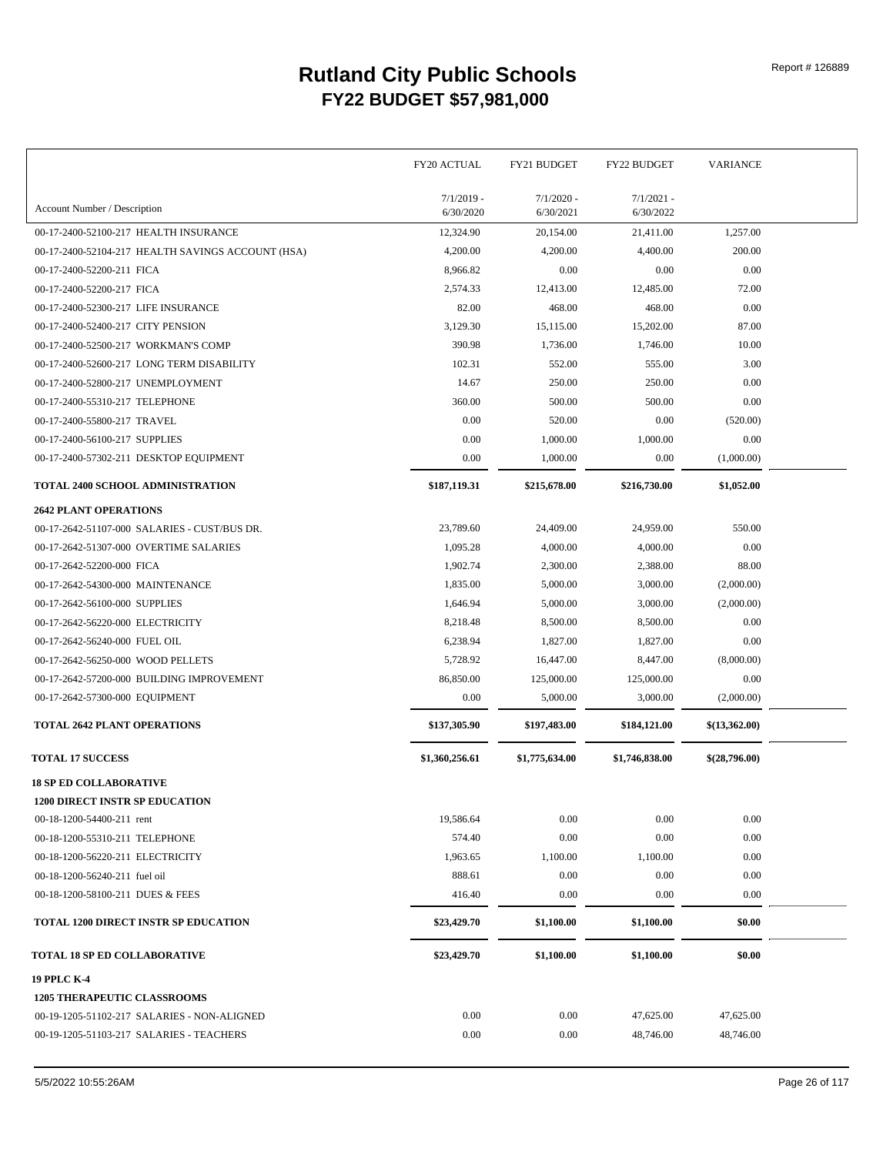| $7/1/2019$ -<br>$7/1/2020$ -<br>$7/1/2021$ -<br>Account Number / Description<br>6/30/2020<br>6/30/2021<br>6/30/2022<br>1,257.00<br>00-17-2400-52100-217 HEALTH INSURANCE<br>12,324.90<br>20,154.00<br>21,411.00<br>4,200.00<br>200.00<br>00-17-2400-52104-217 HEALTH SAVINGS ACCOUNT (HSA)<br>4,200.00<br>4,400.00<br>8,966.82<br>0.00<br>0.00<br>0.00<br>00-17-2400-52200-211 FICA<br>00-17-2400-52200-217 FICA<br>2,574.33<br>12,413.00<br>12,485.00<br>72.00<br>82.00<br>468.00<br>468.00<br>0.00<br>00-17-2400-52300-217 LIFE INSURANCE<br>87.00<br>3,129.30<br>15,115.00<br>15,202.00<br>00-17-2400-52400-217 CITY PENSION<br>390.98<br>10.00<br>00-17-2400-52500-217 WORKMAN'S COMP<br>1,736.00<br>1,746.00<br>102.31<br>555.00<br>3.00<br>552.00<br>00-17-2400-52600-217 LONG TERM DISABILITY<br>00-17-2400-52800-217 UNEMPLOYMENT<br>14.67<br>250.00<br>250.00<br>0.00<br>360.00<br>500.00<br>500.00<br>0.00<br>00-17-2400-55310-217 TELEPHONE<br>0.00<br>520.00<br>0.00<br>(520.00)<br>00-17-2400-55800-217 TRAVEL<br>00-17-2400-56100-217 SUPPLIES<br>0.00<br>1,000.00<br>0.00<br>1,000.00<br>0.00<br>0.00<br>(1,000.00)<br>1,000.00<br>00-17-2400-57302-211 DESKTOP EQUIPMENT<br>TOTAL 2400 SCHOOL ADMINISTRATION<br>\$187,119.31<br>\$216,730.00<br>\$215,678.00<br>\$1,052.00<br><b>2642 PLANT OPERATIONS</b><br>23,789.60<br>24,409.00<br>24,959.00<br>550.00<br>00-17-2642-51107-000 SALARIES - CUST/BUS DR.<br>0.00<br>00-17-2642-51307-000 OVERTIME SALARIES<br>1,095.28<br>4,000.00<br>4,000.00<br>1,902.74<br>88.00<br>2,300.00<br>2,388.00<br>00-17-2642-52200-000 FICA<br>1,835.00<br>00-17-2642-54300-000 MAINTENANCE<br>5,000.00<br>3,000.00<br>(2,000.00)<br>1,646.94<br>5,000.00<br>3,000.00<br>(2,000.00)<br>00-17-2642-56100-000 SUPPLIES<br>0.00<br>8,218.48<br>8,500.00<br>8,500.00<br>00-17-2642-56220-000 ELECTRICITY<br>0.00<br>00-17-2642-56240-000 FUEL OIL<br>6,238.94<br>1,827.00<br>1,827.00<br>5,728.92<br>16,447.00<br>8,447.00<br>(8,000.00)<br>00-17-2642-56250-000 WOOD PELLETS<br>86,850.00<br>0.00<br>00-17-2642-57200-000 BUILDING IMPROVEMENT<br>125,000.00<br>125,000.00<br>0.00<br>5,000.00<br>3,000.00<br>(2,000.00)<br>00-17-2642-57300-000 EQUIPMENT<br><b>TOTAL 2642 PLANT OPERATIONS</b><br>\$137,305.90<br>\$197,483.00<br>\$184,121.00<br>\$(13,362.00)<br>\$1,360,256.61<br>\$1,775,634.00<br>\$1,746,838.00<br>\$(28,796.00)<br><b>1200 DIRECT INSTR SP EDUCATION</b><br>19,586.64<br>0.00<br>0.00<br>0.00<br>00-18-1200-54400-211 rent<br>574.40<br>00-18-1200-55310-211 TELEPHONE<br>0.00<br>0.00<br>0.00<br>1.963.65<br>1,100.00<br>1,100.00<br>0.00<br>00-18-1200-56220-211 ELECTRICITY<br>888.61<br>0.00<br>0.00<br>0.00<br>00-18-1200-56240-211 fuel oil<br>416.40<br>0.00<br>00-18-1200-58100-211 DUES & FEES<br>0.00<br>0.00<br>\$0.00<br><b>TOTAL 1200 DIRECT INSTR SP EDUCATION</b><br>\$23,429.70<br>\$1,100.00<br>\$1,100.00<br>\$0.00<br>\$23,429.70<br>\$1,100.00<br>\$1,100.00<br><b>1205 THERAPEUTIC CLASSROOMS</b><br>0.00<br>0.00<br>47,625.00<br>47,625.00<br>00-19-1205-51102-217 SALARIES - NON-ALIGNED<br>0.00<br>0.00<br>48,746.00<br>00-19-1205-51103-217 SALARIES - TEACHERS<br>48,746.00 |                                     | FY20 ACTUAL | FY21 BUDGET | FY22 BUDGET | <b>VARIANCE</b> |  |
|-----------------------------------------------------------------------------------------------------------------------------------------------------------------------------------------------------------------------------------------------------------------------------------------------------------------------------------------------------------------------------------------------------------------------------------------------------------------------------------------------------------------------------------------------------------------------------------------------------------------------------------------------------------------------------------------------------------------------------------------------------------------------------------------------------------------------------------------------------------------------------------------------------------------------------------------------------------------------------------------------------------------------------------------------------------------------------------------------------------------------------------------------------------------------------------------------------------------------------------------------------------------------------------------------------------------------------------------------------------------------------------------------------------------------------------------------------------------------------------------------------------------------------------------------------------------------------------------------------------------------------------------------------------------------------------------------------------------------------------------------------------------------------------------------------------------------------------------------------------------------------------------------------------------------------------------------------------------------------------------------------------------------------------------------------------------------------------------------------------------------------------------------------------------------------------------------------------------------------------------------------------------------------------------------------------------------------------------------------------------------------------------------------------------------------------------------------------------------------------------------------------------------------------------------------------------------------------------------------------------------------------------------------------------------------------------------------------------------------------------------------------------------------------------------------------------------------------------------------------------------------------------------------------------------------------------------------------------------------------------------------------------------------------------------------------------------------------------------------------------------------------------------------------------------------|-------------------------------------|-------------|-------------|-------------|-----------------|--|
|                                                                                                                                                                                                                                                                                                                                                                                                                                                                                                                                                                                                                                                                                                                                                                                                                                                                                                                                                                                                                                                                                                                                                                                                                                                                                                                                                                                                                                                                                                                                                                                                                                                                                                                                                                                                                                                                                                                                                                                                                                                                                                                                                                                                                                                                                                                                                                                                                                                                                                                                                                                                                                                                                                                                                                                                                                                                                                                                                                                                                                                                                                                                                                             |                                     |             |             |             |                 |  |
|                                                                                                                                                                                                                                                                                                                                                                                                                                                                                                                                                                                                                                                                                                                                                                                                                                                                                                                                                                                                                                                                                                                                                                                                                                                                                                                                                                                                                                                                                                                                                                                                                                                                                                                                                                                                                                                                                                                                                                                                                                                                                                                                                                                                                                                                                                                                                                                                                                                                                                                                                                                                                                                                                                                                                                                                                                                                                                                                                                                                                                                                                                                                                                             |                                     |             |             |             |                 |  |
|                                                                                                                                                                                                                                                                                                                                                                                                                                                                                                                                                                                                                                                                                                                                                                                                                                                                                                                                                                                                                                                                                                                                                                                                                                                                                                                                                                                                                                                                                                                                                                                                                                                                                                                                                                                                                                                                                                                                                                                                                                                                                                                                                                                                                                                                                                                                                                                                                                                                                                                                                                                                                                                                                                                                                                                                                                                                                                                                                                                                                                                                                                                                                                             |                                     |             |             |             |                 |  |
|                                                                                                                                                                                                                                                                                                                                                                                                                                                                                                                                                                                                                                                                                                                                                                                                                                                                                                                                                                                                                                                                                                                                                                                                                                                                                                                                                                                                                                                                                                                                                                                                                                                                                                                                                                                                                                                                                                                                                                                                                                                                                                                                                                                                                                                                                                                                                                                                                                                                                                                                                                                                                                                                                                                                                                                                                                                                                                                                                                                                                                                                                                                                                                             |                                     |             |             |             |                 |  |
|                                                                                                                                                                                                                                                                                                                                                                                                                                                                                                                                                                                                                                                                                                                                                                                                                                                                                                                                                                                                                                                                                                                                                                                                                                                                                                                                                                                                                                                                                                                                                                                                                                                                                                                                                                                                                                                                                                                                                                                                                                                                                                                                                                                                                                                                                                                                                                                                                                                                                                                                                                                                                                                                                                                                                                                                                                                                                                                                                                                                                                                                                                                                                                             |                                     |             |             |             |                 |  |
|                                                                                                                                                                                                                                                                                                                                                                                                                                                                                                                                                                                                                                                                                                                                                                                                                                                                                                                                                                                                                                                                                                                                                                                                                                                                                                                                                                                                                                                                                                                                                                                                                                                                                                                                                                                                                                                                                                                                                                                                                                                                                                                                                                                                                                                                                                                                                                                                                                                                                                                                                                                                                                                                                                                                                                                                                                                                                                                                                                                                                                                                                                                                                                             |                                     |             |             |             |                 |  |
|                                                                                                                                                                                                                                                                                                                                                                                                                                                                                                                                                                                                                                                                                                                                                                                                                                                                                                                                                                                                                                                                                                                                                                                                                                                                                                                                                                                                                                                                                                                                                                                                                                                                                                                                                                                                                                                                                                                                                                                                                                                                                                                                                                                                                                                                                                                                                                                                                                                                                                                                                                                                                                                                                                                                                                                                                                                                                                                                                                                                                                                                                                                                                                             |                                     |             |             |             |                 |  |
|                                                                                                                                                                                                                                                                                                                                                                                                                                                                                                                                                                                                                                                                                                                                                                                                                                                                                                                                                                                                                                                                                                                                                                                                                                                                                                                                                                                                                                                                                                                                                                                                                                                                                                                                                                                                                                                                                                                                                                                                                                                                                                                                                                                                                                                                                                                                                                                                                                                                                                                                                                                                                                                                                                                                                                                                                                                                                                                                                                                                                                                                                                                                                                             |                                     |             |             |             |                 |  |
|                                                                                                                                                                                                                                                                                                                                                                                                                                                                                                                                                                                                                                                                                                                                                                                                                                                                                                                                                                                                                                                                                                                                                                                                                                                                                                                                                                                                                                                                                                                                                                                                                                                                                                                                                                                                                                                                                                                                                                                                                                                                                                                                                                                                                                                                                                                                                                                                                                                                                                                                                                                                                                                                                                                                                                                                                                                                                                                                                                                                                                                                                                                                                                             |                                     |             |             |             |                 |  |
|                                                                                                                                                                                                                                                                                                                                                                                                                                                                                                                                                                                                                                                                                                                                                                                                                                                                                                                                                                                                                                                                                                                                                                                                                                                                                                                                                                                                                                                                                                                                                                                                                                                                                                                                                                                                                                                                                                                                                                                                                                                                                                                                                                                                                                                                                                                                                                                                                                                                                                                                                                                                                                                                                                                                                                                                                                                                                                                                                                                                                                                                                                                                                                             |                                     |             |             |             |                 |  |
|                                                                                                                                                                                                                                                                                                                                                                                                                                                                                                                                                                                                                                                                                                                                                                                                                                                                                                                                                                                                                                                                                                                                                                                                                                                                                                                                                                                                                                                                                                                                                                                                                                                                                                                                                                                                                                                                                                                                                                                                                                                                                                                                                                                                                                                                                                                                                                                                                                                                                                                                                                                                                                                                                                                                                                                                                                                                                                                                                                                                                                                                                                                                                                             |                                     |             |             |             |                 |  |
|                                                                                                                                                                                                                                                                                                                                                                                                                                                                                                                                                                                                                                                                                                                                                                                                                                                                                                                                                                                                                                                                                                                                                                                                                                                                                                                                                                                                                                                                                                                                                                                                                                                                                                                                                                                                                                                                                                                                                                                                                                                                                                                                                                                                                                                                                                                                                                                                                                                                                                                                                                                                                                                                                                                                                                                                                                                                                                                                                                                                                                                                                                                                                                             |                                     |             |             |             |                 |  |
|                                                                                                                                                                                                                                                                                                                                                                                                                                                                                                                                                                                                                                                                                                                                                                                                                                                                                                                                                                                                                                                                                                                                                                                                                                                                                                                                                                                                                                                                                                                                                                                                                                                                                                                                                                                                                                                                                                                                                                                                                                                                                                                                                                                                                                                                                                                                                                                                                                                                                                                                                                                                                                                                                                                                                                                                                                                                                                                                                                                                                                                                                                                                                                             |                                     |             |             |             |                 |  |
|                                                                                                                                                                                                                                                                                                                                                                                                                                                                                                                                                                                                                                                                                                                                                                                                                                                                                                                                                                                                                                                                                                                                                                                                                                                                                                                                                                                                                                                                                                                                                                                                                                                                                                                                                                                                                                                                                                                                                                                                                                                                                                                                                                                                                                                                                                                                                                                                                                                                                                                                                                                                                                                                                                                                                                                                                                                                                                                                                                                                                                                                                                                                                                             |                                     |             |             |             |                 |  |
|                                                                                                                                                                                                                                                                                                                                                                                                                                                                                                                                                                                                                                                                                                                                                                                                                                                                                                                                                                                                                                                                                                                                                                                                                                                                                                                                                                                                                                                                                                                                                                                                                                                                                                                                                                                                                                                                                                                                                                                                                                                                                                                                                                                                                                                                                                                                                                                                                                                                                                                                                                                                                                                                                                                                                                                                                                                                                                                                                                                                                                                                                                                                                                             |                                     |             |             |             |                 |  |
|                                                                                                                                                                                                                                                                                                                                                                                                                                                                                                                                                                                                                                                                                                                                                                                                                                                                                                                                                                                                                                                                                                                                                                                                                                                                                                                                                                                                                                                                                                                                                                                                                                                                                                                                                                                                                                                                                                                                                                                                                                                                                                                                                                                                                                                                                                                                                                                                                                                                                                                                                                                                                                                                                                                                                                                                                                                                                                                                                                                                                                                                                                                                                                             |                                     |             |             |             |                 |  |
|                                                                                                                                                                                                                                                                                                                                                                                                                                                                                                                                                                                                                                                                                                                                                                                                                                                                                                                                                                                                                                                                                                                                                                                                                                                                                                                                                                                                                                                                                                                                                                                                                                                                                                                                                                                                                                                                                                                                                                                                                                                                                                                                                                                                                                                                                                                                                                                                                                                                                                                                                                                                                                                                                                                                                                                                                                                                                                                                                                                                                                                                                                                                                                             |                                     |             |             |             |                 |  |
|                                                                                                                                                                                                                                                                                                                                                                                                                                                                                                                                                                                                                                                                                                                                                                                                                                                                                                                                                                                                                                                                                                                                                                                                                                                                                                                                                                                                                                                                                                                                                                                                                                                                                                                                                                                                                                                                                                                                                                                                                                                                                                                                                                                                                                                                                                                                                                                                                                                                                                                                                                                                                                                                                                                                                                                                                                                                                                                                                                                                                                                                                                                                                                             |                                     |             |             |             |                 |  |
|                                                                                                                                                                                                                                                                                                                                                                                                                                                                                                                                                                                                                                                                                                                                                                                                                                                                                                                                                                                                                                                                                                                                                                                                                                                                                                                                                                                                                                                                                                                                                                                                                                                                                                                                                                                                                                                                                                                                                                                                                                                                                                                                                                                                                                                                                                                                                                                                                                                                                                                                                                                                                                                                                                                                                                                                                                                                                                                                                                                                                                                                                                                                                                             |                                     |             |             |             |                 |  |
|                                                                                                                                                                                                                                                                                                                                                                                                                                                                                                                                                                                                                                                                                                                                                                                                                                                                                                                                                                                                                                                                                                                                                                                                                                                                                                                                                                                                                                                                                                                                                                                                                                                                                                                                                                                                                                                                                                                                                                                                                                                                                                                                                                                                                                                                                                                                                                                                                                                                                                                                                                                                                                                                                                                                                                                                                                                                                                                                                                                                                                                                                                                                                                             |                                     |             |             |             |                 |  |
|                                                                                                                                                                                                                                                                                                                                                                                                                                                                                                                                                                                                                                                                                                                                                                                                                                                                                                                                                                                                                                                                                                                                                                                                                                                                                                                                                                                                                                                                                                                                                                                                                                                                                                                                                                                                                                                                                                                                                                                                                                                                                                                                                                                                                                                                                                                                                                                                                                                                                                                                                                                                                                                                                                                                                                                                                                                                                                                                                                                                                                                                                                                                                                             |                                     |             |             |             |                 |  |
|                                                                                                                                                                                                                                                                                                                                                                                                                                                                                                                                                                                                                                                                                                                                                                                                                                                                                                                                                                                                                                                                                                                                                                                                                                                                                                                                                                                                                                                                                                                                                                                                                                                                                                                                                                                                                                                                                                                                                                                                                                                                                                                                                                                                                                                                                                                                                                                                                                                                                                                                                                                                                                                                                                                                                                                                                                                                                                                                                                                                                                                                                                                                                                             |                                     |             |             |             |                 |  |
|                                                                                                                                                                                                                                                                                                                                                                                                                                                                                                                                                                                                                                                                                                                                                                                                                                                                                                                                                                                                                                                                                                                                                                                                                                                                                                                                                                                                                                                                                                                                                                                                                                                                                                                                                                                                                                                                                                                                                                                                                                                                                                                                                                                                                                                                                                                                                                                                                                                                                                                                                                                                                                                                                                                                                                                                                                                                                                                                                                                                                                                                                                                                                                             |                                     |             |             |             |                 |  |
|                                                                                                                                                                                                                                                                                                                                                                                                                                                                                                                                                                                                                                                                                                                                                                                                                                                                                                                                                                                                                                                                                                                                                                                                                                                                                                                                                                                                                                                                                                                                                                                                                                                                                                                                                                                                                                                                                                                                                                                                                                                                                                                                                                                                                                                                                                                                                                                                                                                                                                                                                                                                                                                                                                                                                                                                                                                                                                                                                                                                                                                                                                                                                                             |                                     |             |             |             |                 |  |
|                                                                                                                                                                                                                                                                                                                                                                                                                                                                                                                                                                                                                                                                                                                                                                                                                                                                                                                                                                                                                                                                                                                                                                                                                                                                                                                                                                                                                                                                                                                                                                                                                                                                                                                                                                                                                                                                                                                                                                                                                                                                                                                                                                                                                                                                                                                                                                                                                                                                                                                                                                                                                                                                                                                                                                                                                                                                                                                                                                                                                                                                                                                                                                             |                                     |             |             |             |                 |  |
|                                                                                                                                                                                                                                                                                                                                                                                                                                                                                                                                                                                                                                                                                                                                                                                                                                                                                                                                                                                                                                                                                                                                                                                                                                                                                                                                                                                                                                                                                                                                                                                                                                                                                                                                                                                                                                                                                                                                                                                                                                                                                                                                                                                                                                                                                                                                                                                                                                                                                                                                                                                                                                                                                                                                                                                                                                                                                                                                                                                                                                                                                                                                                                             |                                     |             |             |             |                 |  |
|                                                                                                                                                                                                                                                                                                                                                                                                                                                                                                                                                                                                                                                                                                                                                                                                                                                                                                                                                                                                                                                                                                                                                                                                                                                                                                                                                                                                                                                                                                                                                                                                                                                                                                                                                                                                                                                                                                                                                                                                                                                                                                                                                                                                                                                                                                                                                                                                                                                                                                                                                                                                                                                                                                                                                                                                                                                                                                                                                                                                                                                                                                                                                                             |                                     |             |             |             |                 |  |
|                                                                                                                                                                                                                                                                                                                                                                                                                                                                                                                                                                                                                                                                                                                                                                                                                                                                                                                                                                                                                                                                                                                                                                                                                                                                                                                                                                                                                                                                                                                                                                                                                                                                                                                                                                                                                                                                                                                                                                                                                                                                                                                                                                                                                                                                                                                                                                                                                                                                                                                                                                                                                                                                                                                                                                                                                                                                                                                                                                                                                                                                                                                                                                             |                                     |             |             |             |                 |  |
|                                                                                                                                                                                                                                                                                                                                                                                                                                                                                                                                                                                                                                                                                                                                                                                                                                                                                                                                                                                                                                                                                                                                                                                                                                                                                                                                                                                                                                                                                                                                                                                                                                                                                                                                                                                                                                                                                                                                                                                                                                                                                                                                                                                                                                                                                                                                                                                                                                                                                                                                                                                                                                                                                                                                                                                                                                                                                                                                                                                                                                                                                                                                                                             | <b>TOTAL 17 SUCCESS</b>             |             |             |             |                 |  |
|                                                                                                                                                                                                                                                                                                                                                                                                                                                                                                                                                                                                                                                                                                                                                                                                                                                                                                                                                                                                                                                                                                                                                                                                                                                                                                                                                                                                                                                                                                                                                                                                                                                                                                                                                                                                                                                                                                                                                                                                                                                                                                                                                                                                                                                                                                                                                                                                                                                                                                                                                                                                                                                                                                                                                                                                                                                                                                                                                                                                                                                                                                                                                                             | <b>18 SP ED COLLABORATIVE</b>       |             |             |             |                 |  |
|                                                                                                                                                                                                                                                                                                                                                                                                                                                                                                                                                                                                                                                                                                                                                                                                                                                                                                                                                                                                                                                                                                                                                                                                                                                                                                                                                                                                                                                                                                                                                                                                                                                                                                                                                                                                                                                                                                                                                                                                                                                                                                                                                                                                                                                                                                                                                                                                                                                                                                                                                                                                                                                                                                                                                                                                                                                                                                                                                                                                                                                                                                                                                                             |                                     |             |             |             |                 |  |
|                                                                                                                                                                                                                                                                                                                                                                                                                                                                                                                                                                                                                                                                                                                                                                                                                                                                                                                                                                                                                                                                                                                                                                                                                                                                                                                                                                                                                                                                                                                                                                                                                                                                                                                                                                                                                                                                                                                                                                                                                                                                                                                                                                                                                                                                                                                                                                                                                                                                                                                                                                                                                                                                                                                                                                                                                                                                                                                                                                                                                                                                                                                                                                             |                                     |             |             |             |                 |  |
|                                                                                                                                                                                                                                                                                                                                                                                                                                                                                                                                                                                                                                                                                                                                                                                                                                                                                                                                                                                                                                                                                                                                                                                                                                                                                                                                                                                                                                                                                                                                                                                                                                                                                                                                                                                                                                                                                                                                                                                                                                                                                                                                                                                                                                                                                                                                                                                                                                                                                                                                                                                                                                                                                                                                                                                                                                                                                                                                                                                                                                                                                                                                                                             |                                     |             |             |             |                 |  |
|                                                                                                                                                                                                                                                                                                                                                                                                                                                                                                                                                                                                                                                                                                                                                                                                                                                                                                                                                                                                                                                                                                                                                                                                                                                                                                                                                                                                                                                                                                                                                                                                                                                                                                                                                                                                                                                                                                                                                                                                                                                                                                                                                                                                                                                                                                                                                                                                                                                                                                                                                                                                                                                                                                                                                                                                                                                                                                                                                                                                                                                                                                                                                                             |                                     |             |             |             |                 |  |
|                                                                                                                                                                                                                                                                                                                                                                                                                                                                                                                                                                                                                                                                                                                                                                                                                                                                                                                                                                                                                                                                                                                                                                                                                                                                                                                                                                                                                                                                                                                                                                                                                                                                                                                                                                                                                                                                                                                                                                                                                                                                                                                                                                                                                                                                                                                                                                                                                                                                                                                                                                                                                                                                                                                                                                                                                                                                                                                                                                                                                                                                                                                                                                             |                                     |             |             |             |                 |  |
|                                                                                                                                                                                                                                                                                                                                                                                                                                                                                                                                                                                                                                                                                                                                                                                                                                                                                                                                                                                                                                                                                                                                                                                                                                                                                                                                                                                                                                                                                                                                                                                                                                                                                                                                                                                                                                                                                                                                                                                                                                                                                                                                                                                                                                                                                                                                                                                                                                                                                                                                                                                                                                                                                                                                                                                                                                                                                                                                                                                                                                                                                                                                                                             |                                     |             |             |             |                 |  |
|                                                                                                                                                                                                                                                                                                                                                                                                                                                                                                                                                                                                                                                                                                                                                                                                                                                                                                                                                                                                                                                                                                                                                                                                                                                                                                                                                                                                                                                                                                                                                                                                                                                                                                                                                                                                                                                                                                                                                                                                                                                                                                                                                                                                                                                                                                                                                                                                                                                                                                                                                                                                                                                                                                                                                                                                                                                                                                                                                                                                                                                                                                                                                                             |                                     |             |             |             |                 |  |
|                                                                                                                                                                                                                                                                                                                                                                                                                                                                                                                                                                                                                                                                                                                                                                                                                                                                                                                                                                                                                                                                                                                                                                                                                                                                                                                                                                                                                                                                                                                                                                                                                                                                                                                                                                                                                                                                                                                                                                                                                                                                                                                                                                                                                                                                                                                                                                                                                                                                                                                                                                                                                                                                                                                                                                                                                                                                                                                                                                                                                                                                                                                                                                             | <b>TOTAL 18 SP ED COLLABORATIVE</b> |             |             |             |                 |  |
|                                                                                                                                                                                                                                                                                                                                                                                                                                                                                                                                                                                                                                                                                                                                                                                                                                                                                                                                                                                                                                                                                                                                                                                                                                                                                                                                                                                                                                                                                                                                                                                                                                                                                                                                                                                                                                                                                                                                                                                                                                                                                                                                                                                                                                                                                                                                                                                                                                                                                                                                                                                                                                                                                                                                                                                                                                                                                                                                                                                                                                                                                                                                                                             | <b>19 PPLC K-4</b>                  |             |             |             |                 |  |
|                                                                                                                                                                                                                                                                                                                                                                                                                                                                                                                                                                                                                                                                                                                                                                                                                                                                                                                                                                                                                                                                                                                                                                                                                                                                                                                                                                                                                                                                                                                                                                                                                                                                                                                                                                                                                                                                                                                                                                                                                                                                                                                                                                                                                                                                                                                                                                                                                                                                                                                                                                                                                                                                                                                                                                                                                                                                                                                                                                                                                                                                                                                                                                             |                                     |             |             |             |                 |  |
|                                                                                                                                                                                                                                                                                                                                                                                                                                                                                                                                                                                                                                                                                                                                                                                                                                                                                                                                                                                                                                                                                                                                                                                                                                                                                                                                                                                                                                                                                                                                                                                                                                                                                                                                                                                                                                                                                                                                                                                                                                                                                                                                                                                                                                                                                                                                                                                                                                                                                                                                                                                                                                                                                                                                                                                                                                                                                                                                                                                                                                                                                                                                                                             |                                     |             |             |             |                 |  |
|                                                                                                                                                                                                                                                                                                                                                                                                                                                                                                                                                                                                                                                                                                                                                                                                                                                                                                                                                                                                                                                                                                                                                                                                                                                                                                                                                                                                                                                                                                                                                                                                                                                                                                                                                                                                                                                                                                                                                                                                                                                                                                                                                                                                                                                                                                                                                                                                                                                                                                                                                                                                                                                                                                                                                                                                                                                                                                                                                                                                                                                                                                                                                                             |                                     |             |             |             |                 |  |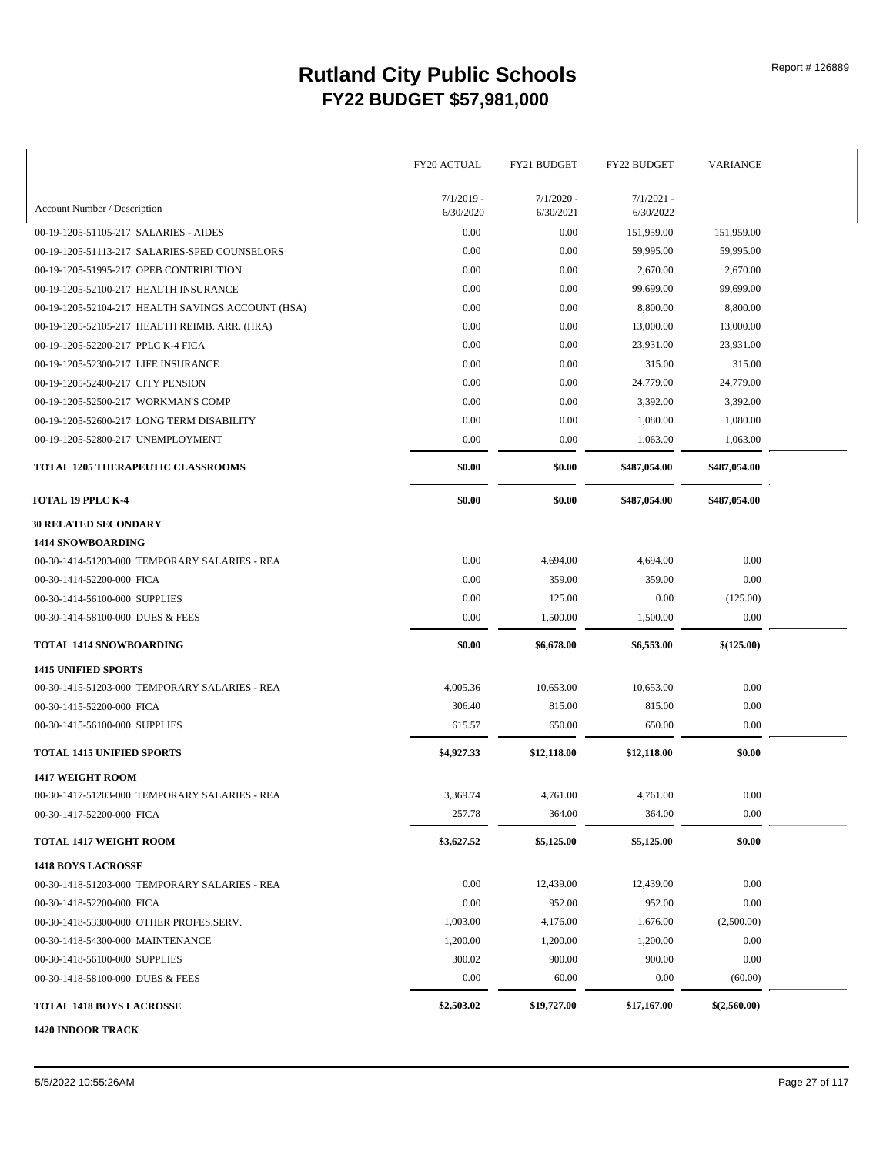|                                                   | FY20 ACTUAL               | FY21 BUDGET               | FY22 BUDGET               | <b>VARIANCE</b> |  |
|---------------------------------------------------|---------------------------|---------------------------|---------------------------|-----------------|--|
| Account Number / Description                      | $7/1/2019$ -<br>6/30/2020 | $7/1/2020$ -<br>6/30/2021 | $7/1/2021$ -<br>6/30/2022 |                 |  |
| 00-19-1205-51105-217 SALARIES - AIDES             | 0.00                      | 0.00                      | 151,959.00                | 151,959.00      |  |
| 00-19-1205-51113-217 SALARIES-SPED COUNSELORS     | 0.00                      | 0.00                      | 59,995.00                 | 59,995.00       |  |
| 00-19-1205-51995-217 OPEB CONTRIBUTION            | 0.00                      | 0.00                      | 2,670.00                  | 2,670.00        |  |
| 00-19-1205-52100-217 HEALTH INSURANCE             | 0.00                      | 0.00                      | 99,699.00                 | 99,699.00       |  |
| 00-19-1205-52104-217 HEALTH SAVINGS ACCOUNT (HSA) | 0.00                      | 0.00                      | 8,800.00                  | 8,800.00        |  |
| 00-19-1205-52105-217 HEALTH REIMB. ARR. (HRA)     | 0.00                      | 0.00                      | 13,000.00                 | 13,000.00       |  |
| 00-19-1205-52200-217 PPLC K-4 FICA                | 0.00                      | 0.00                      | 23,931.00                 | 23,931.00       |  |
| 00-19-1205-52300-217 LIFE INSURANCE               | 0.00                      | 0.00                      | 315.00                    | 315.00          |  |
| 00-19-1205-52400-217 CITY PENSION                 | 0.00                      | 0.00                      | 24,779.00                 | 24,779.00       |  |
| 00-19-1205-52500-217 WORKMAN'S COMP               | 0.00                      | 0.00                      | 3,392.00                  | 3,392.00        |  |
| 00-19-1205-52600-217 LONG TERM DISABILITY         | 0.00                      | 0.00                      | 1,080.00                  | 1,080.00        |  |
| 00-19-1205-52800-217 UNEMPLOYMENT                 | 0.00                      | 0.00                      | 1,063.00                  | 1,063.00        |  |
| <b>TOTAL 1205 THERAPEUTIC CLASSROOMS</b>          | \$0.00                    | \$0.00                    | \$487,054.00              | \$487,054.00    |  |
| <b>TOTAL 19 PPLC K-4</b>                          | \$0.00                    | \$0.00                    | \$487,054.00              | \$487,054.00    |  |
| <b>30 RELATED SECONDARY</b>                       |                           |                           |                           |                 |  |
| <b>1414 SNOWBOARDING</b>                          |                           |                           |                           |                 |  |
| 00-30-1414-51203-000 TEMPORARY SALARIES - REA     | 0.00                      | 4,694.00                  | 4,694.00                  | 0.00            |  |
| 00-30-1414-52200-000 FICA                         | 0.00                      | 359.00                    | 359.00                    | 0.00            |  |
| 00-30-1414-56100-000 SUPPLIES                     | 0.00                      | 125.00                    | 0.00                      | (125.00)        |  |
| 00-30-1414-58100-000 DUES & FEES                  | 0.00                      | 1,500.00                  | 1,500.00                  | 0.00            |  |
| TOTAL 1414 SNOWBOARDING                           | \$0.00                    | \$6,678.00                | \$6,553.00                | \$(125.00)      |  |
| <b>1415 UNIFIED SPORTS</b>                        |                           |                           |                           |                 |  |
| 00-30-1415-51203-000 TEMPORARY SALARIES - REA     | 4,005.36                  | 10,653.00                 | 10,653.00                 | 0.00            |  |
| 00-30-1415-52200-000 FICA                         | 306.40                    | 815.00                    | 815.00                    | 0.00            |  |
| 00-30-1415-56100-000 SUPPLIES                     | 615.57                    | 650.00                    | 650.00                    | 0.00            |  |
| <b>TOTAL 1415 UNIFIED SPORTS</b>                  | \$4,927.33                | \$12,118.00               | \$12,118.00               | \$0.00          |  |
| <b>1417 WEIGHT ROOM</b>                           |                           |                           |                           |                 |  |
| 00-30-1417-51203-000 TEMPORARY SALARIES - REA     | 3,369.74                  | 4,761.00                  | 4,761.00                  | 0.00            |  |
| 00-30-1417-52200-000 FICA                         | 257.78                    | 364.00                    | 364.00                    | 0.00            |  |
| <b>TOTAL 1417 WEIGHT ROOM</b>                     | \$3,627.52                | \$5,125.00                | \$5,125.00                | \$0.00          |  |
| <b>1418 BOYS LACROSSE</b>                         |                           |                           |                           |                 |  |
| 00-30-1418-51203-000 TEMPORARY SALARIES - REA     | 0.00                      | 12,439.00                 | 12,439.00                 | 0.00            |  |
| 00-30-1418-52200-000 FICA                         | 0.00                      | 952.00                    | 952.00                    | 0.00            |  |
| 00-30-1418-53300-000 OTHER PROFES.SERV.           | 1,003.00                  | 4,176.00                  | 1,676.00                  | (2,500.00)      |  |
| 00-30-1418-54300-000 MAINTENANCE                  | 1,200.00                  | 1,200.00                  | 1,200.00                  | 0.00            |  |
| 00-30-1418-56100-000 SUPPLIES                     | 300.02                    | 900.00                    | 900.00                    | 0.00            |  |
| 00-30-1418-58100-000 DUES & FEES                  | 0.00                      | 60.00                     | 0.00                      | (60.00)         |  |
| <b>TOTAL 1418 BOYS LACROSSE</b>                   | \$2,503.02                | \$19,727.00               | \$17,167.00               | \$(2,560.00)    |  |
| <b>1420 INDOOR TRACK</b>                          |                           |                           |                           |                 |  |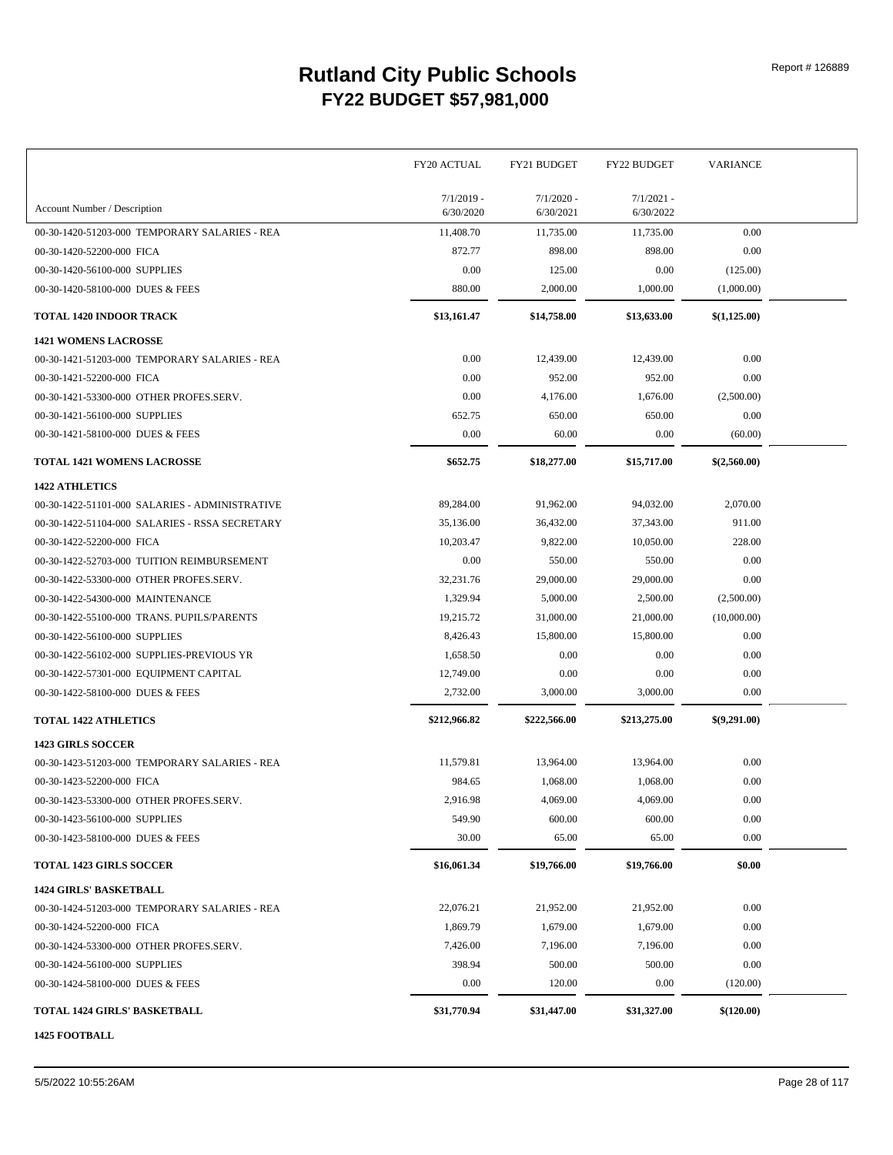|                                                | FY20 ACTUAL               | FY21 BUDGET               | FY22 BUDGET               | <b>VARIANCE</b> |  |
|------------------------------------------------|---------------------------|---------------------------|---------------------------|-----------------|--|
| Account Number / Description                   | $7/1/2019$ -<br>6/30/2020 | $7/1/2020$ -<br>6/30/2021 | $7/1/2021 -$<br>6/30/2022 |                 |  |
| 00-30-1420-51203-000 TEMPORARY SALARIES - REA  | 11,408.70                 | 11,735.00                 | 11,735.00                 | 0.00            |  |
| 00-30-1420-52200-000 FICA                      | 872.77                    | 898.00                    | 898.00                    | 0.00            |  |
| 00-30-1420-56100-000 SUPPLIES                  | 0.00                      | 125.00                    | 0.00                      | (125.00)        |  |
| 00-30-1420-58100-000 DUES & FEES               | 880.00                    | 2,000.00                  | 1,000.00                  | (1,000.00)      |  |
| <b>TOTAL 1420 INDOOR TRACK</b>                 | \$13,161.47               | \$14,758.00               | \$13,633.00               | \$(1,125.00)    |  |
| <b>1421 WOMENS LACROSSE</b>                    |                           |                           |                           |                 |  |
| 00-30-1421-51203-000 TEMPORARY SALARIES - REA  | 0.00                      | 12,439.00                 | 12,439.00                 | 0.00            |  |
| 00-30-1421-52200-000 FICA                      | 0.00                      | 952.00                    | 952.00                    | 0.00            |  |
| 00-30-1421-53300-000 OTHER PROFES.SERV.        | 0.00                      | 4,176.00                  | 1,676.00                  | (2,500.00)      |  |
| 00-30-1421-56100-000 SUPPLIES                  | 652.75                    | 650.00                    | 650.00                    | 0.00            |  |
| 00-30-1421-58100-000 DUES & FEES               | 0.00                      | 60.00                     | 0.00                      | (60.00)         |  |
| <b>TOTAL 1421 WOMENS LACROSSE</b>              | \$652.75                  | \$18,277.00               | \$15,717.00               | \$(2,560.00)    |  |
| <b>1422 ATHLETICS</b>                          |                           |                           |                           |                 |  |
| 00-30-1422-51101-000 SALARIES - ADMINISTRATIVE | 89,284.00                 | 91,962.00                 | 94,032.00                 | 2,070.00        |  |
| 00-30-1422-51104-000 SALARIES - RSSA SECRETARY | 35,136.00                 | 36,432.00                 | 37,343.00                 | 911.00          |  |
| 00-30-1422-52200-000 FICA                      | 10,203.47                 | 9,822.00                  | 10,050.00                 | 228.00          |  |
| 00-30-1422-52703-000 TUITION REIMBURSEMENT     | 0.00                      | 550.00                    | 550.00                    | 0.00            |  |
| 00-30-1422-53300-000 OTHER PROFES.SERV.        | 32,231.76                 | 29,000.00                 | 29,000.00                 | 0.00            |  |
| 00-30-1422-54300-000 MAINTENANCE               | 1,329.94                  | 5,000.00                  | 2,500.00                  | (2,500.00)      |  |
| 00-30-1422-55100-000 TRANS. PUPILS/PARENTS     | 19,215.72                 | 31,000.00                 | 21,000.00                 | (10,000.00)     |  |
| 00-30-1422-56100-000 SUPPLIES                  | 8,426.43                  | 15,800.00                 | 15,800.00                 | 0.00            |  |
| 00-30-1422-56102-000 SUPPLIES-PREVIOUS YR      | 1,658.50                  | 0.00                      | 0.00                      | 0.00            |  |
| 00-30-1422-57301-000 EQUIPMENT CAPITAL         | 12,749.00                 | 0.00                      | 0.00                      | 0.00            |  |
| 00-30-1422-58100-000 DUES & FEES               | 2,732.00                  | 3,000.00                  | 3,000.00                  | 0.00            |  |
| <b>TOTAL 1422 ATHLETICS</b>                    | \$212,966.82              | \$222,566.00              | \$213,275.00              | \$(9,291.00)    |  |
| <b>1423 GIRLS SOCCER</b>                       |                           |                           |                           |                 |  |
| 00-30-1423-51203-000 TEMPORARY SALARIES - REA  | 11,579.81                 | 13,964.00                 | 13,964.00                 | 0.00            |  |
| 00-30-1423-52200-000 FICA                      | 984.65                    | 1,068.00                  | 1,068.00                  | 0.00            |  |
| 00-30-1423-53300-000 OTHER PROFES.SERV.        | 2,916.98                  | 4,069.00                  | 4,069.00                  | 0.00            |  |
| 00-30-1423-56100-000 SUPPLIES                  | 549.90                    | 600.00                    | 600.00                    | 0.00            |  |
| 00-30-1423-58100-000 DUES & FEES               | 30.00                     | 65.00                     | 65.00                     | 0.00            |  |
| <b>TOTAL 1423 GIRLS SOCCER</b>                 | \$16,061.34               | \$19,766.00               | \$19,766.00               | \$0.00          |  |
| <b>1424 GIRLS' BASKETBALL</b>                  |                           |                           |                           |                 |  |
| 00-30-1424-51203-000 TEMPORARY SALARIES - REA  | 22,076.21                 | 21,952.00                 | 21,952.00                 | 0.00            |  |
| 00-30-1424-52200-000 FICA                      | 1,869.79                  | 1,679.00                  | 1,679.00                  | 0.00            |  |
| 00-30-1424-53300-000 OTHER PROFES.SERV.        | 7,426.00                  | 7,196.00                  | 7,196.00                  | 0.00            |  |
| 00-30-1424-56100-000 SUPPLIES                  | 398.94                    | 500.00                    | 500.00                    | 0.00            |  |
| 00-30-1424-58100-000 DUES & FEES               | 0.00                      | 120.00                    | $0.00\,$                  | (120.00)        |  |
| <b>TOTAL 1424 GIRLS' BASKETBALL</b>            | \$31,770.94               | \$31,447.00               | \$31,327.00               | \$(120.00)      |  |
|                                                |                           |                           |                           |                 |  |

 **1425 FOOTBALL**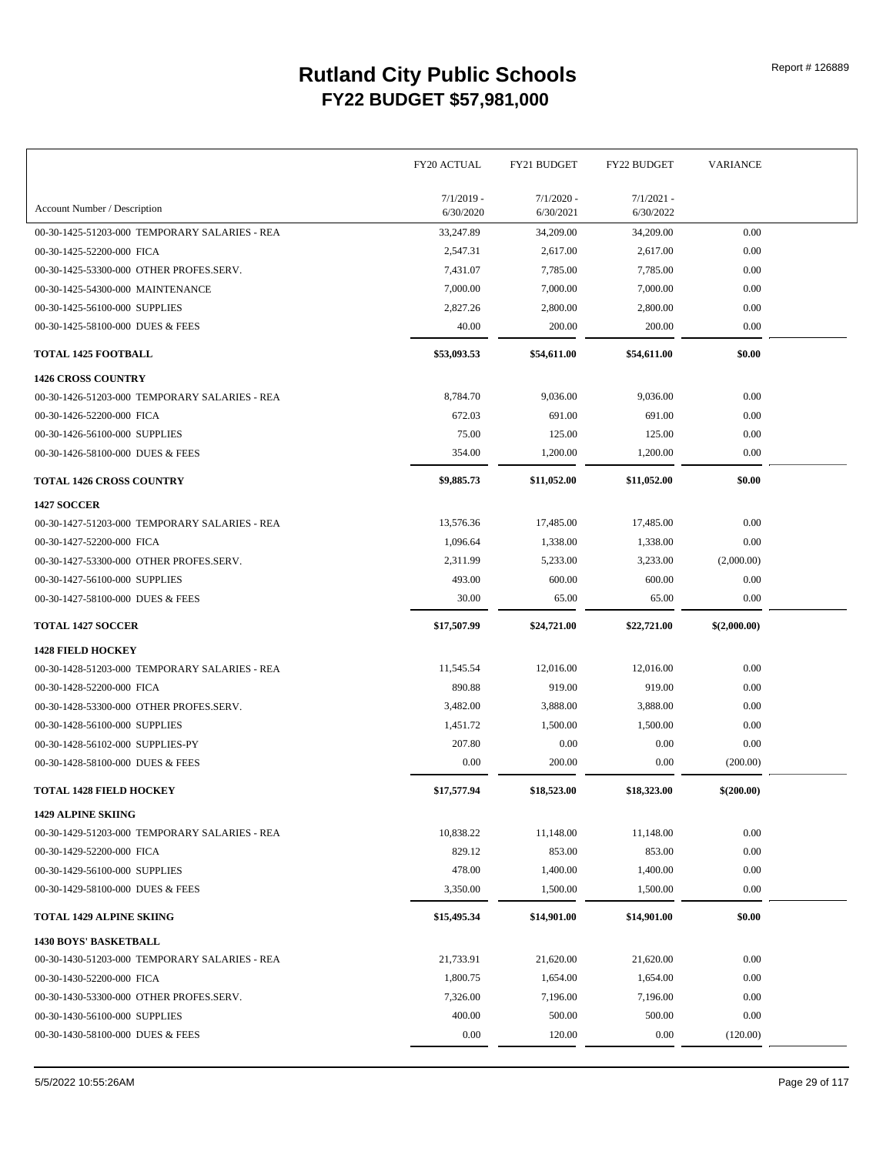| $7/1/2019$ -<br>$7/1/2020$ -<br>$7/1/2021 -$<br>Account Number / Description<br>6/30/2020<br>6/30/2022<br>6/30/2021<br>0.00<br>00-30-1425-51203-000 TEMPORARY SALARIES - REA<br>33,247.89<br>34,209.00<br>34,209.00<br>2,547.31<br>2,617.00<br>0.00<br>00-30-1425-52200-000 FICA<br>2,617.00<br>7,431.07<br>7,785.00<br>7,785.00<br>0.00<br>00-30-1425-53300-000 OTHER PROFES.SERV.<br>7,000.00<br>7,000.00<br>7,000.00<br>0.00<br>00-30-1425-54300-000 MAINTENANCE<br>2,827.26<br>2,800.00<br>2,800.00<br>0.00<br>00-30-1425-56100-000 SUPPLIES<br>40.00<br>200.00<br>200.00<br>0.00<br>00-30-1425-58100-000 DUES & FEES<br>\$0.00<br><b>TOTAL 1425 FOOTBALL</b><br>\$53,093.53<br>\$54,611.00<br>\$54,611.00<br><b>1426 CROSS COUNTRY</b><br>8,784.70<br>9,036.00<br>9,036.00<br>0.00<br>00-30-1426-51203-000 TEMPORARY SALARIES - REA<br>672.03<br>691.00<br>0.00<br>691.00<br>00-30-1426-52200-000 FICA<br>75.00<br>125.00<br>0.00<br>125.00<br>00-30-1426-56100-000 SUPPLIES<br>354.00<br>0.00<br>00-30-1426-58100-000 DUES & FEES<br>1,200.00<br>1,200.00<br>\$0.00<br><b>TOTAL 1426 CROSS COUNTRY</b><br>\$9,885.73<br>\$11,052.00<br>\$11,052.00<br><b>1427 SOCCER</b><br>13,576.36<br>17,485.00<br>0.00<br>00-30-1427-51203-000 TEMPORARY SALARIES - REA<br>17,485.00<br>1,096.64<br>1,338.00<br>1,338.00<br>0.00<br>00-30-1427-52200-000 FICA<br>2,311.99<br>5,233.00<br>3,233.00<br>(2,000.00)<br>00-30-1427-53300-000 OTHER PROFES.SERV.<br>493.00<br>600.00<br>600.00<br>0.00<br>00-30-1427-56100-000 SUPPLIES<br>00-30-1427-58100-000 DUES & FEES<br>30.00<br>65.00<br>65.00<br>0.00<br>\$17,507.99<br>\$22,721.00<br>\$(2,000.00)<br><b>TOTAL 1427 SOCCER</b><br>\$24,721.00<br><b>1428 FIELD HOCKEY</b><br>0.00<br>12,016.00<br>12,016.00<br>00-30-1428-51203-000 TEMPORARY SALARIES - REA<br>11,545.54<br>890.88<br>919.00<br>919.00<br>0.00<br>00-30-1428-52200-000 FICA<br>00-30-1428-53300-000 OTHER PROFES.SERV.<br>3,482.00<br>3,888.00<br>3,888.00<br>0.00<br>1,451.72<br>1,500.00<br>1,500.00<br>0.00<br>00-30-1428-56100-000 SUPPLIES<br>207.80<br>0.00<br>0.00<br>0.00<br>00-30-1428-56102-000 SUPPLIES-PY<br>0.00<br>200.00<br>0.00<br>(200.00)<br>00-30-1428-58100-000 DUES & FEES<br><b>TOTAL 1428 FIELD HOCKEY</b><br>\$17,577.94<br>\$18,523.00<br>\$18,323.00<br>\$(200.00)<br><b>1429 ALPINE SKIING</b><br>10,838.22<br>11,148.00<br>11,148.00<br>0.00<br>00-30-1429-51203-000 TEMPORARY SALARIES - REA<br>829.12<br>853.00<br>853.00<br>0.00<br>00-30-1429-52200-000 FICA<br>478.00<br>0.00<br>1,400.00<br>1,400.00<br>00-30-1429-56100-000 SUPPLIES<br>3,350.00<br>0.00<br>1,500.00<br>1,500.00<br>00-30-1429-58100-000 DUES & FEES<br>\$15,495.34<br>\$0.00<br><b>TOTAL 1429 ALPINE SKIING</b><br>\$14,901.00<br>\$14,901.00<br><b>1430 BOYS' BASKETBALL</b><br>0.00<br>00-30-1430-51203-000 TEMPORARY SALARIES - REA<br>21,733.91<br>21,620.00<br>21,620.00<br>0.00<br>1,800.75<br>1,654.00<br>1,654.00<br>00-30-1430-52200-000 FICA<br>7,326.00<br>0.00<br>7,196.00<br>7,196.00<br>00-30-1430-53300-000 OTHER PROFES.SERV.<br>400.00<br>500.00<br>0.00<br>500.00<br>00-30-1430-56100-000 SUPPLIES<br>0.00<br>120.00<br>$0.00\,$<br>(120.00)<br>00-30-1430-58100-000 DUES & FEES | FY20 ACTUAL | FY21 BUDGET | FY22 BUDGET | <b>VARIANCE</b> |  |
|-----------------------------------------------------------------------------------------------------------------------------------------------------------------------------------------------------------------------------------------------------------------------------------------------------------------------------------------------------------------------------------------------------------------------------------------------------------------------------------------------------------------------------------------------------------------------------------------------------------------------------------------------------------------------------------------------------------------------------------------------------------------------------------------------------------------------------------------------------------------------------------------------------------------------------------------------------------------------------------------------------------------------------------------------------------------------------------------------------------------------------------------------------------------------------------------------------------------------------------------------------------------------------------------------------------------------------------------------------------------------------------------------------------------------------------------------------------------------------------------------------------------------------------------------------------------------------------------------------------------------------------------------------------------------------------------------------------------------------------------------------------------------------------------------------------------------------------------------------------------------------------------------------------------------------------------------------------------------------------------------------------------------------------------------------------------------------------------------------------------------------------------------------------------------------------------------------------------------------------------------------------------------------------------------------------------------------------------------------------------------------------------------------------------------------------------------------------------------------------------------------------------------------------------------------------------------------------------------------------------------------------------------------------------------------------------------------------------------------------------------------------------------------------------------------------------------------------------------------------------------------------------------------------------------------------------------------------------------------------------------------------------------------------------------------------------------------------------------------------------------------------------------------------------------------------------------------------------------|-------------|-------------|-------------|-----------------|--|
|                                                                                                                                                                                                                                                                                                                                                                                                                                                                                                                                                                                                                                                                                                                                                                                                                                                                                                                                                                                                                                                                                                                                                                                                                                                                                                                                                                                                                                                                                                                                                                                                                                                                                                                                                                                                                                                                                                                                                                                                                                                                                                                                                                                                                                                                                                                                                                                                                                                                                                                                                                                                                                                                                                                                                                                                                                                                                                                                                                                                                                                                                                                                                                                                                       |             |             |             |                 |  |
|                                                                                                                                                                                                                                                                                                                                                                                                                                                                                                                                                                                                                                                                                                                                                                                                                                                                                                                                                                                                                                                                                                                                                                                                                                                                                                                                                                                                                                                                                                                                                                                                                                                                                                                                                                                                                                                                                                                                                                                                                                                                                                                                                                                                                                                                                                                                                                                                                                                                                                                                                                                                                                                                                                                                                                                                                                                                                                                                                                                                                                                                                                                                                                                                                       |             |             |             |                 |  |
|                                                                                                                                                                                                                                                                                                                                                                                                                                                                                                                                                                                                                                                                                                                                                                                                                                                                                                                                                                                                                                                                                                                                                                                                                                                                                                                                                                                                                                                                                                                                                                                                                                                                                                                                                                                                                                                                                                                                                                                                                                                                                                                                                                                                                                                                                                                                                                                                                                                                                                                                                                                                                                                                                                                                                                                                                                                                                                                                                                                                                                                                                                                                                                                                                       |             |             |             |                 |  |
|                                                                                                                                                                                                                                                                                                                                                                                                                                                                                                                                                                                                                                                                                                                                                                                                                                                                                                                                                                                                                                                                                                                                                                                                                                                                                                                                                                                                                                                                                                                                                                                                                                                                                                                                                                                                                                                                                                                                                                                                                                                                                                                                                                                                                                                                                                                                                                                                                                                                                                                                                                                                                                                                                                                                                                                                                                                                                                                                                                                                                                                                                                                                                                                                                       |             |             |             |                 |  |
|                                                                                                                                                                                                                                                                                                                                                                                                                                                                                                                                                                                                                                                                                                                                                                                                                                                                                                                                                                                                                                                                                                                                                                                                                                                                                                                                                                                                                                                                                                                                                                                                                                                                                                                                                                                                                                                                                                                                                                                                                                                                                                                                                                                                                                                                                                                                                                                                                                                                                                                                                                                                                                                                                                                                                                                                                                                                                                                                                                                                                                                                                                                                                                                                                       |             |             |             |                 |  |
|                                                                                                                                                                                                                                                                                                                                                                                                                                                                                                                                                                                                                                                                                                                                                                                                                                                                                                                                                                                                                                                                                                                                                                                                                                                                                                                                                                                                                                                                                                                                                                                                                                                                                                                                                                                                                                                                                                                                                                                                                                                                                                                                                                                                                                                                                                                                                                                                                                                                                                                                                                                                                                                                                                                                                                                                                                                                                                                                                                                                                                                                                                                                                                                                                       |             |             |             |                 |  |
|                                                                                                                                                                                                                                                                                                                                                                                                                                                                                                                                                                                                                                                                                                                                                                                                                                                                                                                                                                                                                                                                                                                                                                                                                                                                                                                                                                                                                                                                                                                                                                                                                                                                                                                                                                                                                                                                                                                                                                                                                                                                                                                                                                                                                                                                                                                                                                                                                                                                                                                                                                                                                                                                                                                                                                                                                                                                                                                                                                                                                                                                                                                                                                                                                       |             |             |             |                 |  |
|                                                                                                                                                                                                                                                                                                                                                                                                                                                                                                                                                                                                                                                                                                                                                                                                                                                                                                                                                                                                                                                                                                                                                                                                                                                                                                                                                                                                                                                                                                                                                                                                                                                                                                                                                                                                                                                                                                                                                                                                                                                                                                                                                                                                                                                                                                                                                                                                                                                                                                                                                                                                                                                                                                                                                                                                                                                                                                                                                                                                                                                                                                                                                                                                                       |             |             |             |                 |  |
|                                                                                                                                                                                                                                                                                                                                                                                                                                                                                                                                                                                                                                                                                                                                                                                                                                                                                                                                                                                                                                                                                                                                                                                                                                                                                                                                                                                                                                                                                                                                                                                                                                                                                                                                                                                                                                                                                                                                                                                                                                                                                                                                                                                                                                                                                                                                                                                                                                                                                                                                                                                                                                                                                                                                                                                                                                                                                                                                                                                                                                                                                                                                                                                                                       |             |             |             |                 |  |
|                                                                                                                                                                                                                                                                                                                                                                                                                                                                                                                                                                                                                                                                                                                                                                                                                                                                                                                                                                                                                                                                                                                                                                                                                                                                                                                                                                                                                                                                                                                                                                                                                                                                                                                                                                                                                                                                                                                                                                                                                                                                                                                                                                                                                                                                                                                                                                                                                                                                                                                                                                                                                                                                                                                                                                                                                                                                                                                                                                                                                                                                                                                                                                                                                       |             |             |             |                 |  |
|                                                                                                                                                                                                                                                                                                                                                                                                                                                                                                                                                                                                                                                                                                                                                                                                                                                                                                                                                                                                                                                                                                                                                                                                                                                                                                                                                                                                                                                                                                                                                                                                                                                                                                                                                                                                                                                                                                                                                                                                                                                                                                                                                                                                                                                                                                                                                                                                                                                                                                                                                                                                                                                                                                                                                                                                                                                                                                                                                                                                                                                                                                                                                                                                                       |             |             |             |                 |  |
|                                                                                                                                                                                                                                                                                                                                                                                                                                                                                                                                                                                                                                                                                                                                                                                                                                                                                                                                                                                                                                                                                                                                                                                                                                                                                                                                                                                                                                                                                                                                                                                                                                                                                                                                                                                                                                                                                                                                                                                                                                                                                                                                                                                                                                                                                                                                                                                                                                                                                                                                                                                                                                                                                                                                                                                                                                                                                                                                                                                                                                                                                                                                                                                                                       |             |             |             |                 |  |
|                                                                                                                                                                                                                                                                                                                                                                                                                                                                                                                                                                                                                                                                                                                                                                                                                                                                                                                                                                                                                                                                                                                                                                                                                                                                                                                                                                                                                                                                                                                                                                                                                                                                                                                                                                                                                                                                                                                                                                                                                                                                                                                                                                                                                                                                                                                                                                                                                                                                                                                                                                                                                                                                                                                                                                                                                                                                                                                                                                                                                                                                                                                                                                                                                       |             |             |             |                 |  |
|                                                                                                                                                                                                                                                                                                                                                                                                                                                                                                                                                                                                                                                                                                                                                                                                                                                                                                                                                                                                                                                                                                                                                                                                                                                                                                                                                                                                                                                                                                                                                                                                                                                                                                                                                                                                                                                                                                                                                                                                                                                                                                                                                                                                                                                                                                                                                                                                                                                                                                                                                                                                                                                                                                                                                                                                                                                                                                                                                                                                                                                                                                                                                                                                                       |             |             |             |                 |  |
|                                                                                                                                                                                                                                                                                                                                                                                                                                                                                                                                                                                                                                                                                                                                                                                                                                                                                                                                                                                                                                                                                                                                                                                                                                                                                                                                                                                                                                                                                                                                                                                                                                                                                                                                                                                                                                                                                                                                                                                                                                                                                                                                                                                                                                                                                                                                                                                                                                                                                                                                                                                                                                                                                                                                                                                                                                                                                                                                                                                                                                                                                                                                                                                                                       |             |             |             |                 |  |
|                                                                                                                                                                                                                                                                                                                                                                                                                                                                                                                                                                                                                                                                                                                                                                                                                                                                                                                                                                                                                                                                                                                                                                                                                                                                                                                                                                                                                                                                                                                                                                                                                                                                                                                                                                                                                                                                                                                                                                                                                                                                                                                                                                                                                                                                                                                                                                                                                                                                                                                                                                                                                                                                                                                                                                                                                                                                                                                                                                                                                                                                                                                                                                                                                       |             |             |             |                 |  |
|                                                                                                                                                                                                                                                                                                                                                                                                                                                                                                                                                                                                                                                                                                                                                                                                                                                                                                                                                                                                                                                                                                                                                                                                                                                                                                                                                                                                                                                                                                                                                                                                                                                                                                                                                                                                                                                                                                                                                                                                                                                                                                                                                                                                                                                                                                                                                                                                                                                                                                                                                                                                                                                                                                                                                                                                                                                                                                                                                                                                                                                                                                                                                                                                                       |             |             |             |                 |  |
|                                                                                                                                                                                                                                                                                                                                                                                                                                                                                                                                                                                                                                                                                                                                                                                                                                                                                                                                                                                                                                                                                                                                                                                                                                                                                                                                                                                                                                                                                                                                                                                                                                                                                                                                                                                                                                                                                                                                                                                                                                                                                                                                                                                                                                                                                                                                                                                                                                                                                                                                                                                                                                                                                                                                                                                                                                                                                                                                                                                                                                                                                                                                                                                                                       |             |             |             |                 |  |
|                                                                                                                                                                                                                                                                                                                                                                                                                                                                                                                                                                                                                                                                                                                                                                                                                                                                                                                                                                                                                                                                                                                                                                                                                                                                                                                                                                                                                                                                                                                                                                                                                                                                                                                                                                                                                                                                                                                                                                                                                                                                                                                                                                                                                                                                                                                                                                                                                                                                                                                                                                                                                                                                                                                                                                                                                                                                                                                                                                                                                                                                                                                                                                                                                       |             |             |             |                 |  |
|                                                                                                                                                                                                                                                                                                                                                                                                                                                                                                                                                                                                                                                                                                                                                                                                                                                                                                                                                                                                                                                                                                                                                                                                                                                                                                                                                                                                                                                                                                                                                                                                                                                                                                                                                                                                                                                                                                                                                                                                                                                                                                                                                                                                                                                                                                                                                                                                                                                                                                                                                                                                                                                                                                                                                                                                                                                                                                                                                                                                                                                                                                                                                                                                                       |             |             |             |                 |  |
|                                                                                                                                                                                                                                                                                                                                                                                                                                                                                                                                                                                                                                                                                                                                                                                                                                                                                                                                                                                                                                                                                                                                                                                                                                                                                                                                                                                                                                                                                                                                                                                                                                                                                                                                                                                                                                                                                                                                                                                                                                                                                                                                                                                                                                                                                                                                                                                                                                                                                                                                                                                                                                                                                                                                                                                                                                                                                                                                                                                                                                                                                                                                                                                                                       |             |             |             |                 |  |
|                                                                                                                                                                                                                                                                                                                                                                                                                                                                                                                                                                                                                                                                                                                                                                                                                                                                                                                                                                                                                                                                                                                                                                                                                                                                                                                                                                                                                                                                                                                                                                                                                                                                                                                                                                                                                                                                                                                                                                                                                                                                                                                                                                                                                                                                                                                                                                                                                                                                                                                                                                                                                                                                                                                                                                                                                                                                                                                                                                                                                                                                                                                                                                                                                       |             |             |             |                 |  |
|                                                                                                                                                                                                                                                                                                                                                                                                                                                                                                                                                                                                                                                                                                                                                                                                                                                                                                                                                                                                                                                                                                                                                                                                                                                                                                                                                                                                                                                                                                                                                                                                                                                                                                                                                                                                                                                                                                                                                                                                                                                                                                                                                                                                                                                                                                                                                                                                                                                                                                                                                                                                                                                                                                                                                                                                                                                                                                                                                                                                                                                                                                                                                                                                                       |             |             |             |                 |  |
|                                                                                                                                                                                                                                                                                                                                                                                                                                                                                                                                                                                                                                                                                                                                                                                                                                                                                                                                                                                                                                                                                                                                                                                                                                                                                                                                                                                                                                                                                                                                                                                                                                                                                                                                                                                                                                                                                                                                                                                                                                                                                                                                                                                                                                                                                                                                                                                                                                                                                                                                                                                                                                                                                                                                                                                                                                                                                                                                                                                                                                                                                                                                                                                                                       |             |             |             |                 |  |
|                                                                                                                                                                                                                                                                                                                                                                                                                                                                                                                                                                                                                                                                                                                                                                                                                                                                                                                                                                                                                                                                                                                                                                                                                                                                                                                                                                                                                                                                                                                                                                                                                                                                                                                                                                                                                                                                                                                                                                                                                                                                                                                                                                                                                                                                                                                                                                                                                                                                                                                                                                                                                                                                                                                                                                                                                                                                                                                                                                                                                                                                                                                                                                                                                       |             |             |             |                 |  |
|                                                                                                                                                                                                                                                                                                                                                                                                                                                                                                                                                                                                                                                                                                                                                                                                                                                                                                                                                                                                                                                                                                                                                                                                                                                                                                                                                                                                                                                                                                                                                                                                                                                                                                                                                                                                                                                                                                                                                                                                                                                                                                                                                                                                                                                                                                                                                                                                                                                                                                                                                                                                                                                                                                                                                                                                                                                                                                                                                                                                                                                                                                                                                                                                                       |             |             |             |                 |  |
|                                                                                                                                                                                                                                                                                                                                                                                                                                                                                                                                                                                                                                                                                                                                                                                                                                                                                                                                                                                                                                                                                                                                                                                                                                                                                                                                                                                                                                                                                                                                                                                                                                                                                                                                                                                                                                                                                                                                                                                                                                                                                                                                                                                                                                                                                                                                                                                                                                                                                                                                                                                                                                                                                                                                                                                                                                                                                                                                                                                                                                                                                                                                                                                                                       |             |             |             |                 |  |
|                                                                                                                                                                                                                                                                                                                                                                                                                                                                                                                                                                                                                                                                                                                                                                                                                                                                                                                                                                                                                                                                                                                                                                                                                                                                                                                                                                                                                                                                                                                                                                                                                                                                                                                                                                                                                                                                                                                                                                                                                                                                                                                                                                                                                                                                                                                                                                                                                                                                                                                                                                                                                                                                                                                                                                                                                                                                                                                                                                                                                                                                                                                                                                                                                       |             |             |             |                 |  |
|                                                                                                                                                                                                                                                                                                                                                                                                                                                                                                                                                                                                                                                                                                                                                                                                                                                                                                                                                                                                                                                                                                                                                                                                                                                                                                                                                                                                                                                                                                                                                                                                                                                                                                                                                                                                                                                                                                                                                                                                                                                                                                                                                                                                                                                                                                                                                                                                                                                                                                                                                                                                                                                                                                                                                                                                                                                                                                                                                                                                                                                                                                                                                                                                                       |             |             |             |                 |  |
|                                                                                                                                                                                                                                                                                                                                                                                                                                                                                                                                                                                                                                                                                                                                                                                                                                                                                                                                                                                                                                                                                                                                                                                                                                                                                                                                                                                                                                                                                                                                                                                                                                                                                                                                                                                                                                                                                                                                                                                                                                                                                                                                                                                                                                                                                                                                                                                                                                                                                                                                                                                                                                                                                                                                                                                                                                                                                                                                                                                                                                                                                                                                                                                                                       |             |             |             |                 |  |
|                                                                                                                                                                                                                                                                                                                                                                                                                                                                                                                                                                                                                                                                                                                                                                                                                                                                                                                                                                                                                                                                                                                                                                                                                                                                                                                                                                                                                                                                                                                                                                                                                                                                                                                                                                                                                                                                                                                                                                                                                                                                                                                                                                                                                                                                                                                                                                                                                                                                                                                                                                                                                                                                                                                                                                                                                                                                                                                                                                                                                                                                                                                                                                                                                       |             |             |             |                 |  |
|                                                                                                                                                                                                                                                                                                                                                                                                                                                                                                                                                                                                                                                                                                                                                                                                                                                                                                                                                                                                                                                                                                                                                                                                                                                                                                                                                                                                                                                                                                                                                                                                                                                                                                                                                                                                                                                                                                                                                                                                                                                                                                                                                                                                                                                                                                                                                                                                                                                                                                                                                                                                                                                                                                                                                                                                                                                                                                                                                                                                                                                                                                                                                                                                                       |             |             |             |                 |  |
|                                                                                                                                                                                                                                                                                                                                                                                                                                                                                                                                                                                                                                                                                                                                                                                                                                                                                                                                                                                                                                                                                                                                                                                                                                                                                                                                                                                                                                                                                                                                                                                                                                                                                                                                                                                                                                                                                                                                                                                                                                                                                                                                                                                                                                                                                                                                                                                                                                                                                                                                                                                                                                                                                                                                                                                                                                                                                                                                                                                                                                                                                                                                                                                                                       |             |             |             |                 |  |
|                                                                                                                                                                                                                                                                                                                                                                                                                                                                                                                                                                                                                                                                                                                                                                                                                                                                                                                                                                                                                                                                                                                                                                                                                                                                                                                                                                                                                                                                                                                                                                                                                                                                                                                                                                                                                                                                                                                                                                                                                                                                                                                                                                                                                                                                                                                                                                                                                                                                                                                                                                                                                                                                                                                                                                                                                                                                                                                                                                                                                                                                                                                                                                                                                       |             |             |             |                 |  |
|                                                                                                                                                                                                                                                                                                                                                                                                                                                                                                                                                                                                                                                                                                                                                                                                                                                                                                                                                                                                                                                                                                                                                                                                                                                                                                                                                                                                                                                                                                                                                                                                                                                                                                                                                                                                                                                                                                                                                                                                                                                                                                                                                                                                                                                                                                                                                                                                                                                                                                                                                                                                                                                                                                                                                                                                                                                                                                                                                                                                                                                                                                                                                                                                                       |             |             |             |                 |  |
|                                                                                                                                                                                                                                                                                                                                                                                                                                                                                                                                                                                                                                                                                                                                                                                                                                                                                                                                                                                                                                                                                                                                                                                                                                                                                                                                                                                                                                                                                                                                                                                                                                                                                                                                                                                                                                                                                                                                                                                                                                                                                                                                                                                                                                                                                                                                                                                                                                                                                                                                                                                                                                                                                                                                                                                                                                                                                                                                                                                                                                                                                                                                                                                                                       |             |             |             |                 |  |
|                                                                                                                                                                                                                                                                                                                                                                                                                                                                                                                                                                                                                                                                                                                                                                                                                                                                                                                                                                                                                                                                                                                                                                                                                                                                                                                                                                                                                                                                                                                                                                                                                                                                                                                                                                                                                                                                                                                                                                                                                                                                                                                                                                                                                                                                                                                                                                                                                                                                                                                                                                                                                                                                                                                                                                                                                                                                                                                                                                                                                                                                                                                                                                                                                       |             |             |             |                 |  |
|                                                                                                                                                                                                                                                                                                                                                                                                                                                                                                                                                                                                                                                                                                                                                                                                                                                                                                                                                                                                                                                                                                                                                                                                                                                                                                                                                                                                                                                                                                                                                                                                                                                                                                                                                                                                                                                                                                                                                                                                                                                                                                                                                                                                                                                                                                                                                                                                                                                                                                                                                                                                                                                                                                                                                                                                                                                                                                                                                                                                                                                                                                                                                                                                                       |             |             |             |                 |  |
|                                                                                                                                                                                                                                                                                                                                                                                                                                                                                                                                                                                                                                                                                                                                                                                                                                                                                                                                                                                                                                                                                                                                                                                                                                                                                                                                                                                                                                                                                                                                                                                                                                                                                                                                                                                                                                                                                                                                                                                                                                                                                                                                                                                                                                                                                                                                                                                                                                                                                                                                                                                                                                                                                                                                                                                                                                                                                                                                                                                                                                                                                                                                                                                                                       |             |             |             |                 |  |
|                                                                                                                                                                                                                                                                                                                                                                                                                                                                                                                                                                                                                                                                                                                                                                                                                                                                                                                                                                                                                                                                                                                                                                                                                                                                                                                                                                                                                                                                                                                                                                                                                                                                                                                                                                                                                                                                                                                                                                                                                                                                                                                                                                                                                                                                                                                                                                                                                                                                                                                                                                                                                                                                                                                                                                                                                                                                                                                                                                                                                                                                                                                                                                                                                       |             |             |             |                 |  |
|                                                                                                                                                                                                                                                                                                                                                                                                                                                                                                                                                                                                                                                                                                                                                                                                                                                                                                                                                                                                                                                                                                                                                                                                                                                                                                                                                                                                                                                                                                                                                                                                                                                                                                                                                                                                                                                                                                                                                                                                                                                                                                                                                                                                                                                                                                                                                                                                                                                                                                                                                                                                                                                                                                                                                                                                                                                                                                                                                                                                                                                                                                                                                                                                                       |             |             |             |                 |  |
|                                                                                                                                                                                                                                                                                                                                                                                                                                                                                                                                                                                                                                                                                                                                                                                                                                                                                                                                                                                                                                                                                                                                                                                                                                                                                                                                                                                                                                                                                                                                                                                                                                                                                                                                                                                                                                                                                                                                                                                                                                                                                                                                                                                                                                                                                                                                                                                                                                                                                                                                                                                                                                                                                                                                                                                                                                                                                                                                                                                                                                                                                                                                                                                                                       |             |             |             |                 |  |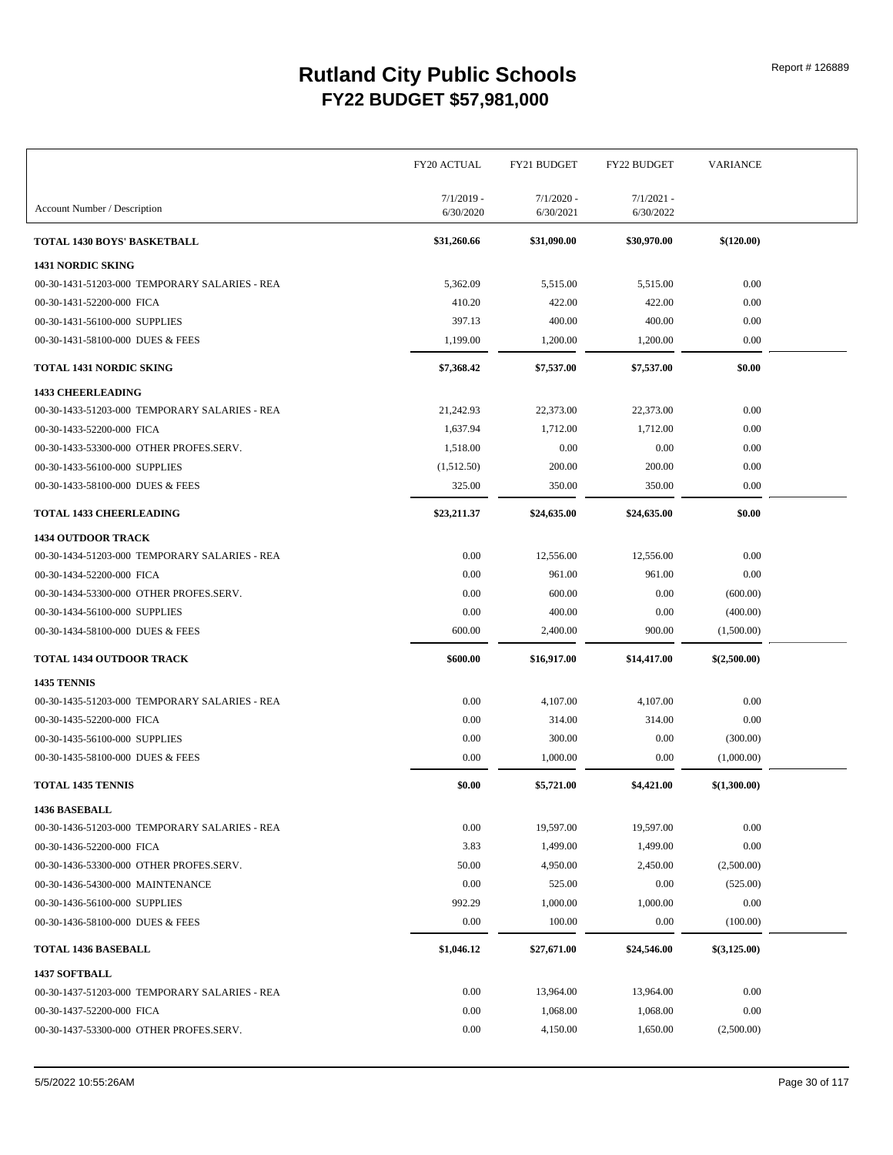| $7/1/2019$ -<br>$7/1/2020$ -<br>$7/1/2021 -$<br>Account Number / Description<br>6/30/2020<br>6/30/2021<br>6/30/2022<br>\$31,260.66<br>\$31,090.00<br>\$30,970.00<br>\$(120.00)<br>0.00<br>00-30-1431-51203-000 TEMPORARY SALARIES - REA<br>5,362.09<br>5,515.00<br>5,515.00<br>410.20<br>422.00<br>422.00<br>0.00<br>00-30-1431-52200-000 FICA<br>397.13<br>400.00<br>400.00<br>0.00<br>00-30-1431-56100-000 SUPPLIES<br>1,199.00<br>1,200.00<br>1,200.00<br>0.00<br>00-30-1431-58100-000 DUES & FEES<br>\$0.00<br>\$7,368.42<br>\$7,537.00<br>\$7,537.00<br>0.00<br>00-30-1433-51203-000 TEMPORARY SALARIES - REA<br>21,242.93<br>22,373.00<br>22,373.00<br>1,637.94<br>1,712.00<br>0.00<br>1,712.00<br>00-30-1433-52200-000 FICA<br>0.00<br>0.00<br>0.00<br>1,518.00<br>00-30-1433-53300-000 OTHER PROFES.SERV.<br>200.00<br>200.00<br>0.00<br>(1,512.50)<br>00-30-1433-56100-000 SUPPLIES<br>325.00<br>350.00<br>0.00<br>350.00<br>00-30-1433-58100-000 DUES & FEES<br>\$23,211.37<br>\$24,635.00<br>\$24,635.00<br>\$0.00<br>0.00<br>12,556.00<br>12,556.00<br>0.00<br>00-30-1434-51203-000 TEMPORARY SALARIES - REA<br>0.00<br>961.00<br>961.00<br>0.00<br>00-30-1434-52200-000 FICA<br>0.00<br>600.00<br>0.00<br>(600.00)<br>00-30-1434-53300-000 OTHER PROFES.SERV.<br>0.00<br>400.00<br>0.00<br>00-30-1434-56100-000 SUPPLIES<br>(400.00)<br>600.00<br>2,400.00<br>900.00<br>(1,500.00)<br>00-30-1434-58100-000 DUES & FEES<br>\$600.00<br>\$16,917.00<br>\$14,417.00<br>\$(2,500.00)<br>0.00<br>4,107.00<br>4,107.00<br>0.00<br>00-30-1435-51203-000 TEMPORARY SALARIES - REA<br>0.00<br>314.00<br>0.00<br>00-30-1435-52200-000 FICA<br>314.00<br>0.00<br>300.00<br>0.00<br>(300.00)<br>00-30-1435-56100-000 SUPPLIES<br>0.00<br>1,000.00<br>0.00<br>(1,000.00)<br>00-30-1435-58100-000 DUES & FEES<br>\$0.00<br>\$5,721.00<br>\$4,421.00<br>\$(1,300.00)<br>1436 BASEBALL<br>0.00<br>0.00<br>19,597.00<br>19,597.00<br>00-30-1436-51203-000 TEMPORARY SALARIES - REA<br>3.83<br>1,499.00<br>0.00<br>1,499.00<br>00-30-1436-52200-000 FICA<br>50.00<br>4,950.00<br>00-30-1436-53300-000 OTHER PROFES.SERV.<br>2,450.00<br>(2,500.00)<br>0.00<br>0.00<br>525.00<br>(525.00)<br>00-30-1436-54300-000 MAINTENANCE<br>0.00<br>992.29<br>1,000.00<br>1,000.00<br>00-30-1436-56100-000 SUPPLIES<br>0.00<br>100.00<br>0.00<br>(100.00)<br>00-30-1436-58100-000 DUES & FEES<br>\$1,046.12<br>\$27,671.00<br>\$24,546.00<br>\$(3,125.00)<br>0.00<br>0.00<br>13,964.00<br>13,964.00<br>00-30-1437-51203-000 TEMPORARY SALARIES - REA<br>0.00<br>1,068.00<br>0.00<br>00-30-1437-52200-000 FICA<br>1,068.00<br>0.00<br>00-30-1437-53300-000 OTHER PROFES.SERV.<br>4,150.00<br>1,650.00<br>(2,500.00) |                                    | <b>FY20 ACTUAL</b> | <b>FY21 BUDGET</b> | <b>FY22 BUDGET</b> | <b>VARIANCE</b> |  |
|---------------------------------------------------------------------------------------------------------------------------------------------------------------------------------------------------------------------------------------------------------------------------------------------------------------------------------------------------------------------------------------------------------------------------------------------------------------------------------------------------------------------------------------------------------------------------------------------------------------------------------------------------------------------------------------------------------------------------------------------------------------------------------------------------------------------------------------------------------------------------------------------------------------------------------------------------------------------------------------------------------------------------------------------------------------------------------------------------------------------------------------------------------------------------------------------------------------------------------------------------------------------------------------------------------------------------------------------------------------------------------------------------------------------------------------------------------------------------------------------------------------------------------------------------------------------------------------------------------------------------------------------------------------------------------------------------------------------------------------------------------------------------------------------------------------------------------------------------------------------------------------------------------------------------------------------------------------------------------------------------------------------------------------------------------------------------------------------------------------------------------------------------------------------------------------------------------------------------------------------------------------------------------------------------------------------------------------------------------------------------------------------------------------------------------------------------------------------------------------------------------------------------------------------------------------------------------------------------------------------------------------------------------------------------------------------------|------------------------------------|--------------------|--------------------|--------------------|-----------------|--|
|                                                                                                                                                                                                                                                                                                                                                                                                                                                                                                                                                                                                                                                                                                                                                                                                                                                                                                                                                                                                                                                                                                                                                                                                                                                                                                                                                                                                                                                                                                                                                                                                                                                                                                                                                                                                                                                                                                                                                                                                                                                                                                                                                                                                                                                                                                                                                                                                                                                                                                                                                                                                                                                                                                   |                                    |                    |                    |                    |                 |  |
|                                                                                                                                                                                                                                                                                                                                                                                                                                                                                                                                                                                                                                                                                                                                                                                                                                                                                                                                                                                                                                                                                                                                                                                                                                                                                                                                                                                                                                                                                                                                                                                                                                                                                                                                                                                                                                                                                                                                                                                                                                                                                                                                                                                                                                                                                                                                                                                                                                                                                                                                                                                                                                                                                                   |                                    |                    |                    |                    |                 |  |
|                                                                                                                                                                                                                                                                                                                                                                                                                                                                                                                                                                                                                                                                                                                                                                                                                                                                                                                                                                                                                                                                                                                                                                                                                                                                                                                                                                                                                                                                                                                                                                                                                                                                                                                                                                                                                                                                                                                                                                                                                                                                                                                                                                                                                                                                                                                                                                                                                                                                                                                                                                                                                                                                                                   | <b>TOTAL 1430 BOYS' BASKETBALL</b> |                    |                    |                    |                 |  |
|                                                                                                                                                                                                                                                                                                                                                                                                                                                                                                                                                                                                                                                                                                                                                                                                                                                                                                                                                                                                                                                                                                                                                                                                                                                                                                                                                                                                                                                                                                                                                                                                                                                                                                                                                                                                                                                                                                                                                                                                                                                                                                                                                                                                                                                                                                                                                                                                                                                                                                                                                                                                                                                                                                   | <b>1431 NORDIC SKING</b>           |                    |                    |                    |                 |  |
|                                                                                                                                                                                                                                                                                                                                                                                                                                                                                                                                                                                                                                                                                                                                                                                                                                                                                                                                                                                                                                                                                                                                                                                                                                                                                                                                                                                                                                                                                                                                                                                                                                                                                                                                                                                                                                                                                                                                                                                                                                                                                                                                                                                                                                                                                                                                                                                                                                                                                                                                                                                                                                                                                                   |                                    |                    |                    |                    |                 |  |
|                                                                                                                                                                                                                                                                                                                                                                                                                                                                                                                                                                                                                                                                                                                                                                                                                                                                                                                                                                                                                                                                                                                                                                                                                                                                                                                                                                                                                                                                                                                                                                                                                                                                                                                                                                                                                                                                                                                                                                                                                                                                                                                                                                                                                                                                                                                                                                                                                                                                                                                                                                                                                                                                                                   |                                    |                    |                    |                    |                 |  |
|                                                                                                                                                                                                                                                                                                                                                                                                                                                                                                                                                                                                                                                                                                                                                                                                                                                                                                                                                                                                                                                                                                                                                                                                                                                                                                                                                                                                                                                                                                                                                                                                                                                                                                                                                                                                                                                                                                                                                                                                                                                                                                                                                                                                                                                                                                                                                                                                                                                                                                                                                                                                                                                                                                   |                                    |                    |                    |                    |                 |  |
|                                                                                                                                                                                                                                                                                                                                                                                                                                                                                                                                                                                                                                                                                                                                                                                                                                                                                                                                                                                                                                                                                                                                                                                                                                                                                                                                                                                                                                                                                                                                                                                                                                                                                                                                                                                                                                                                                                                                                                                                                                                                                                                                                                                                                                                                                                                                                                                                                                                                                                                                                                                                                                                                                                   |                                    |                    |                    |                    |                 |  |
|                                                                                                                                                                                                                                                                                                                                                                                                                                                                                                                                                                                                                                                                                                                                                                                                                                                                                                                                                                                                                                                                                                                                                                                                                                                                                                                                                                                                                                                                                                                                                                                                                                                                                                                                                                                                                                                                                                                                                                                                                                                                                                                                                                                                                                                                                                                                                                                                                                                                                                                                                                                                                                                                                                   | <b>TOTAL 1431 NORDIC SKING</b>     |                    |                    |                    |                 |  |
|                                                                                                                                                                                                                                                                                                                                                                                                                                                                                                                                                                                                                                                                                                                                                                                                                                                                                                                                                                                                                                                                                                                                                                                                                                                                                                                                                                                                                                                                                                                                                                                                                                                                                                                                                                                                                                                                                                                                                                                                                                                                                                                                                                                                                                                                                                                                                                                                                                                                                                                                                                                                                                                                                                   | <b>1433 CHEERLEADING</b>           |                    |                    |                    |                 |  |
|                                                                                                                                                                                                                                                                                                                                                                                                                                                                                                                                                                                                                                                                                                                                                                                                                                                                                                                                                                                                                                                                                                                                                                                                                                                                                                                                                                                                                                                                                                                                                                                                                                                                                                                                                                                                                                                                                                                                                                                                                                                                                                                                                                                                                                                                                                                                                                                                                                                                                                                                                                                                                                                                                                   |                                    |                    |                    |                    |                 |  |
|                                                                                                                                                                                                                                                                                                                                                                                                                                                                                                                                                                                                                                                                                                                                                                                                                                                                                                                                                                                                                                                                                                                                                                                                                                                                                                                                                                                                                                                                                                                                                                                                                                                                                                                                                                                                                                                                                                                                                                                                                                                                                                                                                                                                                                                                                                                                                                                                                                                                                                                                                                                                                                                                                                   |                                    |                    |                    |                    |                 |  |
|                                                                                                                                                                                                                                                                                                                                                                                                                                                                                                                                                                                                                                                                                                                                                                                                                                                                                                                                                                                                                                                                                                                                                                                                                                                                                                                                                                                                                                                                                                                                                                                                                                                                                                                                                                                                                                                                                                                                                                                                                                                                                                                                                                                                                                                                                                                                                                                                                                                                                                                                                                                                                                                                                                   |                                    |                    |                    |                    |                 |  |
|                                                                                                                                                                                                                                                                                                                                                                                                                                                                                                                                                                                                                                                                                                                                                                                                                                                                                                                                                                                                                                                                                                                                                                                                                                                                                                                                                                                                                                                                                                                                                                                                                                                                                                                                                                                                                                                                                                                                                                                                                                                                                                                                                                                                                                                                                                                                                                                                                                                                                                                                                                                                                                                                                                   |                                    |                    |                    |                    |                 |  |
|                                                                                                                                                                                                                                                                                                                                                                                                                                                                                                                                                                                                                                                                                                                                                                                                                                                                                                                                                                                                                                                                                                                                                                                                                                                                                                                                                                                                                                                                                                                                                                                                                                                                                                                                                                                                                                                                                                                                                                                                                                                                                                                                                                                                                                                                                                                                                                                                                                                                                                                                                                                                                                                                                                   |                                    |                    |                    |                    |                 |  |
|                                                                                                                                                                                                                                                                                                                                                                                                                                                                                                                                                                                                                                                                                                                                                                                                                                                                                                                                                                                                                                                                                                                                                                                                                                                                                                                                                                                                                                                                                                                                                                                                                                                                                                                                                                                                                                                                                                                                                                                                                                                                                                                                                                                                                                                                                                                                                                                                                                                                                                                                                                                                                                                                                                   | <b>TOTAL 1433 CHEERLEADING</b>     |                    |                    |                    |                 |  |
|                                                                                                                                                                                                                                                                                                                                                                                                                                                                                                                                                                                                                                                                                                                                                                                                                                                                                                                                                                                                                                                                                                                                                                                                                                                                                                                                                                                                                                                                                                                                                                                                                                                                                                                                                                                                                                                                                                                                                                                                                                                                                                                                                                                                                                                                                                                                                                                                                                                                                                                                                                                                                                                                                                   | <b>1434 OUTDOOR TRACK</b>          |                    |                    |                    |                 |  |
|                                                                                                                                                                                                                                                                                                                                                                                                                                                                                                                                                                                                                                                                                                                                                                                                                                                                                                                                                                                                                                                                                                                                                                                                                                                                                                                                                                                                                                                                                                                                                                                                                                                                                                                                                                                                                                                                                                                                                                                                                                                                                                                                                                                                                                                                                                                                                                                                                                                                                                                                                                                                                                                                                                   |                                    |                    |                    |                    |                 |  |
|                                                                                                                                                                                                                                                                                                                                                                                                                                                                                                                                                                                                                                                                                                                                                                                                                                                                                                                                                                                                                                                                                                                                                                                                                                                                                                                                                                                                                                                                                                                                                                                                                                                                                                                                                                                                                                                                                                                                                                                                                                                                                                                                                                                                                                                                                                                                                                                                                                                                                                                                                                                                                                                                                                   |                                    |                    |                    |                    |                 |  |
|                                                                                                                                                                                                                                                                                                                                                                                                                                                                                                                                                                                                                                                                                                                                                                                                                                                                                                                                                                                                                                                                                                                                                                                                                                                                                                                                                                                                                                                                                                                                                                                                                                                                                                                                                                                                                                                                                                                                                                                                                                                                                                                                                                                                                                                                                                                                                                                                                                                                                                                                                                                                                                                                                                   |                                    |                    |                    |                    |                 |  |
|                                                                                                                                                                                                                                                                                                                                                                                                                                                                                                                                                                                                                                                                                                                                                                                                                                                                                                                                                                                                                                                                                                                                                                                                                                                                                                                                                                                                                                                                                                                                                                                                                                                                                                                                                                                                                                                                                                                                                                                                                                                                                                                                                                                                                                                                                                                                                                                                                                                                                                                                                                                                                                                                                                   |                                    |                    |                    |                    |                 |  |
|                                                                                                                                                                                                                                                                                                                                                                                                                                                                                                                                                                                                                                                                                                                                                                                                                                                                                                                                                                                                                                                                                                                                                                                                                                                                                                                                                                                                                                                                                                                                                                                                                                                                                                                                                                                                                                                                                                                                                                                                                                                                                                                                                                                                                                                                                                                                                                                                                                                                                                                                                                                                                                                                                                   |                                    |                    |                    |                    |                 |  |
|                                                                                                                                                                                                                                                                                                                                                                                                                                                                                                                                                                                                                                                                                                                                                                                                                                                                                                                                                                                                                                                                                                                                                                                                                                                                                                                                                                                                                                                                                                                                                                                                                                                                                                                                                                                                                                                                                                                                                                                                                                                                                                                                                                                                                                                                                                                                                                                                                                                                                                                                                                                                                                                                                                   | <b>TOTAL 1434 OUTDOOR TRACK</b>    |                    |                    |                    |                 |  |
|                                                                                                                                                                                                                                                                                                                                                                                                                                                                                                                                                                                                                                                                                                                                                                                                                                                                                                                                                                                                                                                                                                                                                                                                                                                                                                                                                                                                                                                                                                                                                                                                                                                                                                                                                                                                                                                                                                                                                                                                                                                                                                                                                                                                                                                                                                                                                                                                                                                                                                                                                                                                                                                                                                   | 1435 TENNIS                        |                    |                    |                    |                 |  |
|                                                                                                                                                                                                                                                                                                                                                                                                                                                                                                                                                                                                                                                                                                                                                                                                                                                                                                                                                                                                                                                                                                                                                                                                                                                                                                                                                                                                                                                                                                                                                                                                                                                                                                                                                                                                                                                                                                                                                                                                                                                                                                                                                                                                                                                                                                                                                                                                                                                                                                                                                                                                                                                                                                   |                                    |                    |                    |                    |                 |  |
|                                                                                                                                                                                                                                                                                                                                                                                                                                                                                                                                                                                                                                                                                                                                                                                                                                                                                                                                                                                                                                                                                                                                                                                                                                                                                                                                                                                                                                                                                                                                                                                                                                                                                                                                                                                                                                                                                                                                                                                                                                                                                                                                                                                                                                                                                                                                                                                                                                                                                                                                                                                                                                                                                                   |                                    |                    |                    |                    |                 |  |
|                                                                                                                                                                                                                                                                                                                                                                                                                                                                                                                                                                                                                                                                                                                                                                                                                                                                                                                                                                                                                                                                                                                                                                                                                                                                                                                                                                                                                                                                                                                                                                                                                                                                                                                                                                                                                                                                                                                                                                                                                                                                                                                                                                                                                                                                                                                                                                                                                                                                                                                                                                                                                                                                                                   |                                    |                    |                    |                    |                 |  |
|                                                                                                                                                                                                                                                                                                                                                                                                                                                                                                                                                                                                                                                                                                                                                                                                                                                                                                                                                                                                                                                                                                                                                                                                                                                                                                                                                                                                                                                                                                                                                                                                                                                                                                                                                                                                                                                                                                                                                                                                                                                                                                                                                                                                                                                                                                                                                                                                                                                                                                                                                                                                                                                                                                   |                                    |                    |                    |                    |                 |  |
|                                                                                                                                                                                                                                                                                                                                                                                                                                                                                                                                                                                                                                                                                                                                                                                                                                                                                                                                                                                                                                                                                                                                                                                                                                                                                                                                                                                                                                                                                                                                                                                                                                                                                                                                                                                                                                                                                                                                                                                                                                                                                                                                                                                                                                                                                                                                                                                                                                                                                                                                                                                                                                                                                                   | <b>TOTAL 1435 TENNIS</b>           |                    |                    |                    |                 |  |
|                                                                                                                                                                                                                                                                                                                                                                                                                                                                                                                                                                                                                                                                                                                                                                                                                                                                                                                                                                                                                                                                                                                                                                                                                                                                                                                                                                                                                                                                                                                                                                                                                                                                                                                                                                                                                                                                                                                                                                                                                                                                                                                                                                                                                                                                                                                                                                                                                                                                                                                                                                                                                                                                                                   |                                    |                    |                    |                    |                 |  |
|                                                                                                                                                                                                                                                                                                                                                                                                                                                                                                                                                                                                                                                                                                                                                                                                                                                                                                                                                                                                                                                                                                                                                                                                                                                                                                                                                                                                                                                                                                                                                                                                                                                                                                                                                                                                                                                                                                                                                                                                                                                                                                                                                                                                                                                                                                                                                                                                                                                                                                                                                                                                                                                                                                   |                                    |                    |                    |                    |                 |  |
|                                                                                                                                                                                                                                                                                                                                                                                                                                                                                                                                                                                                                                                                                                                                                                                                                                                                                                                                                                                                                                                                                                                                                                                                                                                                                                                                                                                                                                                                                                                                                                                                                                                                                                                                                                                                                                                                                                                                                                                                                                                                                                                                                                                                                                                                                                                                                                                                                                                                                                                                                                                                                                                                                                   |                                    |                    |                    |                    |                 |  |
|                                                                                                                                                                                                                                                                                                                                                                                                                                                                                                                                                                                                                                                                                                                                                                                                                                                                                                                                                                                                                                                                                                                                                                                                                                                                                                                                                                                                                                                                                                                                                                                                                                                                                                                                                                                                                                                                                                                                                                                                                                                                                                                                                                                                                                                                                                                                                                                                                                                                                                                                                                                                                                                                                                   |                                    |                    |                    |                    |                 |  |
|                                                                                                                                                                                                                                                                                                                                                                                                                                                                                                                                                                                                                                                                                                                                                                                                                                                                                                                                                                                                                                                                                                                                                                                                                                                                                                                                                                                                                                                                                                                                                                                                                                                                                                                                                                                                                                                                                                                                                                                                                                                                                                                                                                                                                                                                                                                                                                                                                                                                                                                                                                                                                                                                                                   |                                    |                    |                    |                    |                 |  |
|                                                                                                                                                                                                                                                                                                                                                                                                                                                                                                                                                                                                                                                                                                                                                                                                                                                                                                                                                                                                                                                                                                                                                                                                                                                                                                                                                                                                                                                                                                                                                                                                                                                                                                                                                                                                                                                                                                                                                                                                                                                                                                                                                                                                                                                                                                                                                                                                                                                                                                                                                                                                                                                                                                   |                                    |                    |                    |                    |                 |  |
|                                                                                                                                                                                                                                                                                                                                                                                                                                                                                                                                                                                                                                                                                                                                                                                                                                                                                                                                                                                                                                                                                                                                                                                                                                                                                                                                                                                                                                                                                                                                                                                                                                                                                                                                                                                                                                                                                                                                                                                                                                                                                                                                                                                                                                                                                                                                                                                                                                                                                                                                                                                                                                                                                                   |                                    |                    |                    |                    |                 |  |
|                                                                                                                                                                                                                                                                                                                                                                                                                                                                                                                                                                                                                                                                                                                                                                                                                                                                                                                                                                                                                                                                                                                                                                                                                                                                                                                                                                                                                                                                                                                                                                                                                                                                                                                                                                                                                                                                                                                                                                                                                                                                                                                                                                                                                                                                                                                                                                                                                                                                                                                                                                                                                                                                                                   | TOTAL 1436 BASEBALL                |                    |                    |                    |                 |  |
|                                                                                                                                                                                                                                                                                                                                                                                                                                                                                                                                                                                                                                                                                                                                                                                                                                                                                                                                                                                                                                                                                                                                                                                                                                                                                                                                                                                                                                                                                                                                                                                                                                                                                                                                                                                                                                                                                                                                                                                                                                                                                                                                                                                                                                                                                                                                                                                                                                                                                                                                                                                                                                                                                                   | <b>1437 SOFTBALL</b>               |                    |                    |                    |                 |  |
|                                                                                                                                                                                                                                                                                                                                                                                                                                                                                                                                                                                                                                                                                                                                                                                                                                                                                                                                                                                                                                                                                                                                                                                                                                                                                                                                                                                                                                                                                                                                                                                                                                                                                                                                                                                                                                                                                                                                                                                                                                                                                                                                                                                                                                                                                                                                                                                                                                                                                                                                                                                                                                                                                                   |                                    |                    |                    |                    |                 |  |
|                                                                                                                                                                                                                                                                                                                                                                                                                                                                                                                                                                                                                                                                                                                                                                                                                                                                                                                                                                                                                                                                                                                                                                                                                                                                                                                                                                                                                                                                                                                                                                                                                                                                                                                                                                                                                                                                                                                                                                                                                                                                                                                                                                                                                                                                                                                                                                                                                                                                                                                                                                                                                                                                                                   |                                    |                    |                    |                    |                 |  |
|                                                                                                                                                                                                                                                                                                                                                                                                                                                                                                                                                                                                                                                                                                                                                                                                                                                                                                                                                                                                                                                                                                                                                                                                                                                                                                                                                                                                                                                                                                                                                                                                                                                                                                                                                                                                                                                                                                                                                                                                                                                                                                                                                                                                                                                                                                                                                                                                                                                                                                                                                                                                                                                                                                   |                                    |                    |                    |                    |                 |  |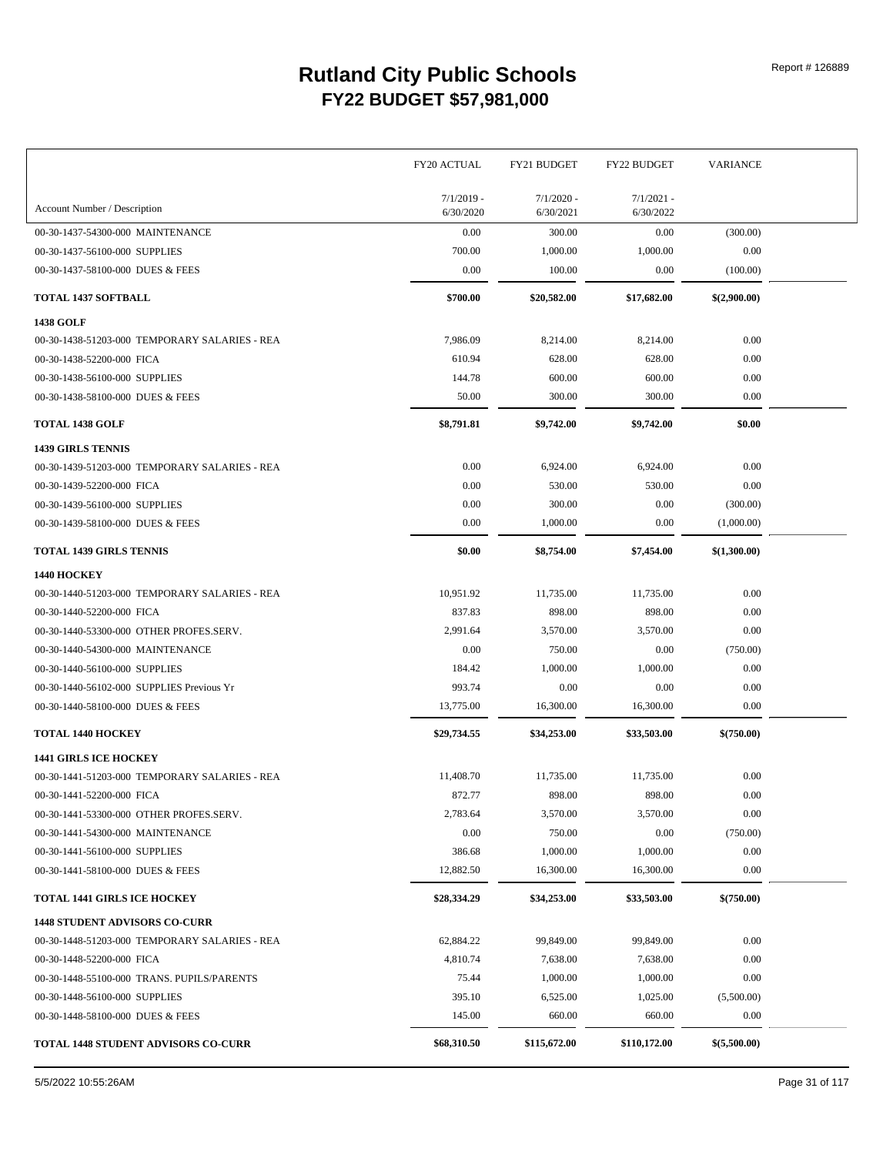|                                                                             | <b>FY20 ACTUAL</b> | <b>FY21 BUDGET</b> | FY22 BUDGET  | <b>VARIANCE</b> |  |
|-----------------------------------------------------------------------------|--------------------|--------------------|--------------|-----------------|--|
| Account Number / Description                                                | $7/1/2019$ -       | $7/1/2020$ -       | $7/1/2021 -$ |                 |  |
|                                                                             | 6/30/2020<br>0.00  | 6/30/2021          | 6/30/2022    | (300.00)        |  |
| 00-30-1437-54300-000 MAINTENANCE<br>00-30-1437-56100-000 SUPPLIES           |                    | 300.00             | 0.00         |                 |  |
|                                                                             | 700.00             | 1,000.00           | 1,000.00     | 0.00            |  |
| 00-30-1437-58100-000 DUES & FEES                                            | 0.00               | 100.00             | 0.00         | (100.00)        |  |
| <b>TOTAL 1437 SOFTBALL</b>                                                  | \$700.00           | \$20,582.00        | \$17,682.00  | \$(2,900.00)    |  |
| <b>1438 GOLF</b>                                                            |                    |                    |              |                 |  |
| 00-30-1438-51203-000 TEMPORARY SALARIES - REA                               | 7,986.09           | 8,214.00           | 8,214.00     | 0.00            |  |
| 00-30-1438-52200-000 FICA                                                   | 610.94             | 628.00             | 628.00       | 0.00            |  |
| 00-30-1438-56100-000 SUPPLIES                                               | 144.78             | 600.00             | 600.00       | 0.00            |  |
| 00-30-1438-58100-000 DUES & FEES                                            | 50.00              | 300.00             | 300.00       | 0.00            |  |
| <b>TOTAL 1438 GOLF</b>                                                      | \$8,791.81         | \$9,742.00         | \$9,742.00   | \$0.00          |  |
| <b>1439 GIRLS TENNIS</b>                                                    |                    |                    |              |                 |  |
| 00-30-1439-51203-000 TEMPORARY SALARIES - REA                               | 0.00               | 6,924.00           | 6,924.00     | 0.00            |  |
| 00-30-1439-52200-000 FICA                                                   | 0.00               | 530.00             | 530.00       | 0.00            |  |
| 00-30-1439-56100-000 SUPPLIES                                               | 0.00               | 300.00             | 0.00         | (300.00)        |  |
| 00-30-1439-58100-000 DUES & FEES                                            | 0.00               | 1,000.00           | 0.00         | (1,000.00)      |  |
| <b>TOTAL 1439 GIRLS TENNIS</b>                                              | \$0.00             | \$8,754.00         | \$7,454.00   | \$(1,300.00)    |  |
| 1440 HOCKEY                                                                 |                    |                    |              |                 |  |
| 00-30-1440-51203-000 TEMPORARY SALARIES - REA                               | 10,951.92          | 11,735.00          | 11,735.00    | 0.00            |  |
| 00-30-1440-52200-000 FICA                                                   | 837.83             | 898.00             | 898.00       | 0.00            |  |
| 00-30-1440-53300-000 OTHER PROFES.SERV.                                     | 2,991.64           | 3,570.00           | 3,570.00     | 0.00            |  |
| 00-30-1440-54300-000 MAINTENANCE                                            | 0.00               | 750.00             | 0.00         | (750.00)        |  |
| 00-30-1440-56100-000 SUPPLIES                                               | 184.42             | 1,000.00           | 1,000.00     | 0.00            |  |
| 00-30-1440-56102-000 SUPPLIES Previous Yr                                   | 993.74             | 0.00               | 0.00         | 0.00            |  |
| 00-30-1440-58100-000 DUES & FEES                                            | 13,775.00          | 16,300.00          | 16,300.00    | 0.00            |  |
| <b>TOTAL 1440 HOCKEY</b>                                                    | \$29,734.55        | \$34,253.00        | \$33,503.00  | \$(750.00)      |  |
| <b>1441 GIRLS ICE HOCKEY</b>                                                |                    |                    |              |                 |  |
| 00-30-1441-51203-000 TEMPORARY SALARIES - REA                               | 11,408.70          | 11,735.00          | 11,735.00    | 0.00            |  |
| 00-30-1441-52200-000 FICA                                                   | 872.77             | 898.00             | 898.00       | 0.00            |  |
| 00-30-1441-53300-000 OTHER PROFES.SERV.                                     | 2,783.64           | 3,570.00           | 3,570.00     | 0.00            |  |
| 00-30-1441-54300-000 MAINTENANCE                                            | 0.00               | 750.00             | 0.00         | (750.00)        |  |
| 00-30-1441-56100-000 SUPPLIES                                               | 386.68             | 1,000.00           | 1,000.00     | 0.00            |  |
| 00-30-1441-58100-000 DUES & FEES                                            | 12,882.50          | 16,300.00          | 16,300.00    | 0.00            |  |
| <b>TOTAL 1441 GIRLS ICE HOCKEY</b>                                          | \$28,334.29        | \$34,253.00        | \$33,503.00  | \$(750.00)      |  |
| <b>1448 STUDENT ADVISORS CO-CURR</b>                                        |                    |                    |              |                 |  |
| 00-30-1448-51203-000 TEMPORARY SALARIES - REA                               | 62,884.22          | 99,849.00          | 99,849.00    | 0.00            |  |
| 00-30-1448-52200-000 FICA                                                   | 4,810.74           | 7,638.00           | 7,638.00     | 0.00            |  |
|                                                                             | 75.44              | 1,000.00           | 1,000.00     | 0.00            |  |
|                                                                             |                    |                    |              |                 |  |
| 00-30-1448-55100-000 TRANS. PUPILS/PARENTS<br>00-30-1448-56100-000 SUPPLIES | 395.10             | 6,525.00           | 1,025.00     | (5,500.00)      |  |
| 00-30-1448-58100-000 DUES & FEES                                            | 145.00             | 660.00             | 660.00       | 0.00            |  |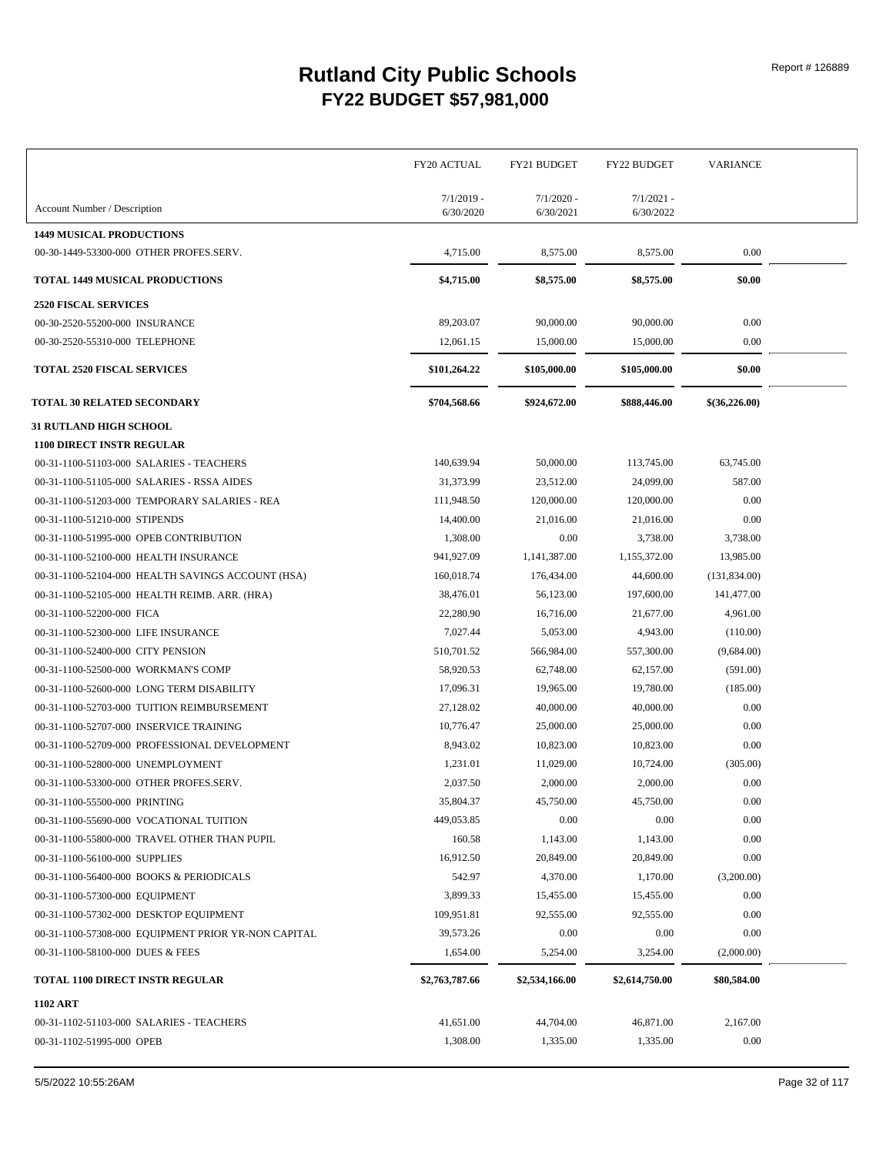|                                                     | FY20 ACTUAL    | FY21 BUDGET    | FY22 BUDGET    | <b>VARIANCE</b> |  |
|-----------------------------------------------------|----------------|----------------|----------------|-----------------|--|
|                                                     | $7/1/2019$ -   | $7/1/2020$ -   | $7/1/2021$ -   |                 |  |
| Account Number / Description                        | 6/30/2020      | 6/30/2021      | 6/30/2022      |                 |  |
| <b>1449 MUSICAL PRODUCTIONS</b>                     |                |                |                |                 |  |
| 00-30-1449-53300-000 OTHER PROFES.SERV.             | 4,715.00       | 8,575.00       | 8,575.00       | 0.00            |  |
| <b>TOTAL 1449 MUSICAL PRODUCTIONS</b>               | \$4,715.00     | \$8,575.00     | \$8,575.00     | \$0.00          |  |
| <b>2520 FISCAL SERVICES</b>                         |                |                |                |                 |  |
| 00-30-2520-55200-000 INSURANCE                      | 89,203.07      | 90,000.00      | 90,000.00      | 0.00            |  |
| 00-30-2520-55310-000 TELEPHONE                      | 12,061.15      | 15,000.00      | 15,000.00      | 0.00            |  |
| <b>TOTAL 2520 FISCAL SERVICES</b>                   | \$101,264.22   | \$105,000.00   | \$105,000.00   | \$0.00          |  |
| <b>TOTAL 30 RELATED SECONDARY</b>                   | \$704,568.66   | \$924,672.00   | \$888,446.00   | \$(36,226.00)   |  |
| 31 RUTLAND HIGH SCHOOL                              |                |                |                |                 |  |
| <b>1100 DIRECT INSTR REGULAR</b>                    |                |                |                |                 |  |
| 00-31-1100-51103-000 SALARIES - TEACHERS            | 140,639.94     | 50,000.00      | 113,745.00     | 63,745.00       |  |
| 00-31-1100-51105-000 SALARIES - RSSA AIDES          | 31,373.99      | 23,512.00      | 24,099.00      | 587.00          |  |
| 00-31-1100-51203-000 TEMPORARY SALARIES - REA       | 111,948.50     | 120,000.00     | 120,000.00     | 0.00            |  |
| 00-31-1100-51210-000 STIPENDS                       | 14,400.00      | 21,016.00      | 21,016.00      | 0.00            |  |
| 00-31-1100-51995-000 OPEB CONTRIBUTION              | 1,308.00       | 0.00           | 3,738.00       | 3,738.00        |  |
| 00-31-1100-52100-000 HEALTH INSURANCE               | 941,927.09     | 1,141,387.00   | 1,155,372.00   | 13,985.00       |  |
| 00-31-1100-52104-000 HEALTH SAVINGS ACCOUNT (HSA)   | 160,018.74     | 176,434.00     | 44,600.00      | (131, 834.00)   |  |
| 00-31-1100-52105-000 HEALTH REIMB. ARR. (HRA)       | 38,476.01      | 56,123.00      | 197,600.00     | 141,477.00      |  |
| 00-31-1100-52200-000 FICA                           | 22,280.90      | 16,716.00      | 21,677.00      | 4,961.00        |  |
| 00-31-1100-52300-000 LIFE INSURANCE                 | 7,027.44       | 5,053.00       | 4,943.00       | (110.00)        |  |
| 00-31-1100-52400-000 CITY PENSION                   | 510,701.52     | 566,984.00     | 557,300.00     | (9,684.00)      |  |
| 00-31-1100-52500-000 WORKMAN'S COMP                 | 58,920.53      | 62,748.00      | 62,157.00      | (591.00)        |  |
| 00-31-1100-52600-000 LONG TERM DISABILITY           | 17,096.31      | 19,965.00      | 19,780.00      | (185.00)        |  |
| 00-31-1100-52703-000 TUITION REIMBURSEMENT          | 27,128.02      | 40,000.00      | 40,000.00      | 0.00            |  |
| 00-31-1100-52707-000 INSERVICE TRAINING             | 10,776.47      | 25,000.00      | 25,000.00      | 0.00            |  |
| 00-31-1100-52709-000 PROFESSIONAL DEVELOPMENT       | 8,943.02       | 10,823.00      | 10,823.00      | 0.00            |  |
| 00-31-1100-52800-000 UNEMPLOYMENT                   | 1,231.01       | 11,029.00      | 10,724.00      | (305.00)        |  |
| 00-31-1100-53300-000 OTHER PROFES.SERV.             | 2,037.50       | 2,000.00       | 2,000.00       | 0.00            |  |
| 00-31-1100-55500-000 PRINTING                       | 35,804.37      | 45,750.00      | 45,750.00      | 0.00            |  |
| 00-31-1100-55690-000 VOCATIONAL TUITION             | 449,053.85     | 0.00           | 0.00           | 0.00            |  |
| 00-31-1100-55800-000 TRAVEL OTHER THAN PUPIL        | 160.58         | 1,143.00       | 1,143.00       | 0.00            |  |
| 00-31-1100-56100-000 SUPPLIES                       | 16,912.50      | 20,849.00      | 20,849.00      | 0.00            |  |
| 00-31-1100-56400-000 BOOKS & PERIODICALS            | 542.97         | 4,370.00       | 1,170.00       | (3,200.00)      |  |
| 00-31-1100-57300-000 EQUIPMENT                      | 3,899.33       | 15,455.00      | 15,455.00      | 0.00            |  |
| 00-31-1100-57302-000 DESKTOP EQUIPMENT              | 109,951.81     | 92,555.00      | 92,555.00      | 0.00            |  |
| 00-31-1100-57308-000 EQUIPMENT PRIOR YR-NON CAPITAL | 39,573.26      | 0.00           | 0.00           | 0.00            |  |
| 00-31-1100-58100-000 DUES & FEES                    | 1,654.00       | 5,254.00       | 3,254.00       | (2,000.00)      |  |
| <b>TOTAL 1100 DIRECT INSTR REGULAR</b>              | \$2,763,787.66 | \$2,534,166.00 | \$2,614,750.00 | \$80,584.00     |  |
| 1102 ART                                            |                |                |                |                 |  |
| 00-31-1102-51103-000 SALARIES - TEACHERS            | 41,651.00      | 44,704.00      | 46,871.00      | 2,167.00        |  |
| 00-31-1102-51995-000 OPEB                           | 1,308.00       | 1,335.00       | 1,335.00       | 0.00            |  |
|                                                     |                |                |                |                 |  |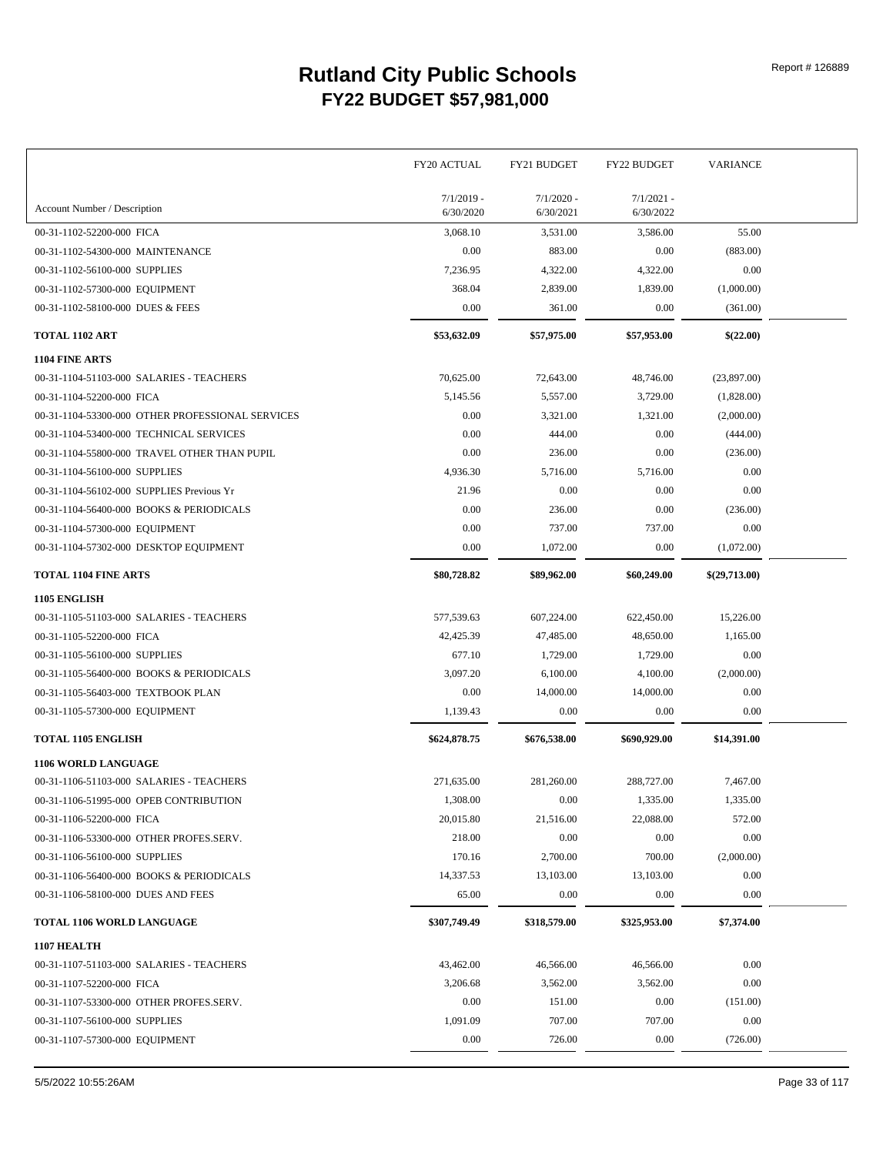|                                                  | FY20 ACTUAL  | FY21 BUDGET  | FY22 BUDGET  | <b>VARIANCE</b> |  |
|--------------------------------------------------|--------------|--------------|--------------|-----------------|--|
|                                                  | $7/1/2019$ - | $7/1/2020$ - | $7/1/2021 -$ |                 |  |
| Account Number / Description                     | 6/30/2020    | 6/30/2021    | 6/30/2022    |                 |  |
| 00-31-1102-52200-000 FICA                        | 3,068.10     | 3,531.00     | 3,586.00     | 55.00           |  |
| 00-31-1102-54300-000 MAINTENANCE                 | 0.00         | 883.00       | 0.00         | (883.00)        |  |
| 00-31-1102-56100-000 SUPPLIES                    | 7,236.95     | 4,322.00     | 4,322.00     | 0.00            |  |
| 00-31-1102-57300-000 EQUIPMENT                   | 368.04       | 2,839.00     | 1,839.00     | (1,000.00)      |  |
| 00-31-1102-58100-000 DUES & FEES                 | 0.00         | 361.00       | 0.00         | (361.00)        |  |
| <b>TOTAL 1102 ART</b>                            | \$53,632.09  | \$57,975.00  | \$57,953.00  | \$(22.00)       |  |
| 1104 FINE ARTS                                   |              |              |              |                 |  |
| 00-31-1104-51103-000 SALARIES - TEACHERS         | 70,625.00    | 72,643.00    | 48,746.00    | (23,897.00)     |  |
| 00-31-1104-52200-000 FICA                        | 5,145.56     | 5,557.00     | 3,729.00     | (1,828.00)      |  |
| 00-31-1104-53300-000 OTHER PROFESSIONAL SERVICES | 0.00         | 3,321.00     | 1,321.00     | (2,000.00)      |  |
| 00-31-1104-53400-000 TECHNICAL SERVICES          | 0.00         | 444.00       | 0.00         | (444.00)        |  |
| 00-31-1104-55800-000 TRAVEL OTHER THAN PUPIL     | 0.00         | 236.00       | 0.00         | (236.00)        |  |
| 00-31-1104-56100-000 SUPPLIES                    | 4,936.30     | 5,716.00     | 5,716.00     | 0.00            |  |
| 00-31-1104-56102-000 SUPPLIES Previous Yr        | 21.96        | 0.00         | 0.00         | 0.00            |  |
| 00-31-1104-56400-000 BOOKS & PERIODICALS         | 0.00         | 236.00       | 0.00         | (236.00)        |  |
| 00-31-1104-57300-000 EQUIPMENT                   | 0.00         | 737.00       | 737.00       | 0.00            |  |
| 00-31-1104-57302-000 DESKTOP EQUIPMENT           | 0.00         | 1,072.00     | 0.00         | (1,072.00)      |  |
| <b>TOTAL 1104 FINE ARTS</b>                      | \$80,728.82  | \$89,962.00  | \$60,249.00  | \$(29,713.00)   |  |
| 1105 ENGLISH                                     |              |              |              |                 |  |
| 00-31-1105-51103-000 SALARIES - TEACHERS         | 577,539.63   | 607,224.00   | 622,450.00   | 15,226.00       |  |
| 00-31-1105-52200-000 FICA                        | 42,425.39    | 47,485.00    | 48,650.00    | 1,165.00        |  |
| 00-31-1105-56100-000 SUPPLIES                    | 677.10       | 1,729.00     | 1,729.00     | 0.00            |  |
| 00-31-1105-56400-000 BOOKS & PERIODICALS         | 3,097.20     | 6,100.00     | 4,100.00     | (2,000.00)      |  |
| 00-31-1105-56403-000 TEXTBOOK PLAN               | 0.00         | 14,000.00    | 14,000.00    | 0.00            |  |
| 00-31-1105-57300-000 EQUIPMENT                   | 1,139.43     | 0.00         | 0.00         | 0.00            |  |
| <b>TOTAL 1105 ENGLISH</b>                        | \$624,878.75 | \$676,538.00 | \$690,929.00 | \$14,391.00     |  |
| <b>1106 WORLD LANGUAGE</b>                       |              |              |              |                 |  |
| 00-31-1106-51103-000 SALARIES - TEACHERS         | 271,635.00   | 281,260.00   | 288,727.00   | 7,467.00        |  |
| 00-31-1106-51995-000 OPEB CONTRIBUTION           | 1,308.00     | 0.00         | 1,335.00     | 1,335.00        |  |
| 00-31-1106-52200-000 FICA                        | 20,015.80    | 21,516.00    | 22,088.00    | 572.00          |  |
| 00-31-1106-53300-000 OTHER PROFES.SERV.          | 218.00       | 0.00         | 0.00         | 0.00            |  |
| 00-31-1106-56100-000 SUPPLIES                    | 170.16       | 2,700.00     | 700.00       | (2,000.00)      |  |
| 00-31-1106-56400-000 BOOKS & PERIODICALS         | 14,337.53    | 13,103.00    | 13,103.00    | 0.00            |  |
| 00-31-1106-58100-000 DUES AND FEES               | 65.00        | 0.00         | 0.00         | 0.00            |  |
| TOTAL 1106 WORLD LANGUAGE                        | \$307,749.49 | \$318,579.00 | \$325,953.00 | \$7,374.00      |  |
| 1107 HEALTH                                      |              |              |              |                 |  |
| 00-31-1107-51103-000 SALARIES - TEACHERS         | 43,462.00    | 46,566.00    | 46,566.00    | 0.00            |  |
| 00-31-1107-52200-000 FICA                        | 3,206.68     | 3,562.00     | 3,562.00     | 0.00            |  |
| 00-31-1107-53300-000 OTHER PROFES.SERV.          | 0.00         | 151.00       | 0.00         | (151.00)        |  |
| 00-31-1107-56100-000 SUPPLIES                    | 1,091.09     | 707.00       | 707.00       | 0.00            |  |
| 00-31-1107-57300-000 EQUIPMENT                   | 0.00         | 726.00       | 0.00         | (726.00)        |  |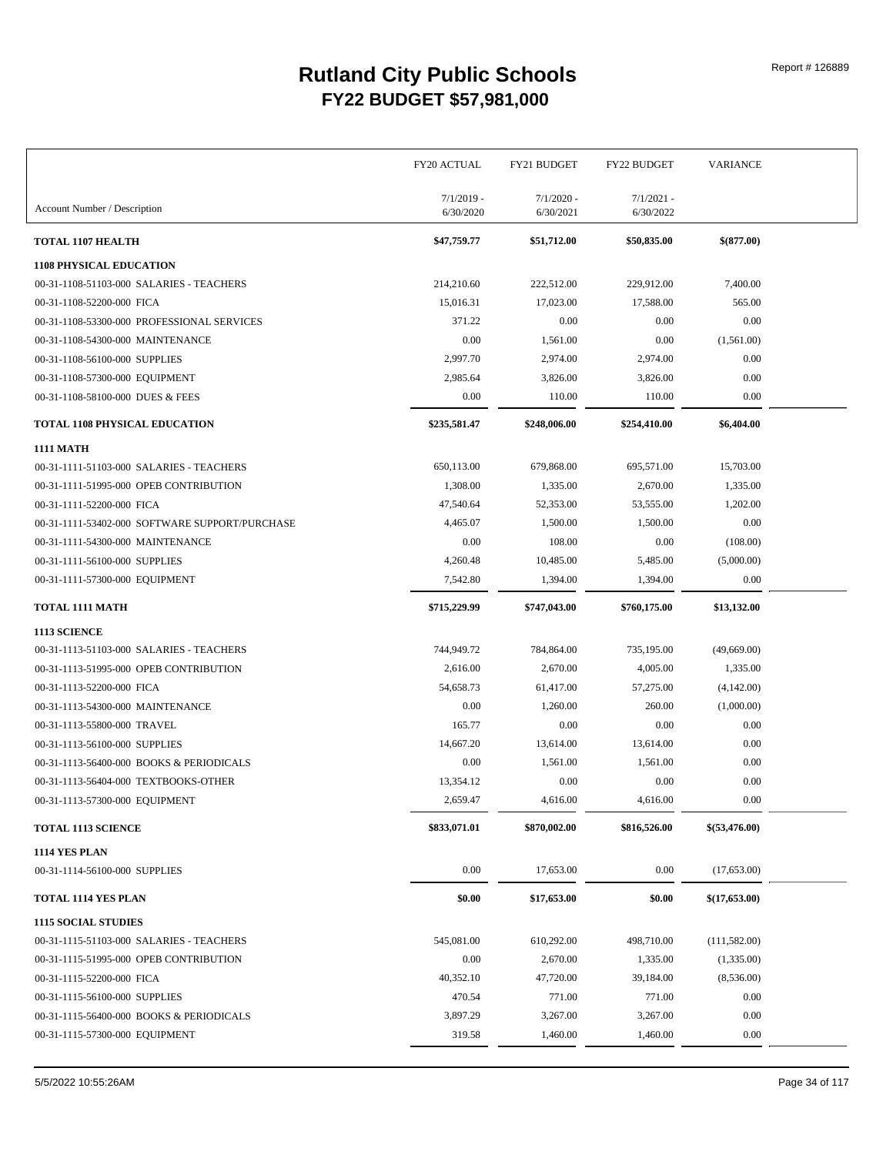| $7/1/2019$ -                                               |              |              |               |
|------------------------------------------------------------|--------------|--------------|---------------|
|                                                            | $7/1/2020$ - | $7/1/2021$ - |               |
| Account Number / Description<br>6/30/2020                  | 6/30/2021    | 6/30/2022    |               |
| <b>TOTAL 1107 HEALTH</b><br>\$47,759.77                    | \$51,712.00  | \$50,835.00  | \$(877.00)    |
| <b>1108 PHYSICAL EDUCATION</b>                             |              |              |               |
| 214,210.60<br>00-31-1108-51103-000 SALARIES - TEACHERS     | 222,512.00   | 229,912.00   | 7,400.00      |
| 15,016.31<br>00-31-1108-52200-000 FICA                     | 17,023.00    | 17,588.00    | 565.00        |
| 371.22<br>00-31-1108-53300-000 PROFESSIONAL SERVICES       | 0.00         | 0.00         | 0.00          |
| 0.00<br>00-31-1108-54300-000 MAINTENANCE                   | 1,561.00     | 0.00         | (1,561.00)    |
| 2,997.70<br>00-31-1108-56100-000 SUPPLIES                  | 2,974.00     | 2,974.00     | 0.00          |
| 2,985.64<br>00-31-1108-57300-000 EQUIPMENT                 | 3,826.00     | 3,826.00     | 0.00          |
| 0.00<br>00-31-1108-58100-000 DUES & FEES                   | 110.00       | 110.00       | 0.00          |
| \$235,581.47<br><b>TOTAL 1108 PHYSICAL EDUCATION</b>       | \$248,006.00 | \$254,410.00 | \$6,404.00    |
| <b>1111 MATH</b>                                           |              |              |               |
| 650,113.00<br>00-31-1111-51103-000 SALARIES - TEACHERS     | 679,868.00   | 695,571.00   | 15,703.00     |
| 00-31-1111-51995-000 OPEB CONTRIBUTION<br>1,308.00         | 1,335.00     | 2,670.00     | 1,335.00      |
| 00-31-1111-52200-000 FICA<br>47,540.64                     | 52,353.00    | 53,555.00    | 1,202.00      |
| 4,465.07<br>00-31-1111-53402-000 SOFTWARE SUPPORT/PURCHASE | 1,500.00     | 1,500.00     | 0.00          |
| 0.00<br>00-31-1111-54300-000 MAINTENANCE                   | 108.00       | 0.00         | (108.00)      |
| 4,260.48<br>00-31-1111-56100-000 SUPPLIES                  | 10,485.00    | 5,485.00     | (5,000.00)    |
| 7,542.80<br>00-31-1111-57300-000 EQUIPMENT                 | 1,394.00     | 1,394.00     | 0.00          |
| <b>TOTAL 1111 MATH</b><br>\$715,229.99                     | \$747,043.00 | \$760,175.00 | \$13,132.00   |
| 1113 SCIENCE                                               |              |              |               |
| 00-31-1113-51103-000 SALARIES - TEACHERS<br>744,949.72     | 784,864.00   | 735,195.00   | (49,669.00)   |
| 2,616.00<br>00-31-1113-51995-000 OPEB CONTRIBUTION         | 2,670.00     | 4,005.00     | 1,335.00      |
| 54,658.73<br>00-31-1113-52200-000 FICA                     | 61,417.00    | 57,275.00    | (4,142.00)    |
| 0.00<br>00-31-1113-54300-000 MAINTENANCE                   | 1,260.00     | 260.00       | (1,000.00)    |
| 165.77<br>00-31-1113-55800-000 TRAVEL                      | 0.00         | 0.00         | 0.00          |
| 14,667.20<br>00-31-1113-56100-000 SUPPLIES                 | 13,614.00    | 13,614.00    | 0.00          |
| 0.00<br>00-31-1113-56400-000 BOOKS & PERIODICALS           | 1,561.00     | 1,561.00     | 0.00          |
| 13,354.12<br>00-31-1113-56404-000 TEXTBOOKS-OTHER          | 0.00         | 0.00         | 0.00          |
| 00-31-1113-57300-000 EQUIPMENT<br>2,659.47                 | 4,616.00     | 4,616.00     | 0.00          |
| \$833,071.01<br><b>TOTAL 1113 SCIENCE</b>                  | \$870,002.00 | \$816,526.00 | \$(53,476.00) |
| 1114 YES PLAN                                              |              |              |               |
| 0.00<br>00-31-1114-56100-000 SUPPLIES                      | 17,653.00    | 0.00         | (17,653.00)   |
| \$0.00<br><b>TOTAL 1114 YES PLAN</b>                       | \$17,653.00  | \$0.00       | \$(17,653.00) |
| <b>1115 SOCIAL STUDIES</b>                                 |              |              |               |
| 545,081.00<br>00-31-1115-51103-000 SALARIES - TEACHERS     | 610,292.00   | 498,710.00   | (111,582.00)  |
| 0.00<br>00-31-1115-51995-000 OPEB CONTRIBUTION             | 2,670.00     | 1,335.00     | (1,335.00)    |
| 40,352.10<br>00-31-1115-52200-000 FICA                     | 47,720.00    | 39,184.00    | (8,536.00)    |
| 470.54<br>00-31-1115-56100-000 SUPPLIES                    | 771.00       | 771.00       | 0.00          |
| 3,897.29<br>00-31-1115-56400-000 BOOKS & PERIODICALS       | 3,267.00     | 3,267.00     | 0.00          |
| 319.58<br>00-31-1115-57300-000 EQUIPMENT                   | 1,460.00     | 1,460.00     | 0.00          |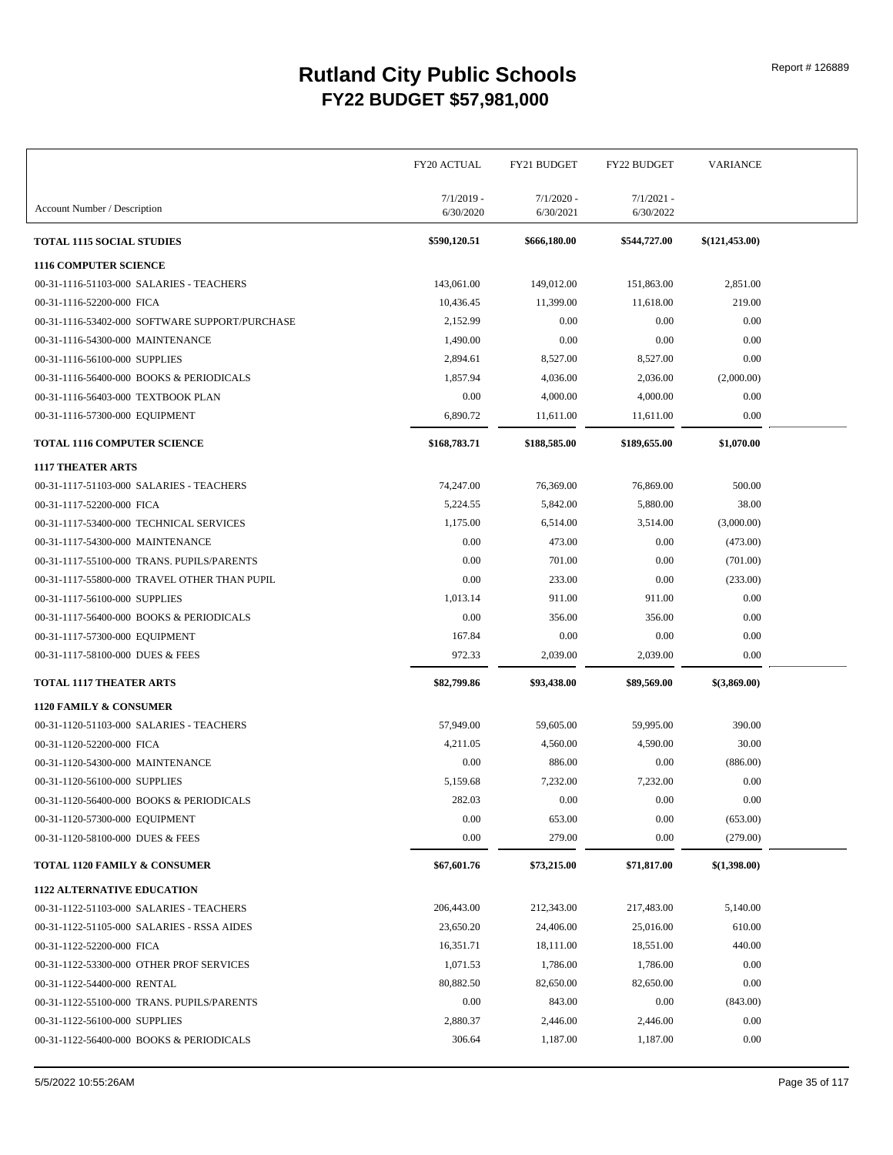|                                                                    | FY20 ACTUAL  | FY21 BUDGET      | <b>FY22 BUDGET</b> | <b>VARIANCE</b>      |  |
|--------------------------------------------------------------------|--------------|------------------|--------------------|----------------------|--|
|                                                                    | $7/1/2019$ - | $7/1/2020$ -     | $7/1/2021 -$       |                      |  |
| Account Number / Description                                       | 6/30/2020    | 6/30/2021        | 6/30/2022          |                      |  |
| <b>TOTAL 1115 SOCIAL STUDIES</b>                                   | \$590,120.51 | \$666,180.00     | \$544,727.00       | \$(121,453.00)       |  |
| <b>1116 COMPUTER SCIENCE</b>                                       |              |                  |                    |                      |  |
| 00-31-1116-51103-000 SALARIES - TEACHERS                           | 143,061.00   | 149,012.00       | 151,863.00         | 2,851.00             |  |
| 00-31-1116-52200-000 FICA                                          | 10,436.45    | 11,399.00        | 11,618.00          | 219.00               |  |
| 00-31-1116-53402-000 SOFTWARE SUPPORT/PURCHASE                     | 2,152.99     | 0.00             | 0.00               | 0.00                 |  |
| 00-31-1116-54300-000 MAINTENANCE                                   | 1,490.00     | 0.00             | 0.00               | 0.00                 |  |
| 00-31-1116-56100-000 SUPPLIES                                      | 2,894.61     | 8,527.00         | 8,527.00           | 0.00                 |  |
| 00-31-1116-56400-000 BOOKS & PERIODICALS                           | 1,857.94     | 4,036.00         | 2,036.00           | (2,000.00)           |  |
| 00-31-1116-56403-000 TEXTBOOK PLAN                                 | 0.00         | 4,000.00         | 4,000.00           | 0.00                 |  |
| 00-31-1116-57300-000 EQUIPMENT                                     | 6,890.72     | 11,611.00        | 11,611.00          | 0.00                 |  |
| <b>TOTAL 1116 COMPUTER SCIENCE</b>                                 | \$168,783.71 | \$188,585.00     | \$189,655.00       | \$1,070.00           |  |
| <b>1117 THEATER ARTS</b>                                           |              |                  |                    |                      |  |
| 00-31-1117-51103-000 SALARIES - TEACHERS                           | 74,247.00    | 76,369.00        | 76,869.00          | 500.00               |  |
| 00-31-1117-52200-000 FICA                                          | 5,224.55     | 5,842.00         | 5,880.00           | 38.00                |  |
| 00-31-1117-53400-000 TECHNICAL SERVICES                            | 1,175.00     | 6,514.00         | 3,514.00           | (3,000.00)           |  |
| 00-31-1117-54300-000 MAINTENANCE                                   | 0.00         | 473.00           | 0.00               | (473.00)             |  |
| 00-31-1117-55100-000 TRANS. PUPILS/PARENTS                         | 0.00         | 701.00           | 0.00               | (701.00)             |  |
| 00-31-1117-55800-000 TRAVEL OTHER THAN PUPIL                       | 0.00         | 233.00           | 0.00               | (233.00)             |  |
| 00-31-1117-56100-000 SUPPLIES                                      | 1,013.14     | 911.00           | 911.00             | 0.00                 |  |
| 00-31-1117-56400-000 BOOKS & PERIODICALS                           | 0.00         | 356.00           | 356.00             | 0.00                 |  |
| 00-31-1117-57300-000 EQUIPMENT                                     | 167.84       | 0.00             | 0.00               | 0.00                 |  |
| 00-31-1117-58100-000 DUES & FEES                                   | 972.33       | 2,039.00         | 2,039.00           | 0.00                 |  |
| <b>TOTAL 1117 THEATER ARTS</b>                                     | \$82,799.86  | \$93,438.00      | \$89,569.00        | \$(3,869.00)         |  |
|                                                                    |              |                  |                    |                      |  |
| <b>1120 FAMILY &amp; CONSUMER</b>                                  | 57,949.00    | 59,605.00        | 59,995.00          | 390.00               |  |
| 00-31-1120-51103-000 SALARIES - TEACHERS                           |              |                  |                    |                      |  |
| 00-31-1120-52200-000 FICA                                          | 4.211.05     | 4,560.00         | 4,590.00           | 30.00                |  |
| 00-31-1120-54300-000 MAINTENANCE                                   | 0.00         | 886.00           | 0.00               | (886.00)             |  |
| 00-31-1120-56100-000 SUPPLIES                                      | 5,159.68     | 7,232.00         | 7,232.00           | 0.00                 |  |
| 00-31-1120-56400-000 BOOKS & PERIODICALS                           | 282.03       | 0.00             | 0.00               | 0.00                 |  |
| 00-31-1120-57300-000 EQUIPMENT<br>00-31-1120-58100-000 DUES & FEES | 0.00<br>0.00 | 653.00<br>279.00 | 0.00<br>0.00       | (653.00)<br>(279.00) |  |
| TOTAL 1120 FAMILY & CONSUMER                                       | \$67,601.76  | \$73,215.00      | \$71,817.00        | \$(1,398.00)         |  |
| <b>1122 ALTERNATIVE EDUCATION</b>                                  |              |                  |                    |                      |  |
| 00-31-1122-51103-000 SALARIES - TEACHERS                           | 206,443.00   | 212,343.00       | 217,483.00         | 5,140.00             |  |
| 00-31-1122-51105-000 SALARIES - RSSA AIDES                         | 23,650.20    | 24,406.00        | 25,016.00          | 610.00               |  |
| 00-31-1122-52200-000 FICA                                          | 16,351.71    | 18,111.00        | 18,551.00          | 440.00               |  |
|                                                                    |              | 1,786.00         |                    | 0.00                 |  |
| 00-31-1122-53300-000 OTHER PROF SERVICES                           | 1,071.53     |                  | 1,786.00           | 0.00                 |  |
| 00-31-1122-54400-000 RENTAL                                        | 80,882.50    | 82,650.00        | 82,650.00          |                      |  |
| 00-31-1122-55100-000 TRANS. PUPILS/PARENTS                         | 0.00         | 843.00           | 0.00               | (843.00)             |  |
| 00-31-1122-56100-000 SUPPLIES                                      | 2,880.37     | 2,446.00         | 2,446.00           | 0.00                 |  |
| 00-31-1122-56400-000 BOOKS & PERIODICALS                           | 306.64       | 1,187.00         | 1,187.00           | 0.00                 |  |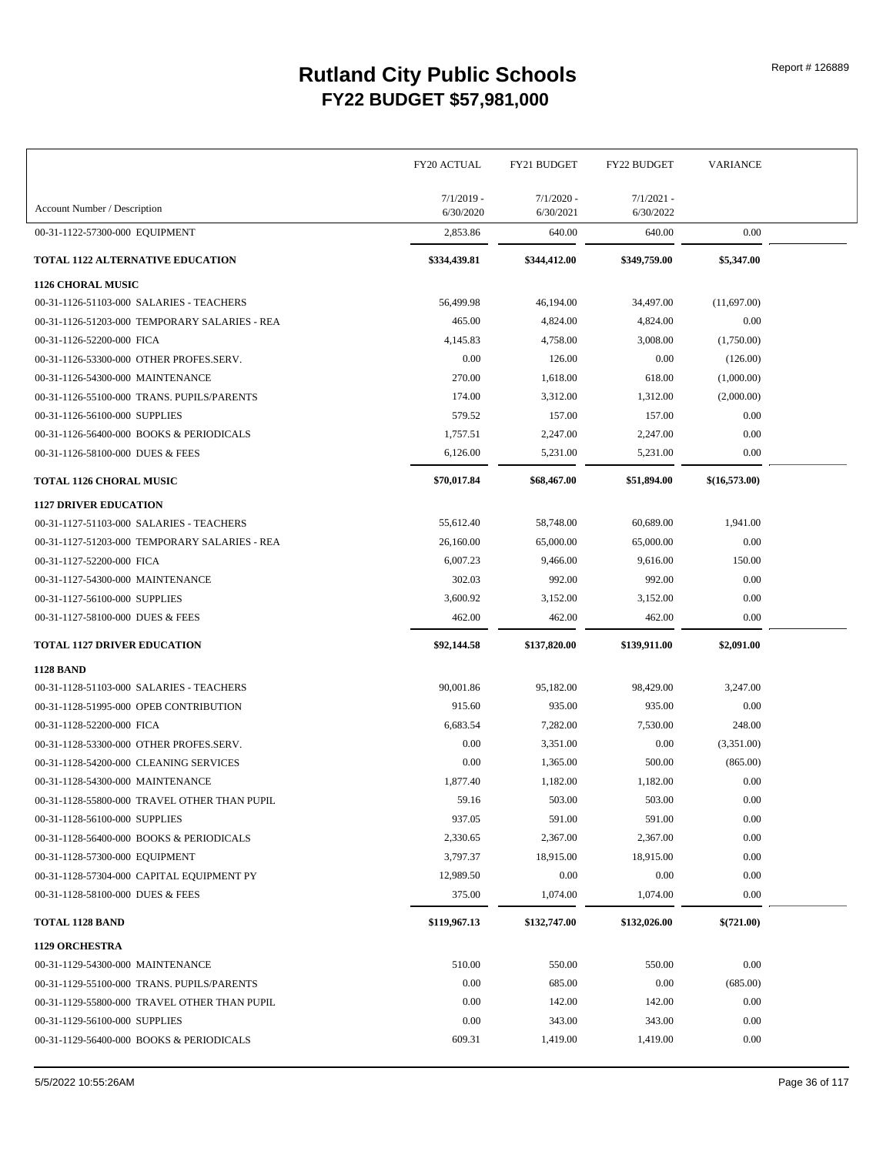|                                               | FY20 ACTUAL  | FY21 BUDGET  | FY22 BUDGET  | <b>VARIANCE</b> |  |
|-----------------------------------------------|--------------|--------------|--------------|-----------------|--|
|                                               | $7/1/2019$ - | $7/1/2020$ - | $7/1/2021$ - |                 |  |
| Account Number / Description                  | 6/30/2020    | 6/30/2021    | 6/30/2022    |                 |  |
| 00-31-1122-57300-000 EQUIPMENT                | 2,853.86     | 640.00       | 640.00       | 0.00            |  |
| <b>TOTAL 1122 ALTERNATIVE EDUCATION</b>       | \$334,439.81 | \$344,412.00 | \$349,759.00 | \$5,347.00      |  |
| <b>1126 CHORAL MUSIC</b>                      |              |              |              |                 |  |
| 00-31-1126-51103-000 SALARIES - TEACHERS      | 56,499.98    | 46,194.00    | 34,497.00    | (11,697.00)     |  |
| 00-31-1126-51203-000 TEMPORARY SALARIES - REA | 465.00       | 4,824.00     | 4,824.00     | 0.00            |  |
| 00-31-1126-52200-000 FICA                     | 4,145.83     | 4,758.00     | 3,008.00     | (1,750.00)      |  |
| 00-31-1126-53300-000 OTHER PROFES.SERV.       | 0.00         | 126.00       | 0.00         | (126.00)        |  |
| 00-31-1126-54300-000 MAINTENANCE              | 270.00       | 1,618.00     | 618.00       | (1,000.00)      |  |
| 00-31-1126-55100-000 TRANS. PUPILS/PARENTS    | 174.00       | 3,312.00     | 1,312.00     | (2,000.00)      |  |
| 00-31-1126-56100-000 SUPPLIES                 | 579.52       | 157.00       | 157.00       | 0.00            |  |
| 00-31-1126-56400-000 BOOKS & PERIODICALS      | 1,757.51     | 2,247.00     | 2,247.00     | 0.00            |  |
| 00-31-1126-58100-000 DUES & FEES              | 6,126.00     | 5,231.00     | 5,231.00     | 0.00            |  |
| <b>TOTAL 1126 CHORAL MUSIC</b>                | \$70,017.84  | \$68,467.00  | \$51,894.00  | \$(16,573.00)   |  |
| <b>1127 DRIVER EDUCATION</b>                  |              |              |              |                 |  |
| 00-31-1127-51103-000 SALARIES - TEACHERS      | 55,612.40    | 58,748.00    | 60,689.00    | 1,941.00        |  |
| 00-31-1127-51203-000 TEMPORARY SALARIES - REA | 26,160.00    | 65,000.00    | 65,000.00    | 0.00            |  |
| 00-31-1127-52200-000 FICA                     | 6,007.23     | 9,466.00     | 9,616.00     | 150.00          |  |
| 00-31-1127-54300-000 MAINTENANCE              | 302.03       | 992.00       | 992.00       | 0.00            |  |
| 00-31-1127-56100-000 SUPPLIES                 | 3,600.92     | 3,152.00     | 3,152.00     | 0.00            |  |
| 00-31-1127-58100-000 DUES & FEES              | 462.00       | 462.00       | 462.00       | 0.00            |  |
| <b>TOTAL 1127 DRIVER EDUCATION</b>            | \$92,144.58  | \$137,820.00 | \$139,911.00 | \$2,091.00      |  |
| <b>1128 BAND</b>                              |              |              |              |                 |  |
| 00-31-1128-51103-000 SALARIES - TEACHERS      | 90,001.86    | 95,182.00    | 98,429.00    | 3,247.00        |  |
| 00-31-1128-51995-000 OPEB CONTRIBUTION        | 915.60       | 935.00       | 935.00       | 0.00            |  |
| 00-31-1128-52200-000 FICA                     | 6,683.54     | 7,282.00     | 7,530.00     | 248.00          |  |
| 00-31-1128-53300-000 OTHER PROFES.SERV.       | 0.00         | 3,351.00     | 0.00         | (3,351.00)      |  |
| 00-31-1128-54200-000 CLEANING SERVICES        | 0.00         | 1,365.00     | 500.00       | (865.00)        |  |
| 00-31-1128-54300-000 MAINTENANCE              | 1,877.40     | 1,182.00     | 1,182.00     | 0.00            |  |
| 00-31-1128-55800-000 TRAVEL OTHER THAN PUPIL  | 59.16        | 503.00       | 503.00       | 0.00            |  |
| 00-31-1128-56100-000 SUPPLIES                 | 937.05       | 591.00       | 591.00       | 0.00            |  |
| 00-31-1128-56400-000 BOOKS & PERIODICALS      | 2,330.65     | 2,367.00     | 2,367.00     | 0.00            |  |
| 00-31-1128-57300-000 EQUIPMENT                | 3,797.37     | 18,915.00    | 18,915.00    | 0.00            |  |
| 00-31-1128-57304-000 CAPITAL EQUIPMENT PY     | 12,989.50    | 0.00         | 0.00         | 0.00            |  |
| 00-31-1128-58100-000 DUES & FEES              | 375.00       | 1,074.00     | 1,074.00     | 0.00            |  |
| <b>TOTAL 1128 BAND</b>                        | \$119,967.13 | \$132,747.00 | \$132,026.00 | \$(721.00)      |  |
| <b>1129 ORCHESTRA</b>                         |              |              |              |                 |  |
| 00-31-1129-54300-000 MAINTENANCE              | 510.00       | 550.00       | 550.00       | 0.00            |  |
| 00-31-1129-55100-000 TRANS. PUPILS/PARENTS    | 0.00         | 685.00       | 0.00         | (685.00)        |  |
| 00-31-1129-55800-000 TRAVEL OTHER THAN PUPIL  | 0.00         | 142.00       | 142.00       | 0.00            |  |
|                                               |              |              |              |                 |  |
| 00-31-1129-56100-000 SUPPLIES                 | 0.00         | 343.00       | 343.00       | 0.00            |  |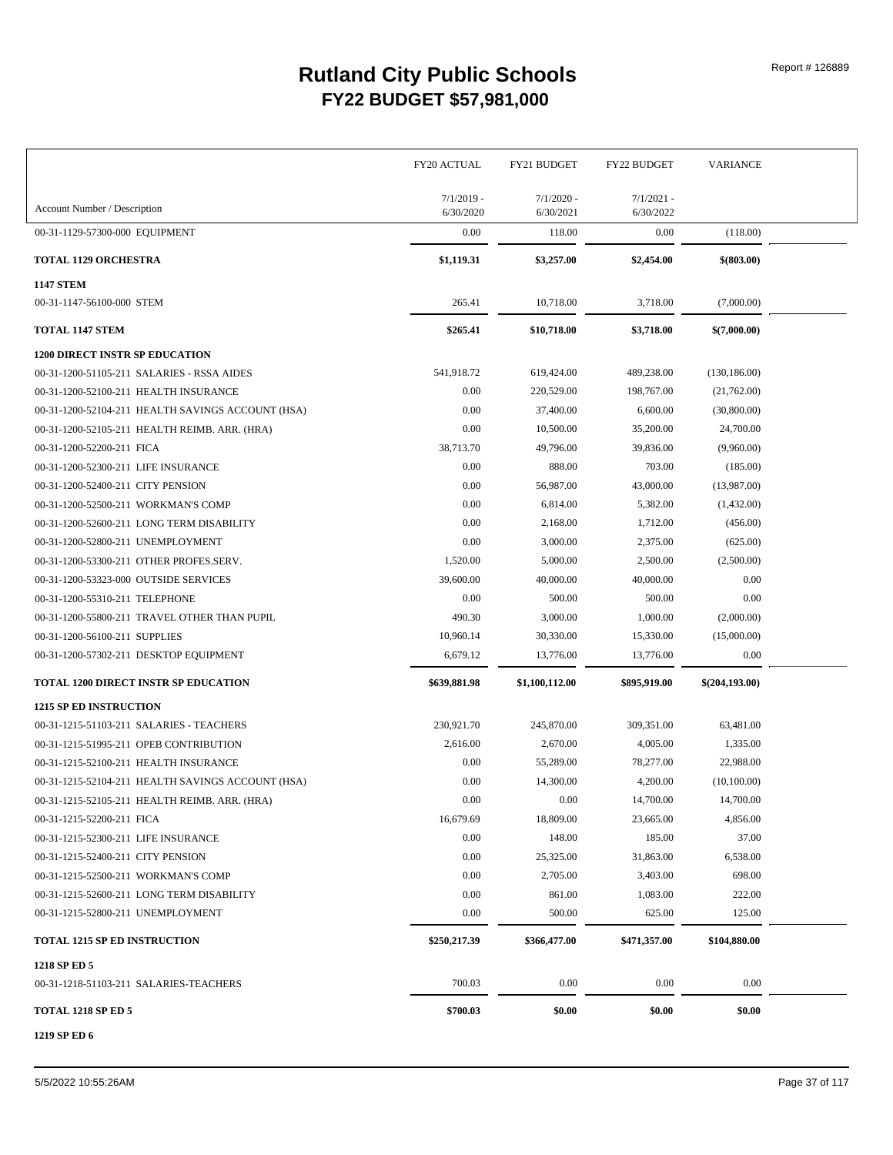|                                                   | FY20 ACTUAL  | FY21 BUDGET    | FY22 BUDGET  | <b>VARIANCE</b> |  |
|---------------------------------------------------|--------------|----------------|--------------|-----------------|--|
|                                                   | $7/1/2019$ - | $7/1/2020$ -   | $7/1/2021 -$ |                 |  |
| Account Number / Description                      | 6/30/2020    | 6/30/2021      | 6/30/2022    |                 |  |
| 00-31-1129-57300-000 EQUIPMENT                    | 0.00         | 118.00         | 0.00         | (118.00)        |  |
| <b>TOTAL 1129 ORCHESTRA</b>                       | \$1,119.31   | \$3,257.00     | \$2,454.00   | \$(803.00)      |  |
| <b>1147 STEM</b>                                  |              |                |              |                 |  |
| 00-31-1147-56100-000 STEM                         | 265.41       | 10,718.00      | 3,718.00     | (7,000.00)      |  |
| <b>TOTAL 1147 STEM</b>                            | \$265.41     | \$10,718.00    | \$3,718.00   | \$(7,000.00)    |  |
| <b>1200 DIRECT INSTR SP EDUCATION</b>             |              |                |              |                 |  |
| 00-31-1200-51105-211 SALARIES - RSSA AIDES        | 541,918.72   | 619,424.00     | 489,238.00   | (130, 186.00)   |  |
| 00-31-1200-52100-211 HEALTH INSURANCE             | 0.00         | 220,529.00     | 198,767.00   | (21,762.00)     |  |
| 00-31-1200-52104-211 HEALTH SAVINGS ACCOUNT (HSA) | 0.00         | 37,400.00      | 6,600.00     | (30,800.00)     |  |
| 00-31-1200-52105-211 HEALTH REIMB. ARR. (HRA)     | 0.00         | 10,500.00      | 35,200.00    | 24,700.00       |  |
| 00-31-1200-52200-211 FICA                         | 38,713.70    | 49,796.00      | 39,836.00    | (9,960.00)      |  |
| 00-31-1200-52300-211 LIFE INSURANCE               | 0.00         | 888.00         | 703.00       | (185.00)        |  |
| 00-31-1200-52400-211 CITY PENSION                 | 0.00         | 56,987.00      | 43,000.00    | (13,987.00)     |  |
| 00-31-1200-52500-211 WORKMAN'S COMP               | 0.00         | 6,814.00       | 5,382.00     | (1,432.00)      |  |
| 00-31-1200-52600-211 LONG TERM DISABILITY         | 0.00         | 2,168.00       | 1,712.00     | (456.00)        |  |
| 00-31-1200-52800-211 UNEMPLOYMENT                 | 0.00         | 3,000.00       | 2,375.00     | (625.00)        |  |
| 00-31-1200-53300-211 OTHER PROFES.SERV.           | 1,520.00     | 5,000.00       | 2,500.00     | (2,500.00)      |  |
| 00-31-1200-53323-000 OUTSIDE SERVICES             | 39,600.00    | 40,000.00      | 40,000.00    | 0.00            |  |
| 00-31-1200-55310-211 TELEPHONE                    | 0.00         | 500.00         | 500.00       | 0.00            |  |
| 00-31-1200-55800-211 TRAVEL OTHER THAN PUPIL      | 490.30       | 3,000.00       | 1,000.00     | (2,000.00)      |  |
| 00-31-1200-56100-211 SUPPLIES                     | 10,960.14    | 30,330.00      | 15,330.00    | (15,000.00)     |  |
| 00-31-1200-57302-211 DESKTOP EQUIPMENT            | 6,679.12     | 13,776.00      | 13,776.00    | 0.00            |  |
| <b>TOTAL 1200 DIRECT INSTR SP EDUCATION</b>       | \$639,881.98 | \$1,100,112.00 | \$895,919.00 | \$(204,193.00)  |  |
| <b>1215 SP ED INSTRUCTION</b>                     |              |                |              |                 |  |
| 00-31-1215-51103-211 SALARIES - TEACHERS          | 230,921.70   | 245,870.00     | 309,351.00   | 63,481.00       |  |
| 00-31-1215-51995-211 OPEB CONTRIBUTION            | 2,616.00     | 2,670.00       | 4,005.00     | 1,335.00        |  |
| 00-31-1215-52100-211 HEALTH INSURANCE             | 0.00         | 55,289.00      | 78,277.00    | 22,988.00       |  |
| 00-31-1215-52104-211 HEALTH SAVINGS ACCOUNT (HSA) | 0.00         | 14,300.00      | 4,200.00     | (10,100.00)     |  |
| 00-31-1215-52105-211 HEALTH REIMB. ARR. (HRA)     | 0.00         | 0.00           | 14,700.00    | 14,700.00       |  |
| 00-31-1215-52200-211 FICA                         | 16,679.69    | 18,809.00      | 23,665.00    | 4,856.00        |  |
| 00-31-1215-52300-211 LIFE INSURANCE               | 0.00         | 148.00         | 185.00       | 37.00           |  |
| 00-31-1215-52400-211 CITY PENSION                 | 0.00         | 25,325.00      | 31,863.00    | 6,538.00        |  |
| 00-31-1215-52500-211 WORKMAN'S COMP               | 0.00         | 2,705.00       | 3,403.00     | 698.00          |  |
| 00-31-1215-52600-211 LONG TERM DISABILITY         | 0.00         | 861.00         | 1,083.00     | 222.00          |  |
| 00-31-1215-52800-211 UNEMPLOYMENT                 | 0.00         | 500.00         | 625.00       | 125.00          |  |
| TOTAL 1215 SP ED INSTRUCTION                      | \$250,217.39 | \$366,477.00   | \$471,357.00 | \$104,880.00    |  |
| 1218 SP ED 5                                      |              |                |              |                 |  |
| 00-31-1218-51103-211 SALARIES-TEACHERS            | 700.03       | 0.00           | 0.00         | 0.00            |  |
| <b>TOTAL 1218 SP ED 5</b>                         | \$700.03     | \$0.00         | \$0.00       | \$0.00          |  |
| 1219 SP ED 6                                      |              |                |              |                 |  |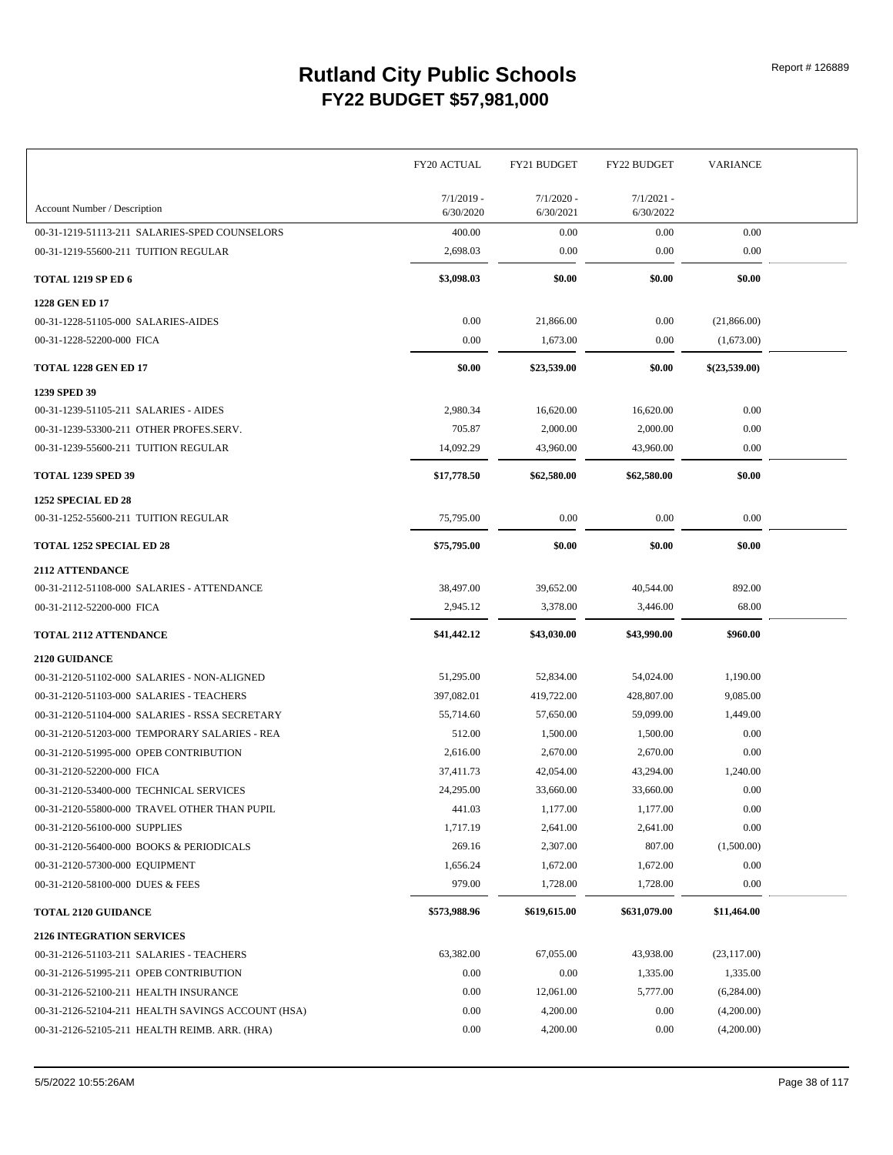|                                                   | <b>FY20 ACTUAL</b> | FY21 BUDGET  | FY22 BUDGET  | <b>VARIANCE</b> |  |
|---------------------------------------------------|--------------------|--------------|--------------|-----------------|--|
|                                                   | $7/1/2019$ -       | $7/1/2020$ - | $7/1/2021$ - |                 |  |
| Account Number / Description                      | 6/30/2020          | 6/30/2021    | 6/30/2022    |                 |  |
| 00-31-1219-51113-211 SALARIES-SPED COUNSELORS     | 400.00             | 0.00         | 0.00         | 0.00            |  |
| 00-31-1219-55600-211 TUITION REGULAR              | 2,698.03           | 0.00         | 0.00         | 0.00            |  |
| <b>TOTAL 1219 SP ED 6</b>                         | \$3,098.03         | \$0.00       | \$0.00       | \$0.00          |  |
| <b>1228 GEN ED 17</b>                             |                    |              |              |                 |  |
| 00-31-1228-51105-000 SALARIES-AIDES               | 0.00               | 21,866.00    | 0.00         | (21,866.00)     |  |
| 00-31-1228-52200-000 FICA                         | 0.00               | 1,673.00     | 0.00         | (1,673.00)      |  |
| <b>TOTAL 1228 GEN ED 17</b>                       | \$0.00             | \$23,539.00  | \$0.00       | \$(23,539.00)   |  |
| 1239 SPED 39                                      |                    |              |              |                 |  |
| 00-31-1239-51105-211 SALARIES - AIDES             | 2,980.34           | 16,620.00    | 16,620.00    | 0.00            |  |
| 00-31-1239-53300-211 OTHER PROFES.SERV.           | 705.87             | 2,000.00     | 2,000.00     | 0.00            |  |
| 00-31-1239-55600-211 TUITION REGULAR              | 14,092.29          | 43,960.00    | 43,960.00    | 0.00            |  |
| <b>TOTAL 1239 SPED 39</b>                         | \$17,778.50        | \$62,580.00  | \$62,580.00  | \$0.00          |  |
| <b>1252 SPECIAL ED 28</b>                         |                    |              |              |                 |  |
| 00-31-1252-55600-211 TUITION REGULAR              | 75,795.00          | 0.00         | 0.00         | 0.00            |  |
| <b>TOTAL 1252 SPECIAL ED 28</b>                   | \$75,795.00        | \$0.00       | \$0.00       | \$0.00          |  |
| <b>2112 ATTENDANCE</b>                            |                    |              |              |                 |  |
| 00-31-2112-51108-000 SALARIES - ATTENDANCE        | 38,497.00          | 39,652.00    | 40,544.00    | 892.00          |  |
| 00-31-2112-52200-000 FICA                         | 2,945.12           | 3,378.00     | 3,446.00     | 68.00           |  |
| <b>TOTAL 2112 ATTENDANCE</b>                      | \$41,442.12        | \$43,030.00  | \$43,990.00  | \$960.00        |  |
| 2120 GUIDANCE                                     |                    |              |              |                 |  |
| 00-31-2120-51102-000 SALARIES - NON-ALIGNED       | 51,295.00          | 52,834.00    | 54,024.00    | 1,190.00        |  |
| 00-31-2120-51103-000 SALARIES - TEACHERS          | 397,082.01         | 419,722.00   | 428,807.00   | 9,085.00        |  |
| 00-31-2120-51104-000 SALARIES - RSSA SECRETARY    | 55,714.60          | 57,650.00    | 59,099.00    | 1,449.00        |  |
| 00-31-2120-51203-000 TEMPORARY SALARIES - REA     | 512.00             | 1,500.00     | 1,500.00     | 0.00            |  |
| 00-31-2120-51995-000 OPEB CONTRIBUTION            | 2,616.00           | 2,670.00     | 2,670.00     | 0.00            |  |
| 00-31-2120-52200-000 FICA                         | 37,411.73          | 42,054.00    | 43,294.00    | 1,240.00        |  |
| 00-31-2120-53400-000 TECHNICAL SERVICES           | 24,295.00          | 33,660.00    | 33,660.00    | 0.00            |  |
| 00-31-2120-55800-000 TRAVEL OTHER THAN PUPIL      | 441.03             | 1,177.00     | 1,177.00     | 0.00            |  |
| 00-31-2120-56100-000 SUPPLIES                     | 1,717.19           | 2,641.00     | 2,641.00     | 0.00            |  |
| 00-31-2120-56400-000 BOOKS & PERIODICALS          | 269.16             | 2,307.00     | 807.00       | (1,500.00)      |  |
| 00-31-2120-57300-000 EQUIPMENT                    | 1,656.24           | 1,672.00     | 1,672.00     | 0.00            |  |
| 00-31-2120-58100-000 DUES & FEES                  | 979.00             | 1,728.00     | 1,728.00     | 0.00            |  |
| <b>TOTAL 2120 GUIDANCE</b>                        | \$573,988.96       | \$619,615.00 | \$631,079.00 | \$11,464.00     |  |
| <b>2126 INTEGRATION SERVICES</b>                  |                    |              |              |                 |  |
| 00-31-2126-51103-211 SALARIES - TEACHERS          | 63,382.00          | 67,055.00    | 43,938.00    | (23, 117.00)    |  |
| 00-31-2126-51995-211 OPEB CONTRIBUTION            | 0.00               | 0.00         | 1,335.00     | 1,335.00        |  |
| 00-31-2126-52100-211 HEALTH INSURANCE             | 0.00               | 12,061.00    | 5,777.00     | (6,284.00)      |  |
| 00-31-2126-52104-211 HEALTH SAVINGS ACCOUNT (HSA) | 0.00               | 4,200.00     | $0.00\,$     | (4,200.00)      |  |
| 00-31-2126-52105-211 HEALTH REIMB. ARR. (HRA)     | 0.00               | 4,200.00     | 0.00         | (4,200.00)      |  |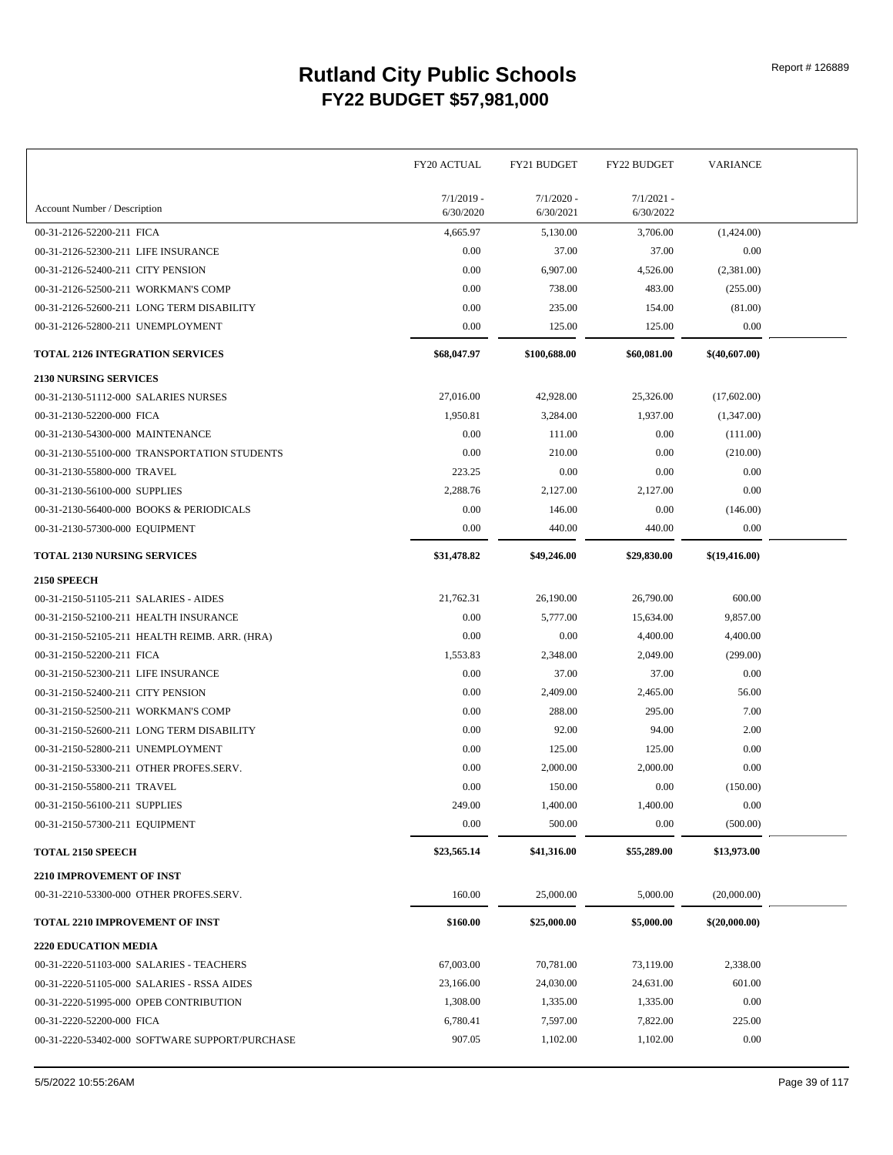|                                                | FY20 ACTUAL  | FY21 BUDGET  | FY22 BUDGET  | <b>VARIANCE</b> |  |
|------------------------------------------------|--------------|--------------|--------------|-----------------|--|
|                                                | $7/1/2019$ - | $7/1/2020$ - | $7/1/2021 -$ |                 |  |
| Account Number / Description                   | 6/30/2020    | 6/30/2021    | 6/30/2022    |                 |  |
| 00-31-2126-52200-211 FICA                      | 4,665.97     | 5,130.00     | 3,706.00     | (1,424.00)      |  |
| 00-31-2126-52300-211 LIFE INSURANCE            | 0.00         | 37.00        | 37.00        | 0.00            |  |
| 00-31-2126-52400-211 CITY PENSION              | 0.00         | 6,907.00     | 4,526.00     | (2,381.00)      |  |
| 00-31-2126-52500-211 WORKMAN'S COMP            | 0.00         | 738.00       | 483.00       | (255.00)        |  |
| 00-31-2126-52600-211 LONG TERM DISABILITY      | 0.00         | 235.00       | 154.00       | (81.00)         |  |
| 00-31-2126-52800-211 UNEMPLOYMENT              | 0.00         | 125.00       | 125.00       | 0.00            |  |
| <b>TOTAL 2126 INTEGRATION SERVICES</b>         | \$68,047.97  | \$100,688.00 | \$60,081.00  | \$(40,607.00)   |  |
| <b>2130 NURSING SERVICES</b>                   |              |              |              |                 |  |
| 00-31-2130-51112-000 SALARIES NURSES           | 27,016.00    | 42,928.00    | 25,326.00    | (17,602.00)     |  |
| 00-31-2130-52200-000 FICA                      | 1,950.81     | 3,284.00     | 1,937.00     | (1,347.00)      |  |
| 00-31-2130-54300-000 MAINTENANCE               | 0.00         | 111.00       | 0.00         | (111.00)        |  |
| 00-31-2130-55100-000 TRANSPORTATION STUDENTS   | 0.00         | 210.00       | 0.00         | (210.00)        |  |
| 00-31-2130-55800-000 TRAVEL                    | 223.25       | 0.00         | 0.00         | 0.00            |  |
| 00-31-2130-56100-000 SUPPLIES                  | 2,288.76     | 2,127.00     | 2,127.00     | 0.00            |  |
| 00-31-2130-56400-000 BOOKS & PERIODICALS       | 0.00         | 146.00       | 0.00         | (146.00)        |  |
| 00-31-2130-57300-000 EQUIPMENT                 | 0.00         | 440.00       | 440.00       | 0.00            |  |
| <b>TOTAL 2130 NURSING SERVICES</b>             | \$31,478.82  | \$49,246.00  | \$29,830.00  | \$(19,416.00)   |  |
| <b>2150 SPEECH</b>                             |              |              |              |                 |  |
| 00-31-2150-51105-211 SALARIES - AIDES          | 21,762.31    | 26,190.00    | 26,790.00    | 600.00          |  |
| 00-31-2150-52100-211 HEALTH INSURANCE          | 0.00         | 5,777.00     | 15,634.00    | 9,857.00        |  |
| 00-31-2150-52105-211 HEALTH REIMB. ARR. (HRA)  | 0.00         | 0.00         | 4,400.00     | 4,400.00        |  |
| 00-31-2150-52200-211 FICA                      | 1,553.83     | 2,348.00     | 2,049.00     | (299.00)        |  |
| 00-31-2150-52300-211 LIFE INSURANCE            | 0.00         | 37.00        | 37.00        | 0.00            |  |
| 00-31-2150-52400-211 CITY PENSION              | 0.00         | 2,409.00     | 2,465.00     | 56.00           |  |
| 00-31-2150-52500-211 WORKMAN'S COMP            | 0.00         | 288.00       | 295.00       | 7.00            |  |
| 00-31-2150-52600-211 LONG TERM DISABILITY      | 0.00         | 92.00        | 94.00        | 2.00            |  |
| 00-31-2150-52800-211 UNEMPLOYMENT              | 0.00         | 125.00       | 125.00       | 0.00            |  |
| 00-31-2150-53300-211 OTHER PROFES.SERV.        | 0.00         | 2,000.00     | 2,000.00     | 0.00            |  |
| 00-31-2150-55800-211 TRAVEL                    | 0.00         | 150.00       | 0.00         | (150.00)        |  |
| 00-31-2150-56100-211 SUPPLIES                  | 249.00       | 1,400.00     | 1,400.00     | 0.00            |  |
| 00-31-2150-57300-211 EQUIPMENT                 | 0.00         | 500.00       | 0.00         | (500.00)        |  |
| <b>TOTAL 2150 SPEECH</b>                       | \$23,565.14  | \$41,316.00  | \$55,289.00  | \$13,973.00     |  |
| 2210 IMPROVEMENT OF INST                       |              |              |              |                 |  |
| 00-31-2210-53300-000 OTHER PROFES.SERV.        | 160.00       | 25,000.00    | 5,000.00     | (20,000.00)     |  |
| TOTAL 2210 IMPROVEMENT OF INST                 | \$160.00     | \$25,000.00  | \$5,000.00   | \$(20,000.00)   |  |
| <b>2220 EDUCATION MEDIA</b>                    |              |              |              |                 |  |
| 00-31-2220-51103-000 SALARIES - TEACHERS       | 67,003.00    | 70,781.00    | 73,119.00    | 2,338.00        |  |
| 00-31-2220-51105-000 SALARIES - RSSA AIDES     | 23,166.00    | 24,030.00    | 24,631.00    | 601.00          |  |
| 00-31-2220-51995-000 OPEB CONTRIBUTION         | 1,308.00     | 1,335.00     | 1,335.00     | 0.00            |  |
| 00-31-2220-52200-000 FICA                      | 6,780.41     | 7,597.00     | 7,822.00     | 225.00          |  |
| 00-31-2220-53402-000 SOFTWARE SUPPORT/PURCHASE | 907.05       | 1,102.00     | 1,102.00     | 0.00            |  |
|                                                |              |              |              |                 |  |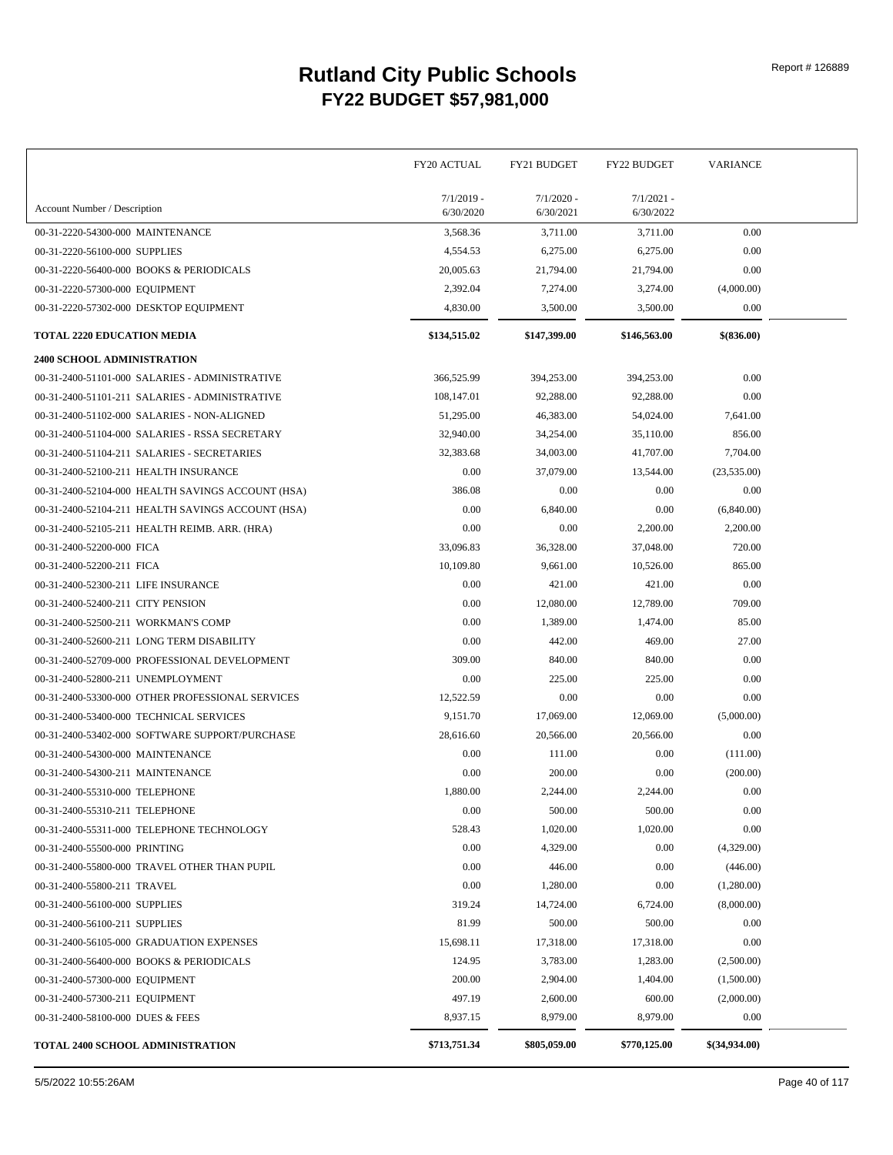| $7/1/2019$ -<br>$7/1/2020$ -<br>$7/1/2021 -$<br>Account Number / Description<br>6/30/2020<br>6/30/2022<br>6/30/2021<br>0.00<br>00-31-2220-54300-000 MAINTENANCE<br>3,568.36<br>3,711.00<br>3,711.00<br>0.00<br>00-31-2220-56100-000 SUPPLIES<br>4,554.53<br>6,275.00<br>6,275.00<br>0.00<br>20,005.63<br>21,794.00<br>21,794.00<br>00-31-2220-56400-000 BOOKS & PERIODICALS<br>2,392.04<br>(4,000.00)<br>00-31-2220-57300-000 EQUIPMENT<br>7,274.00<br>3,274.00<br>4,830.00<br>0.00<br>3,500.00<br>3,500.00<br>00-31-2220-57302-000 DESKTOP EQUIPMENT<br><b>TOTAL 2220 EDUCATION MEDIA</b><br>\$134,515.02<br>\$147,399.00<br>\$(836.00)<br>\$146,563.00<br>2400 SCHOOL ADMINISTRATION<br>394,253.00<br>0.00<br>366,525.99<br>394,253.00<br>00-31-2400-51101-000 SALARIES - ADMINISTRATIVE<br>92,288.00<br>92,288.00<br>0.00<br>00-31-2400-51101-211 SALARIES - ADMINISTRATIVE<br>108,147.01<br>51,295.00<br>46,383.00<br>54,024.00<br>7,641.00<br>00-31-2400-51102-000 SALARIES - NON-ALIGNED<br>32,940.00<br>34,254.00<br>35,110.00<br>856.00<br>00-31-2400-51104-000 SALARIES - RSSA SECRETARY<br>00-31-2400-51104-211 SALARIES - SECRETARIES<br>32,383.68<br>34,003.00<br>41,707.00<br>7,704.00<br>0.00<br>37,079.00<br>13,544.00<br>(23, 535.00)<br>00-31-2400-52100-211 HEALTH INSURANCE<br>386.08<br>0.00<br>0.00<br>0.00<br>00-31-2400-52104-000 HEALTH SAVINGS ACCOUNT (HSA)<br>0.00<br>6,840.00<br>0.00<br>(6,840.00)<br>00-31-2400-52104-211 HEALTH SAVINGS ACCOUNT (HSA)<br>0.00<br>0.00<br>2,200.00<br>2,200.00<br>00-31-2400-52105-211 HEALTH REIMB. ARR. (HRA)<br>720.00<br>00-31-2400-52200-000 FICA<br>33,096.83<br>36,328.00<br>37,048.00<br>10,109.80<br>865.00<br>9,661.00<br>10,526.00<br>00-31-2400-52200-211 FICA<br>0.00<br>421.00<br>0.00<br>00-31-2400-52300-211 LIFE INSURANCE<br>421.00<br>0.00<br>12,080.00<br>12,789.00<br>709.00<br>00-31-2400-52400-211 CITY PENSION<br>0.00<br>1,389.00<br>85.00<br>1,474.00<br>00-31-2400-52500-211 WORKMAN'S COMP<br>0.00<br>469.00<br>27.00<br>00-31-2400-52600-211 LONG TERM DISABILITY<br>442.00<br>309.00<br>840.00<br>840.00<br>0.00<br>00-31-2400-52709-000 PROFESSIONAL DEVELOPMENT<br>225.00<br>225.00<br>0.00<br>00-31-2400-52800-211 UNEMPLOYMENT<br>0.00<br>0.00<br>0.00<br>12,522.59<br>0.00<br>00-31-2400-53300-000 OTHER PROFESSIONAL SERVICES<br>9,151.70<br>17,069.00<br>12,069.00<br>(5,000.00)<br>00-31-2400-53400-000 TECHNICAL SERVICES<br>0.00<br>00-31-2400-53402-000 SOFTWARE SUPPORT/PURCHASE<br>28,616.60<br>20,566.00<br>20,566.00<br>0.00<br>0.00<br>111.00<br>(111.00)<br>00-31-2400-54300-000 MAINTENANCE<br>0.00<br>200.00<br>0.00<br>00-31-2400-54300-211 MAINTENANCE<br>(200.00)<br>1,880.00<br>2,244.00<br>0.00<br>2,244.00<br>00-31-2400-55310-000 TELEPHONE<br>$0.00\,$<br>500.00<br>500.00<br>0.00<br>00-31-2400-55310-211 TELEPHONE<br>00-31-2400-55311-000 TELEPHONE TECHNOLOGY<br>528.43<br>1,020.00<br>1,020.00<br>0.00<br>0.00<br>4,329.00<br>0.00<br>(4,329.00)<br>00-31-2400-55500-000 PRINTING<br>0.00<br>0.00<br>00-31-2400-55800-000 TRAVEL OTHER THAN PUPIL<br>446.00<br>(446.00)<br>0.00<br>1,280.00<br>0.00<br>(1,280.00)<br>00-31-2400-55800-211 TRAVEL<br>319.24<br>00-31-2400-56100-000 SUPPLIES<br>14,724.00<br>6,724.00<br>(8,000.00)<br>81.99<br>500.00<br>0.00<br>00-31-2400-56100-211 SUPPLIES<br>500.00<br>15,698.11<br>0.00<br>17,318.00<br>17,318.00<br>00-31-2400-56105-000 GRADUATION EXPENSES<br>124.95<br>00-31-2400-56400-000 BOOKS & PERIODICALS<br>3,783.00<br>1,283.00<br>(2,500.00)<br>200.00<br>1,404.00<br>2,904.00<br>(1,500.00)<br>00-31-2400-57300-000 EQUIPMENT<br>497.19<br>600.00<br>2,600.00<br>(2,000.00)<br>00-31-2400-57300-211 EQUIPMENT<br>8,937.15<br>8,979.00<br>8,979.00<br>00-31-2400-58100-000 DUES & FEES<br>0.00<br>TOTAL 2400 SCHOOL ADMINISTRATION<br>\$713,751.34<br>\$805,059.00<br>\$(34,934.00)<br>\$770,125.00 | FY20 ACTUAL | FY21 BUDGET | FY22 BUDGET | <b>VARIANCE</b> |  |
|------------------------------------------------------------------------------------------------------------------------------------------------------------------------------------------------------------------------------------------------------------------------------------------------------------------------------------------------------------------------------------------------------------------------------------------------------------------------------------------------------------------------------------------------------------------------------------------------------------------------------------------------------------------------------------------------------------------------------------------------------------------------------------------------------------------------------------------------------------------------------------------------------------------------------------------------------------------------------------------------------------------------------------------------------------------------------------------------------------------------------------------------------------------------------------------------------------------------------------------------------------------------------------------------------------------------------------------------------------------------------------------------------------------------------------------------------------------------------------------------------------------------------------------------------------------------------------------------------------------------------------------------------------------------------------------------------------------------------------------------------------------------------------------------------------------------------------------------------------------------------------------------------------------------------------------------------------------------------------------------------------------------------------------------------------------------------------------------------------------------------------------------------------------------------------------------------------------------------------------------------------------------------------------------------------------------------------------------------------------------------------------------------------------------------------------------------------------------------------------------------------------------------------------------------------------------------------------------------------------------------------------------------------------------------------------------------------------------------------------------------------------------------------------------------------------------------------------------------------------------------------------------------------------------------------------------------------------------------------------------------------------------------------------------------------------------------------------------------------------------------------------------------------------------------------------------------------------------------------------------------------------------------------------------------------------------------------------------------------------------------------------------------------------------------------------------------------------------------------------------------------------------------------------------------------------------------------------------------------------------------------------------------------------------------------------------------------------------------------------------------------------------------------------------------------------------------------------------------------------------------------|-------------|-------------|-------------|-----------------|--|
|                                                                                                                                                                                                                                                                                                                                                                                                                                                                                                                                                                                                                                                                                                                                                                                                                                                                                                                                                                                                                                                                                                                                                                                                                                                                                                                                                                                                                                                                                                                                                                                                                                                                                                                                                                                                                                                                                                                                                                                                                                                                                                                                                                                                                                                                                                                                                                                                                                                                                                                                                                                                                                                                                                                                                                                                                                                                                                                                                                                                                                                                                                                                                                                                                                                                                                                                                                                                                                                                                                                                                                                                                                                                                                                                                                                                                                                                                    |             |             |             |                 |  |
|                                                                                                                                                                                                                                                                                                                                                                                                                                                                                                                                                                                                                                                                                                                                                                                                                                                                                                                                                                                                                                                                                                                                                                                                                                                                                                                                                                                                                                                                                                                                                                                                                                                                                                                                                                                                                                                                                                                                                                                                                                                                                                                                                                                                                                                                                                                                                                                                                                                                                                                                                                                                                                                                                                                                                                                                                                                                                                                                                                                                                                                                                                                                                                                                                                                                                                                                                                                                                                                                                                                                                                                                                                                                                                                                                                                                                                                                                    |             |             |             |                 |  |
|                                                                                                                                                                                                                                                                                                                                                                                                                                                                                                                                                                                                                                                                                                                                                                                                                                                                                                                                                                                                                                                                                                                                                                                                                                                                                                                                                                                                                                                                                                                                                                                                                                                                                                                                                                                                                                                                                                                                                                                                                                                                                                                                                                                                                                                                                                                                                                                                                                                                                                                                                                                                                                                                                                                                                                                                                                                                                                                                                                                                                                                                                                                                                                                                                                                                                                                                                                                                                                                                                                                                                                                                                                                                                                                                                                                                                                                                                    |             |             |             |                 |  |
|                                                                                                                                                                                                                                                                                                                                                                                                                                                                                                                                                                                                                                                                                                                                                                                                                                                                                                                                                                                                                                                                                                                                                                                                                                                                                                                                                                                                                                                                                                                                                                                                                                                                                                                                                                                                                                                                                                                                                                                                                                                                                                                                                                                                                                                                                                                                                                                                                                                                                                                                                                                                                                                                                                                                                                                                                                                                                                                                                                                                                                                                                                                                                                                                                                                                                                                                                                                                                                                                                                                                                                                                                                                                                                                                                                                                                                                                                    |             |             |             |                 |  |
|                                                                                                                                                                                                                                                                                                                                                                                                                                                                                                                                                                                                                                                                                                                                                                                                                                                                                                                                                                                                                                                                                                                                                                                                                                                                                                                                                                                                                                                                                                                                                                                                                                                                                                                                                                                                                                                                                                                                                                                                                                                                                                                                                                                                                                                                                                                                                                                                                                                                                                                                                                                                                                                                                                                                                                                                                                                                                                                                                                                                                                                                                                                                                                                                                                                                                                                                                                                                                                                                                                                                                                                                                                                                                                                                                                                                                                                                                    |             |             |             |                 |  |
|                                                                                                                                                                                                                                                                                                                                                                                                                                                                                                                                                                                                                                                                                                                                                                                                                                                                                                                                                                                                                                                                                                                                                                                                                                                                                                                                                                                                                                                                                                                                                                                                                                                                                                                                                                                                                                                                                                                                                                                                                                                                                                                                                                                                                                                                                                                                                                                                                                                                                                                                                                                                                                                                                                                                                                                                                                                                                                                                                                                                                                                                                                                                                                                                                                                                                                                                                                                                                                                                                                                                                                                                                                                                                                                                                                                                                                                                                    |             |             |             |                 |  |
|                                                                                                                                                                                                                                                                                                                                                                                                                                                                                                                                                                                                                                                                                                                                                                                                                                                                                                                                                                                                                                                                                                                                                                                                                                                                                                                                                                                                                                                                                                                                                                                                                                                                                                                                                                                                                                                                                                                                                                                                                                                                                                                                                                                                                                                                                                                                                                                                                                                                                                                                                                                                                                                                                                                                                                                                                                                                                                                                                                                                                                                                                                                                                                                                                                                                                                                                                                                                                                                                                                                                                                                                                                                                                                                                                                                                                                                                                    |             |             |             |                 |  |
|                                                                                                                                                                                                                                                                                                                                                                                                                                                                                                                                                                                                                                                                                                                                                                                                                                                                                                                                                                                                                                                                                                                                                                                                                                                                                                                                                                                                                                                                                                                                                                                                                                                                                                                                                                                                                                                                                                                                                                                                                                                                                                                                                                                                                                                                                                                                                                                                                                                                                                                                                                                                                                                                                                                                                                                                                                                                                                                                                                                                                                                                                                                                                                                                                                                                                                                                                                                                                                                                                                                                                                                                                                                                                                                                                                                                                                                                                    |             |             |             |                 |  |
|                                                                                                                                                                                                                                                                                                                                                                                                                                                                                                                                                                                                                                                                                                                                                                                                                                                                                                                                                                                                                                                                                                                                                                                                                                                                                                                                                                                                                                                                                                                                                                                                                                                                                                                                                                                                                                                                                                                                                                                                                                                                                                                                                                                                                                                                                                                                                                                                                                                                                                                                                                                                                                                                                                                                                                                                                                                                                                                                                                                                                                                                                                                                                                                                                                                                                                                                                                                                                                                                                                                                                                                                                                                                                                                                                                                                                                                                                    |             |             |             |                 |  |
|                                                                                                                                                                                                                                                                                                                                                                                                                                                                                                                                                                                                                                                                                                                                                                                                                                                                                                                                                                                                                                                                                                                                                                                                                                                                                                                                                                                                                                                                                                                                                                                                                                                                                                                                                                                                                                                                                                                                                                                                                                                                                                                                                                                                                                                                                                                                                                                                                                                                                                                                                                                                                                                                                                                                                                                                                                                                                                                                                                                                                                                                                                                                                                                                                                                                                                                                                                                                                                                                                                                                                                                                                                                                                                                                                                                                                                                                                    |             |             |             |                 |  |
|                                                                                                                                                                                                                                                                                                                                                                                                                                                                                                                                                                                                                                                                                                                                                                                                                                                                                                                                                                                                                                                                                                                                                                                                                                                                                                                                                                                                                                                                                                                                                                                                                                                                                                                                                                                                                                                                                                                                                                                                                                                                                                                                                                                                                                                                                                                                                                                                                                                                                                                                                                                                                                                                                                                                                                                                                                                                                                                                                                                                                                                                                                                                                                                                                                                                                                                                                                                                                                                                                                                                                                                                                                                                                                                                                                                                                                                                                    |             |             |             |                 |  |
|                                                                                                                                                                                                                                                                                                                                                                                                                                                                                                                                                                                                                                                                                                                                                                                                                                                                                                                                                                                                                                                                                                                                                                                                                                                                                                                                                                                                                                                                                                                                                                                                                                                                                                                                                                                                                                                                                                                                                                                                                                                                                                                                                                                                                                                                                                                                                                                                                                                                                                                                                                                                                                                                                                                                                                                                                                                                                                                                                                                                                                                                                                                                                                                                                                                                                                                                                                                                                                                                                                                                                                                                                                                                                                                                                                                                                                                                                    |             |             |             |                 |  |
|                                                                                                                                                                                                                                                                                                                                                                                                                                                                                                                                                                                                                                                                                                                                                                                                                                                                                                                                                                                                                                                                                                                                                                                                                                                                                                                                                                                                                                                                                                                                                                                                                                                                                                                                                                                                                                                                                                                                                                                                                                                                                                                                                                                                                                                                                                                                                                                                                                                                                                                                                                                                                                                                                                                                                                                                                                                                                                                                                                                                                                                                                                                                                                                                                                                                                                                                                                                                                                                                                                                                                                                                                                                                                                                                                                                                                                                                                    |             |             |             |                 |  |
|                                                                                                                                                                                                                                                                                                                                                                                                                                                                                                                                                                                                                                                                                                                                                                                                                                                                                                                                                                                                                                                                                                                                                                                                                                                                                                                                                                                                                                                                                                                                                                                                                                                                                                                                                                                                                                                                                                                                                                                                                                                                                                                                                                                                                                                                                                                                                                                                                                                                                                                                                                                                                                                                                                                                                                                                                                                                                                                                                                                                                                                                                                                                                                                                                                                                                                                                                                                                                                                                                                                                                                                                                                                                                                                                                                                                                                                                                    |             |             |             |                 |  |
|                                                                                                                                                                                                                                                                                                                                                                                                                                                                                                                                                                                                                                                                                                                                                                                                                                                                                                                                                                                                                                                                                                                                                                                                                                                                                                                                                                                                                                                                                                                                                                                                                                                                                                                                                                                                                                                                                                                                                                                                                                                                                                                                                                                                                                                                                                                                                                                                                                                                                                                                                                                                                                                                                                                                                                                                                                                                                                                                                                                                                                                                                                                                                                                                                                                                                                                                                                                                                                                                                                                                                                                                                                                                                                                                                                                                                                                                                    |             |             |             |                 |  |
|                                                                                                                                                                                                                                                                                                                                                                                                                                                                                                                                                                                                                                                                                                                                                                                                                                                                                                                                                                                                                                                                                                                                                                                                                                                                                                                                                                                                                                                                                                                                                                                                                                                                                                                                                                                                                                                                                                                                                                                                                                                                                                                                                                                                                                                                                                                                                                                                                                                                                                                                                                                                                                                                                                                                                                                                                                                                                                                                                                                                                                                                                                                                                                                                                                                                                                                                                                                                                                                                                                                                                                                                                                                                                                                                                                                                                                                                                    |             |             |             |                 |  |
|                                                                                                                                                                                                                                                                                                                                                                                                                                                                                                                                                                                                                                                                                                                                                                                                                                                                                                                                                                                                                                                                                                                                                                                                                                                                                                                                                                                                                                                                                                                                                                                                                                                                                                                                                                                                                                                                                                                                                                                                                                                                                                                                                                                                                                                                                                                                                                                                                                                                                                                                                                                                                                                                                                                                                                                                                                                                                                                                                                                                                                                                                                                                                                                                                                                                                                                                                                                                                                                                                                                                                                                                                                                                                                                                                                                                                                                                                    |             |             |             |                 |  |
|                                                                                                                                                                                                                                                                                                                                                                                                                                                                                                                                                                                                                                                                                                                                                                                                                                                                                                                                                                                                                                                                                                                                                                                                                                                                                                                                                                                                                                                                                                                                                                                                                                                                                                                                                                                                                                                                                                                                                                                                                                                                                                                                                                                                                                                                                                                                                                                                                                                                                                                                                                                                                                                                                                                                                                                                                                                                                                                                                                                                                                                                                                                                                                                                                                                                                                                                                                                                                                                                                                                                                                                                                                                                                                                                                                                                                                                                                    |             |             |             |                 |  |
|                                                                                                                                                                                                                                                                                                                                                                                                                                                                                                                                                                                                                                                                                                                                                                                                                                                                                                                                                                                                                                                                                                                                                                                                                                                                                                                                                                                                                                                                                                                                                                                                                                                                                                                                                                                                                                                                                                                                                                                                                                                                                                                                                                                                                                                                                                                                                                                                                                                                                                                                                                                                                                                                                                                                                                                                                                                                                                                                                                                                                                                                                                                                                                                                                                                                                                                                                                                                                                                                                                                                                                                                                                                                                                                                                                                                                                                                                    |             |             |             |                 |  |
|                                                                                                                                                                                                                                                                                                                                                                                                                                                                                                                                                                                                                                                                                                                                                                                                                                                                                                                                                                                                                                                                                                                                                                                                                                                                                                                                                                                                                                                                                                                                                                                                                                                                                                                                                                                                                                                                                                                                                                                                                                                                                                                                                                                                                                                                                                                                                                                                                                                                                                                                                                                                                                                                                                                                                                                                                                                                                                                                                                                                                                                                                                                                                                                                                                                                                                                                                                                                                                                                                                                                                                                                                                                                                                                                                                                                                                                                                    |             |             |             |                 |  |
|                                                                                                                                                                                                                                                                                                                                                                                                                                                                                                                                                                                                                                                                                                                                                                                                                                                                                                                                                                                                                                                                                                                                                                                                                                                                                                                                                                                                                                                                                                                                                                                                                                                                                                                                                                                                                                                                                                                                                                                                                                                                                                                                                                                                                                                                                                                                                                                                                                                                                                                                                                                                                                                                                                                                                                                                                                                                                                                                                                                                                                                                                                                                                                                                                                                                                                                                                                                                                                                                                                                                                                                                                                                                                                                                                                                                                                                                                    |             |             |             |                 |  |
|                                                                                                                                                                                                                                                                                                                                                                                                                                                                                                                                                                                                                                                                                                                                                                                                                                                                                                                                                                                                                                                                                                                                                                                                                                                                                                                                                                                                                                                                                                                                                                                                                                                                                                                                                                                                                                                                                                                                                                                                                                                                                                                                                                                                                                                                                                                                                                                                                                                                                                                                                                                                                                                                                                                                                                                                                                                                                                                                                                                                                                                                                                                                                                                                                                                                                                                                                                                                                                                                                                                                                                                                                                                                                                                                                                                                                                                                                    |             |             |             |                 |  |
|                                                                                                                                                                                                                                                                                                                                                                                                                                                                                                                                                                                                                                                                                                                                                                                                                                                                                                                                                                                                                                                                                                                                                                                                                                                                                                                                                                                                                                                                                                                                                                                                                                                                                                                                                                                                                                                                                                                                                                                                                                                                                                                                                                                                                                                                                                                                                                                                                                                                                                                                                                                                                                                                                                                                                                                                                                                                                                                                                                                                                                                                                                                                                                                                                                                                                                                                                                                                                                                                                                                                                                                                                                                                                                                                                                                                                                                                                    |             |             |             |                 |  |
|                                                                                                                                                                                                                                                                                                                                                                                                                                                                                                                                                                                                                                                                                                                                                                                                                                                                                                                                                                                                                                                                                                                                                                                                                                                                                                                                                                                                                                                                                                                                                                                                                                                                                                                                                                                                                                                                                                                                                                                                                                                                                                                                                                                                                                                                                                                                                                                                                                                                                                                                                                                                                                                                                                                                                                                                                                                                                                                                                                                                                                                                                                                                                                                                                                                                                                                                                                                                                                                                                                                                                                                                                                                                                                                                                                                                                                                                                    |             |             |             |                 |  |
|                                                                                                                                                                                                                                                                                                                                                                                                                                                                                                                                                                                                                                                                                                                                                                                                                                                                                                                                                                                                                                                                                                                                                                                                                                                                                                                                                                                                                                                                                                                                                                                                                                                                                                                                                                                                                                                                                                                                                                                                                                                                                                                                                                                                                                                                                                                                                                                                                                                                                                                                                                                                                                                                                                                                                                                                                                                                                                                                                                                                                                                                                                                                                                                                                                                                                                                                                                                                                                                                                                                                                                                                                                                                                                                                                                                                                                                                                    |             |             |             |                 |  |
|                                                                                                                                                                                                                                                                                                                                                                                                                                                                                                                                                                                                                                                                                                                                                                                                                                                                                                                                                                                                                                                                                                                                                                                                                                                                                                                                                                                                                                                                                                                                                                                                                                                                                                                                                                                                                                                                                                                                                                                                                                                                                                                                                                                                                                                                                                                                                                                                                                                                                                                                                                                                                                                                                                                                                                                                                                                                                                                                                                                                                                                                                                                                                                                                                                                                                                                                                                                                                                                                                                                                                                                                                                                                                                                                                                                                                                                                                    |             |             |             |                 |  |
|                                                                                                                                                                                                                                                                                                                                                                                                                                                                                                                                                                                                                                                                                                                                                                                                                                                                                                                                                                                                                                                                                                                                                                                                                                                                                                                                                                                                                                                                                                                                                                                                                                                                                                                                                                                                                                                                                                                                                                                                                                                                                                                                                                                                                                                                                                                                                                                                                                                                                                                                                                                                                                                                                                                                                                                                                                                                                                                                                                                                                                                                                                                                                                                                                                                                                                                                                                                                                                                                                                                                                                                                                                                                                                                                                                                                                                                                                    |             |             |             |                 |  |
|                                                                                                                                                                                                                                                                                                                                                                                                                                                                                                                                                                                                                                                                                                                                                                                                                                                                                                                                                                                                                                                                                                                                                                                                                                                                                                                                                                                                                                                                                                                                                                                                                                                                                                                                                                                                                                                                                                                                                                                                                                                                                                                                                                                                                                                                                                                                                                                                                                                                                                                                                                                                                                                                                                                                                                                                                                                                                                                                                                                                                                                                                                                                                                                                                                                                                                                                                                                                                                                                                                                                                                                                                                                                                                                                                                                                                                                                                    |             |             |             |                 |  |
|                                                                                                                                                                                                                                                                                                                                                                                                                                                                                                                                                                                                                                                                                                                                                                                                                                                                                                                                                                                                                                                                                                                                                                                                                                                                                                                                                                                                                                                                                                                                                                                                                                                                                                                                                                                                                                                                                                                                                                                                                                                                                                                                                                                                                                                                                                                                                                                                                                                                                                                                                                                                                                                                                                                                                                                                                                                                                                                                                                                                                                                                                                                                                                                                                                                                                                                                                                                                                                                                                                                                                                                                                                                                                                                                                                                                                                                                                    |             |             |             |                 |  |
|                                                                                                                                                                                                                                                                                                                                                                                                                                                                                                                                                                                                                                                                                                                                                                                                                                                                                                                                                                                                                                                                                                                                                                                                                                                                                                                                                                                                                                                                                                                                                                                                                                                                                                                                                                                                                                                                                                                                                                                                                                                                                                                                                                                                                                                                                                                                                                                                                                                                                                                                                                                                                                                                                                                                                                                                                                                                                                                                                                                                                                                                                                                                                                                                                                                                                                                                                                                                                                                                                                                                                                                                                                                                                                                                                                                                                                                                                    |             |             |             |                 |  |
|                                                                                                                                                                                                                                                                                                                                                                                                                                                                                                                                                                                                                                                                                                                                                                                                                                                                                                                                                                                                                                                                                                                                                                                                                                                                                                                                                                                                                                                                                                                                                                                                                                                                                                                                                                                                                                                                                                                                                                                                                                                                                                                                                                                                                                                                                                                                                                                                                                                                                                                                                                                                                                                                                                                                                                                                                                                                                                                                                                                                                                                                                                                                                                                                                                                                                                                                                                                                                                                                                                                                                                                                                                                                                                                                                                                                                                                                                    |             |             |             |                 |  |
|                                                                                                                                                                                                                                                                                                                                                                                                                                                                                                                                                                                                                                                                                                                                                                                                                                                                                                                                                                                                                                                                                                                                                                                                                                                                                                                                                                                                                                                                                                                                                                                                                                                                                                                                                                                                                                                                                                                                                                                                                                                                                                                                                                                                                                                                                                                                                                                                                                                                                                                                                                                                                                                                                                                                                                                                                                                                                                                                                                                                                                                                                                                                                                                                                                                                                                                                                                                                                                                                                                                                                                                                                                                                                                                                                                                                                                                                                    |             |             |             |                 |  |
|                                                                                                                                                                                                                                                                                                                                                                                                                                                                                                                                                                                                                                                                                                                                                                                                                                                                                                                                                                                                                                                                                                                                                                                                                                                                                                                                                                                                                                                                                                                                                                                                                                                                                                                                                                                                                                                                                                                                                                                                                                                                                                                                                                                                                                                                                                                                                                                                                                                                                                                                                                                                                                                                                                                                                                                                                                                                                                                                                                                                                                                                                                                                                                                                                                                                                                                                                                                                                                                                                                                                                                                                                                                                                                                                                                                                                                                                                    |             |             |             |                 |  |
|                                                                                                                                                                                                                                                                                                                                                                                                                                                                                                                                                                                                                                                                                                                                                                                                                                                                                                                                                                                                                                                                                                                                                                                                                                                                                                                                                                                                                                                                                                                                                                                                                                                                                                                                                                                                                                                                                                                                                                                                                                                                                                                                                                                                                                                                                                                                                                                                                                                                                                                                                                                                                                                                                                                                                                                                                                                                                                                                                                                                                                                                                                                                                                                                                                                                                                                                                                                                                                                                                                                                                                                                                                                                                                                                                                                                                                                                                    |             |             |             |                 |  |
|                                                                                                                                                                                                                                                                                                                                                                                                                                                                                                                                                                                                                                                                                                                                                                                                                                                                                                                                                                                                                                                                                                                                                                                                                                                                                                                                                                                                                                                                                                                                                                                                                                                                                                                                                                                                                                                                                                                                                                                                                                                                                                                                                                                                                                                                                                                                                                                                                                                                                                                                                                                                                                                                                                                                                                                                                                                                                                                                                                                                                                                                                                                                                                                                                                                                                                                                                                                                                                                                                                                                                                                                                                                                                                                                                                                                                                                                                    |             |             |             |                 |  |
|                                                                                                                                                                                                                                                                                                                                                                                                                                                                                                                                                                                                                                                                                                                                                                                                                                                                                                                                                                                                                                                                                                                                                                                                                                                                                                                                                                                                                                                                                                                                                                                                                                                                                                                                                                                                                                                                                                                                                                                                                                                                                                                                                                                                                                                                                                                                                                                                                                                                                                                                                                                                                                                                                                                                                                                                                                                                                                                                                                                                                                                                                                                                                                                                                                                                                                                                                                                                                                                                                                                                                                                                                                                                                                                                                                                                                                                                                    |             |             |             |                 |  |
|                                                                                                                                                                                                                                                                                                                                                                                                                                                                                                                                                                                                                                                                                                                                                                                                                                                                                                                                                                                                                                                                                                                                                                                                                                                                                                                                                                                                                                                                                                                                                                                                                                                                                                                                                                                                                                                                                                                                                                                                                                                                                                                                                                                                                                                                                                                                                                                                                                                                                                                                                                                                                                                                                                                                                                                                                                                                                                                                                                                                                                                                                                                                                                                                                                                                                                                                                                                                                                                                                                                                                                                                                                                                                                                                                                                                                                                                                    |             |             |             |                 |  |
|                                                                                                                                                                                                                                                                                                                                                                                                                                                                                                                                                                                                                                                                                                                                                                                                                                                                                                                                                                                                                                                                                                                                                                                                                                                                                                                                                                                                                                                                                                                                                                                                                                                                                                                                                                                                                                                                                                                                                                                                                                                                                                                                                                                                                                                                                                                                                                                                                                                                                                                                                                                                                                                                                                                                                                                                                                                                                                                                                                                                                                                                                                                                                                                                                                                                                                                                                                                                                                                                                                                                                                                                                                                                                                                                                                                                                                                                                    |             |             |             |                 |  |
|                                                                                                                                                                                                                                                                                                                                                                                                                                                                                                                                                                                                                                                                                                                                                                                                                                                                                                                                                                                                                                                                                                                                                                                                                                                                                                                                                                                                                                                                                                                                                                                                                                                                                                                                                                                                                                                                                                                                                                                                                                                                                                                                                                                                                                                                                                                                                                                                                                                                                                                                                                                                                                                                                                                                                                                                                                                                                                                                                                                                                                                                                                                                                                                                                                                                                                                                                                                                                                                                                                                                                                                                                                                                                                                                                                                                                                                                                    |             |             |             |                 |  |
|                                                                                                                                                                                                                                                                                                                                                                                                                                                                                                                                                                                                                                                                                                                                                                                                                                                                                                                                                                                                                                                                                                                                                                                                                                                                                                                                                                                                                                                                                                                                                                                                                                                                                                                                                                                                                                                                                                                                                                                                                                                                                                                                                                                                                                                                                                                                                                                                                                                                                                                                                                                                                                                                                                                                                                                                                                                                                                                                                                                                                                                                                                                                                                                                                                                                                                                                                                                                                                                                                                                                                                                                                                                                                                                                                                                                                                                                                    |             |             |             |                 |  |
|                                                                                                                                                                                                                                                                                                                                                                                                                                                                                                                                                                                                                                                                                                                                                                                                                                                                                                                                                                                                                                                                                                                                                                                                                                                                                                                                                                                                                                                                                                                                                                                                                                                                                                                                                                                                                                                                                                                                                                                                                                                                                                                                                                                                                                                                                                                                                                                                                                                                                                                                                                                                                                                                                                                                                                                                                                                                                                                                                                                                                                                                                                                                                                                                                                                                                                                                                                                                                                                                                                                                                                                                                                                                                                                                                                                                                                                                                    |             |             |             |                 |  |
|                                                                                                                                                                                                                                                                                                                                                                                                                                                                                                                                                                                                                                                                                                                                                                                                                                                                                                                                                                                                                                                                                                                                                                                                                                                                                                                                                                                                                                                                                                                                                                                                                                                                                                                                                                                                                                                                                                                                                                                                                                                                                                                                                                                                                                                                                                                                                                                                                                                                                                                                                                                                                                                                                                                                                                                                                                                                                                                                                                                                                                                                                                                                                                                                                                                                                                                                                                                                                                                                                                                                                                                                                                                                                                                                                                                                                                                                                    |             |             |             |                 |  |
|                                                                                                                                                                                                                                                                                                                                                                                                                                                                                                                                                                                                                                                                                                                                                                                                                                                                                                                                                                                                                                                                                                                                                                                                                                                                                                                                                                                                                                                                                                                                                                                                                                                                                                                                                                                                                                                                                                                                                                                                                                                                                                                                                                                                                                                                                                                                                                                                                                                                                                                                                                                                                                                                                                                                                                                                                                                                                                                                                                                                                                                                                                                                                                                                                                                                                                                                                                                                                                                                                                                                                                                                                                                                                                                                                                                                                                                                                    |             |             |             |                 |  |
|                                                                                                                                                                                                                                                                                                                                                                                                                                                                                                                                                                                                                                                                                                                                                                                                                                                                                                                                                                                                                                                                                                                                                                                                                                                                                                                                                                                                                                                                                                                                                                                                                                                                                                                                                                                                                                                                                                                                                                                                                                                                                                                                                                                                                                                                                                                                                                                                                                                                                                                                                                                                                                                                                                                                                                                                                                                                                                                                                                                                                                                                                                                                                                                                                                                                                                                                                                                                                                                                                                                                                                                                                                                                                                                                                                                                                                                                                    |             |             |             |                 |  |
|                                                                                                                                                                                                                                                                                                                                                                                                                                                                                                                                                                                                                                                                                                                                                                                                                                                                                                                                                                                                                                                                                                                                                                                                                                                                                                                                                                                                                                                                                                                                                                                                                                                                                                                                                                                                                                                                                                                                                                                                                                                                                                                                                                                                                                                                                                                                                                                                                                                                                                                                                                                                                                                                                                                                                                                                                                                                                                                                                                                                                                                                                                                                                                                                                                                                                                                                                                                                                                                                                                                                                                                                                                                                                                                                                                                                                                                                                    |             |             |             |                 |  |
|                                                                                                                                                                                                                                                                                                                                                                                                                                                                                                                                                                                                                                                                                                                                                                                                                                                                                                                                                                                                                                                                                                                                                                                                                                                                                                                                                                                                                                                                                                                                                                                                                                                                                                                                                                                                                                                                                                                                                                                                                                                                                                                                                                                                                                                                                                                                                                                                                                                                                                                                                                                                                                                                                                                                                                                                                                                                                                                                                                                                                                                                                                                                                                                                                                                                                                                                                                                                                                                                                                                                                                                                                                                                                                                                                                                                                                                                                    |             |             |             |                 |  |
|                                                                                                                                                                                                                                                                                                                                                                                                                                                                                                                                                                                                                                                                                                                                                                                                                                                                                                                                                                                                                                                                                                                                                                                                                                                                                                                                                                                                                                                                                                                                                                                                                                                                                                                                                                                                                                                                                                                                                                                                                                                                                                                                                                                                                                                                                                                                                                                                                                                                                                                                                                                                                                                                                                                                                                                                                                                                                                                                                                                                                                                                                                                                                                                                                                                                                                                                                                                                                                                                                                                                                                                                                                                                                                                                                                                                                                                                                    |             |             |             |                 |  |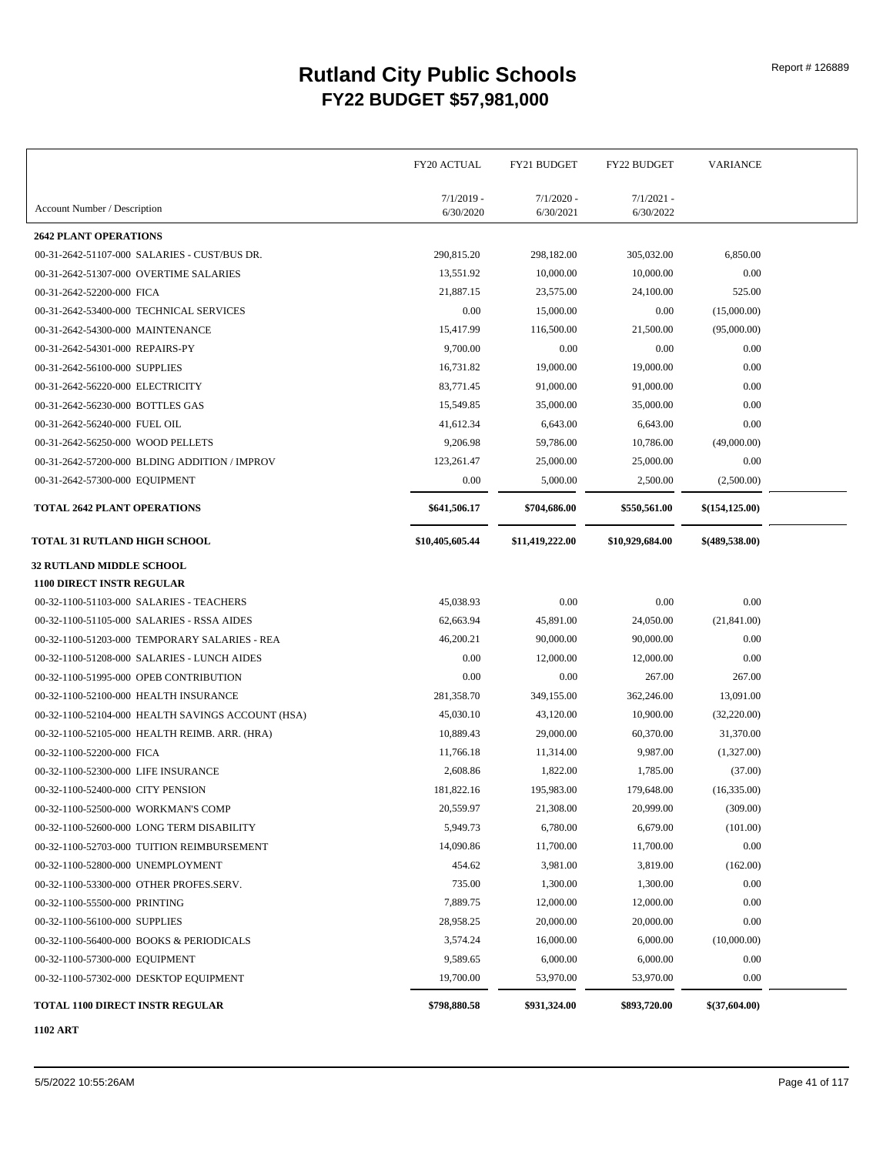|                                                                          | <b>FY20 ACTUAL</b>        | FY21 BUDGET               | <b>FY22 BUDGET</b>        | <b>VARIANCE</b>     |  |
|--------------------------------------------------------------------------|---------------------------|---------------------------|---------------------------|---------------------|--|
|                                                                          |                           |                           |                           |                     |  |
| Account Number / Description                                             | $7/1/2019$ -<br>6/30/2020 | $7/1/2020$ -<br>6/30/2021 | $7/1/2021 -$<br>6/30/2022 |                     |  |
|                                                                          |                           |                           |                           |                     |  |
| <b>2642 PLANT OPERATIONS</b>                                             |                           |                           |                           |                     |  |
| 00-31-2642-51107-000 SALARIES - CUST/BUS DR.                             | 290,815.20                | 298,182.00                | 305,032.00                | 6,850.00            |  |
| 00-31-2642-51307-000 OVERTIME SALARIES                                   | 13,551.92                 | 10,000.00                 | 10,000.00                 | 0.00                |  |
| 00-31-2642-52200-000 FICA                                                | 21,887.15                 | 23,575.00                 | 24,100.00                 | 525.00              |  |
| 00-31-2642-53400-000 TECHNICAL SERVICES                                  | 0.00                      | 15,000.00                 | 0.00                      | (15,000.00)         |  |
| 00-31-2642-54300-000 MAINTENANCE                                         | 15,417.99                 | 116,500.00                | 21,500.00                 | (95,000.00)         |  |
| 00-31-2642-54301-000 REPAIRS-PY                                          | 9,700.00                  | 0.00                      | 0.00                      | 0.00                |  |
| 00-31-2642-56100-000 SUPPLIES                                            | 16,731.82                 | 19,000.00                 | 19,000.00                 | 0.00                |  |
| 00-31-2642-56220-000 ELECTRICITY                                         | 83,771.45                 | 91,000.00                 | 91,000.00                 | 0.00                |  |
| 00-31-2642-56230-000 BOTTLES GAS                                         | 15,549.85                 | 35,000.00                 | 35,000.00                 | 0.00                |  |
| 00-31-2642-56240-000 FUEL OIL                                            | 41,612.34                 | 6,643.00                  | 6,643.00                  | 0.00                |  |
| 00-31-2642-56250-000 WOOD PELLETS                                        | 9,206.98                  | 59,786.00                 | 10,786.00                 | (49,000.00)         |  |
| 00-31-2642-57200-000 BLDING ADDITION / IMPROV                            | 123,261.47                | 25,000.00                 | 25,000.00                 | 0.00                |  |
| 00-31-2642-57300-000 EQUIPMENT                                           | 0.00                      | 5,000.00                  | 2,500.00                  | (2,500.00)          |  |
| TOTAL 2642 PLANT OPERATIONS                                              | \$641,506.17              | \$704,686.00              | \$550,561.00              | \$(154, 125.00)     |  |
| TOTAL 31 RUTLAND HIGH SCHOOL                                             | \$10,405,605.44           | \$11,419,222.00           | \$10,929,684.00           | \$(489,538.00)      |  |
| 32 RUTLAND MIDDLE SCHOOL                                                 |                           |                           |                           |                     |  |
| <b>1100 DIRECT INSTR REGULAR</b>                                         |                           |                           |                           |                     |  |
| 00-32-1100-51103-000 SALARIES - TEACHERS                                 | 45,038.93                 | 0.00                      | 0.00                      | 0.00                |  |
| 00-32-1100-51105-000 SALARIES - RSSA AIDES                               | 62,663.94                 | 45,891.00                 | 24,050.00                 | (21, 841.00)        |  |
| 00-32-1100-51203-000 TEMPORARY SALARIES - REA                            | 46,200.21                 | 90,000.00                 | 90,000.00                 | 0.00                |  |
| 00-32-1100-51208-000 SALARIES - LUNCH AIDES                              | 0.00                      | 12,000.00                 | 12,000.00                 | 0.00                |  |
| 00-32-1100-51995-000 OPEB CONTRIBUTION                                   | 0.00                      | 0.00                      | 267.00                    | 267.00              |  |
| 00-32-1100-52100-000 HEALTH INSURANCE                                    | 281,358.70                | 349,155.00                | 362,246.00                | 13,091.00           |  |
| 00-32-1100-52104-000 HEALTH SAVINGS ACCOUNT (HSA)                        | 45,030.10                 | 43,120.00                 | 10,900.00                 | (32,220.00)         |  |
| 00-32-1100-52105-000 HEALTH REIMB. ARR. (HRA)                            | 10,889.43                 | 29,000.00                 | 60,370.00                 | 31,370.00           |  |
| 00-32-1100-52200-000 FICA                                                | 11,766.18                 | 11,314.00                 | 9,987.00                  | (1,327.00)          |  |
| 00-32-1100-52300-000 LIFE INSURANCE                                      | 2,608.86                  | 1,822.00                  | 1,785.00                  | (37.00)             |  |
| 00-32-1100-52400-000 CITY PENSION                                        | 181,822.16                | 195,983.00                | 179,648.00                | (16,335.00)         |  |
| 00-32-1100-52500-000 WORKMAN'S COMP                                      | 20,559.97                 | 21,308.00                 | 20,999.00                 | (309.00)            |  |
| 00-32-1100-52600-000 LONG TERM DISABILITY                                | 5,949.73                  | 6,780.00                  | 6,679.00                  | (101.00)            |  |
| 00-32-1100-52703-000 TUITION REIMBURSEMENT                               | 14,090.86                 | 11,700.00                 | 11,700.00                 | 0.00                |  |
|                                                                          |                           |                           |                           |                     |  |
| 00-32-1100-52800-000 UNEMPLOYMENT                                        | 454.62                    | 3,981.00                  | 3,819.00                  | (162.00)            |  |
| 00-32-1100-53300-000 OTHER PROFES.SERV.                                  | 735.00                    | 1,300.00                  | 1,300.00                  | 0.00                |  |
| 00-32-1100-55500-000 PRINTING                                            | 7,889.75                  | 12,000.00                 | 12,000.00                 | 0.00                |  |
| 00-32-1100-56100-000 SUPPLIES                                            | 28,958.25                 | 20,000.00                 | 20,000.00                 | 0.00                |  |
| 00-32-1100-56400-000 BOOKS & PERIODICALS                                 | 3,574.24                  | 16,000.00                 | 6,000.00                  |                     |  |
|                                                                          | 9,589.65                  | 6,000.00                  | 6,000.00                  | (10,000.00)<br>0.00 |  |
| 00-32-1100-57300-000 EQUIPMENT<br>00-32-1100-57302-000 DESKTOP EQUIPMENT | 19,700.00                 | 53,970.00                 | 53,970.00                 | 0.00                |  |

 **1102 ART**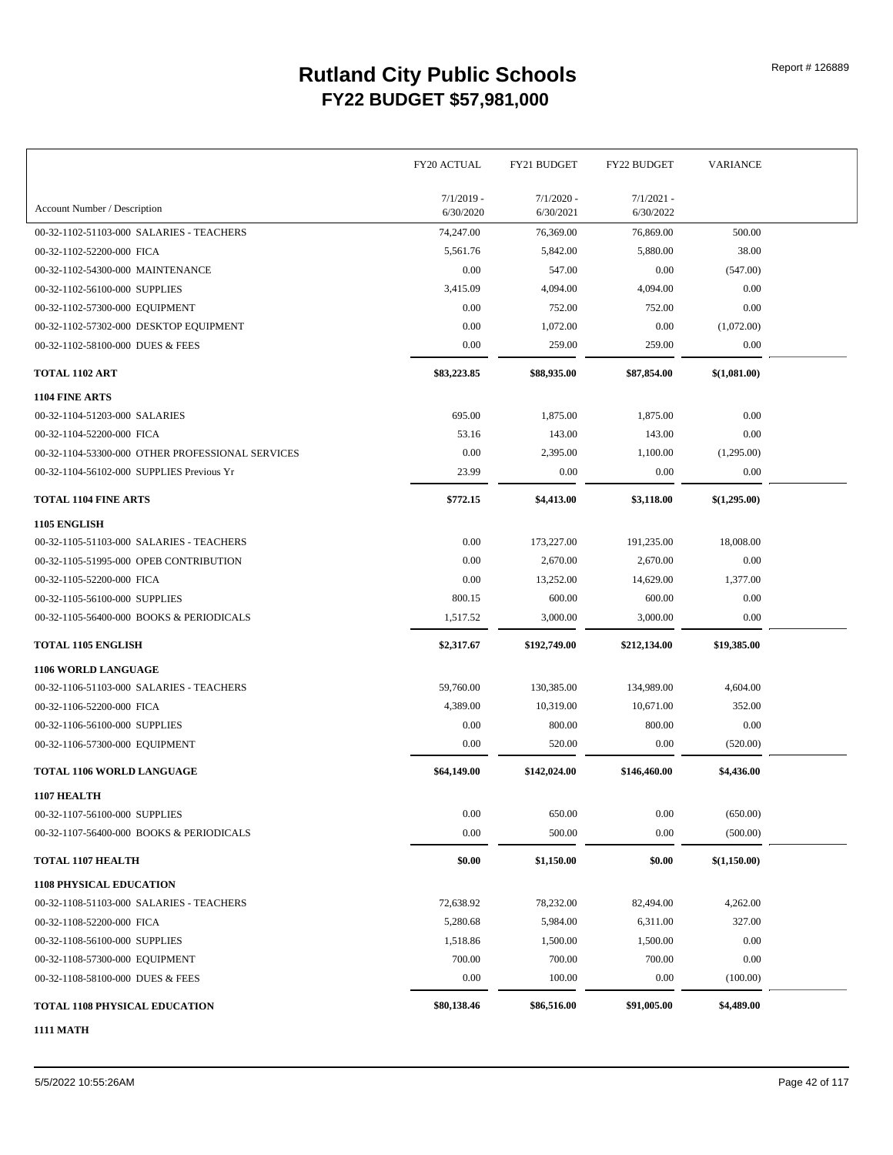|                                                  | FY20 ACTUAL               | FY21 BUDGET               | FY22 BUDGET               | <b>VARIANCE</b> |  |
|--------------------------------------------------|---------------------------|---------------------------|---------------------------|-----------------|--|
| Account Number / Description                     | $7/1/2019$ -<br>6/30/2020 | $7/1/2020$ -<br>6/30/2021 | $7/1/2021$ -<br>6/30/2022 |                 |  |
| 00-32-1102-51103-000 SALARIES - TEACHERS         | 74,247.00                 | 76,369.00                 | 76,869.00                 | 500.00          |  |
| 00-32-1102-52200-000 FICA                        | 5,561.76                  | 5,842.00                  | 5,880.00                  | 38.00           |  |
| 00-32-1102-54300-000 MAINTENANCE                 | 0.00                      | 547.00                    | 0.00                      | (547.00)        |  |
| 00-32-1102-56100-000 SUPPLIES                    | 3,415.09                  | 4,094.00                  | 4,094.00                  | 0.00            |  |
| 00-32-1102-57300-000 EQUIPMENT                   | 0.00                      | 752.00                    | 752.00                    | 0.00            |  |
| 00-32-1102-57302-000 DESKTOP EQUIPMENT           | 0.00                      | 1,072.00                  | 0.00                      | (1,072.00)      |  |
| 00-32-1102-58100-000 DUES & FEES                 | 0.00                      | 259.00                    | 259.00                    | 0.00            |  |
| <b>TOTAL 1102 ART</b>                            | \$83,223.85               | \$88,935.00               | \$87,854.00               | \$(1,081.00)    |  |
| 1104 FINE ARTS                                   |                           |                           |                           |                 |  |
| 00-32-1104-51203-000 SALARIES                    | 695.00                    | 1,875.00                  | 1,875.00                  | 0.00            |  |
| 00-32-1104-52200-000 FICA                        | 53.16                     | 143.00                    | 143.00                    | 0.00            |  |
| 00-32-1104-53300-000 OTHER PROFESSIONAL SERVICES | 0.00                      | 2,395.00                  | 1,100.00                  | (1,295.00)      |  |
| 00-32-1104-56102-000 SUPPLIES Previous Yr        | 23.99                     | 0.00                      | 0.00                      | 0.00            |  |
| <b>TOTAL 1104 FINE ARTS</b>                      | \$772.15                  | \$4,413.00                | \$3,118.00                | \$(1,295.00)    |  |
| 1105 ENGLISH                                     |                           |                           |                           |                 |  |
| 00-32-1105-51103-000 SALARIES - TEACHERS         | 0.00                      | 173,227.00                | 191,235.00                | 18,008.00       |  |
| 00-32-1105-51995-000 OPEB CONTRIBUTION           | 0.00                      | 2,670.00                  | 2,670.00                  | 0.00            |  |
| 00-32-1105-52200-000 FICA                        | 0.00                      | 13,252.00                 | 14,629.00                 | 1,377.00        |  |
| 00-32-1105-56100-000 SUPPLIES                    | 800.15                    | 600.00                    | 600.00                    | 0.00            |  |
| 00-32-1105-56400-000 BOOKS & PERIODICALS         | 1,517.52                  | 3,000.00                  | 3,000.00                  | 0.00            |  |
| <b>TOTAL 1105 ENGLISH</b>                        | \$2,317.67                | \$192,749.00              | \$212,134.00              | \$19,385.00     |  |
| <b>1106 WORLD LANGUAGE</b>                       |                           |                           |                           |                 |  |
| 00-32-1106-51103-000 SALARIES - TEACHERS         | 59,760.00                 | 130,385.00                | 134,989.00                | 4,604.00        |  |
| 00-32-1106-52200-000 FICA                        | 4,389.00                  | 10,319.00                 | 10,671.00                 | 352.00          |  |
| 00-32-1106-56100-000 SUPPLIES                    | 0.00                      | 800.00                    | 800.00                    | 0.00            |  |
| 00-32-1106-57300-000 EQUIPMENT                   | 0.00                      | 520.00                    | 0.00                      | (520.00)        |  |
| TOTAL 1106 WORLD LANGUAGE                        | \$64,149.00               | \$142,024.00              | \$146,460.00              | \$4,436.00      |  |
| 1107 HEALTH                                      |                           |                           |                           |                 |  |
| 00-32-1107-56100-000 SUPPLIES                    | 0.00                      | 650.00                    | 0.00                      | (650.00)        |  |
| 00-32-1107-56400-000 BOOKS & PERIODICALS         | 0.00                      | 500.00                    | 0.00                      | (500.00)        |  |
| <b>TOTAL 1107 HEALTH</b>                         | \$0.00                    | \$1,150.00                | \$0.00                    | \$(1,150.00)    |  |
| <b>1108 PHYSICAL EDUCATION</b>                   |                           |                           |                           |                 |  |
| 00-32-1108-51103-000 SALARIES - TEACHERS         | 72,638.92                 | 78,232.00                 | 82,494.00                 | 4,262.00        |  |
| 00-32-1108-52200-000 FICA                        | 5,280.68                  | 5,984.00                  | 6,311.00                  | 327.00          |  |
| 00-32-1108-56100-000 SUPPLIES                    | 1,518.86                  | 1,500.00                  | 1,500.00                  | 0.00            |  |
| 00-32-1108-57300-000 EQUIPMENT                   | 700.00                    | 700.00                    | 700.00                    | 0.00            |  |
| 00-32-1108-58100-000 DUES & FEES                 | 0.00                      | 100.00                    | 0.00                      | (100.00)        |  |
| <b>TOTAL 1108 PHYSICAL EDUCATION</b>             | \$80,138.46               | \$86,516.00               | \$91,005.00               | \$4,489.00      |  |

 **1111 MATH**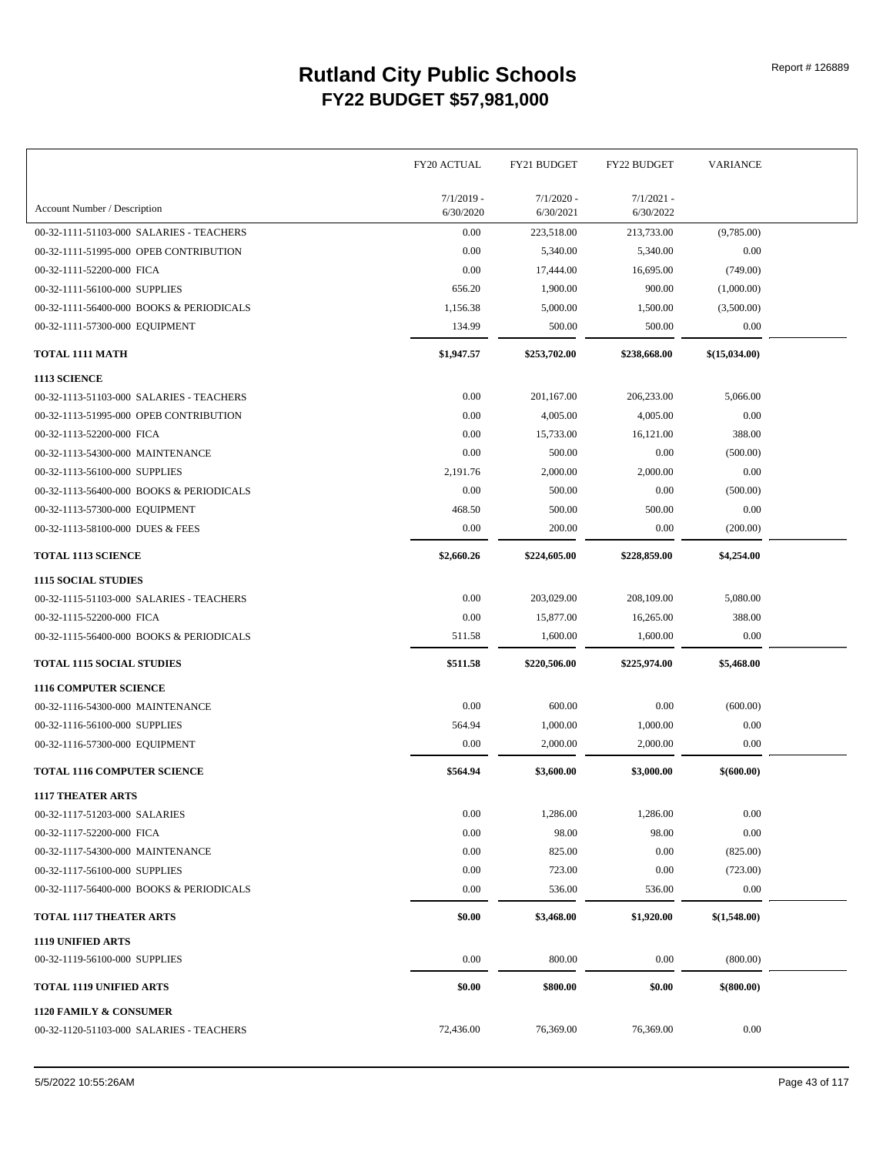|                                          | <b>FY20 ACTUAL</b> | FY21 BUDGET  | FY22 BUDGET  | <b>VARIANCE</b> |  |
|------------------------------------------|--------------------|--------------|--------------|-----------------|--|
|                                          | $7/1/2019$ -       | $7/1/2020$ - | $7/1/2021 -$ |                 |  |
| Account Number / Description             | 6/30/2020          | 6/30/2021    | 6/30/2022    |                 |  |
| 00-32-1111-51103-000 SALARIES - TEACHERS | 0.00               | 223,518.00   | 213,733.00   | (9,785.00)      |  |
| 00-32-1111-51995-000 OPEB CONTRIBUTION   | 0.00               | 5,340.00     | 5,340.00     | 0.00            |  |
| 00-32-1111-52200-000 FICA                | 0.00               | 17,444.00    | 16,695.00    | (749.00)        |  |
| 00-32-1111-56100-000 SUPPLIES            | 656.20             | 1,900.00     | 900.00       | (1,000.00)      |  |
| 00-32-1111-56400-000 BOOKS & PERIODICALS | 1,156.38           | 5,000.00     | 1,500.00     | (3,500.00)      |  |
| 00-32-1111-57300-000 EQUIPMENT           | 134.99             | 500.00       | 500.00       | 0.00            |  |
| <b>TOTAL 1111 MATH</b>                   | \$1,947.57         | \$253,702.00 | \$238,668.00 | \$(15,034.00)   |  |
| 1113 SCIENCE                             |                    |              |              |                 |  |
| 00-32-1113-51103-000 SALARIES - TEACHERS | 0.00               | 201,167.00   | 206,233.00   | 5,066.00        |  |
| 00-32-1113-51995-000 OPEB CONTRIBUTION   | 0.00               | 4,005.00     | 4,005.00     | 0.00            |  |
| 00-32-1113-52200-000 FICA                | 0.00               | 15,733.00    | 16,121.00    | 388.00          |  |
| 00-32-1113-54300-000 MAINTENANCE         | 0.00               | 500.00       | 0.00         | (500.00)        |  |
| 00-32-1113-56100-000 SUPPLIES            | 2,191.76           | 2,000.00     | 2,000.00     | 0.00            |  |
| 00-32-1113-56400-000 BOOKS & PERIODICALS | 0.00               | 500.00       | 0.00         | (500.00)        |  |
| 00-32-1113-57300-000 EQUIPMENT           | 468.50             | 500.00       | 500.00       | 0.00            |  |
| 00-32-1113-58100-000 DUES & FEES         | 0.00               | 200.00       | 0.00         | (200.00)        |  |
| <b>TOTAL 1113 SCIENCE</b>                | \$2,660.26         | \$224,605.00 | \$228,859.00 | \$4,254.00      |  |
| <b>1115 SOCIAL STUDIES</b>               |                    |              |              |                 |  |
| 00-32-1115-51103-000 SALARIES - TEACHERS | 0.00               | 203,029.00   | 208,109.00   | 5,080.00        |  |
| 00-32-1115-52200-000 FICA                | 0.00               | 15,877.00    | 16,265.00    | 388.00          |  |
| 00-32-1115-56400-000 BOOKS & PERIODICALS | 511.58             | 1,600.00     | 1,600.00     | 0.00            |  |
| <b>TOTAL 1115 SOCIAL STUDIES</b>         | \$511.58           | \$220,506.00 | \$225,974.00 | \$5,468.00      |  |
| <b>1116 COMPUTER SCIENCE</b>             |                    |              |              |                 |  |
| 00-32-1116-54300-000 MAINTENANCE         | 0.00               | 600.00       | 0.00         | (600.00)        |  |
| 00-32-1116-56100-000 SUPPLIES            | 564.94             | 1,000.00     | 1,000.00     | 0.00            |  |
| 00-32-1116-57300-000 EQUIPMENT           | 0.00               | 2,000.00     | 2,000.00     | 0.00            |  |
| <b>TOTAL 1116 COMPUTER SCIENCE</b>       | \$564.94           | \$3,600.00   | \$3,000.00   | \$(600.00)      |  |
| <b>1117 THEATER ARTS</b>                 |                    |              |              |                 |  |
| 00-32-1117-51203-000 SALARIES            | $0.00\,$           | 1,286.00     | 1,286.00     | 0.00            |  |
| 00-32-1117-52200-000 FICA                | 0.00               | 98.00        | 98.00        | 0.00            |  |
| 00-32-1117-54300-000 MAINTENANCE         | 0.00               | 825.00       | 0.00         | (825.00)        |  |
| 00-32-1117-56100-000 SUPPLIES            | 0.00               | 723.00       | 0.00         | (723.00)        |  |
| 00-32-1117-56400-000 BOOKS & PERIODICALS | 0.00               | 536.00       | 536.00       | 0.00            |  |
| <b>TOTAL 1117 THEATER ARTS</b>           | \$0.00             | \$3,468.00   | \$1,920.00   | \$(1,548.00)    |  |
| <b>1119 UNIFIED ARTS</b>                 |                    |              |              |                 |  |
| 00-32-1119-56100-000 SUPPLIES            | 0.00               | 800.00       | 0.00         | (800.00)        |  |
| <b>TOTAL 1119 UNIFIED ARTS</b>           | \$0.00             | \$800.00     | \$0.00       | \$(800.00)      |  |
| <b>1120 FAMILY &amp; CONSUMER</b>        |                    |              |              |                 |  |
| 00-32-1120-51103-000 SALARIES - TEACHERS | 72,436.00          | 76,369.00    | 76,369.00    | 0.00            |  |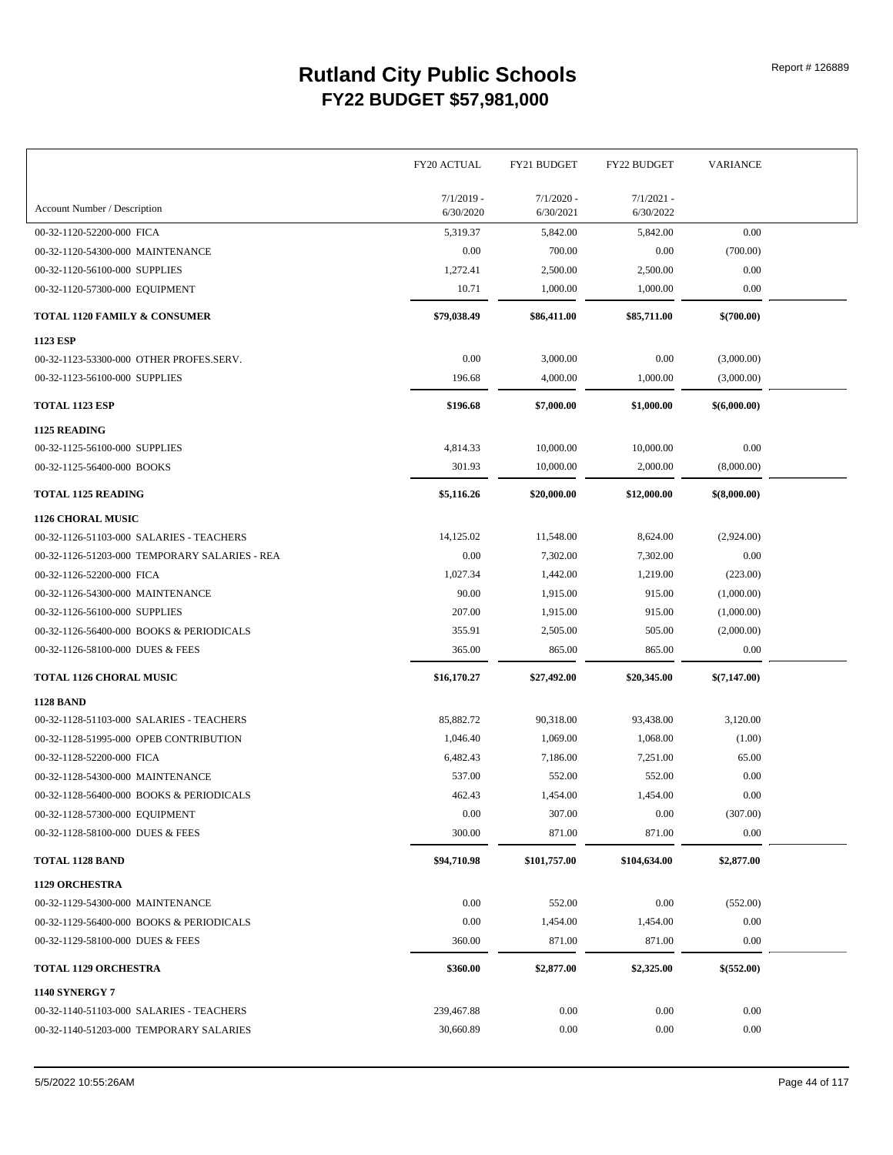|                                               | <b>FY20 ACTUAL</b>        | FY21 BUDGET               | <b>FY22 BUDGET</b>        | <b>VARIANCE</b> |  |
|-----------------------------------------------|---------------------------|---------------------------|---------------------------|-----------------|--|
|                                               |                           |                           |                           |                 |  |
| Account Number / Description                  | $7/1/2019$ -<br>6/30/2020 | $7/1/2020$ -<br>6/30/2021 | $7/1/2021$ -<br>6/30/2022 |                 |  |
| 00-32-1120-52200-000 FICA                     | 5,319.37                  | 5,842.00                  | 5,842.00                  | 0.00            |  |
| 00-32-1120-54300-000 MAINTENANCE              | 0.00                      | 700.00                    | 0.00                      | (700.00)        |  |
| 00-32-1120-56100-000 SUPPLIES                 | 1,272.41                  | 2,500.00                  | 2,500.00                  | 0.00            |  |
| 00-32-1120-57300-000 EQUIPMENT                | 10.71                     | 1,000.00                  | 1,000.00                  | 0.00            |  |
| <b>TOTAL 1120 FAMILY &amp; CONSUMER</b>       | \$79,038.49               | \$86,411.00               | \$85,711.00               | \$(700.00)      |  |
| 1123 ESP                                      |                           |                           |                           |                 |  |
| 00-32-1123-53300-000 OTHER PROFES.SERV.       | 0.00                      | 3,000.00                  | 0.00                      | (3,000.00)      |  |
| 00-32-1123-56100-000 SUPPLIES                 | 196.68                    | 4,000.00                  | 1,000.00                  | (3,000.00)      |  |
| <b>TOTAL 1123 ESP</b>                         | \$196.68                  | \$7,000.00                | \$1,000.00                | \$(6,000.00)    |  |
| 1125 READING                                  |                           |                           |                           |                 |  |
| 00-32-1125-56100-000 SUPPLIES                 | 4,814.33                  | 10,000.00                 | 10,000.00                 | 0.00            |  |
| 00-32-1125-56400-000 BOOKS                    | 301.93                    | 10,000.00                 | 2,000.00                  | (8,000.00)      |  |
| <b>TOTAL 1125 READING</b>                     | \$5,116.26                | \$20,000.00               | \$12,000.00               | \$(8,000.00)    |  |
| <b>1126 CHORAL MUSIC</b>                      |                           |                           |                           |                 |  |
| 00-32-1126-51103-000 SALARIES - TEACHERS      | 14,125.02                 | 11,548.00                 | 8,624.00                  | (2,924.00)      |  |
| 00-32-1126-51203-000 TEMPORARY SALARIES - REA | 0.00                      | 7,302.00                  | 7,302.00                  | 0.00            |  |
| 00-32-1126-52200-000 FICA                     | 1,027.34                  | 1,442.00                  | 1,219.00                  | (223.00)        |  |
| 00-32-1126-54300-000 MAINTENANCE              | 90.00                     | 1,915.00                  | 915.00                    | (1,000.00)      |  |
| 00-32-1126-56100-000 SUPPLIES                 | 207.00                    | 1,915.00                  | 915.00                    | (1,000.00)      |  |
| 00-32-1126-56400-000 BOOKS & PERIODICALS      | 355.91                    | 2,505.00                  | 505.00                    | (2,000.00)      |  |
| 00-32-1126-58100-000 DUES & FEES              | 365.00                    | 865.00                    | 865.00                    | 0.00            |  |
| TOTAL 1126 CHORAL MUSIC                       | \$16,170.27               | \$27,492.00               | \$20,345.00               | \$(7,147.00)    |  |
| <b>1128 BAND</b>                              |                           |                           |                           |                 |  |
| 00-32-1128-51103-000 SALARIES - TEACHERS      | 85,882.72                 | 90,318.00                 | 93,438.00                 | 3,120.00        |  |
| 00-32-1128-51995-000 OPEB CONTRIBUTION        | 1,046.40                  | 1,069.00                  | 1,068.00                  | (1.00)          |  |
| 00-32-1128-52200-000 FICA                     | 6,482.43                  | 7,186.00                  | 7,251.00                  | 65.00           |  |
| 00-32-1128-54300-000 MAINTENANCE              | 537.00                    | 552.00                    | 552.00                    | 0.00            |  |
| 00-32-1128-56400-000 BOOKS & PERIODICALS      | 462.43                    | 1,454.00                  | 1,454.00                  | 0.00            |  |
| 00-32-1128-57300-000 EQUIPMENT                | 0.00                      | 307.00                    | 0.00                      | (307.00)        |  |
| 00-32-1128-58100-000 DUES & FEES              | 300.00                    | 871.00                    | 871.00                    | 0.00            |  |
| <b>TOTAL 1128 BAND</b>                        | \$94,710.98               | \$101,757.00              | \$104,634.00              | \$2,877.00      |  |
| <b>1129 ORCHESTRA</b>                         |                           |                           |                           |                 |  |
| 00-32-1129-54300-000 MAINTENANCE              | 0.00                      | 552.00                    | 0.00                      | (552.00)        |  |
| 00-32-1129-56400-000 BOOKS & PERIODICALS      | 0.00                      | 1,454.00                  | 1,454.00                  | $0.00\,$        |  |
| 00-32-1129-58100-000 DUES & FEES              | 360.00                    | 871.00                    | 871.00                    | 0.00            |  |
| <b>TOTAL 1129 ORCHESTRA</b>                   | \$360.00                  | \$2,877.00                | \$2,325.00                | \$(552.00)      |  |
| <b>1140 SYNERGY 7</b>                         |                           |                           |                           |                 |  |
| 00-32-1140-51103-000 SALARIES - TEACHERS      | 239,467.88                | 0.00                      | 0.00                      | 0.00            |  |
| 00-32-1140-51203-000 TEMPORARY SALARIES       | 30,660.89                 | $0.00\,$                  | 0.00                      | 0.00            |  |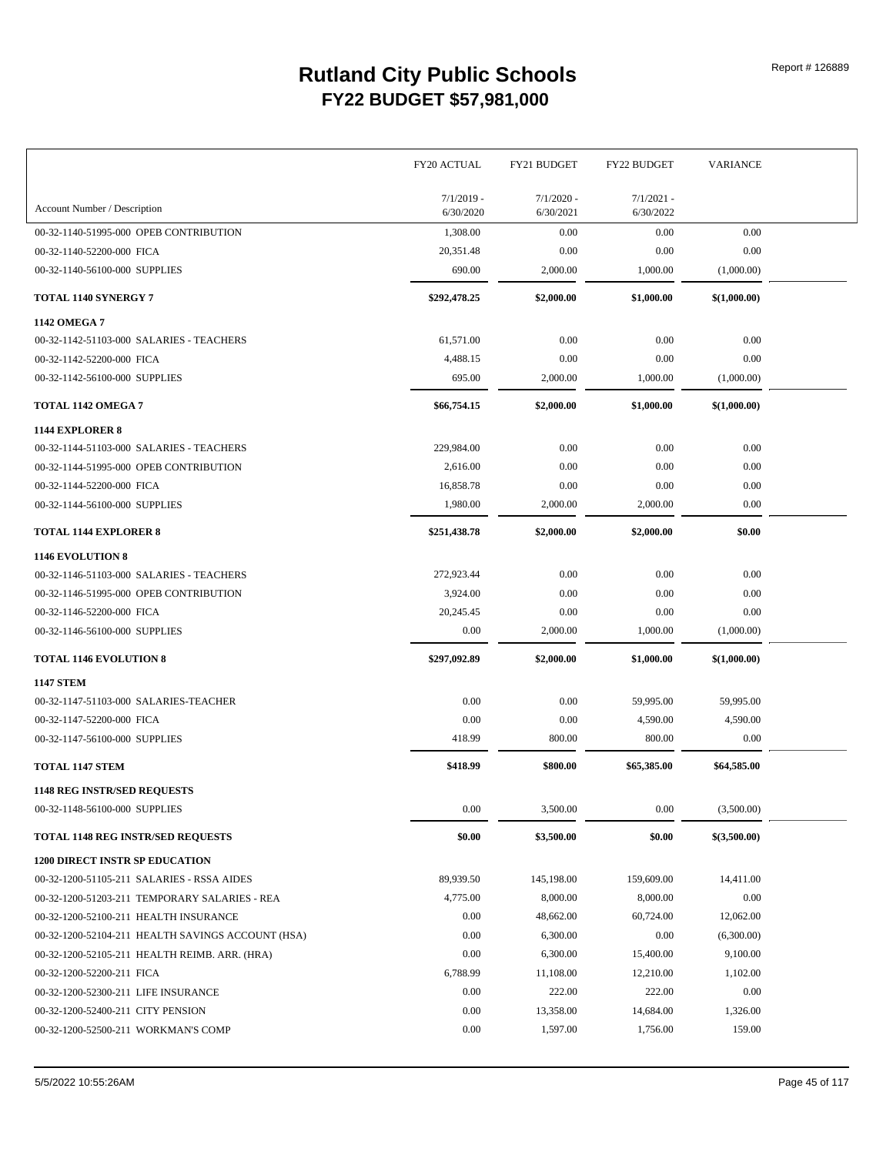|                                                   | <b>FY20 ACTUAL</b> | FY21 BUDGET  | FY22 BUDGET  | <b>VARIANCE</b> |  |
|---------------------------------------------------|--------------------|--------------|--------------|-----------------|--|
|                                                   | $7/1/2019$ -       | $7/1/2020$ - | $7/1/2021$ - |                 |  |
| Account Number / Description                      | 6/30/2020          | 6/30/2021    | 6/30/2022    |                 |  |
| 00-32-1140-51995-000 OPEB CONTRIBUTION            | 1,308.00           | 0.00         | 0.00         | 0.00            |  |
| 00-32-1140-52200-000 FICA                         | 20,351.48          | 0.00         | 0.00         | 0.00            |  |
| 00-32-1140-56100-000 SUPPLIES                     | 690.00             | 2,000.00     | 1,000.00     | (1,000.00)      |  |
| <b>TOTAL 1140 SYNERGY 7</b>                       | \$292,478.25       | \$2,000.00   | \$1,000.00   | \$(1,000.00)    |  |
| <b>1142 OMEGA 7</b>                               |                    |              |              |                 |  |
| 00-32-1142-51103-000 SALARIES - TEACHERS          | 61,571.00          | 0.00         | 0.00         | 0.00            |  |
| 00-32-1142-52200-000 FICA                         | 4,488.15           | 0.00         | 0.00         | 0.00            |  |
| 00-32-1142-56100-000 SUPPLIES                     | 695.00             | 2,000.00     | 1,000.00     | (1,000.00)      |  |
| TOTAL 1142 OMEGA 7                                | \$66,754.15        | \$2,000.00   | \$1,000.00   | \$(1,000.00)    |  |
| <b>1144 EXPLORER 8</b>                            |                    |              |              |                 |  |
| 00-32-1144-51103-000 SALARIES - TEACHERS          | 229,984.00         | 0.00         | 0.00         | 0.00            |  |
| 00-32-1144-51995-000 OPEB CONTRIBUTION            | 2,616.00           | 0.00         | 0.00         | 0.00            |  |
| 00-32-1144-52200-000 FICA                         | 16,858.78          | 0.00         | 0.00         | 0.00            |  |
| 00-32-1144-56100-000 SUPPLIES                     | 1,980.00           | 2,000.00     | 2,000.00     | 0.00            |  |
| <b>TOTAL 1144 EXPLORER 8</b>                      | \$251,438.78       | \$2,000.00   | \$2,000.00   | \$0.00          |  |
| <b>1146 EVOLUTION 8</b>                           |                    |              |              |                 |  |
| 00-32-1146-51103-000 SALARIES - TEACHERS          | 272,923.44         | 0.00         | 0.00         | 0.00            |  |
| 00-32-1146-51995-000 OPEB CONTRIBUTION            | 3,924.00           | 0.00         | 0.00         | 0.00            |  |
| 00-32-1146-52200-000 FICA                         | 20,245.45          | 0.00         | 0.00         | 0.00            |  |
| 00-32-1146-56100-000 SUPPLIES                     | 0.00               | 2,000.00     | 1,000.00     | (1,000.00)      |  |
| <b>TOTAL 1146 EVOLUTION 8</b>                     | \$297,092.89       | \$2,000.00   | \$1,000.00   | \$(1,000.00)    |  |
| <b>1147 STEM</b>                                  |                    |              |              |                 |  |
| 00-32-1147-51103-000 SALARIES-TEACHER             | 0.00               | 0.00         | 59,995.00    | 59,995.00       |  |
| 00-32-1147-52200-000 FICA                         | 0.00               | 0.00         | 4,590.00     | 4,590.00        |  |
| 00-32-1147-56100-000 SUPPLIES                     | 418.99             | 800.00       | 800.00       | 0.00            |  |
| <b>TOTAL 1147 STEM</b>                            | \$418.99           | \$800.00     | \$65,385.00  | \$64,585.00     |  |
| <b>1148 REG INSTR/SED REQUESTS</b>                |                    |              |              |                 |  |
| 00-32-1148-56100-000 SUPPLIES                     | 0.00               | 3,500.00     | $0.00\,$     | (3,500.00)      |  |
| <b>TOTAL 1148 REG INSTR/SED REQUESTS</b>          | \$0.00             | \$3,500.00   | \$0.00       | \$(3,500.00)    |  |
| <b>1200 DIRECT INSTR SP EDUCATION</b>             |                    |              |              |                 |  |
| 00-32-1200-51105-211 SALARIES - RSSA AIDES        | 89,939.50          | 145,198.00   | 159,609.00   | 14,411.00       |  |
| 00-32-1200-51203-211 TEMPORARY SALARIES - REA     | 4,775.00           | 8,000.00     | 8,000.00     | 0.00            |  |
| 00-32-1200-52100-211 HEALTH INSURANCE             | 0.00               | 48,662.00    | 60,724.00    | 12,062.00       |  |
| 00-32-1200-52104-211 HEALTH SAVINGS ACCOUNT (HSA) | 0.00               | 6,300.00     | 0.00         | (6,300.00)      |  |
| 00-32-1200-52105-211 HEALTH REIMB. ARR. (HRA)     | 0.00               | 6,300.00     | 15,400.00    | 9,100.00        |  |
| 00-32-1200-52200-211 FICA                         | 6,788.99           | 11,108.00    | 12,210.00    | 1.102.00        |  |
| 00-32-1200-52300-211 LIFE INSURANCE               | 0.00               | 222.00       | 222.00       | 0.00            |  |
| 00-32-1200-52400-211 CITY PENSION                 | 0.00               | 13,358.00    | 14,684.00    | 1,326.00        |  |
| 00-32-1200-52500-211 WORKMAN'S COMP               | 0.00               | 1,597.00     | 1,756.00     | 159.00          |  |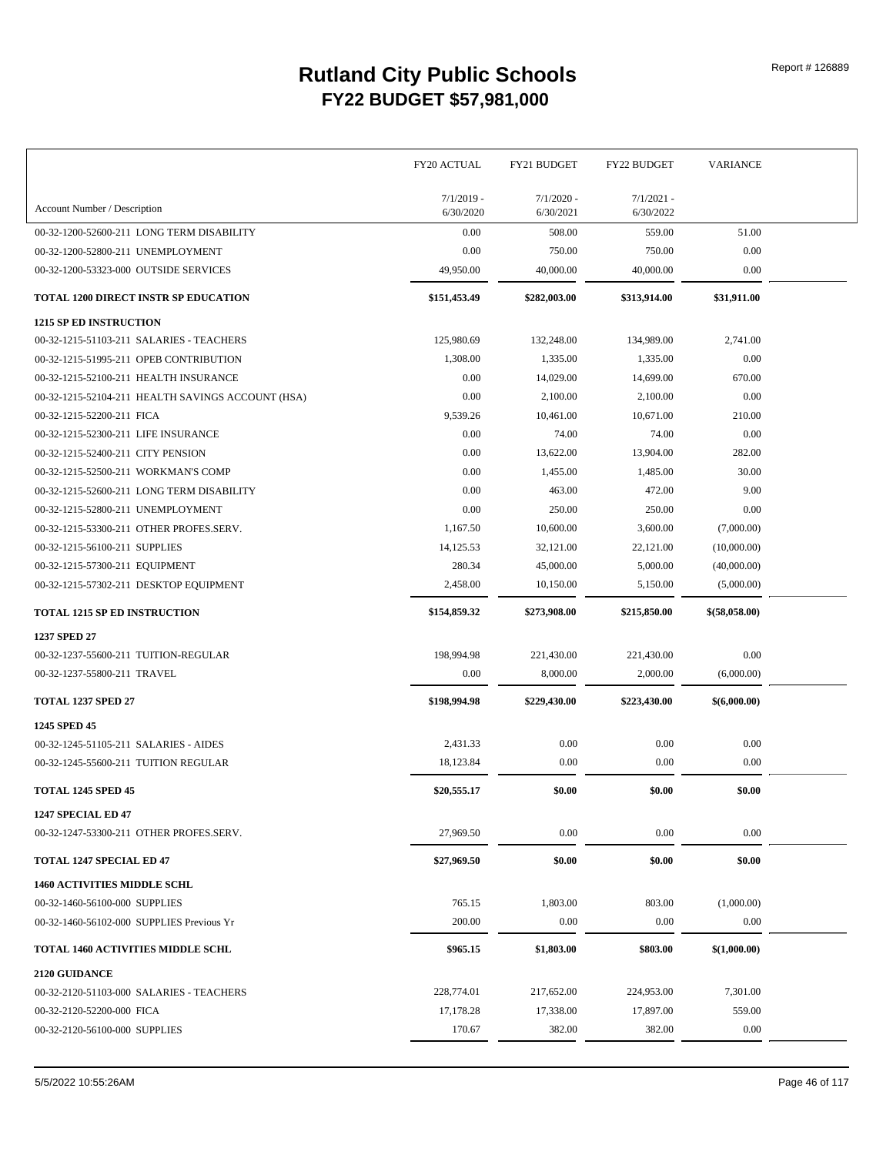|                                                                   | FY20 ACTUAL               | FY21 BUDGET               | FY22 BUDGET               | <b>VARIANCE</b> |  |
|-------------------------------------------------------------------|---------------------------|---------------------------|---------------------------|-----------------|--|
| Account Number / Description                                      | $7/1/2019$ -<br>6/30/2020 | $7/1/2020$ -<br>6/30/2021 | $7/1/2021$ -<br>6/30/2022 |                 |  |
| 00-32-1200-52600-211 LONG TERM DISABILITY                         | 0.00                      | 508.00                    | 559.00                    | 51.00           |  |
| 00-32-1200-52800-211 UNEMPLOYMENT                                 | 0.00                      | 750.00                    | 750.00                    | 0.00            |  |
| 00-32-1200-53323-000 OUTSIDE SERVICES                             | 49,950.00                 | 40,000.00                 | 40,000.00                 | 0.00            |  |
| <b>TOTAL 1200 DIRECT INSTR SP EDUCATION</b>                       | \$151,453.49              | \$282,003.00              | \$313,914.00              | \$31,911.00     |  |
| <b>1215 SP ED INSTRUCTION</b>                                     |                           |                           |                           |                 |  |
| 00-32-1215-51103-211 SALARIES - TEACHERS                          | 125,980.69                | 132,248.00                | 134,989.00                | 2,741.00        |  |
| 00-32-1215-51995-211 OPEB CONTRIBUTION                            | 1,308.00                  | 1,335.00                  | 1,335.00                  | 0.00            |  |
| 00-32-1215-52100-211 HEALTH INSURANCE                             | 0.00                      | 14,029.00                 | 14,699.00                 | 670.00          |  |
| 00-32-1215-52104-211 HEALTH SAVINGS ACCOUNT (HSA)                 | 0.00                      | 2,100.00                  | 2,100.00                  | 0.00            |  |
| 00-32-1215-52200-211 FICA                                         | 9,539.26                  | 10,461.00                 | 10,671.00                 | 210.00          |  |
| 00-32-1215-52300-211 LIFE INSURANCE                               | 0.00                      | 74.00                     | 74.00                     | 0.00            |  |
| 00-32-1215-52400-211 CITY PENSION                                 | 0.00                      | 13,622.00                 | 13,904.00                 | 282.00          |  |
| 00-32-1215-52500-211 WORKMAN'S COMP                               | 0.00                      | 1,455.00                  | 1,485.00                  | 30.00           |  |
| 00-32-1215-52600-211 LONG TERM DISABILITY                         | 0.00                      | 463.00                    | 472.00                    | 9.00            |  |
| 00-32-1215-52800-211 UNEMPLOYMENT                                 | 0.00                      | 250.00                    | 250.00                    | 0.00            |  |
| 00-32-1215-53300-211 OTHER PROFES.SERV.                           | 1,167.50                  | 10,600.00                 | 3,600.00                  | (7,000.00)      |  |
| 00-32-1215-56100-211 SUPPLIES                                     | 14,125.53                 | 32,121.00                 | 22,121.00                 | (10,000.00)     |  |
| 00-32-1215-57300-211 EQUIPMENT                                    | 280.34                    | 45,000.00                 | 5,000.00                  | (40,000.00)     |  |
| 00-32-1215-57302-211 DESKTOP EQUIPMENT                            | 2,458.00                  | 10,150.00                 | 5,150.00                  | (5,000.00)      |  |
| <b>TOTAL 1215 SP ED INSTRUCTION</b>                               | \$154,859.32              | \$273,908.00              | \$215,850.00              | \$(58,058.00)   |  |
| 1237 SPED 27                                                      |                           |                           |                           |                 |  |
| 00-32-1237-55600-211 TUITION-REGULAR                              | 198,994.98                | 221,430.00                | 221,430.00                | 0.00            |  |
| 00-32-1237-55800-211 TRAVEL                                       |                           |                           |                           |                 |  |
|                                                                   | 0.00                      | 8,000.00                  | 2,000.00                  | (6,000.00)      |  |
| <b>TOTAL 1237 SPED 27</b>                                         | \$198,994.98              | \$229,430.00              | \$223,430.00              | \$(6,000.00)    |  |
| 1245 SPED 45                                                      |                           |                           |                           |                 |  |
| 00-32-1245-51105-211 SALARIES - AIDES                             | 2,431.33                  | 0.00                      | 0.00                      | 0.00            |  |
|                                                                   | 18,123.84                 | 0.00                      | 0.00                      | 0.00            |  |
| 00-32-1245-55600-211 TUITION REGULAR<br><b>TOTAL 1245 SPED 45</b> | \$20,555.17               | \$0.00                    | \$0.00                    | \$0.00          |  |
|                                                                   |                           |                           |                           |                 |  |
| 1247 SPECIAL ED 47<br>00-32-1247-53300-211 OTHER PROFES.SERV.     | 27,969.50                 | 0.00                      | 0.00                      | 0.00            |  |
| <b>TOTAL 1247 SPECIAL ED 47</b>                                   | \$27,969.50               | \$0.00                    | \$0.00                    | \$0.00          |  |
| <b>1460 ACTIVITIES MIDDLE SCHL</b>                                |                           |                           |                           |                 |  |
| 00-32-1460-56100-000 SUPPLIES                                     | 765.15                    | 1,803.00                  | 803.00                    | (1,000.00)      |  |
| 00-32-1460-56102-000 SUPPLIES Previous Yr                         | 200.00                    | 0.00                      | 0.00                      | 0.00            |  |
| TOTAL 1460 ACTIVITIES MIDDLE SCHL                                 | \$965.15                  | \$1,803.00                | \$803.00                  | \$(1,000.00)    |  |
| <b>2120 GUIDANCE</b>                                              |                           |                           |                           |                 |  |
| 00-32-2120-51103-000 SALARIES - TEACHERS                          | 228,774.01                | 217,652.00                | 224,953.00                | 7,301.00        |  |
| 00-32-2120-52200-000 FICA                                         | 17,178.28                 | 17,338.00                 | 17,897.00                 | 559.00          |  |
| 00-32-2120-56100-000 SUPPLIES                                     | 170.67                    | 382.00                    | 382.00                    | 0.00            |  |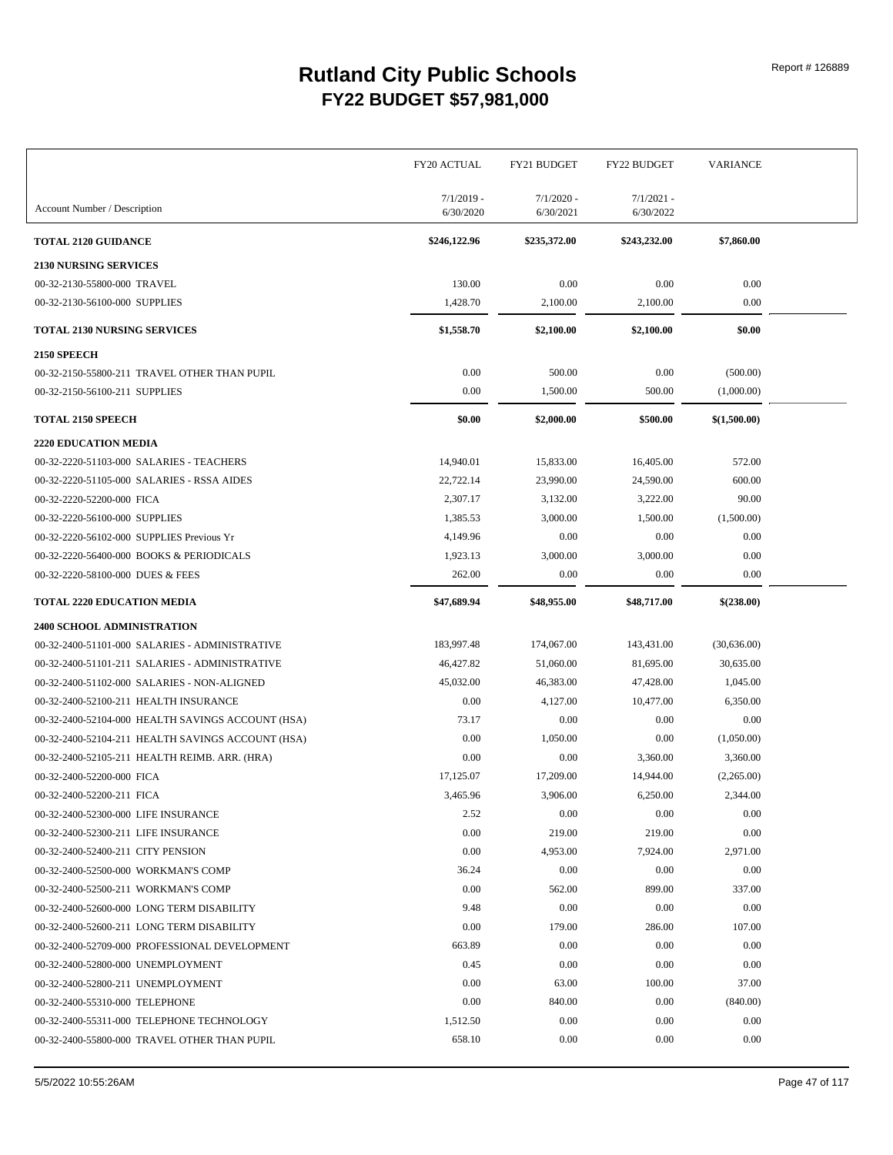|                                                   | FY20 ACTUAL  | <b>FY21 BUDGET</b> | FY22 BUDGET  | <b>VARIANCE</b> |  |
|---------------------------------------------------|--------------|--------------------|--------------|-----------------|--|
|                                                   | $7/1/2019$ - | $7/1/2020$ -       | $7/1/2021 -$ |                 |  |
| Account Number / Description                      | 6/30/2020    | 6/30/2021          | 6/30/2022    |                 |  |
| <b>TOTAL 2120 GUIDANCE</b>                        | \$246,122.96 | \$235,372.00       | \$243,232.00 | \$7,860.00      |  |
| <b>2130 NURSING SERVICES</b>                      |              |                    |              |                 |  |
| 00-32-2130-55800-000 TRAVEL                       | 130.00       | 0.00               | 0.00         | 0.00            |  |
| 00-32-2130-56100-000 SUPPLIES                     | 1,428.70     | 2,100.00           | 2,100.00     | 0.00            |  |
| TOTAL 2130 NURSING SERVICES                       | \$1,558.70   | \$2,100.00         | \$2,100.00   | \$0.00          |  |
| 2150 SPEECH                                       |              |                    |              |                 |  |
| 00-32-2150-55800-211 TRAVEL OTHER THAN PUPIL      | 0.00         | 500.00             | 0.00         | (500.00)        |  |
| 00-32-2150-56100-211 SUPPLIES                     | 0.00         | 1,500.00           | 500.00       | (1,000.00)      |  |
| <b>TOTAL 2150 SPEECH</b>                          | \$0.00       | \$2,000.00         | \$500.00     | \$(1,500.00)    |  |
| <b>2220 EDUCATION MEDIA</b>                       |              |                    |              |                 |  |
| 00-32-2220-51103-000 SALARIES - TEACHERS          | 14,940.01    | 15,833.00          | 16,405.00    | 572.00          |  |
| 00-32-2220-51105-000 SALARIES - RSSA AIDES        | 22,722.14    | 23,990.00          | 24,590.00    | 600.00          |  |
| 00-32-2220-52200-000 FICA                         | 2,307.17     | 3,132.00           | 3,222.00     | 90.00           |  |
| 00-32-2220-56100-000 SUPPLIES                     | 1.385.53     | 3,000.00           | 1,500.00     | (1,500.00)      |  |
| 00-32-2220-56102-000 SUPPLIES Previous Yr         | 4,149.96     | 0.00               | 0.00         | 0.00            |  |
| 00-32-2220-56400-000 BOOKS & PERIODICALS          | 1,923.13     | 3,000.00           | 3,000.00     | 0.00            |  |
| 00-32-2220-58100-000 DUES & FEES                  | 262.00       | 0.00               | 0.00         | 0.00            |  |
| <b>TOTAL 2220 EDUCATION MEDIA</b>                 | \$47,689.94  | \$48,955.00        | \$48,717.00  | \$(238.00)      |  |
| 2400 SCHOOL ADMINISTRATION                        |              |                    |              |                 |  |
| 00-32-2400-51101-000 SALARIES - ADMINISTRATIVE    | 183,997.48   | 174,067.00         | 143,431.00   | (30,636.00)     |  |
| 00-32-2400-51101-211 SALARIES - ADMINISTRATIVE    | 46,427.82    | 51,060.00          | 81,695.00    | 30,635.00       |  |
| 00-32-2400-51102-000 SALARIES - NON-ALIGNED       | 45,032.00    | 46,383.00          | 47,428.00    | 1,045.00        |  |
| 00-32-2400-52100-211 HEALTH INSURANCE             | 0.00         | 4,127.00           | 10,477.00    | 6,350.00        |  |
| 00-32-2400-52104-000 HEALTH SAVINGS ACCOUNT (HSA) | 73.17        | 0.00               | 0.00         | 0.00            |  |
| 00-32-2400-52104-211 HEALTH SAVINGS ACCOUNT (HSA) | 0.00         | 1,050.00           | 0.00         | (1,050.00)      |  |
| 00-32-2400-52105-211 HEALTH REIMB. ARR. (HRA)     | 0.00         | 0.00               | 3,360.00     | 3,360.00        |  |
| 00-32-2400-52200-000 FICA                         | 17,125.07    | 17,209.00          | 14,944.00    | (2,265.00)      |  |
| 00-32-2400-52200-211 FICA                         | 3,465.96     | 3,906.00           | 6,250.00     | 2,344.00        |  |
| 00-32-2400-52300-000 LIFE INSURANCE               | 2.52         | 0.00               | 0.00         | 0.00            |  |
| 00-32-2400-52300-211 LIFE INSURANCE               | 0.00         | 219.00             | 219.00       | 0.00            |  |
| 00-32-2400-52400-211 CITY PENSION                 | 0.00         | 4,953.00           | 7,924.00     | 2,971.00        |  |
| 00-32-2400-52500-000 WORKMAN'S COMP               | 36.24        | 0.00               | 0.00         | 0.00            |  |
| 00-32-2400-52500-211 WORKMAN'S COMP               | 0.00         | 562.00             | 899.00       | 337.00          |  |
| 00-32-2400-52600-000 LONG TERM DISABILITY         | 9.48         | 0.00               | 0.00         | 0.00            |  |
| 00-32-2400-52600-211 LONG TERM DISABILITY         | 0.00         | 179.00             | 286.00       | 107.00          |  |
| 00-32-2400-52709-000 PROFESSIONAL DEVELOPMENT     | 663.89       | 0.00               | $0.00\,$     | 0.00            |  |
| 00-32-2400-52800-000 UNEMPLOYMENT                 | 0.45         | 0.00               | 0.00         | 0.00            |  |
| 00-32-2400-52800-211 UNEMPLOYMENT                 | 0.00         | 63.00              | 100.00       | 37.00           |  |
| 00-32-2400-55310-000 TELEPHONE                    | 0.00         | 840.00             | 0.00         | (840.00)        |  |
| 00-32-2400-55311-000 TELEPHONE TECHNOLOGY         | 1,512.50     | 0.00               | 0.00         | 0.00            |  |
| 00-32-2400-55800-000 TRAVEL OTHER THAN PUPIL      | 658.10       | 0.00               | 0.00         | 0.00            |  |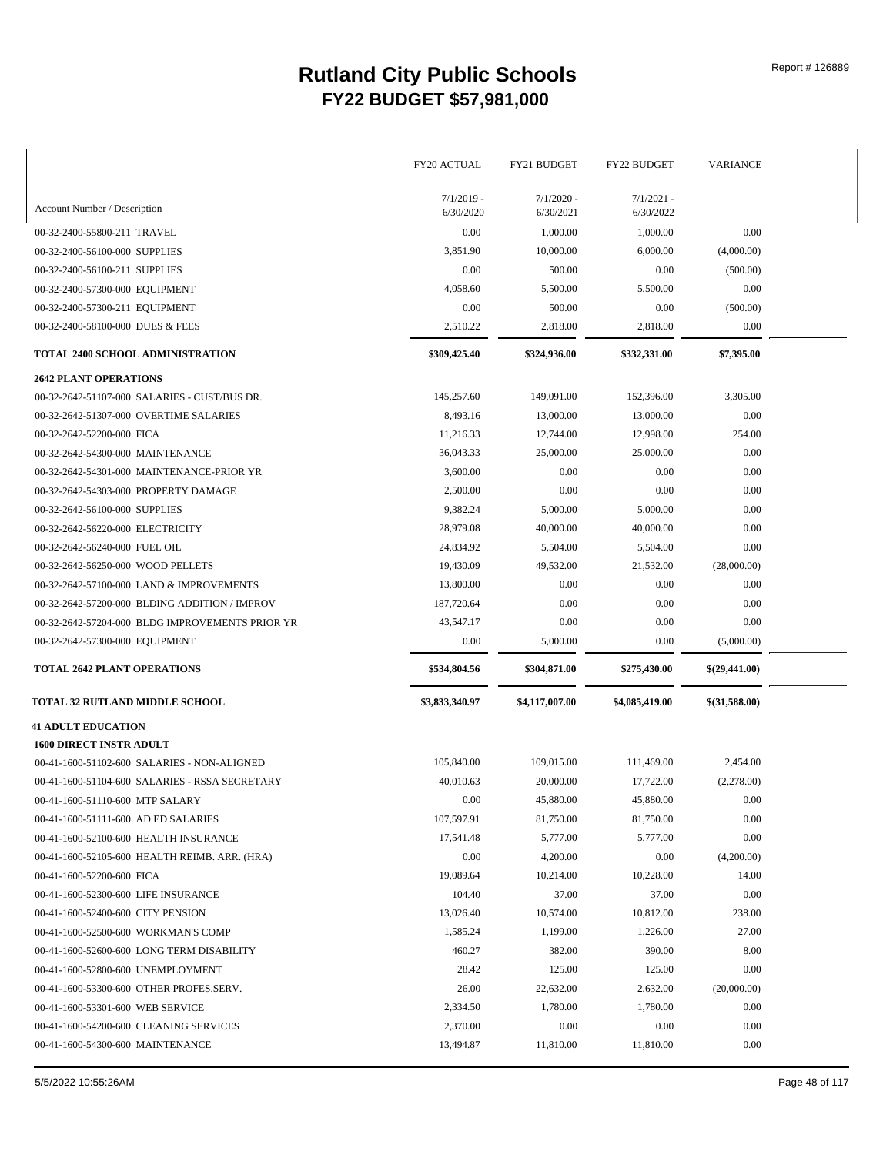|                                                 | FY20 ACTUAL               | FY21 BUDGET               | FY22 BUDGET               | <b>VARIANCE</b> |  |
|-------------------------------------------------|---------------------------|---------------------------|---------------------------|-----------------|--|
| Account Number / Description                    | $7/1/2019$ -<br>6/30/2020 | $7/1/2020$ -<br>6/30/2021 | $7/1/2021$ -<br>6/30/2022 |                 |  |
| 00-32-2400-55800-211 TRAVEL                     | 0.00                      | 1,000.00                  | 1,000.00                  | 0.00            |  |
| 00-32-2400-56100-000 SUPPLIES                   | 3,851.90                  | 10,000.00                 | 6,000.00                  | (4,000.00)      |  |
| 00-32-2400-56100-211 SUPPLIES                   | 0.00                      | 500.00                    | 0.00                      | (500.00)        |  |
| 00-32-2400-57300-000 EQUIPMENT                  | 4,058.60                  | 5,500.00                  | 5,500.00                  | 0.00            |  |
| 00-32-2400-57300-211 EQUIPMENT                  | 0.00                      | 500.00                    | 0.00                      | (500.00)        |  |
| 00-32-2400-58100-000 DUES & FEES                | 2,510.22                  | 2,818.00                  | 2,818.00                  | 0.00            |  |
| TOTAL 2400 SCHOOL ADMINISTRATION                | \$309,425.40              | \$324,936.00              | \$332,331.00              | \$7,395.00      |  |
| <b>2642 PLANT OPERATIONS</b>                    |                           |                           |                           |                 |  |
| 00-32-2642-51107-000 SALARIES - CUST/BUS DR.    | 145,257.60                | 149,091.00                | 152,396.00                | 3,305.00        |  |
| 00-32-2642-51307-000 OVERTIME SALARIES          | 8,493.16                  | 13,000.00                 | 13,000.00                 | 0.00            |  |
| 00-32-2642-52200-000 FICA                       | 11,216.33                 | 12,744.00                 | 12,998.00                 | 254.00          |  |
| 00-32-2642-54300-000 MAINTENANCE                | 36,043.33                 | 25,000.00                 | 25,000.00                 | 0.00            |  |
| 00-32-2642-54301-000 MAINTENANCE-PRIOR YR       | 3,600.00                  | 0.00                      | 0.00                      | 0.00            |  |
| 00-32-2642-54303-000 PROPERTY DAMAGE            | 2,500.00                  | 0.00                      | 0.00                      | 0.00            |  |
| 00-32-2642-56100-000 SUPPLIES                   | 9,382.24                  | 5,000.00                  | 5,000.00                  | 0.00            |  |
| 00-32-2642-56220-000 ELECTRICITY                | 28,979.08                 | 40,000.00                 | 40,000.00                 | 0.00            |  |
| 00-32-2642-56240-000 FUEL OIL                   | 24,834.92                 | 5,504.00                  | 5,504.00                  | 0.00            |  |
| 00-32-2642-56250-000 WOOD PELLETS               | 19,430.09                 | 49,532.00                 | 21,532.00                 | (28,000.00)     |  |
| 00-32-2642-57100-000 LAND & IMPROVEMENTS        | 13,800.00                 | 0.00                      | 0.00                      | 0.00            |  |
| 00-32-2642-57200-000 BLDING ADDITION / IMPROV   | 187,720.64                | 0.00                      | 0.00                      | 0.00            |  |
| 00-32-2642-57204-000 BLDG IMPROVEMENTS PRIOR YR | 43,547.17                 | 0.00                      | 0.00                      | 0.00            |  |
| 00-32-2642-57300-000 EQUIPMENT                  | 0.00                      | 5,000.00                  | 0.00                      | (5,000.00)      |  |
| TOTAL 2642 PLANT OPERATIONS                     | \$534,804.56              | \$304,871.00              | \$275,430.00              | \$(29,441.00)   |  |
| <b>TOTAL 32 RUTLAND MIDDLE SCHOOL</b>           | \$3,833,340.97            | \$4,117,007.00            | \$4,085,419.00            | \$(31,588.00)   |  |
| <b>41 ADULT EDUCATION</b>                       |                           |                           |                           |                 |  |
| <b>1600 DIRECT INSTR ADULT</b>                  |                           |                           |                           |                 |  |
| 00-41-1600-51102-600 SALARIES - NON-ALIGNED     | 105,840.00                | 109,015.00                | 111,469.00                | 2,454.00        |  |
| 00-41-1600-51104-600 SALARIES - RSSA SECRETARY  | 40,010.63                 | 20,000.00                 | 17,722.00                 | (2,278.00)      |  |
| 00-41-1600-51110-600 MTP SALARY                 | 0.00                      | 45,880.00                 | 45,880.00                 | 0.00            |  |
| 00-41-1600-51111-600 AD ED SALARIES             | 107,597.91                | 81,750.00                 | 81,750.00                 | 0.00            |  |
| 00-41-1600-52100-600 HEALTH INSURANCE           | 17,541.48                 | 5,777.00                  | 5,777.00                  | 0.00            |  |
| 00-41-1600-52105-600 HEALTH REIMB. ARR. (HRA)   | 0.00                      | 4,200.00                  | 0.00                      | (4,200.00)      |  |
| 00-41-1600-52200-600 FICA                       | 19,089.64                 | 10,214.00                 | 10,228.00                 | 14.00           |  |
| 00-41-1600-52300-600 LIFE INSURANCE             | 104.40                    | 37.00                     | 37.00                     | 0.00            |  |
| 00-41-1600-52400-600 CITY PENSION               | 13,026.40                 | 10,574.00                 | 10,812.00                 | 238.00          |  |
| 00-41-1600-52500-600 WORKMAN'S COMP             | 1,585.24                  | 1,199.00                  | 1,226.00                  | 27.00           |  |
| 00-41-1600-52600-600 LONG TERM DISABILITY       | 460.27                    | 382.00                    | 390.00                    | 8.00            |  |
| 00-41-1600-52800-600 UNEMPLOYMENT               | 28.42                     | 125.00                    | 125.00                    | 0.00            |  |
| 00-41-1600-53300-600 OTHER PROFES.SERV.         | 26.00                     | 22,632.00                 | 2,632.00                  | (20,000.00)     |  |
| 00-41-1600-53301-600 WEB SERVICE                | 2,334.50                  | 1,780.00                  | 1,780.00                  | 0.00            |  |
| 00-41-1600-54200-600 CLEANING SERVICES          | 2,370.00                  | 0.00                      | 0.00                      | 0.00            |  |
| 00-41-1600-54300-600 MAINTENANCE                | 13,494.87                 | 11,810.00                 | 11,810.00                 | 0.00            |  |
|                                                 |                           |                           |                           |                 |  |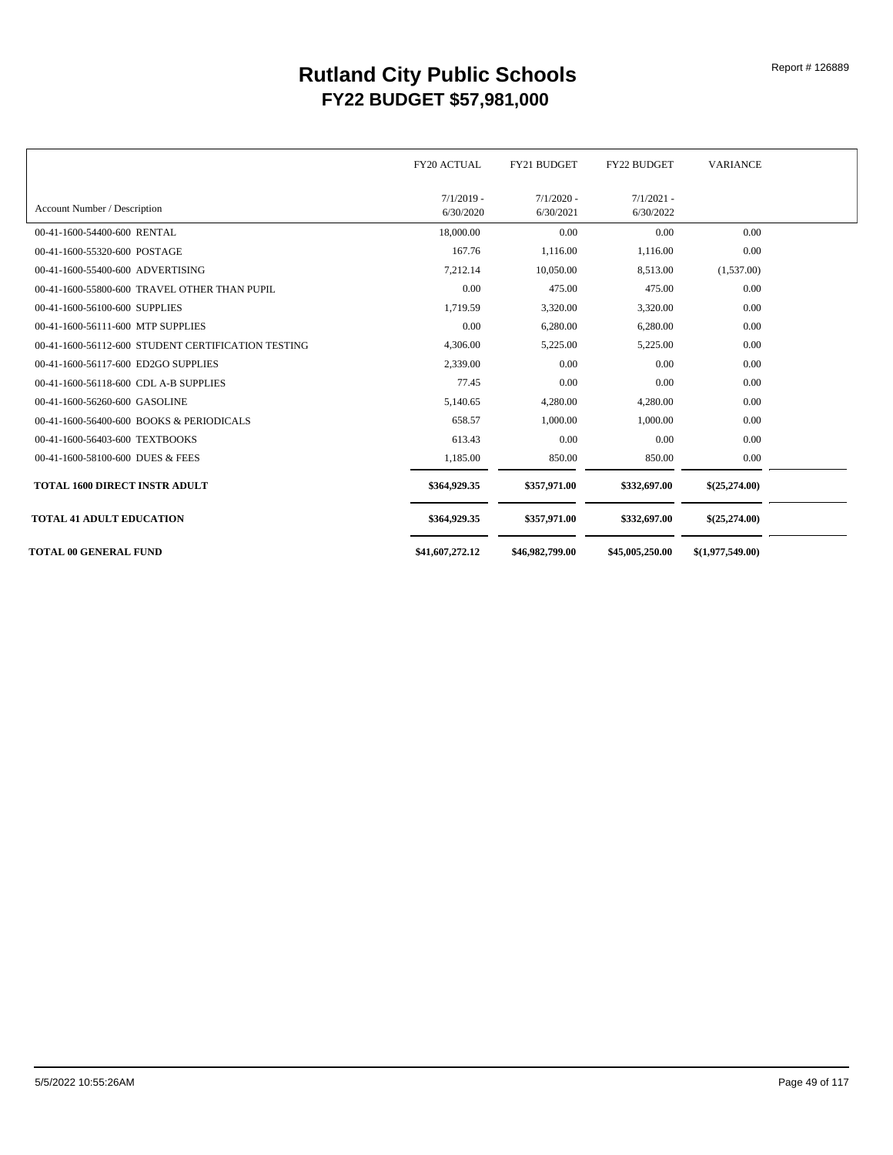|                                                    | FY20 ACTUAL               | <b>FY21 BUDGET</b>        | <b>FY22 BUDGET</b>        | <b>VARIANCE</b>  |  |
|----------------------------------------------------|---------------------------|---------------------------|---------------------------|------------------|--|
| Account Number / Description                       | $7/1/2019$ -<br>6/30/2020 | $7/1/2020$ -<br>6/30/2021 | $7/1/2021 -$<br>6/30/2022 |                  |  |
| 00-41-1600-54400-600 RENTAL                        | 18,000.00                 | 0.00                      | 0.00                      | 0.00             |  |
| 00-41-1600-55320-600 POSTAGE                       | 167.76                    | 1,116.00                  | 1,116.00                  | 0.00             |  |
| 00-41-1600-55400-600 ADVERTISING                   | 7,212.14                  | 10.050.00                 | 8,513.00                  | (1,537.00)       |  |
| 00-41-1600-55800-600 TRAVEL OTHER THAN PUPIL       | 0.00                      | 475.00                    | 475.00                    | 0.00             |  |
| 00-41-1600-56100-600 SUPPLIES                      | 1,719.59                  | 3,320.00                  | 3,320.00                  | 0.00             |  |
| 00-41-1600-56111-600 MTP SUPPLIES                  | 0.00                      | 6,280.00                  | 6,280.00                  | 0.00             |  |
| 00-41-1600-56112-600 STUDENT CERTIFICATION TESTING | 4,306.00                  | 5,225.00                  | 5,225.00                  | 0.00             |  |
| 00-41-1600-56117-600 ED2GO SUPPLIES                | 2,339.00                  | 0.00                      | 0.00                      | 0.00             |  |
| 00-41-1600-56118-600 CDL A-B SUPPLIES              | 77.45                     | 0.00                      | 0.00                      | 0.00             |  |
| 00-41-1600-56260-600 GASOLINE                      | 5,140.65                  | 4,280.00                  | 4,280.00                  | 0.00             |  |
| 00-41-1600-56400-600 BOOKS & PERIODICALS           | 658.57                    | 1,000.00                  | 1,000.00                  | 0.00             |  |
| 00-41-1600-56403-600 TEXTBOOKS                     | 613.43                    | 0.00                      | 0.00                      | 0.00             |  |
| 00-41-1600-58100-600 DUES & FEES                   | 1,185.00                  | 850.00                    | 850.00                    | 0.00             |  |
| <b>TOTAL 1600 DIRECT INSTR ADULT</b>               | \$364,929.35              | \$357,971.00              | \$332,697.00              | \$(25,274.00)    |  |
| <b>TOTAL 41 ADULT EDUCATION</b>                    | \$364,929.35              | \$357,971.00              | \$332,697.00              | \$(25,274.00)    |  |
| <b>TOTAL 00 GENERAL FUND</b>                       | \$41,607,272.12           | \$46,982,799.00           | \$45,005,250.00           | \$(1,977,549.00) |  |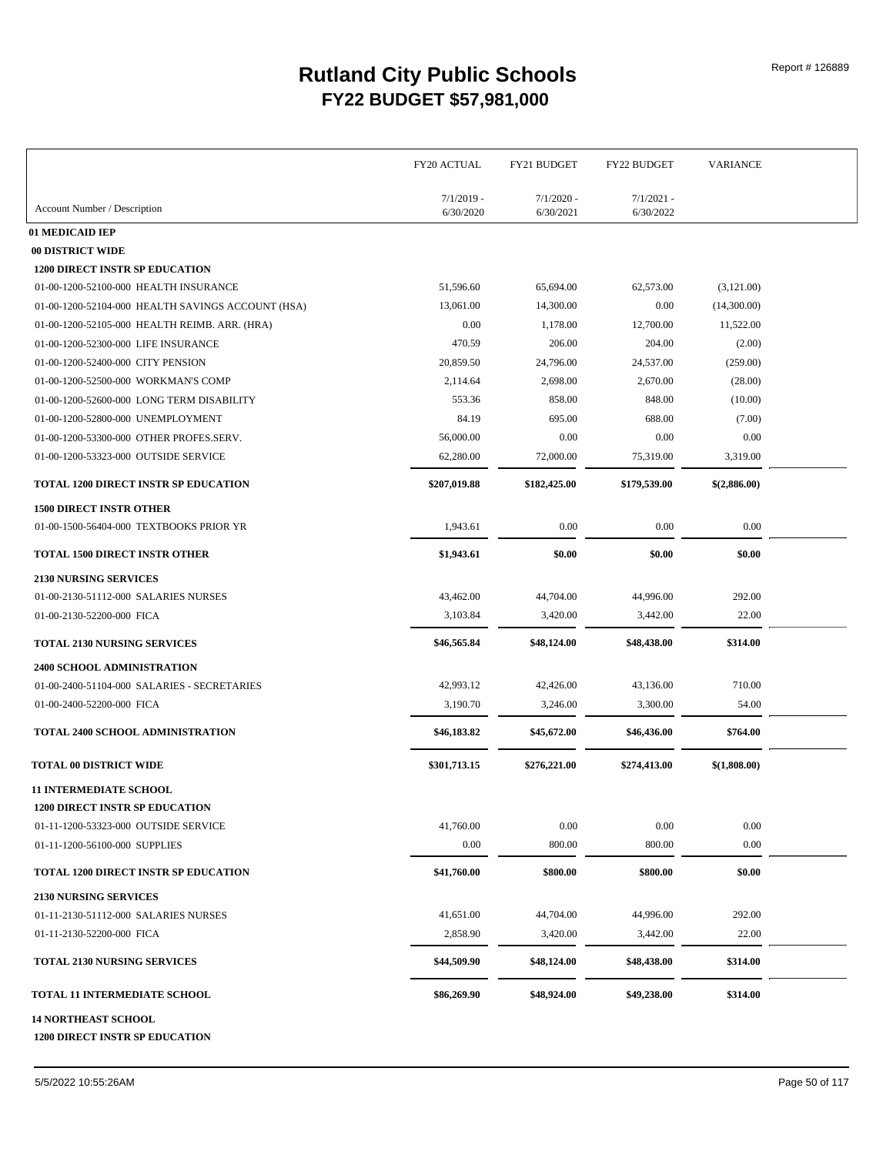|                                                                     | <b>FY20 ACTUAL</b>        | FY21 BUDGET               | FY22 BUDGET               | <b>VARIANCE</b> |  |
|---------------------------------------------------------------------|---------------------------|---------------------------|---------------------------|-----------------|--|
| Account Number / Description                                        | $7/1/2019$ -<br>6/30/2020 | $7/1/2020$ -<br>6/30/2021 | $7/1/2021 -$<br>6/30/2022 |                 |  |
| 01 MEDICAID IEP                                                     |                           |                           |                           |                 |  |
| <b>00 DISTRICT WIDE</b>                                             |                           |                           |                           |                 |  |
| <b>1200 DIRECT INSTR SP EDUCATION</b>                               |                           |                           |                           |                 |  |
| 01-00-1200-52100-000 HEALTH INSURANCE                               | 51,596.60                 | 65,694.00                 | 62,573.00                 | (3,121.00)      |  |
| 01-00-1200-52104-000 HEALTH SAVINGS ACCOUNT (HSA)                   | 13,061.00                 | 14,300.00                 | 0.00                      | (14,300.00)     |  |
| 01-00-1200-52105-000 HEALTH REIMB. ARR. (HRA)                       | 0.00                      | 1,178.00                  | 12,700.00                 | 11,522.00       |  |
| 01-00-1200-52300-000 LIFE INSURANCE                                 | 470.59                    | 206.00                    | 204.00                    | (2.00)          |  |
| 01-00-1200-52400-000 CITY PENSION                                   | 20,859.50                 | 24,796.00                 | 24,537.00                 | (259.00)        |  |
| 01-00-1200-52500-000 WORKMAN'S COMP                                 | 2,114.64                  | 2,698.00                  | 2,670.00                  | (28.00)         |  |
| 01-00-1200-52600-000 LONG TERM DISABILITY                           | 553.36                    | 858.00                    | 848.00                    | (10.00)         |  |
| 01-00-1200-52800-000 UNEMPLOYMENT                                   | 84.19                     | 695.00                    | 688.00                    | (7.00)          |  |
| 01-00-1200-53300-000 OTHER PROFES.SERV.                             | 56,000.00                 | 0.00                      | 0.00                      | 0.00            |  |
| 01-00-1200-53323-000 OUTSIDE SERVICE                                | 62,280.00                 | 72,000.00                 | 75,319.00                 | 3,319.00        |  |
| <b>TOTAL 1200 DIRECT INSTR SP EDUCATION</b>                         | \$207,019.88              | \$182,425.00              | \$179,539.00              | \$(2,886.00)    |  |
| <b>1500 DIRECT INSTR OTHER</b>                                      |                           |                           |                           |                 |  |
| 01-00-1500-56404-000 TEXTBOOKS PRIOR YR                             | 1,943.61                  | 0.00                      | 0.00                      | 0.00            |  |
| <b>TOTAL 1500 DIRECT INSTR OTHER</b>                                | \$1,943.61                | \$0.00                    | \$0.00                    | \$0.00          |  |
| <b>2130 NURSING SERVICES</b>                                        |                           |                           |                           |                 |  |
| 01-00-2130-51112-000 SALARIES NURSES                                | 43,462.00                 | 44,704.00                 | 44,996.00                 | 292.00          |  |
| 01-00-2130-52200-000 FICA                                           | 3,103.84                  | 3,420.00                  | 3,442.00                  | 22.00           |  |
| <b>TOTAL 2130 NURSING SERVICES</b>                                  | \$46,565.84               | \$48,124.00               | \$48,438.00               | \$314.00        |  |
| <b>2400 SCHOOL ADMINISTRATION</b>                                   |                           |                           |                           |                 |  |
| 01-00-2400-51104-000 SALARIES - SECRETARIES                         | 42,993.12                 | 42,426.00                 | 43,136.00                 | 710.00          |  |
| 01-00-2400-52200-000 FICA                                           | 3,190.70                  | 3,246.00                  | 3,300.00                  | 54.00           |  |
| TOTAL 2400 SCHOOL ADMINISTRATION                                    | \$46,183.82               | \$45,672.00               | \$46,436.00               | \$764.00        |  |
| <b>TOTAL 00 DISTRICT WIDE</b>                                       | \$301,713.15              | \$276,221.00              | \$274,413.00              | \$(1,808.00)    |  |
| <b>11 INTERMEDIATE SCHOOL</b>                                       |                           |                           |                           |                 |  |
| <b>1200 DIRECT INSTR SP EDUCATION</b>                               |                           |                           |                           |                 |  |
| 01-11-1200-53323-000 OUTSIDE SERVICE                                | 41,760.00                 | 0.00                      | $0.00\,$                  | 0.00            |  |
| 01-11-1200-56100-000 SUPPLIES                                       | 0.00                      | 800.00                    | 800.00                    | 0.00            |  |
| <b>TOTAL 1200 DIRECT INSTR SP EDUCATION</b>                         | \$41,760.00               | \$800.00                  | \$800.00                  | \$0.00          |  |
| <b>2130 NURSING SERVICES</b>                                        |                           |                           |                           |                 |  |
| 01-11-2130-51112-000 SALARIES NURSES                                | 41,651.00                 | 44,704.00                 | 44,996.00                 | 292.00          |  |
| 01-11-2130-52200-000 FICA                                           | 2,858.90                  | 3,420.00                  | 3,442.00                  | 22.00           |  |
| <b>TOTAL 2130 NURSING SERVICES</b>                                  | \$44,509.90               | \$48,124.00               | \$48,438.00               | \$314.00        |  |
| TOTAL 11 INTERMEDIATE SCHOOL                                        | \$86,269.90               | \$48,924.00               | \$49,238.00               | \$314.00        |  |
| <b>14 NORTHEAST SCHOOL</b><br><b>1200 DIRECT INSTR SP EDUCATION</b> |                           |                           |                           |                 |  |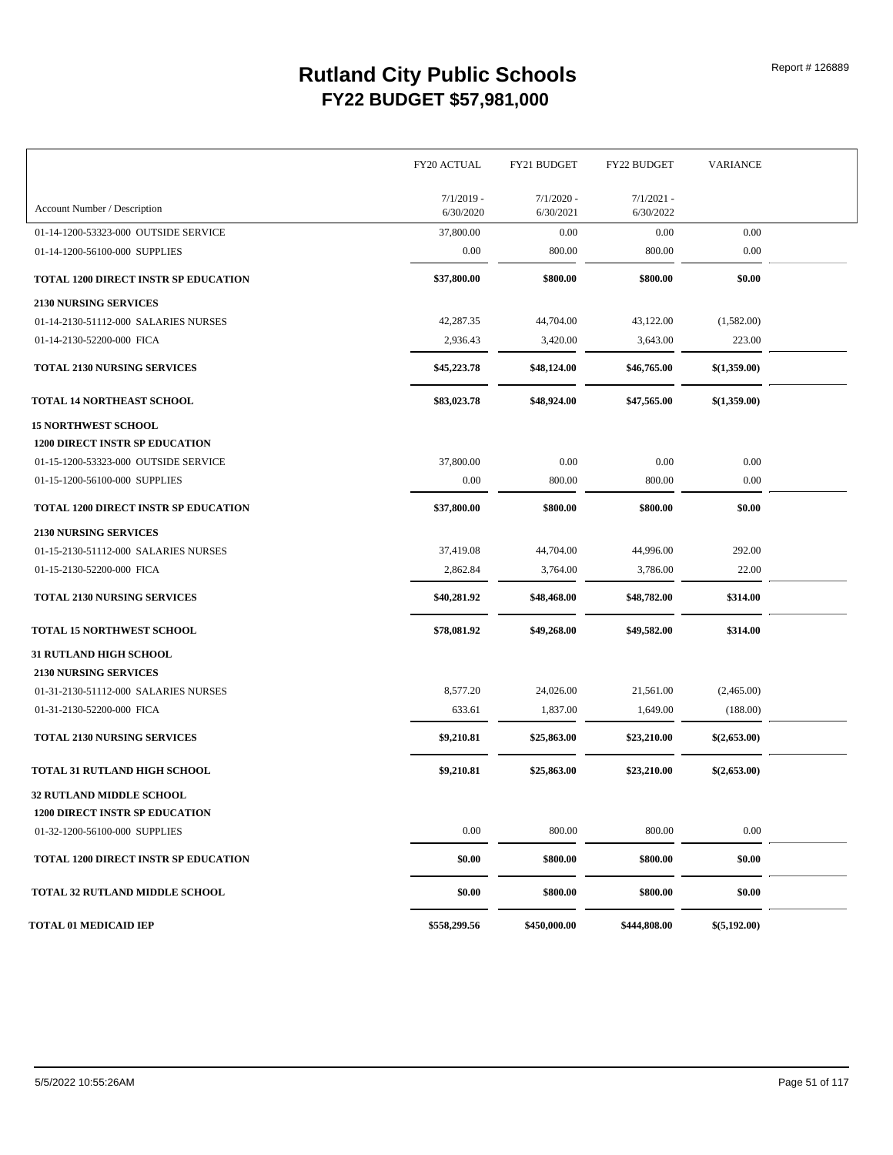|                                             | <b>FY20 ACTUAL</b> | <b>FY21 BUDGET</b> | <b>FY22 BUDGET</b> | <b>VARIANCE</b> |  |
|---------------------------------------------|--------------------|--------------------|--------------------|-----------------|--|
|                                             | $7/1/2019$ -       | $7/1/2020$ -       | $7/1/2021$ -       |                 |  |
| Account Number / Description                | 6/30/2020          | 6/30/2021          | 6/30/2022          |                 |  |
| 01-14-1200-53323-000 OUTSIDE SERVICE        | 37,800.00          | 0.00               | 0.00               | 0.00            |  |
| 01-14-1200-56100-000 SUPPLIES               | 0.00               | 800.00             | 800.00             | 0.00            |  |
| <b>TOTAL 1200 DIRECT INSTR SP EDUCATION</b> | \$37,800.00        | \$800.00           | \$800.00           | \$0.00          |  |
| <b>2130 NURSING SERVICES</b>                |                    |                    |                    |                 |  |
| 01-14-2130-51112-000 SALARIES NURSES        | 42,287.35          | 44,704.00          | 43,122.00          | (1,582.00)      |  |
| 01-14-2130-52200-000 FICA                   | 2,936.43           | 3,420.00           | 3,643.00           | 223.00          |  |
| <b>TOTAL 2130 NURSING SERVICES</b>          | \$45,223.78        | \$48,124.00        | \$46,765.00        | \$(1,359.00)    |  |
| <b>TOTAL 14 NORTHEAST SCHOOL</b>            | \$83,023.78        | \$48,924.00        | \$47,565.00        | \$(1,359.00)    |  |
| <b>15 NORTHWEST SCHOOL</b>                  |                    |                    |                    |                 |  |
| <b>1200 DIRECT INSTR SP EDUCATION</b>       |                    |                    |                    |                 |  |
| 01-15-1200-53323-000 OUTSIDE SERVICE        | 37,800.00          | 0.00               | 0.00               | 0.00            |  |
| 01-15-1200-56100-000 SUPPLIES               | 0.00               | 800.00             | 800.00             | 0.00            |  |
| <b>TOTAL 1200 DIRECT INSTR SP EDUCATION</b> | \$37,800.00        | \$800.00           | \$800.00           | \$0.00          |  |
| <b>2130 NURSING SERVICES</b>                |                    |                    |                    |                 |  |
| 01-15-2130-51112-000 SALARIES NURSES        | 37,419.08          | 44,704.00          | 44,996.00          | 292.00          |  |
| 01-15-2130-52200-000 FICA                   | 2,862.84           | 3,764.00           | 3,786.00           | 22.00           |  |
| <b>TOTAL 2130 NURSING SERVICES</b>          | \$40,281.92        | \$48,468.00        | \$48,782.00        | \$314.00        |  |
| <b>TOTAL 15 NORTHWEST SCHOOL</b>            | \$78,081.92        | \$49,268.00        | \$49,582.00        | \$314.00        |  |
| <b>31 RUTLAND HIGH SCHOOL</b>               |                    |                    |                    |                 |  |
| <b>2130 NURSING SERVICES</b>                |                    |                    |                    |                 |  |
| 01-31-2130-51112-000 SALARIES NURSES        | 8,577.20           | 24,026.00          | 21,561.00          | (2,465.00)      |  |
| 01-31-2130-52200-000 FICA                   | 633.61             | 1,837.00           | 1,649.00           | (188.00)        |  |
| <b>TOTAL 2130 NURSING SERVICES</b>          | \$9,210.81         | \$25,863.00        | \$23,210.00        | \$(2,653.00)    |  |
| <b>TOTAL 31 RUTLAND HIGH SCHOOL</b>         | \$9,210.81         | \$25,863.00        | \$23,210.00        | \$(2,653.00)    |  |
| <b>32 RUTLAND MIDDLE SCHOOL</b>             |                    |                    |                    |                 |  |
| <b>1200 DIRECT INSTR SP EDUCATION</b>       |                    |                    |                    |                 |  |
| 01-32-1200-56100-000 SUPPLIES               | 0.00               | 800.00             | 800.00             | 0.00            |  |
| <b>TOTAL 1200 DIRECT INSTR SP EDUCATION</b> | \$0.00             | \$800.00           | \$800.00           | \$0.00          |  |
| <b>TOTAL 32 RUTLAND MIDDLE SCHOOL</b>       | \$0.00             | \$800.00           | \$800.00           | \$0.00          |  |
| <b>TOTAL 01 MEDICAID IEP</b>                | \$558,299.56       | \$450,000.00       | \$444,808.00       | \$(5,192.00)    |  |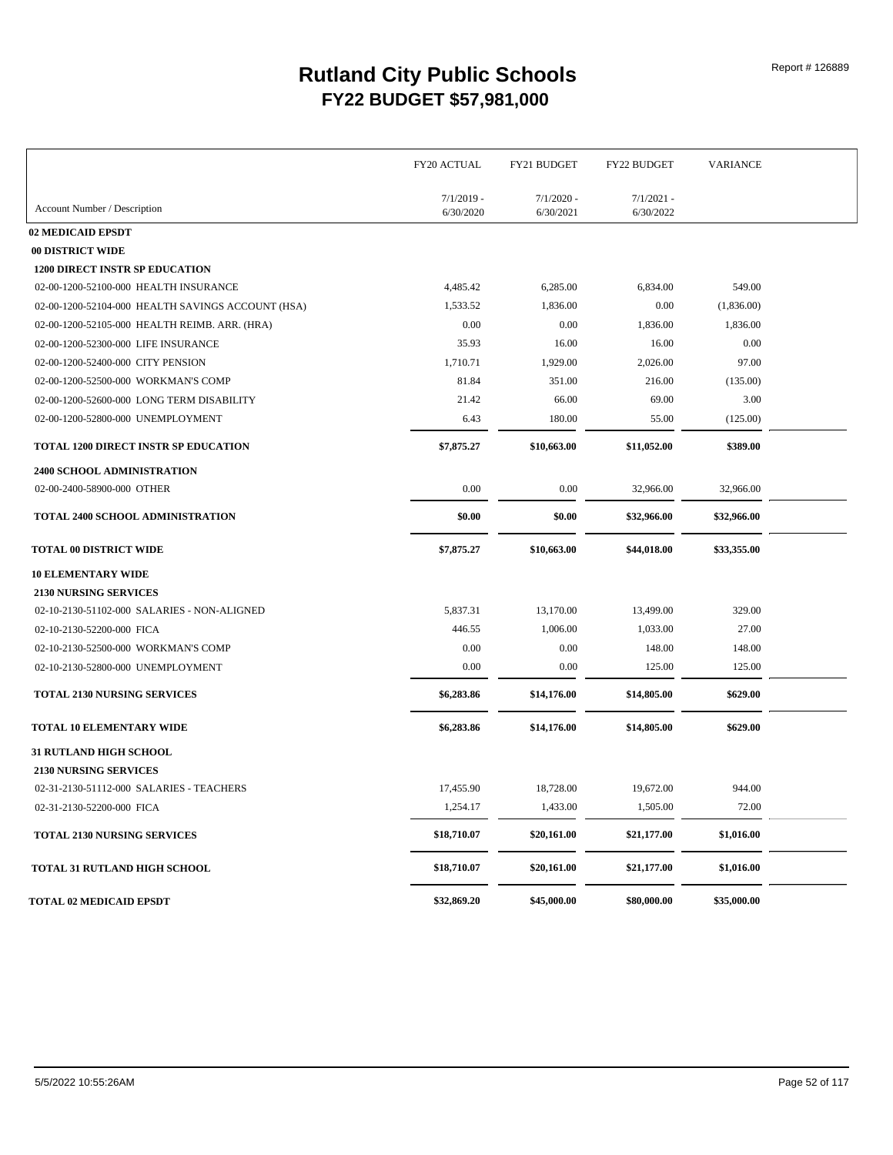|                                                   | FY20 ACTUAL  | FY21 BUDGET  | FY22 BUDGET  | <b>VARIANCE</b> |  |
|---------------------------------------------------|--------------|--------------|--------------|-----------------|--|
|                                                   | $7/1/2019$ - | $7/1/2020$ - | $7/1/2021$ - |                 |  |
| Account Number / Description                      | 6/30/2020    | 6/30/2021    | 6/30/2022    |                 |  |
| <b>02 MEDICAID EPSDT</b>                          |              |              |              |                 |  |
| <b>00 DISTRICT WIDE</b>                           |              |              |              |                 |  |
| <b>1200 DIRECT INSTR SP EDUCATION</b>             |              |              |              |                 |  |
| 02-00-1200-52100-000 HEALTH INSURANCE             | 4,485.42     | 6,285.00     | 6,834.00     | 549.00          |  |
| 02-00-1200-52104-000 HEALTH SAVINGS ACCOUNT (HSA) | 1,533.52     | 1,836.00     | 0.00         | (1,836.00)      |  |
| 02-00-1200-52105-000 HEALTH REIMB. ARR. (HRA)     | 0.00         | 0.00         | 1,836.00     | 1,836.00        |  |
| 02-00-1200-52300-000 LIFE INSURANCE               | 35.93        | 16.00        | 16.00        | 0.00            |  |
| 02-00-1200-52400-000 CITY PENSION                 | 1,710.71     | 1,929.00     | 2,026.00     | 97.00           |  |
| 02-00-1200-52500-000 WORKMAN'S COMP               | 81.84        | 351.00       | 216.00       | (135.00)        |  |
| 02-00-1200-52600-000 LONG TERM DISABILITY         | 21.42        | 66.00        | 69.00        | 3.00            |  |
| 02-00-1200-52800-000 UNEMPLOYMENT                 | 6.43         | 180.00       | 55.00        | (125.00)        |  |
| <b>TOTAL 1200 DIRECT INSTR SP EDUCATION</b>       | \$7,875.27   | \$10,663.00  | \$11,052.00  | \$389.00        |  |
| 2400 SCHOOL ADMINISTRATION                        |              |              |              |                 |  |
| 02-00-2400-58900-000 OTHER                        | 0.00         | 0.00         | 32,966.00    | 32,966.00       |  |
| TOTAL 2400 SCHOOL ADMINISTRATION                  | \$0.00       | \$0.00       | \$32,966.00  | \$32,966.00     |  |
| <b>TOTAL 00 DISTRICT WIDE</b>                     | \$7,875.27   | \$10,663.00  | \$44,018.00  | \$33,355.00     |  |
| <b>10 ELEMENTARY WIDE</b>                         |              |              |              |                 |  |
| <b>2130 NURSING SERVICES</b>                      |              |              |              |                 |  |
| 02-10-2130-51102-000 SALARIES - NON-ALIGNED       | 5,837.31     | 13,170.00    | 13,499.00    | 329.00          |  |
| 02-10-2130-52200-000 FICA                         | 446.55       | 1,006.00     | 1,033.00     | 27.00           |  |
| 02-10-2130-52500-000 WORKMAN'S COMP               | 0.00         | $0.00\,$     | 148.00       | 148.00          |  |
| 02-10-2130-52800-000 UNEMPLOYMENT                 | 0.00         | 0.00         | 125.00       | 125.00          |  |
| <b>TOTAL 2130 NURSING SERVICES</b>                | \$6,283.86   | \$14,176.00  | \$14,805.00  | \$629.00        |  |
| <b>TOTAL 10 ELEMENTARY WIDE</b>                   | \$6,283.86   | \$14,176.00  | \$14,805.00  | \$629.00        |  |
| 31 RUTLAND HIGH SCHOOL                            |              |              |              |                 |  |
| <b>2130 NURSING SERVICES</b>                      |              |              |              |                 |  |
| 02-31-2130-51112-000 SALARIES - TEACHERS          | 17,455.90    | 18,728.00    | 19,672.00    | 944.00          |  |
| 02-31-2130-52200-000 FICA                         | 1,254.17     | 1,433.00     | 1,505.00     | 72.00           |  |
| <b>TOTAL 2130 NURSING SERVICES</b>                | \$18,710.07  | \$20,161.00  | \$21,177.00  | \$1,016.00      |  |
| TOTAL 31 RUTLAND HIGH SCHOOL                      | \$18,710.07  | \$20,161.00  | \$21,177.00  | \$1,016.00      |  |
| <b>TOTAL 02 MEDICAID EPSDT</b>                    | \$32,869.20  | \$45,000.00  | \$80,000.00  | \$35,000.00     |  |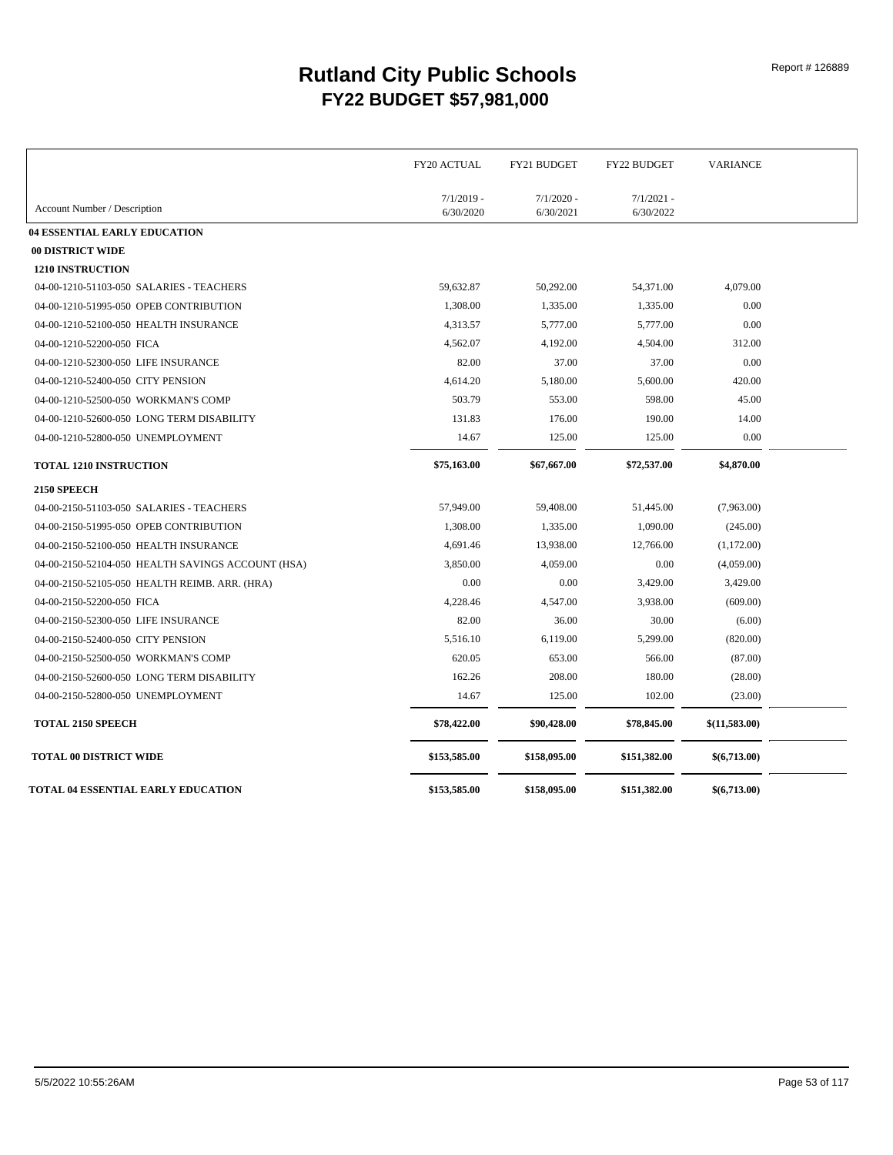|                                                   | FY20 ACTUAL  | FY21 BUDGET  | FY22 BUDGET  | <b>VARIANCE</b> |  |
|---------------------------------------------------|--------------|--------------|--------------|-----------------|--|
|                                                   | $7/1/2019$ - | $7/1/2020$ - | $7/1/2021$ - |                 |  |
| Account Number / Description                      | 6/30/2020    | 6/30/2021    | 6/30/2022    |                 |  |
| <b>04 ESSENTIAL EARLY EDUCATION</b>               |              |              |              |                 |  |
| <b>00 DISTRICT WIDE</b>                           |              |              |              |                 |  |
| <b>1210 INSTRUCTION</b>                           |              |              |              |                 |  |
| 04-00-1210-51103-050 SALARIES - TEACHERS          | 59,632.87    | 50,292.00    | 54,371.00    | 4,079.00        |  |
| 04-00-1210-51995-050 OPEB CONTRIBUTION            | 1,308.00     | 1,335.00     | 1,335.00     | 0.00            |  |
| 04-00-1210-52100-050 HEALTH INSURANCE             | 4,313.57     | 5,777.00     | 5,777.00     | 0.00            |  |
| 04-00-1210-52200-050 FICA                         | 4,562.07     | 4,192.00     | 4,504.00     | 312.00          |  |
| 04-00-1210-52300-050 LIFE INSURANCE               | 82.00        | 37.00        | 37.00        | 0.00            |  |
| 04-00-1210-52400-050 CITY PENSION                 | 4,614.20     | 5,180.00     | 5,600.00     | 420.00          |  |
| 04-00-1210-52500-050 WORKMAN'S COMP               | 503.79       | 553.00       | 598.00       | 45.00           |  |
| 04-00-1210-52600-050 LONG TERM DISABILITY         | 131.83       | 176.00       | 190.00       | 14.00           |  |
| 04-00-1210-52800-050 UNEMPLOYMENT                 | 14.67        | 125.00       | 125.00       | 0.00            |  |
| <b>TOTAL 1210 INSTRUCTION</b>                     | \$75,163.00  | \$67,667.00  | \$72,537.00  | \$4,870.00      |  |
| 2150 SPEECH                                       |              |              |              |                 |  |
| 04-00-2150-51103-050 SALARIES - TEACHERS          | 57,949.00    | 59,408.00    | 51,445.00    | (7,963.00)      |  |
| 04-00-2150-51995-050 OPEB CONTRIBUTION            | 1,308.00     | 1,335.00     | 1,090.00     | (245.00)        |  |
| 04-00-2150-52100-050 HEALTH INSURANCE             | 4,691.46     | 13,938.00    | 12,766.00    | (1,172.00)      |  |
| 04-00-2150-52104-050 HEALTH SAVINGS ACCOUNT (HSA) | 3,850.00     | 4,059.00     | 0.00         | (4,059.00)      |  |
| 04-00-2150-52105-050 HEALTH REIMB. ARR. (HRA)     | 0.00         | 0.00         | 3,429.00     | 3,429.00        |  |
| 04-00-2150-52200-050 FICA                         | 4,228.46     | 4,547.00     | 3,938.00     | (609.00)        |  |
| 04-00-2150-52300-050 LIFE INSURANCE               | 82.00        | 36.00        | 30.00        | (6.00)          |  |
| 04-00-2150-52400-050 CITY PENSION                 | 5,516.10     | 6,119.00     | 5,299.00     | (820.00)        |  |
| 04-00-2150-52500-050 WORKMAN'S COMP               | 620.05       | 653.00       | 566.00       | (87.00)         |  |
| 04-00-2150-52600-050 LONG TERM DISABILITY         | 162.26       | 208.00       | 180.00       | (28.00)         |  |
| 04-00-2150-52800-050 UNEMPLOYMENT                 | 14.67        | 125.00       | 102.00       | (23.00)         |  |
| <b>TOTAL 2150 SPEECH</b>                          | \$78,422.00  | \$90,428.00  | \$78,845.00  | \$(11,583.00)   |  |
| <b>TOTAL 00 DISTRICT WIDE</b>                     | \$153,585.00 | \$158,095.00 | \$151,382.00 | \$(6,713.00)    |  |
| TOTAL 04 ESSENTIAL EARLY EDUCATION                | \$153,585.00 | \$158,095.00 | \$151,382.00 | \$(6,713.00)    |  |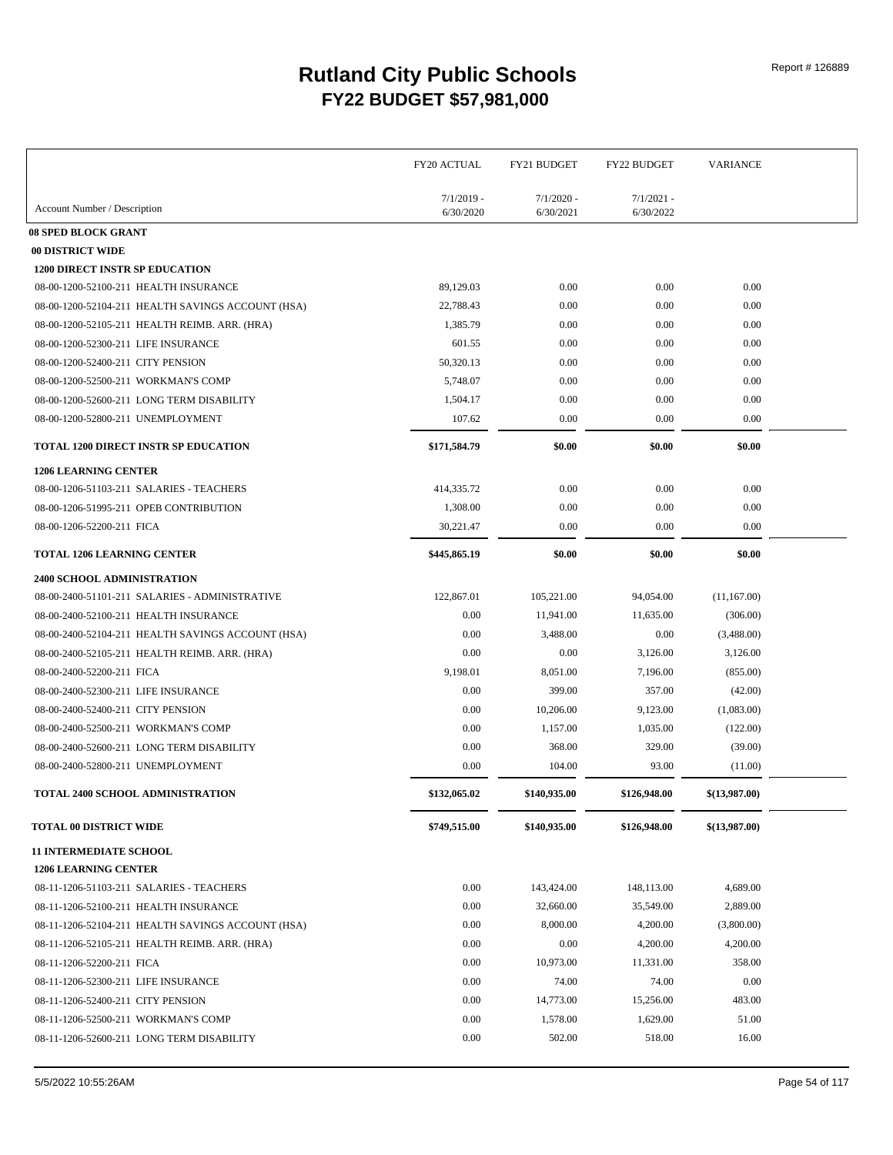|                                                   | <b>FY20 ACTUAL</b> | <b>FY21 BUDGET</b> | <b>FY22 BUDGET</b> | <b>VARIANCE</b> |  |
|---------------------------------------------------|--------------------|--------------------|--------------------|-----------------|--|
|                                                   | $7/1/2019$ -       | $7/1/2020$ -       | $7/1/2021$ -       |                 |  |
| Account Number / Description                      | 6/30/2020          | 6/30/2021          | 6/30/2022          |                 |  |
| <b>08 SPED BLOCK GRANT</b>                        |                    |                    |                    |                 |  |
| <b>00 DISTRICT WIDE</b>                           |                    |                    |                    |                 |  |
| <b>1200 DIRECT INSTR SP EDUCATION</b>             |                    |                    |                    |                 |  |
| 08-00-1200-52100-211 HEALTH INSURANCE             | 89,129.03          | 0.00               | 0.00               | 0.00            |  |
| 08-00-1200-52104-211 HEALTH SAVINGS ACCOUNT (HSA) | 22,788.43          | 0.00               | 0.00               | 0.00            |  |
| 08-00-1200-52105-211 HEALTH REIMB. ARR. (HRA)     | 1,385.79           | 0.00               | 0.00               | 0.00            |  |
| 08-00-1200-52300-211 LIFE INSURANCE               | 601.55             | 0.00               | 0.00               | 0.00            |  |
| 08-00-1200-52400-211 CITY PENSION                 | 50,320.13          | 0.00               | 0.00               | 0.00            |  |
| 08-00-1200-52500-211 WORKMAN'S COMP               | 5,748.07           | 0.00               | 0.00               | 0.00            |  |
| 08-00-1200-52600-211 LONG TERM DISABILITY         | 1,504.17           | 0.00               | 0.00               | 0.00            |  |
| 08-00-1200-52800-211 UNEMPLOYMENT                 | 107.62             | 0.00               | 0.00               | 0.00            |  |
| <b>TOTAL 1200 DIRECT INSTR SP EDUCATION</b>       | \$171,584.79       | \$0.00             | \$0.00             | \$0.00          |  |
| <b>1206 LEARNING CENTER</b>                       |                    |                    |                    |                 |  |
| 08-00-1206-51103-211 SALARIES - TEACHERS          | 414,335.72         | 0.00               | 0.00               | 0.00            |  |
| 08-00-1206-51995-211 OPEB CONTRIBUTION            | 1,308.00           | 0.00               | 0.00               | 0.00            |  |
| 08-00-1206-52200-211 FICA                         | 30,221.47          | 0.00               | 0.00               | 0.00            |  |
| <b>TOTAL 1206 LEARNING CENTER</b>                 | \$445,865.19       | \$0.00             | \$0.00             | \$0.00          |  |
| <b>2400 SCHOOL ADMINISTRATION</b>                 |                    |                    |                    |                 |  |
| 08-00-2400-51101-211 SALARIES - ADMINISTRATIVE    | 122,867.01         | 105,221.00         | 94,054.00          | (11, 167.00)    |  |
| 08-00-2400-52100-211 HEALTH INSURANCE             | 0.00               | 11,941.00          | 11,635.00          | (306.00)        |  |
| 08-00-2400-52104-211 HEALTH SAVINGS ACCOUNT (HSA) | 0.00               | 3,488.00           | 0.00               | (3,488.00)      |  |
| 08-00-2400-52105-211 HEALTH REIMB. ARR. (HRA)     | 0.00               | 0.00               | 3,126.00           | 3,126.00        |  |
| 08-00-2400-52200-211 FICA                         | 9,198.01           | 8,051.00           | 7,196.00           | (855.00)        |  |
| 08-00-2400-52300-211 LIFE INSURANCE               | 0.00               | 399.00             | 357.00             | (42.00)         |  |
| 08-00-2400-52400-211 CITY PENSION                 | 0.00               | 10,206.00          | 9,123.00           | (1,083.00)      |  |
| 08-00-2400-52500-211 WORKMAN'S COMP               | 0.00               | 1,157.00           | 1,035.00           | (122.00)        |  |
| 08-00-2400-52600-211 LONG TERM DISABILITY         | 0.00               | 368.00             | 329.00             | (39.00)         |  |
| 08-00-2400-52800-211 UNEMPLOYMENT                 | 0.00               | 104.00             | 93.00              | (11.00)         |  |
| TOTAL 2400 SCHOOL ADMINISTRATION                  | \$132,065.02       | \$140,935.00       | \$126,948.00       | \$(13,987.00)   |  |
| <b>TOTAL 00 DISTRICT WIDE</b>                     | \$749,515.00       | \$140,935.00       | \$126,948.00       | \$(13,987.00)   |  |
| <b>11 INTERMEDIATE SCHOOL</b>                     |                    |                    |                    |                 |  |
| <b>1206 LEARNING CENTER</b>                       |                    |                    |                    |                 |  |
| 08-11-1206-51103-211 SALARIES - TEACHERS          | 0.00               | 143,424.00         | 148,113.00         | 4,689.00        |  |
| 08-11-1206-52100-211 HEALTH INSURANCE             | 0.00               | 32,660.00          | 35,549.00          | 2,889.00        |  |
| 08-11-1206-52104-211 HEALTH SAVINGS ACCOUNT (HSA) | 0.00               | 8,000.00           | 4,200.00           | (3,800.00)      |  |
| 08-11-1206-52105-211 HEALTH REIMB. ARR. (HRA)     | 0.00               | 0.00               | 4,200.00           | 4,200.00        |  |
| 08-11-1206-52200-211 FICA                         | 0.00               | 10,973.00          | 11,331.00          | 358.00          |  |
| 08-11-1206-52300-211 LIFE INSURANCE               | 0.00               | 74.00              | 74.00              | 0.00            |  |
| 08-11-1206-52400-211 CITY PENSION                 | 0.00               | 14,773.00          | 15,256.00          | 483.00          |  |
| 08-11-1206-52500-211 WORKMAN'S COMP               | 0.00               | 1,578.00           | 1,629.00           | 51.00           |  |
| 08-11-1206-52600-211 LONG TERM DISABILITY         | 0.00               | 502.00             | 518.00             | 16.00           |  |
|                                                   |                    |                    |                    |                 |  |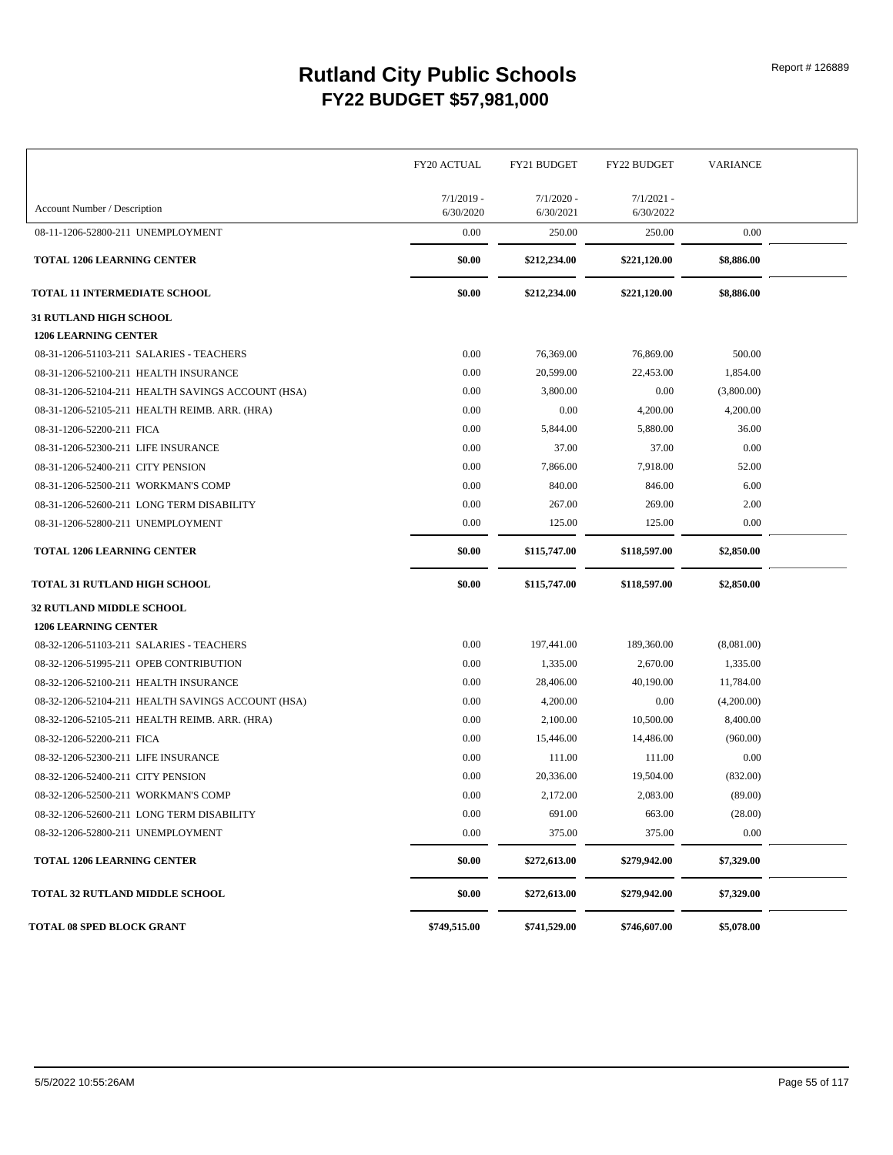|                                                   | FY20 ACTUAL  | FY21 BUDGET  | FY22 BUDGET  | <b>VARIANCE</b> |  |
|---------------------------------------------------|--------------|--------------|--------------|-----------------|--|
|                                                   | $7/1/2019$ - | $7/1/2020$ - | $7/1/2021$ - |                 |  |
| Account Number / Description                      | 6/30/2020    | 6/30/2021    | 6/30/2022    |                 |  |
| 08-11-1206-52800-211 UNEMPLOYMENT                 | 0.00         | 250.00       | 250.00       | 0.00            |  |
| <b>TOTAL 1206 LEARNING CENTER</b>                 | \$0.00       | \$212,234.00 | \$221,120.00 | \$8,886.00      |  |
| TOTAL 11 INTERMEDIATE SCHOOL                      | \$0.00       | \$212,234.00 | \$221,120.00 | \$8,886.00      |  |
| 31 RUTLAND HIGH SCHOOL                            |              |              |              |                 |  |
| <b>1206 LEARNING CENTER</b>                       |              |              |              |                 |  |
| 08-31-1206-51103-211 SALARIES - TEACHERS          | 0.00         | 76,369.00    | 76,869.00    | 500.00          |  |
| 08-31-1206-52100-211 HEALTH INSURANCE             | 0.00         | 20,599.00    | 22,453.00    | 1,854.00        |  |
| 08-31-1206-52104-211 HEALTH SAVINGS ACCOUNT (HSA) | 0.00         | 3,800.00     | 0.00         | (3,800.00)      |  |
| 08-31-1206-52105-211 HEALTH REIMB. ARR. (HRA)     | 0.00         | 0.00         | 4,200.00     | 4,200.00        |  |
| 08-31-1206-52200-211 FICA                         | 0.00         | 5,844.00     | 5,880.00     | 36.00           |  |
| 08-31-1206-52300-211 LIFE INSURANCE               | 0.00         | 37.00        | 37.00        | 0.00            |  |
| 08-31-1206-52400-211 CITY PENSION                 | 0.00         | 7,866.00     | 7,918.00     | 52.00           |  |
| 08-31-1206-52500-211 WORKMAN'S COMP               | 0.00         | 840.00       | 846.00       | 6.00            |  |
| 08-31-1206-52600-211 LONG TERM DISABILITY         | 0.00         | 267.00       | 269.00       | 2.00            |  |
| 08-31-1206-52800-211 UNEMPLOYMENT                 | 0.00         | 125.00       | 125.00       | 0.00            |  |
| <b>TOTAL 1206 LEARNING CENTER</b>                 | \$0.00       | \$115,747.00 | \$118,597.00 | \$2,850.00      |  |
| TOTAL 31 RUTLAND HIGH SCHOOL                      | \$0.00       | \$115,747.00 | \$118,597.00 | \$2,850.00      |  |
| <b>32 RUTLAND MIDDLE SCHOOL</b>                   |              |              |              |                 |  |
| <b>1206 LEARNING CENTER</b>                       |              |              |              |                 |  |
| 08-32-1206-51103-211 SALARIES - TEACHERS          | 0.00         | 197,441.00   | 189,360.00   | (8,081.00)      |  |
| 08-32-1206-51995-211 OPEB CONTRIBUTION            | 0.00         | 1,335.00     | 2,670.00     | 1,335.00        |  |
| 08-32-1206-52100-211 HEALTH INSURANCE             | 0.00         | 28,406.00    | 40,190.00    | 11,784.00       |  |
| 08-32-1206-52104-211 HEALTH SAVINGS ACCOUNT (HSA) | 0.00         | 4,200.00     | 0.00         | (4,200.00)      |  |
| 08-32-1206-52105-211 HEALTH REIMB. ARR. (HRA)     | 0.00         | 2,100.00     | 10,500.00    | 8,400.00        |  |
| 08-32-1206-52200-211 FICA                         | 0.00         | 15,446.00    | 14,486.00    | (960.00)        |  |
| 08-32-1206-52300-211 LIFE INSURANCE               | 0.00         | 111.00       | 111.00       | 0.00            |  |
| 08-32-1206-52400-211 CITY PENSION                 | 0.00         | 20,336.00    | 19,504.00    | (832.00)        |  |
| 08-32-1206-52500-211 WORKMAN'S COMP               | 0.00         | 2,172.00     | 2,083.00     | (89.00)         |  |
| 08-32-1206-52600-211 LONG TERM DISABILITY         | 0.00         | 691.00       | 663.00       | (28.00)         |  |
| 08-32-1206-52800-211 UNEMPLOYMENT                 | 0.00         | 375.00       | 375.00       | 0.00            |  |
| <b>TOTAL 1206 LEARNING CENTER</b>                 | \$0.00       | \$272,613.00 | \$279,942.00 | \$7,329.00      |  |
| TOTAL 32 RUTLAND MIDDLE SCHOOL                    | \$0.00       | \$272,613.00 | \$279,942.00 | \$7,329.00      |  |
| TOTAL 08 SPED BLOCK GRANT                         | \$749,515.00 | \$741,529.00 | \$746,607.00 | \$5,078.00      |  |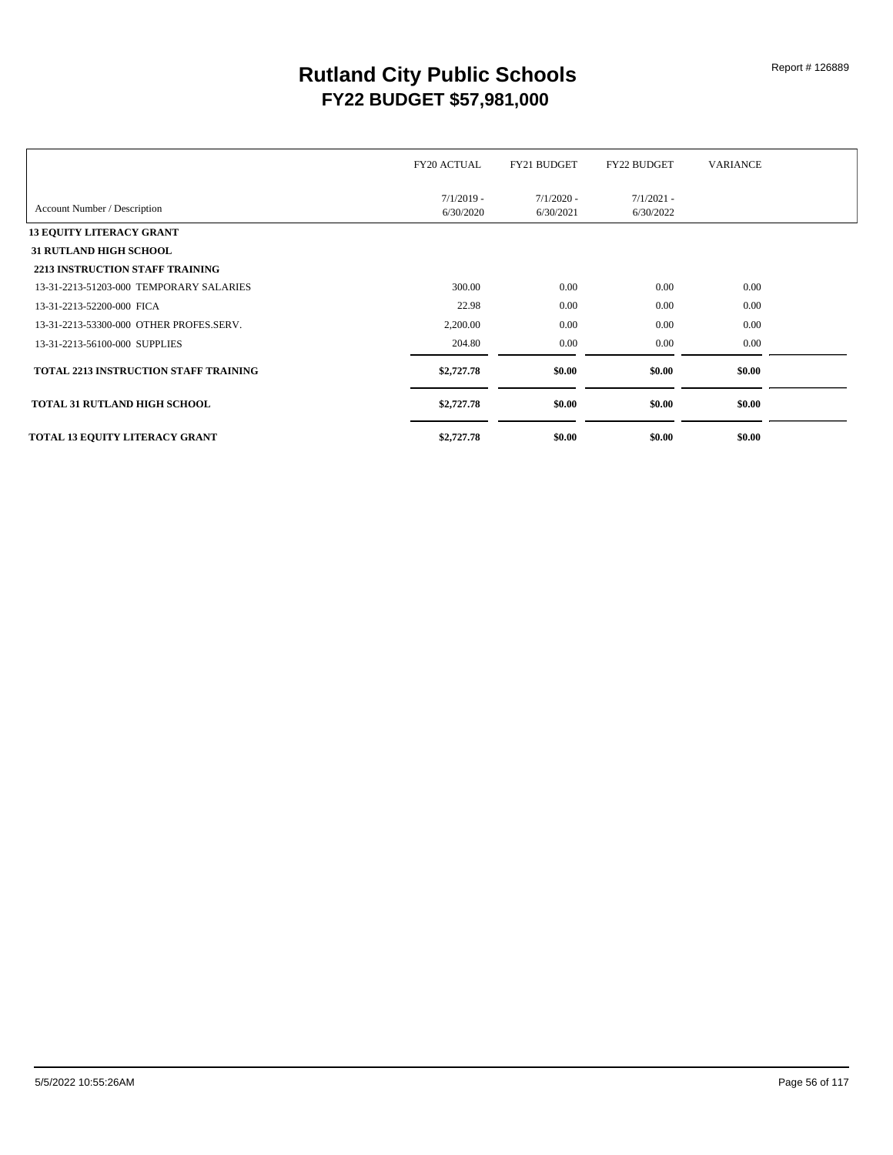|                                              | FY20 ACTUAL  | FY21 BUDGET  | <b>FY22 BUDGET</b> | <b>VARIANCE</b> |  |
|----------------------------------------------|--------------|--------------|--------------------|-----------------|--|
|                                              | $7/1/2019$ - | $7/1/2020$ - | $7/1/2021 -$       |                 |  |
| Account Number / Description                 | 6/30/2020    | 6/30/2021    | 6/30/2022          |                 |  |
| <b>13 EQUITY LITERACY GRANT</b>              |              |              |                    |                 |  |
| <b>31 RUTLAND HIGH SCHOOL</b>                |              |              |                    |                 |  |
| <b>2213 INSTRUCTION STAFF TRAINING</b>       |              |              |                    |                 |  |
| 13-31-2213-51203-000 TEMPORARY SALARIES      | 300.00       | 0.00         | 0.00               | 0.00            |  |
| 13-31-2213-52200-000 FICA                    | 22.98        | 0.00         | 0.00               | 0.00            |  |
| 13-31-2213-53300-000 OTHER PROFES.SERV.      | 2,200.00     | 0.00         | 0.00               | 0.00            |  |
| 13-31-2213-56100-000 SUPPLIES                | 204.80       | $0.00\,$     | 0.00               | 0.00            |  |
| <b>TOTAL 2213 INSTRUCTION STAFF TRAINING</b> | \$2,727.78   | \$0.00       | \$0.00             | \$0.00          |  |
| <b>TOTAL 31 RUTLAND HIGH SCHOOL</b>          | \$2,727.78   | \$0.00       | \$0.00             | \$0.00          |  |
| <b>TOTAL 13 EQUITY LITERACY GRANT</b>        | \$2,727.78   | \$0.00       | \$0.00             | \$0.00          |  |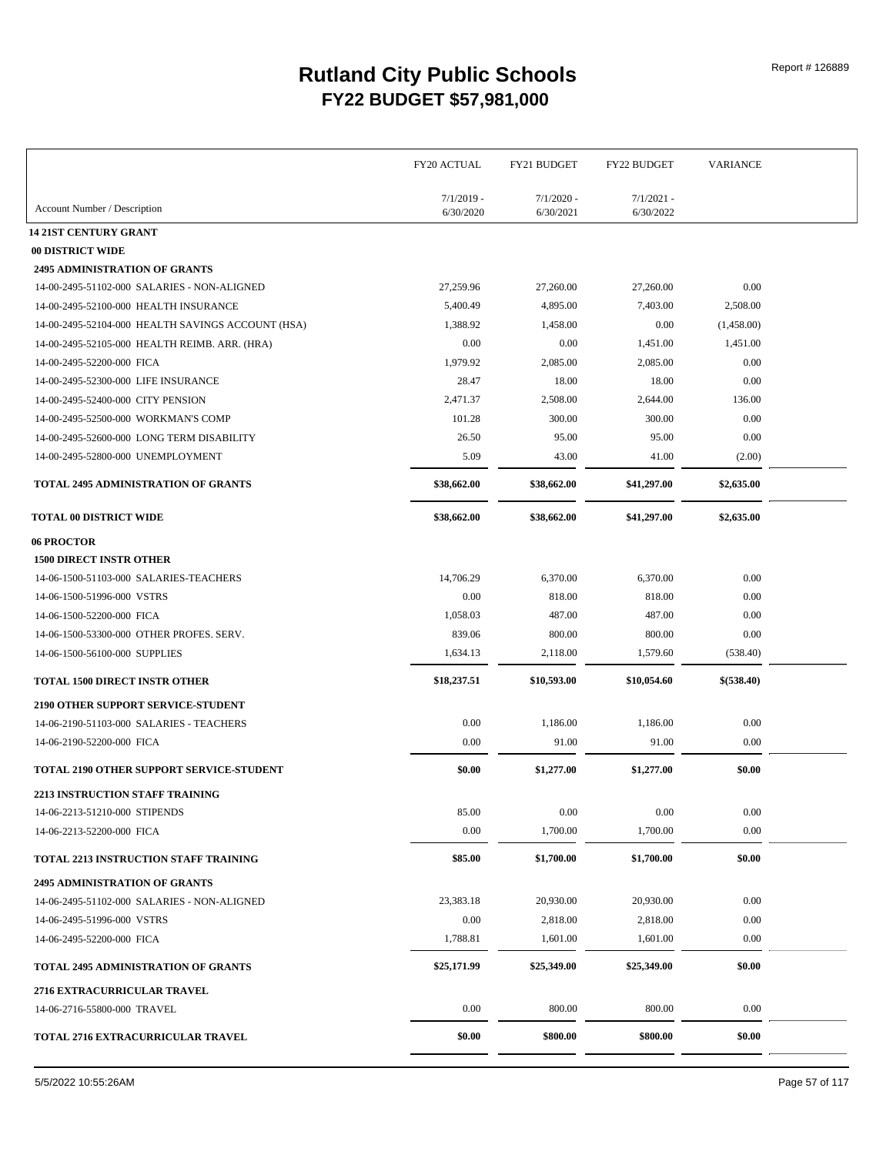|                                                   | <b>FY20 ACTUAL</b>        | <b>FY21 BUDGET</b>        | <b>FY22 BUDGET</b>        | <b>VARIANCE</b> |  |
|---------------------------------------------------|---------------------------|---------------------------|---------------------------|-----------------|--|
|                                                   |                           |                           |                           |                 |  |
| Account Number / Description                      | $7/1/2019$ -<br>6/30/2020 | $7/1/2020$ -<br>6/30/2021 | $7/1/2021$ -<br>6/30/2022 |                 |  |
| <b>14 21ST CENTURY GRANT</b>                      |                           |                           |                           |                 |  |
| <b>00 DISTRICT WIDE</b>                           |                           |                           |                           |                 |  |
| <b>2495 ADMINISTRATION OF GRANTS</b>              |                           |                           |                           |                 |  |
| 14-00-2495-51102-000 SALARIES - NON-ALIGNED       | 27,259.96                 | 27,260.00                 | 27,260.00                 | 0.00            |  |
| 14-00-2495-52100-000 HEALTH INSURANCE             | 5,400.49                  | 4,895.00                  | 7,403.00                  | 2,508.00        |  |
| 14-00-2495-52104-000 HEALTH SAVINGS ACCOUNT (HSA) | 1.388.92                  | 1,458.00                  | 0.00                      | (1,458.00)      |  |
| 14-00-2495-52105-000 HEALTH REIMB. ARR. (HRA)     | 0.00                      | 0.00                      | 1,451.00                  | 1,451.00        |  |
| 14-00-2495-52200-000 FICA                         | 1,979.92                  | 2,085.00                  | 2,085.00                  | 0.00            |  |
| 14-00-2495-52300-000 LIFE INSURANCE               | 28.47                     | 18.00                     | 18.00                     | 0.00            |  |
| 14-00-2495-52400-000 CITY PENSION                 | 2,471.37                  | 2,508.00                  | 2,644.00                  | 136.00          |  |
| 14-00-2495-52500-000 WORKMAN'S COMP               | 101.28                    | 300.00                    | 300.00                    | 0.00            |  |
| 14-00-2495-52600-000 LONG TERM DISABILITY         | 26.50                     | 95.00                     | 95.00                     | 0.00            |  |
| 14-00-2495-52800-000 UNEMPLOYMENT                 | 5.09                      | 43.00                     | 41.00                     | (2.00)          |  |
| <b>TOTAL 2495 ADMINISTRATION OF GRANTS</b>        | \$38,662.00               | \$38,662.00               | \$41,297.00               | \$2,635.00      |  |
| <b>TOTAL 00 DISTRICT WIDE</b>                     | \$38,662.00               | \$38,662.00               | \$41,297.00               | \$2,635.00      |  |
| <b>06 PROCTOR</b>                                 |                           |                           |                           |                 |  |
| <b>1500 DIRECT INSTR OTHER</b>                    |                           |                           |                           |                 |  |
| 14-06-1500-51103-000 SALARIES-TEACHERS            | 14,706.29                 | 6,370.00                  | 6,370.00                  | 0.00            |  |
| 14-06-1500-51996-000 VSTRS                        | 0.00                      | 818.00                    | 818.00                    | 0.00            |  |
| 14-06-1500-52200-000 FICA                         | 1,058.03                  | 487.00                    | 487.00                    | 0.00            |  |
| 14-06-1500-53300-000 OTHER PROFES. SERV.          | 839.06                    | 800.00                    | 800.00                    | 0.00            |  |
| 14-06-1500-56100-000 SUPPLIES                     | 1,634.13                  | 2,118.00                  | 1,579.60                  | (538.40)        |  |
| <b>TOTAL 1500 DIRECT INSTR OTHER</b>              | \$18,237.51               | \$10,593.00               | \$10,054.60               | \$(538.40)      |  |
| <b>2190 OTHER SUPPORT SERVICE-STUDENT</b>         |                           |                           |                           |                 |  |
| 14-06-2190-51103-000 SALARIES - TEACHERS          | 0.00                      | 1,186.00                  | 1,186.00                  | 0.00            |  |
| 14-06-2190-52200-000 FICA                         | 0.00                      | 91.00                     | 91.00                     | 0.00            |  |
| TOTAL 2190 OTHER SUPPORT SERVICE-STUDENT          | \$0.00                    | \$1,277.00                | \$1,277.00                | \$0.00          |  |
| <b>2213 INSTRUCTION STAFF TRAINING</b>            |                           |                           |                           |                 |  |
| 14-06-2213-51210-000 STIPENDS                     | 85.00                     | 0.00                      | 0.00                      | 0.00            |  |
| 14-06-2213-52200-000 FICA                         | 0.00                      | 1,700.00                  | 1,700.00                  | 0.00            |  |
| TOTAL 2213 INSTRUCTION STAFF TRAINING             | \$85.00                   | \$1,700.00                | \$1,700.00                | \$0.00          |  |
| <b>2495 ADMINISTRATION OF GRANTS</b>              |                           |                           |                           |                 |  |
| 14-06-2495-51102-000 SALARIES - NON-ALIGNED       | 23,383.18                 | 20,930.00                 | 20,930.00                 | 0.00            |  |
| 14-06-2495-51996-000 VSTRS                        | 0.00                      | 2,818.00                  | 2,818.00                  | 0.00            |  |
| 14-06-2495-52200-000 FICA                         | 1,788.81                  | 1,601.00                  | 1,601.00                  | 0.00            |  |
| TOTAL 2495 ADMINISTRATION OF GRANTS               | \$25,171.99               | \$25,349.00               | \$25,349.00               | \$0.00          |  |
| 2716 EXTRACURRICULAR TRAVEL                       |                           |                           |                           |                 |  |
|                                                   |                           |                           |                           |                 |  |
| 14-06-2716-55800-000 TRAVEL                       | 0.00                      | 800.00                    | 800.00                    | 0.00            |  |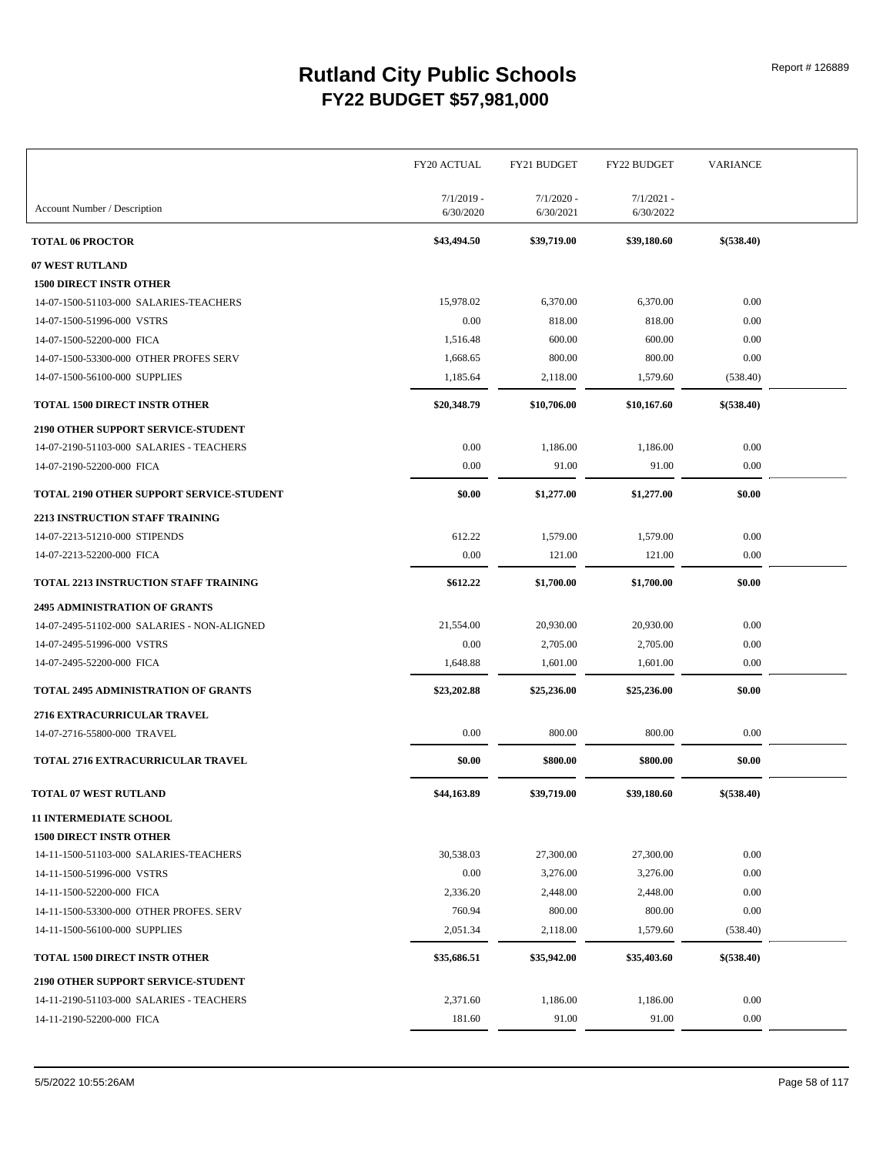|                                                 | <b>FY20 ACTUAL</b>        | <b>FY21 BUDGET</b>        | FY22 BUDGET               | <b>VARIANCE</b> |  |
|-------------------------------------------------|---------------------------|---------------------------|---------------------------|-----------------|--|
| Account Number / Description                    | $7/1/2019$ -<br>6/30/2020 | $7/1/2020$ -<br>6/30/2021 | $7/1/2021$ -<br>6/30/2022 |                 |  |
| <b>TOTAL 06 PROCTOR</b>                         | \$43,494.50               | \$39,719.00               | \$39,180.60               | \$(538.40)      |  |
| <b>07 WEST RUTLAND</b>                          |                           |                           |                           |                 |  |
| <b>1500 DIRECT INSTR OTHER</b>                  |                           |                           |                           |                 |  |
| 14-07-1500-51103-000 SALARIES-TEACHERS          | 15,978.02                 | 6,370.00                  | 6,370.00                  | 0.00            |  |
| 14-07-1500-51996-000 VSTRS                      | 0.00                      | 818.00                    | 818.00                    | 0.00            |  |
| 14-07-1500-52200-000 FICA                       | 1,516.48                  | 600.00                    | 600.00                    | 0.00            |  |
| 14-07-1500-53300-000 OTHER PROFES SERV          | 1,668.65                  | 800.00                    | 800.00                    | 0.00            |  |
| 14-07-1500-56100-000 SUPPLIES                   | 1,185.64                  | 2,118.00                  | 1,579.60                  | (538.40)        |  |
| <b>TOTAL 1500 DIRECT INSTR OTHER</b>            | \$20,348.79               | \$10,706.00               | \$10,167.60               | \$(538.40)      |  |
| 2190 OTHER SUPPORT SERVICE-STUDENT              |                           |                           |                           |                 |  |
| 14-07-2190-51103-000 SALARIES - TEACHERS        | 0.00                      | 1,186.00                  | 1,186.00                  | 0.00            |  |
| 14-07-2190-52200-000 FICA                       | 0.00                      | 91.00                     | 91.00                     | 0.00            |  |
| <b>TOTAL 2190 OTHER SUPPORT SERVICE-STUDENT</b> | \$0.00                    | \$1,277.00                | \$1,277.00                | \$0.00          |  |
| <b>2213 INSTRUCTION STAFF TRAINING</b>          |                           |                           |                           |                 |  |
| 14-07-2213-51210-000 STIPENDS                   | 612.22                    | 1,579.00                  | 1,579.00                  | 0.00            |  |
| 14-07-2213-52200-000 FICA                       | 0.00                      | 121.00                    | 121.00                    | 0.00            |  |
| <b>TOTAL 2213 INSTRUCTION STAFF TRAINING</b>    | \$612.22                  | \$1,700.00                | \$1,700.00                | \$0.00          |  |
| <b>2495 ADMINISTRATION OF GRANTS</b>            |                           |                           |                           |                 |  |
| 14-07-2495-51102-000 SALARIES - NON-ALIGNED     | 21,554.00                 | 20,930.00                 | 20,930.00                 | 0.00            |  |
| 14-07-2495-51996-000 VSTRS                      | 0.00                      | 2,705.00                  | 2,705.00                  | 0.00            |  |
| 14-07-2495-52200-000 FICA                       | 1,648.88                  | 1,601.00                  | 1,601.00                  | 0.00            |  |
| <b>TOTAL 2495 ADMINISTRATION OF GRANTS</b>      | \$23,202.88               | \$25,236.00               | \$25,236.00               | \$0.00          |  |
| <b>2716 EXTRACURRICULAR TRAVEL</b>              |                           |                           |                           |                 |  |
| 14-07-2716-55800-000 TRAVEL                     | 0.00                      | 800.00                    | 800.00                    | 0.00            |  |
| <b>TOTAL 2716 EXTRACURRICULAR TRAVEL</b>        | \$0.00                    | \$800.00                  | \$800.00                  | \$0.00          |  |
| <b>TOTAL 07 WEST RUTLAND</b>                    | \$44,163.89               | \$39,719.00               | \$39,180.60               | \$(538.40)      |  |
| <b>11 INTERMEDIATE SCHOOL</b>                   |                           |                           |                           |                 |  |
| <b>1500 DIRECT INSTR OTHER</b>                  |                           |                           |                           |                 |  |
| 14-11-1500-51103-000 SALARIES-TEACHERS          | 30,538.03                 | 27,300.00                 | 27,300.00                 | 0.00            |  |
| 14-11-1500-51996-000 VSTRS                      | 0.00                      | 3,276.00                  | 3,276.00                  | 0.00            |  |
| 14-11-1500-52200-000 FICA                       | 2,336.20                  | 2,448.00                  | 2,448.00                  | 0.00            |  |
| 14-11-1500-53300-000 OTHER PROFES. SERV         | 760.94                    | 800.00                    | 800.00                    | 0.00            |  |
| 14-11-1500-56100-000 SUPPLIES                   | 2,051.34                  | 2,118.00                  | 1,579.60                  | (538.40)        |  |
| <b>TOTAL 1500 DIRECT INSTR OTHER</b>            | \$35,686.51               | \$35,942.00               | \$35,403.60               | \$(538.40)      |  |
| <b>2190 OTHER SUPPORT SERVICE-STUDENT</b>       |                           |                           |                           |                 |  |
| 14-11-2190-51103-000 SALARIES - TEACHERS        | 2,371.60                  | 1,186.00                  | 1,186.00                  | 0.00            |  |
| 14-11-2190-52200-000 FICA                       | 181.60                    | 91.00                     | 91.00                     | 0.00            |  |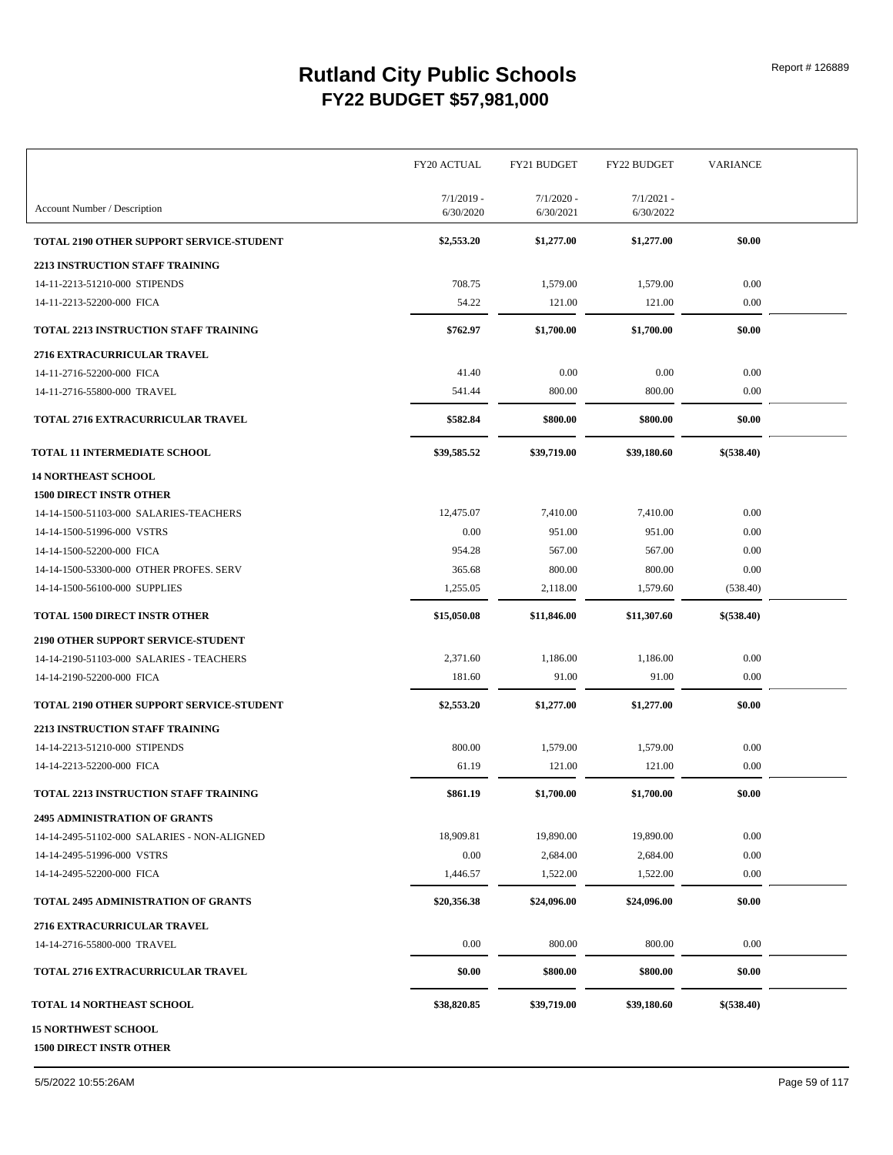|                                                              | FY20 ACTUAL               | <b>FY21 BUDGET</b>        | FY22 BUDGET               | <b>VARIANCE</b> |  |
|--------------------------------------------------------------|---------------------------|---------------------------|---------------------------|-----------------|--|
| Account Number / Description                                 | $7/1/2019$ -<br>6/30/2020 | $7/1/2020$ -<br>6/30/2021 | $7/1/2021 -$<br>6/30/2022 |                 |  |
| <b>TOTAL 2190 OTHER SUPPORT SERVICE-STUDENT</b>              | \$2,553.20                | \$1,277.00                | \$1,277.00                | \$0.00          |  |
| 2213 INSTRUCTION STAFF TRAINING                              |                           |                           |                           |                 |  |
| 14-11-2213-51210-000 STIPENDS                                | 708.75                    | 1,579.00                  | 1,579.00                  | 0.00            |  |
| 14-11-2213-52200-000 FICA                                    | 54.22                     | 121.00                    | 121.00                    | 0.00            |  |
| TOTAL 2213 INSTRUCTION STAFF TRAINING                        | \$762.97                  | \$1,700.00                | \$1,700.00                | \$0.00          |  |
| <b>2716 EXTRACURRICULAR TRAVEL</b>                           |                           |                           |                           |                 |  |
| 14-11-2716-52200-000 FICA                                    | 41.40                     | 0.00                      | 0.00                      | 0.00            |  |
| 14-11-2716-55800-000 TRAVEL                                  | 541.44                    | 800.00                    | 800.00                    | 0.00            |  |
| TOTAL 2716 EXTRACURRICULAR TRAVEL                            | \$582.84                  | \$800.00                  | \$800.00                  | \$0.00          |  |
| TOTAL 11 INTERMEDIATE SCHOOL                                 | \$39,585.52               | \$39,719.00               | \$39,180.60               | \$(538.40)      |  |
| <b>14 NORTHEAST SCHOOL</b>                                   |                           |                           |                           |                 |  |
| <b>1500 DIRECT INSTR OTHER</b>                               |                           |                           |                           |                 |  |
| 14-14-1500-51103-000 SALARIES-TEACHERS                       | 12,475.07                 | 7,410.00                  | 7,410.00                  | 0.00            |  |
| 14-14-1500-51996-000 VSTRS                                   | 0.00                      | 951.00                    | 951.00                    | 0.00            |  |
| 14-14-1500-52200-000 FICA                                    | 954.28                    | 567.00                    | 567.00                    | 0.00            |  |
| 14-14-1500-53300-000 OTHER PROFES. SERV                      | 365.68                    | 800.00                    | 800.00                    | 0.00            |  |
| 14-14-1500-56100-000 SUPPLIES                                | 1,255.05                  | 2,118.00                  | 1,579.60                  | (538.40)        |  |
| <b>TOTAL 1500 DIRECT INSTR OTHER</b>                         | \$15,050.08               | \$11,846.00               | \$11,307.60               | \$(538.40)      |  |
| 2190 OTHER SUPPORT SERVICE-STUDENT                           |                           |                           |                           |                 |  |
| 14-14-2190-51103-000 SALARIES - TEACHERS                     | 2,371.60                  | 1,186.00                  | 1,186.00                  | 0.00            |  |
| 14-14-2190-52200-000 FICA                                    | 181.60                    | 91.00                     | 91.00                     | 0.00            |  |
| TOTAL 2190 OTHER SUPPORT SERVICE-STUDENT                     | \$2,553.20                | \$1,277.00                | \$1,277.00                | \$0.00          |  |
| <b>2213 INSTRUCTION STAFF TRAINING</b>                       |                           |                           |                           |                 |  |
| 14-14-2213-51210-000 STIPENDS                                | 800.00                    | 1,579.00                  | 1,579.00                  | 0.00            |  |
| 14-14-2213-52200-000 FICA                                    | 61.19                     | 121.00                    | 121.00                    | 0.00            |  |
| TOTAL 2213 INSTRUCTION STAFF TRAINING                        | \$861.19                  | \$1,700.00                | \$1,700.00                | \$0.00          |  |
| <b>2495 ADMINISTRATION OF GRANTS</b>                         |                           |                           |                           |                 |  |
| 14-14-2495-51102-000 SALARIES - NON-ALIGNED                  | 18,909.81                 | 19,890.00                 | 19,890.00                 | 0.00            |  |
| 14-14-2495-51996-000 VSTRS                                   | 0.00                      | 2,684.00                  | 2,684.00                  | 0.00            |  |
| 14-14-2495-52200-000 FICA                                    | 1,446.57                  | 1,522.00                  | 1,522.00                  | 0.00            |  |
| <b>TOTAL 2495 ADMINISTRATION OF GRANTS</b>                   | \$20,356.38               | \$24,096.00               | \$24,096.00               | \$0.00          |  |
| <b>2716 EXTRACURRICULAR TRAVEL</b>                           |                           |                           |                           |                 |  |
| 14-14-2716-55800-000 TRAVEL                                  | 0.00                      | 800.00                    | 800.00                    | 0.00            |  |
| <b>TOTAL 2716 EXTRACURRICULAR TRAVEL</b>                     | \$0.00                    | \$800.00                  | \$800.00                  | \$0.00          |  |
| TOTAL 14 NORTHEAST SCHOOL                                    | \$38,820.85               | \$39,719.00               | \$39,180.60               | \$(538.40)      |  |
| <b>15 NORTHWEST SCHOOL</b><br><b>1500 DIRECT INSTR OTHER</b> |                           |                           |                           |                 |  |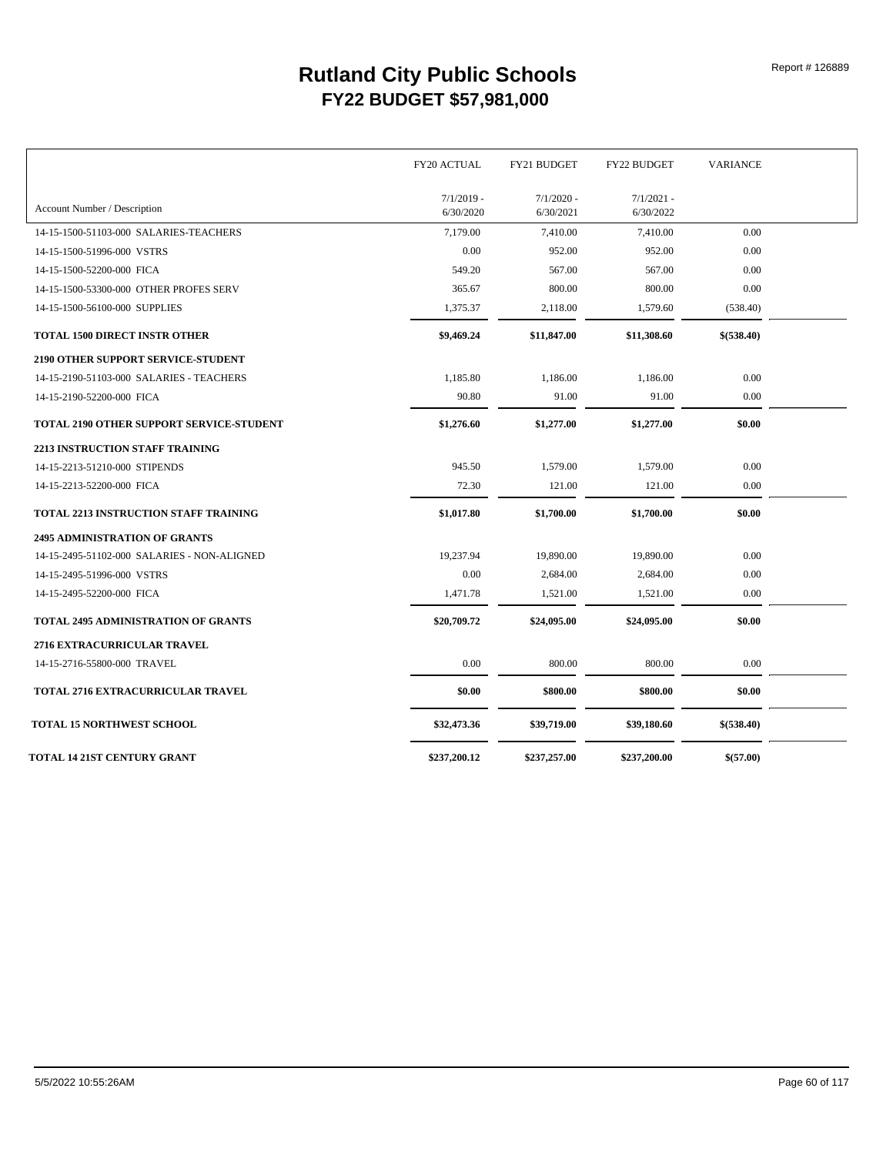|                                             | FY20 ACTUAL  | FY21 BUDGET  | FY22 BUDGET  | <b>VARIANCE</b> |  |
|---------------------------------------------|--------------|--------------|--------------|-----------------|--|
|                                             | $7/1/2019$ - | $7/1/2020$ - | $7/1/2021$ - |                 |  |
| Account Number / Description                | 6/30/2020    | 6/30/2021    | 6/30/2022    |                 |  |
| 14-15-1500-51103-000 SALARIES-TEACHERS      | 7,179.00     | 7,410.00     | 7,410.00     | 0.00            |  |
| 14-15-1500-51996-000 VSTRS                  | 0.00         | 952.00       | 952.00       | 0.00            |  |
| 14-15-1500-52200-000 FICA                   | 549.20       | 567.00       | 567.00       | 0.00            |  |
| 14-15-1500-53300-000 OTHER PROFES SERV      | 365.67       | 800.00       | 800.00       | 0.00            |  |
| 14-15-1500-56100-000 SUPPLIES               | 1,375.37     | 2,118.00     | 1,579.60     | (538.40)        |  |
| <b>TOTAL 1500 DIRECT INSTR OTHER</b>        | \$9,469.24   | \$11,847.00  | \$11,308.60  | \$(538.40)      |  |
| <b>2190 OTHER SUPPORT SERVICE-STUDENT</b>   |              |              |              |                 |  |
| 14-15-2190-51103-000 SALARIES - TEACHERS    | 1,185.80     | 1,186.00     | 1,186.00     | 0.00            |  |
| 14-15-2190-52200-000 FICA                   | 90.80        | 91.00        | 91.00        | 0.00            |  |
| TOTAL 2190 OTHER SUPPORT SERVICE-STUDENT    | \$1,276.60   | \$1,277.00   | \$1,277.00   | \$0.00          |  |
| <b>2213 INSTRUCTION STAFF TRAINING</b>      |              |              |              |                 |  |
| 14-15-2213-51210-000 STIPENDS               | 945.50       | 1,579.00     | 1,579.00     | 0.00            |  |
| 14-15-2213-52200-000 FICA                   | 72.30        | 121.00       | 121.00       | 0.00            |  |
| TOTAL 2213 INSTRUCTION STAFF TRAINING       | \$1,017.80   | \$1,700.00   | \$1,700.00   | \$0.00          |  |
| <b>2495 ADMINISTRATION OF GRANTS</b>        |              |              |              |                 |  |
| 14-15-2495-51102-000 SALARIES - NON-ALIGNED | 19,237.94    | 19,890.00    | 19,890.00    | 0.00            |  |
| 14-15-2495-51996-000 VSTRS                  | 0.00         | 2,684.00     | 2,684.00     | 0.00            |  |
| 14-15-2495-52200-000 FICA                   | 1,471.78     | 1,521.00     | 1,521.00     | 0.00            |  |
| <b>TOTAL 2495 ADMINISTRATION OF GRANTS</b>  | \$20,709.72  | \$24,095.00  | \$24,095.00  | \$0.00          |  |
| <b>2716 EXTRACURRICULAR TRAVEL</b>          |              |              |              |                 |  |
| 14-15-2716-55800-000 TRAVEL                 | 0.00         | 800.00       | 800.00       | 0.00            |  |
| <b>TOTAL 2716 EXTRACURRICULAR TRAVEL</b>    | \$0.00       | \$800.00     | \$800.00     | \$0.00          |  |
| <b>TOTAL 15 NORTHWEST SCHOOL</b>            | \$32,473.36  | \$39,719.00  | \$39,180.60  | \$(538.40)      |  |
| <b>TOTAL 14 21ST CENTURY GRANT</b>          | \$237,200.12 | \$237,257.00 | \$237,200.00 | \$(57.00)       |  |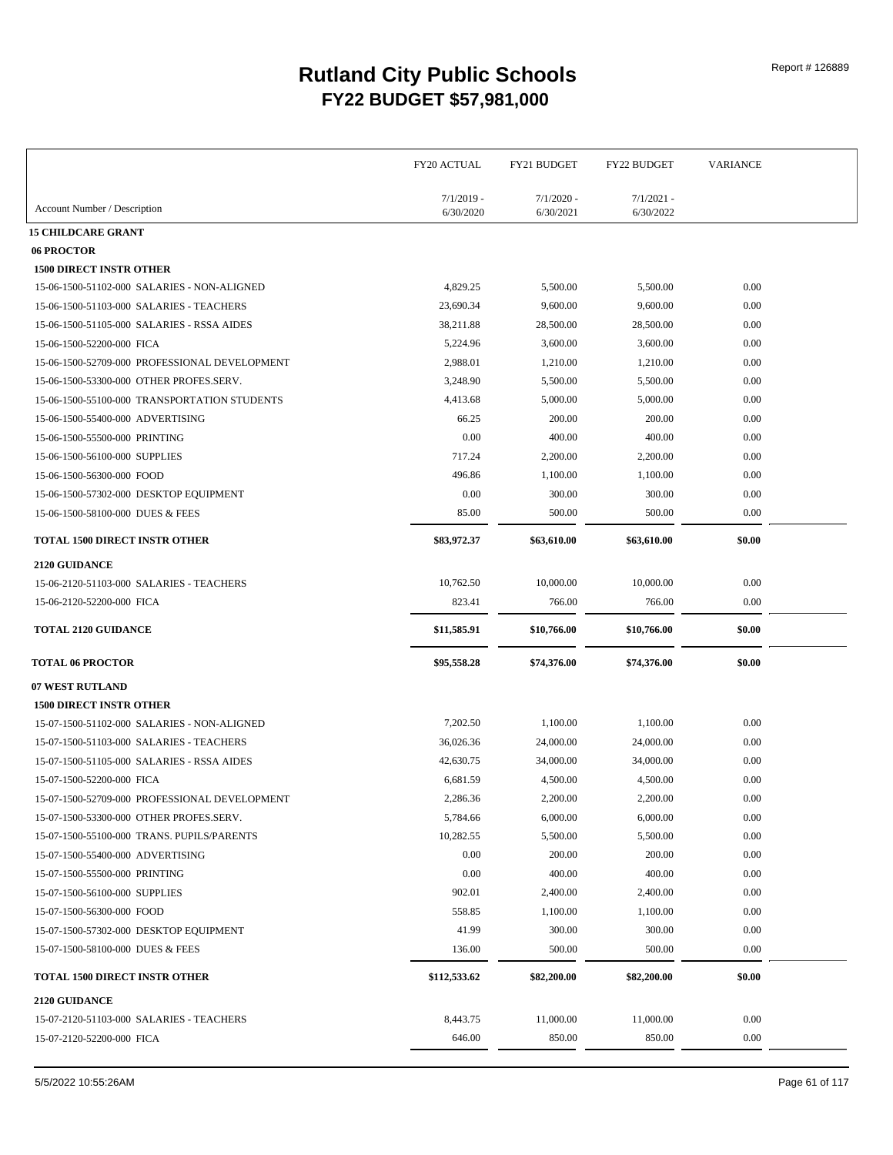|                                               | FY20 ACTUAL               | FY21 BUDGET               | <b>FY22 BUDGET</b>        | <b>VARIANCE</b> |  |
|-----------------------------------------------|---------------------------|---------------------------|---------------------------|-----------------|--|
|                                               |                           |                           |                           |                 |  |
| Account Number / Description                  | $7/1/2019$ -<br>6/30/2020 | $7/1/2020$ -<br>6/30/2021 | $7/1/2021$ -<br>6/30/2022 |                 |  |
| <b>15 CHILDCARE GRANT</b>                     |                           |                           |                           |                 |  |
| <b>06 PROCTOR</b>                             |                           |                           |                           |                 |  |
| <b>1500 DIRECT INSTR OTHER</b>                |                           |                           |                           |                 |  |
| 15-06-1500-51102-000 SALARIES - NON-ALIGNED   | 4,829.25                  | 5,500.00                  | 5,500.00                  | 0.00            |  |
| 15-06-1500-51103-000 SALARIES - TEACHERS      | 23,690.34                 | 9,600.00                  | 9,600.00                  | 0.00            |  |
| 15-06-1500-51105-000 SALARIES - RSSA AIDES    | 38,211.88                 | 28,500.00                 | 28,500.00                 | 0.00            |  |
| 15-06-1500-52200-000 FICA                     | 5,224.96                  | 3,600.00                  | 3,600.00                  | 0.00            |  |
| 15-06-1500-52709-000 PROFESSIONAL DEVELOPMENT | 2,988.01                  | 1,210.00                  | 1,210.00                  | 0.00            |  |
| 15-06-1500-53300-000 OTHER PROFES.SERV.       | 3,248.90                  | 5,500.00                  | 5,500.00                  | 0.00            |  |
| 15-06-1500-55100-000 TRANSPORTATION STUDENTS  | 4,413.68                  | 5,000.00                  | 5,000.00                  | 0.00            |  |
| 15-06-1500-55400-000 ADVERTISING              | 66.25                     | 200.00                    | 200.00                    | 0.00            |  |
| 15-06-1500-55500-000 PRINTING                 | 0.00                      | 400.00                    | 400.00                    | 0.00            |  |
| 15-06-1500-56100-000 SUPPLIES                 | 717.24                    | 2,200.00                  | 2,200.00                  | 0.00            |  |
| 15-06-1500-56300-000 FOOD                     | 496.86                    | 1,100.00                  | 1,100.00                  | 0.00            |  |
| 15-06-1500-57302-000 DESKTOP EQUIPMENT        | 0.00                      | 300.00                    | 300.00                    | 0.00            |  |
| 15-06-1500-58100-000 DUES & FEES              | 85.00                     | 500.00                    | 500.00                    | 0.00            |  |
| <b>TOTAL 1500 DIRECT INSTR OTHER</b>          | \$83,972.37               | \$63,610.00               | \$63,610.00               | \$0.00          |  |
| <b>2120 GUIDANCE</b>                          |                           |                           |                           |                 |  |
| 15-06-2120-51103-000 SALARIES - TEACHERS      | 10,762.50                 | 10,000.00                 | 10,000.00                 | 0.00            |  |
| 15-06-2120-52200-000 FICA                     | 823.41                    | 766.00                    | 766.00                    | 0.00            |  |
| <b>TOTAL 2120 GUIDANCE</b>                    | \$11,585.91               | \$10,766.00               | \$10,766.00               | \$0.00          |  |
| <b>TOTAL 06 PROCTOR</b>                       | \$95,558.28               | \$74,376.00               | \$74,376.00               | \$0.00          |  |
| <b>07 WEST RUTLAND</b>                        |                           |                           |                           |                 |  |
| <b>1500 DIRECT INSTR OTHER</b>                |                           |                           |                           |                 |  |
| 15-07-1500-51102-000 SALARIES - NON-ALIGNED   | 7,202.50                  | 1,100.00                  | 1.100.00                  | 0.00            |  |
| 15-07-1500-51103-000 SALARIES - TEACHERS      | 36,026.36                 | 24,000.00                 | 24,000.00                 | 0.00            |  |
| 15-07-1500-51105-000 SALARIES - RSSA AIDES    | 42,630.75                 | 34,000.00                 | 34,000.00                 | 0.00            |  |
| 15-07-1500-52200-000 FICA                     | 6,681.59                  | 4,500.00                  | 4,500.00                  | 0.00            |  |
| 15-07-1500-52709-000 PROFESSIONAL DEVELOPMENT | 2,286.36                  | 2,200.00                  | 2,200.00                  | 0.00            |  |
| 15-07-1500-53300-000 OTHER PROFES.SERV.       | 5,784.66                  | 6,000.00                  | 6,000.00                  | 0.00            |  |
| 15-07-1500-55100-000 TRANS. PUPILS/PARENTS    | 10,282.55                 | 5,500.00                  | 5,500.00                  | 0.00            |  |
| 15-07-1500-55400-000 ADVERTISING              | 0.00                      | 200.00                    | 200.00                    | 0.00            |  |
| 15-07-1500-55500-000 PRINTING                 | 0.00                      | 400.00                    | 400.00                    | 0.00            |  |
| 15-07-1500-56100-000 SUPPLIES                 | 902.01                    | 2,400.00                  | 2,400.00                  | 0.00            |  |
| 15-07-1500-56300-000 FOOD                     | 558.85                    | 1,100.00                  | 1,100.00                  | 0.00            |  |
| 15-07-1500-57302-000 DESKTOP EQUIPMENT        | 41.99                     | 300.00                    | 300.00                    | 0.00            |  |
| 15-07-1500-58100-000 DUES & FEES              | 136.00                    | 500.00                    | 500.00                    | 0.00            |  |
| <b>TOTAL 1500 DIRECT INSTR OTHER</b>          | \$112,533.62              | \$82,200.00               | \$82,200.00               | \$0.00          |  |
| 2120 GUIDANCE                                 |                           |                           |                           |                 |  |
| 15-07-2120-51103-000 SALARIES - TEACHERS      | 8,443.75                  | 11,000.00                 | 11,000.00                 | 0.00            |  |
| 15-07-2120-52200-000 FICA                     | 646.00                    | 850.00                    | 850.00                    | 0.00            |  |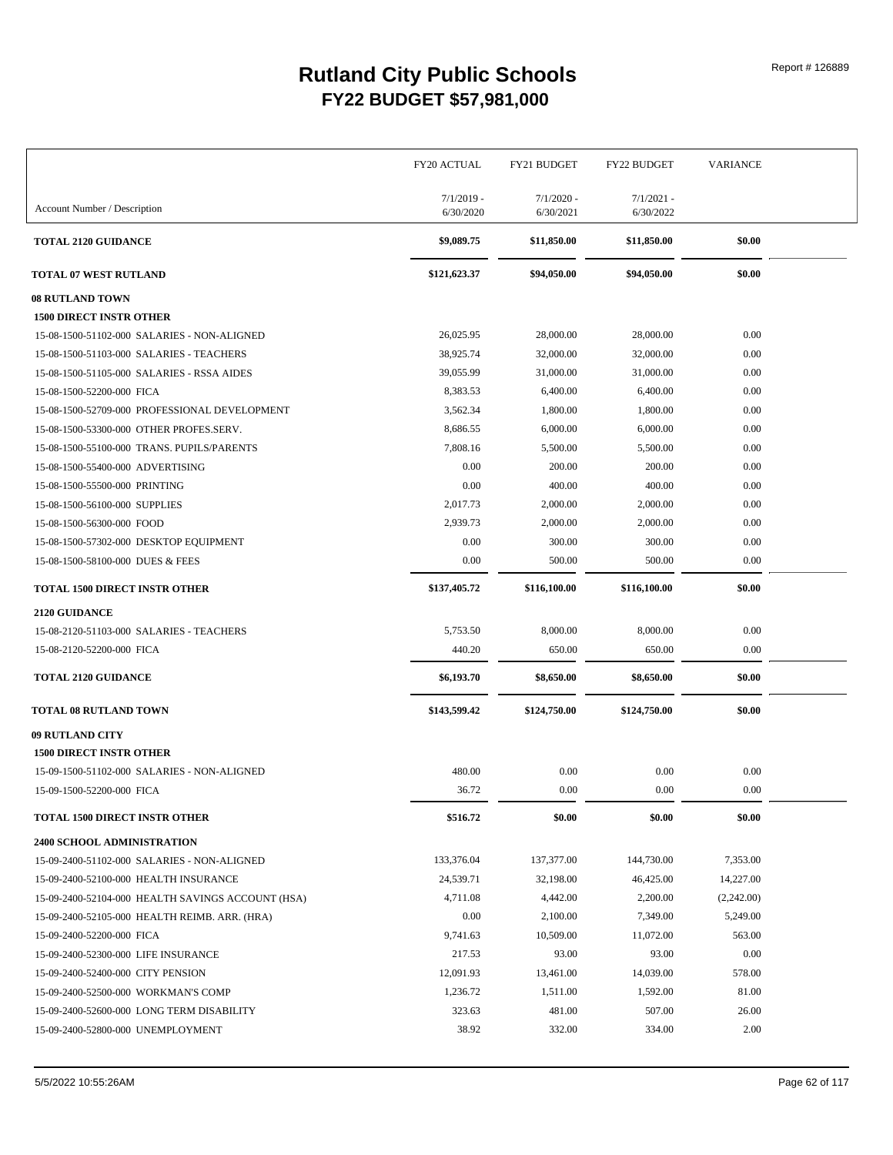|                                                   | FY20 ACTUAL  | FY21 BUDGET  | FY22 BUDGET  | <b>VARIANCE</b> |  |
|---------------------------------------------------|--------------|--------------|--------------|-----------------|--|
|                                                   | $7/1/2019$ - | $7/1/2020$ - | $7/1/2021$ - |                 |  |
| Account Number / Description                      | 6/30/2020    | 6/30/2021    | 6/30/2022    |                 |  |
| <b>TOTAL 2120 GUIDANCE</b>                        | \$9,089.75   | \$11,850.00  | \$11,850.00  | \$0.00          |  |
| <b>TOTAL 07 WEST RUTLAND</b>                      | \$121,623.37 | \$94,050.00  | \$94,050.00  | \$0.00          |  |
| <b>08 RUTLAND TOWN</b>                            |              |              |              |                 |  |
| <b>1500 DIRECT INSTR OTHER</b>                    |              |              |              |                 |  |
| 15-08-1500-51102-000 SALARIES - NON-ALIGNED       | 26,025.95    | 28,000.00    | 28,000.00    | 0.00            |  |
| 15-08-1500-51103-000 SALARIES - TEACHERS          | 38,925.74    | 32,000.00    | 32,000.00    | 0.00            |  |
| 15-08-1500-51105-000 SALARIES - RSSA AIDES        | 39,055.99    | 31,000.00    | 31,000.00    | 0.00            |  |
| 15-08-1500-52200-000 FICA                         | 8,383.53     | 6,400.00     | 6,400.00     | 0.00            |  |
| 15-08-1500-52709-000 PROFESSIONAL DEVELOPMENT     | 3,562.34     | 1,800.00     | 1,800.00     | 0.00            |  |
| 15-08-1500-53300-000 OTHER PROFES.SERV.           | 8,686.55     | 6,000.00     | 6,000.00     | 0.00            |  |
| 15-08-1500-55100-000 TRANS. PUPILS/PARENTS        | 7,808.16     | 5,500.00     | 5,500.00     | 0.00            |  |
| 15-08-1500-55400-000 ADVERTISING                  | 0.00         | 200.00       | 200.00       | 0.00            |  |
| 15-08-1500-55500-000 PRINTING                     | 0.00         | 400.00       | 400.00       | 0.00            |  |
| 15-08-1500-56100-000 SUPPLIES                     | 2,017.73     | 2,000.00     | 2,000.00     | 0.00            |  |
| 15-08-1500-56300-000 FOOD                         | 2,939.73     | 2,000.00     | 2,000.00     | 0.00            |  |
| 15-08-1500-57302-000 DESKTOP EQUIPMENT            | 0.00         | 300.00       | 300.00       | 0.00            |  |
| 15-08-1500-58100-000 DUES & FEES                  | 0.00         | 500.00       | 500.00       | 0.00            |  |
| <b>TOTAL 1500 DIRECT INSTR OTHER</b>              | \$137,405.72 | \$116,100.00 | \$116,100.00 | \$0.00          |  |
| <b>2120 GUIDANCE</b>                              |              |              |              |                 |  |
| 15-08-2120-51103-000 SALARIES - TEACHERS          | 5,753.50     | 8,000.00     | 8,000.00     | 0.00            |  |
| 15-08-2120-52200-000 FICA                         | 440.20       | 650.00       | 650.00       | 0.00            |  |
| <b>TOTAL 2120 GUIDANCE</b>                        | \$6,193.70   | \$8,650.00   | \$8,650.00   | \$0.00          |  |
| <b>TOTAL 08 RUTLAND TOWN</b>                      | \$143,599.42 | \$124,750.00 | \$124,750.00 | \$0.00          |  |
| 09 RUTLAND CITY                                   |              |              |              |                 |  |
| <b>1500 DIRECT INSTR OTHER</b>                    |              |              |              |                 |  |
| 15-09-1500-51102-000 SALARIES - NON-ALIGNED       | 480.00       | $0.00\,$     | 0.00         | 0.00            |  |
| 15-09-1500-52200-000 FICA                         | 36.72        | 0.00         | 0.00         | 0.00            |  |
| <b>TOTAL 1500 DIRECT INSTR OTHER</b>              | \$516.72     | \$0.00       | \$0.00       | \$0.00          |  |
| 2400 SCHOOL ADMINISTRATION                        |              |              |              |                 |  |
| 15-09-2400-51102-000 SALARIES - NON-ALIGNED       | 133,376.04   | 137,377.00   | 144,730.00   | 7,353.00        |  |
| 15-09-2400-52100-000 HEALTH INSURANCE             | 24,539.71    | 32,198.00    | 46,425.00    | 14,227.00       |  |
| 15-09-2400-52104-000 HEALTH SAVINGS ACCOUNT (HSA) | 4,711.08     | 4,442.00     | 2,200.00     | (2,242.00)      |  |
| 15-09-2400-52105-000 HEALTH REIMB. ARR. (HRA)     | 0.00         | 2,100.00     | 7,349.00     | 5,249.00        |  |
| 15-09-2400-52200-000 FICA                         | 9,741.63     | 10,509.00    | 11,072.00    | 563.00          |  |
| 15-09-2400-52300-000 LIFE INSURANCE               | 217.53       | 93.00        | 93.00        | 0.00            |  |
| 15-09-2400-52400-000 CITY PENSION                 | 12,091.93    | 13,461.00    | 14,039.00    | 578.00          |  |
| 15-09-2400-52500-000 WORKMAN'S COMP               | 1,236.72     | 1,511.00     | 1,592.00     | 81.00           |  |
| 15-09-2400-52600-000 LONG TERM DISABILITY         | 323.63       | 481.00       | 507.00       | 26.00           |  |
| 15-09-2400-52800-000 UNEMPLOYMENT                 | 38.92        | 332.00       | 334.00       | 2.00            |  |
|                                                   |              |              |              |                 |  |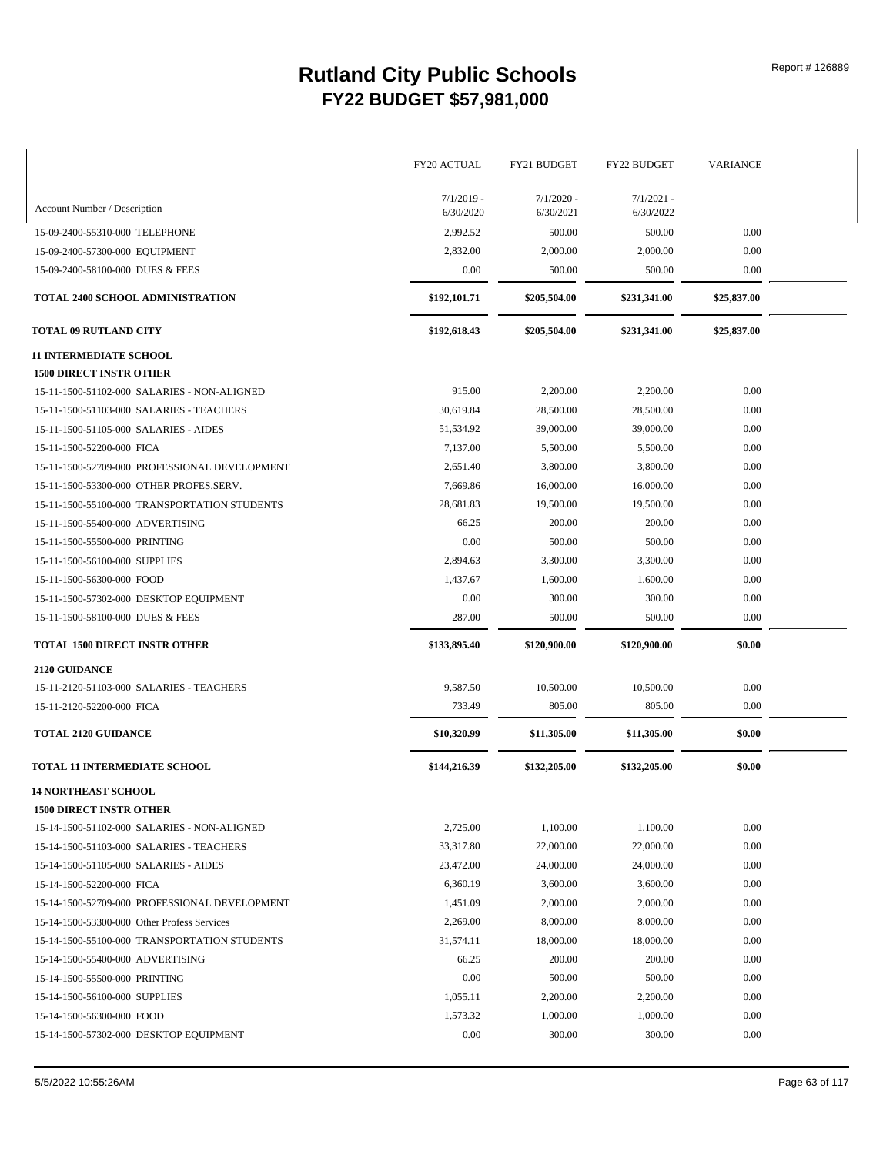|                                               | <b>FY20 ACTUAL</b> | <b>FY21 BUDGET</b> | FY22 BUDGET  | <b>VARIANCE</b> |  |
|-----------------------------------------------|--------------------|--------------------|--------------|-----------------|--|
|                                               | $7/1/2019$ -       | $7/1/2020$ -       | $7/1/2021$ - |                 |  |
| Account Number / Description                  | 6/30/2020          | 6/30/2021          | 6/30/2022    |                 |  |
| 15-09-2400-55310-000 TELEPHONE                | 2,992.52           | 500.00             | 500.00       | 0.00            |  |
| 15-09-2400-57300-000 EQUIPMENT                | 2,832.00           | 2,000.00           | 2,000.00     | 0.00            |  |
| 15-09-2400-58100-000 DUES & FEES              | 0.00               | 500.00             | 500.00       | 0.00            |  |
| TOTAL 2400 SCHOOL ADMINISTRATION              | \$192,101.71       | \$205,504.00       | \$231,341.00 | \$25,837.00     |  |
| <b>TOTAL 09 RUTLAND CITY</b>                  | \$192,618.43       | \$205,504.00       | \$231,341.00 | \$25,837.00     |  |
| <b>11 INTERMEDIATE SCHOOL</b>                 |                    |                    |              |                 |  |
| <b>1500 DIRECT INSTR OTHER</b>                |                    |                    |              |                 |  |
| 15-11-1500-51102-000 SALARIES - NON-ALIGNED   | 915.00             | 2,200.00           | 2,200.00     | 0.00            |  |
| 15-11-1500-51103-000 SALARIES - TEACHERS      | 30,619.84          | 28,500.00          | 28,500.00    | 0.00            |  |
| 15-11-1500-51105-000 SALARIES - AIDES         | 51,534.92          | 39,000.00          | 39,000.00    | 0.00            |  |
| 15-11-1500-52200-000 FICA                     | 7,137.00           | 5,500.00           | 5,500.00     | 0.00            |  |
| 15-11-1500-52709-000 PROFESSIONAL DEVELOPMENT | 2,651.40           | 3,800.00           | 3,800.00     | 0.00            |  |
| 15-11-1500-53300-000 OTHER PROFES.SERV.       | 7,669.86           | 16,000.00          | 16,000.00    | 0.00            |  |
| 15-11-1500-55100-000 TRANSPORTATION STUDENTS  | 28,681.83          | 19,500.00          | 19,500.00    | 0.00            |  |
| 15-11-1500-55400-000 ADVERTISING              | 66.25              | 200.00             | 200.00       | 0.00            |  |
| 15-11-1500-55500-000 PRINTING                 | 0.00               | 500.00             | 500.00       | 0.00            |  |
| 15-11-1500-56100-000 SUPPLIES                 | 2,894.63           | 3,300.00           | 3,300.00     | 0.00            |  |
| 15-11-1500-56300-000 FOOD                     | 1,437.67           | 1,600.00           | 1,600.00     | 0.00            |  |
| 15-11-1500-57302-000 DESKTOP EQUIPMENT        | 0.00               | 300.00             | 300.00       | 0.00            |  |
| 15-11-1500-58100-000 DUES & FEES              | 287.00             | 500.00             | 500.00       | 0.00            |  |
| <b>TOTAL 1500 DIRECT INSTR OTHER</b>          | \$133,895.40       | \$120,900.00       | \$120,900.00 | \$0.00          |  |
| <b>2120 GUIDANCE</b>                          |                    |                    |              |                 |  |
| 15-11-2120-51103-000 SALARIES - TEACHERS      | 9,587.50           | 10,500.00          | 10,500.00    | 0.00            |  |
| 15-11-2120-52200-000 FICA                     | 733.49             | 805.00             | 805.00       | 0.00            |  |
| <b>TOTAL 2120 GUIDANCE</b>                    | \$10,320.99        | \$11,305.00        | \$11,305.00  | \$0.00          |  |
| TOTAL 11 INTERMEDIATE SCHOOL                  | \$144,216.39       | \$132,205.00       | \$132,205.00 | \$0.00          |  |
| <b>14 NORTHEAST SCHOOL</b>                    |                    |                    |              |                 |  |
| <b>1500 DIRECT INSTR OTHER</b>                |                    |                    |              |                 |  |
| 15-14-1500-51102-000 SALARIES - NON-ALIGNED   | 2,725.00           | 1,100.00           | 1,100.00     | 0.00            |  |
| 15-14-1500-51103-000 SALARIES - TEACHERS      | 33,317.80          | 22,000.00          | 22,000.00    | 0.00            |  |
| 15-14-1500-51105-000 SALARIES - AIDES         | 23,472.00          | 24,000.00          | 24,000.00    | 0.00            |  |
| 15-14-1500-52200-000 FICA                     | 6,360.19           | 3,600.00           | 3,600.00     | 0.00            |  |
| 15-14-1500-52709-000 PROFESSIONAL DEVELOPMENT | 1,451.09           | 2,000.00           | 2,000.00     | 0.00            |  |
| 15-14-1500-53300-000 Other Profess Services   | 2,269.00           | 8,000.00           | 8,000.00     | 0.00            |  |
| 15-14-1500-55100-000 TRANSPORTATION STUDENTS  | 31,574.11          | 18,000.00          | 18,000.00    | 0.00            |  |
| 15-14-1500-55400-000 ADVERTISING              | 66.25              | 200.00             | 200.00       | 0.00            |  |
| 15-14-1500-55500-000 PRINTING                 | 0.00               | 500.00             | 500.00       | 0.00            |  |
| 15-14-1500-56100-000 SUPPLIES                 | 1,055.11           | 2,200.00           | 2,200.00     | 0.00            |  |
| 15-14-1500-56300-000 FOOD                     | 1,573.32           | 1,000.00           | 1,000.00     | 0.00            |  |
| 15-14-1500-57302-000 DESKTOP EQUIPMENT        | 0.00               | 300.00             | 300.00       | 0.00            |  |
|                                               |                    |                    |              |                 |  |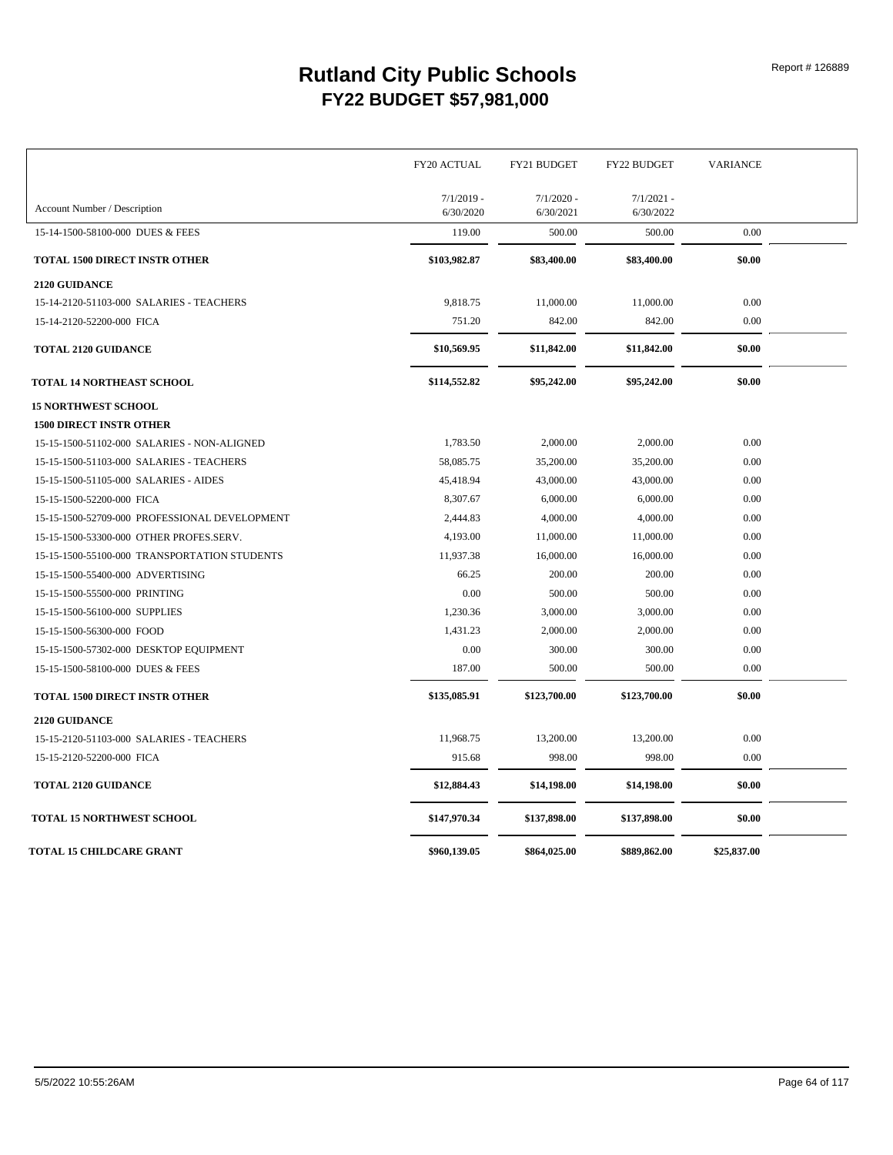|                                               | FY20 ACTUAL  | FY21 BUDGET  | FY22 BUDGET  | <b>VARIANCE</b> |  |
|-----------------------------------------------|--------------|--------------|--------------|-----------------|--|
|                                               | $7/1/2019$ - | $7/1/2020$ - | $7/1/2021$ - |                 |  |
| Account Number / Description                  | 6/30/2020    | 6/30/2021    | 6/30/2022    |                 |  |
| 15-14-1500-58100-000 DUES & FEES              | 119.00       | 500.00       | 500.00       | 0.00            |  |
| <b>TOTAL 1500 DIRECT INSTR OTHER</b>          | \$103,982.87 | \$83,400.00  | \$83,400.00  | \$0.00          |  |
| <b>2120 GUIDANCE</b>                          |              |              |              |                 |  |
| 15-14-2120-51103-000 SALARIES - TEACHERS      | 9,818.75     | 11,000.00    | 11,000.00    | 0.00            |  |
| 15-14-2120-52200-000 FICA                     | 751.20       | 842.00       | 842.00       | 0.00            |  |
| <b>TOTAL 2120 GUIDANCE</b>                    | \$10,569.95  | \$11,842.00  | \$11,842.00  | \$0.00          |  |
| <b>TOTAL 14 NORTHEAST SCHOOL</b>              | \$114,552.82 | \$95,242.00  | \$95,242.00  | \$0.00          |  |
| <b>15 NORTHWEST SCHOOL</b>                    |              |              |              |                 |  |
| <b>1500 DIRECT INSTR OTHER</b>                |              |              |              |                 |  |
| 15-15-1500-51102-000 SALARIES - NON-ALIGNED   | 1,783.50     | 2,000.00     | 2,000.00     | 0.00            |  |
| 15-15-1500-51103-000 SALARIES - TEACHERS      | 58,085.75    | 35,200.00    | 35,200.00    | 0.00            |  |
| 15-15-1500-51105-000 SALARIES - AIDES         | 45,418.94    | 43,000.00    | 43,000.00    | 0.00            |  |
| 15-15-1500-52200-000 FICA                     | 8,307.67     | 6,000.00     | 6,000.00     | 0.00            |  |
| 15-15-1500-52709-000 PROFESSIONAL DEVELOPMENT | 2,444.83     | 4,000.00     | 4,000.00     | 0.00            |  |
| 15-15-1500-53300-000 OTHER PROFES.SERV.       | 4,193.00     | 11,000.00    | 11,000.00    | 0.00            |  |
| 15-15-1500-55100-000 TRANSPORTATION STUDENTS  | 11,937.38    | 16,000.00    | 16,000.00    | 0.00            |  |
| 15-15-1500-55400-000 ADVERTISING              | 66.25        | 200.00       | 200.00       | 0.00            |  |
| 15-15-1500-55500-000 PRINTING                 | 0.00         | 500.00       | 500.00       | 0.00            |  |
| 15-15-1500-56100-000 SUPPLIES                 | 1,230.36     | 3,000.00     | 3,000.00     | 0.00            |  |
| 15-15-1500-56300-000 FOOD                     | 1,431.23     | 2,000.00     | 2,000.00     | 0.00            |  |
| 15-15-1500-57302-000 DESKTOP EQUIPMENT        | 0.00         | 300.00       | 300.00       | 0.00            |  |
| 15-15-1500-58100-000 DUES & FEES              | 187.00       | 500.00       | 500.00       | 0.00            |  |
| <b>TOTAL 1500 DIRECT INSTR OTHER</b>          | \$135,085.91 | \$123,700.00 | \$123,700.00 | \$0.00          |  |
| <b>2120 GUIDANCE</b>                          |              |              |              |                 |  |
| 15-15-2120-51103-000 SALARIES - TEACHERS      | 11,968.75    | 13,200.00    | 13,200.00    | 0.00            |  |
| 15-15-2120-52200-000 FICA                     | 915.68       | 998.00       | 998.00       | 0.00            |  |
| <b>TOTAL 2120 GUIDANCE</b>                    | \$12,884.43  | \$14,198.00  | \$14,198.00  | \$0.00          |  |
| <b>TOTAL 15 NORTHWEST SCHOOL</b>              | \$147,970.34 | \$137,898.00 | \$137,898.00 | \$0.00          |  |
| <b>TOTAL 15 CHILDCARE GRANT</b>               | \$960,139.05 | \$864,025.00 | \$889,862.00 | \$25,837.00     |  |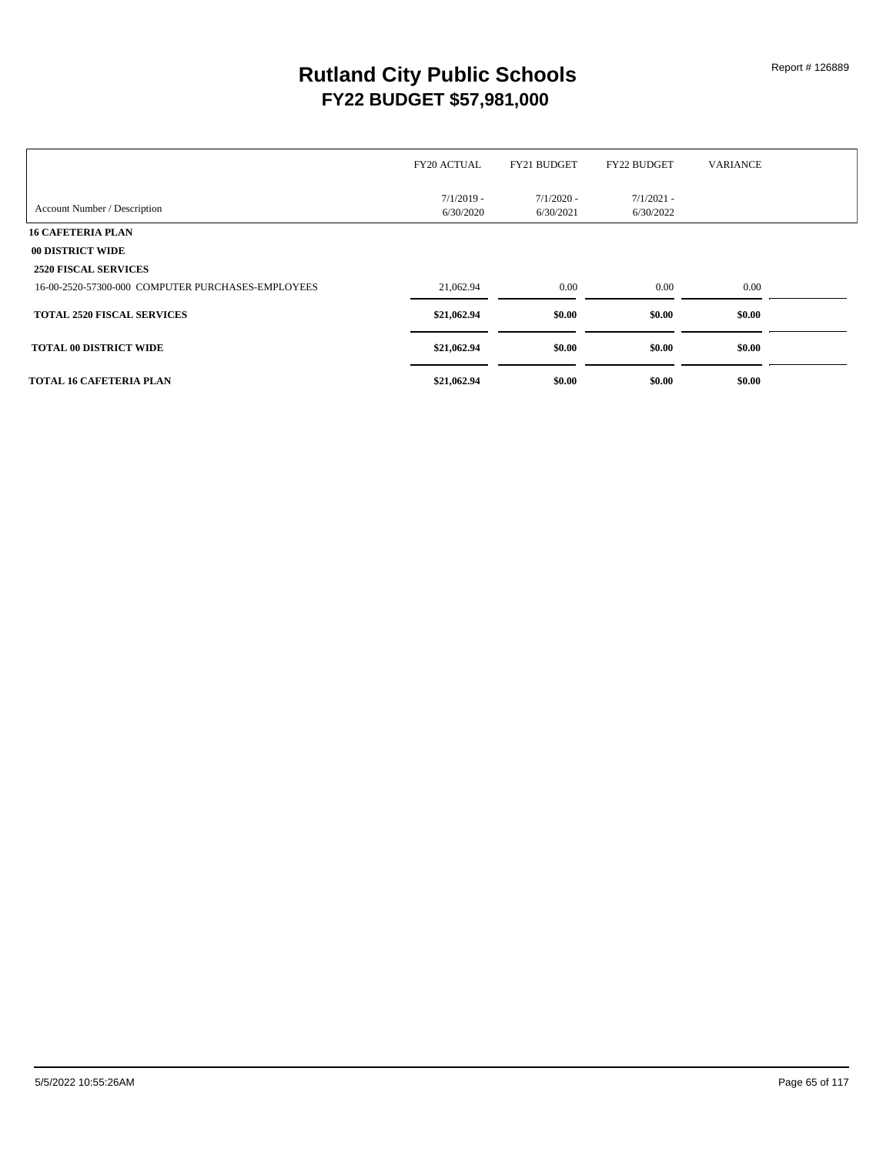|                                                   | <b>FY20 ACTUAL</b>        | <b>FY21 BUDGET</b>        | <b>FY22 BUDGET</b>        | <b>VARIANCE</b> |  |
|---------------------------------------------------|---------------------------|---------------------------|---------------------------|-----------------|--|
| Account Number / Description                      | $7/1/2019$ -<br>6/30/2020 | $7/1/2020$ -<br>6/30/2021 | $7/1/2021 -$<br>6/30/2022 |                 |  |
| <b>16 CAFETERIA PLAN</b>                          |                           |                           |                           |                 |  |
| <b>00 DISTRICT WIDE</b>                           |                           |                           |                           |                 |  |
| <b>2520 FISCAL SERVICES</b>                       |                           |                           |                           |                 |  |
| 16-00-2520-57300-000 COMPUTER PURCHASES-EMPLOYEES | 21,062.94                 | 0.00                      | 0.00                      | 0.00            |  |
| <b>TOTAL 2520 FISCAL SERVICES</b>                 | \$21,062.94               | \$0.00                    | \$0.00                    | \$0.00          |  |
| <b>TOTAL 00 DISTRICT WIDE</b>                     | \$21,062.94               | \$0.00                    | \$0.00                    | \$0.00          |  |
| <b>TOTAL 16 CAFETERIA PLAN</b>                    | \$21,062.94               | \$0.00                    | \$0.00                    | \$0.00          |  |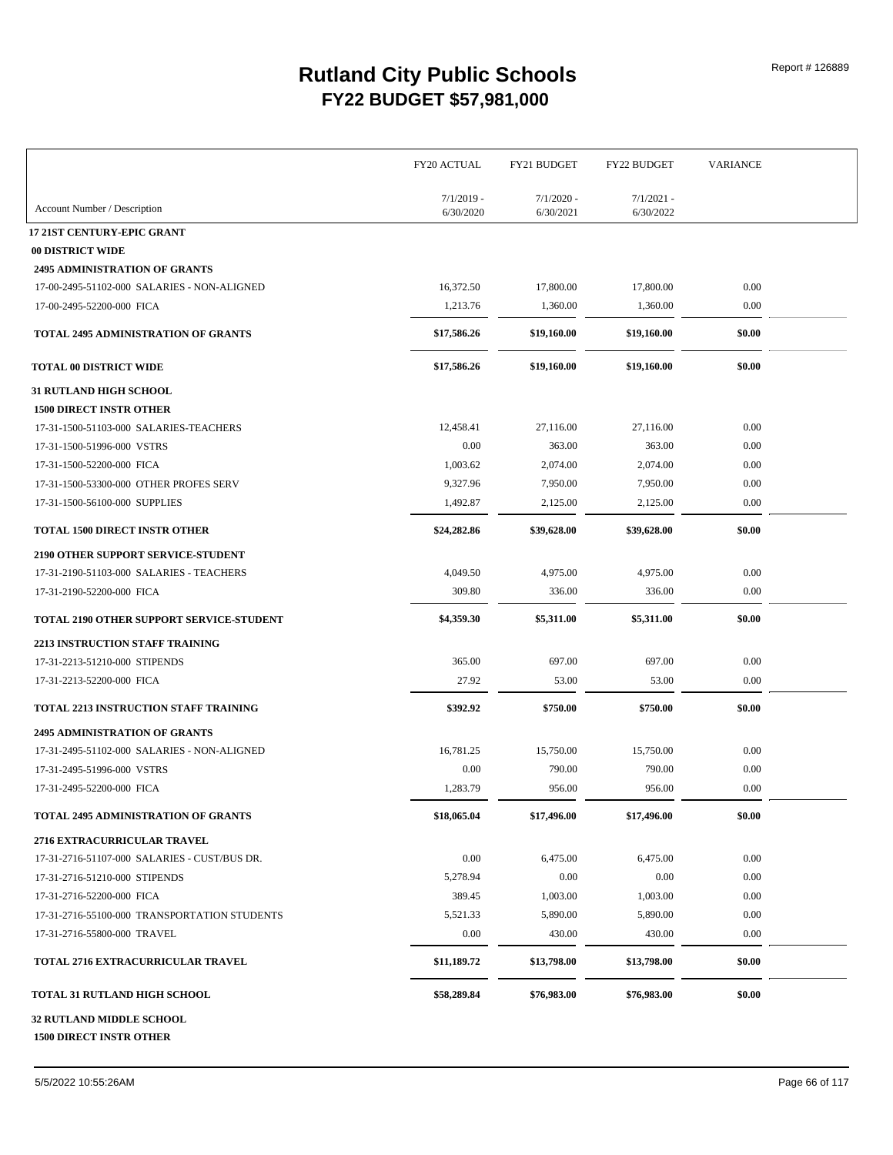|                                                                   | <b>FY20 ACTUAL</b> | FY21 BUDGET  | FY22 BUDGET  | <b>VARIANCE</b> |  |
|-------------------------------------------------------------------|--------------------|--------------|--------------|-----------------|--|
| Account Number / Description                                      | $7/1/2019$ -       | $7/1/2020$ - | $7/1/2021$ - |                 |  |
| 17 21ST CENTURY-EPIC GRANT                                        | 6/30/2020          | 6/30/2021    | 6/30/2022    |                 |  |
| <b>00 DISTRICT WIDE</b>                                           |                    |              |              |                 |  |
| <b>2495 ADMINISTRATION OF GRANTS</b>                              |                    |              |              |                 |  |
| 17-00-2495-51102-000 SALARIES - NON-ALIGNED                       | 16,372.50          | 17,800.00    | 17,800.00    | 0.00            |  |
| 17-00-2495-52200-000 FICA                                         | 1,213.76           | 1,360.00     | 1,360.00     | 0.00            |  |
| <b>TOTAL 2495 ADMINISTRATION OF GRANTS</b>                        | \$17,586.26        | \$19,160.00  | \$19,160.00  | \$0.00          |  |
| <b>TOTAL 00 DISTRICT WIDE</b>                                     | \$17,586.26        | \$19,160.00  | \$19,160.00  | \$0.00          |  |
| <b>31 RUTLAND HIGH SCHOOL</b>                                     |                    |              |              |                 |  |
| <b>1500 DIRECT INSTR OTHER</b>                                    |                    |              |              |                 |  |
| 17-31-1500-51103-000 SALARIES-TEACHERS                            | 12,458.41          | 27,116.00    | 27,116.00    | 0.00            |  |
| 17-31-1500-51996-000 VSTRS                                        | 0.00               | 363.00       | 363.00       | 0.00            |  |
| 17-31-1500-52200-000 FICA                                         | 1,003.62           | 2,074.00     | 2,074.00     | 0.00            |  |
| 17-31-1500-53300-000 OTHER PROFES SERV                            | 9,327.96           | 7,950.00     | 7,950.00     | 0.00            |  |
| 17-31-1500-56100-000 SUPPLIES                                     | 1,492.87           | 2,125.00     | 2,125.00     | 0.00            |  |
| <b>TOTAL 1500 DIRECT INSTR OTHER</b>                              | \$24,282.86        | \$39,628.00  | \$39,628.00  | \$0.00          |  |
| <b>2190 OTHER SUPPORT SERVICE-STUDENT</b>                         |                    |              |              |                 |  |
| 17-31-2190-51103-000 SALARIES - TEACHERS                          | 4,049.50           | 4,975.00     | 4,975.00     | 0.00            |  |
| 17-31-2190-52200-000 FICA                                         | 309.80             | 336.00       | 336.00       | 0.00            |  |
| TOTAL 2190 OTHER SUPPORT SERVICE-STUDENT                          | \$4,359.30         | \$5,311.00   | \$5,311.00   | \$0.00          |  |
| 2213 INSTRUCTION STAFF TRAINING                                   |                    |              |              |                 |  |
| 17-31-2213-51210-000 STIPENDS                                     | 365.00             | 697.00       | 697.00       | 0.00            |  |
| 17-31-2213-52200-000 FICA                                         | 27.92              | 53.00        | 53.00        | 0.00            |  |
| <b>TOTAL 2213 INSTRUCTION STAFF TRAINING</b>                      | \$392.92           | \$750.00     | \$750.00     | \$0.00          |  |
| <b>2495 ADMINISTRATION OF GRANTS</b>                              |                    |              |              |                 |  |
| 17-31-2495-51102-000 SALARIES - NON-ALIGNED                       | 16,781.25          | 15,750.00    | 15,750.00    | 0.00            |  |
| 17-31-2495-51996-000 VSTRS                                        | 0.00               | 790.00       | 790.00       | 0.00            |  |
| 17-31-2495-52200-000 FICA                                         | 1,283.79           | 956.00       | 956.00       | 0.00            |  |
| TOTAL 2495 ADMINISTRATION OF GRANTS                               | \$18,065.04        | \$17,496.00  | \$17,496.00  | \$0.00          |  |
| 2716 EXTRACURRICULAR TRAVEL                                       |                    |              |              |                 |  |
| 17-31-2716-51107-000 SALARIES - CUST/BUS DR.                      | 0.00               | 6,475.00     | 6,475.00     | 0.00            |  |
| 17-31-2716-51210-000 STIPENDS                                     | 5,278.94           | 0.00         | 0.00         | 0.00            |  |
| 17-31-2716-52200-000 FICA                                         | 389.45             | 1,003.00     | 1,003.00     | 0.00            |  |
| 17-31-2716-55100-000 TRANSPORTATION STUDENTS                      | 5,521.33           | 5,890.00     | 5,890.00     | 0.00            |  |
| 17-31-2716-55800-000 TRAVEL                                       | 0.00               | 430.00       | 430.00       | 0.00            |  |
| <b>TOTAL 2716 EXTRACURRICULAR TRAVEL</b>                          | \$11,189.72        | \$13,798.00  | \$13,798.00  | \$0.00          |  |
| TOTAL 31 RUTLAND HIGH SCHOOL                                      | \$58,289.84        | \$76,983.00  | \$76,983.00  | \$0.00          |  |
| <b>32 RUTLAND MIDDLE SCHOOL</b><br><b>1500 DIRECT INSTR OTHER</b> |                    |              |              |                 |  |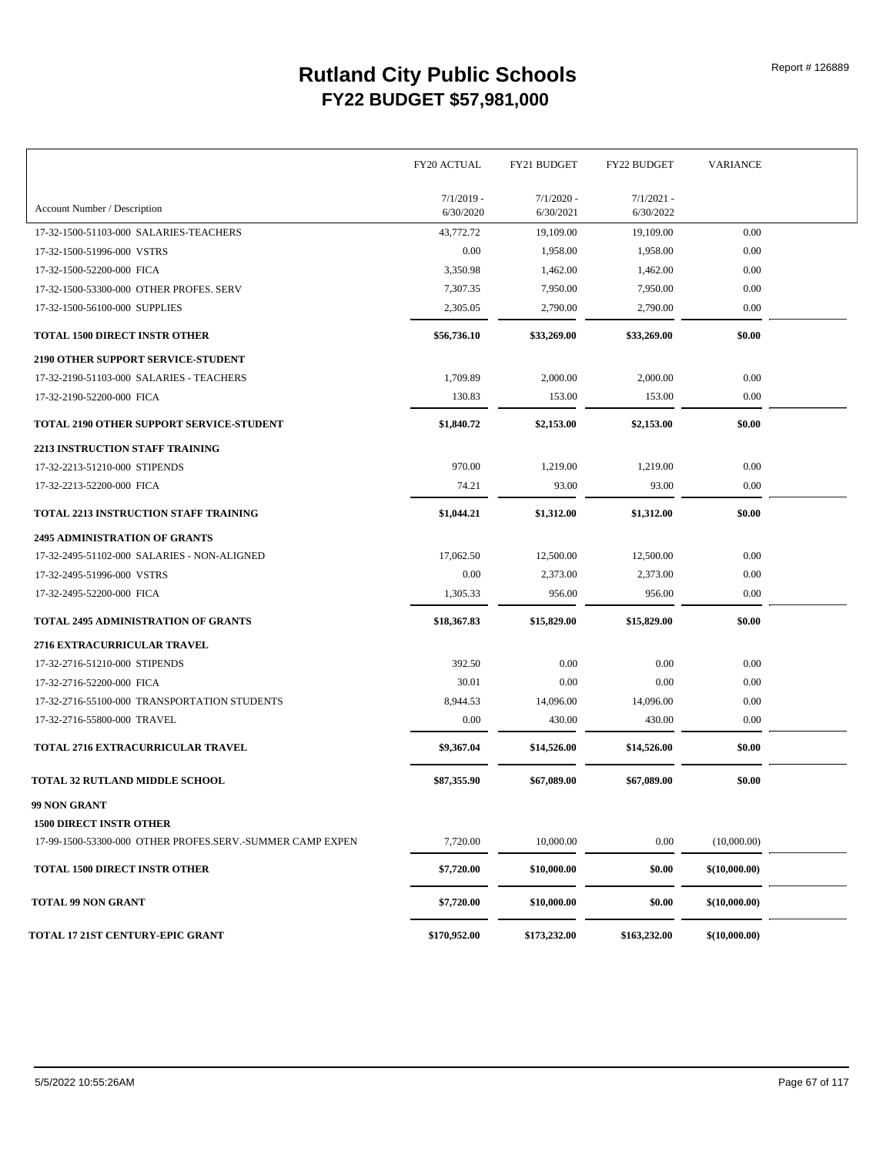|                                                           | FY20 ACTUAL  | FY21 BUDGET  | FY22 BUDGET  | <b>VARIANCE</b> |  |
|-----------------------------------------------------------|--------------|--------------|--------------|-----------------|--|
|                                                           | $7/1/2019$ - | $7/1/2020$ - | $7/1/2021 -$ |                 |  |
| Account Number / Description                              | 6/30/2020    | 6/30/2021    | 6/30/2022    |                 |  |
| 17-32-1500-51103-000 SALARIES-TEACHERS                    | 43,772.72    | 19,109.00    | 19,109.00    | 0.00            |  |
| 17-32-1500-51996-000 VSTRS                                | 0.00         | 1.958.00     | 1,958.00     | 0.00            |  |
| 17-32-1500-52200-000 FICA                                 | 3,350.98     | 1,462.00     | 1,462.00     | 0.00            |  |
| 17-32-1500-53300-000 OTHER PROFES. SERV                   | 7,307.35     | 7,950.00     | 7,950.00     | 0.00            |  |
| 17-32-1500-56100-000 SUPPLIES                             | 2,305.05     | 2,790.00     | 2,790.00     | 0.00            |  |
| <b>TOTAL 1500 DIRECT INSTR OTHER</b>                      | \$56,736.10  | \$33,269.00  | \$33,269.00  | \$0.00          |  |
| <b>2190 OTHER SUPPORT SERVICE-STUDENT</b>                 |              |              |              |                 |  |
| 17-32-2190-51103-000 SALARIES - TEACHERS                  | 1,709.89     | 2,000.00     | 2,000.00     | 0.00            |  |
| 17-32-2190-52200-000 FICA                                 | 130.83       | 153.00       | 153.00       | 0.00            |  |
| TOTAL 2190 OTHER SUPPORT SERVICE-STUDENT                  | \$1,840.72   | \$2,153.00   | \$2,153.00   | \$0.00          |  |
| <b>2213 INSTRUCTION STAFF TRAINING</b>                    |              |              |              |                 |  |
| 17-32-2213-51210-000 STIPENDS                             | 970.00       | 1,219.00     | 1,219.00     | 0.00            |  |
| 17-32-2213-52200-000 FICA                                 | 74.21        | 93.00        | 93.00        | 0.00            |  |
| <b>TOTAL 2213 INSTRUCTION STAFF TRAINING</b>              | \$1,044.21   | \$1,312.00   | \$1,312.00   | \$0.00          |  |
| <b>2495 ADMINISTRATION OF GRANTS</b>                      |              |              |              |                 |  |
| 17-32-2495-51102-000 SALARIES - NON-ALIGNED               | 17,062.50    | 12,500.00    | 12,500.00    | 0.00            |  |
| 17-32-2495-51996-000 VSTRS                                | 0.00         | 2,373.00     | 2,373.00     | 0.00            |  |
| 17-32-2495-52200-000 FICA                                 | 1,305.33     | 956.00       | 956.00       | 0.00            |  |
| <b>TOTAL 2495 ADMINISTRATION OF GRANTS</b>                | \$18,367.83  | \$15,829.00  | \$15,829.00  | \$0.00          |  |
| <b>2716 EXTRACURRICULAR TRAVEL</b>                        |              |              |              |                 |  |
| 17-32-2716-51210-000 STIPENDS                             | 392.50       | 0.00         | 0.00         | 0.00            |  |
| 17-32-2716-52200-000 FICA                                 | 30.01        | 0.00         | 0.00         | 0.00            |  |
| 17-32-2716-55100-000 TRANSPORTATION STUDENTS              | 8,944.53     | 14,096.00    | 14,096.00    | 0.00            |  |
| 17-32-2716-55800-000 TRAVEL                               | 0.00         | 430.00       | 430.00       | 0.00            |  |
| <b>TOTAL 2716 EXTRACURRICULAR TRAVEL</b>                  | \$9,367.04   | \$14,526.00  | \$14,526.00  | \$0.00          |  |
| <b>TOTAL 32 RUTLAND MIDDLE SCHOOL</b>                     | \$87,355.90  | \$67,089.00  | \$67,089.00  | \$0.00          |  |
| 99 NON GRANT                                              |              |              |              |                 |  |
| <b>1500 DIRECT INSTR OTHER</b>                            |              |              |              |                 |  |
| 17-99-1500-53300-000 OTHER PROFES.SERV.-SUMMER CAMP EXPEN | 7,720.00     | 10,000.00    | 0.00         | (10,000.00)     |  |
| <b>TOTAL 1500 DIRECT INSTR OTHER</b>                      | \$7,720.00   | \$10,000.00  | \$0.00       | \$(10,000.00)   |  |
| <b>TOTAL 99 NON GRANT</b>                                 | \$7,720.00   | \$10,000.00  | \$0.00       | \$(10,000.00)   |  |
| TOTAL 17 21ST CENTURY-EPIC GRANT                          | \$170,952.00 | \$173,232.00 | \$163,232.00 | \$(10,000.00)   |  |
|                                                           |              |              |              |                 |  |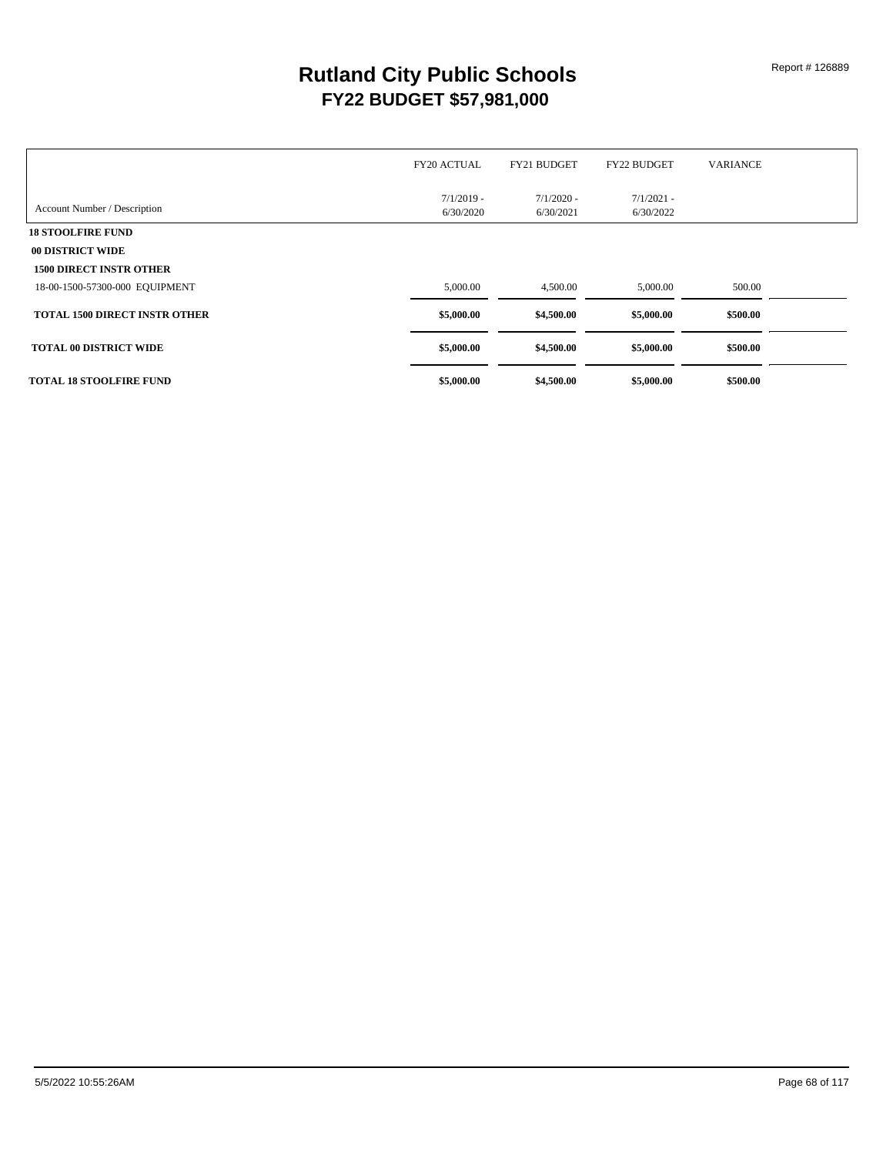|                                      | <b>FY20 ACTUAL</b>        | <b>FY21 BUDGET</b>        | <b>FY22 BUDGET</b>        | <b>VARIANCE</b> |  |
|--------------------------------------|---------------------------|---------------------------|---------------------------|-----------------|--|
| Account Number / Description         | $7/1/2019$ -<br>6/30/2020 | $7/1/2020$ -<br>6/30/2021 | $7/1/2021 -$<br>6/30/2022 |                 |  |
| <b>18 STOOLFIRE FUND</b>             |                           |                           |                           |                 |  |
| <b>00 DISTRICT WIDE</b>              |                           |                           |                           |                 |  |
| <b>1500 DIRECT INSTR OTHER</b>       |                           |                           |                           |                 |  |
| 18-00-1500-57300-000 EQUIPMENT       | 5,000.00                  | 4,500.00                  | 5,000.00                  | 500.00          |  |
| <b>TOTAL 1500 DIRECT INSTR OTHER</b> | \$5,000.00                | \$4,500.00                | \$5,000.00                | \$500.00        |  |
| <b>TOTAL 00 DISTRICT WIDE</b>        | \$5,000.00                | \$4,500.00                | \$5,000.00                | \$500.00        |  |
| <b>TOTAL 18 STOOLFIRE FUND</b>       | \$5,000.00                | \$4,500.00                | \$5,000.00                | \$500.00        |  |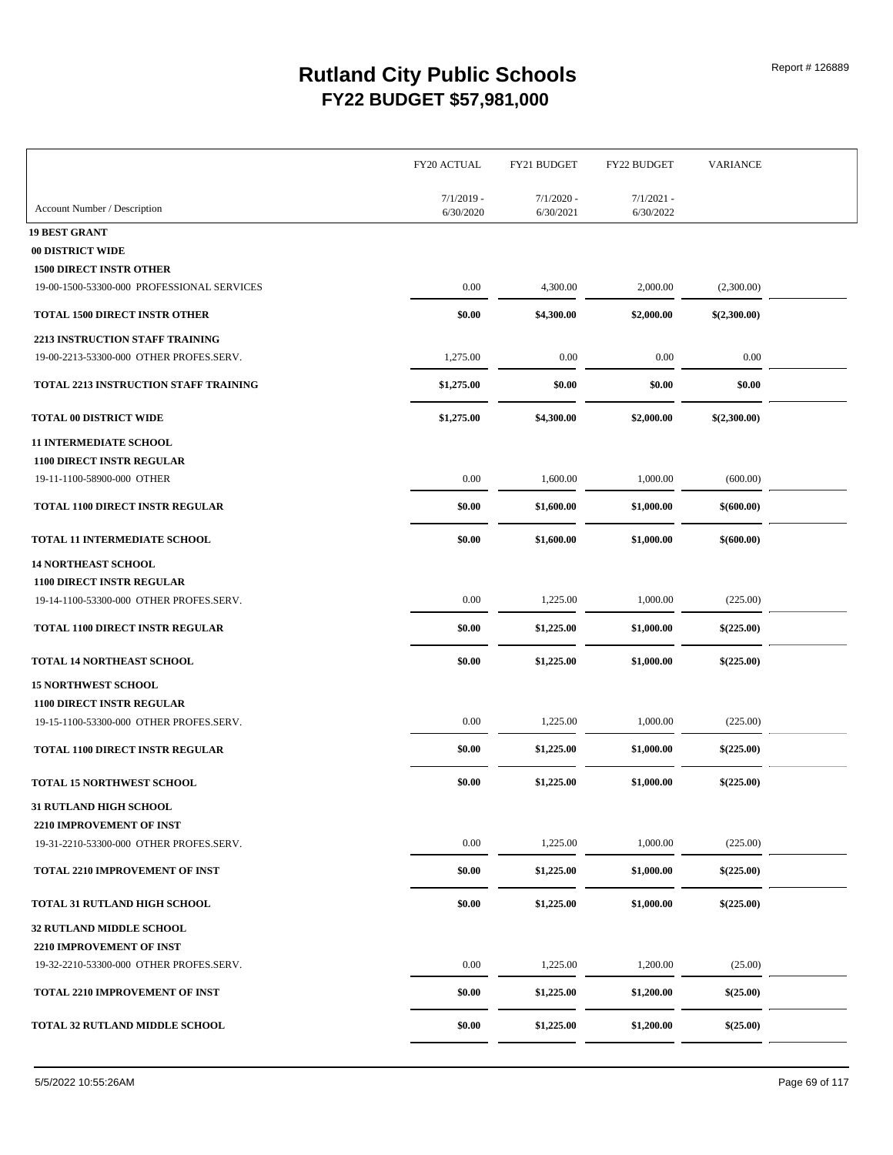|                                            | FY20 ACTUAL  | FY21 BUDGET  | FY22 BUDGET  | <b>VARIANCE</b> |  |
|--------------------------------------------|--------------|--------------|--------------|-----------------|--|
|                                            | $7/1/2019$ - | $7/1/2020$ - | $7/1/2021$ - |                 |  |
| Account Number / Description               | 6/30/2020    | 6/30/2021    | 6/30/2022    |                 |  |
| <b>19 BEST GRANT</b>                       |              |              |              |                 |  |
| <b>00 DISTRICT WIDE</b>                    |              |              |              |                 |  |
| <b>1500 DIRECT INSTR OTHER</b>             |              |              |              |                 |  |
| 19-00-1500-53300-000 PROFESSIONAL SERVICES | 0.00         | 4,300.00     | 2,000.00     | (2,300.00)      |  |
| <b>TOTAL 1500 DIRECT INSTR OTHER</b>       | \$0.00       | \$4,300.00   | \$2,000.00   | \$(2,300.00)    |  |
| <b>2213 INSTRUCTION STAFF TRAINING</b>     |              |              |              |                 |  |
| 19-00-2213-53300-000 OTHER PROFES.SERV.    | 1,275.00     | 0.00         | 0.00         | 0.00            |  |
| TOTAL 2213 INSTRUCTION STAFF TRAINING      | \$1,275.00   | \$0.00       | \$0.00       | \$0.00          |  |
| <b>TOTAL 00 DISTRICT WIDE</b>              | \$1,275.00   | \$4,300.00   | \$2,000.00   | \$(2,300.00)    |  |
| <b>11 INTERMEDIATE SCHOOL</b>              |              |              |              |                 |  |
| <b>1100 DIRECT INSTR REGULAR</b>           |              |              |              |                 |  |
| 19-11-1100-58900-000 OTHER                 | 0.00         | 1,600.00     | 1,000.00     | (600.00)        |  |
| <b>TOTAL 1100 DIRECT INSTR REGULAR</b>     | \$0.00       | \$1,600.00   | \$1,000.00   | \$(600.00)      |  |
| <b>TOTAL 11 INTERMEDIATE SCHOOL</b>        | \$0.00       | \$1,600.00   | \$1,000.00   | \$(600.00)      |  |
| <b>14 NORTHEAST SCHOOL</b>                 |              |              |              |                 |  |
| <b>1100 DIRECT INSTR REGULAR</b>           |              |              |              |                 |  |
| 19-14-1100-53300-000 OTHER PROFES.SERV.    | 0.00         | 1,225.00     | 1,000.00     | (225.00)        |  |
| <b>TOTAL 1100 DIRECT INSTR REGULAR</b>     | \$0.00       | \$1,225.00   | \$1,000.00   | \$(225.00)      |  |
| TOTAL 14 NORTHEAST SCHOOL                  | \$0.00       | \$1,225.00   | \$1,000.00   | \$(225.00)      |  |
| <b>15 NORTHWEST SCHOOL</b>                 |              |              |              |                 |  |
| <b>1100 DIRECT INSTR REGULAR</b>           |              |              |              |                 |  |
| 19-15-1100-53300-000 OTHER PROFES.SERV.    | 0.00         | 1,225.00     | 1,000.00     | (225.00)        |  |
| <b>TOTAL 1100 DIRECT INSTR REGULAR</b>     | \$0.00       | \$1,225.00   | \$1,000.00   | \$(225.00)      |  |
| <b>TOTAL 15 NORTHWEST SCHOOL</b>           | \$0.00       | \$1,225.00   | \$1,000.00   | \$(225.00)      |  |
| <b>31 RUTLAND HIGH SCHOOL</b>              |              |              |              |                 |  |
| <b>2210 IMPROVEMENT OF INST</b>            |              |              |              |                 |  |
| 19-31-2210-53300-000 OTHER PROFES.SERV.    | 0.00         | 1,225.00     | 1,000.00     | (225.00)        |  |
| TOTAL 2210 IMPROVEMENT OF INST             | \$0.00       | \$1,225.00   | \$1,000.00   | \$(225.00)      |  |
| TOTAL 31 RUTLAND HIGH SCHOOL               | \$0.00       | \$1,225.00   | \$1,000.00   | \$(225.00)      |  |
| 32 RUTLAND MIDDLE SCHOOL                   |              |              |              |                 |  |
| 2210 IMPROVEMENT OF INST                   |              |              |              |                 |  |
| 19-32-2210-53300-000 OTHER PROFES.SERV.    | 0.00         | 1,225.00     | 1,200.00     | (25.00)         |  |
| TOTAL 2210 IMPROVEMENT OF INST             | \$0.00       | \$1,225.00   | \$1,200.00   | \$(25.00)       |  |
| TOTAL 32 RUTLAND MIDDLE SCHOOL             | \$0.00       | \$1,225.00   | \$1,200.00   | \$(25.00)       |  |
|                                            |              |              |              |                 |  |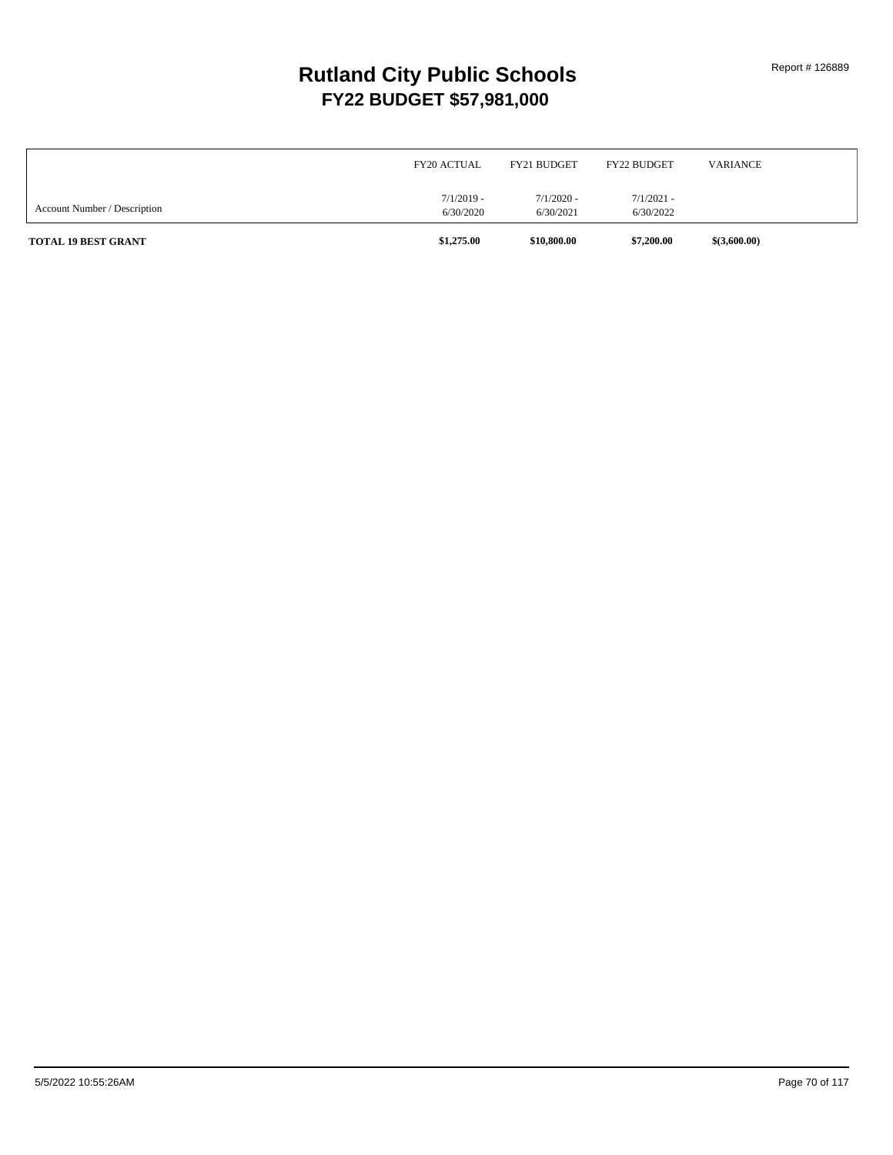| $7/1/2019$ -<br>Account Number / Description<br>6/30/2020 | $7/1/2020$ -<br>6/30/2021 | $7/1/2021 -$<br>6/30/2022 |                 |  |
|-----------------------------------------------------------|---------------------------|---------------------------|-----------------|--|
| <b>FY20 ACTUAL</b>                                        | <b>FY21 BUDGET</b>        | <b>FY22 BUDGET</b>        | <b>VARIANCE</b> |  |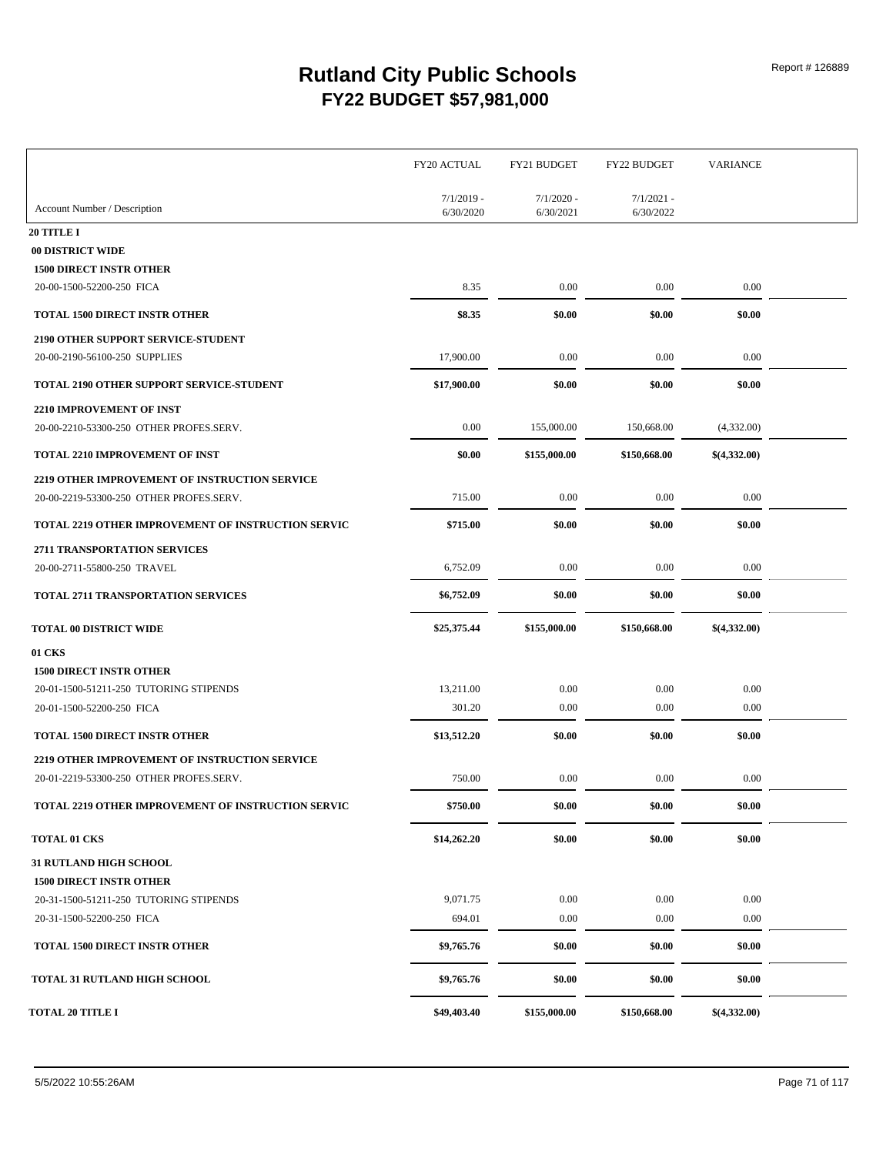|                                                           | <b>FY20 ACTUAL</b>        | FY21 BUDGET               | <b>FY22 BUDGET</b>        | <b>VARIANCE</b> |  |
|-----------------------------------------------------------|---------------------------|---------------------------|---------------------------|-----------------|--|
| Account Number / Description                              | $7/1/2019$ -<br>6/30/2020 | $7/1/2020$ -<br>6/30/2021 | $7/1/2021$ -<br>6/30/2022 |                 |  |
| <b>20 TITLE I</b>                                         |                           |                           |                           |                 |  |
| <b>00 DISTRICT WIDE</b>                                   |                           |                           |                           |                 |  |
| <b>1500 DIRECT INSTR OTHER</b>                            |                           |                           |                           |                 |  |
| 20-00-1500-52200-250 FICA                                 | 8.35                      | 0.00                      | 0.00                      | 0.00            |  |
| <b>TOTAL 1500 DIRECT INSTR OTHER</b>                      | \$8.35                    | \$0.00                    | \$0.00                    | \$0.00          |  |
| 2190 OTHER SUPPORT SERVICE-STUDENT                        |                           |                           |                           |                 |  |
| 20-00-2190-56100-250 SUPPLIES                             | 17,900.00                 | 0.00                      | 0.00                      | 0.00            |  |
| TOTAL 2190 OTHER SUPPORT SERVICE-STUDENT                  | \$17,900.00               | \$0.00                    | \$0.00                    | \$0.00          |  |
| 2210 IMPROVEMENT OF INST                                  |                           |                           |                           |                 |  |
| 20-00-2210-53300-250 OTHER PROFES.SERV.                   | 0.00                      | 155,000.00                | 150,668.00                | (4,332.00)      |  |
| <b>TOTAL 2210 IMPROVEMENT OF INST</b>                     | \$0.00                    | \$155,000.00              | \$150,668.00              | \$(4,332.00)    |  |
| <b>2219 OTHER IMPROVEMENT OF INSTRUCTION SERVICE</b>      |                           |                           |                           |                 |  |
| 20-00-2219-53300-250 OTHER PROFES.SERV.                   | 715.00                    | 0.00                      | 0.00                      | 0.00            |  |
| TOTAL 2219 OTHER IMPROVEMENT OF INSTRUCTION SERVIC        | \$715.00                  | \$0.00                    | \$0.00                    | \$0.00          |  |
| 2711 TRANSPORTATION SERVICES                              |                           |                           |                           |                 |  |
| 20-00-2711-55800-250 TRAVEL                               | 6,752.09                  | 0.00                      | 0.00                      | 0.00            |  |
| TOTAL 2711 TRANSPORTATION SERVICES                        | \$6,752.09                | \$0.00                    | \$0.00                    | \$0.00          |  |
| <b>TOTAL 00 DISTRICT WIDE</b>                             | \$25,375.44               | \$155,000.00              | \$150,668.00              | \$(4,332.00)    |  |
| <b>01 CKS</b>                                             |                           |                           |                           |                 |  |
| <b>1500 DIRECT INSTR OTHER</b>                            |                           |                           |                           |                 |  |
| 20-01-1500-51211-250 TUTORING STIPENDS                    | 13,211.00                 | 0.00                      | 0.00                      | 0.00            |  |
| 20-01-1500-52200-250 FICA                                 | 301.20                    | 0.00                      | 0.00                      | 0.00            |  |
| <b>TOTAL 1500 DIRECT INSTR OTHER</b>                      | \$13,512.20               | \$0.00                    | \$0.00                    | \$0.00          |  |
| 2219 OTHER IMPROVEMENT OF INSTRUCTION SERVICE             |                           |                           |                           |                 |  |
| 20-01-2219-53300-250 OTHER PROFES.SERV.                   | 750.00                    | 0.00                      | 0.00                      | 0.00            |  |
| <b>TOTAL 2219 OTHER IMPROVEMENT OF INSTRUCTION SERVIC</b> | \$750.00                  | \$0.00                    | \$0.00                    | \$0.00          |  |
| <b>TOTAL 01 CKS</b>                                       | \$14,262.20               | \$0.00                    | \$0.00                    | \$0.00          |  |
| 31 RUTLAND HIGH SCHOOL                                    |                           |                           |                           |                 |  |
| <b>1500 DIRECT INSTR OTHER</b>                            |                           |                           |                           |                 |  |
| 20-31-1500-51211-250 TUTORING STIPENDS                    | 9,071.75                  | 0.00                      | 0.00                      | 0.00            |  |
| 20-31-1500-52200-250 FICA                                 | 694.01                    | 0.00                      | 0.00                      | 0.00            |  |
| <b>TOTAL 1500 DIRECT INSTR OTHER</b>                      | \$9,765.76                | \$0.00                    | \$0.00                    | \$0.00          |  |
| TOTAL 31 RUTLAND HIGH SCHOOL                              | \$9,765.76                | \$0.00                    | \$0.00                    | \$0.00          |  |
| <b>TOTAL 20 TITLE I</b>                                   | \$49,403.40               | \$155,000.00              | \$150,668.00              | \$(4,332.00)    |  |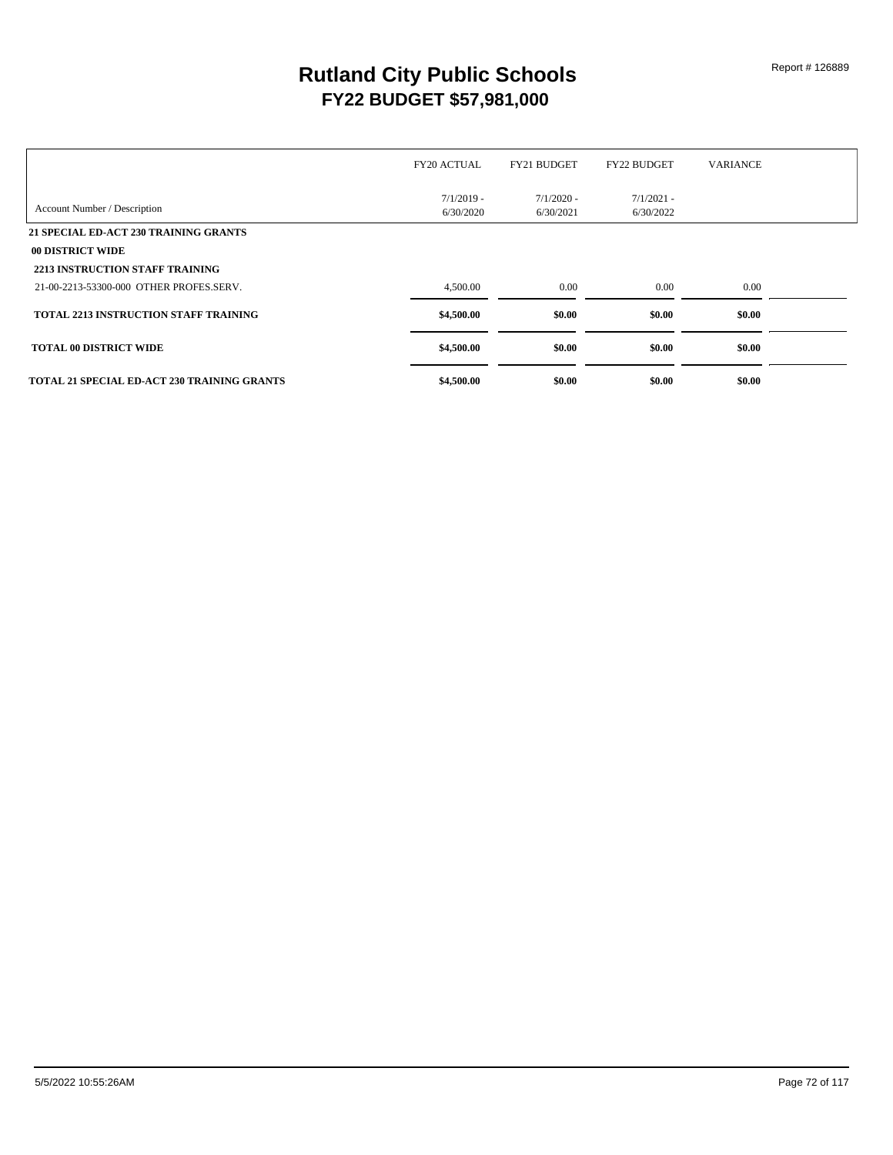|                                                    | <b>FY20 ACTUAL</b> | <b>FY21 BUDGET</b> | <b>FY22 BUDGET</b> | <b>VARIANCE</b> |  |
|----------------------------------------------------|--------------------|--------------------|--------------------|-----------------|--|
|                                                    | $7/1/2019$ -       | $7/1/2020$ -       | $7/1/2021 -$       |                 |  |
| Account Number / Description                       | 6/30/2020          | 6/30/2021          | 6/30/2022          |                 |  |
| 21 SPECIAL ED-ACT 230 TRAINING GRANTS              |                    |                    |                    |                 |  |
| <b>00 DISTRICT WIDE</b>                            |                    |                    |                    |                 |  |
| <b>2213 INSTRUCTION STAFF TRAINING</b>             |                    |                    |                    |                 |  |
| 21-00-2213-53300-000 OTHER PROFES.SERV.            | 4,500.00           | 0.00               | 0.00               | 0.00            |  |
| <b>TOTAL 2213 INSTRUCTION STAFF TRAINING</b>       | \$4,500.00         | \$0.00             | \$0.00             | \$0.00          |  |
| <b>TOTAL 00 DISTRICT WIDE</b>                      | \$4,500.00         | \$0.00             | \$0.00             | \$0.00          |  |
| <b>TOTAL 21 SPECIAL ED-ACT 230 TRAINING GRANTS</b> | \$4,500.00         | \$0.00             | \$0.00             | \$0.00          |  |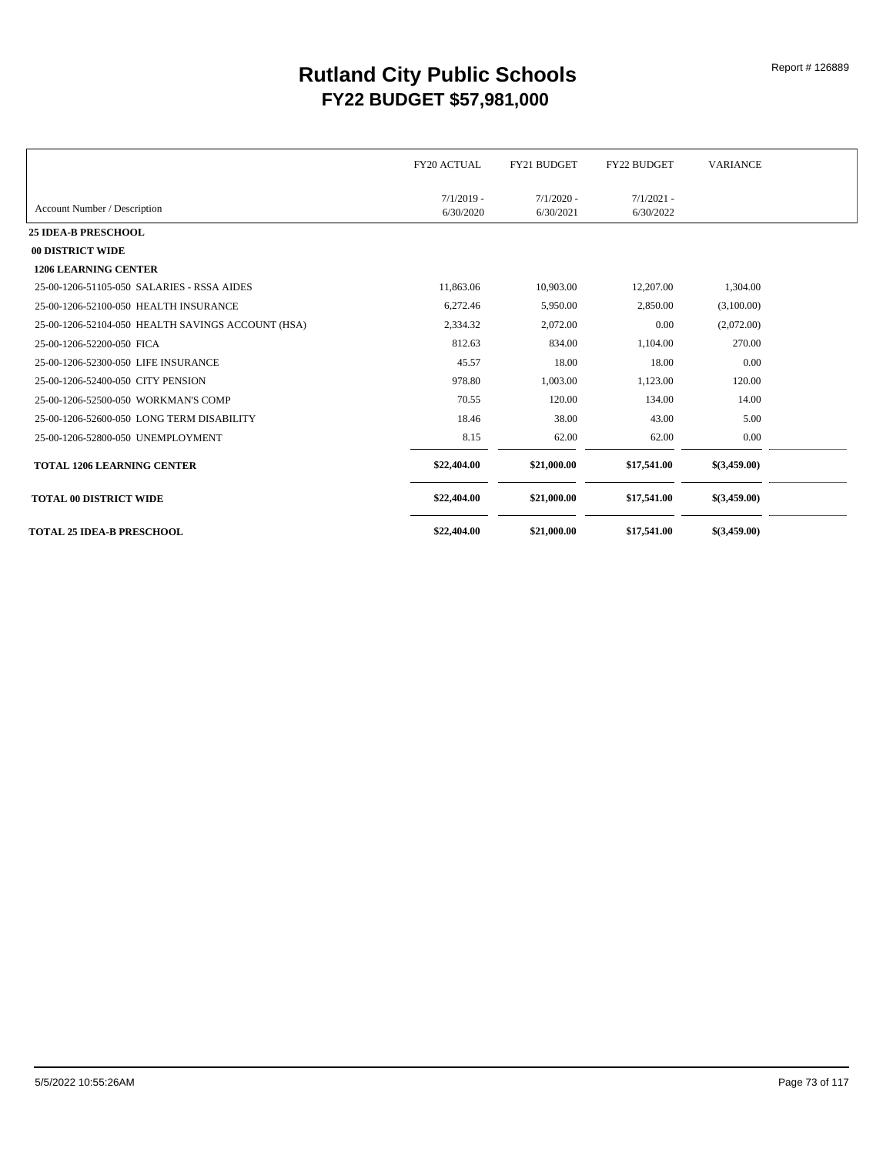|                                                   | FY20 ACTUAL               | <b>FY21 BUDGET</b>        | <b>FY22 BUDGET</b>        | <b>VARIANCE</b> |
|---------------------------------------------------|---------------------------|---------------------------|---------------------------|-----------------|
| Account Number / Description                      | $7/1/2019$ -<br>6/30/2020 | $7/1/2020$ -<br>6/30/2021 | $7/1/2021$ -<br>6/30/2022 |                 |
| <b>25 IDEA-B PRESCHOOL</b>                        |                           |                           |                           |                 |
| <b>00 DISTRICT WIDE</b>                           |                           |                           |                           |                 |
| <b>1206 LEARNING CENTER</b>                       |                           |                           |                           |                 |
| 25-00-1206-51105-050 SALARIES - RSSA AIDES        | 11,863.06                 | 10,903.00                 | 12,207.00                 | 1,304.00        |
| 25-00-1206-52100-050 HEALTH INSURANCE             | 6,272.46                  | 5,950.00                  | 2,850.00                  | (3,100.00)      |
| 25-00-1206-52104-050 HEALTH SAVINGS ACCOUNT (HSA) | 2,334.32                  | 2,072.00                  | 0.00                      | (2,072.00)      |
| 25-00-1206-52200-050 FICA                         | 812.63                    | 834.00                    | 1,104.00                  | 270.00          |
| 25-00-1206-52300-050 LIFE INSURANCE               | 45.57                     | 18.00                     | 18.00                     | 0.00            |
| 25-00-1206-52400-050 CITY PENSION                 | 978.80                    | 1,003.00                  | 1,123.00                  | 120.00          |
| 25-00-1206-52500-050 WORKMAN'S COMP               | 70.55                     | 120.00                    | 134.00                    | 14.00           |
| 25-00-1206-52600-050 LONG TERM DISABILITY         | 18.46                     | 38.00                     | 43.00                     | 5.00            |
| 25-00-1206-52800-050 UNEMPLOYMENT                 | 8.15                      | 62.00                     | 62.00                     | 0.00            |
| <b>TOTAL 1206 LEARNING CENTER</b>                 | \$22,404.00               | \$21,000.00               | \$17,541.00               | \$(3,459.00)    |
| <b>TOTAL 00 DISTRICT WIDE</b>                     | \$22,404.00               | \$21,000.00               | \$17,541.00               | \$(3,459.00)    |
| <b>TOTAL 25 IDEA-B PRESCHOOL</b>                  | \$22,404.00               | \$21,000.00               | \$17,541.00               | \$(3,459.00)    |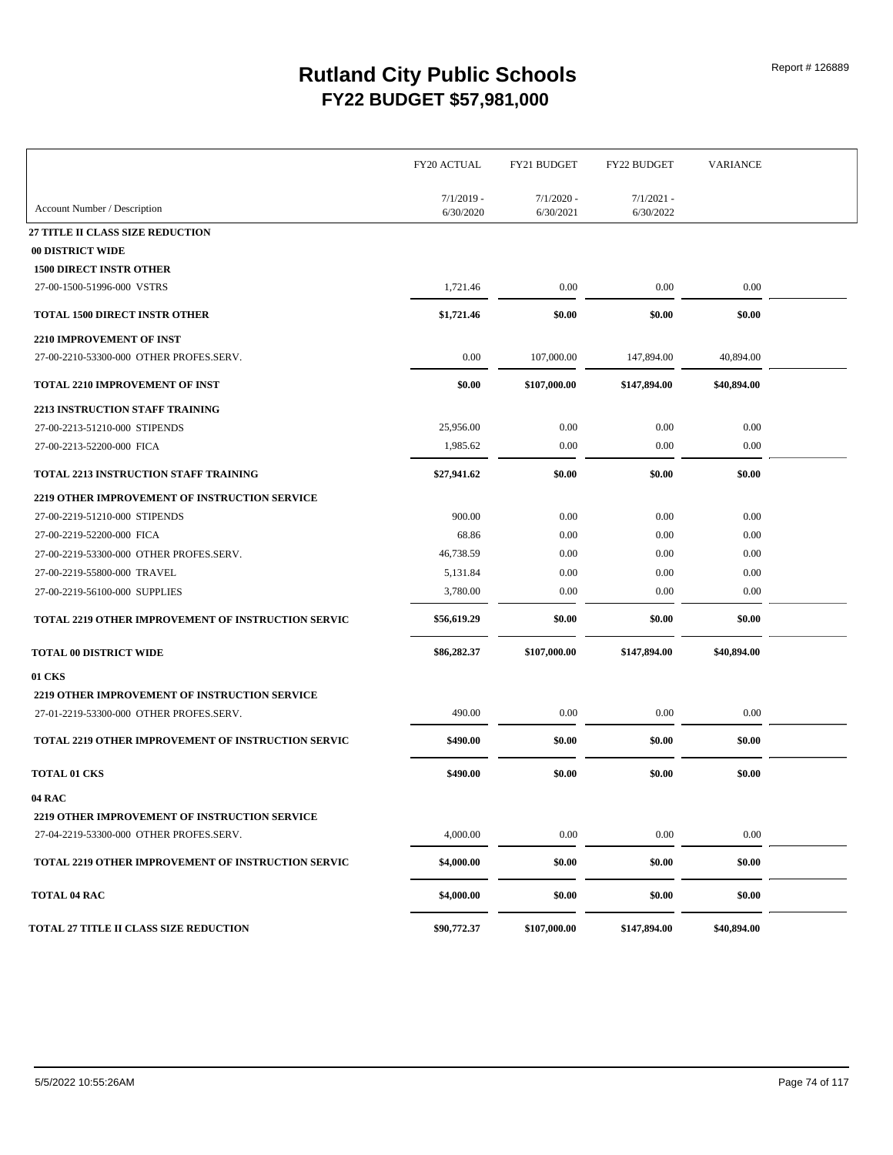|                                                             | FY20 ACTUAL  | FY21 BUDGET  | FY22 BUDGET  | <b>VARIANCE</b> |  |
|-------------------------------------------------------------|--------------|--------------|--------------|-----------------|--|
|                                                             | $7/1/2019$ - | $7/1/2020$ - | $7/1/2021$ - |                 |  |
| Account Number / Description                                | 6/30/2020    | 6/30/2021    | 6/30/2022    |                 |  |
| 27 TITLE II CLASS SIZE REDUCTION<br><b>00 DISTRICT WIDE</b> |              |              |              |                 |  |
| <b>1500 DIRECT INSTR OTHER</b>                              |              |              |              |                 |  |
| 27-00-1500-51996-000 VSTRS                                  | 1,721.46     | 0.00         | 0.00         | 0.00            |  |
|                                                             |              |              |              |                 |  |
| <b>TOTAL 1500 DIRECT INSTR OTHER</b>                        | \$1,721.46   | \$0.00       | \$0.00       | \$0.00          |  |
| 2210 IMPROVEMENT OF INST                                    |              |              |              |                 |  |
| 27-00-2210-53300-000 OTHER PROFES.SERV.                     | 0.00         | 107,000.00   | 147,894.00   | 40,894.00       |  |
| <b>TOTAL 2210 IMPROVEMENT OF INST</b>                       | \$0.00       | \$107,000.00 | \$147,894.00 | \$40,894.00     |  |
| 2213 INSTRUCTION STAFF TRAINING                             |              |              |              |                 |  |
| 27-00-2213-51210-000 STIPENDS                               | 25,956.00    | 0.00         | 0.00         | 0.00            |  |
| 27-00-2213-52200-000 FICA                                   | 1,985.62     | 0.00         | 0.00         | 0.00            |  |
| <b>TOTAL 2213 INSTRUCTION STAFF TRAINING</b>                | \$27,941.62  | \$0.00       | \$0.00       | \$0.00          |  |
| 2219 OTHER IMPROVEMENT OF INSTRUCTION SERVICE               |              |              |              |                 |  |
| 27-00-2219-51210-000 STIPENDS                               | 900.00       | 0.00         | 0.00         | 0.00            |  |
| 27-00-2219-52200-000 FICA                                   | 68.86        | 0.00         | 0.00         | 0.00            |  |
| 27-00-2219-53300-000 OTHER PROFES.SERV.                     | 46,738.59    | 0.00         | 0.00         | 0.00            |  |
| 27-00-2219-55800-000 TRAVEL                                 | 5,131.84     | 0.00         | 0.00         | 0.00            |  |
| 27-00-2219-56100-000 SUPPLIES                               | 3,780.00     | 0.00         | 0.00         | 0.00            |  |
| TOTAL 2219 OTHER IMPROVEMENT OF INSTRUCTION SERVIC          | \$56,619.29  | \$0.00       | \$0.00       | \$0.00          |  |
| <b>TOTAL 00 DISTRICT WIDE</b>                               | \$86,282.37  | \$107,000.00 | \$147,894.00 | \$40,894.00     |  |
| <b>01 CKS</b>                                               |              |              |              |                 |  |
| 2219 OTHER IMPROVEMENT OF INSTRUCTION SERVICE               |              |              |              |                 |  |
| 27-01-2219-53300-000 OTHER PROFES.SERV.                     | 490.00       | 0.00         | 0.00         | 0.00            |  |
| <b>TOTAL 2219 OTHER IMPROVEMENT OF INSTRUCTION SERVIC</b>   | \$490.00     | \$0.00       | \$0.00       | \$0.00          |  |
| <b>TOTAL 01 CKS</b>                                         | \$490.00     | \$0.00       | \$0.00       | \$0.00          |  |
| 04 RAC                                                      |              |              |              |                 |  |
| 2219 OTHER IMPROVEMENT OF INSTRUCTION SERVICE               |              |              |              |                 |  |
| 27-04-2219-53300-000 OTHER PROFES.SERV.                     | 4,000.00     | 0.00         | 0.00         | 0.00            |  |
| TOTAL 2219 OTHER IMPROVEMENT OF INSTRUCTION SERVIC          | \$4,000.00   | \$0.00       | \$0.00       | \$0.00          |  |
| <b>TOTAL 04 RAC</b>                                         | \$4,000.00   | \$0.00       | \$0.00       | \$0.00          |  |
|                                                             |              |              |              |                 |  |
| TOTAL 27 TITLE II CLASS SIZE REDUCTION                      | \$90,772.37  | \$107,000.00 | \$147,894.00 | \$40,894.00     |  |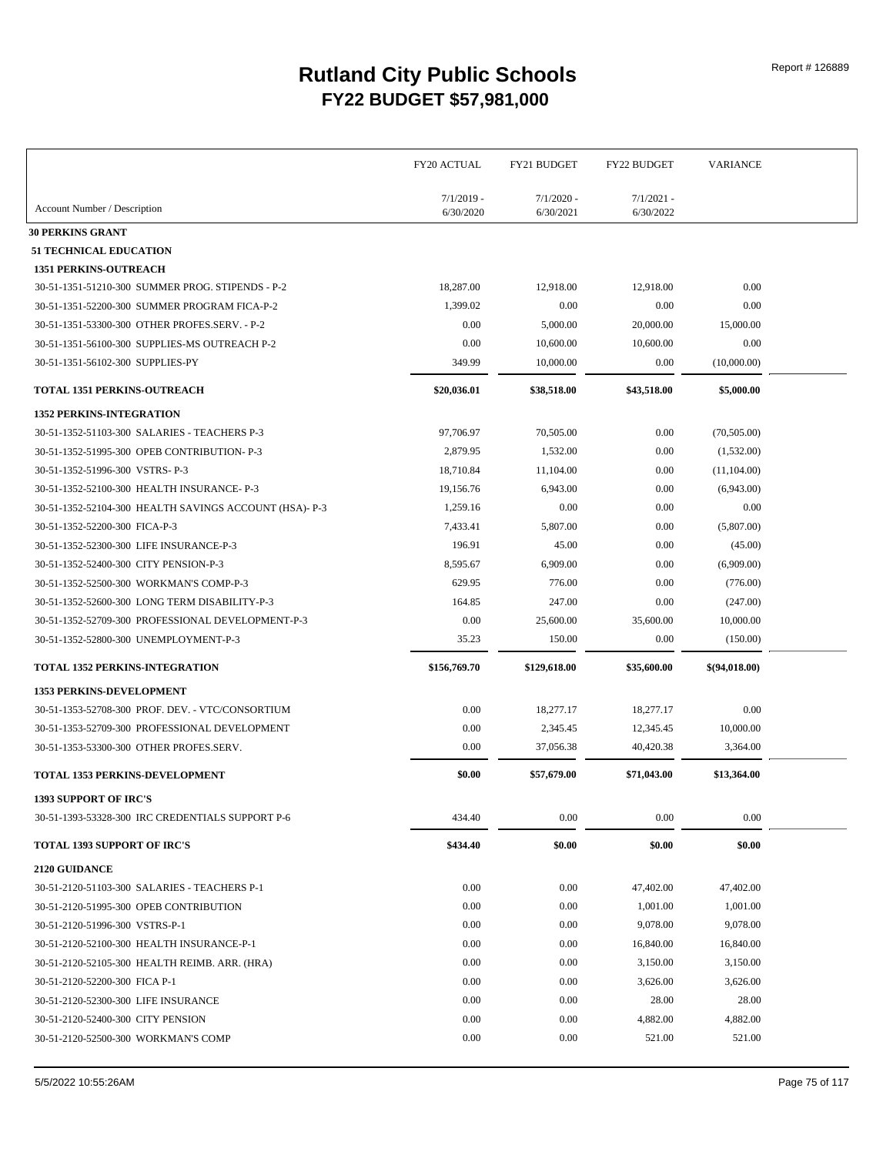|                                                        | <b>FY20 ACTUAL</b> | FY21 BUDGET  | FY22 BUDGET  | <b>VARIANCE</b> |  |
|--------------------------------------------------------|--------------------|--------------|--------------|-----------------|--|
|                                                        | $7/1/2019$ -       | $7/1/2020$ - | $7/1/2021 -$ |                 |  |
| Account Number / Description                           | 6/30/2020          | 6/30/2021    | 6/30/2022    |                 |  |
| <b>30 PERKINS GRANT</b>                                |                    |              |              |                 |  |
| <b>51 TECHNICAL EDUCATION</b>                          |                    |              |              |                 |  |
| <b>1351 PERKINS-OUTREACH</b>                           |                    |              |              |                 |  |
| 30-51-1351-51210-300 SUMMER PROG. STIPENDS - P-2       | 18,287.00          | 12,918.00    | 12,918.00    | 0.00            |  |
| 30-51-1351-52200-300 SUMMER PROGRAM FICA-P-2           | 1,399.02           | 0.00         | 0.00         | 0.00            |  |
| 30-51-1351-53300-300 OTHER PROFES.SERV. - P-2          | 0.00               | 5,000.00     | 20,000.00    | 15,000.00       |  |
| 30-51-1351-56100-300 SUPPLIES-MS OUTREACH P-2          | 0.00               | 10,600.00    | 10,600.00    | 0.00            |  |
| 30-51-1351-56102-300 SUPPLIES-PY                       | 349.99             | 10,000.00    | 0.00         | (10,000.00)     |  |
| TOTAL 1351 PERKINS-OUTREACH                            | \$20,036.01        | \$38,518.00  | \$43,518.00  | \$5,000.00      |  |
| <b>1352 PERKINS-INTEGRATION</b>                        |                    |              |              |                 |  |
| 30-51-1352-51103-300 SALARIES - TEACHERS P-3           | 97,706.97          | 70,505.00    | 0.00         | (70, 505.00)    |  |
| 30-51-1352-51995-300 OPEB CONTRIBUTION- P-3            | 2,879.95           | 1,532.00     | 0.00         | (1,532.00)      |  |
| 30-51-1352-51996-300 VSTRS-P-3                         | 18,710.84          | 11,104.00    | 0.00         | (11, 104.00)    |  |
| 30-51-1352-52100-300 HEALTH INSURANCE-P-3              | 19,156.76          | 6,943.00     | 0.00         | (6,943.00)      |  |
| 30-51-1352-52104-300 HEALTH SAVINGS ACCOUNT (HSA)- P-3 | 1,259.16           | 0.00         | 0.00         | 0.00            |  |
| 30-51-1352-52200-300 FICA-P-3                          | 7,433.41           | 5,807.00     | 0.00         | (5,807.00)      |  |
| 30-51-1352-52300-300 LIFE INSURANCE-P-3                | 196.91             | 45.00        | 0.00         | (45.00)         |  |
| 30-51-1352-52400-300 CITY PENSION-P-3                  | 8,595.67           | 6,909.00     | 0.00         | (6,909.00)      |  |
| 30-51-1352-52500-300 WORKMAN'S COMP-P-3                | 629.95             | 776.00       | 0.00         | (776.00)        |  |
| 30-51-1352-52600-300 LONG TERM DISABILITY-P-3          | 164.85             | 247.00       | 0.00         | (247.00)        |  |
| 30-51-1352-52709-300 PROFESSIONAL DEVELOPMENT-P-3      | 0.00               | 25,600.00    | 35,600.00    | 10,000.00       |  |
| 30-51-1352-52800-300 UNEMPLOYMENT-P-3                  | 35.23              | 150.00       | 0.00         | (150.00)        |  |
| <b>TOTAL 1352 PERKINS-INTEGRATION</b>                  | \$156,769.70       | \$129,618.00 | \$35,600.00  | \$(94,018.00)   |  |
| <b>1353 PERKINS-DEVELOPMENT</b>                        |                    |              |              |                 |  |
| 30-51-1353-52708-300 PROF. DEV. - VTC/CONSORTIUM       | 0.00               | 18,277.17    | 18,277.17    | 0.00            |  |
| 30-51-1353-52709-300 PROFESSIONAL DEVELOPMENT          | 0.00               | 2,345.45     | 12,345.45    | 10,000.00       |  |
| 30-51-1353-53300-300 OTHER PROFES.SERV.                | 0.00               | 37,056.38    | 40,420.38    | 3,364.00        |  |
| TOTAL 1353 PERKINS-DEVELOPMENT                         | \$0.00             | \$57,679.00  | \$71,043.00  | \$13,364.00     |  |
| <b>1393 SUPPORT OF IRC'S</b>                           |                    |              |              |                 |  |
| 30-51-1393-53328-300 IRC CREDENTIALS SUPPORT P-6       | 434.40             | 0.00         | $0.00\,$     | 0.00            |  |
| <b>TOTAL 1393 SUPPORT OF IRC'S</b>                     | \$434.40           | \$0.00       | \$0.00       | \$0.00          |  |
| <b>2120 GUIDANCE</b>                                   |                    |              |              |                 |  |
| 30-51-2120-51103-300 SALARIES - TEACHERS P-1           | 0.00               | 0.00         | 47,402.00    | 47,402.00       |  |
| 30-51-2120-51995-300 OPEB CONTRIBUTION                 | 0.00               | 0.00         | 1,001.00     | 1,001.00        |  |
| 30-51-2120-51996-300 VSTRS-P-1                         | 0.00               | 0.00         | 9,078.00     | 9,078.00        |  |
| 30-51-2120-52100-300 HEALTH INSURANCE-P-1              | 0.00               | 0.00         | 16,840.00    | 16,840.00       |  |
| 30-51-2120-52105-300 HEALTH REIMB. ARR. (HRA)          | 0.00               | 0.00         | 3,150.00     | 3,150.00        |  |
| 30-51-2120-52200-300 FICA P-1                          | 0.00               | 0.00         | 3,626.00     | 3,626.00        |  |
| 30-51-2120-52300-300 LIFE INSURANCE                    | 0.00               | 0.00         | 28.00        | 28.00           |  |
| 30-51-2120-52400-300 CITY PENSION                      | 0.00               | 0.00         | 4,882.00     | 4,882.00        |  |
| 30-51-2120-52500-300 WORKMAN'S COMP                    | 0.00               | 0.00         | 521.00       | 521.00          |  |
|                                                        |                    |              |              |                 |  |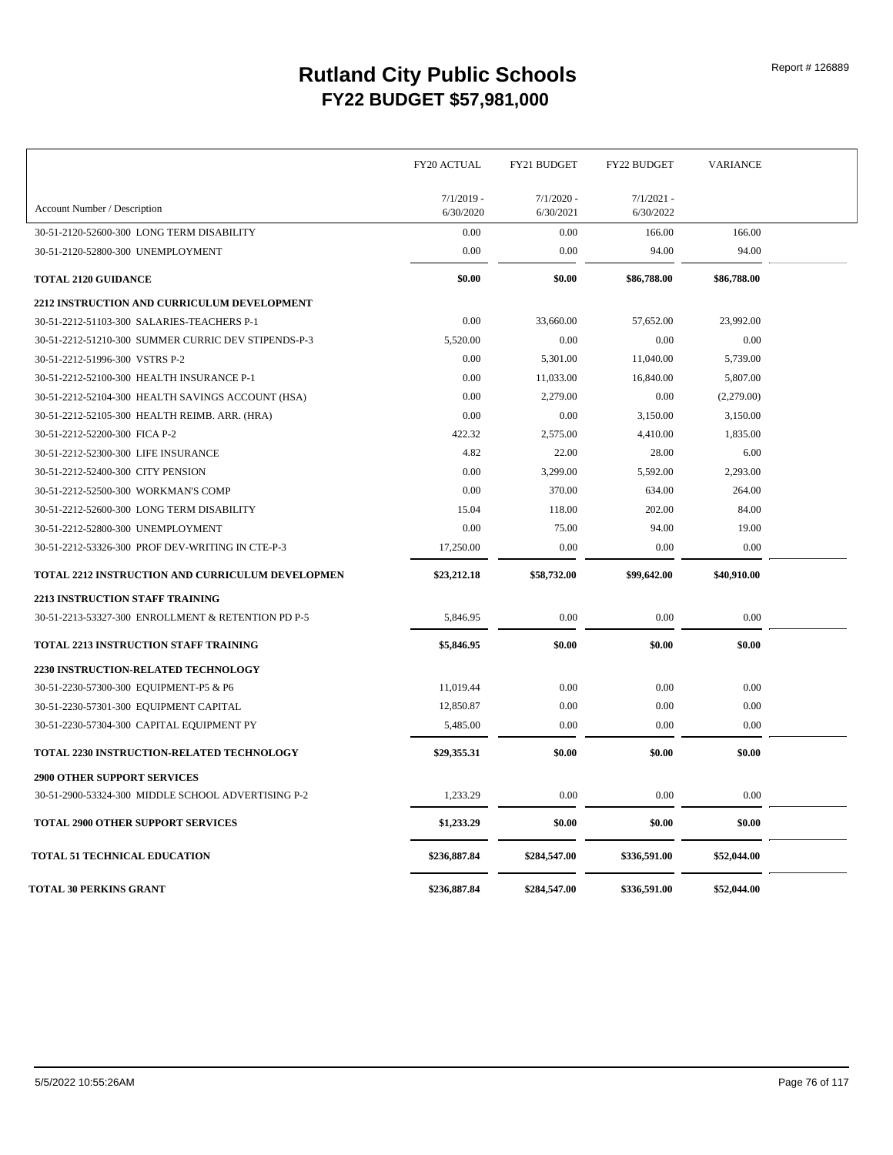|                                                         | FY20 ACTUAL  | FY21 BUDGET  | FY22 BUDGET  | <b>VARIANCE</b> |  |
|---------------------------------------------------------|--------------|--------------|--------------|-----------------|--|
|                                                         | $7/1/2019$ - | $7/1/2020$ - | $7/1/2021$ - |                 |  |
| Account Number / Description                            | 6/30/2020    | 6/30/2021    | 6/30/2022    |                 |  |
| 30-51-2120-52600-300 LONG TERM DISABILITY               | 0.00         | $0.00\,$     | 166.00       | 166.00          |  |
| 30-51-2120-52800-300 UNEMPLOYMENT                       | 0.00         | $0.00\,$     | 94.00        | 94.00           |  |
| <b>TOTAL 2120 GUIDANCE</b>                              | \$0.00       | \$0.00       | \$86,788.00  | \$86,788.00     |  |
| 2212 INSTRUCTION AND CURRICULUM DEVELOPMENT             |              |              |              |                 |  |
| 30-51-2212-51103-300 SALARIES-TEACHERS P-1              | 0.00         | 33,660.00    | 57,652.00    | 23,992.00       |  |
| 30-51-2212-51210-300 SUMMER CURRIC DEV STIPENDS-P-3     | 5,520.00     | 0.00         | 0.00         | 0.00            |  |
| 30-51-2212-51996-300 VSTRS P-2                          | 0.00         | 5,301.00     | 11,040.00    | 5,739.00        |  |
| 30-51-2212-52100-300 HEALTH INSURANCE P-1               | 0.00         | 11,033.00    | 16,840.00    | 5,807.00        |  |
| 30-51-2212-52104-300 HEALTH SAVINGS ACCOUNT (HSA)       | 0.00         | 2,279.00     | 0.00         | (2,279.00)      |  |
| 30-51-2212-52105-300 HEALTH REIMB. ARR. (HRA)           | 0.00         | 0.00         | 3,150.00     | 3,150.00        |  |
| 30-51-2212-52200-300 FICA P-2                           | 422.32       | 2,575.00     | 4,410.00     | 1,835.00        |  |
| 30-51-2212-52300-300 LIFE INSURANCE                     | 4.82         | 22.00        | 28.00        | 6.00            |  |
| 30-51-2212-52400-300 CITY PENSION                       | 0.00         | 3,299.00     | 5,592.00     | 2,293.00        |  |
| 30-51-2212-52500-300 WORKMAN'S COMP                     | 0.00         | 370.00       | 634.00       | 264.00          |  |
| 30-51-2212-52600-300 LONG TERM DISABILITY               | 15.04        | 118.00       | 202.00       | 84.00           |  |
| 30-51-2212-52800-300 UNEMPLOYMENT                       | 0.00         | 75.00        | 94.00        | 19.00           |  |
| 30-51-2212-53326-300 PROF DEV-WRITING IN CTE-P-3        | 17,250.00    | 0.00         | 0.00         | 0.00            |  |
| <b>TOTAL 2212 INSTRUCTION AND CURRICULUM DEVELOPMEN</b> | \$23,212.18  | \$58,732.00  | \$99,642.00  | \$40,910.00     |  |
| <b>2213 INSTRUCTION STAFF TRAINING</b>                  |              |              |              |                 |  |
| 30-51-2213-53327-300 ENROLLMENT & RETENTION PD P-5      | 5,846.95     | 0.00         | 0.00         | 0.00            |  |
| TOTAL 2213 INSTRUCTION STAFF TRAINING                   | \$5,846.95   | \$0.00       | \$0.00       | \$0.00          |  |
| 2230 INSTRUCTION-RELATED TECHNOLOGY                     |              |              |              |                 |  |
| 30-51-2230-57300-300 EQUIPMENT-P5 & P6                  | 11,019.44    | 0.00         | 0.00         | 0.00            |  |
| 30-51-2230-57301-300 EQUIPMENT CAPITAL                  | 12,850.87    | 0.00         | 0.00         | 0.00            |  |
| 30-51-2230-57304-300 CAPITAL EQUIPMENT PY               | 5,485.00     | 0.00         | 0.00         | 0.00            |  |
| TOTAL 2230 INSTRUCTION-RELATED TECHNOLOGY               | \$29,355.31  | \$0.00       | \$0.00       | \$0.00          |  |
| <b>2900 OTHER SUPPORT SERVICES</b>                      |              |              |              |                 |  |
| 30-51-2900-53324-300 MIDDLE SCHOOL ADVERTISING P-2      | 1,233.29     | 0.00         | 0.00         | 0.00            |  |
| <b>TOTAL 2900 OTHER SUPPORT SERVICES</b>                | \$1,233.29   | \$0.00       | \$0.00       | \$0.00          |  |
| <b>TOTAL 51 TECHNICAL EDUCATION</b>                     | \$236,887.84 | \$284,547.00 | \$336,591.00 | \$52,044.00     |  |
| <b>TOTAL 30 PERKINS GRANT</b>                           | \$236,887.84 | \$284,547.00 | \$336,591.00 | \$52,044.00     |  |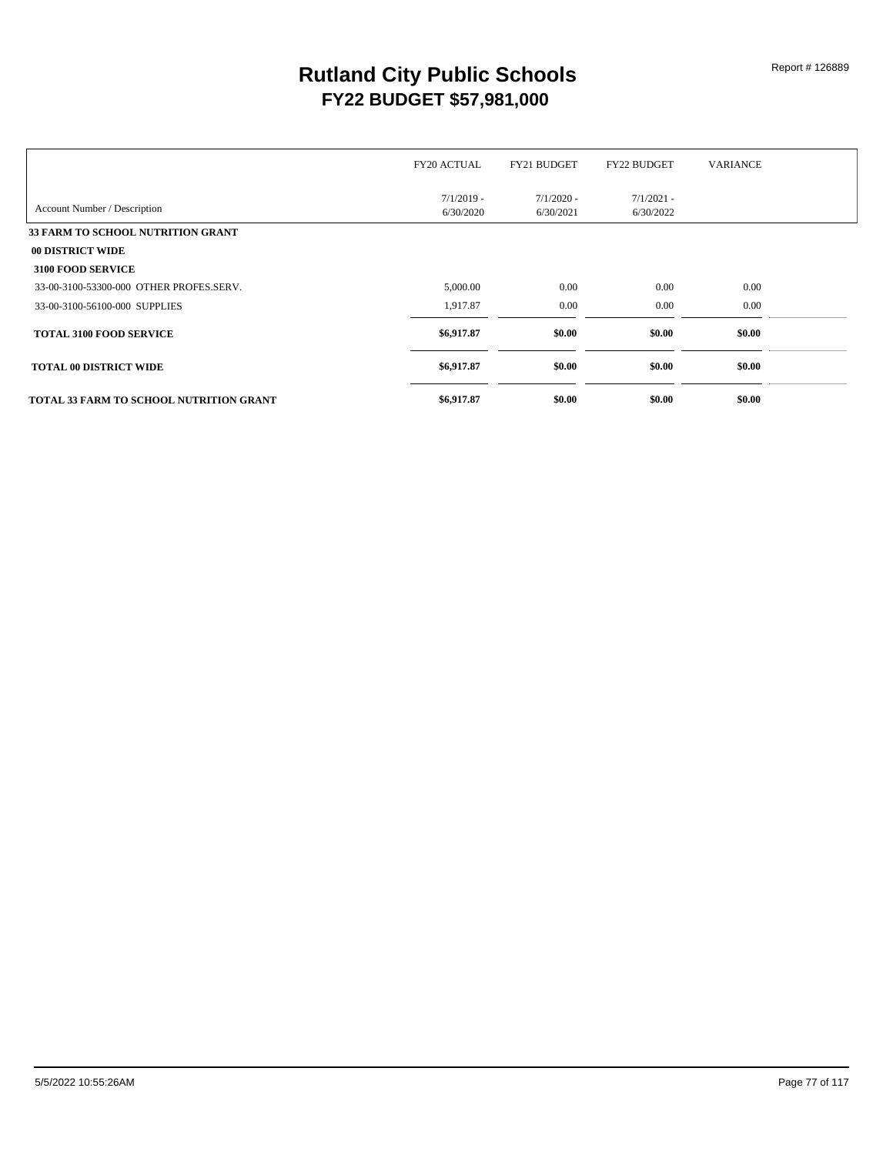|                                                | <b>FY20 ACTUAL</b> | FY21 BUDGET  | <b>FY22 BUDGET</b> | <b>VARIANCE</b> |
|------------------------------------------------|--------------------|--------------|--------------------|-----------------|
|                                                | $7/1/2019$ -       | $7/1/2020$ - | $7/1/2021 -$       |                 |
| Account Number / Description                   | 6/30/2020          | 6/30/2021    | 6/30/2022          |                 |
| 33 FARM TO SCHOOL NUTRITION GRANT              |                    |              |                    |                 |
| <b>00 DISTRICT WIDE</b>                        |                    |              |                    |                 |
| <b>3100 FOOD SERVICE</b>                       |                    |              |                    |                 |
| 33-00-3100-53300-000 OTHER PROFES.SERV.        | 5,000.00           | 0.00         | 0.00               | 0.00            |
| 33-00-3100-56100-000 SUPPLIES                  | 1,917.87           | $0.00\,$     | 0.00               | 0.00            |
| <b>TOTAL 3100 FOOD SERVICE</b>                 | \$6,917.87         | \$0.00       | \$0.00             | \$0.00          |
| <b>TOTAL 00 DISTRICT WIDE</b>                  | \$6,917.87         | \$0.00       | \$0.00             | \$0.00          |
| <b>TOTAL 33 FARM TO SCHOOL NUTRITION GRANT</b> | \$6,917.87         | \$0.00       | \$0.00             | \$0.00          |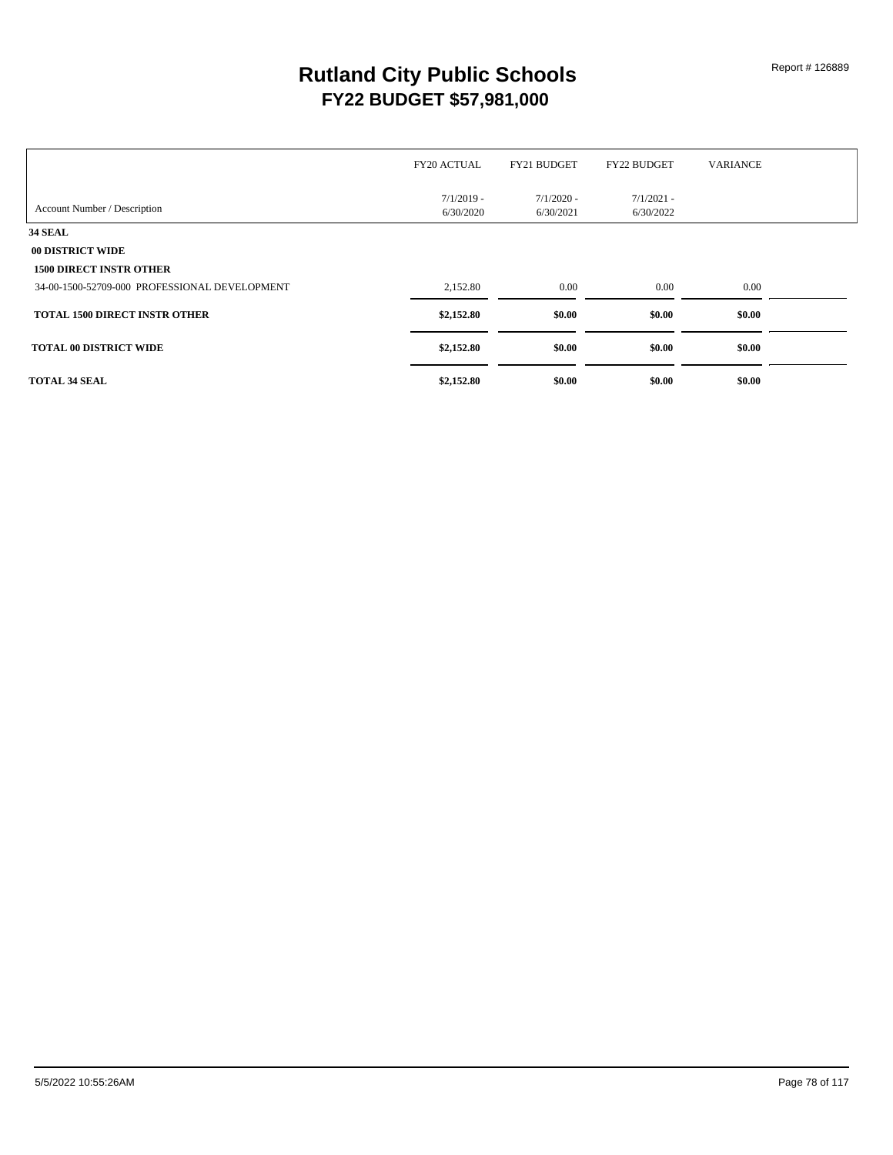|                                               | FY20 ACTUAL               | FY21 BUDGET               | <b>FY22 BUDGET</b>        | <b>VARIANCE</b> |  |
|-----------------------------------------------|---------------------------|---------------------------|---------------------------|-----------------|--|
| Account Number / Description                  | $7/1/2019$ -<br>6/30/2020 | $7/1/2020$ -<br>6/30/2021 | $7/1/2021 -$<br>6/30/2022 |                 |  |
| <b>34 SEAL</b>                                |                           |                           |                           |                 |  |
| <b>00 DISTRICT WIDE</b>                       |                           |                           |                           |                 |  |
| <b>1500 DIRECT INSTR OTHER</b>                |                           |                           |                           |                 |  |
| 34-00-1500-52709-000 PROFESSIONAL DEVELOPMENT | 2,152.80                  | $0.00\,$                  | $0.00\,$                  | $0.00\,$        |  |
| <b>TOTAL 1500 DIRECT INSTR OTHER</b>          | \$2,152.80                | \$0.00                    | \$0.00                    | \$0.00          |  |
| <b>TOTAL 00 DISTRICT WIDE</b>                 | \$2,152.80                | \$0.00                    | \$0.00                    | \$0.00          |  |
| <b>TOTAL 34 SEAL</b>                          | \$2,152.80                | \$0.00                    | \$0.00                    | \$0.00          |  |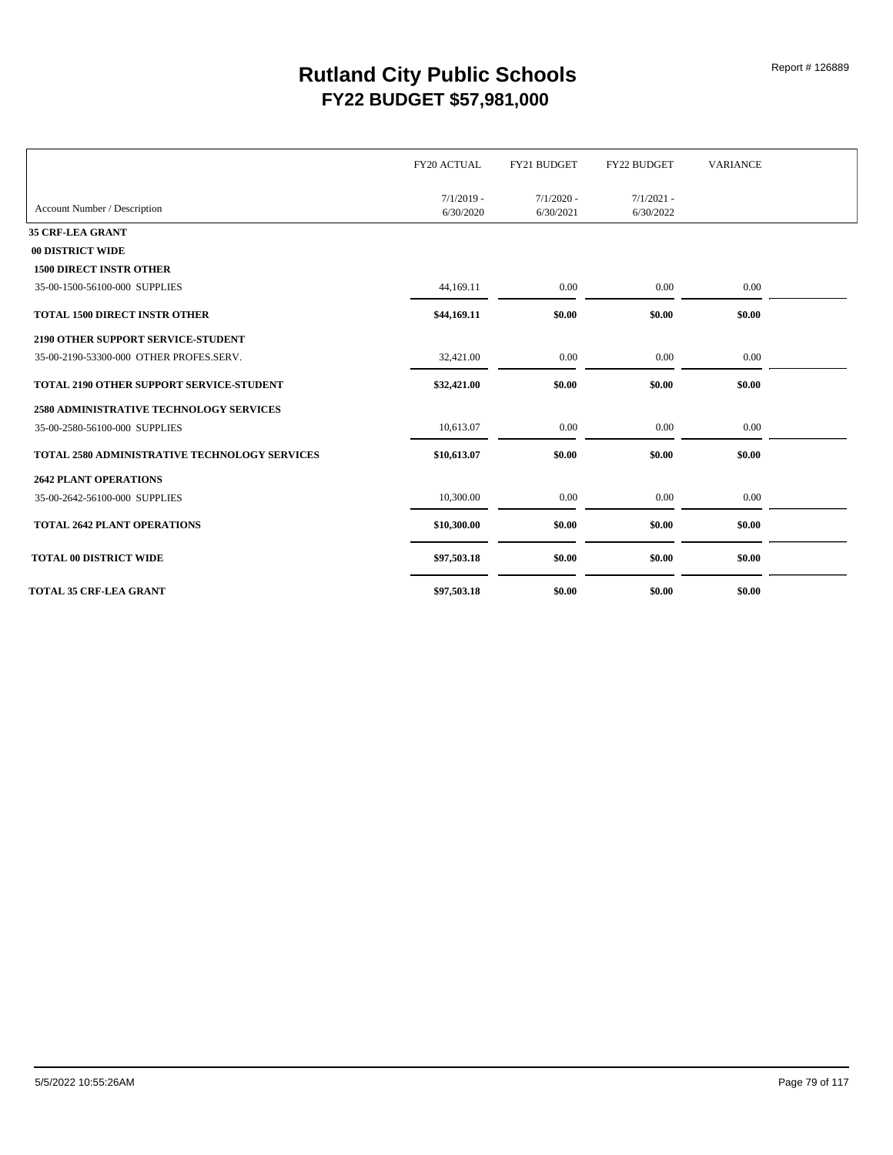|                                                      | FY20 ACTUAL  | FY21 BUDGET  | <b>FY22 BUDGET</b> | <b>VARIANCE</b> |  |
|------------------------------------------------------|--------------|--------------|--------------------|-----------------|--|
|                                                      | $7/1/2019$ - | $7/1/2020$ - | $7/1/2021 -$       |                 |  |
| Account Number / Description                         | 6/30/2020    | 6/30/2021    | 6/30/2022          |                 |  |
| <b>35 CRF-LEA GRANT</b>                              |              |              |                    |                 |  |
| <b>00 DISTRICT WIDE</b>                              |              |              |                    |                 |  |
| <b>1500 DIRECT INSTR OTHER</b>                       |              |              |                    |                 |  |
| 35-00-1500-56100-000 SUPPLIES                        | 44,169.11    | 0.00         | 0.00               | 0.00            |  |
| <b>TOTAL 1500 DIRECT INSTR OTHER</b>                 | \$44,169.11  | \$0.00       | \$0.00             | \$0.00          |  |
| <b>2190 OTHER SUPPORT SERVICE-STUDENT</b>            |              |              |                    |                 |  |
| 35-00-2190-53300-000 OTHER PROFES.SERV.              | 32,421.00    | 0.00         | 0.00               | 0.00            |  |
| TOTAL 2190 OTHER SUPPORT SERVICE-STUDENT             | \$32,421.00  | \$0.00       | \$0.00             | \$0.00          |  |
| <b>2580 ADMINISTRATIVE TECHNOLOGY SERVICES</b>       |              |              |                    |                 |  |
| 35-00-2580-56100-000 SUPPLIES                        | 10,613.07    | 0.00         | 0.00               | 0.00            |  |
| <b>TOTAL 2580 ADMINISTRATIVE TECHNOLOGY SERVICES</b> | \$10,613.07  | \$0.00       | \$0.00             | \$0.00          |  |
| <b>2642 PLANT OPERATIONS</b>                         |              |              |                    |                 |  |
| 35-00-2642-56100-000 SUPPLIES                        | 10,300.00    | 0.00         | 0.00               | 0.00            |  |
| <b>TOTAL 2642 PLANT OPERATIONS</b>                   | \$10,300.00  | \$0.00       | \$0.00             | \$0.00          |  |
| <b>TOTAL 00 DISTRICT WIDE</b>                        | \$97,503.18  | \$0.00       | \$0.00             | \$0.00          |  |
| <b>TOTAL 35 CRF-LEA GRANT</b>                        | \$97,503.18  | \$0.00       | \$0.00             | \$0.00          |  |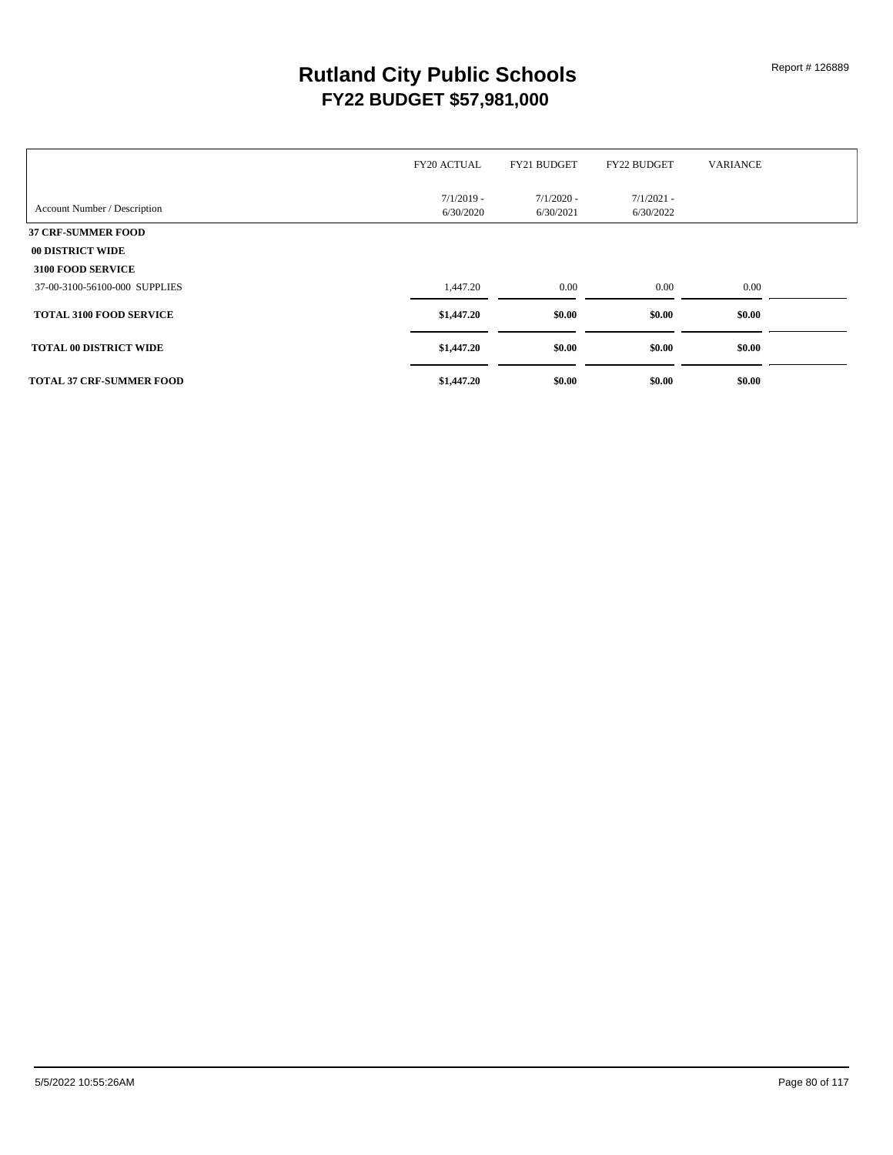|                                 | <b>FY20 ACTUAL</b> | FY21 BUDGET  | <b>FY22 BUDGET</b> | <b>VARIANCE</b> |  |
|---------------------------------|--------------------|--------------|--------------------|-----------------|--|
| Account Number / Description    | $7/1/2019$ -       | $7/1/2020$ - | $7/1/2021 -$       |                 |  |
| <b>37 CRF-SUMMER FOOD</b>       | 6/30/2020          | 6/30/2021    | 6/30/2022          |                 |  |
| <b>00 DISTRICT WIDE</b>         |                    |              |                    |                 |  |
| <b>3100 FOOD SERVICE</b>        |                    |              |                    |                 |  |
| 37-00-3100-56100-000 SUPPLIES   | 1,447.20           | 0.00         | $0.00\,$           | 0.00            |  |
| <b>TOTAL 3100 FOOD SERVICE</b>  | \$1,447.20         | \$0.00       | \$0.00             | \$0.00          |  |
| <b>TOTAL 00 DISTRICT WIDE</b>   | \$1,447.20         | \$0.00       | \$0.00             | \$0.00          |  |
| <b>TOTAL 37 CRF-SUMMER FOOD</b> | \$1,447.20         | \$0.00       | \$0.00             | \$0.00          |  |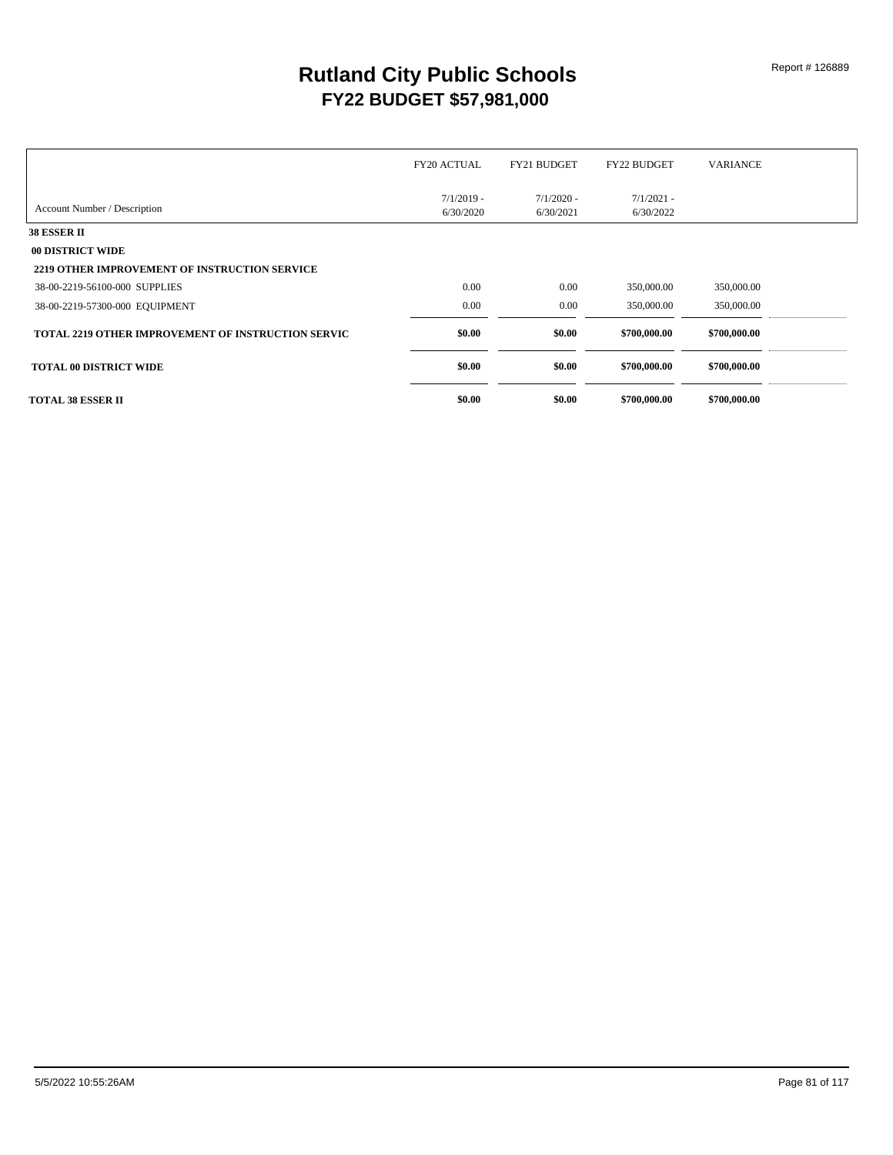|                                                           | <b>FY20 ACTUAL</b>        | FY21 BUDGET               | FY22 BUDGET               | <b>VARIANCE</b> |  |
|-----------------------------------------------------------|---------------------------|---------------------------|---------------------------|-----------------|--|
| Account Number / Description                              | $7/1/2019$ -<br>6/30/2020 | $7/1/2020$ -<br>6/30/2021 | $7/1/2021 -$<br>6/30/2022 |                 |  |
| <b>38 ESSER II</b>                                        |                           |                           |                           |                 |  |
| <b>00 DISTRICT WIDE</b>                                   |                           |                           |                           |                 |  |
| <b>2219 OTHER IMPROVEMENT OF INSTRUCTION SERVICE</b>      |                           |                           |                           |                 |  |
| 38-00-2219-56100-000 SUPPLIES                             | 0.00                      | 0.00                      | 350,000.00                | 350,000.00      |  |
| 38-00-2219-57300-000 EQUIPMENT                            | 0.00                      | $0.00\,$                  | 350,000.00                | 350,000.00      |  |
| <b>TOTAL 2219 OTHER IMPROVEMENT OF INSTRUCTION SERVIC</b> | \$0.00                    | \$0.00                    | \$700,000.00              | \$700,000.00    |  |
| <b>TOTAL 00 DISTRICT WIDE</b>                             | \$0.00                    | \$0.00                    | \$700,000.00              | \$700,000.00    |  |
| <b>TOTAL 38 ESSER II</b>                                  | \$0.00                    | \$0.00                    | \$700,000.00              | \$700,000.00    |  |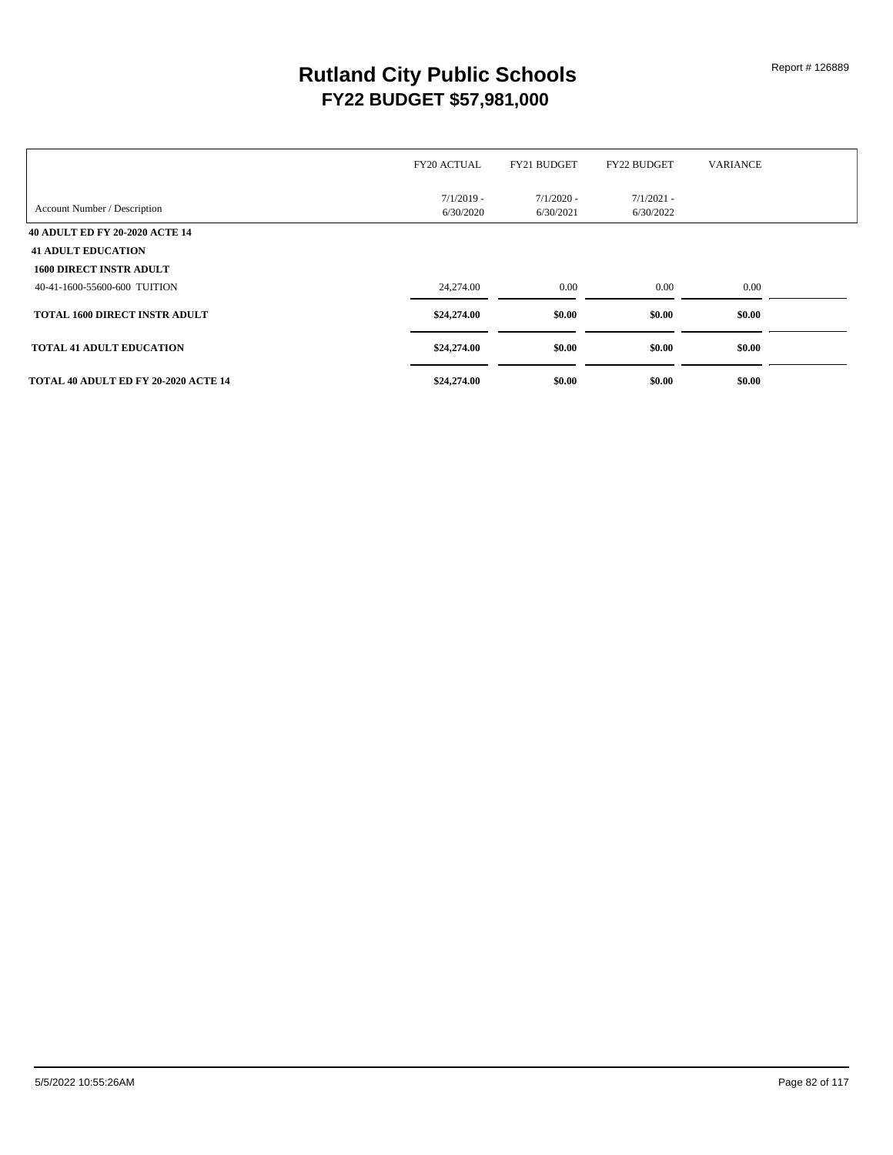|                                       | <b>FY20 ACTUAL</b> | <b>FY21 BUDGET</b> | <b>FY22 BUDGET</b> | <b>VARIANCE</b> |  |
|---------------------------------------|--------------------|--------------------|--------------------|-----------------|--|
|                                       | $7/1/2019$ -       | $7/1/2020$ -       | $7/1/2021 -$       |                 |  |
| Account Number / Description          | 6/30/2020          | 6/30/2021          | 6/30/2022          |                 |  |
| <b>40 ADULT ED FY 20-2020 ACTE 14</b> |                    |                    |                    |                 |  |
| <b>41 ADULT EDUCATION</b>             |                    |                    |                    |                 |  |
| <b>1600 DIRECT INSTR ADULT</b>        |                    |                    |                    |                 |  |
| 40-41-1600-55600-600 TUITION          | 24,274.00          | 0.00               | 0.00               | 0.00            |  |
| <b>TOTAL 1600 DIRECT INSTR ADULT</b>  | \$24,274.00        | \$0.00             | \$0.00             | \$0.00          |  |
| <b>TOTAL 41 ADULT EDUCATION</b>       | \$24,274.00        | \$0.00             | \$0.00             | \$0.00          |  |
| TOTAL 40 ADULT ED FY 20-2020 ACTE 14  | \$24,274.00        | \$0.00             | \$0.00             | \$0.00          |  |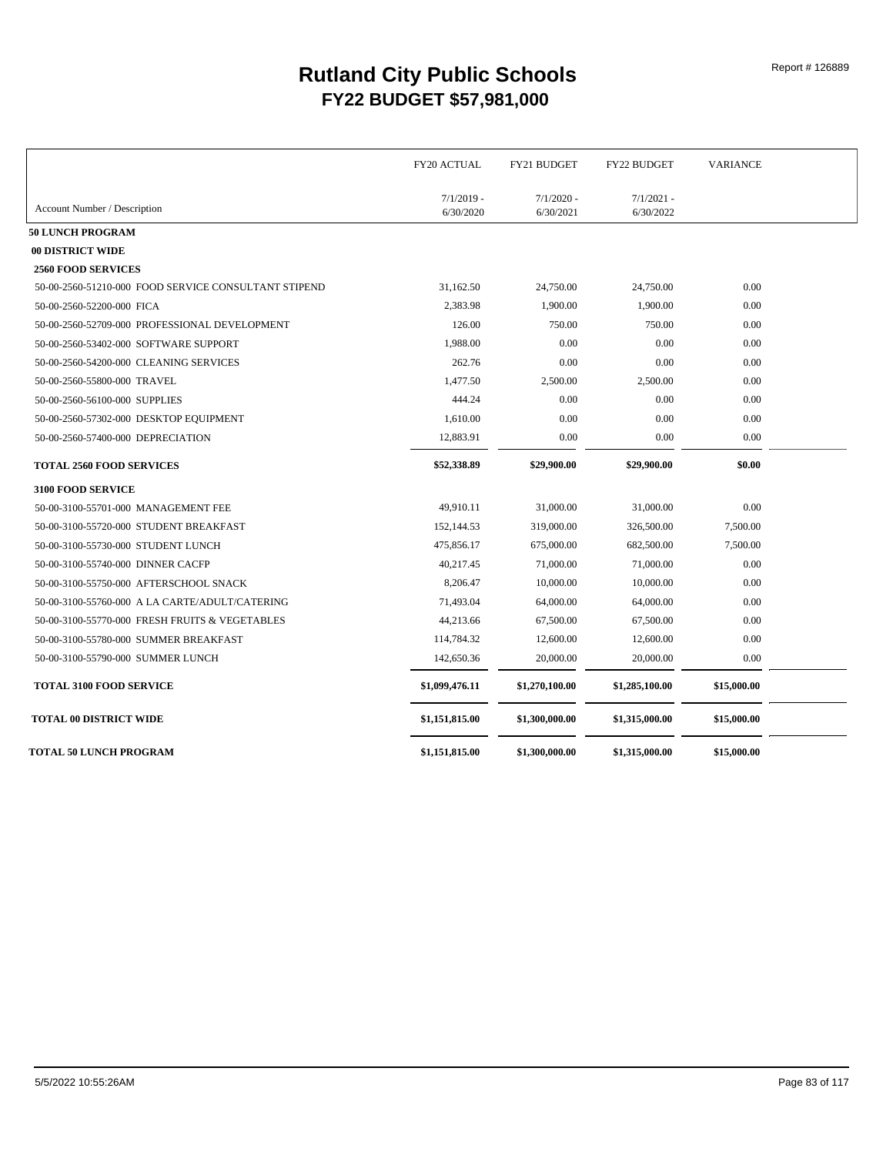|                                                      | FY20 ACTUAL    | FY21 BUDGET    | FY22 BUDGET    | <b>VARIANCE</b> |  |
|------------------------------------------------------|----------------|----------------|----------------|-----------------|--|
|                                                      | $7/1/2019$ -   | $7/1/2020$ -   | $7/1/2021$ -   |                 |  |
| Account Number / Description                         | 6/30/2020      | 6/30/2021      | 6/30/2022      |                 |  |
| <b>50 LUNCH PROGRAM</b>                              |                |                |                |                 |  |
| <b>00 DISTRICT WIDE</b>                              |                |                |                |                 |  |
| <b>2560 FOOD SERVICES</b>                            |                |                |                |                 |  |
| 50-00-2560-51210-000 FOOD SERVICE CONSULTANT STIPEND | 31,162.50      | 24,750.00      | 24,750.00      | 0.00            |  |
| 50-00-2560-52200-000 FICA                            | 2,383.98       | 1,900.00       | 1,900.00       | 0.00            |  |
| 50-00-2560-52709-000 PROFESSIONAL DEVELOPMENT        | 126.00         | 750.00         | 750.00         | 0.00            |  |
| 50-00-2560-53402-000 SOFTWARE SUPPORT                | 1.988.00       | 0.00           | 0.00           | 0.00            |  |
| 50-00-2560-54200-000 CLEANING SERVICES               | 262.76         | 0.00           | 0.00           | 0.00            |  |
| 50-00-2560-55800-000 TRAVEL                          | 1,477.50       | 2,500.00       | 2,500.00       | 0.00            |  |
| 50-00-2560-56100-000 SUPPLIES                        | 444.24         | 0.00           | 0.00           | 0.00            |  |
| 50-00-2560-57302-000 DESKTOP EQUIPMENT               | 1,610.00       | 0.00           | 0.00           | 0.00            |  |
| 50-00-2560-57400-000 DEPRECIATION                    | 12,883.91      | 0.00           | 0.00           | 0.00            |  |
| <b>TOTAL 2560 FOOD SERVICES</b>                      | \$52,338.89    | \$29,900.00    | \$29,900.00    | \$0.00          |  |
| <b>3100 FOOD SERVICE</b>                             |                |                |                |                 |  |
| 50-00-3100-55701-000 MANAGEMENT FEE                  | 49,910.11      | 31,000.00      | 31,000.00      | 0.00            |  |
| 50-00-3100-55720-000 STUDENT BREAKFAST               | 152,144.53     | 319,000.00     | 326,500.00     | 7,500.00        |  |
| 50-00-3100-55730-000 STUDENT LUNCH                   | 475,856.17     | 675,000.00     | 682,500.00     | 7,500.00        |  |
| 50-00-3100-55740-000 DINNER CACFP                    | 40,217.45      | 71,000.00      | 71,000.00      | 0.00            |  |
| 50-00-3100-55750-000 AFTERSCHOOL SNACK               | 8,206.47       | 10,000.00      | 10,000.00      | 0.00            |  |
| 50-00-3100-55760-000 A LA CARTE/ADULT/CATERING       | 71,493.04      | 64,000.00      | 64,000.00      | 0.00            |  |
| 50-00-3100-55770-000 FRESH FRUITS & VEGETABLES       | 44,213.66      | 67,500.00      | 67,500.00      | 0.00            |  |
| 50-00-3100-55780-000 SUMMER BREAKFAST                | 114,784.32     | 12,600.00      | 12,600.00      | 0.00            |  |
| 50-00-3100-55790-000 SUMMER LUNCH                    | 142,650.36     | 20,000.00      | 20,000.00      | 0.00            |  |
| <b>TOTAL 3100 FOOD SERVICE</b>                       | \$1,099,476.11 | \$1,270,100.00 | \$1,285,100.00 | \$15,000.00     |  |
| <b>TOTAL 00 DISTRICT WIDE</b>                        | \$1,151,815.00 | \$1,300,000.00 | \$1,315,000.00 | \$15,000.00     |  |
| <b>TOTAL 50 LUNCH PROGRAM</b>                        | \$1,151,815.00 | \$1,300,000.00 | \$1,315,000.00 | \$15,000.00     |  |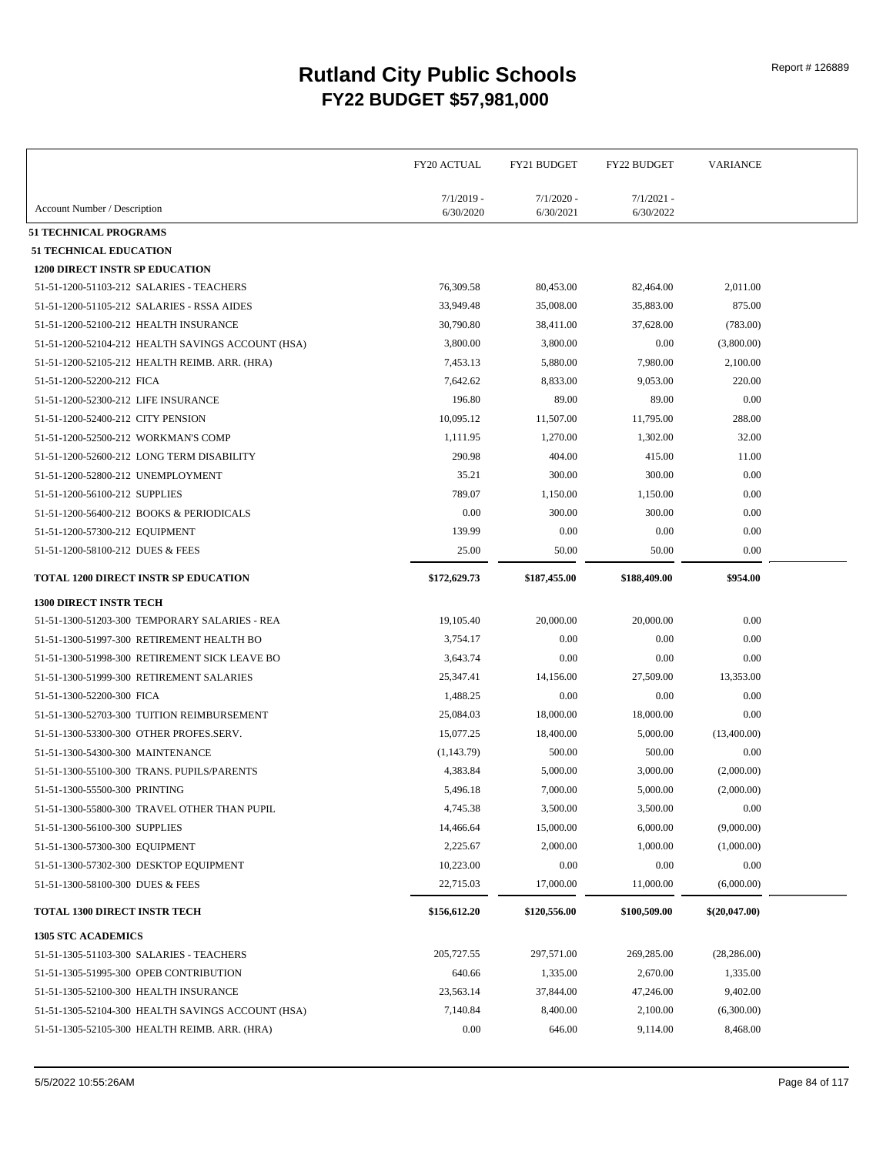| FY20 ACTUAL  | <b>FY21 BUDGET</b> | FY22 BUDGET  | <b>VARIANCE</b> |  |
|--------------|--------------------|--------------|-----------------|--|
|              |                    |              |                 |  |
| 6/30/2020    | 6/30/2021          | 6/30/2022    |                 |  |
|              |                    |              |                 |  |
|              |                    |              |                 |  |
|              |                    |              |                 |  |
| 76,309.58    | 80,453.00          | 82,464.00    | 2,011.00        |  |
| 33,949.48    | 35,008.00          | 35,883.00    | 875.00          |  |
| 30,790.80    | 38,411.00          | 37,628.00    | (783.00)        |  |
| 3,800.00     | 3,800.00           | 0.00         | (3,800.00)      |  |
| 7,453.13     | 5,880.00           | 7,980.00     | 2,100.00        |  |
| 7,642.62     | 8,833.00           | 9,053.00     | 220.00          |  |
| 196.80       | 89.00              | 89.00        | 0.00            |  |
| 10,095.12    | 11,507.00          | 11,795.00    | 288.00          |  |
| 1,111.95     | 1,270.00           | 1,302.00     | 32.00           |  |
| 290.98       | 404.00             | 415.00       | 11.00           |  |
| 35.21        | 300.00             | 300.00       | 0.00            |  |
| 789.07       | 1,150.00           | 1,150.00     | 0.00            |  |
| 0.00         | 300.00             | 300.00       | 0.00            |  |
| 139.99       | 0.00               | 0.00         | 0.00            |  |
| 25.00        | 50.00              | 50.00        | 0.00            |  |
| \$172,629.73 | \$187,455.00       | \$188,409.00 | \$954.00        |  |
|              |                    |              |                 |  |
| 19,105.40    | 20,000.00          | 20,000.00    | 0.00            |  |
| 3,754.17     | 0.00               | 0.00         | 0.00            |  |
| 3,643.74     | 0.00               | 0.00         | 0.00            |  |
| 25,347.41    | 14,156.00          | 27,509.00    | 13,353.00       |  |
| 1,488.25     | 0.00               | 0.00         | 0.00            |  |
| 25,084.03    | 18,000.00          | 18,000.00    | 0.00            |  |
| 15,077.25    | 18,400.00          | 5,000.00     | (13,400.00)     |  |
| (1,143.79)   | 500.00             | 500.00       | 0.00            |  |
| 4,383.84     | 5,000.00           | 3,000.00     | (2,000.00)      |  |
| 5,496.18     | 7,000.00           | 5,000.00     | (2,000.00)      |  |
| 4,745.38     | 3,500.00           | 3,500.00     | 0.00            |  |
| 14,466.64    | 15,000.00          | 6,000.00     | (9,000.00)      |  |
| 2,225.67     | 2,000.00           | 1,000.00     | (1,000.00)      |  |
| 10,223.00    | 0.00               | 0.00         | 0.00            |  |
| 22,715.03    | 17,000.00          | 11,000.00    | (6,000.00)      |  |
| \$156,612.20 | \$120,556.00       | \$100,509.00 | \$(20,047.00)   |  |
|              |                    |              |                 |  |
| 205,727.55   | 297,571.00         | 269,285.00   | (28, 286.00)    |  |
| 640.66       | 1,335.00           | 2,670.00     | 1,335.00        |  |
| 23,563.14    | 37,844.00          | 47,246.00    | 9,402.00        |  |
| 7,140.84     | 8,400.00           | 2,100.00     | (6,300.00)      |  |
| 0.00         | 646.00             | 9,114.00     | 8,468.00        |  |
|              | $7/1/2019$ -       | $7/1/2020$ - | $7/1/2021 -$    |  |

ľ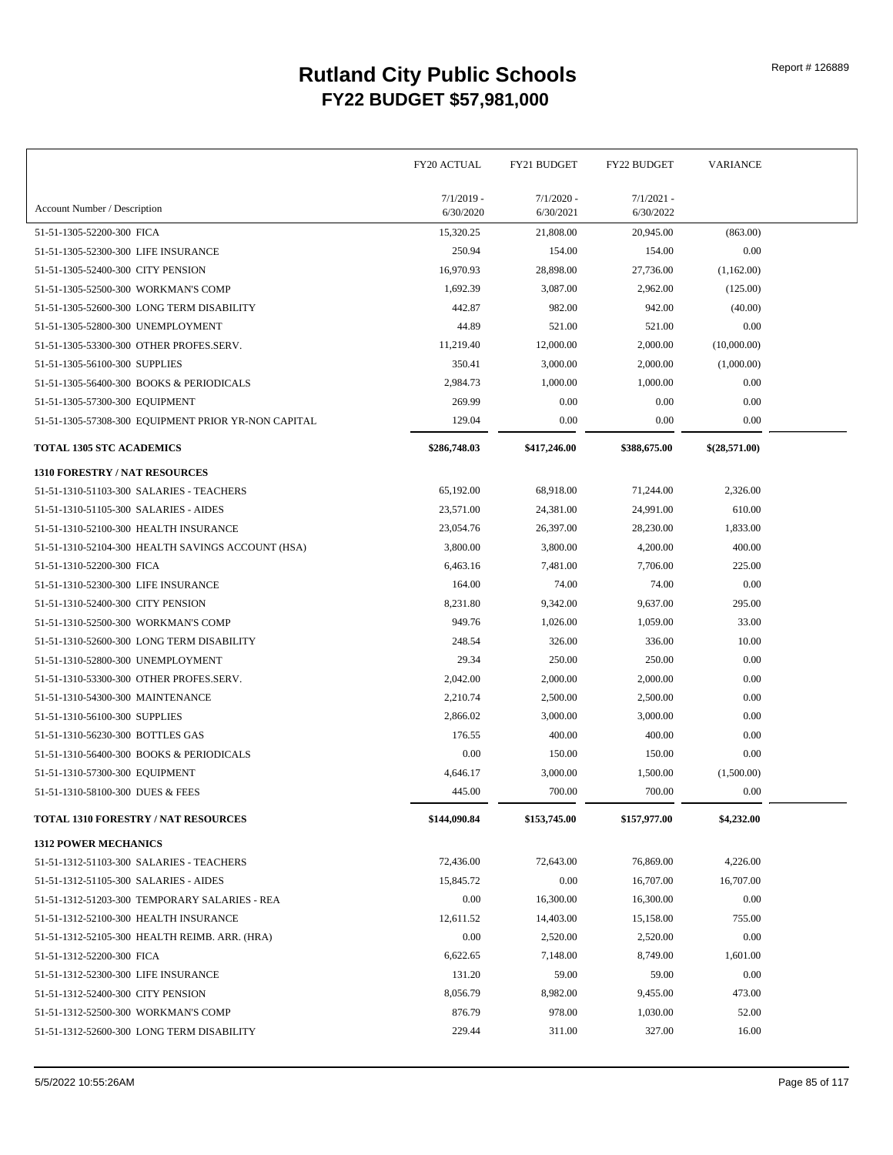|                                                     | <b>FY20 ACTUAL</b> | FY21 BUDGET  | FY22 BUDGET  | <b>VARIANCE</b> |  |
|-----------------------------------------------------|--------------------|--------------|--------------|-----------------|--|
|                                                     | $7/1/2019$ -       | $7/1/2020$ - | $7/1/2021 -$ |                 |  |
| Account Number / Description                        | 6/30/2020          | 6/30/2021    | 6/30/2022    |                 |  |
| 51-51-1305-52200-300 FICA                           | 15,320.25          | 21,808.00    | 20,945.00    | (863.00)        |  |
| 51-51-1305-52300-300 LIFE INSURANCE                 | 250.94             | 154.00       | 154.00       | 0.00            |  |
| 51-51-1305-52400-300 CITY PENSION                   | 16,970.93          | 28,898.00    | 27,736.00    | (1,162.00)      |  |
| 51-51-1305-52500-300 WORKMAN'S COMP                 | 1,692.39           | 3,087.00     | 2,962.00     | (125.00)        |  |
| 51-51-1305-52600-300 LONG TERM DISABILITY           | 442.87             | 982.00       | 942.00       | (40.00)         |  |
| 51-51-1305-52800-300 UNEMPLOYMENT                   | 44.89              | 521.00       | 521.00       | 0.00            |  |
| 51-51-1305-53300-300 OTHER PROFES.SERV.             | 11,219.40          | 12,000.00    | 2,000.00     | (10,000.00)     |  |
| 51-51-1305-56100-300 SUPPLIES                       | 350.41             | 3,000.00     | 2,000.00     | (1,000.00)      |  |
| 51-51-1305-56400-300 BOOKS & PERIODICALS            | 2,984.73           | 1,000.00     | 1,000.00     | 0.00            |  |
| 51-51-1305-57300-300 EQUIPMENT                      | 269.99             | 0.00         | 0.00         | 0.00            |  |
| 51-51-1305-57308-300 EQUIPMENT PRIOR YR-NON CAPITAL | 129.04             | 0.00         | 0.00         | 0.00            |  |
| <b>TOTAL 1305 STC ACADEMICS</b>                     | \$286,748.03       | \$417,246.00 | \$388,675.00 | \$(28,571.00)   |  |
| <b>1310 FORESTRY / NAT RESOURCES</b>                |                    |              |              |                 |  |
| 51-51-1310-51103-300 SALARIES - TEACHERS            | 65,192.00          | 68,918.00    | 71,244.00    | 2,326.00        |  |
| 51-51-1310-51105-300 SALARIES - AIDES               | 23,571.00          | 24,381.00    | 24,991.00    | 610.00          |  |
| 51-51-1310-52100-300 HEALTH INSURANCE               | 23,054.76          | 26,397.00    | 28,230.00    | 1,833.00        |  |
| 51-51-1310-52104-300 HEALTH SAVINGS ACCOUNT (HSA)   | 3,800.00           | 3,800.00     | 4,200.00     | 400.00          |  |
| 51-51-1310-52200-300 FICA                           | 6,463.16           | 7,481.00     | 7,706.00     | 225.00          |  |
| 51-51-1310-52300-300 LIFE INSURANCE                 | 164.00             | 74.00        | 74.00        | 0.00            |  |
| 51-51-1310-52400-300 CITY PENSION                   | 8,231.80           | 9,342.00     | 9,637.00     | 295.00          |  |
| 51-51-1310-52500-300 WORKMAN'S COMP                 | 949.76             | 1,026.00     | 1,059.00     | 33.00           |  |
| 51-51-1310-52600-300 LONG TERM DISABILITY           | 248.54             | 326.00       | 336.00       | 10.00           |  |
| 51-51-1310-52800-300 UNEMPLOYMENT                   | 29.34              | 250.00       | 250.00       | 0.00            |  |
| 51-51-1310-53300-300 OTHER PROFES.SERV.             | 2,042.00           | 2,000.00     | 2,000.00     | 0.00            |  |
| 51-51-1310-54300-300 MAINTENANCE                    | 2,210.74           | 2,500.00     | 2,500.00     | 0.00            |  |
| 51-51-1310-56100-300 SUPPLIES                       | 2,866.02           | 3,000.00     | 3,000.00     | 0.00            |  |
| 51-51-1310-56230-300 BOTTLES GAS                    | 176.55             | 400.00       | 400.00       | 0.00            |  |
| 51-51-1310-56400-300 BOOKS & PERIODICALS            | 0.00               | 150.00       | 150.00       | 0.00            |  |
| 51-51-1310-57300-300 EQUIPMENT                      | 4,646.17           | 3,000.00     | 1,500.00     | (1,500.00)      |  |
| 51-51-1310-58100-300 DUES & FEES                    | 445.00             | 700.00       | 700.00       | 0.00            |  |
| <b>TOTAL 1310 FORESTRY / NAT RESOURCES</b>          | \$144,090.84       | \$153,745.00 | \$157,977.00 | \$4,232.00      |  |
| <b>1312 POWER MECHANICS</b>                         |                    |              |              |                 |  |
| 51-51-1312-51103-300 SALARIES - TEACHERS            | 72,436.00          | 72,643.00    | 76,869.00    | 4,226.00        |  |
| 51-51-1312-51105-300 SALARIES - AIDES               | 15,845.72          | 0.00         | 16,707.00    | 16,707.00       |  |
| 51-51-1312-51203-300 TEMPORARY SALARIES - REA       | 0.00               | 16,300.00    | 16,300.00    | 0.00            |  |
| 51-51-1312-52100-300 HEALTH INSURANCE               | 12,611.52          | 14,403.00    | 15,158.00    | 755.00          |  |
| 51-51-1312-52105-300 HEALTH REIMB. ARR. (HRA)       | 0.00               | 2,520.00     | 2,520.00     | 0.00            |  |
| 51-51-1312-52200-300 FICA                           | 6,622.65           | 7,148.00     | 8,749.00     | 1,601.00        |  |
| 51-51-1312-52300-300 LIFE INSURANCE                 | 131.20             | 59.00        | 59.00        | 0.00            |  |
| 51-51-1312-52400-300 CITY PENSION                   | 8,056.79           | 8,982.00     | 9,455.00     | 473.00          |  |
| 51-51-1312-52500-300 WORKMAN'S COMP                 | 876.79             | 978.00       | 1,030.00     | 52.00           |  |
| 51-51-1312-52600-300 LONG TERM DISABILITY           | 229.44             | 311.00       | 327.00       | 16.00           |  |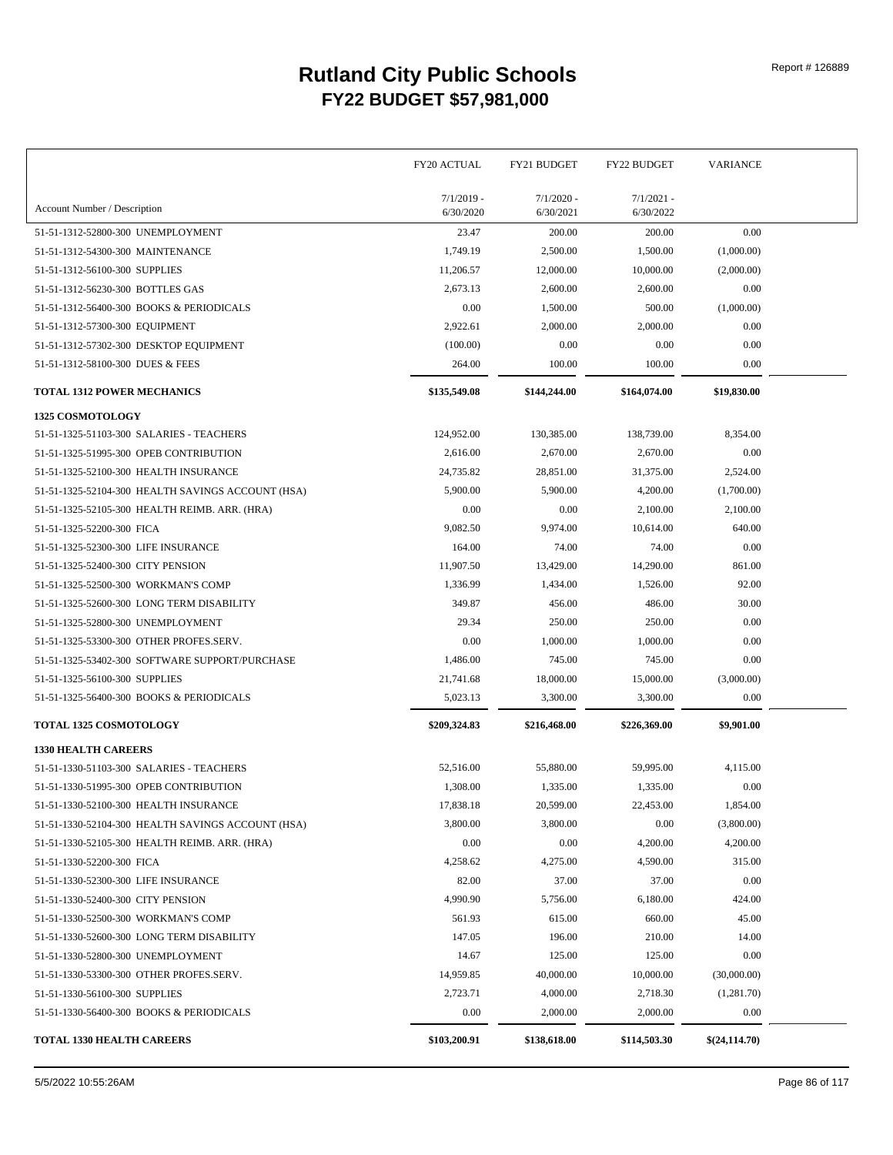|                                                   | FY20 ACTUAL               | FY21 BUDGET               | <b>FY22 BUDGET</b>        | <b>VARIANCE</b> |  |
|---------------------------------------------------|---------------------------|---------------------------|---------------------------|-----------------|--|
| Account Number / Description                      | $7/1/2019$ -<br>6/30/2020 | $7/1/2020$ -<br>6/30/2021 | $7/1/2021 -$<br>6/30/2022 |                 |  |
| 51-51-1312-52800-300 UNEMPLOYMENT                 | 23.47                     | 200.00                    | 200.00                    | 0.00            |  |
| 51-51-1312-54300-300 MAINTENANCE                  | 1,749.19                  | 2,500.00                  | 1,500.00                  | (1,000.00)      |  |
| 51-51-1312-56100-300 SUPPLIES                     | 11,206.57                 | 12,000.00                 | 10,000.00                 | (2,000.00)      |  |
| 51-51-1312-56230-300 BOTTLES GAS                  | 2,673.13                  | 2,600.00                  | 2,600.00                  | 0.00            |  |
| 51-51-1312-56400-300 BOOKS & PERIODICALS          | 0.00                      | 1,500.00                  | 500.00                    | (1,000.00)      |  |
| 51-51-1312-57300-300 EQUIPMENT                    | 2,922.61                  | 2,000.00                  | 2,000.00                  | 0.00            |  |
| 51-51-1312-57302-300 DESKTOP EQUIPMENT            | (100.00)                  | 0.00                      | 0.00                      | 0.00            |  |
| 51-51-1312-58100-300 DUES & FEES                  | 264.00                    | 100.00                    | 100.00                    | 0.00            |  |
| <b>TOTAL 1312 POWER MECHANICS</b>                 | \$135,549.08              | \$144,244.00              | \$164,074.00              | \$19,830.00     |  |
| 1325 COSMOTOLOGY                                  |                           |                           |                           |                 |  |
| 51-51-1325-51103-300 SALARIES - TEACHERS          | 124,952.00                | 130,385.00                | 138,739.00                | 8,354.00        |  |
| 51-51-1325-51995-300 OPEB CONTRIBUTION            | 2,616.00                  | 2,670.00                  | 2,670.00                  | 0.00            |  |
| 51-51-1325-52100-300 HEALTH INSURANCE             | 24,735.82                 | 28,851.00                 | 31,375.00                 | 2,524.00        |  |
| 51-51-1325-52104-300 HEALTH SAVINGS ACCOUNT (HSA) | 5,900.00                  | 5,900.00                  | 4,200.00                  | (1,700.00)      |  |
| 51-51-1325-52105-300 HEALTH REIMB. ARR. (HRA)     | 0.00                      | 0.00                      | 2,100.00                  | 2,100.00        |  |
| 51-51-1325-52200-300 FICA                         | 9,082.50                  | 9,974.00                  | 10,614.00                 | 640.00          |  |
| 51-51-1325-52300-300 LIFE INSURANCE               | 164.00                    | 74.00                     | 74.00                     | 0.00            |  |
| 51-51-1325-52400-300 CITY PENSION                 | 11,907.50                 | 13,429.00                 | 14,290.00                 | 861.00          |  |
| 51-51-1325-52500-300 WORKMAN'S COMP               | 1,336.99                  | 1,434.00                  | 1,526.00                  | 92.00           |  |
| 51-51-1325-52600-300 LONG TERM DISABILITY         | 349.87                    | 456.00                    | 486.00                    | 30.00           |  |
| 51-51-1325-52800-300 UNEMPLOYMENT                 | 29.34                     | 250.00                    | 250.00                    | 0.00            |  |
| 51-51-1325-53300-300 OTHER PROFES.SERV.           | 0.00                      | 1,000.00                  | 1,000.00                  | 0.00            |  |
| 51-51-1325-53402-300 SOFTWARE SUPPORT/PURCHASE    | 1,486.00                  | 745.00                    | 745.00                    | 0.00            |  |
| 51-51-1325-56100-300 SUPPLIES                     | 21,741.68                 | 18,000.00                 | 15,000.00                 | (3,000.00)      |  |
| 51-51-1325-56400-300 BOOKS & PERIODICALS          | 5,023.13                  | 3,300.00                  | 3,300.00                  | 0.00            |  |
| TOTAL 1325 COSMOTOLOGY                            | \$209,324.83              | \$216,468.00              | \$226,369.00              | \$9,901.00      |  |
| <b>1330 HEALTH CAREERS</b>                        |                           |                           |                           |                 |  |
| 51-51-1330-51103-300 SALARIES - TEACHERS          | 52,516.00                 | 55,880.00                 | 59,995.00                 | 4,115.00        |  |
| 51-51-1330-51995-300 OPEB CONTRIBUTION            | 1,308.00                  | 1,335.00                  | 1,335.00                  | 0.00            |  |
| 51-51-1330-52100-300 HEALTH INSURANCE             | 17,838.18                 | 20,599.00                 | 22,453.00                 | 1,854.00        |  |
| 51-51-1330-52104-300 HEALTH SAVINGS ACCOUNT (HSA) | 3,800.00                  | 3,800.00                  | 0.00                      | (3,800.00)      |  |
| 51-51-1330-52105-300 HEALTH REIMB. ARR. (HRA)     | 0.00                      | 0.00                      | 4,200.00                  | 4,200.00        |  |
| 51-51-1330-52200-300 FICA                         | 4,258.62                  | 4,275.00                  | 4,590.00                  | 315.00          |  |
| 51-51-1330-52300-300 LIFE INSURANCE               | 82.00                     | 37.00                     | 37.00                     | 0.00            |  |
| 51-51-1330-52400-300 CITY PENSION                 | 4,990.90                  | 5,756.00                  | 6,180.00                  | 424.00          |  |
| 51-51-1330-52500-300 WORKMAN'S COMP               | 561.93                    | 615.00                    | 660.00                    | 45.00           |  |
| 51-51-1330-52600-300 LONG TERM DISABILITY         | 147.05                    | 196.00                    | 210.00                    | 14.00           |  |
| 51-51-1330-52800-300 UNEMPLOYMENT                 | 14.67                     | 125.00                    | 125.00                    | 0.00            |  |
| 51-51-1330-53300-300 OTHER PROFES.SERV.           | 14,959.85                 | 40,000.00                 | 10,000.00                 | (30,000.00)     |  |
| 51-51-1330-56100-300 SUPPLIES                     | 2,723.71                  | 4,000.00                  | 2,718.30                  | (1,281.70)      |  |
| 51-51-1330-56400-300 BOOKS & PERIODICALS          | 0.00                      | 2,000.00                  | 2,000.00                  | 0.00            |  |
| <b>TOTAL 1330 HEALTH CAREERS</b>                  | \$103,200.91              | \$138,618.00              | \$114,503.30              | \$(24,114.70)   |  |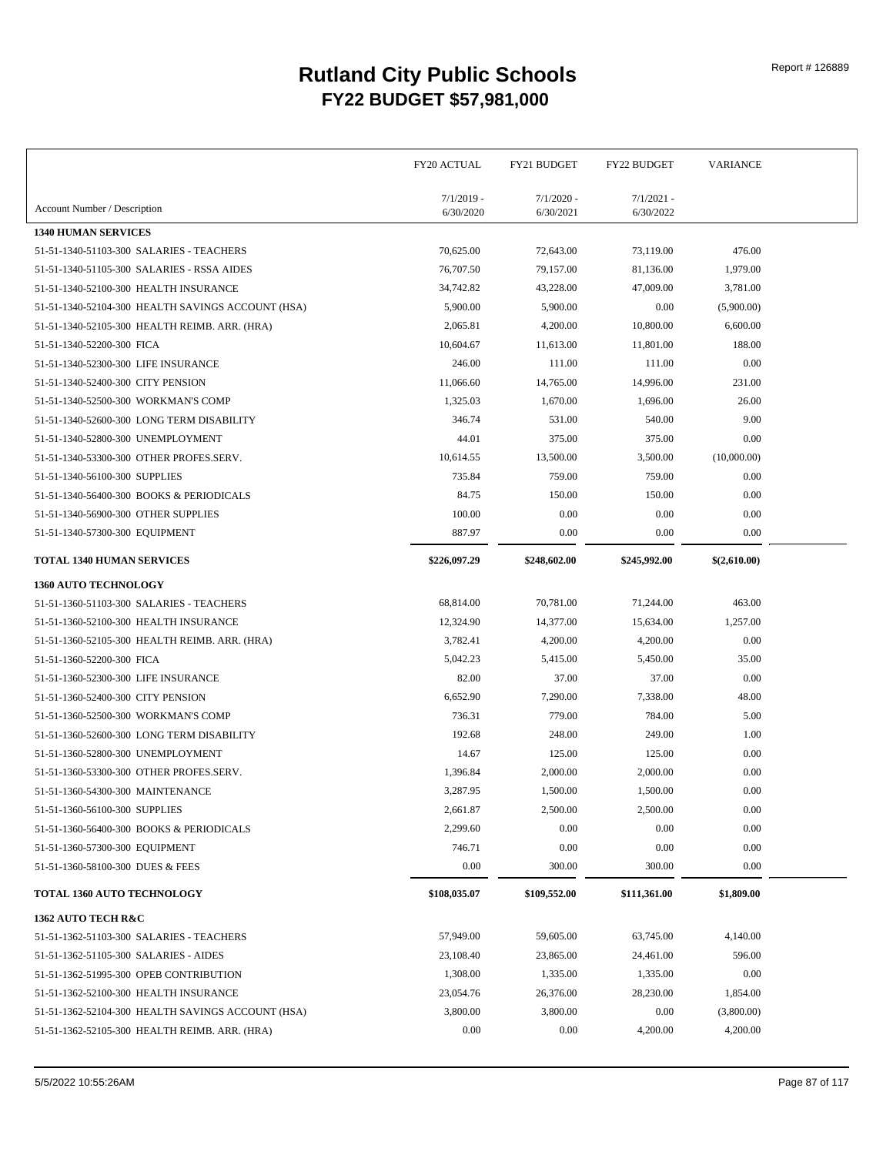|                                                   | FY20 ACTUAL               | FY21 BUDGET               | FY22 BUDGET               | <b>VARIANCE</b> |  |
|---------------------------------------------------|---------------------------|---------------------------|---------------------------|-----------------|--|
| Account Number / Description                      | $7/1/2019$ -<br>6/30/2020 | $7/1/2020$ -<br>6/30/2021 | $7/1/2021$ -<br>6/30/2022 |                 |  |
| <b>1340 HUMAN SERVICES</b>                        |                           |                           |                           |                 |  |
| 51-51-1340-51103-300 SALARIES - TEACHERS          | 70,625.00                 | 72,643.00                 | 73,119.00                 | 476.00          |  |
| 51-51-1340-51105-300 SALARIES - RSSA AIDES        | 76,707.50                 | 79,157.00                 | 81,136.00                 | 1,979.00        |  |
| 51-51-1340-52100-300 HEALTH INSURANCE             | 34,742.82                 | 43,228.00                 | 47,009.00                 | 3,781.00        |  |
| 51-51-1340-52104-300 HEALTH SAVINGS ACCOUNT (HSA) | 5,900.00                  | 5,900.00                  | 0.00                      | (5,900.00)      |  |
| 51-51-1340-52105-300 HEALTH REIMB. ARR. (HRA)     | 2,065.81                  | 4,200.00                  | 10,800.00                 | 6,600.00        |  |
| 51-51-1340-52200-300 FICA                         | 10,604.67                 | 11,613.00                 | 11,801.00                 | 188.00          |  |
| 51-51-1340-52300-300 LIFE INSURANCE               | 246.00                    | 111.00                    | 111.00                    | 0.00            |  |
| 51-51-1340-52400-300 CITY PENSION                 | 11,066.60                 | 14,765.00                 | 14,996.00                 | 231.00          |  |
| 51-51-1340-52500-300 WORKMAN'S COMP               | 1,325.03                  | 1,670.00                  | 1,696.00                  | 26.00           |  |
| 51-51-1340-52600-300 LONG TERM DISABILITY         | 346.74                    | 531.00                    | 540.00                    | 9.00            |  |
| 51-51-1340-52800-300 UNEMPLOYMENT                 | 44.01                     | 375.00                    | 375.00                    | 0.00            |  |
| 51-51-1340-53300-300 OTHER PROFES.SERV.           | 10,614.55                 | 13,500.00                 | 3,500.00                  | (10,000.00)     |  |
| 51-51-1340-56100-300 SUPPLIES                     | 735.84                    | 759.00                    | 759.00                    | 0.00            |  |
| 51-51-1340-56400-300 BOOKS & PERIODICALS          | 84.75                     | 150.00                    | 150.00                    | 0.00            |  |
| 51-51-1340-56900-300 OTHER SUPPLIES               | 100.00                    | 0.00                      | 0.00                      | 0.00            |  |
| 51-51-1340-57300-300 EQUIPMENT                    | 887.97                    | 0.00                      | 0.00                      | 0.00            |  |
| <b>TOTAL 1340 HUMAN SERVICES</b>                  | \$226,097.29              | \$248,602.00              | \$245,992.00              | \$(2,610.00)    |  |
| <b>1360 AUTO TECHNOLOGY</b>                       |                           |                           |                           |                 |  |
| 51-51-1360-51103-300 SALARIES - TEACHERS          | 68,814.00                 | 70,781.00                 | 71,244.00                 | 463.00          |  |
| 51-51-1360-52100-300 HEALTH INSURANCE             | 12,324.90                 | 14,377.00                 | 15,634.00                 | 1,257.00        |  |
| 51-51-1360-52105-300 HEALTH REIMB. ARR. (HRA)     | 3,782.41                  | 4,200.00                  | 4,200.00                  | 0.00            |  |
| 51-51-1360-52200-300 FICA                         | 5,042.23                  | 5,415.00                  | 5,450.00                  | 35.00           |  |
| 51-51-1360-52300-300 LIFE INSURANCE               | 82.00                     | 37.00                     | 37.00                     | 0.00            |  |
| 51-51-1360-52400-300 CITY PENSION                 | 6,652.90                  | 7,290.00                  | 7,338.00                  | 48.00           |  |
| 51-51-1360-52500-300 WORKMAN'S COMP               | 736.31                    | 779.00                    | 784.00                    | 5.00            |  |
| 51-51-1360-52600-300 LONG TERM DISABILITY         | 192.68                    | 248.00                    | 249.00                    | 1.00            |  |
| 51-51-1360-52800-300 UNEMPLOYMENT                 | 14.67                     | 125.00                    | 125.00                    | 0.00            |  |
| 51-51-1360-53300-300 OTHER PROFES.SERV.           | 1,396.84                  | 2,000.00                  | 2,000.00                  | 0.00            |  |
| 51-51-1360-54300-300 MAINTENANCE                  | 3,287.95                  | 1,500.00                  | 1,500.00                  | 0.00            |  |
| 51-51-1360-56100-300 SUPPLIES                     | 2,661.87                  | 2,500.00                  | 2,500.00                  | 0.00            |  |
| 51-51-1360-56400-300 BOOKS & PERIODICALS          | 2,299.60                  | 0.00                      | 0.00                      | 0.00            |  |
| 51-51-1360-57300-300 EQUIPMENT                    | 746.71                    | 0.00                      | 0.00                      | 0.00            |  |
| 51-51-1360-58100-300 DUES & FEES                  | 0.00                      | 300.00                    | 300.00                    | 0.00            |  |
| TOTAL 1360 AUTO TECHNOLOGY                        | \$108,035.07              | \$109,552.00              | \$111,361.00              | \$1,809.00      |  |
| 1362 AUTO TECH R&C                                |                           |                           |                           |                 |  |
| 51-51-1362-51103-300 SALARIES - TEACHERS          | 57,949.00                 | 59,605.00                 | 63,745.00                 | 4,140.00        |  |
| 51-51-1362-51105-300 SALARIES - AIDES             | 23,108.40                 | 23,865.00                 | 24,461.00                 | 596.00          |  |
| 51-51-1362-51995-300 OPEB CONTRIBUTION            | 1,308.00                  | 1,335.00                  | 1,335.00                  | 0.00            |  |
| 51-51-1362-52100-300 HEALTH INSURANCE             | 23,054.76                 | 26,376.00                 | 28,230.00                 | 1,854.00        |  |
| 51-51-1362-52104-300 HEALTH SAVINGS ACCOUNT (HSA) | 3,800.00                  | 3,800.00                  | 0.00                      | (3,800.00)      |  |
| 51-51-1362-52105-300 HEALTH REIMB. ARR. (HRA)     | 0.00                      | 0.00                      | 4,200.00                  | 4,200.00        |  |

ľ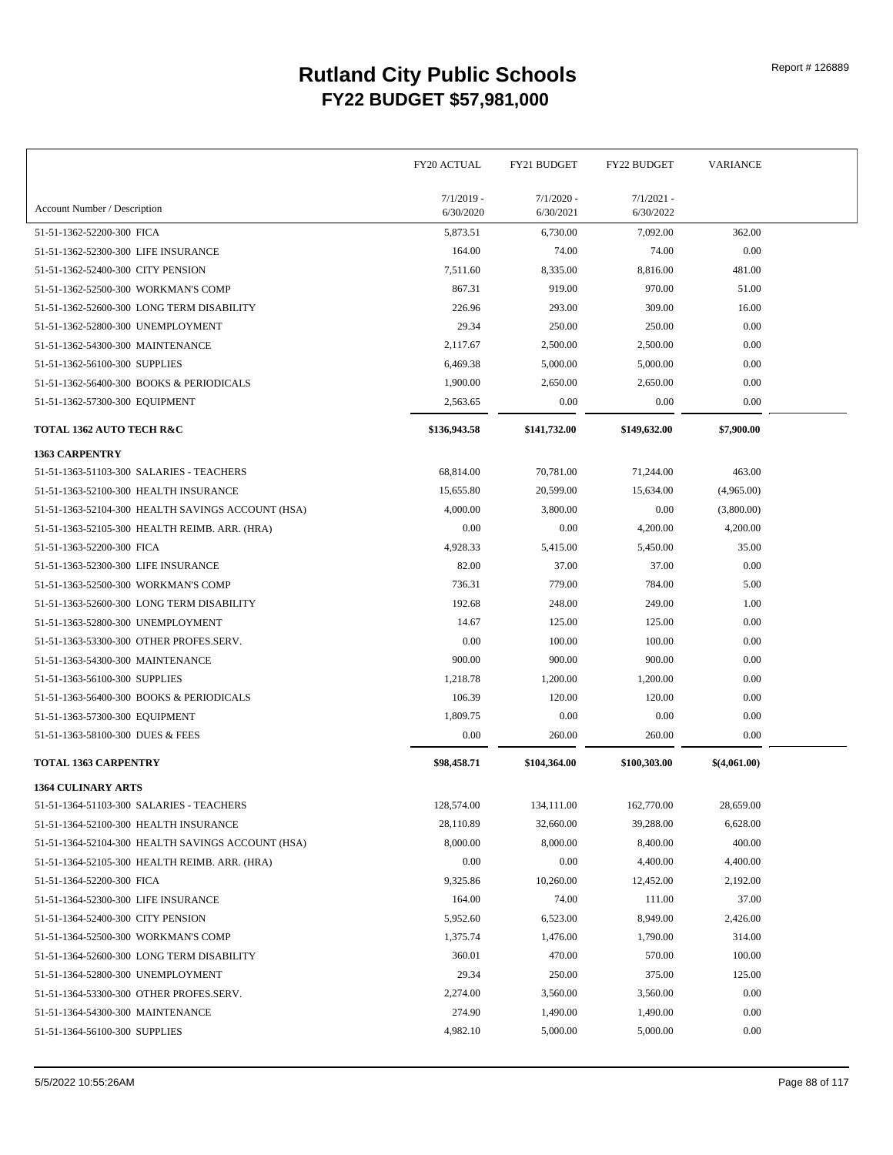|                                                   | <b>FY20 ACTUAL</b> | FY21 BUDGET  | FY22 BUDGET  | <b>VARIANCE</b> |  |
|---------------------------------------------------|--------------------|--------------|--------------|-----------------|--|
|                                                   | $7/1/2019$ -       | $7/1/2020$ - | $7/1/2021 -$ |                 |  |
| Account Number / Description                      | 6/30/2020          | 6/30/2021    | 6/30/2022    |                 |  |
| 51-51-1362-52200-300 FICA                         | 5,873.51           | 6,730.00     | 7,092.00     | 362.00          |  |
| 51-51-1362-52300-300 LIFE INSURANCE               | 164.00             | 74.00        | 74.00        | 0.00            |  |
| 51-51-1362-52400-300 CITY PENSION                 | 7,511.60           | 8,335.00     | 8,816.00     | 481.00          |  |
| 51-51-1362-52500-300 WORKMAN'S COMP               | 867.31             | 919.00       | 970.00       | 51.00           |  |
| 51-51-1362-52600-300 LONG TERM DISABILITY         | 226.96             | 293.00       | 309.00       | 16.00           |  |
| 51-51-1362-52800-300 UNEMPLOYMENT                 | 29.34              | 250.00       | 250.00       | 0.00            |  |
| 51-51-1362-54300-300 MAINTENANCE                  | 2,117.67           | 2,500.00     | 2,500.00     | 0.00            |  |
| 51-51-1362-56100-300 SUPPLIES                     | 6,469.38           | 5,000.00     | 5,000.00     | 0.00            |  |
| 51-51-1362-56400-300 BOOKS & PERIODICALS          | 1,900.00           | 2,650.00     | 2,650.00     | 0.00            |  |
| 51-51-1362-57300-300 EQUIPMENT                    | 2,563.65           | 0.00         | 0.00         | 0.00            |  |
| TOTAL 1362 AUTO TECH R&C                          | \$136,943.58       | \$141,732.00 | \$149,632.00 | \$7,900.00      |  |
| <b>1363 CARPENTRY</b>                             |                    |              |              |                 |  |
| 51-51-1363-51103-300 SALARIES - TEACHERS          | 68,814.00          | 70,781.00    | 71,244.00    | 463.00          |  |
| 51-51-1363-52100-300 HEALTH INSURANCE             | 15,655.80          | 20,599.00    | 15,634.00    | (4,965.00)      |  |
| 51-51-1363-52104-300 HEALTH SAVINGS ACCOUNT (HSA) | 4,000.00           | 3,800.00     | 0.00         | (3,800.00)      |  |
| 51-51-1363-52105-300 HEALTH REIMB. ARR. (HRA)     | 0.00               | 0.00         | 4,200.00     | 4,200.00        |  |
| 51-51-1363-52200-300 FICA                         | 4,928.33           | 5,415.00     | 5,450.00     | 35.00           |  |
| 51-51-1363-52300-300 LIFE INSURANCE               | 82.00              | 37.00        | 37.00        | 0.00            |  |
| 51-51-1363-52500-300 WORKMAN'S COMP               | 736.31             | 779.00       | 784.00       | 5.00            |  |
| 51-51-1363-52600-300 LONG TERM DISABILITY         | 192.68             | 248.00       | 249.00       | 1.00            |  |
| 51-51-1363-52800-300 UNEMPLOYMENT                 | 14.67              | 125.00       | 125.00       | 0.00            |  |
| 51-51-1363-53300-300 OTHER PROFES.SERV.           | 0.00               | 100.00       | 100.00       | 0.00            |  |
| 51-51-1363-54300-300 MAINTENANCE                  | 900.00             | 900.00       | 900.00       | 0.00            |  |
| 51-51-1363-56100-300 SUPPLIES                     | 1,218.78           | 1,200.00     | 1,200.00     | 0.00            |  |
| 51-51-1363-56400-300 BOOKS & PERIODICALS          | 106.39             | 120.00       | 120.00       | 0.00            |  |
| 51-51-1363-57300-300 EQUIPMENT                    | 1,809.75           | 0.00         | 0.00         | 0.00            |  |
| 51-51-1363-58100-300 DUES & FEES                  | 0.00               | 260.00       | 260.00       | 0.00            |  |
| <b>TOTAL 1363 CARPENTRY</b>                       | \$98,458.71        | \$104,364.00 | \$100,303.00 | \$(4,061.00)    |  |
| <b>1364 CULINARY ARTS</b>                         |                    |              |              |                 |  |
| 51-51-1364-51103-300 SALARIES - TEACHERS          | 128,574.00         | 134,111.00   | 162,770.00   | 28,659.00       |  |
| 51-51-1364-52100-300 HEALTH INSURANCE             | 28,110.89          | 32,660.00    | 39,288.00    | 6,628.00        |  |
| 51-51-1364-52104-300 HEALTH SAVINGS ACCOUNT (HSA) | 8,000.00           | 8,000.00     | 8,400.00     | 400.00          |  |
| 51-51-1364-52105-300 HEALTH REIMB. ARR. (HRA)     | 0.00               | 0.00         | 4,400.00     | 4,400.00        |  |
| 51-51-1364-52200-300 FICA                         | 9,325.86           | 10,260.00    | 12,452.00    | 2,192.00        |  |
| 51-51-1364-52300-300 LIFE INSURANCE               | 164.00             | 74.00        | 111.00       | 37.00           |  |
| 51-51-1364-52400-300 CITY PENSION                 | 5,952.60           | 6,523.00     | 8,949.00     | 2,426.00        |  |
| 51-51-1364-52500-300 WORKMAN'S COMP               | 1,375.74           | 1,476.00     | 1,790.00     | 314.00          |  |
| 51-51-1364-52600-300 LONG TERM DISABILITY         | 360.01             | 470.00       | 570.00       | 100.00          |  |
| 51-51-1364-52800-300 UNEMPLOYMENT                 | 29.34              | 250.00       | 375.00       | 125.00          |  |
| 51-51-1364-53300-300 OTHER PROFES.SERV.           | 2,274.00           | 3,560.00     | 3,560.00     | 0.00            |  |
| 51-51-1364-54300-300 MAINTENANCE                  | 274.90             | 1,490.00     | 1,490.00     | 0.00            |  |
| 51-51-1364-56100-300 SUPPLIES                     | 4,982.10           | 5,000.00     | 5,000.00     | 0.00            |  |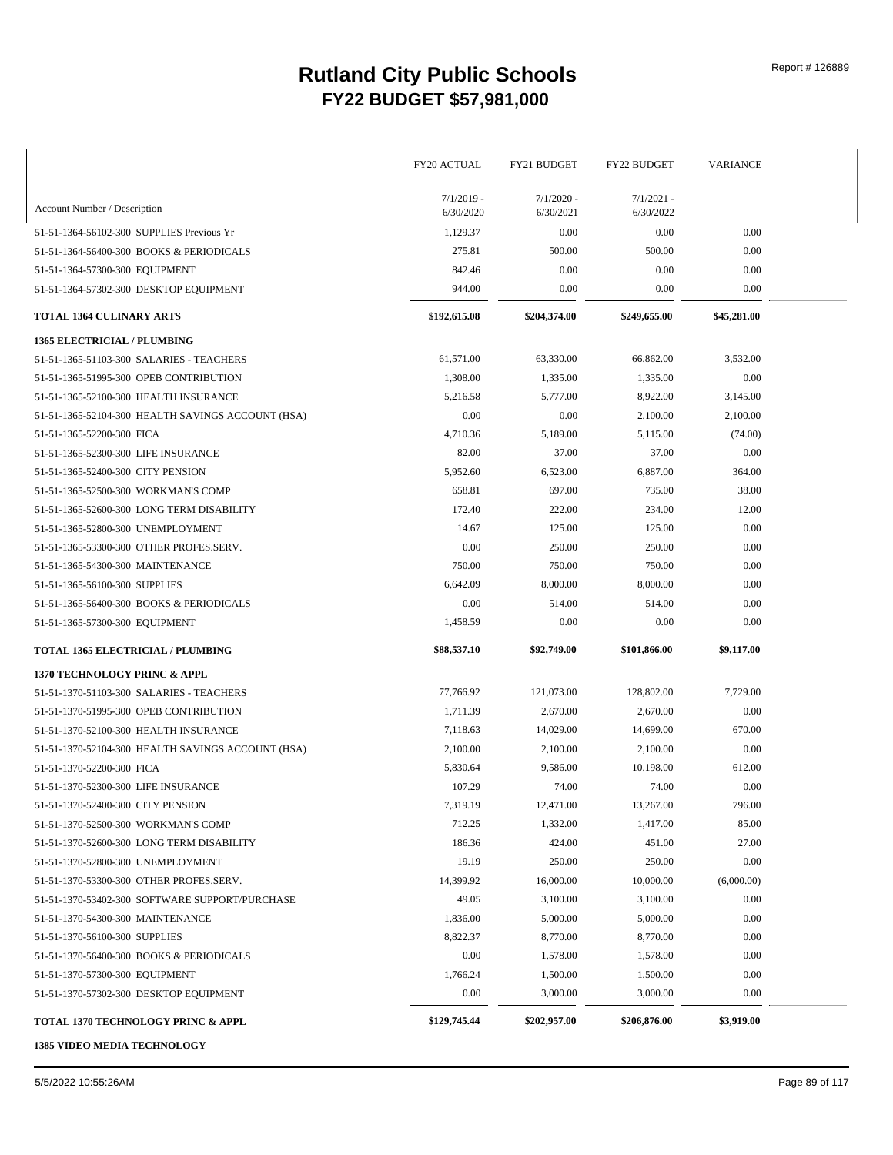|                                                   | FY20 ACTUAL               | FY21 BUDGET               | FY22 BUDGET               | <b>VARIANCE</b> |
|---------------------------------------------------|---------------------------|---------------------------|---------------------------|-----------------|
|                                                   |                           |                           |                           |                 |
| Account Number / Description                      | $7/1/2019$ -<br>6/30/2020 | $7/1/2020$ -<br>6/30/2021 | $7/1/2021$ -<br>6/30/2022 |                 |
| 51-51-1364-56102-300 SUPPLIES Previous Yr         | 1,129.37                  | 0.00                      | 0.00                      | 0.00            |
| 51-51-1364-56400-300 BOOKS & PERIODICALS          | 275.81                    | 500.00                    | 500.00                    | 0.00            |
| 51-51-1364-57300-300 EQUIPMENT                    | 842.46                    | 0.00                      | 0.00                      | 0.00            |
| 51-51-1364-57302-300 DESKTOP EQUIPMENT            | 944.00                    | 0.00                      | 0.00                      | 0.00            |
| <b>TOTAL 1364 CULINARY ARTS</b>                   | \$192,615.08              | \$204,374.00              | \$249,655.00              | \$45,281.00     |
| <b>1365 ELECTRICIAL / PLUMBING</b>                |                           |                           |                           |                 |
| 51-51-1365-51103-300 SALARIES - TEACHERS          | 61,571.00                 | 63,330.00                 | 66,862.00                 | 3,532.00        |
| 51-51-1365-51995-300 OPEB CONTRIBUTION            | 1,308.00                  | 1,335.00                  | 1,335.00                  | 0.00            |
| 51-51-1365-52100-300 HEALTH INSURANCE             | 5,216.58                  | 5,777.00                  | 8,922.00                  | 3,145.00        |
| 51-51-1365-52104-300 HEALTH SAVINGS ACCOUNT (HSA) | 0.00                      | 0.00                      | 2,100.00                  | 2,100.00        |
| 51-51-1365-52200-300 FICA                         | 4,710.36                  | 5,189.00                  | 5,115.00                  | (74.00)         |
| 51-51-1365-52300-300 LIFE INSURANCE               | 82.00                     | 37.00                     | 37.00                     | 0.00            |
|                                                   | 5,952.60                  | 6,523.00                  | 6,887.00                  | 364.00          |
| 51-51-1365-52400-300 CITY PENSION                 | 658.81                    | 697.00                    | 735.00                    |                 |
| 51-51-1365-52500-300 WORKMAN'S COMP               | 172.40                    |                           | 234.00                    | 38.00<br>12.00  |
| 51-51-1365-52600-300 LONG TERM DISABILITY         | 14.67                     | 222.00<br>125.00          | 125.00                    | 0.00            |
| 51-51-1365-52800-300 UNEMPLOYMENT                 |                           |                           |                           |                 |
| 51-51-1365-53300-300 OTHER PROFES.SERV.           | 0.00<br>750.00            | 250.00<br>750.00          | 250.00<br>750.00          | 0.00<br>0.00    |
| 51-51-1365-54300-300 MAINTENANCE                  |                           |                           |                           |                 |
| 51-51-1365-56100-300 SUPPLIES                     | 6,642.09                  | 8,000.00                  | 8,000.00                  | 0.00            |
| 51-51-1365-56400-300 BOOKS & PERIODICALS          | 0.00                      | 514.00                    | 514.00                    | 0.00            |
| 51-51-1365-57300-300 EQUIPMENT                    | 1,458.59                  | 0.00                      | 0.00                      | 0.00            |
| TOTAL 1365 ELECTRICIAL / PLUMBING                 | \$88,537.10               | \$92,749.00               | \$101,866.00              | \$9,117.00      |
| <b>1370 TECHNOLOGY PRINC &amp; APPL</b>           |                           |                           |                           |                 |
| 51-51-1370-51103-300 SALARIES - TEACHERS          | 77,766.92                 | 121,073.00                | 128,802.00                | 7,729.00        |
| 51-51-1370-51995-300 OPEB CONTRIBUTION            | 1,711.39                  | 2,670.00                  | 2,670.00                  | 0.00            |
| 51-51-1370-52100-300 HEALTH INSURANCE             | 7,118.63                  | 14,029.00                 | 14,699.00                 | 670.00          |
| 51-51-1370-52104-300 HEALTH SAVINGS ACCOUNT (HSA) | 2,100.00                  | 2,100.00                  | 2,100.00                  | 0.00            |
| 51-51-1370-52200-300 FICA                         | 5,830.64                  | 9,586.00                  | 10,198.00                 | 612.00          |
| 51-51-1370-52300-300 LIFE INSURANCE               | 107.29                    | 74.00                     | 74.00                     | 0.00            |
| 51-51-1370-52400-300 CITY PENSION                 | 7,319.19                  | 12,471.00                 | 13,267.00                 | 796.00          |
| 51-51-1370-52500-300 WORKMAN'S COMP               | 712.25                    | 1,332.00                  | 1,417.00                  | 85.00           |
| 51-51-1370-52600-300 LONG TERM DISABILITY         | 186.36                    | 424.00                    | 451.00                    | 27.00           |
| 51-51-1370-52800-300 UNEMPLOYMENT                 | 19.19                     | 250.00                    | 250.00                    | 0.00            |
| 51-51-1370-53300-300 OTHER PROFES.SERV.           | 14,399.92                 | 16,000.00                 | 10,000.00                 | (6,000.00)      |
| 51-51-1370-53402-300 SOFTWARE SUPPORT/PURCHASE    | 49.05                     | 3,100.00                  | 3,100.00                  | 0.00            |
| 51-51-1370-54300-300 MAINTENANCE                  | 1,836.00                  | 5,000.00                  | 5,000.00                  | 0.00            |
| 51-51-1370-56100-300 SUPPLIES                     | 8,822.37                  | 8,770.00                  | 8,770.00                  | 0.00            |
| 51-51-1370-56400-300 BOOKS & PERIODICALS          | 0.00                      | 1,578.00                  | 1,578.00                  | 0.00            |
| 51-51-1370-57300-300 EQUIPMENT                    | 1,766.24                  | 1,500.00                  | 1,500.00                  | 0.00            |
| 51-51-1370-57302-300 DESKTOP EQUIPMENT            | 0.00                      | 3,000.00                  | 3,000.00                  | 0.00            |
| TOTAL 1370 TECHNOLOGY PRINC & APPL                | \$129,745.44              | \$202,957.00              | \$206,876.00              | \$3,919.00      |
| <b>1385 VIDEO MEDIA TECHNOLOGY</b>                |                           |                           |                           |                 |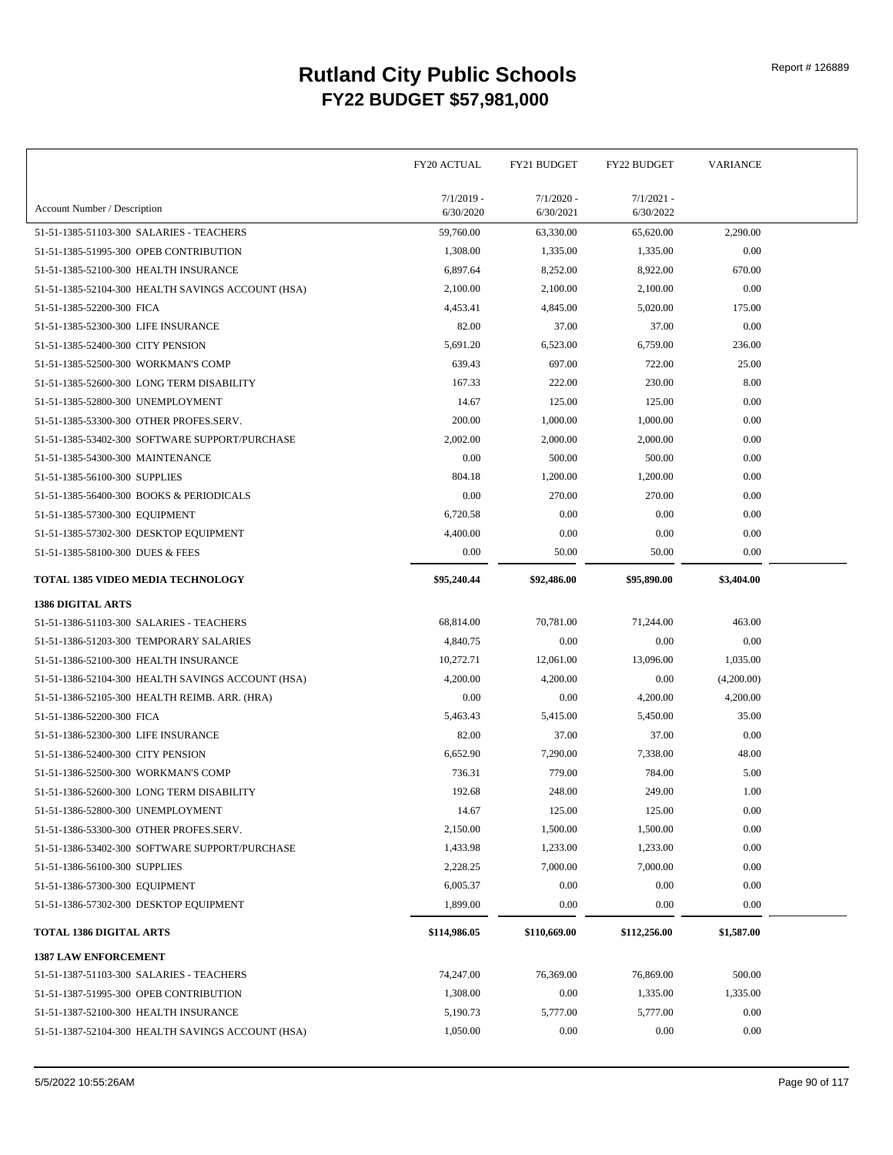| $7/1/2019$ -<br>$7/1/2020$ -<br>$7/1/2021$ -<br>Account Number / Description<br>6/30/2020<br>6/30/2021<br>6/30/2022<br>2,290.00<br>51-51-1385-51103-300 SALARIES - TEACHERS<br>59,760.00<br>63,330.00<br>65,620.00<br>0.00<br>51-51-1385-51995-300 OPEB CONTRIBUTION<br>1,308.00<br>1,335.00<br>1,335.00<br>6,897.64<br>8,922.00<br>670.00<br>8,252.00<br>51-51-1385-52100-300 HEALTH INSURANCE |  |
|-------------------------------------------------------------------------------------------------------------------------------------------------------------------------------------------------------------------------------------------------------------------------------------------------------------------------------------------------------------------------------------------------|--|
|                                                                                                                                                                                                                                                                                                                                                                                                 |  |
|                                                                                                                                                                                                                                                                                                                                                                                                 |  |
|                                                                                                                                                                                                                                                                                                                                                                                                 |  |
|                                                                                                                                                                                                                                                                                                                                                                                                 |  |
|                                                                                                                                                                                                                                                                                                                                                                                                 |  |
| 2,100.00<br>2,100.00<br>0.00<br>51-51-1385-52104-300 HEALTH SAVINGS ACCOUNT (HSA)<br>2,100.00                                                                                                                                                                                                                                                                                                   |  |
| 175.00<br>4,453.41<br>4,845.00<br>5,020.00<br>51-51-1385-52200-300 FICA                                                                                                                                                                                                                                                                                                                         |  |
| 82.00<br>37.00<br>37.00<br>0.00<br>51-51-1385-52300-300 LIFE INSURANCE                                                                                                                                                                                                                                                                                                                          |  |
| 51-51-1385-52400-300 CITY PENSION<br>5,691.20<br>6,523.00<br>6,759.00<br>236.00                                                                                                                                                                                                                                                                                                                 |  |
| 639.43<br>697.00<br>722.00<br>25.00<br>51-51-1385-52500-300 WORKMAN'S COMP                                                                                                                                                                                                                                                                                                                      |  |
| 167.33<br>230.00<br>8.00<br>51-51-1385-52600-300 LONG TERM DISABILITY<br>222.00                                                                                                                                                                                                                                                                                                                 |  |
| 125.00<br>0.00<br>14.67<br>125.00<br>51-51-1385-52800-300 UNEMPLOYMENT                                                                                                                                                                                                                                                                                                                          |  |
| 200.00<br>1,000.00<br>0.00<br>1,000.00<br>51-51-1385-53300-300 OTHER PROFES.SERV.                                                                                                                                                                                                                                                                                                               |  |
| 2,002.00<br>0.00<br>51-51-1385-53402-300 SOFTWARE SUPPORT/PURCHASE<br>2,000.00<br>2,000.00                                                                                                                                                                                                                                                                                                      |  |
| 0.00<br>500.00<br>0.00<br>500.00<br>51-51-1385-54300-300 MAINTENANCE                                                                                                                                                                                                                                                                                                                            |  |
| 804.18<br>1,200.00<br>0.00<br>51-51-1385-56100-300 SUPPLIES<br>1,200.00                                                                                                                                                                                                                                                                                                                         |  |
| 0.00<br>270.00<br>270.00<br>0.00<br>51-51-1385-56400-300 BOOKS & PERIODICALS                                                                                                                                                                                                                                                                                                                    |  |
| 0.00<br>0.00<br>0.00<br>6,720.58<br>51-51-1385-57300-300 EQUIPMENT                                                                                                                                                                                                                                                                                                                              |  |
| 4,400.00<br>0.00<br>0.00<br>0.00<br>51-51-1385-57302-300 DESKTOP EQUIPMENT                                                                                                                                                                                                                                                                                                                      |  |
| 0.00<br>50.00<br>50.00<br>0.00<br>51-51-1385-58100-300 DUES & FEES                                                                                                                                                                                                                                                                                                                              |  |
| \$95,240.44<br>\$95,890.00<br><b>TOTAL 1385 VIDEO MEDIA TECHNOLOGY</b><br>\$92,486.00<br>\$3,404.00                                                                                                                                                                                                                                                                                             |  |
| <b>1386 DIGITAL ARTS</b>                                                                                                                                                                                                                                                                                                                                                                        |  |
| 68,814.00<br>463.00<br>70,781.00<br>71,244.00<br>51-51-1386-51103-300 SALARIES - TEACHERS                                                                                                                                                                                                                                                                                                       |  |
| 4,840.75<br>0.00<br>0.00<br>0.00<br>51-51-1386-51203-300 TEMPORARY SALARIES                                                                                                                                                                                                                                                                                                                     |  |
| 13,096.00<br>1,035.00<br>10,272.71<br>12,061.00<br>51-51-1386-52100-300 HEALTH INSURANCE                                                                                                                                                                                                                                                                                                        |  |
| 4,200.00<br>51-51-1386-52104-300 HEALTH SAVINGS ACCOUNT (HSA)<br>4,200.00<br>0.00<br>(4,200.00)                                                                                                                                                                                                                                                                                                 |  |
| 0.00<br>0.00<br>4,200.00<br>4,200.00<br>51-51-1386-52105-300 HEALTH REIMB. ARR. (HRA)                                                                                                                                                                                                                                                                                                           |  |
| 5,463.43<br>35.00<br>5,415.00<br>5,450.00<br>51-51-1386-52200-300 FICA                                                                                                                                                                                                                                                                                                                          |  |
| 82.00<br>37.00<br>37.00<br>0.00<br>51-51-1386-52300-300 LIFE INSURANCE                                                                                                                                                                                                                                                                                                                          |  |
| 6,652.90<br>7,338.00<br>48.00<br>7,290.00<br>51-51-1386-52400-300 CITY PENSION                                                                                                                                                                                                                                                                                                                  |  |
| 736.31<br>779.00<br>784.00<br>5.00<br>51-51-1386-52500-300 WORKMAN'S COMP                                                                                                                                                                                                                                                                                                                       |  |
| 192.68<br>249.00<br>1.00<br>248.00<br>51-51-1386-52600-300 LONG TERM DISABILITY                                                                                                                                                                                                                                                                                                                 |  |
| 125.00<br>51-51-1386-52800-300 UNEMPLOYMENT<br>14.67<br>125.00<br>0.00                                                                                                                                                                                                                                                                                                                          |  |
| 51-51-1386-53300-300 OTHER PROFES.SERV.<br>2,150.00<br>1,500.00<br>1,500.00<br>0.00                                                                                                                                                                                                                                                                                                             |  |
| 0.00<br>1,433.98<br>1,233.00<br>1,233.00<br>51-51-1386-53402-300 SOFTWARE SUPPORT/PURCHASE                                                                                                                                                                                                                                                                                                      |  |
| 2,228.25<br>7,000.00<br>7,000.00<br>0.00<br>51-51-1386-56100-300 SUPPLIES                                                                                                                                                                                                                                                                                                                       |  |
| 6,005.37<br>0.00<br>0.00<br>0.00<br>51-51-1386-57300-300 EQUIPMENT                                                                                                                                                                                                                                                                                                                              |  |
| 1,899.00<br>0.00<br>0.00<br>0.00<br>51-51-1386-57302-300 DESKTOP EQUIPMENT                                                                                                                                                                                                                                                                                                                      |  |
| <b>TOTAL 1386 DIGITAL ARTS</b><br>\$110,669.00<br>\$112,256.00<br>\$1,587.00<br>\$114,986.05                                                                                                                                                                                                                                                                                                    |  |
| <b>1387 LAW ENFORCEMENT</b>                                                                                                                                                                                                                                                                                                                                                                     |  |
| 74,247.00<br>76,369.00<br>76,869.00<br>500.00<br>51-51-1387-51103-300 SALARIES - TEACHERS                                                                                                                                                                                                                                                                                                       |  |
| 1,308.00<br>0.00<br>1,335.00<br>51-51-1387-51995-300 OPEB CONTRIBUTION<br>1,335.00                                                                                                                                                                                                                                                                                                              |  |
| 5,190.73<br>5,777.00<br>0.00<br>5,777.00<br>51-51-1387-52100-300 HEALTH INSURANCE                                                                                                                                                                                                                                                                                                               |  |
| 1,050.00<br>0.00<br>0.00<br>0.00<br>51-51-1387-52104-300 HEALTH SAVINGS ACCOUNT (HSA)                                                                                                                                                                                                                                                                                                           |  |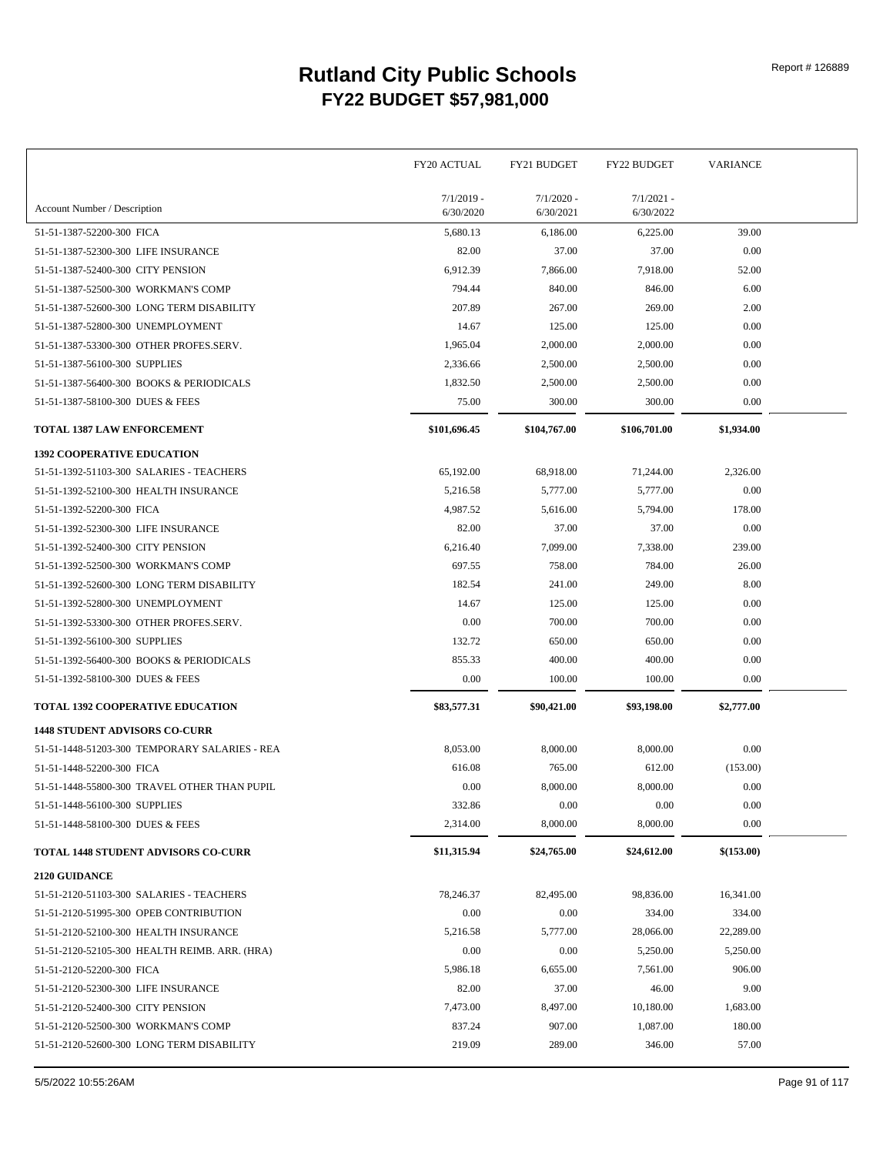|                                               | <b>FY20 ACTUAL</b>        | FY21 BUDGET               | FY22 BUDGET               | <b>VARIANCE</b> |  |
|-----------------------------------------------|---------------------------|---------------------------|---------------------------|-----------------|--|
| Account Number / Description                  | $7/1/2019$ -<br>6/30/2020 | $7/1/2020$ -<br>6/30/2021 | $7/1/2021$ -<br>6/30/2022 |                 |  |
| 51-51-1387-52200-300 FICA                     | 5,680.13                  | 6,186.00                  | 6,225.00                  | 39.00           |  |
| 51-51-1387-52300-300 LIFE INSURANCE           | 82.00                     | 37.00                     | 37.00                     | 0.00            |  |
| 51-51-1387-52400-300 CITY PENSION             | 6,912.39                  | 7,866.00                  | 7,918.00                  | 52.00           |  |
| 51-51-1387-52500-300 WORKMAN'S COMP           | 794.44                    | 840.00                    | 846.00                    | 6.00            |  |
| 51-51-1387-52600-300 LONG TERM DISABILITY     | 207.89                    | 267.00                    | 269.00                    | 2.00            |  |
| 51-51-1387-52800-300 UNEMPLOYMENT             | 14.67                     | 125.00                    | 125.00                    | 0.00            |  |
| 51-51-1387-53300-300 OTHER PROFES.SERV.       | 1,965.04                  | 2,000.00                  | 2,000.00                  | 0.00            |  |
| 51-51-1387-56100-300 SUPPLIES                 | 2,336.66                  | 2,500.00                  | 2,500.00                  | 0.00            |  |
| 51-51-1387-56400-300 BOOKS & PERIODICALS      | 1,832.50                  | 2,500.00                  | 2,500.00                  | 0.00            |  |
| 51-51-1387-58100-300 DUES & FEES              | 75.00                     | 300.00                    | 300.00                    | 0.00            |  |
| TOTAL 1387 LAW ENFORCEMENT                    | \$101,696.45              | \$104,767.00              | \$106,701.00              | \$1,934.00      |  |
| <b>1392 COOPERATIVE EDUCATION</b>             |                           |                           |                           |                 |  |
| 51-51-1392-51103-300 SALARIES - TEACHERS      | 65,192.00                 | 68,918.00                 | 71,244.00                 | 2,326.00        |  |
| 51-51-1392-52100-300 HEALTH INSURANCE         | 5,216.58                  | 5,777.00                  | 5,777.00                  | 0.00            |  |
| 51-51-1392-52200-300 FICA                     | 4,987.52                  | 5,616.00                  | 5,794.00                  | 178.00          |  |
| 51-51-1392-52300-300 LIFE INSURANCE           | 82.00                     | 37.00                     | 37.00                     | 0.00            |  |
| 51-51-1392-52400-300 CITY PENSION             | 6,216.40                  | 7,099.00                  | 7,338.00                  | 239.00          |  |
| 51-51-1392-52500-300 WORKMAN'S COMP           | 697.55                    | 758.00                    | 784.00                    | 26.00           |  |
| 51-51-1392-52600-300 LONG TERM DISABILITY     | 182.54                    | 241.00                    | 249.00                    | 8.00            |  |
| 51-51-1392-52800-300 UNEMPLOYMENT             | 14.67                     | 125.00                    | 125.00                    | 0.00            |  |
| 51-51-1392-53300-300 OTHER PROFES.SERV.       | 0.00                      | 700.00                    | 700.00                    | 0.00            |  |
| 51-51-1392-56100-300 SUPPLIES                 | 132.72                    | 650.00                    | 650.00                    | 0.00            |  |
| 51-51-1392-56400-300 BOOKS & PERIODICALS      | 855.33                    | 400.00                    | 400.00                    | 0.00            |  |
| 51-51-1392-58100-300 DUES & FEES              | 0.00                      | 100.00                    | 100.00                    | 0.00            |  |
| <b>TOTAL 1392 COOPERATIVE EDUCATION</b>       | \$83,577.31               | \$90,421.00               | \$93,198.00               | \$2,777.00      |  |
| <b>1448 STUDENT ADVISORS CO-CURR</b>          |                           |                           |                           |                 |  |
| 51-51-1448-51203-300 TEMPORARY SALARIES - REA | 8,053.00                  | 8,000.00                  | 8,000.00                  | 0.00            |  |
| 51-51-1448-52200-300 FICA                     | 616.08                    | 765.00                    | 612.00                    | (153.00)        |  |
| 51-51-1448-55800-300 TRAVEL OTHER THAN PUPIL  | 0.00                      | 8,000.00                  | 8,000.00                  | 0.00            |  |
| 51-51-1448-56100-300 SUPPLIES                 | 332.86                    | 0.00                      | 0.00                      | 0.00            |  |
| 51-51-1448-58100-300 DUES & FEES              | 2,314.00                  | 8,000.00                  | 8,000.00                  | 0.00            |  |
| <b>TOTAL 1448 STUDENT ADVISORS CO-CURR</b>    | \$11,315.94               | \$24,765.00               | \$24,612.00               | \$(153.00)      |  |
| <b>2120 GUIDANCE</b>                          |                           |                           |                           |                 |  |
| 51-51-2120-51103-300 SALARIES - TEACHERS      | 78,246.37                 | 82,495.00                 | 98,836.00                 | 16,341.00       |  |
| 51-51-2120-51995-300 OPEB CONTRIBUTION        | 0.00                      | 0.00                      | 334.00                    | 334.00          |  |
| 51-51-2120-52100-300 HEALTH INSURANCE         | 5,216.58                  | 5,777.00                  | 28,066.00                 | 22,289.00       |  |
| 51-51-2120-52105-300 HEALTH REIMB. ARR. (HRA) | 0.00                      | 0.00                      | 5,250.00                  | 5,250.00        |  |
| 51-51-2120-52200-300 FICA                     | 5,986.18                  | 6,655.00                  | 7,561.00                  | 906.00          |  |
| 51-51-2120-52300-300 LIFE INSURANCE           | 82.00                     | 37.00                     | 46.00                     | 9.00            |  |
| 51-51-2120-52400-300 CITY PENSION             | 7,473.00                  | 8,497.00                  | 10,180.00                 | 1,683.00        |  |
| 51-51-2120-52500-300 WORKMAN'S COMP           | 837.24                    | 907.00                    | 1,087.00                  | 180.00          |  |
| 51-51-2120-52600-300 LONG TERM DISABILITY     | 219.09                    | 289.00                    | 346.00                    | 57.00           |  |
|                                               |                           |                           |                           |                 |  |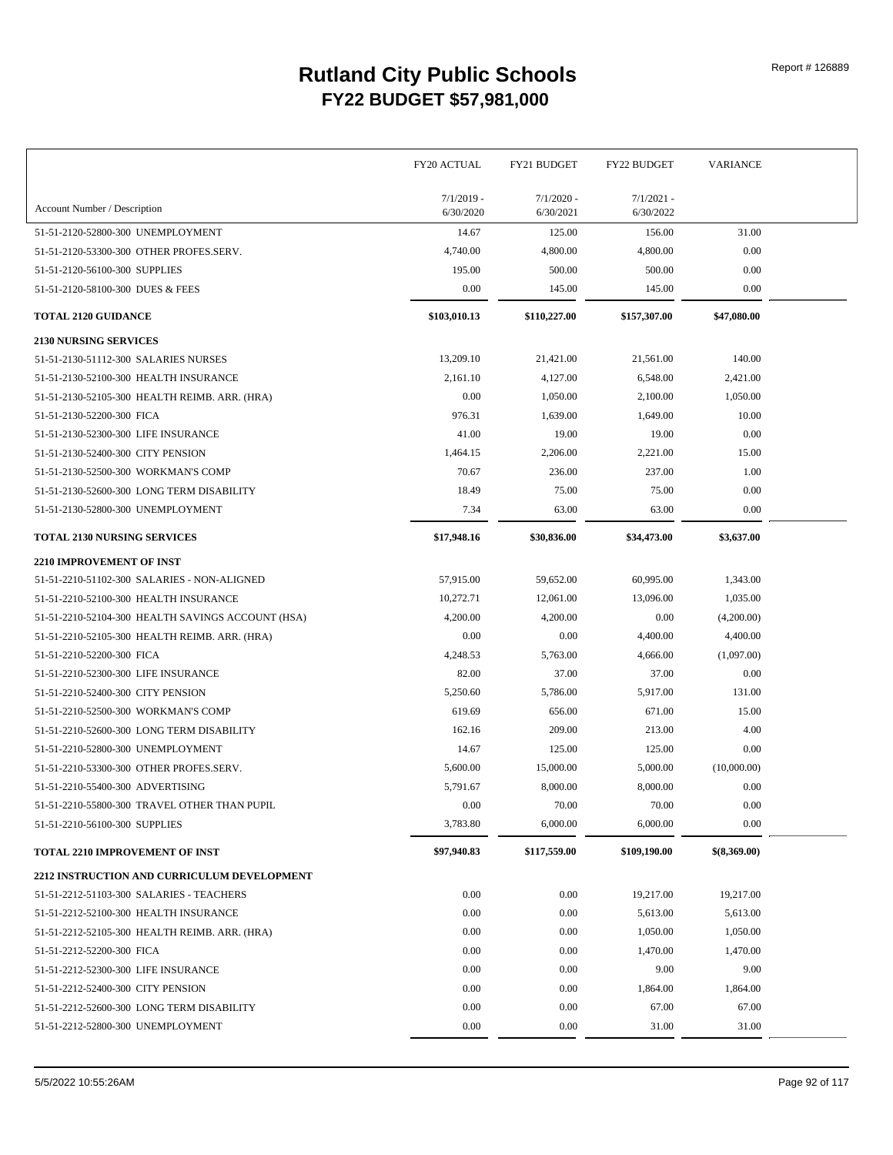|                                                   | FY20 ACTUAL               | FY21 BUDGET               | FY22 BUDGET               | <b>VARIANCE</b> |  |
|---------------------------------------------------|---------------------------|---------------------------|---------------------------|-----------------|--|
|                                                   |                           |                           |                           |                 |  |
| Account Number / Description                      | $7/1/2019$ -<br>6/30/2020 | $7/1/2020$ -<br>6/30/2021 | $7/1/2021 -$<br>6/30/2022 |                 |  |
| 51-51-2120-52800-300 UNEMPLOYMENT                 | 14.67                     | 125.00                    | 156.00                    | 31.00           |  |
| 51-51-2120-53300-300 OTHER PROFES.SERV.           | 4,740.00                  | 4,800.00                  | 4,800.00                  | 0.00            |  |
| 51-51-2120-56100-300 SUPPLIES                     | 195.00                    | 500.00                    | 500.00                    | 0.00            |  |
| 51-51-2120-58100-300 DUES & FEES                  | 0.00                      | 145.00                    | 145.00                    | 0.00            |  |
| <b>TOTAL 2120 GUIDANCE</b>                        | \$103,010.13              | \$110,227.00              | \$157,307.00              | \$47,080.00     |  |
| <b>2130 NURSING SERVICES</b>                      |                           |                           |                           |                 |  |
| 51-51-2130-51112-300 SALARIES NURSES              | 13,209.10                 | 21,421.00                 | 21,561.00                 | 140.00          |  |
| 51-51-2130-52100-300 HEALTH INSURANCE             | 2,161.10                  | 4,127.00                  | 6,548.00                  | 2,421.00        |  |
| 51-51-2130-52105-300 HEALTH REIMB. ARR. (HRA)     | 0.00                      | 1,050.00                  | 2,100.00                  | 1,050.00        |  |
| 51-51-2130-52200-300 FICA                         | 976.31                    | 1,639.00                  | 1,649.00                  | 10.00           |  |
| 51-51-2130-52300-300 LIFE INSURANCE               | 41.00                     | 19.00                     | 19.00                     | 0.00            |  |
| 51-51-2130-52400-300 CITY PENSION                 | 1,464.15                  | 2,206.00                  | 2,221.00                  | 15.00           |  |
| 51-51-2130-52500-300 WORKMAN'S COMP               | 70.67                     | 236.00                    | 237.00                    | 1.00            |  |
| 51-51-2130-52600-300 LONG TERM DISABILITY         | 18.49                     | 75.00                     | 75.00                     | 0.00            |  |
| 51-51-2130-52800-300 UNEMPLOYMENT                 | 7.34                      | 63.00                     | 63.00                     | 0.00            |  |
| <b>TOTAL 2130 NURSING SERVICES</b>                | \$17,948.16               | \$30,836.00               | \$34,473.00               | \$3,637.00      |  |
| 2210 IMPROVEMENT OF INST                          |                           |                           |                           |                 |  |
| 51-51-2210-51102-300 SALARIES - NON-ALIGNED       | 57,915.00                 | 59,652.00                 | 60,995.00                 | 1,343.00        |  |
| 51-51-2210-52100-300 HEALTH INSURANCE             | 10,272.71                 | 12,061.00                 | 13,096.00                 | 1,035.00        |  |
| 51-51-2210-52104-300 HEALTH SAVINGS ACCOUNT (HSA) | 4,200.00                  | 4,200.00                  | 0.00                      | (4,200.00)      |  |
| 51-51-2210-52105-300 HEALTH REIMB. ARR. (HRA)     | 0.00                      | 0.00                      | 4,400.00                  | 4,400.00        |  |
| 51-51-2210-52200-300 FICA                         | 4,248.53                  | 5,763.00                  | 4,666.00                  | (1,097.00)      |  |
| 51-51-2210-52300-300 LIFE INSURANCE               | 82.00                     | 37.00                     | 37.00                     | 0.00            |  |
| 51-51-2210-52400-300 CITY PENSION                 | 5,250.60                  | 5,786.00                  | 5,917.00                  | 131.00          |  |
| 51-51-2210-52500-300 WORKMAN'S COMP               | 619.69                    | 656.00                    | 671.00                    | 15.00           |  |
| 51-51-2210-52600-300 LONG TERM DISABILITY         | 162.16                    | 209.00                    | 213.00                    | 4.00            |  |
| 51-51-2210-52800-300 UNEMPLOYMENT                 | 14.67                     | 125.00                    | 125.00                    | 0.00            |  |
| 51-51-2210-53300-300 OTHER PROFES.SERV.           | 5,600.00                  | 15,000.00                 | 5,000.00                  | (10,000.00)     |  |
| 51-51-2210-55400-300 ADVERTISING                  | 5,791.67                  | 8,000.00                  | 8,000.00                  | 0.00            |  |
| 51-51-2210-55800-300 TRAVEL OTHER THAN PUPIL      | 0.00                      | 70.00                     | 70.00                     | 0.00            |  |
| 51-51-2210-56100-300 SUPPLIES                     | 3,783.80                  | 6,000.00                  | 6,000.00                  | 0.00            |  |
| <b>TOTAL 2210 IMPROVEMENT OF INST</b>             | \$97,940.83               | \$117,559.00              | \$109,190.00              | \$(8,369.00)    |  |
| 2212 INSTRUCTION AND CURRICULUM DEVELOPMENT       |                           |                           |                           |                 |  |
| 51-51-2212-51103-300 SALARIES - TEACHERS          | 0.00                      | 0.00                      | 19,217.00                 | 19,217.00       |  |
| 51-51-2212-52100-300 HEALTH INSURANCE             | 0.00                      | 0.00                      | 5,613.00                  | 5,613.00        |  |
| 51-51-2212-52105-300 HEALTH REIMB. ARR. (HRA)     | 0.00                      | 0.00                      | 1,050.00                  | 1,050.00        |  |
| 51-51-2212-52200-300 FICA                         | 0.00                      | 0.00                      | 1,470.00                  | 1,470.00        |  |
| 51-51-2212-52300-300 LIFE INSURANCE               | 0.00                      | 0.00                      | 9.00                      | 9.00            |  |
| 51-51-2212-52400-300 CITY PENSION                 | 0.00                      | 0.00                      | 1,864.00                  | 1,864.00        |  |
| 51-51-2212-52600-300 LONG TERM DISABILITY         | 0.00                      | 0.00                      | 67.00                     | 67.00           |  |
| 51-51-2212-52800-300 UNEMPLOYMENT                 | 0.00                      | 0.00                      | 31.00                     | 31.00           |  |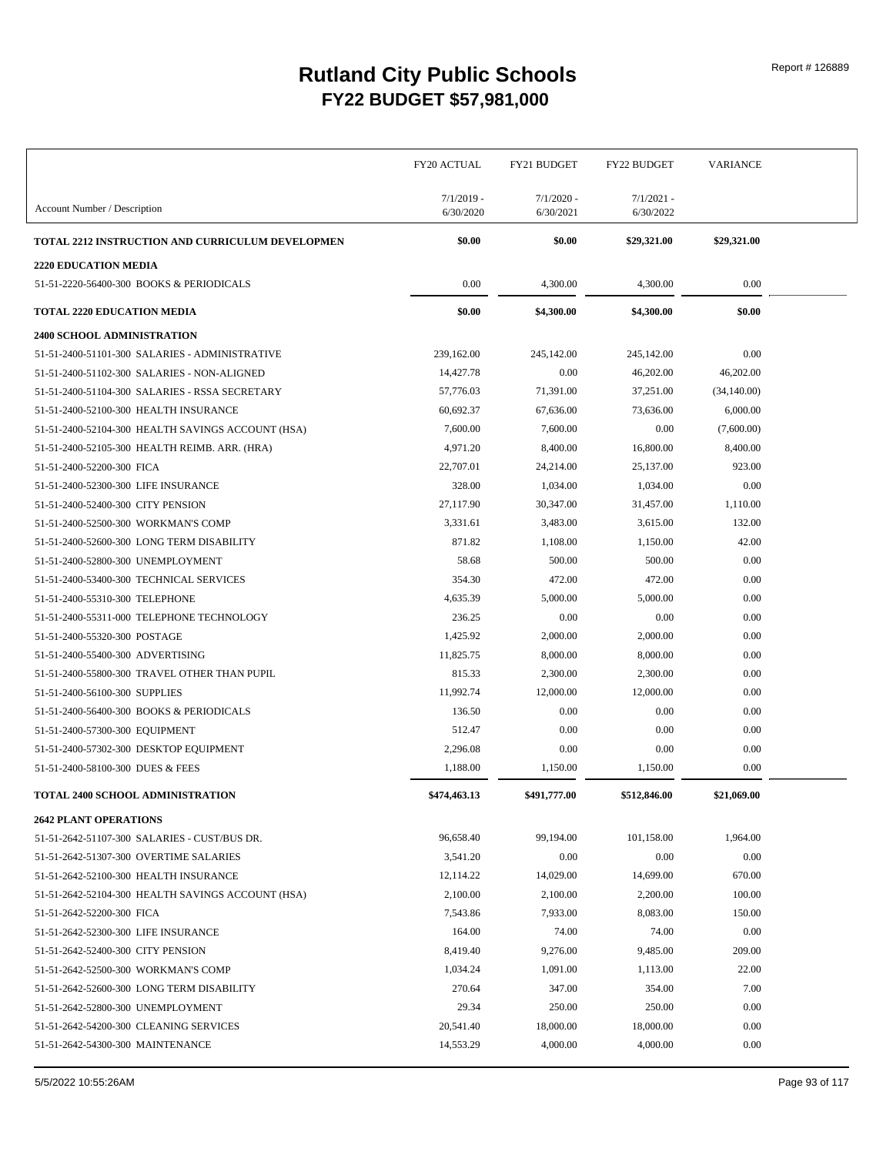|                                                   | <b>FY20 ACTUAL</b> | <b>FY21 BUDGET</b> | <b>FY22 BUDGET</b> | <b>VARIANCE</b> |  |
|---------------------------------------------------|--------------------|--------------------|--------------------|-----------------|--|
| Account Number / Description                      | $7/1/2019$ -       | $7/1/2020$ -       | $7/1/2021 -$       |                 |  |
|                                                   | 6/30/2020          | 6/30/2021          | 6/30/2022          |                 |  |
| TOTAL 2212 INSTRUCTION AND CURRICULUM DEVELOPMEN  | \$0.00             | \$0.00             | \$29,321.00        | \$29,321.00     |  |
| <b>2220 EDUCATION MEDIA</b>                       |                    |                    |                    |                 |  |
| 51-51-2220-56400-300 BOOKS & PERIODICALS          | 0.00               | 4,300.00           | 4,300.00           | 0.00            |  |
| <b>TOTAL 2220 EDUCATION MEDIA</b>                 | \$0.00             | \$4,300.00         | \$4,300.00         | \$0.00          |  |
| <b>2400 SCHOOL ADMINISTRATION</b>                 |                    |                    |                    |                 |  |
| 51-51-2400-51101-300 SALARIES - ADMINISTRATIVE    | 239,162.00         | 245,142.00         | 245,142.00         | 0.00            |  |
| 51-51-2400-51102-300 SALARIES - NON-ALIGNED       | 14,427.78          | 0.00               | 46,202.00          | 46,202.00       |  |
| 51-51-2400-51104-300 SALARIES - RSSA SECRETARY    | 57,776.03          | 71,391.00          | 37,251.00          | (34, 140.00)    |  |
| 51-51-2400-52100-300 HEALTH INSURANCE             | 60,692.37          | 67,636.00          | 73,636.00          | 6,000.00        |  |
| 51-51-2400-52104-300 HEALTH SAVINGS ACCOUNT (HSA) | 7,600.00           | 7,600.00           | 0.00               | (7,600.00)      |  |
| 51-51-2400-52105-300 HEALTH REIMB. ARR. (HRA)     | 4,971.20           | 8,400.00           | 16,800.00          | 8,400.00        |  |
| 51-51-2400-52200-300 FICA                         | 22,707.01          | 24,214.00          | 25,137.00          | 923.00          |  |
| 51-51-2400-52300-300 LIFE INSURANCE               | 328.00             | 1,034.00           | 1,034.00           | 0.00            |  |
| 51-51-2400-52400-300 CITY PENSION                 | 27,117.90          | 30,347.00          | 31,457.00          | 1,110.00        |  |
| 51-51-2400-52500-300 WORKMAN'S COMP               | 3,331.61           | 3,483.00           | 3,615.00           | 132.00          |  |
| 51-51-2400-52600-300 LONG TERM DISABILITY         | 871.82             | 1,108.00           | 1,150.00           | 42.00           |  |
| 51-51-2400-52800-300 UNEMPLOYMENT                 | 58.68              | 500.00             | 500.00             | 0.00            |  |
| 51-51-2400-53400-300 TECHNICAL SERVICES           | 354.30             | 472.00             | 472.00             | 0.00            |  |
| 51-51-2400-55310-300 TELEPHONE                    | 4,635.39           | 5,000.00           | 5,000.00           | 0.00            |  |
| 51-51-2400-55311-000 TELEPHONE TECHNOLOGY         | 236.25             | 0.00               | 0.00               | 0.00            |  |
| 51-51-2400-55320-300 POSTAGE                      | 1,425.92           | 2,000.00           | 2,000.00           | 0.00            |  |
| 51-51-2400-55400-300 ADVERTISING                  | 11,825.75          | 8,000.00           | 8,000.00           | 0.00            |  |
| 51-51-2400-55800-300 TRAVEL OTHER THAN PUPIL      | 815.33             | 2,300.00           | 2,300.00           | 0.00            |  |
| 51-51-2400-56100-300 SUPPLIES                     | 11,992.74          | 12,000.00          | 12,000.00          | 0.00            |  |
| 51-51-2400-56400-300 BOOKS & PERIODICALS          | 136.50             | 0.00               | 0.00               | 0.00            |  |
| 51-51-2400-57300-300 EQUIPMENT                    | 512.47             | 0.00               | 0.00               | 0.00            |  |
| 51-51-2400-57302-300 DESKTOP EQUIPMENT            | 2,296.08           | 0.00               | 0.00               | 0.00            |  |
| 51-51-2400-58100-300 DUES & FEES                  | 1,188.00           | 1,150.00           | 1,150.00           | 0.00            |  |
| <b>TOTAL 2400 SCHOOL ADMINISTRATION</b>           | \$474,463.13       | \$491,777.00       | \$512,846.00       | \$21,069.00     |  |
| <b>2642 PLANT OPERATIONS</b>                      |                    |                    |                    |                 |  |
| 51-51-2642-51107-300 SALARIES - CUST/BUS DR.      | 96,658.40          | 99,194.00          | 101,158.00         | 1,964.00        |  |
| 51-51-2642-51307-300 OVERTIME SALARIES            | 3,541.20           | 0.00               | 0.00               | 0.00            |  |
| 51-51-2642-52100-300 HEALTH INSURANCE             | 12,114.22          | 14,029.00          | 14,699.00          | 670.00          |  |
| 51-51-2642-52104-300 HEALTH SAVINGS ACCOUNT (HSA) | 2,100.00           | 2,100.00           | 2,200.00           | 100.00          |  |
| 51-51-2642-52200-300 FICA                         | 7,543.86           | 7,933.00           | 8,083.00           | 150.00          |  |
| 51-51-2642-52300-300 LIFE INSURANCE               | 164.00             | 74.00              | 74.00              | 0.00            |  |
| 51-51-2642-52400-300 CITY PENSION                 | 8,419.40           | 9,276.00           | 9,485.00           | 209.00          |  |
| 51-51-2642-52500-300 WORKMAN'S COMP               | 1,034.24           | 1,091.00           | 1,113.00           | 22.00           |  |
| 51-51-2642-52600-300 LONG TERM DISABILITY         | 270.64             | 347.00             | 354.00             | 7.00            |  |
| 51-51-2642-52800-300 UNEMPLOYMENT                 | 29.34              | 250.00             | 250.00             | 0.00            |  |
| 51-51-2642-54200-300 CLEANING SERVICES            | 20,541.40          | 18,000.00          | 18,000.00          | 0.00            |  |
| 51-51-2642-54300-300 MAINTENANCE                  | 14,553.29          | 4,000.00           | 4,000.00           | 0.00            |  |
|                                                   |                    |                    |                    |                 |  |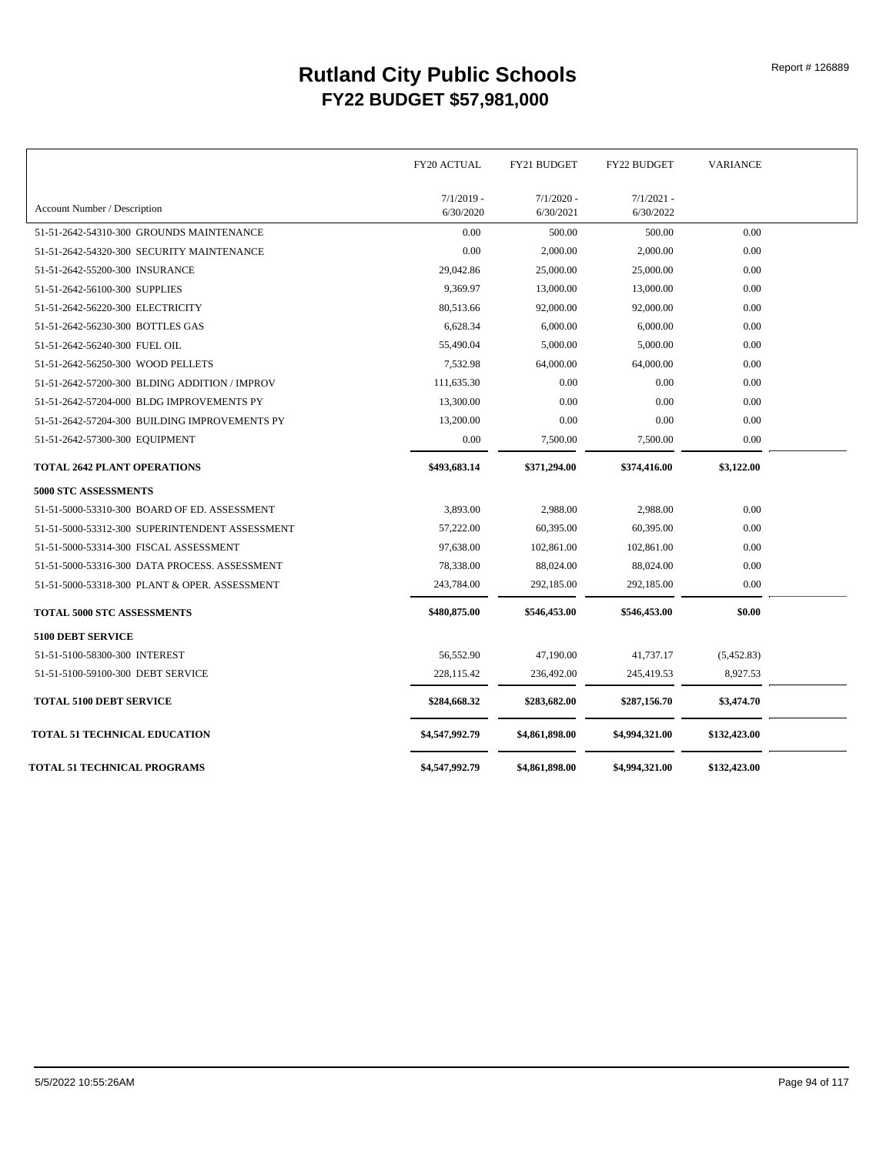|                                                | FY20 ACTUAL    | FY21 BUDGET    | FY22 BUDGET    | <b>VARIANCE</b> |  |
|------------------------------------------------|----------------|----------------|----------------|-----------------|--|
|                                                | $7/1/2019$ -   | $7/1/2020$ -   | $7/1/2021$ -   |                 |  |
| Account Number / Description                   | 6/30/2020      | 6/30/2021      | 6/30/2022      |                 |  |
| 51-51-2642-54310-300 GROUNDS MAINTENANCE       | 0.00           | 500.00         | 500.00         | 0.00            |  |
| 51-51-2642-54320-300 SECURITY MAINTENANCE      | 0.00           | 2,000.00       | 2,000.00       | 0.00            |  |
| 51-51-2642-55200-300 INSURANCE                 | 29,042.86      | 25,000.00      | 25,000.00      | 0.00            |  |
| 51-51-2642-56100-300 SUPPLIES                  | 9,369.97       | 13,000.00      | 13,000.00      | 0.00            |  |
| 51-51-2642-56220-300 ELECTRICITY               | 80,513.66      | 92,000.00      | 92,000.00      | 0.00            |  |
| 51-51-2642-56230-300 BOTTLES GAS               | 6,628.34       | 6,000.00       | 6,000.00       | 0.00            |  |
| 51-51-2642-56240-300 FUEL OIL                  | 55,490.04      | 5,000.00       | 5,000.00       | 0.00            |  |
| 51-51-2642-56250-300 WOOD PELLETS              | 7,532.98       | 64,000.00      | 64,000.00      | 0.00            |  |
| 51-51-2642-57200-300 BLDING ADDITION / IMPROV  | 111,635.30     | 0.00           | 0.00           | 0.00            |  |
| 51-51-2642-57204-000 BLDG IMPROVEMENTS PY      | 13,300.00      | 0.00           | 0.00           | 0.00            |  |
| 51-51-2642-57204-300 BUILDING IMPROVEMENTS PY  | 13,200.00      | 0.00           | 0.00           | 0.00            |  |
| 51-51-2642-57300-300 EQUIPMENT                 | 0.00           | 7,500.00       | 7,500.00       | 0.00            |  |
| <b>TOTAL 2642 PLANT OPERATIONS</b>             | \$493,683.14   | \$371,294.00   | \$374,416.00   | \$3,122.00      |  |
| 5000 STC ASSESSMENTS                           |                |                |                |                 |  |
| 51-51-5000-53310-300 BOARD OF ED. ASSESSMENT   | 3,893.00       | 2,988.00       | 2,988.00       | 0.00            |  |
| 51-51-5000-53312-300 SUPERINTENDENT ASSESSMENT | 57,222.00      | 60,395.00      | 60,395.00      | 0.00            |  |
| 51-51-5000-53314-300 FISCAL ASSESSMENT         | 97,638.00      | 102,861.00     | 102,861.00     | 0.00            |  |
| 51-51-5000-53316-300 DATA PROCESS. ASSESSMENT  | 78,338.00      | 88,024.00      | 88,024.00      | 0.00            |  |
| 51-51-5000-53318-300 PLANT & OPER. ASSESSMENT  | 243,784.00     | 292,185.00     | 292,185.00     | 0.00            |  |
| <b>TOTAL 5000 STC ASSESSMENTS</b>              | \$480,875.00   | \$546,453.00   | \$546,453.00   | \$0.00          |  |
| <b>5100 DEBT SERVICE</b>                       |                |                |                |                 |  |
| 51-51-5100-58300-300 INTEREST                  | 56,552.90      | 47,190.00      | 41,737.17      | (5,452.83)      |  |
| 51-51-5100-59100-300 DEBT SERVICE              | 228,115.42     | 236,492.00     | 245,419.53     | 8,927.53        |  |
| <b>TOTAL 5100 DEBT SERVICE</b>                 | \$284,668.32   | \$283,682.00   | \$287,156.70   | \$3,474.70      |  |
| <b>TOTAL 51 TECHNICAL EDUCATION</b>            | \$4,547,992.79 | \$4,861,898.00 | \$4,994,321.00 | \$132,423.00    |  |
| <b>TOTAL 51 TECHNICAL PROGRAMS</b>             | \$4,547,992.79 | \$4,861,898.00 | \$4,994,321.00 | \$132,423.00    |  |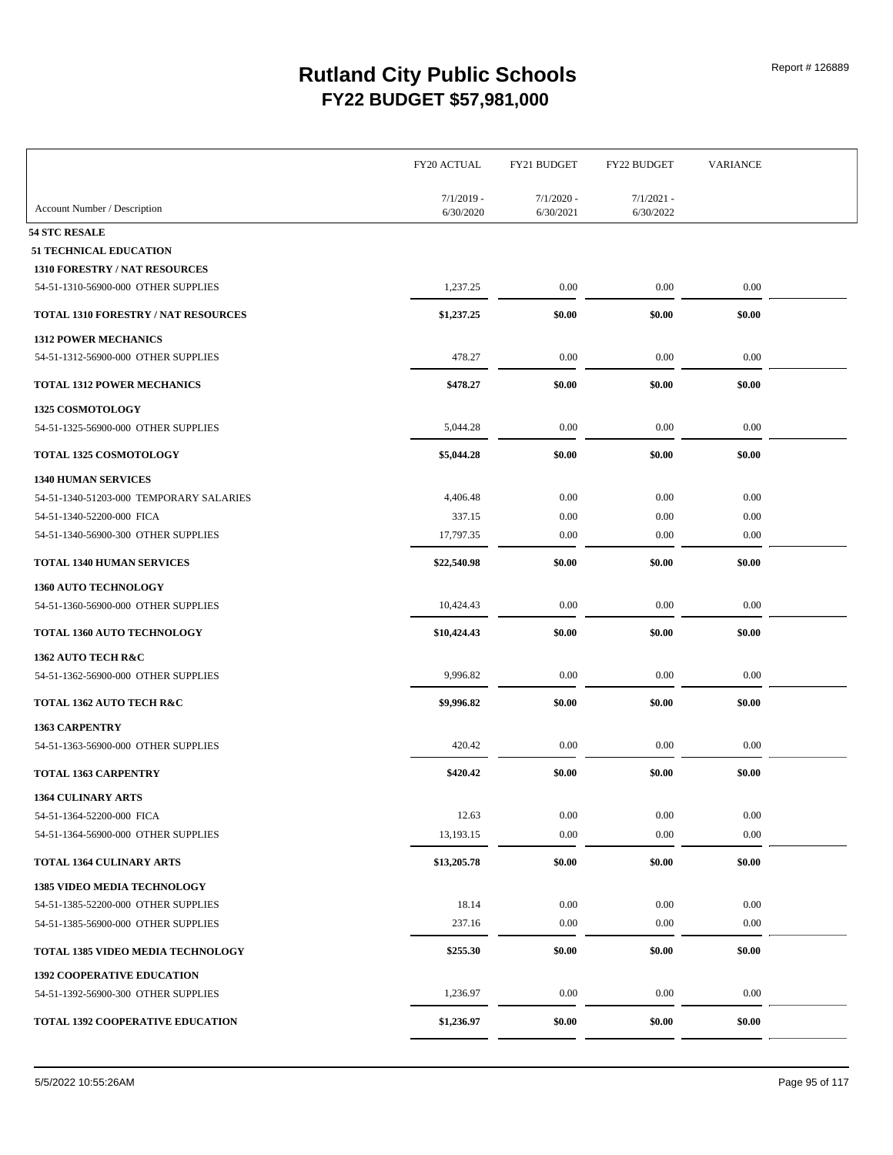|                                         | <b>FY20 ACTUAL</b>        | FY21 BUDGET               | <b>FY22 BUDGET</b>        | <b>VARIANCE</b> |  |
|-----------------------------------------|---------------------------|---------------------------|---------------------------|-----------------|--|
| Account Number / Description            | $7/1/2019$ -<br>6/30/2020 | $7/1/2020$ -<br>6/30/2021 | $7/1/2021 -$<br>6/30/2022 |                 |  |
| <b>54 STC RESALE</b>                    |                           |                           |                           |                 |  |
| <b>51 TECHNICAL EDUCATION</b>           |                           |                           |                           |                 |  |
| 1310 FORESTRY / NAT RESOURCES           |                           |                           |                           |                 |  |
| 54-51-1310-56900-000 OTHER SUPPLIES     | 1,237.25                  | 0.00                      | 0.00                      | 0.00            |  |
| TOTAL 1310 FORESTRY / NAT RESOURCES     | \$1,237.25                | \$0.00                    | \$0.00                    | \$0.00          |  |
| <b>1312 POWER MECHANICS</b>             |                           |                           |                           |                 |  |
| 54-51-1312-56900-000 OTHER SUPPLIES     | 478.27                    | 0.00                      | 0.00                      | 0.00            |  |
| <b>TOTAL 1312 POWER MECHANICS</b>       | \$478.27                  | \$0.00                    | \$0.00                    | \$0.00          |  |
| <b>1325 COSMOTOLOGY</b>                 |                           |                           |                           |                 |  |
| 54-51-1325-56900-000 OTHER SUPPLIES     | 5,044.28                  | 0.00                      | 0.00                      | 0.00            |  |
| TOTAL 1325 COSMOTOLOGY                  | \$5,044.28                | \$0.00                    | \$0.00                    | \$0.00          |  |
| <b>1340 HUMAN SERVICES</b>              |                           |                           |                           |                 |  |
| 54-51-1340-51203-000 TEMPORARY SALARIES | 4,406.48                  | 0.00                      | 0.00                      | 0.00            |  |
| 54-51-1340-52200-000 FICA               | 337.15                    | 0.00                      | 0.00                      | 0.00            |  |
| 54-51-1340-56900-300 OTHER SUPPLIES     | 17,797.35                 | 0.00                      | 0.00                      | 0.00            |  |
| <b>TOTAL 1340 HUMAN SERVICES</b>        | \$22,540.98               | \$0.00                    | \$0.00                    | \$0.00          |  |
| 1360 AUTO TECHNOLOGY                    |                           |                           |                           |                 |  |
| 54-51-1360-56900-000 OTHER SUPPLIES     | 10,424.43                 | 0.00                      | 0.00                      | 0.00            |  |
| <b>TOTAL 1360 AUTO TECHNOLOGY</b>       | \$10,424.43               | \$0.00                    | \$0.00                    | \$0.00          |  |
| 1362 AUTO TECH R&C                      |                           |                           |                           |                 |  |
| 54-51-1362-56900-000 OTHER SUPPLIES     | 9,996.82                  | 0.00                      | 0.00                      | 0.00            |  |
| TOTAL 1362 AUTO TECH R&C                | \$9,996.82                | \$0.00                    | \$0.00                    | \$0.00          |  |
| <b>1363 CARPENTRY</b>                   |                           |                           |                           |                 |  |
| 54-51-1363-56900-000 OTHER SUPPLIES     | 420.42                    | 0.00                      | 0.00                      | 0.00            |  |
| <b>TOTAL 1363 CARPENTRY</b>             | \$420.42                  | \$0.00                    | \$0.00                    | \$0.00          |  |
| <b>1364 CULINARY ARTS</b>               |                           |                           |                           |                 |  |
| 54-51-1364-52200-000 FICA               | 12.63                     | 0.00                      | $0.00\,$                  | 0.00            |  |
| 54-51-1364-56900-000 OTHER SUPPLIES     | 13,193.15                 | 0.00                      | 0.00                      | 0.00            |  |
| <b>TOTAL 1364 CULINARY ARTS</b>         | \$13,205.78               | \$0.00                    | \$0.00                    | \$0.00          |  |
| <b>1385 VIDEO MEDIA TECHNOLOGY</b>      |                           |                           |                           |                 |  |
| 54-51-1385-52200-000 OTHER SUPPLIES     | 18.14                     | 0.00                      | 0.00                      | 0.00            |  |
| 54-51-1385-56900-000 OTHER SUPPLIES     | 237.16                    | 0.00                      | 0.00                      | 0.00            |  |
| TOTAL 1385 VIDEO MEDIA TECHNOLOGY       | \$255.30                  | \$0.00                    | \$0.00                    | \$0.00          |  |
| <b>1392 COOPERATIVE EDUCATION</b>       |                           |                           |                           |                 |  |
| 54-51-1392-56900-300 OTHER SUPPLIES     | 1,236.97                  | 0.00                      | $0.00\,$                  | 0.00            |  |
| <b>TOTAL 1392 COOPERATIVE EDUCATION</b> | \$1,236.97                | \$0.00                    | \$0.00                    | \$0.00          |  |
|                                         |                           |                           |                           |                 |  |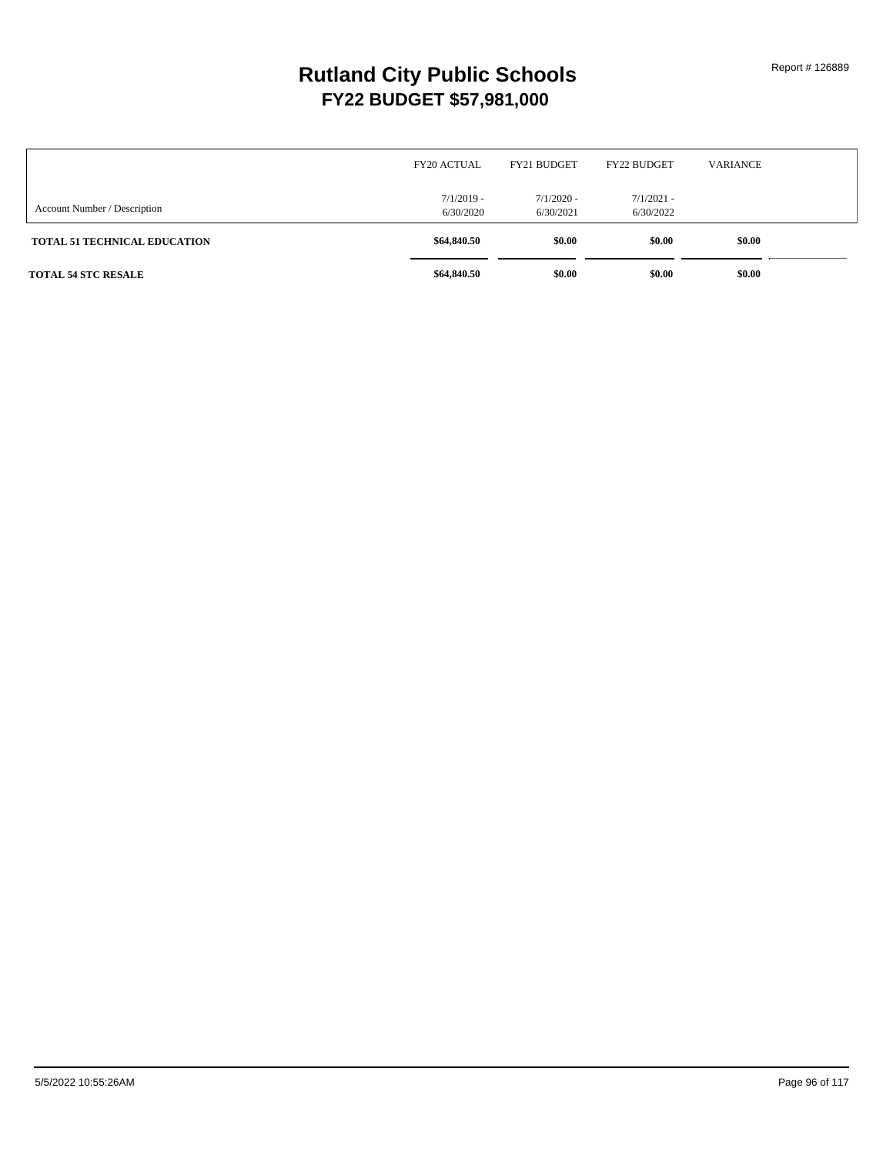|                                     | <b>FY20 ACTUAL</b>        | <b>FY21 BUDGET</b>        | <b>FY22 BUDGET</b>        | <b>VARIANCE</b> |  |
|-------------------------------------|---------------------------|---------------------------|---------------------------|-----------------|--|
| Account Number / Description        | $7/1/2019$ -<br>6/30/2020 | $7/1/2020$ -<br>6/30/2021 | $7/1/2021 -$<br>6/30/2022 |                 |  |
| <b>TOTAL 51 TECHNICAL EDUCATION</b> | \$64,840.50               | \$0.00                    | \$0.00                    | \$0.00          |  |
| <b>TOTAL 54 STC RESALE</b>          | \$64,840.50               | \$0.00                    | \$0.00                    | \$0.00          |  |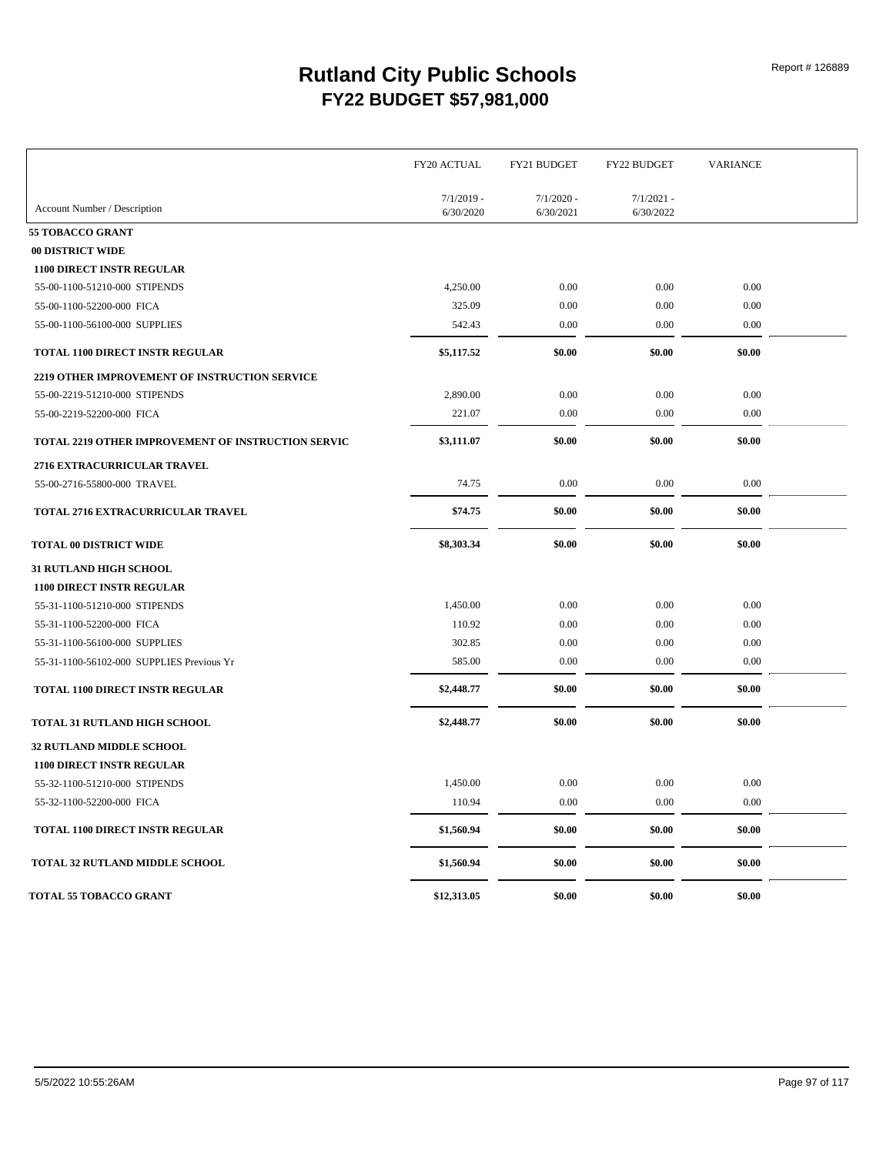|                                                           | FY20 ACTUAL  | FY21 BUDGET  | FY22 BUDGET  | <b>VARIANCE</b> |  |
|-----------------------------------------------------------|--------------|--------------|--------------|-----------------|--|
|                                                           | $7/1/2019$ - | $7/1/2020$ - | $7/1/2021 -$ |                 |  |
| Account Number / Description                              | 6/30/2020    | 6/30/2021    | 6/30/2022    |                 |  |
| 55 TOBACCO GRANT                                          |              |              |              |                 |  |
| <b>00 DISTRICT WIDE</b>                                   |              |              |              |                 |  |
| <b>1100 DIRECT INSTR REGULAR</b>                          |              |              |              |                 |  |
| 55-00-1100-51210-000 STIPENDS                             | 4,250.00     | 0.00         | 0.00         | 0.00            |  |
| 55-00-1100-52200-000 FICA                                 | 325.09       | 0.00         | 0.00         | 0.00            |  |
| 55-00-1100-56100-000 SUPPLIES                             | 542.43       | 0.00         | 0.00         | 0.00            |  |
| TOTAL 1100 DIRECT INSTR REGULAR                           | \$5,117.52   | \$0.00       | \$0.00       | \$0.00          |  |
| 2219 OTHER IMPROVEMENT OF INSTRUCTION SERVICE             |              |              |              |                 |  |
| 55-00-2219-51210-000 STIPENDS                             | 2,890.00     | 0.00         | 0.00         | 0.00            |  |
| 55-00-2219-52200-000 FICA                                 | 221.07       | 0.00         | 0.00         | 0.00            |  |
| <b>TOTAL 2219 OTHER IMPROVEMENT OF INSTRUCTION SERVIC</b> | \$3,111.07   | \$0.00       | \$0.00       | \$0.00          |  |
| 2716 EXTRACURRICULAR TRAVEL                               |              |              |              |                 |  |
| 55-00-2716-55800-000 TRAVEL                               | 74.75        | 0.00         | 0.00         | 0.00            |  |
| <b>TOTAL 2716 EXTRACURRICULAR TRAVEL</b>                  | \$74.75      | \$0.00       | \$0.00       | \$0.00          |  |
| <b>TOTAL 00 DISTRICT WIDE</b>                             | \$8,303.34   | \$0.00       | \$0.00       | \$0.00          |  |
| 31 RUTLAND HIGH SCHOOL                                    |              |              |              |                 |  |
| <b>1100 DIRECT INSTR REGULAR</b>                          |              |              |              |                 |  |
| 55-31-1100-51210-000 STIPENDS                             | 1,450.00     | 0.00         | 0.00         | 0.00            |  |
| 55-31-1100-52200-000 FICA                                 | 110.92       | $0.00\,$     | 0.00         | 0.00            |  |
| 55-31-1100-56100-000 SUPPLIES                             | 302.85       | 0.00         | 0.00         | 0.00            |  |
| 55-31-1100-56102-000 SUPPLIES Previous Yr                 | 585.00       | 0.00         | 0.00         | 0.00            |  |
| TOTAL 1100 DIRECT INSTR REGULAR                           | \$2,448.77   | \$0.00       | \$0.00       | \$0.00          |  |
| TOTAL 31 RUTLAND HIGH SCHOOL                              | \$2,448.77   | \$0.00       | \$0.00       | \$0.00          |  |
| 32 RUTLAND MIDDLE SCHOOL                                  |              |              |              |                 |  |
| <b>1100 DIRECT INSTR REGULAR</b>                          |              |              |              |                 |  |
| 55-32-1100-51210-000 STIPENDS                             | 1,450.00     | 0.00         | 0.00         | 0.00            |  |
| 55-32-1100-52200-000 FICA                                 | 110.94       | 0.00         | 0.00         | 0.00            |  |
| TOTAL 1100 DIRECT INSTR REGULAR                           | \$1,560.94   | \$0.00       | \$0.00       | \$0.00          |  |
| TOTAL 32 RUTLAND MIDDLE SCHOOL                            | \$1,560.94   | \$0.00       | \$0.00       | \$0.00          |  |
| <b>TOTAL 55 TOBACCO GRANT</b>                             | \$12,313.05  | \$0.00       | \$0.00       | \$0.00          |  |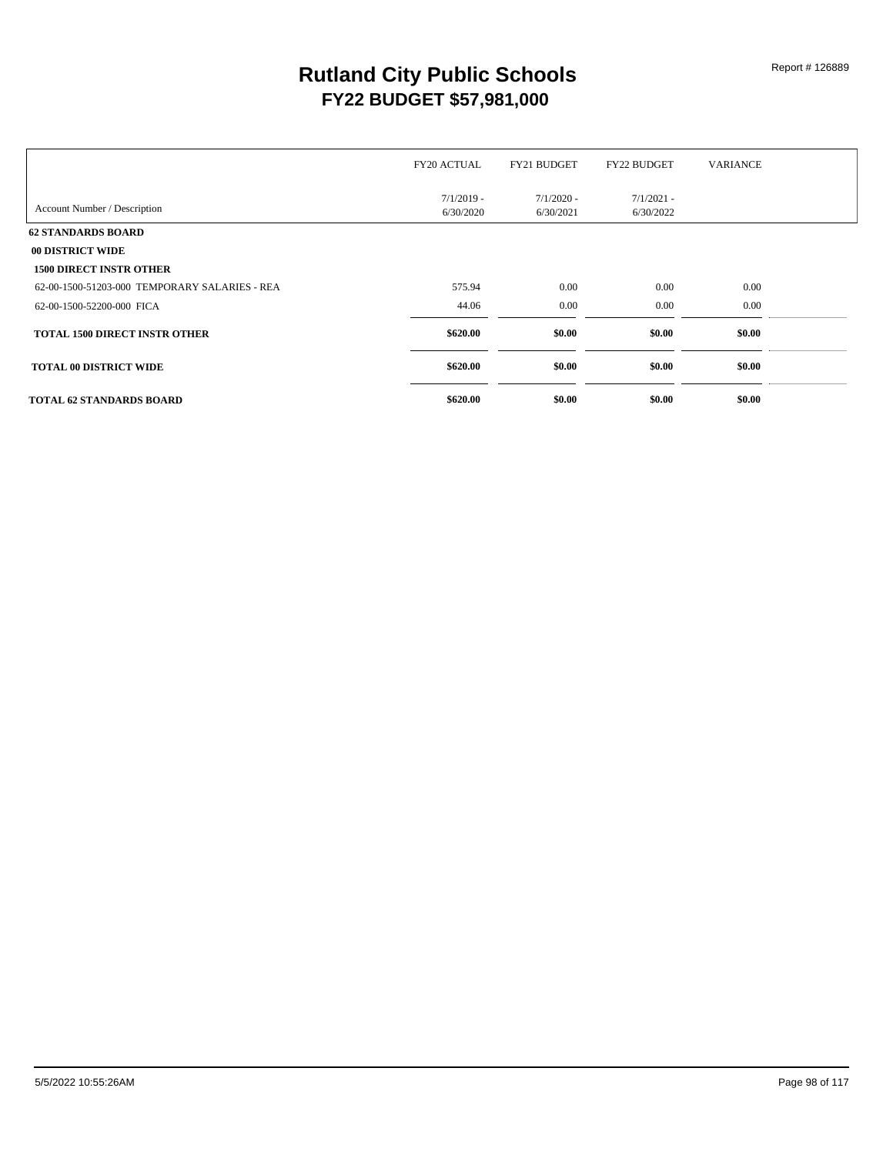|                                               | <b>FY20 ACTUAL</b>        | FY21 BUDGET               | <b>FY22 BUDGET</b>        | <b>VARIANCE</b> |  |
|-----------------------------------------------|---------------------------|---------------------------|---------------------------|-----------------|--|
| Account Number / Description                  | $7/1/2019$ -<br>6/30/2020 | $7/1/2020$ -<br>6/30/2021 | $7/1/2021 -$<br>6/30/2022 |                 |  |
| <b>62 STANDARDS BOARD</b>                     |                           |                           |                           |                 |  |
| <b>00 DISTRICT WIDE</b>                       |                           |                           |                           |                 |  |
| <b>1500 DIRECT INSTR OTHER</b>                |                           |                           |                           |                 |  |
| 62-00-1500-51203-000 TEMPORARY SALARIES - REA | 575.94                    | 0.00                      | 0.00                      | 0.00            |  |
| 62-00-1500-52200-000 FICA                     | 44.06                     | 0.00                      | 0.00                      | 0.00            |  |
| <b>TOTAL 1500 DIRECT INSTR OTHER</b>          | \$620.00                  | \$0.00                    | \$0.00                    | \$0.00          |  |
| <b>TOTAL 00 DISTRICT WIDE</b>                 | \$620.00                  | \$0.00                    | \$0.00                    | \$0.00          |  |
| <b>TOTAL 62 STANDARDS BOARD</b>               | \$620.00                  | \$0.00                    | \$0.00                    | \$0.00          |  |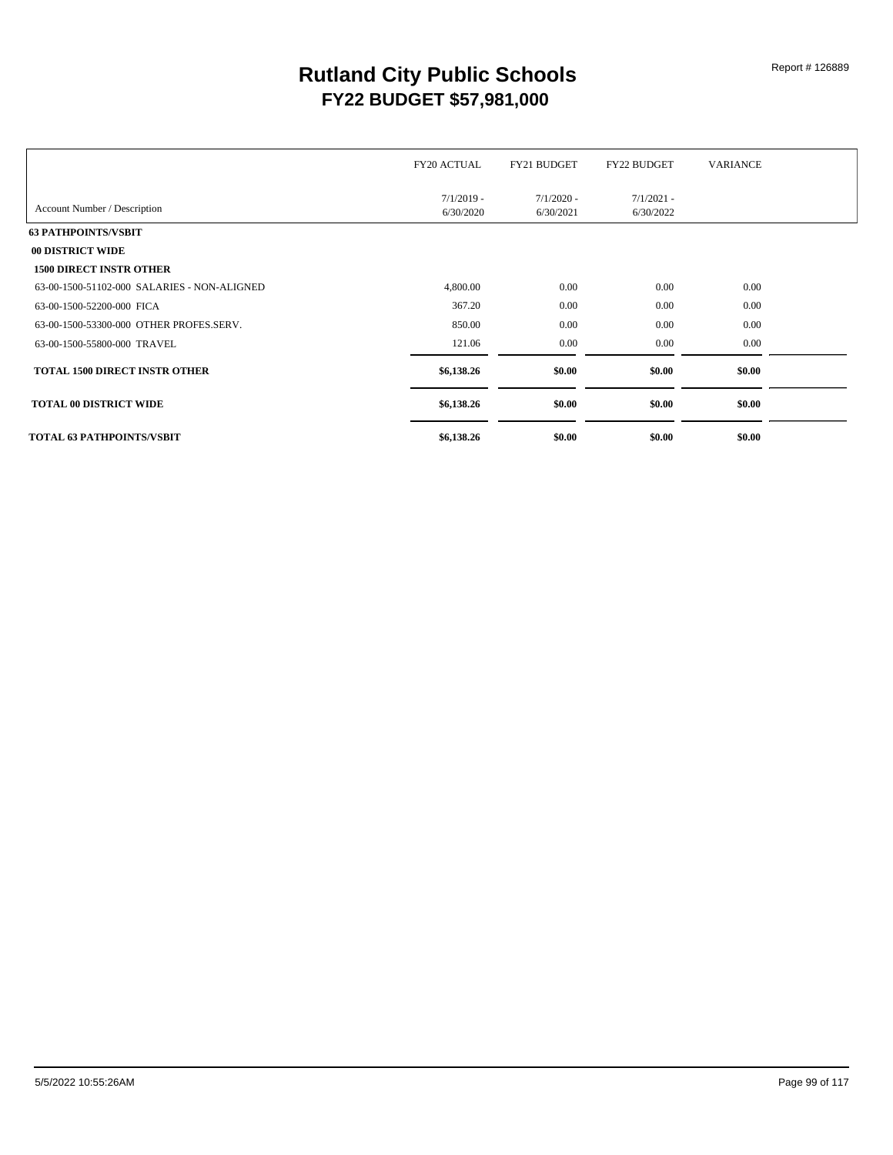|                                             | FY20 ACTUAL  | <b>FY21 BUDGET</b> | FY22 BUDGET  | <b>VARIANCE</b> |  |
|---------------------------------------------|--------------|--------------------|--------------|-----------------|--|
|                                             | $7/1/2019$ - | $7/1/2020$ -       | $7/1/2021 -$ |                 |  |
| Account Number / Description                | 6/30/2020    | 6/30/2021          | 6/30/2022    |                 |  |
| <b>63 PATHPOINTS/VSBIT</b>                  |              |                    |              |                 |  |
| <b>00 DISTRICT WIDE</b>                     |              |                    |              |                 |  |
| <b>1500 DIRECT INSTR OTHER</b>              |              |                    |              |                 |  |
| 63-00-1500-51102-000 SALARIES - NON-ALIGNED | 4,800.00     | 0.00               | 0.00         | 0.00            |  |
| 63-00-1500-52200-000 FICA                   | 367.20       | $0.00\,$           | 0.00         | 0.00            |  |
| 63-00-1500-53300-000 OTHER PROFES.SERV.     | 850.00       | $0.00\,$           | 0.00         | 0.00            |  |
| 63-00-1500-55800-000 TRAVEL                 | 121.06       | 0.00               | 0.00         | 0.00            |  |
| <b>TOTAL 1500 DIRECT INSTR OTHER</b>        | \$6,138.26   | \$0.00             | \$0.00       | \$0.00          |  |
| <b>TOTAL 00 DISTRICT WIDE</b>               | \$6,138.26   | \$0.00             | \$0.00       | \$0.00          |  |
| <b>TOTAL 63 PATHPOINTS/VSBIT</b>            | \$6,138.26   | \$0.00             | \$0.00       | \$0.00          |  |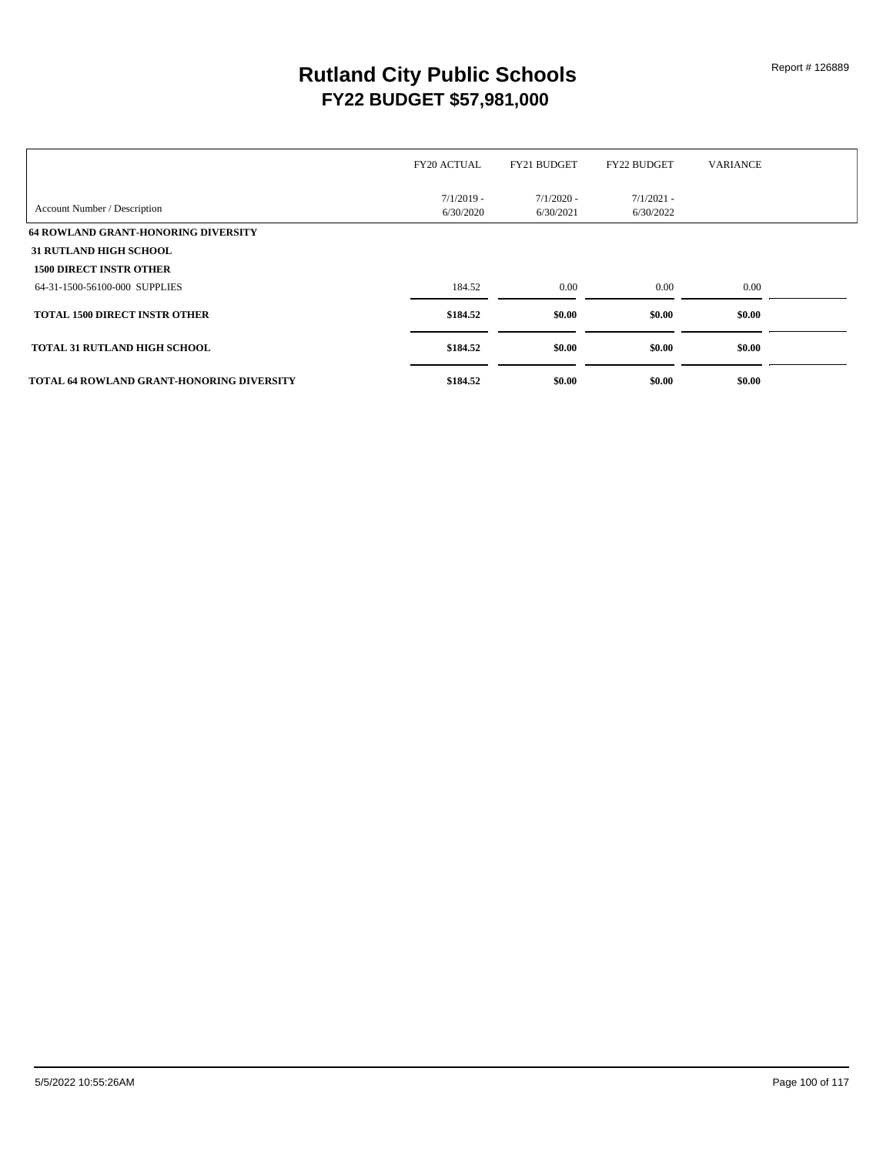|                                                  | <b>FY20 ACTUAL</b>        | FY21 BUDGET               | <b>FY22 BUDGET</b>        | <b>VARIANCE</b> |  |
|--------------------------------------------------|---------------------------|---------------------------|---------------------------|-----------------|--|
| Account Number / Description                     | $7/1/2019$ -<br>6/30/2020 | $7/1/2020$ -<br>6/30/2021 | $7/1/2021 -$<br>6/30/2022 |                 |  |
| <b>64 ROWLAND GRANT-HONORING DIVERSITY</b>       |                           |                           |                           |                 |  |
| <b>31 RUTLAND HIGH SCHOOL</b>                    |                           |                           |                           |                 |  |
| <b>1500 DIRECT INSTR OTHER</b>                   |                           |                           |                           |                 |  |
| 64-31-1500-56100-000 SUPPLIES                    | 184.52                    | 0.00                      | 0.00                      | 0.00            |  |
| <b>TOTAL 1500 DIRECT INSTR OTHER</b>             | \$184.52                  | \$0.00                    | \$0.00                    | \$0.00          |  |
| <b>TOTAL 31 RUTLAND HIGH SCHOOL</b>              | \$184.52                  | \$0.00                    | \$0.00                    | \$0.00          |  |
| <b>TOTAL 64 ROWLAND GRANT-HONORING DIVERSITY</b> | \$184.52                  | \$0.00                    | \$0.00                    | \$0.00          |  |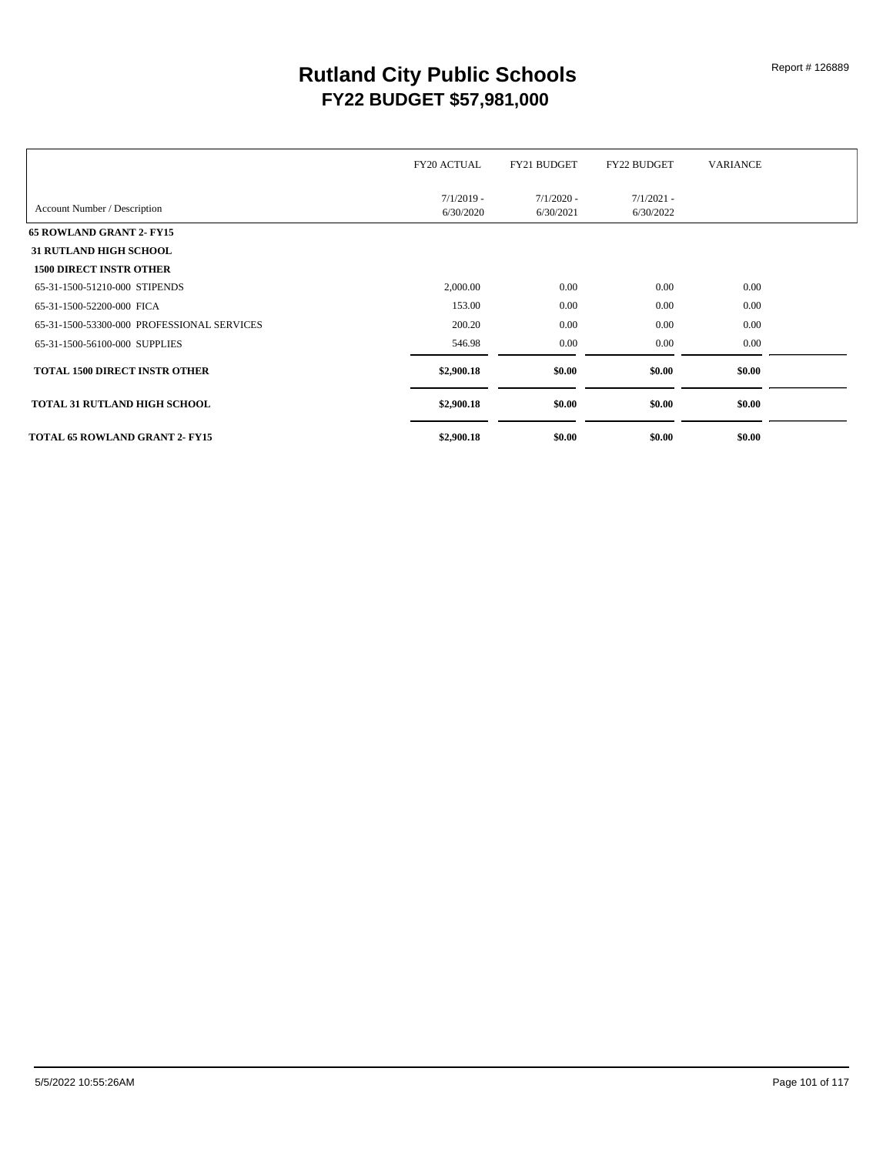|                                            | FY20 ACTUAL  | <b>FY21 BUDGET</b> | <b>FY22 BUDGET</b> | <b>VARIANCE</b> |  |
|--------------------------------------------|--------------|--------------------|--------------------|-----------------|--|
|                                            | $7/1/2019$ - | $7/1/2020$ -       | $7/1/2021 -$       |                 |  |
| Account Number / Description               | 6/30/2020    | 6/30/2021          | 6/30/2022          |                 |  |
| 65 ROWLAND GRANT 2- FY15                   |              |                    |                    |                 |  |
| <b>31 RUTLAND HIGH SCHOOL</b>              |              |                    |                    |                 |  |
| <b>1500 DIRECT INSTR OTHER</b>             |              |                    |                    |                 |  |
| 65-31-1500-51210-000 STIPENDS              | 2,000.00     | 0.00               | 0.00               | 0.00            |  |
| 65-31-1500-52200-000 FICA                  | 153.00       | $0.00\,$           | 0.00               | 0.00            |  |
| 65-31-1500-53300-000 PROFESSIONAL SERVICES | 200.20       | $0.00\,$           | 0.00               | 0.00            |  |
| 65-31-1500-56100-000 SUPPLIES              | 546.98       | 0.00               | 0.00               | 0.00            |  |
| <b>TOTAL 1500 DIRECT INSTR OTHER</b>       | \$2,900.18   | \$0.00             | \$0.00             | \$0.00          |  |
| <b>TOTAL 31 RUTLAND HIGH SCHOOL</b>        | \$2,900.18   | \$0.00             | \$0.00             | \$0.00          |  |
| <b>TOTAL 65 ROWLAND GRANT 2- FY15</b>      | \$2,900.18   | \$0.00             | \$0.00             | \$0.00          |  |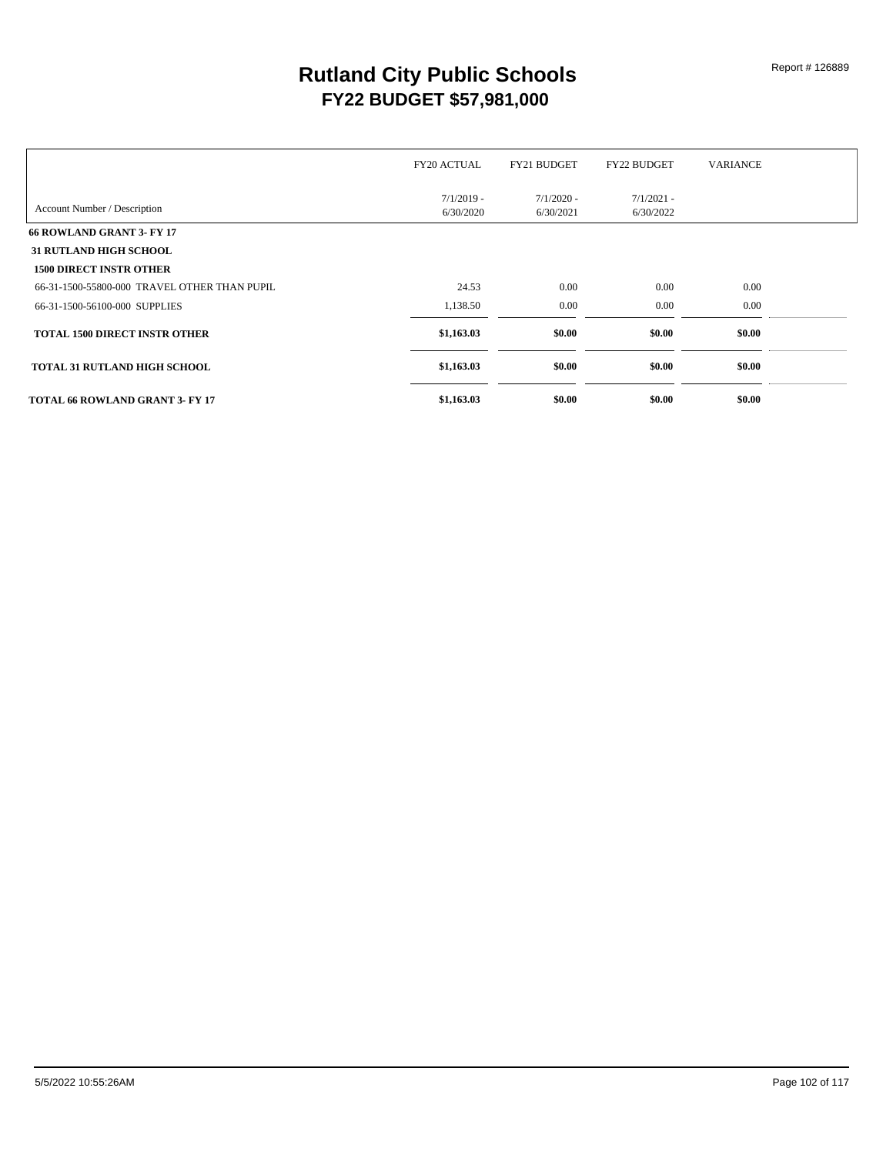|                                              | <b>FY20 ACTUAL</b>        | <b>FY21 BUDGET</b>        | <b>FY22 BUDGET</b>        | <b>VARIANCE</b> |
|----------------------------------------------|---------------------------|---------------------------|---------------------------|-----------------|
| Account Number / Description                 | $7/1/2019$ -<br>6/30/2020 | $7/1/2020$ -<br>6/30/2021 | $7/1/2021 -$<br>6/30/2022 |                 |
| 66 ROWLAND GRANT 3- FY 17                    |                           |                           |                           |                 |
| <b>31 RUTLAND HIGH SCHOOL</b>                |                           |                           |                           |                 |
| <b>1500 DIRECT INSTR OTHER</b>               |                           |                           |                           |                 |
| 66-31-1500-55800-000 TRAVEL OTHER THAN PUPIL | 24.53                     | 0.00                      | 0.00                      | 0.00            |
| 66-31-1500-56100-000 SUPPLIES                | 1,138.50                  | 0.00                      | 0.00                      | 0.00            |
| <b>TOTAL 1500 DIRECT INSTR OTHER</b>         | \$1,163.03                | \$0.00                    | \$0.00                    | \$0.00          |
| <b>TOTAL 31 RUTLAND HIGH SCHOOL</b>          | \$1,163.03                | \$0.00                    | \$0.00                    | \$0.00          |
| <b>TOTAL 66 ROWLAND GRANT 3- FY 17</b>       | \$1,163.03                | \$0.00                    | \$0.00                    | \$0.00          |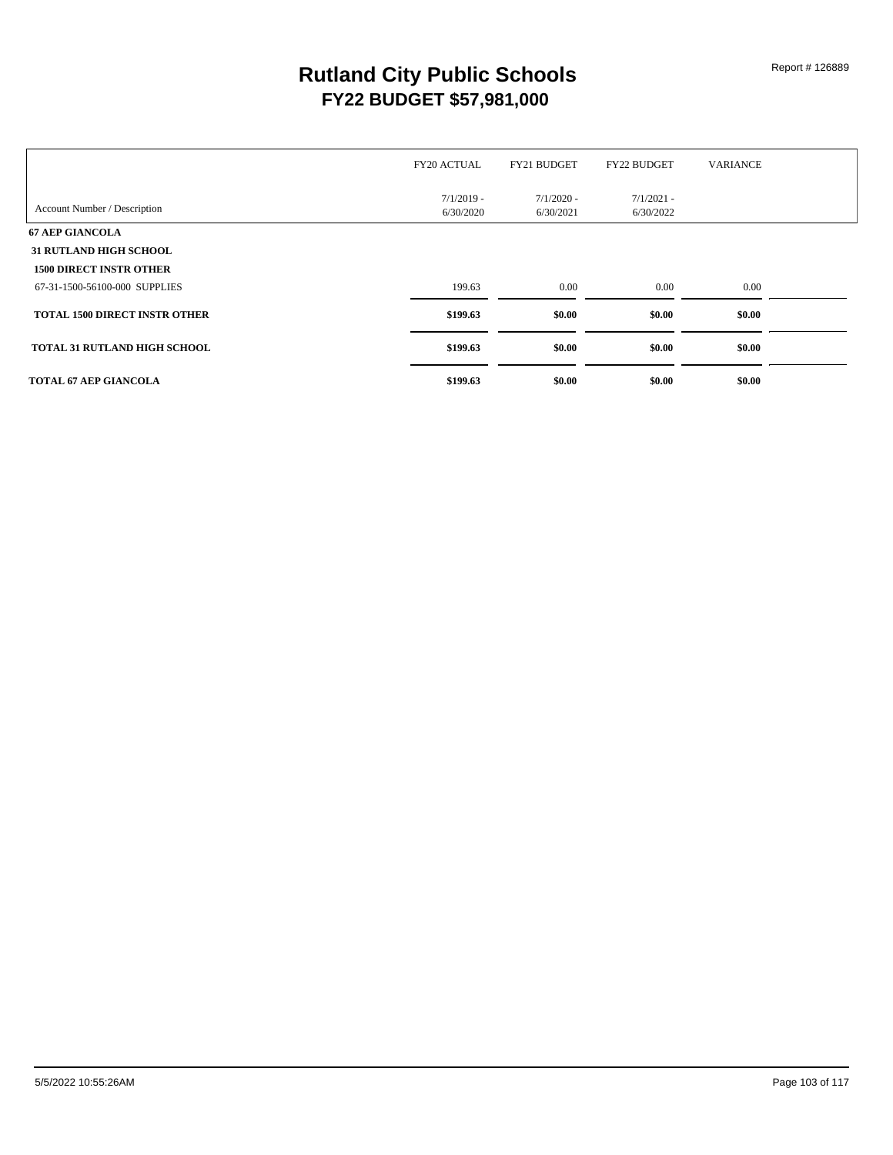|                                      | FY20 ACTUAL  | <b>FY21 BUDGET</b> | <b>FY22 BUDGET</b> | <b>VARIANCE</b> |  |
|--------------------------------------|--------------|--------------------|--------------------|-----------------|--|
| Account Number / Description         | $7/1/2019$ - | $7/1/2020$ -       | $7/1/2021 -$       |                 |  |
|                                      | 6/30/2020    | 6/30/2021          | 6/30/2022          |                 |  |
| <b>67 AEP GIANCOLA</b>               |              |                    |                    |                 |  |
| <b>31 RUTLAND HIGH SCHOOL</b>        |              |                    |                    |                 |  |
| <b>1500 DIRECT INSTR OTHER</b>       |              |                    |                    |                 |  |
| 67-31-1500-56100-000 SUPPLIES        | 199.63       | 0.00               | 0.00               | 0.00            |  |
| <b>TOTAL 1500 DIRECT INSTR OTHER</b> | \$199.63     | \$0.00             | \$0.00             | \$0.00          |  |
| <b>TOTAL 31 RUTLAND HIGH SCHOOL</b>  | \$199.63     | \$0.00             | \$0.00             | \$0.00          |  |
| <b>TOTAL 67 AEP GIANCOLA</b>         | \$199.63     | \$0.00             | \$0.00             | \$0.00          |  |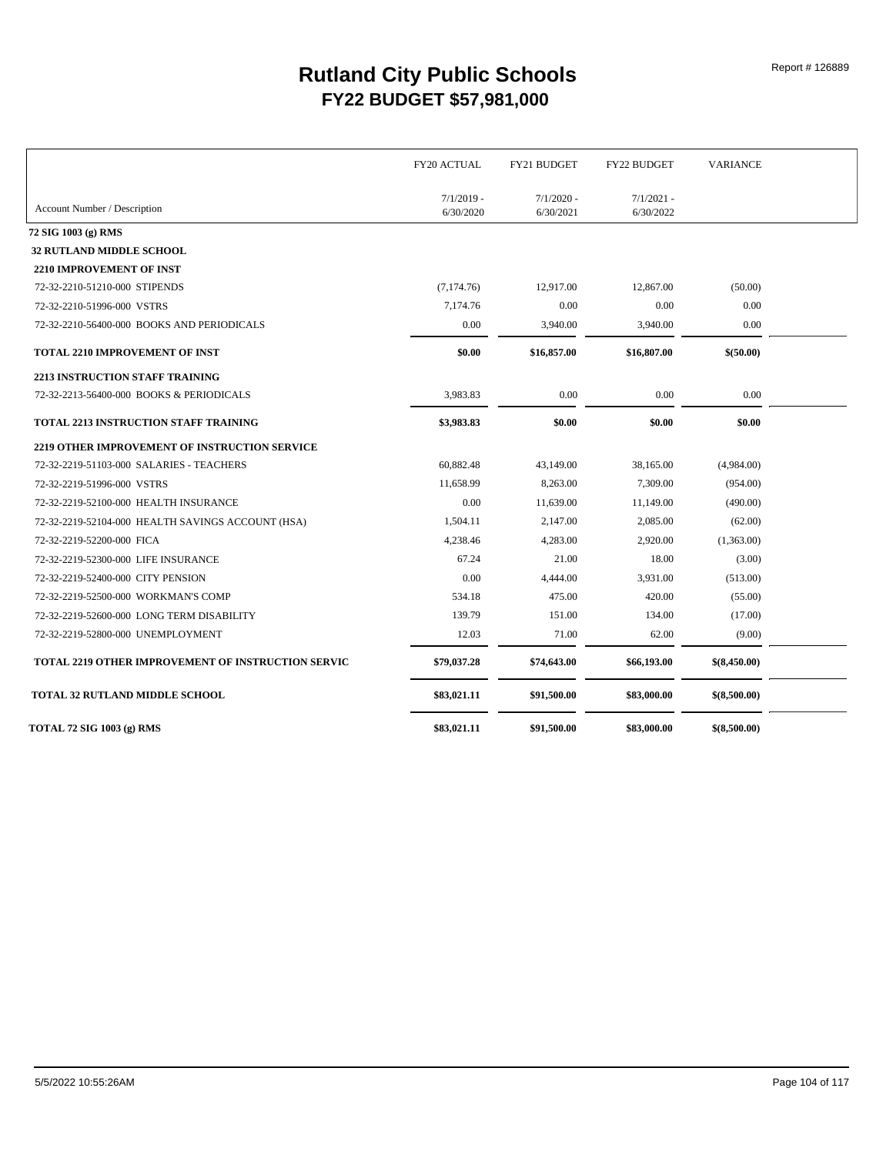|                                                           | FY20 ACTUAL               | <b>FY21 BUDGET</b>        | <b>FY22 BUDGET</b>        | <b>VARIANCE</b> |  |
|-----------------------------------------------------------|---------------------------|---------------------------|---------------------------|-----------------|--|
| Account Number / Description                              | $7/1/2019$ -<br>6/30/2020 | $7/1/2020$ -<br>6/30/2021 | $7/1/2021 -$<br>6/30/2022 |                 |  |
| 72 SIG 1003 (g) RMS                                       |                           |                           |                           |                 |  |
| <b>32 RUTLAND MIDDLE SCHOOL</b>                           |                           |                           |                           |                 |  |
| 2210 IMPROVEMENT OF INST                                  |                           |                           |                           |                 |  |
| 72-32-2210-51210-000 STIPENDS                             | (7,174.76)                | 12,917.00                 | 12,867.00                 | (50.00)         |  |
| 72-32-2210-51996-000 VSTRS                                | 7,174.76                  | 0.00                      | 0.00                      | 0.00            |  |
| 72-32-2210-56400-000 BOOKS AND PERIODICALS                | 0.00                      | 3,940.00                  | 3,940.00                  | 0.00            |  |
| <b>TOTAL 2210 IMPROVEMENT OF INST</b>                     | \$0.00                    | \$16,857.00               | \$16,807.00               | \$(50.00)       |  |
| <b>2213 INSTRUCTION STAFF TRAINING</b>                    |                           |                           |                           |                 |  |
| 72-32-2213-56400-000 BOOKS & PERIODICALS                  | 3,983.83                  | $0.00\,$                  | 0.00                      | 0.00            |  |
| TOTAL 2213 INSTRUCTION STAFF TRAINING                     | \$3,983.83                | \$0.00                    | \$0.00                    | \$0.00          |  |
| <b>2219 OTHER IMPROVEMENT OF INSTRUCTION SERVICE</b>      |                           |                           |                           |                 |  |
| 72-32-2219-51103-000 SALARIES - TEACHERS                  | 60,882.48                 | 43,149.00                 | 38,165.00                 | (4,984.00)      |  |
| 72-32-2219-51996-000 VSTRS                                | 11,658.99                 | 8,263.00                  | 7,309.00                  | (954.00)        |  |
| 72-32-2219-52100-000 HEALTH INSURANCE                     | 0.00                      | 11,639.00                 | 11,149.00                 | (490.00)        |  |
| 72-32-2219-52104-000 HEALTH SAVINGS ACCOUNT (HSA)         | 1,504.11                  | 2,147.00                  | 2,085.00                  | (62.00)         |  |
| 72-32-2219-52200-000 FICA                                 | 4,238.46                  | 4,283.00                  | 2,920.00                  | (1,363.00)      |  |
| 72-32-2219-52300-000 LIFE INSURANCE                       | 67.24                     | 21.00                     | 18.00                     | (3.00)          |  |
| 72-32-2219-52400-000 CITY PENSION                         | 0.00                      | 4,444.00                  | 3,931.00                  | (513.00)        |  |
| 72-32-2219-52500-000 WORKMAN'S COMP                       | 534.18                    | 475.00                    | 420.00                    | (55.00)         |  |
| 72-32-2219-52600-000 LONG TERM DISABILITY                 | 139.79                    | 151.00                    | 134.00                    | (17.00)         |  |
| 72-32-2219-52800-000 UNEMPLOYMENT                         | 12.03                     | 71.00                     | 62.00                     | (9.00)          |  |
| <b>TOTAL 2219 OTHER IMPROVEMENT OF INSTRUCTION SERVIC</b> | \$79,037.28               | \$74,643.00               | \$66,193.00               | \$(8,450.00)    |  |
| <b>TOTAL 32 RUTLAND MIDDLE SCHOOL</b>                     | \$83,021.11               | \$91,500.00               | \$83,000.00               | \$(8,500.00)    |  |
| TOTAL 72 SIG 1003 (g) RMS                                 | \$83,021.11               | \$91,500.00               | \$83,000.00               | \$(8,500.00)    |  |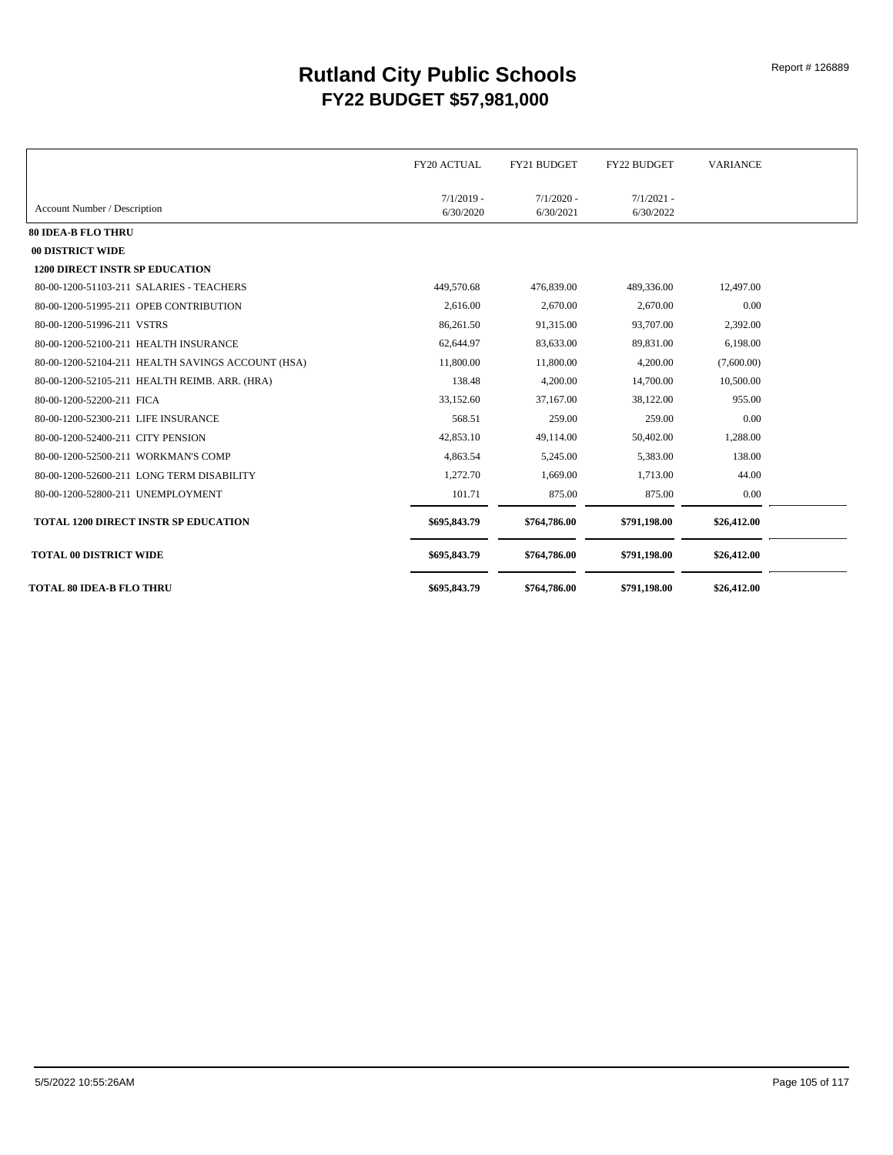|                                                   | FY20 ACTUAL  | FY21 BUDGET  | FY22 BUDGET  | <b>VARIANCE</b> |  |
|---------------------------------------------------|--------------|--------------|--------------|-----------------|--|
| Account Number / Description                      | $7/1/2019$ - | $7/1/2020$ - | $7/1/2021 -$ |                 |  |
|                                                   | 6/30/2020    | 6/30/2021    | 6/30/2022    |                 |  |
| <b>80 IDEA-B FLO THRU</b>                         |              |              |              |                 |  |
| <b>00 DISTRICT WIDE</b>                           |              |              |              |                 |  |
| <b>1200 DIRECT INSTR SP EDUCATION</b>             |              |              |              |                 |  |
| 80-00-1200-51103-211 SALARIES - TEACHERS          | 449,570.68   | 476,839.00   | 489,336.00   | 12,497.00       |  |
| 80-00-1200-51995-211 OPEB CONTRIBUTION            | 2,616.00     | 2,670.00     | 2,670.00     | 0.00            |  |
| 80-00-1200-51996-211 VSTRS                        | 86,261.50    | 91,315.00    | 93,707.00    | 2,392.00        |  |
| 80-00-1200-52100-211 HEALTH INSURANCE             | 62,644.97    | 83,633.00    | 89,831.00    | 6,198.00        |  |
| 80-00-1200-52104-211 HEALTH SAVINGS ACCOUNT (HSA) | 11,800.00    | 11,800.00    | 4,200.00     | (7,600.00)      |  |
| 80-00-1200-52105-211 HEALTH REIMB. ARR. (HRA)     | 138.48       | 4,200.00     | 14,700.00    | 10,500.00       |  |
| 80-00-1200-52200-211 FICA                         | 33,152.60    | 37,167.00    | 38,122.00    | 955.00          |  |
| 80-00-1200-52300-211 LIFE INSURANCE               | 568.51       | 259.00       | 259.00       | 0.00            |  |
| 80-00-1200-52400-211 CITY PENSION                 | 42,853.10    | 49,114.00    | 50,402.00    | 1,288.00        |  |
| 80-00-1200-52500-211 WORKMAN'S COMP               | 4,863.54     | 5,245.00     | 5,383.00     | 138.00          |  |
| 80-00-1200-52600-211 LONG TERM DISABILITY         | 1,272.70     | 1,669.00     | 1,713.00     | 44.00           |  |
| 80-00-1200-52800-211 UNEMPLOYMENT                 | 101.71       | 875.00       | 875.00       | 0.00            |  |
| <b>TOTAL 1200 DIRECT INSTR SP EDUCATION</b>       | \$695,843.79 | \$764,786.00 | \$791,198.00 | \$26,412.00     |  |
| <b>TOTAL 00 DISTRICT WIDE</b>                     | \$695,843.79 | \$764,786.00 | \$791,198.00 | \$26,412.00     |  |
| <b>TOTAL 80 IDEA-B FLO THRU</b>                   | \$695,843.79 | \$764,786.00 | \$791,198.00 | \$26,412.00     |  |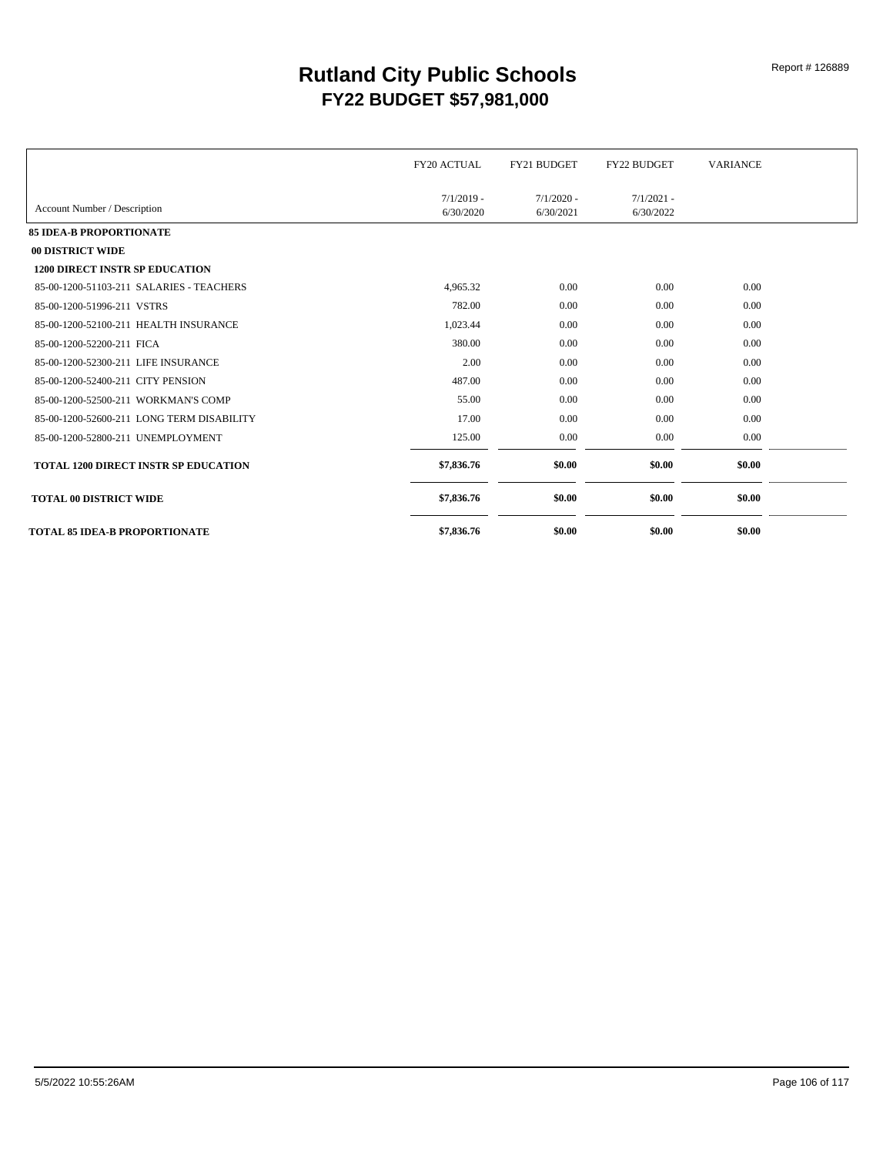|                                             | FY20 ACTUAL  | FY21 BUDGET  | <b>FY22 BUDGET</b> | <b>VARIANCE</b> |
|---------------------------------------------|--------------|--------------|--------------------|-----------------|
| Account Number / Description                | $7/1/2019$ - | $7/1/2020$ - | $7/1/2021$ -       |                 |
| <b>85 IDEA-B PROPORTIONATE</b>              | 6/30/2020    | 6/30/2021    | 6/30/2022          |                 |
| <b>00 DISTRICT WIDE</b>                     |              |              |                    |                 |
| <b>1200 DIRECT INSTR SP EDUCATION</b>       |              |              |                    |                 |
| 85-00-1200-51103-211 SALARIES - TEACHERS    | 4,965.32     | 0.00         | 0.00               | 0.00            |
| 85-00-1200-51996-211 VSTRS                  | 782.00       | 0.00         | 0.00               | 0.00            |
| 85-00-1200-52100-211 HEALTH INSURANCE       | 1,023.44     | 0.00         | 0.00               | 0.00            |
| 85-00-1200-52200-211 FICA                   | 380.00       | 0.00         | 0.00               | 0.00            |
| 85-00-1200-52300-211 LIFE INSURANCE         | 2.00         | 0.00         | 0.00               | 0.00            |
| 85-00-1200-52400-211 CITY PENSION           | 487.00       | 0.00         | 0.00               | 0.00            |
| 85-00-1200-52500-211 WORKMAN'S COMP         | 55.00        | 0.00         | 0.00               | 0.00            |
| 85-00-1200-52600-211 LONG TERM DISABILITY   | 17.00        | 0.00         | 0.00               | 0.00            |
| 85-00-1200-52800-211 UNEMPLOYMENT           | 125.00       | 0.00         | 0.00               | 0.00            |
| <b>TOTAL 1200 DIRECT INSTR SP EDUCATION</b> | \$7,836.76   | \$0.00       | \$0.00             | \$0.00          |
| <b>TOTAL 00 DISTRICT WIDE</b>               | \$7,836.76   | \$0.00       | \$0.00             | \$0.00          |
| <b>TOTAL 85 IDEA-B PROPORTIONATE</b>        | \$7,836.76   | \$0.00       | \$0.00             | \$0.00          |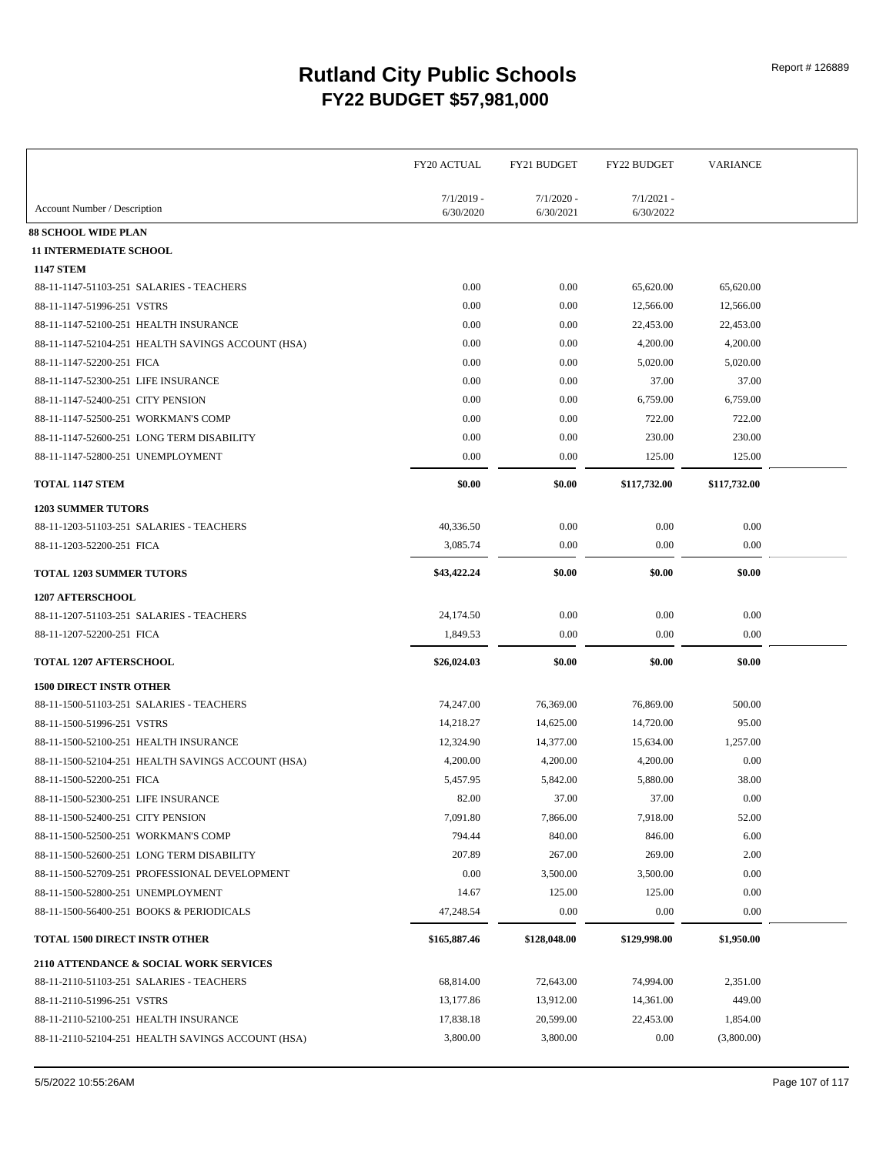|                                                   | FY20 ACTUAL  | FY21 BUDGET  | <b>FY22 BUDGET</b> | <b>VARIANCE</b> |  |
|---------------------------------------------------|--------------|--------------|--------------------|-----------------|--|
|                                                   | $7/1/2019$ - | $7/1/2020$ - | $7/1/2021$ -       |                 |  |
| Account Number / Description                      | 6/30/2020    | 6/30/2021    | 6/30/2022          |                 |  |
| <b>88 SCHOOL WIDE PLAN</b>                        |              |              |                    |                 |  |
| <b>11 INTERMEDIATE SCHOOL</b>                     |              |              |                    |                 |  |
| <b>1147 STEM</b>                                  |              |              |                    |                 |  |
| 88-11-1147-51103-251 SALARIES - TEACHERS          | 0.00         | 0.00         | 65,620.00          | 65,620.00       |  |
| 88-11-1147-51996-251 VSTRS                        | 0.00         | 0.00         | 12,566.00          | 12,566.00       |  |
| 88-11-1147-52100-251 HEALTH INSURANCE             | 0.00         | 0.00         | 22,453.00          | 22,453.00       |  |
| 88-11-1147-52104-251 HEALTH SAVINGS ACCOUNT (HSA) | 0.00         | 0.00         | 4,200.00           | 4,200.00        |  |
| 88-11-1147-52200-251 FICA                         | 0.00         | 0.00         | 5,020.00           | 5,020.00        |  |
| 88-11-1147-52300-251 LIFE INSURANCE               | 0.00         | 0.00         | 37.00              | 37.00           |  |
| 88-11-1147-52400-251 CITY PENSION                 | 0.00         | 0.00         | 6,759.00           | 6,759.00        |  |
| 88-11-1147-52500-251 WORKMAN'S COMP               | 0.00         | 0.00         | 722.00             | 722.00          |  |
| 88-11-1147-52600-251 LONG TERM DISABILITY         | 0.00         | 0.00         | 230.00             | 230.00          |  |
| 88-11-1147-52800-251 UNEMPLOYMENT                 | 0.00         | 0.00         | 125.00             | 125.00          |  |
| <b>TOTAL 1147 STEM</b>                            | \$0.00       | \$0.00       | \$117,732.00       | \$117,732.00    |  |
| <b>1203 SUMMER TUTORS</b>                         |              |              |                    |                 |  |
| 88-11-1203-51103-251 SALARIES - TEACHERS          | 40,336.50    | 0.00         | 0.00               | 0.00            |  |
| 88-11-1203-52200-251 FICA                         | 3,085.74     | 0.00         | 0.00               | 0.00            |  |
| <b>TOTAL 1203 SUMMER TUTORS</b>                   | \$43,422.24  | \$0.00       | \$0.00             | \$0.00          |  |
| <b>1207 AFTERSCHOOL</b>                           |              |              |                    |                 |  |
| 88-11-1207-51103-251 SALARIES - TEACHERS          | 24,174.50    | 0.00         | 0.00               | 0.00            |  |
| 88-11-1207-52200-251 FICA                         | 1,849.53     | 0.00         | 0.00               | 0.00            |  |
| <b>TOTAL 1207 AFTERSCHOOL</b>                     | \$26,024.03  | \$0.00       | \$0.00             | \$0.00          |  |
| <b>1500 DIRECT INSTR OTHER</b>                    |              |              |                    |                 |  |
| 88-11-1500-51103-251 SALARIES - TEACHERS          | 74,247.00    | 76,369.00    | 76,869.00          | 500.00          |  |
| 88-11-1500-51996-251 VSTRS                        | 14,218.27    | 14,625.00    | 14,720.00          | 95.00           |  |
| 88-11-1500-52100-251 HEALTH INSURANCE             | 12,324.90    | 14,377.00    | 15,634.00          | 1,257.00        |  |
| 88-11-1500-52104-251 HEALTH SAVINGS ACCOUNT (HSA) | 4,200.00     | 4,200.00     | 4,200.00           | 0.00            |  |
| 88-11-1500-52200-251 FICA                         | 5,457.95     | 5,842.00     | 5,880.00           | 38.00           |  |
| 88-11-1500-52300-251 LIFE INSURANCE               | 82.00        | 37.00        | 37.00              | 0.00            |  |
| 88-11-1500-52400-251 CITY PENSION                 | 7,091.80     | 7,866.00     | 7,918.00           | 52.00           |  |
| 88-11-1500-52500-251 WORKMAN'S COMP               | 794.44       | 840.00       | 846.00             | 6.00            |  |
| 88-11-1500-52600-251 LONG TERM DISABILITY         | 207.89       | 267.00       | 269.00             | 2.00            |  |
| 88-11-1500-52709-251 PROFESSIONAL DEVELOPMENT     | 0.00         | 3,500.00     | 3,500.00           | 0.00            |  |
| 88-11-1500-52800-251 UNEMPLOYMENT                 | 14.67        | 125.00       | 125.00             | 0.00            |  |
| 88-11-1500-56400-251 BOOKS & PERIODICALS          | 47,248.54    | 0.00         | 0.00               | 0.00            |  |
| <b>TOTAL 1500 DIRECT INSTR OTHER</b>              | \$165,887.46 | \$128,048.00 | \$129,998.00       | \$1,950.00      |  |
| 2110 ATTENDANCE & SOCIAL WORK SERVICES            |              |              |                    |                 |  |
| 88-11-2110-51103-251 SALARIES - TEACHERS          | 68,814.00    | 72,643.00    | 74,994.00          | 2,351.00        |  |
| 88-11-2110-51996-251 VSTRS                        | 13,177.86    | 13,912.00    | 14,361.00          | 449.00          |  |
| 88-11-2110-52100-251 HEALTH INSURANCE             | 17,838.18    | 20,599.00    | 22,453.00          | 1,854.00        |  |
| 88-11-2110-52104-251 HEALTH SAVINGS ACCOUNT (HSA) | 3,800.00     | 3,800.00     | $0.00\,$           | (3,800.00)      |  |
|                                                   |              |              |                    |                 |  |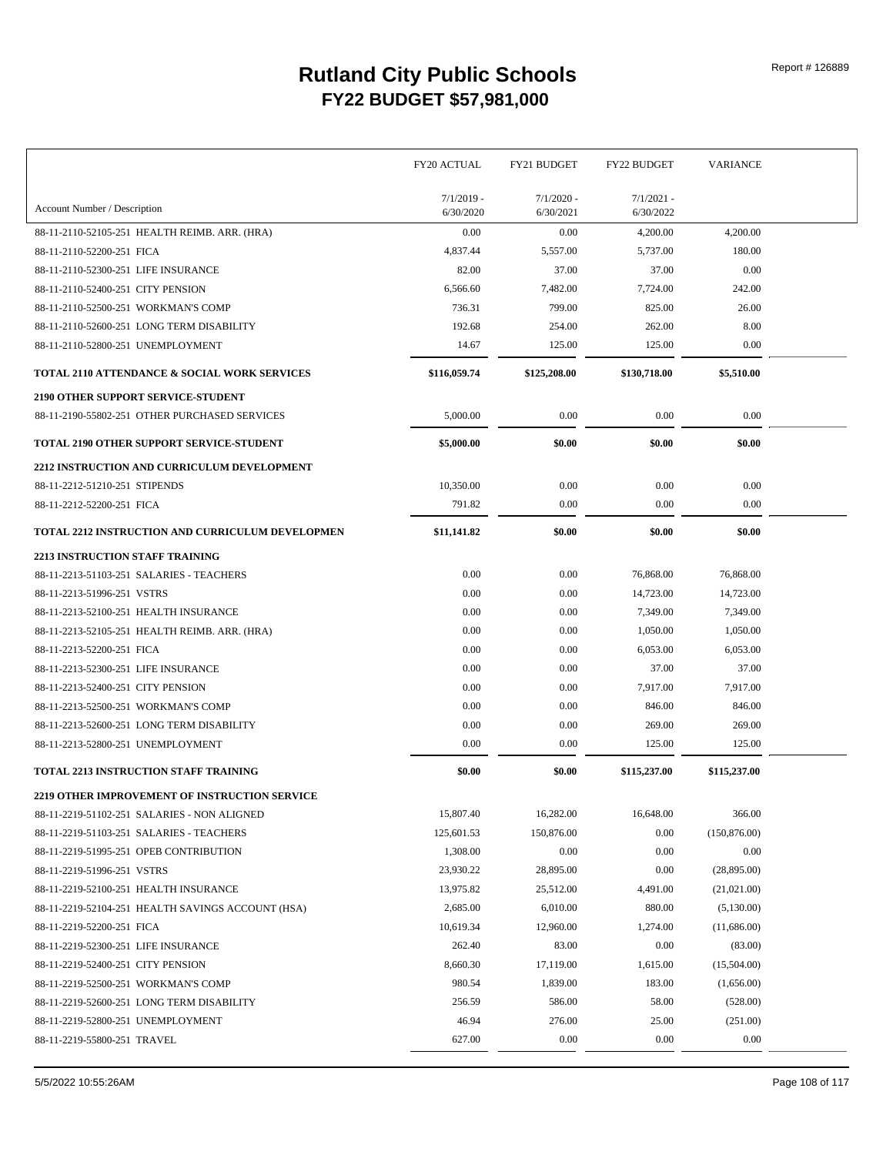|                                                   | FY20 ACTUAL  | FY21 BUDGET  | FY22 BUDGET  | <b>VARIANCE</b> |  |
|---------------------------------------------------|--------------|--------------|--------------|-----------------|--|
|                                                   | $7/1/2019$ - | $7/1/2020$ - | $7/1/2021 -$ |                 |  |
| Account Number / Description                      | 6/30/2020    | 6/30/2021    | 6/30/2022    |                 |  |
| 88-11-2110-52105-251 HEALTH REIMB. ARR. (HRA)     | 0.00         | 0.00         | 4,200.00     | 4,200.00        |  |
| 88-11-2110-52200-251 FICA                         | 4,837.44     | 5,557.00     | 5,737.00     | 180.00          |  |
| 88-11-2110-52300-251 LIFE INSURANCE               | 82.00        | 37.00        | 37.00        | 0.00            |  |
| 88-11-2110-52400-251 CITY PENSION                 | 6,566.60     | 7,482.00     | 7,724.00     | 242.00          |  |
| 88-11-2110-52500-251 WORKMAN'S COMP               | 736.31       | 799.00       | 825.00       | 26.00           |  |
| 88-11-2110-52600-251 LONG TERM DISABILITY         | 192.68       | 254.00       | 262.00       | 8.00            |  |
| 88-11-2110-52800-251 UNEMPLOYMENT                 | 14.67        | 125.00       | 125.00       | 0.00            |  |
| TOTAL 2110 ATTENDANCE & SOCIAL WORK SERVICES      | \$116,059.74 | \$125,208.00 | \$130,718.00 | \$5,510.00      |  |
| <b>2190 OTHER SUPPORT SERVICE-STUDENT</b>         |              |              |              |                 |  |
| 88-11-2190-55802-251 OTHER PURCHASED SERVICES     | 5,000.00     | 0.00         | 0.00         | 0.00            |  |
| <b>TOTAL 2190 OTHER SUPPORT SERVICE-STUDENT</b>   | \$5,000.00   | \$0.00       | \$0.00       | \$0.00          |  |
| 2212 INSTRUCTION AND CURRICULUM DEVELOPMENT       |              |              |              |                 |  |
| 88-11-2212-51210-251 STIPENDS                     | 10,350.00    | 0.00         | 0.00         | 0.00            |  |
| 88-11-2212-52200-251 FICA                         | 791.82       | 0.00         | 0.00         | 0.00            |  |
| TOTAL 2212 INSTRUCTION AND CURRICULUM DEVELOPMEN  | \$11,141.82  | \$0.00       | \$0.00       | \$0.00          |  |
| <b>2213 INSTRUCTION STAFF TRAINING</b>            |              |              |              |                 |  |
| 88-11-2213-51103-251 SALARIES - TEACHERS          | 0.00         | 0.00         | 76,868.00    | 76,868.00       |  |
| 88-11-2213-51996-251 VSTRS                        | 0.00         | 0.00         | 14,723.00    | 14,723.00       |  |
| 88-11-2213-52100-251 HEALTH INSURANCE             | 0.00         | 0.00         | 7,349.00     | 7,349.00        |  |
| 88-11-2213-52105-251 HEALTH REIMB. ARR. (HRA)     | 0.00         | 0.00         | 1,050.00     | 1,050.00        |  |
| 88-11-2213-52200-251 FICA                         | 0.00         | 0.00         | 6,053.00     | 6,053.00        |  |
| 88-11-2213-52300-251 LIFE INSURANCE               | 0.00         | 0.00         | 37.00        | 37.00           |  |
| 88-11-2213-52400-251 CITY PENSION                 | 0.00         | 0.00         | 7,917.00     | 7,917.00        |  |
| 88-11-2213-52500-251 WORKMAN'S COMP               | 0.00         | 0.00         | 846.00       | 846.00          |  |
| 88-11-2213-52600-251 LONG TERM DISABILITY         | 0.00         | 0.00         | 269.00       | 269.00          |  |
| 88-11-2213-52800-251 UNEMPLOYMENT                 | 0.00         | 0.00         | 125.00       | 125.00          |  |
| <b>TOTAL 2213 INSTRUCTION STAFF TRAINING</b>      | \$0.00       | \$0.00       | \$115,237.00 | \$115,237.00    |  |
| 2219 OTHER IMPROVEMENT OF INSTRUCTION SERVICE     |              |              |              |                 |  |
| 88-11-2219-51102-251 SALARIES - NON ALIGNED       | 15,807.40    | 16,282.00    | 16,648.00    | 366.00          |  |
| 88-11-2219-51103-251 SALARIES - TEACHERS          | 125,601.53   | 150,876.00   | $0.00\,$     | (150, 876.00)   |  |
| 88-11-2219-51995-251 OPEB CONTRIBUTION            | 1,308.00     | 0.00         | 0.00         | 0.00            |  |
| 88-11-2219-51996-251 VSTRS                        | 23,930.22    | 28,895.00    | 0.00         | (28,895.00)     |  |
| 88-11-2219-52100-251 HEALTH INSURANCE             | 13,975.82    | 25,512.00    | 4,491.00     | (21,021.00)     |  |
| 88-11-2219-52104-251 HEALTH SAVINGS ACCOUNT (HSA) | 2,685.00     | 6,010.00     | 880.00       | (5,130.00)      |  |
| 88-11-2219-52200-251 FICA                         | 10,619.34    | 12,960.00    | 1,274.00     | (11,686.00)     |  |
| 88-11-2219-52300-251 LIFE INSURANCE               | 262.40       | 83.00        | $0.00\,$     | (83.00)         |  |
| 88-11-2219-52400-251 CITY PENSION                 | 8,660.30     | 17,119.00    | 1,615.00     | (15,504.00)     |  |
| 88-11-2219-52500-251 WORKMAN'S COMP               | 980.54       | 1,839.00     | 183.00       | (1,656.00)      |  |
| 88-11-2219-52600-251 LONG TERM DISABILITY         | 256.59       | 586.00       | 58.00        | (528.00)        |  |
| 88-11-2219-52800-251 UNEMPLOYMENT                 | 46.94        | 276.00       | 25.00        | (251.00)        |  |
|                                                   |              |              |              |                 |  |
| 88-11-2219-55800-251 TRAVEL                       | 627.00       | 0.00         | $0.00\,$     | 0.00            |  |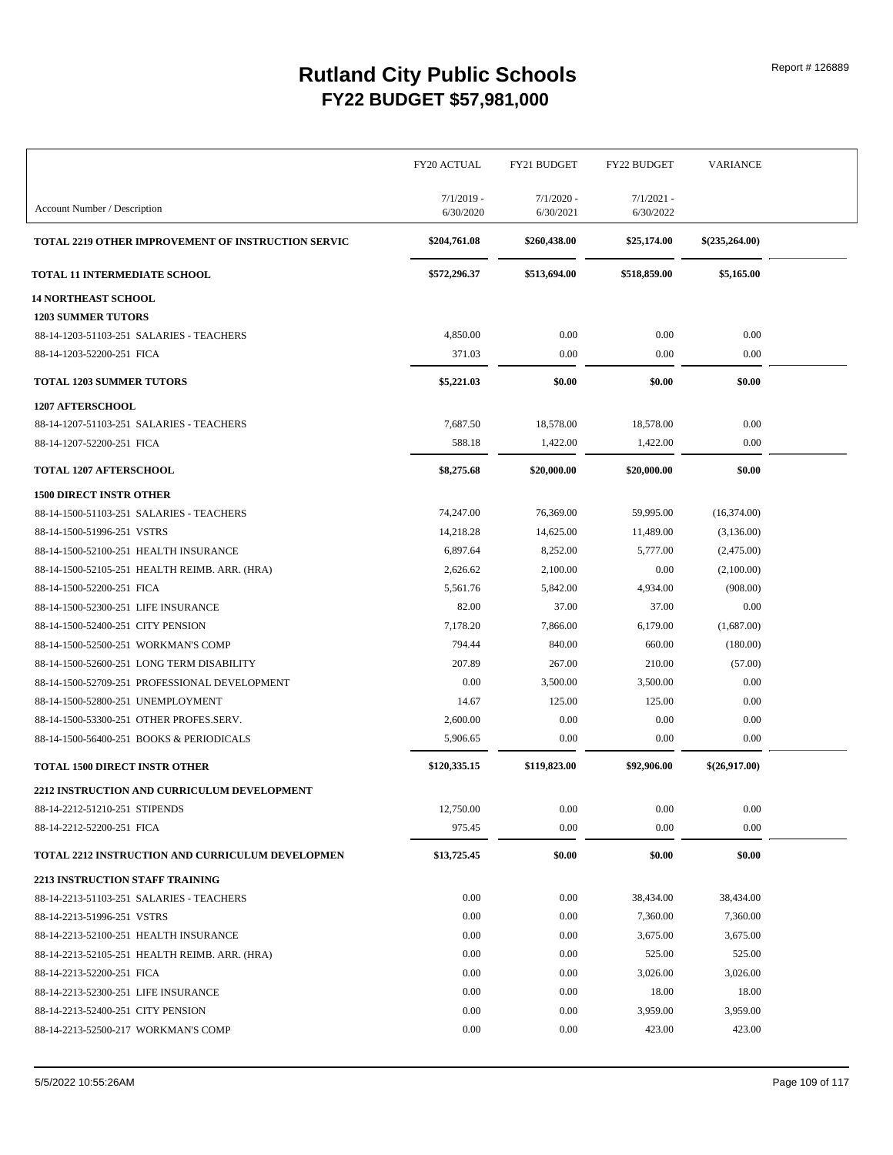|                                                           | <b>FY20 ACTUAL</b>        | FY21 BUDGET               | FY22 BUDGET               | <b>VARIANCE</b> |  |
|-----------------------------------------------------------|---------------------------|---------------------------|---------------------------|-----------------|--|
| Account Number / Description                              | $7/1/2019$ -<br>6/30/2020 | $7/1/2020$ -<br>6/30/2021 | $7/1/2021$ -<br>6/30/2022 |                 |  |
| <b>TOTAL 2219 OTHER IMPROVEMENT OF INSTRUCTION SERVIC</b> | \$204,761.08              | \$260,438.00              | \$25,174.00               | \$(235,264.00)  |  |
| <b>TOTAL 11 INTERMEDIATE SCHOOL</b>                       | \$572,296.37              | \$513,694.00              | \$518,859.00              | \$5,165.00      |  |
| <b>14 NORTHEAST SCHOOL</b>                                |                           |                           |                           |                 |  |
| <b>1203 SUMMER TUTORS</b>                                 |                           |                           |                           |                 |  |
| 88-14-1203-51103-251 SALARIES - TEACHERS                  | 4,850.00                  | 0.00                      | 0.00                      | 0.00            |  |
| 88-14-1203-52200-251 FICA                                 | 371.03                    | 0.00                      | 0.00                      | 0.00            |  |
| <b>TOTAL 1203 SUMMER TUTORS</b>                           | \$5,221.03                | \$0.00                    | \$0.00                    | \$0.00          |  |
| <b>1207 AFTERSCHOOL</b>                                   |                           |                           |                           |                 |  |
| 88-14-1207-51103-251 SALARIES - TEACHERS                  | 7,687.50                  | 18,578.00                 | 18,578.00                 | 0.00            |  |
| 88-14-1207-52200-251 FICA                                 | 588.18                    | 1,422.00                  | 1,422.00                  | 0.00            |  |
| <b>TOTAL 1207 AFTERSCHOOL</b>                             | \$8,275.68                | \$20,000.00               | \$20,000.00               | \$0.00          |  |
| <b>1500 DIRECT INSTR OTHER</b>                            |                           |                           |                           |                 |  |
| 88-14-1500-51103-251 SALARIES - TEACHERS                  | 74,247.00                 | 76,369.00                 | 59,995.00                 | (16,374.00)     |  |
| 88-14-1500-51996-251 VSTRS                                | 14,218.28                 | 14,625.00                 | 11,489.00                 | (3,136.00)      |  |
| 88-14-1500-52100-251 HEALTH INSURANCE                     | 6,897.64                  | 8,252.00                  | 5,777.00                  | (2,475.00)      |  |
| 88-14-1500-52105-251 HEALTH REIMB. ARR. (HRA)             | 2,626.62                  | 2,100.00                  | 0.00                      | (2,100.00)      |  |
| 88-14-1500-52200-251 FICA                                 | 5,561.76                  | 5,842.00                  | 4,934.00                  | (908.00)        |  |
| 88-14-1500-52300-251 LIFE INSURANCE                       | 82.00                     | 37.00                     | 37.00                     | 0.00            |  |
| 88-14-1500-52400-251 CITY PENSION                         | 7,178.20                  | 7,866.00                  | 6,179.00                  | (1,687.00)      |  |
| 88-14-1500-52500-251 WORKMAN'S COMP                       | 794.44                    | 840.00                    | 660.00                    | (180.00)        |  |
| 88-14-1500-52600-251 LONG TERM DISABILITY                 | 207.89                    | 267.00                    | 210.00                    | (57.00)         |  |
| 88-14-1500-52709-251 PROFESSIONAL DEVELOPMENT             | 0.00                      | 3,500.00                  | 3,500.00                  | 0.00            |  |
| 88-14-1500-52800-251 UNEMPLOYMENT                         | 14.67                     | 125.00                    | 125.00                    | 0.00            |  |
| 88-14-1500-53300-251 OTHER PROFES.SERV.                   | 2,600.00                  | 0.00                      | 0.00                      | 0.00            |  |
| 88-14-1500-56400-251 BOOKS & PERIODICALS                  | 5.906.65                  | 0.00                      | 0.00                      | 0.00            |  |
| <b>TOTAL 1500 DIRECT INSTR OTHER</b>                      | \$120,335.15              | \$119,823.00              | \$92,906.00               | \$(26,917.00)   |  |
| 2212 INSTRUCTION AND CURRICULUM DEVELOPMENT               |                           |                           |                           |                 |  |
| 88-14-2212-51210-251 STIPENDS                             | 12,750.00                 | 0.00                      | $0.00\,$                  | 0.00            |  |
| 88-14-2212-52200-251 FICA                                 | 975.45                    | 0.00                      | $0.00\,$                  | 0.00            |  |
| TOTAL 2212 INSTRUCTION AND CURRICULUM DEVELOPMEN          | \$13,725.45               | \$0.00                    | \$0.00                    | \$0.00          |  |
| 2213 INSTRUCTION STAFF TRAINING                           |                           |                           |                           |                 |  |
| 88-14-2213-51103-251 SALARIES - TEACHERS                  | 0.00                      | 0.00                      | 38,434.00                 | 38,434.00       |  |
| 88-14-2213-51996-251 VSTRS                                | 0.00                      | 0.00                      | 7,360.00                  | 7,360.00        |  |
| 88-14-2213-52100-251 HEALTH INSURANCE                     | 0.00                      | 0.00                      | 3,675.00                  | 3,675.00        |  |
| 88-14-2213-52105-251 HEALTH REIMB. ARR. (HRA)             | 0.00                      | 0.00                      | 525.00                    | 525.00          |  |
| 88-14-2213-52200-251 FICA                                 | 0.00                      | 0.00                      | 3,026.00                  | 3,026.00        |  |
| 88-14-2213-52300-251 LIFE INSURANCE                       | 0.00                      | 0.00                      | 18.00                     | 18.00           |  |
| 88-14-2213-52400-251 CITY PENSION                         | 0.00                      | 0.00                      | 3,959.00                  | 3,959.00        |  |
| 88-14-2213-52500-217 WORKMAN'S COMP                       | 0.00                      | 0.00                      | 423.00                    | 423.00          |  |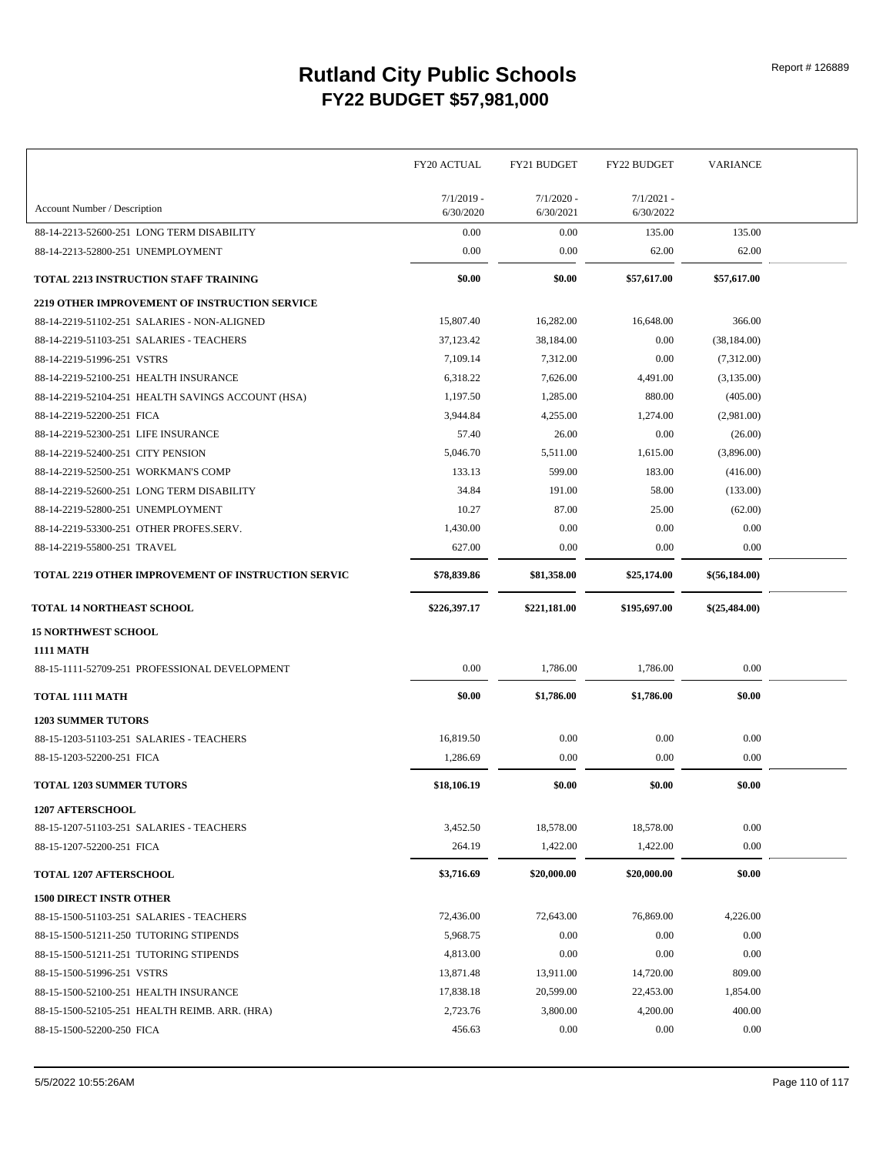|                                                    | <b>FY20 ACTUAL</b>        | <b>FY21 BUDGET</b>        | <b>FY22 BUDGET</b>        | <b>VARIANCE</b> |  |
|----------------------------------------------------|---------------------------|---------------------------|---------------------------|-----------------|--|
| Account Number / Description                       | $7/1/2019$ -<br>6/30/2020 | $7/1/2020$ -<br>6/30/2021 | $7/1/2021$ -<br>6/30/2022 |                 |  |
| 88-14-2213-52600-251 LONG TERM DISABILITY          | 0.00                      | 0.00                      | 135.00                    | 135.00          |  |
| 88-14-2213-52800-251 UNEMPLOYMENT                  | 0.00                      | 0.00                      | 62.00                     | 62.00           |  |
| TOTAL 2213 INSTRUCTION STAFF TRAINING              | \$0.00                    | \$0.00                    | \$57,617.00               | \$57,617.00     |  |
| 2219 OTHER IMPROVEMENT OF INSTRUCTION SERVICE      |                           |                           |                           |                 |  |
| 88-14-2219-51102-251 SALARIES - NON-ALIGNED        | 15,807.40                 | 16,282.00                 | 16,648.00                 | 366.00          |  |
| 88-14-2219-51103-251 SALARIES - TEACHERS           | 37.123.42                 | 38,184.00                 | 0.00                      | (38, 184.00)    |  |
| 88-14-2219-51996-251 VSTRS                         | 7,109.14                  | 7,312.00                  | 0.00                      | (7,312.00)      |  |
| 88-14-2219-52100-251 HEALTH INSURANCE              | 6,318.22                  | 7,626.00                  | 4,491.00                  | (3,135.00)      |  |
| 88-14-2219-52104-251 HEALTH SAVINGS ACCOUNT (HSA)  | 1,197.50                  | 1,285.00                  | 880.00                    | (405.00)        |  |
| 88-14-2219-52200-251 FICA                          | 3,944.84                  | 4,255.00                  | 1,274.00                  | (2,981.00)      |  |
| 88-14-2219-52300-251 LIFE INSURANCE                | 57.40                     | 26.00                     | 0.00                      | (26.00)         |  |
| 88-14-2219-52400-251 CITY PENSION                  | 5,046.70                  | 5,511.00                  | 1,615.00                  | (3,896.00)      |  |
| 88-14-2219-52500-251 WORKMAN'S COMP                | 133.13                    | 599.00                    | 183.00                    | (416.00)        |  |
| 88-14-2219-52600-251 LONG TERM DISABILITY          | 34.84                     | 191.00                    | 58.00                     | (133.00)        |  |
| 88-14-2219-52800-251 UNEMPLOYMENT                  | 10.27                     | 87.00                     | 25.00                     | (62.00)         |  |
| 88-14-2219-53300-251 OTHER PROFES.SERV.            | 1,430.00                  | 0.00                      | 0.00                      | 0.00            |  |
| 88-14-2219-55800-251 TRAVEL                        | 627.00                    | 0.00                      | 0.00                      | 0.00            |  |
| TOTAL 2219 OTHER IMPROVEMENT OF INSTRUCTION SERVIC | \$78,839.86               | \$81,358.00               | \$25,174.00               | \$(56,184.00)   |  |
| TOTAL 14 NORTHEAST SCHOOL                          | \$226,397.17              | \$221,181.00              | \$195,697.00              | \$(25,484.00)   |  |
| <b>15 NORTHWEST SCHOOL</b>                         |                           |                           |                           |                 |  |
| <b>1111 MATH</b>                                   |                           |                           |                           |                 |  |
| 88-15-1111-52709-251 PROFESSIONAL DEVELOPMENT      | 0.00                      | 1,786.00                  | 1,786.00                  | 0.00            |  |
| <b>TOTAL 1111 MATH</b>                             | \$0.00                    | \$1,786.00                | \$1,786.00                | \$0.00          |  |
| <b>1203 SUMMER TUTORS</b>                          |                           |                           |                           |                 |  |
| 88-15-1203-51103-251 SALARIES - TEACHERS           | 16,819.50                 | 0.00                      | 0.00                      | 0.00            |  |
| 88-15-1203-52200-251 FICA                          | 1,286.69                  | 0.00                      | 0.00                      | 0.00            |  |
| <b>TOTAL 1203 SUMMER TUTORS</b>                    | \$18,106.19               | \$0.00                    | \$0.00                    | \$0.00          |  |
| 1207 AFTERSCHOOL                                   |                           |                           |                           |                 |  |
| 88-15-1207-51103-251 SALARIES - TEACHERS           | 3,452.50                  | 18,578.00                 | 18,578.00                 | 0.00            |  |
| 88-15-1207-52200-251 FICA                          | 264.19                    | 1,422.00                  | 1,422.00                  | 0.00            |  |
| TOTAL 1207 AFTERSCHOOL                             | \$3,716.69                | \$20,000.00               | \$20,000.00               | \$0.00          |  |
| <b>1500 DIRECT INSTR OTHER</b>                     |                           |                           |                           |                 |  |
|                                                    |                           |                           |                           |                 |  |
| 88-15-1500-51103-251 SALARIES - TEACHERS           | 72,436.00                 | 72,643.00                 | 76,869.00                 | 4,226.00        |  |
| 88-15-1500-51211-250 TUTORING STIPENDS             | 5,968.75                  | 0.00                      | 0.00                      | 0.00            |  |
| 88-15-1500-51211-251 TUTORING STIPENDS             | 4,813.00                  | 0.00                      | 0.00                      | 0.00            |  |
| 88-15-1500-51996-251 VSTRS                         | 13,871.48                 | 13,911.00                 | 14,720.00                 | 809.00          |  |
| 88-15-1500-52100-251 HEALTH INSURANCE              | 17,838.18                 | 20,599.00                 | 22,453.00                 | 1,854.00        |  |
| 88-15-1500-52105-251 HEALTH REIMB. ARR. (HRA)      | 2,723.76                  | 3,800.00                  | 4,200.00                  | 400.00          |  |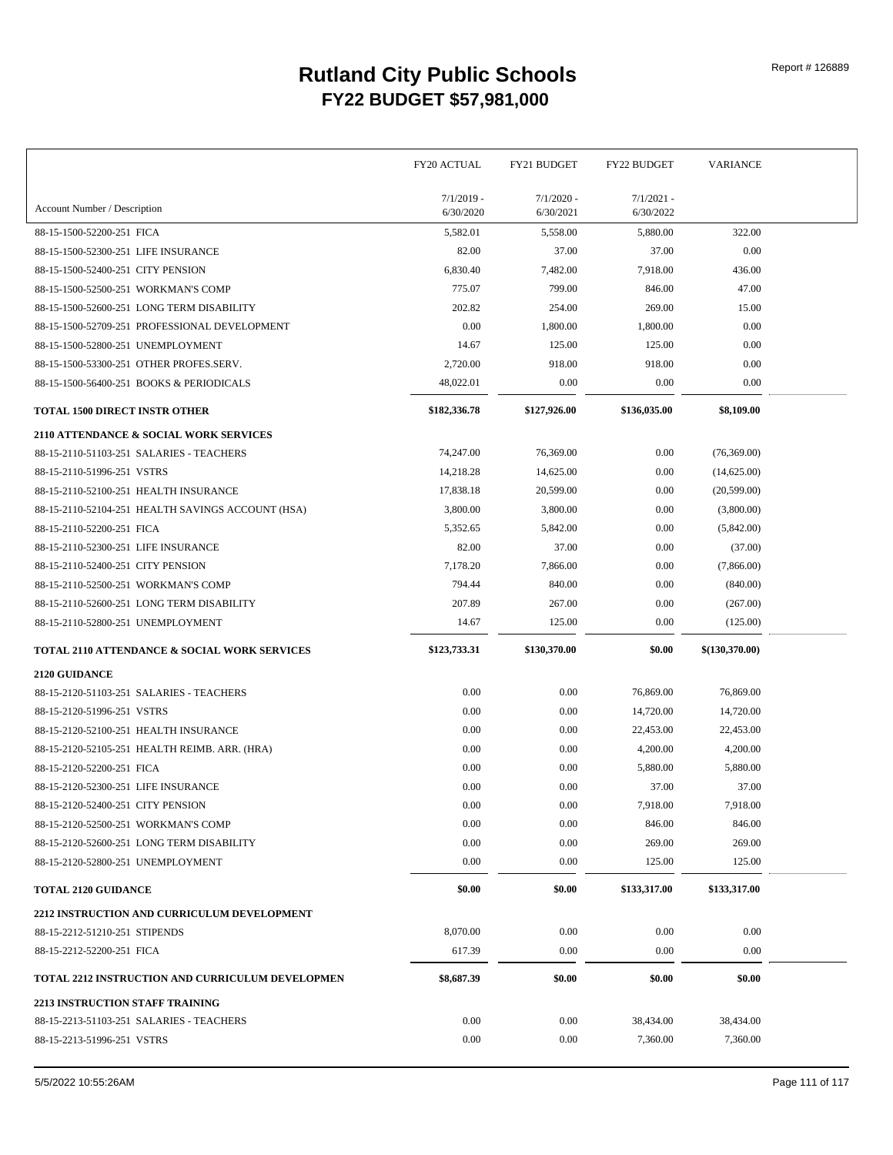|                                                   | FY20 ACTUAL               | FY21 BUDGET               | FY22 BUDGET               | <b>VARIANCE</b> |  |
|---------------------------------------------------|---------------------------|---------------------------|---------------------------|-----------------|--|
| Account Number / Description                      | $7/1/2019$ -<br>6/30/2020 | $7/1/2020$ -<br>6/30/2021 | $7/1/2021$ -<br>6/30/2022 |                 |  |
| 88-15-1500-52200-251 FICA                         | 5,582.01                  | 5,558.00                  | 5,880.00                  | 322.00          |  |
| 88-15-1500-52300-251 LIFE INSURANCE               | 82.00                     | 37.00                     | 37.00                     | 0.00            |  |
| 88-15-1500-52400-251 CITY PENSION                 | 6,830.40                  | 7,482.00                  | 7,918.00                  | 436.00          |  |
| 88-15-1500-52500-251 WORKMAN'S COMP               | 775.07                    | 799.00                    | 846.00                    | 47.00           |  |
| 88-15-1500-52600-251 LONG TERM DISABILITY         | 202.82                    | 254.00                    | 269.00                    | 15.00           |  |
| 88-15-1500-52709-251 PROFESSIONAL DEVELOPMENT     | 0.00                      | 1,800.00                  | 1,800.00                  | 0.00            |  |
| 88-15-1500-52800-251 UNEMPLOYMENT                 | 14.67                     | 125.00                    | 125.00                    | 0.00            |  |
| 88-15-1500-53300-251 OTHER PROFES.SERV.           | 2,720.00                  | 918.00                    | 918.00                    | 0.00            |  |
| 88-15-1500-56400-251 BOOKS & PERIODICALS          | 48,022.01                 | 0.00                      | 0.00                      | 0.00            |  |
| <b>TOTAL 1500 DIRECT INSTR OTHER</b>              | \$182,336.78              | \$127,926.00              | \$136,035.00              | \$8,109.00      |  |
| 2110 ATTENDANCE & SOCIAL WORK SERVICES            |                           |                           |                           |                 |  |
| 88-15-2110-51103-251 SALARIES - TEACHERS          | 74,247.00                 | 76,369.00                 | 0.00                      | (76,369.00)     |  |
| 88-15-2110-51996-251 VSTRS                        | 14,218.28                 | 14,625.00                 | 0.00                      | (14,625.00)     |  |
| 88-15-2110-52100-251 HEALTH INSURANCE             | 17,838.18                 | 20,599.00                 | 0.00                      | (20, 599.00)    |  |
| 88-15-2110-52104-251 HEALTH SAVINGS ACCOUNT (HSA) | 3,800.00                  | 3,800.00                  | 0.00                      | (3,800.00)      |  |
| 88-15-2110-52200-251 FICA                         | 5,352.65                  | 5,842.00                  | 0.00                      | (5,842.00)      |  |
| 88-15-2110-52300-251 LIFE INSURANCE               | 82.00                     | 37.00                     | 0.00                      | (37.00)         |  |
| 88-15-2110-52400-251 CITY PENSION                 | 7,178.20                  | 7,866.00                  | 0.00                      | (7,866.00)      |  |
| 88-15-2110-52500-251 WORKMAN'S COMP               | 794.44                    | 840.00                    | 0.00                      | (840.00)        |  |
| 88-15-2110-52600-251 LONG TERM DISABILITY         | 207.89                    | 267.00                    | 0.00                      | (267.00)        |  |
| 88-15-2110-52800-251 UNEMPLOYMENT                 | 14.67                     | 125.00                    | 0.00                      | (125.00)        |  |
| TOTAL 2110 ATTENDANCE & SOCIAL WORK SERVICES      | \$123,733.31              | \$130,370.00              | \$0.00                    | \$(130,370.00)  |  |
| <b>2120 GUIDANCE</b>                              |                           |                           |                           |                 |  |
| 88-15-2120-51103-251 SALARIES - TEACHERS          | 0.00                      | 0.00                      | 76,869.00                 | 76,869.00       |  |
| 88-15-2120-51996-251 VSTRS                        | 0.00                      | 0.00                      | 14,720.00                 | 14,720.00       |  |
| 88-15-2120-52100-251 HEALTH INSURANCE             | 0.00                      | 0.00                      | 22,453.00                 | 22,453.00       |  |
| 88-15-2120-52105-251 HEALTH REIMB. ARR. (HRA)     | 0.00                      | 0.00                      | 4,200.00                  | 4,200.00        |  |
| 88-15-2120-52200-251 FICA                         | 0.00                      | 0.00                      | 5,880.00                  | 5,880.00        |  |
| 88-15-2120-52300-251 LIFE INSURANCE               | 0.00                      | 0.00                      | 37.00                     | 37.00           |  |
| 88-15-2120-52400-251 CITY PENSION                 | 0.00                      | 0.00                      | 7,918.00                  | 7,918.00        |  |
| 88-15-2120-52500-251 WORKMAN'S COMP               | 0.00                      | $0.00\,$                  | 846.00                    | 846.00          |  |
| 88-15-2120-52600-251 LONG TERM DISABILITY         | 0.00                      | 0.00                      | 269.00                    | 269.00          |  |
| 88-15-2120-52800-251 UNEMPLOYMENT                 | 0.00                      | 0.00                      | 125.00                    | 125.00          |  |
| <b>TOTAL 2120 GUIDANCE</b>                        | \$0.00                    | \$0.00                    | \$133,317.00              | \$133,317.00    |  |
| 2212 INSTRUCTION AND CURRICULUM DEVELOPMENT       |                           |                           |                           |                 |  |
| 88-15-2212-51210-251 STIPENDS                     | 8,070.00                  | 0.00                      | 0.00                      | 0.00            |  |
| 88-15-2212-52200-251 FICA                         | 617.39                    | 0.00                      | 0.00                      | 0.00            |  |
| TOTAL 2212 INSTRUCTION AND CURRICULUM DEVELOPMEN  | \$8,687.39                | \$0.00                    | \$0.00                    | \$0.00          |  |
| <b>2213 INSTRUCTION STAFF TRAINING</b>            |                           |                           |                           |                 |  |
| 88-15-2213-51103-251 SALARIES - TEACHERS          | 0.00                      | $0.00\,$                  | 38,434.00                 | 38,434.00       |  |
| 88-15-2213-51996-251 VSTRS                        |                           |                           |                           |                 |  |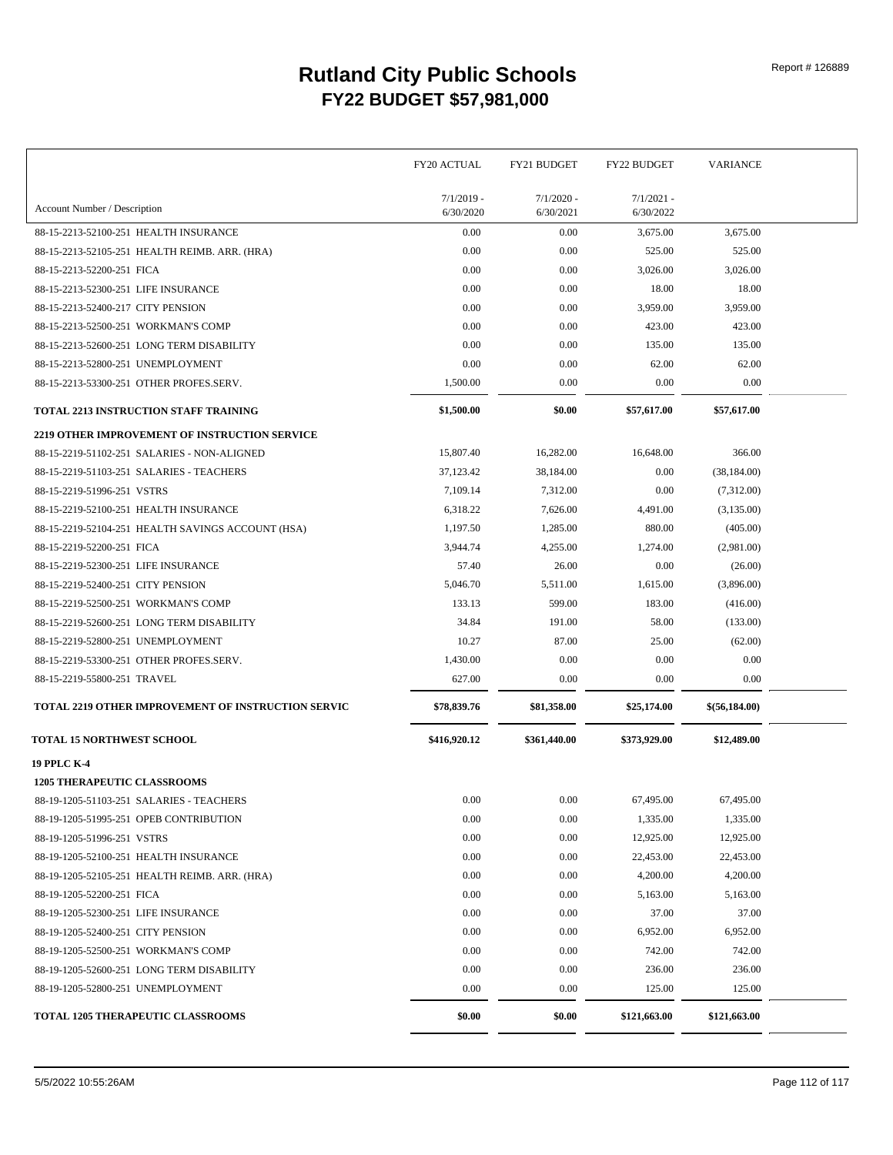|                                                      | FY20 ACTUAL               | <b>FY21 BUDGET</b>        | <b>FY22 BUDGET</b>        | <b>VARIANCE</b> |
|------------------------------------------------------|---------------------------|---------------------------|---------------------------|-----------------|
| Account Number / Description                         | $7/1/2019$ -<br>6/30/2020 | $7/1/2020$ -<br>6/30/2021 | $7/1/2021 -$<br>6/30/2022 |                 |
| 88-15-2213-52100-251 HEALTH INSURANCE                | 0.00                      | 0.00                      | 3,675.00                  | 3,675.00        |
| 88-15-2213-52105-251 HEALTH REIMB. ARR. (HRA)        | 0.00                      | 0.00                      | 525.00                    | 525.00          |
| 88-15-2213-52200-251 FICA                            | 0.00                      | 0.00                      | 3,026.00                  | 3,026.00        |
| 88-15-2213-52300-251 LIFE INSURANCE                  | 0.00                      | 0.00                      | 18.00                     | 18.00           |
| 88-15-2213-52400-217 CITY PENSION                    | 0.00                      | 0.00                      | 3,959.00                  | 3,959.00        |
|                                                      | 0.00                      | 0.00                      | 423.00                    | 423.00          |
| 88-15-2213-52500-251 WORKMAN'S COMP                  |                           |                           |                           |                 |
| 88-15-2213-52600-251 LONG TERM DISABILITY            | 0.00                      | 0.00                      | 135.00                    | 135.00          |
| 88-15-2213-52800-251 UNEMPLOYMENT                    | 0.00                      | 0.00                      | 62.00                     | 62.00           |
| 88-15-2213-53300-251 OTHER PROFES.SERV.              | 1,500.00                  | 0.00                      | 0.00                      | 0.00            |
| <b>TOTAL 2213 INSTRUCTION STAFF TRAINING</b>         | \$1,500.00                | \$0.00                    | \$57,617.00               | \$57,617.00     |
| <b>2219 OTHER IMPROVEMENT OF INSTRUCTION SERVICE</b> |                           |                           |                           |                 |
| 88-15-2219-51102-251 SALARIES - NON-ALIGNED          | 15,807.40                 | 16,282.00                 | 16,648.00                 | 366.00          |
| 88-15-2219-51103-251 SALARIES - TEACHERS             | 37,123.42                 | 38,184.00                 | 0.00                      | (38, 184.00)    |
| 88-15-2219-51996-251 VSTRS                           | 7,109.14                  | 7,312.00                  | 0.00                      | (7,312.00)      |
| 88-15-2219-52100-251 HEALTH INSURANCE                | 6,318.22                  | 7,626.00                  | 4,491.00                  | (3,135.00)      |
| 88-15-2219-52104-251 HEALTH SAVINGS ACCOUNT (HSA)    | 1,197.50                  | 1,285.00                  | 880.00                    | (405.00)        |
| 88-15-2219-52200-251 FICA                            | 3,944.74                  | 4,255.00                  | 1,274.00                  | (2,981.00)      |
| 88-15-2219-52300-251 LIFE INSURANCE                  | 57.40                     | 26.00                     | 0.00                      | (26.00)         |
| 88-15-2219-52400-251 CITY PENSION                    | 5,046.70                  | 5,511.00                  | 1,615.00                  | (3,896.00)      |
| 88-15-2219-52500-251 WORKMAN'S COMP                  | 133.13                    | 599.00                    | 183.00                    | (416.00)        |
| 88-15-2219-52600-251 LONG TERM DISABILITY            | 34.84                     | 191.00                    | 58.00                     | (133.00)        |
| 88-15-2219-52800-251 UNEMPLOYMENT                    | 10.27                     | 87.00                     | 25.00                     | (62.00)         |
| 88-15-2219-53300-251 OTHER PROFES.SERV.              | 1,430.00                  | 0.00                      | 0.00                      | 0.00            |
| 88-15-2219-55800-251 TRAVEL                          | 627.00                    | 0.00                      | 0.00                      | 0.00            |
| TOTAL 2219 OTHER IMPROVEMENT OF INSTRUCTION SERVIC   | \$78,839.76               | \$81,358.00               | \$25,174.00               | \$(56,184.00)   |
| <b>TOTAL 15 NORTHWEST SCHOOL</b>                     | \$416,920.12              | \$361,440.00              | \$373,929.00              | \$12,489.00     |
| <b>19 PPLC K-4</b>                                   |                           |                           |                           |                 |
| <b>1205 THERAPEUTIC CLASSROOMS</b>                   |                           |                           |                           |                 |
| 88-19-1205-51103-251 SALARIES - TEACHERS             | 0.00                      | 0.00                      | 67,495.00                 | 67,495.00       |
| 88-19-1205-51995-251 OPEB CONTRIBUTION               | 0.00                      | 0.00                      | 1,335.00                  | 1,335.00        |
| 88-19-1205-51996-251 VSTRS                           | 0.00                      | 0.00                      | 12,925.00                 | 12,925.00       |
| 88-19-1205-52100-251 HEALTH INSURANCE                | 0.00                      | 0.00                      | 22,453.00                 | 22,453.00       |
| 88-19-1205-52105-251 HEALTH REIMB. ARR. (HRA)        | 0.00                      | 0.00                      | 4,200.00                  | 4,200.00        |
| 88-19-1205-52200-251 FICA                            | 0.00                      | 0.00                      | 5,163.00                  | 5,163.00        |
| 88-19-1205-52300-251 LIFE INSURANCE                  | 0.00                      | 0.00                      | 37.00                     | 37.00           |
| 88-19-1205-52400-251 CITY PENSION                    | 0.00                      | 0.00                      | 6,952.00                  | 6,952.00        |
| 88-19-1205-52500-251 WORKMAN'S COMP                  | 0.00                      | 0.00                      | 742.00                    | 742.00          |
| 88-19-1205-52600-251 LONG TERM DISABILITY            | 0.00                      | 0.00                      | 236.00                    | 236.00          |
| 88-19-1205-52800-251 UNEMPLOYMENT                    | 0.00                      | 0.00                      | 125.00                    | 125.00          |
| TOTAL 1205 THERAPEUTIC CLASSROOMS                    | \$0.00                    | \$0.00                    | \$121,663.00              | \$121,663.00    |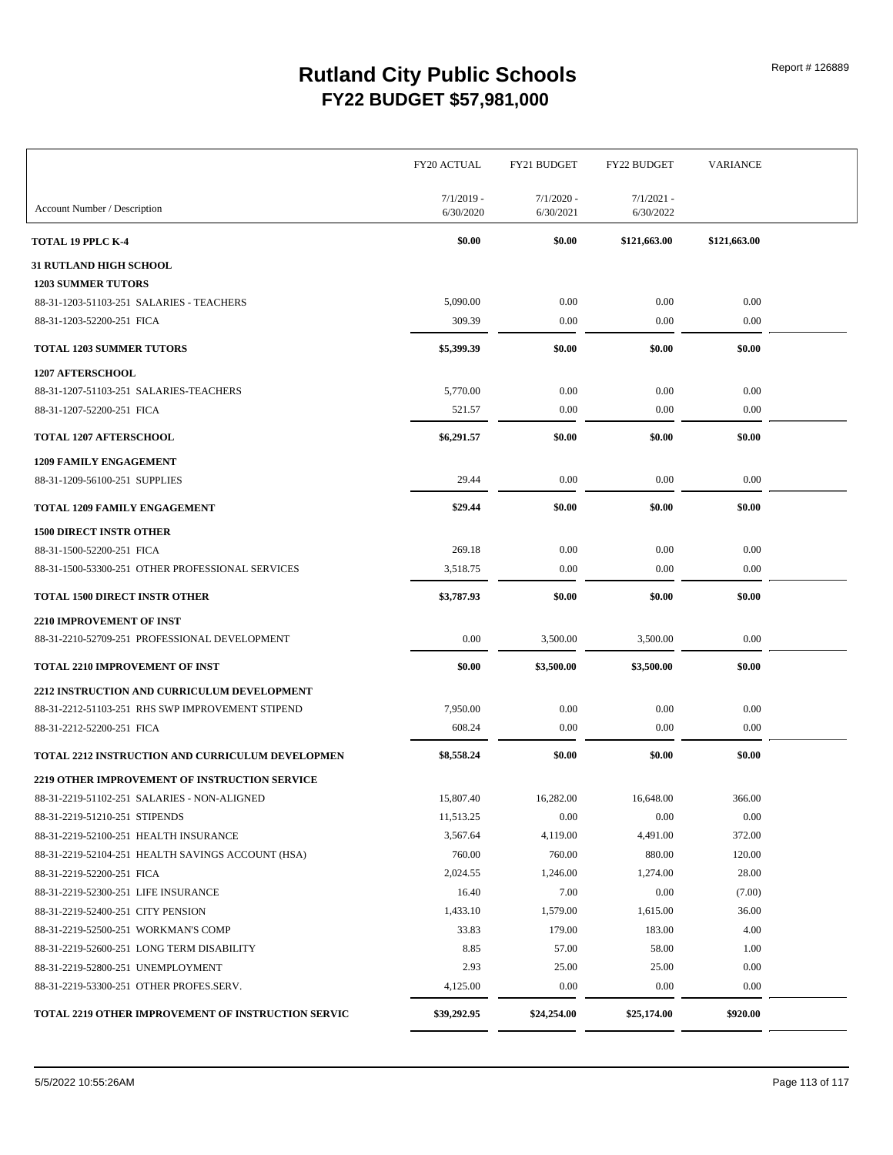|                                                      | <b>FY20 ACTUAL</b> | <b>FY21 BUDGET</b> | <b>FY22 BUDGET</b> | <b>VARIANCE</b> |  |
|------------------------------------------------------|--------------------|--------------------|--------------------|-----------------|--|
|                                                      | $7/1/2019$ -       | $7/1/2020$ -       | $7/1/2021$ -       |                 |  |
| Account Number / Description                         | 6/30/2020          | 6/30/2021          | 6/30/2022          |                 |  |
| <b>TOTAL 19 PPLC K-4</b>                             | \$0.00             | \$0.00             | \$121,663.00       | \$121,663.00    |  |
| 31 RUTLAND HIGH SCHOOL                               |                    |                    |                    |                 |  |
| <b>1203 SUMMER TUTORS</b>                            |                    |                    |                    |                 |  |
| 88-31-1203-51103-251 SALARIES - TEACHERS             | 5,090.00           | 0.00               | 0.00               | 0.00            |  |
| 88-31-1203-52200-251 FICA                            | 309.39             | 0.00               | 0.00               | 0.00            |  |
| <b>TOTAL 1203 SUMMER TUTORS</b>                      | \$5,399.39         | \$0.00             | \$0.00             | \$0.00          |  |
| <b>1207 AFTERSCHOOL</b>                              |                    |                    |                    |                 |  |
| 88-31-1207-51103-251 SALARIES-TEACHERS               | 5,770.00           | 0.00               | 0.00               | 0.00            |  |
| 88-31-1207-52200-251 FICA                            | 521.57             | 0.00               | 0.00               | 0.00            |  |
| <b>TOTAL 1207 AFTERSCHOOL</b>                        | \$6,291.57         | \$0.00             | \$0.00             | \$0.00          |  |
| <b>1209 FAMILY ENGAGEMENT</b>                        |                    |                    |                    |                 |  |
| 88-31-1209-56100-251 SUPPLIES                        | 29.44              | 0.00               | 0.00               | 0.00            |  |
| <b>TOTAL 1209 FAMILY ENGAGEMENT</b>                  | \$29.44            | \$0.00             | \$0.00             | \$0.00          |  |
| <b>1500 DIRECT INSTR OTHER</b>                       |                    |                    |                    |                 |  |
| 88-31-1500-52200-251 FICA                            | 269.18             | 0.00               | 0.00               | 0.00            |  |
| 88-31-1500-53300-251 OTHER PROFESSIONAL SERVICES     | 3,518.75           | 0.00               | 0.00               | 0.00            |  |
| <b>TOTAL 1500 DIRECT INSTR OTHER</b>                 | \$3,787.93         | \$0.00             | \$0.00             | \$0.00          |  |
| 2210 IMPROVEMENT OF INST                             |                    |                    |                    |                 |  |
| 88-31-2210-52709-251 PROFESSIONAL DEVELOPMENT        | 0.00               | 3,500.00           | 3,500.00           | 0.00            |  |
| <b>TOTAL 2210 IMPROVEMENT OF INST</b>                | \$0.00             | \$3,500.00         | \$3,500.00         | \$0.00          |  |
| 2212 INSTRUCTION AND CURRICULUM DEVELOPMENT          |                    |                    |                    |                 |  |
| 88-31-2212-51103-251 RHS SWP IMPROVEMENT STIPEND     | 7,950.00           | 0.00               | 0.00               | 0.00            |  |
| 88-31-2212-52200-251 FICA                            | 608.24             | 0.00               | 0.00               | 0.00            |  |
| TOTAL 2212 INSTRUCTION AND CURRICULUM DEVELOPMEN     | \$8,558.24         | \$0.00             | \$0.00             | \$0.00          |  |
| <b>2219 OTHER IMPROVEMENT OF INSTRUCTION SERVICE</b> |                    |                    |                    |                 |  |
| 88-31-2219-51102-251 SALARIES - NON-ALIGNED          | 15,807.40          | 16,282.00          | 16,648.00          | 366.00          |  |
| 88-31-2219-51210-251 STIPENDS                        | 11,513.25          | 0.00               | 0.00               | 0.00            |  |
| 88-31-2219-52100-251 HEALTH INSURANCE                | 3,567.64           | 4,119.00           | 4,491.00           | 372.00          |  |
| 88-31-2219-52104-251 HEALTH SAVINGS ACCOUNT (HSA)    | 760.00             | 760.00             | 880.00             | 120.00          |  |
| 88-31-2219-52200-251 FICA                            | 2,024.55           | 1,246.00           | 1,274.00           | 28.00           |  |
| 88-31-2219-52300-251 LIFE INSURANCE                  | 16.40              | 7.00               | 0.00               | (7.00)          |  |
| 88-31-2219-52400-251 CITY PENSION                    | 1,433.10           | 1,579.00           | 1,615.00           | 36.00           |  |
| 88-31-2219-52500-251 WORKMAN'S COMP                  | 33.83              | 179.00             | 183.00             | 4.00            |  |
| 88-31-2219-52600-251 LONG TERM DISABILITY            | 8.85               | 57.00              | 58.00              | 1.00            |  |
| 88-31-2219-52800-251 UNEMPLOYMENT                    | 2.93               | 25.00              | 25.00              | 0.00            |  |
| 88-31-2219-53300-251 OTHER PROFES.SERV.              | 4,125.00           | 0.00               | 0.00               | 0.00            |  |
| TOTAL 2219 OTHER IMPROVEMENT OF INSTRUCTION SERVIC   | \$39,292.95        | \$24,254.00        | \$25,174.00        | \$920.00        |  |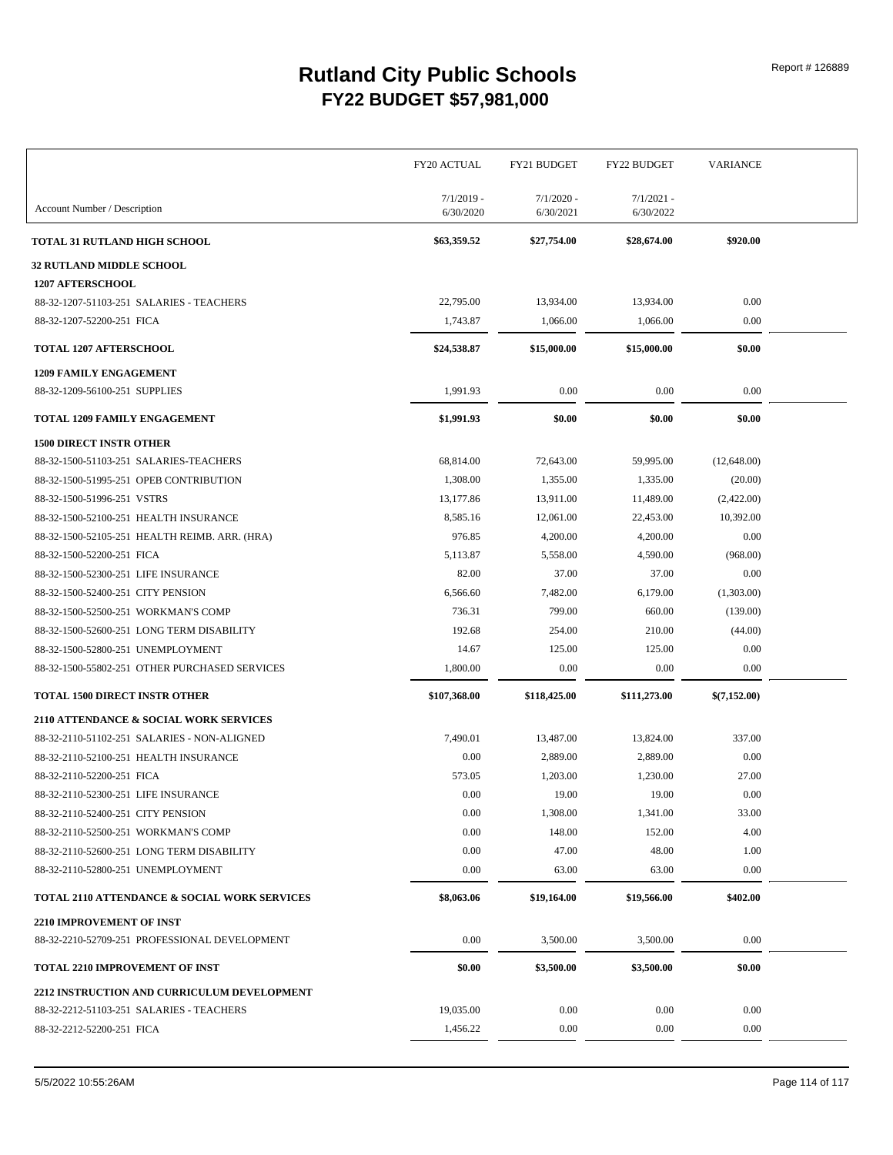|                                                         | FY20 ACTUAL               | <b>FY21 BUDGET</b>        | <b>FY22 BUDGET</b>        | <b>VARIANCE</b> |  |
|---------------------------------------------------------|---------------------------|---------------------------|---------------------------|-----------------|--|
| Account Number / Description                            | $7/1/2019$ -<br>6/30/2020 | $7/1/2020$ -<br>6/30/2021 | $7/1/2021 -$<br>6/30/2022 |                 |  |
| TOTAL 31 RUTLAND HIGH SCHOOL                            | \$63,359.52               | \$27,754.00               | \$28,674.00               | \$920.00        |  |
| 32 RUTLAND MIDDLE SCHOOL                                |                           |                           |                           |                 |  |
| <b>1207 AFTERSCHOOL</b>                                 |                           |                           |                           |                 |  |
| 88-32-1207-51103-251 SALARIES - TEACHERS                | 22,795.00                 | 13,934.00                 | 13,934.00                 | 0.00            |  |
| 88-32-1207-52200-251 FICA                               | 1,743.87                  | 1,066.00                  | 1,066.00                  | 0.00            |  |
| TOTAL 1207 AFTERSCHOOL                                  | \$24,538.87               | \$15,000.00               | \$15,000.00               | \$0.00          |  |
| <b>1209 FAMILY ENGAGEMENT</b>                           |                           |                           |                           |                 |  |
| 88-32-1209-56100-251 SUPPLIES                           | 1,991.93                  | 0.00                      | 0.00                      | 0.00            |  |
| TOTAL 1209 FAMILY ENGAGEMENT                            | \$1,991.93                | \$0.00                    | \$0.00                    | \$0.00          |  |
| <b>1500 DIRECT INSTR OTHER</b>                          |                           |                           |                           |                 |  |
| 88-32-1500-51103-251 SALARIES-TEACHERS                  | 68,814.00                 | 72,643.00                 | 59,995.00                 | (12, 648.00)    |  |
| 88-32-1500-51995-251 OPEB CONTRIBUTION                  | 1,308.00                  | 1,355.00                  | 1,335.00                  | (20.00)         |  |
| 88-32-1500-51996-251 VSTRS                              | 13,177.86                 | 13,911.00                 | 11,489.00                 | (2,422.00)      |  |
| 88-32-1500-52100-251 HEALTH INSURANCE                   | 8,585.16                  | 12,061.00                 | 22,453.00                 | 10,392.00       |  |
| 88-32-1500-52105-251 HEALTH REIMB. ARR. (HRA)           | 976.85                    | 4,200.00                  | 4,200.00                  | 0.00            |  |
| 88-32-1500-52200-251 FICA                               | 5,113.87                  | 5,558.00                  | 4,590.00                  | (968.00)        |  |
| 88-32-1500-52300-251 LIFE INSURANCE                     | 82.00                     | 37.00                     | 37.00                     | 0.00            |  |
| 88-32-1500-52400-251 CITY PENSION                       | 6,566.60                  | 7,482.00                  | 6,179.00                  | (1,303.00)      |  |
| 88-32-1500-52500-251 WORKMAN'S COMP                     | 736.31                    | 799.00                    | 660.00                    | (139.00)        |  |
| 88-32-1500-52600-251 LONG TERM DISABILITY               | 192.68                    | 254.00                    | 210.00                    | (44.00)         |  |
| 88-32-1500-52800-251 UNEMPLOYMENT                       | 14.67                     | 125.00                    | 125.00                    | 0.00            |  |
| 88-32-1500-55802-251 OTHER PURCHASED SERVICES           | 1,800.00                  | 0.00                      | 0.00                      | 0.00            |  |
| <b>TOTAL 1500 DIRECT INSTR OTHER</b>                    | \$107,368.00              | \$118,425.00              | \$111,273.00              | \$(7,152.00)    |  |
| 2110 ATTENDANCE & SOCIAL WORK SERVICES                  |                           |                           |                           |                 |  |
| 88-32-2110-51102-251 SALARIES - NON-ALIGNED             | 7,490.01                  | 13,487.00                 | 13,824.00                 | 337.00          |  |
| 88-32-2110-52100-251 HEALTH INSURANCE                   | 0.00                      | 2,889.00                  | 2,889.00                  | 0.00            |  |
| 88-32-2110-52200-251 FICA                               | 573.05                    | 1,203.00                  | 1,230.00                  | 27.00           |  |
| 88-32-2110-52300-251 LIFE INSURANCE                     | 0.00                      | 19.00                     | 19.00                     | 0.00            |  |
| 88-32-2110-52400-251 CITY PENSION                       | 0.00                      | 1,308.00                  | 1,341.00                  | 33.00           |  |
| 88-32-2110-52500-251 WORKMAN'S COMP                     | 0.00                      | 148.00                    | 152.00                    | 4.00            |  |
| 88-32-2110-52600-251 LONG TERM DISABILITY               | 0.00                      | 47.00                     | 48.00                     | 1.00            |  |
| 88-32-2110-52800-251 UNEMPLOYMENT                       | 0.00                      | 63.00                     | 63.00                     | 0.00            |  |
| <b>TOTAL 2110 ATTENDANCE &amp; SOCIAL WORK SERVICES</b> | \$8,063.06                | \$19,164.00               | \$19,566.00               | \$402.00        |  |
| 2210 IMPROVEMENT OF INST                                |                           |                           |                           |                 |  |
| 88-32-2210-52709-251 PROFESSIONAL DEVELOPMENT           | 0.00                      | 3,500.00                  | 3,500.00                  | 0.00            |  |
| <b>TOTAL 2210 IMPROVEMENT OF INST</b>                   | \$0.00                    | \$3,500.00                | \$3,500.00                | \$0.00          |  |
| 2212 INSTRUCTION AND CURRICULUM DEVELOPMENT             |                           |                           |                           |                 |  |
| 88-32-2212-51103-251 SALARIES - TEACHERS                | 19,035.00                 | 0.00                      | 0.00                      | 0.00            |  |
| 88-32-2212-52200-251 FICA                               | 1,456.22                  | 0.00                      | $0.00\,$                  | 0.00            |  |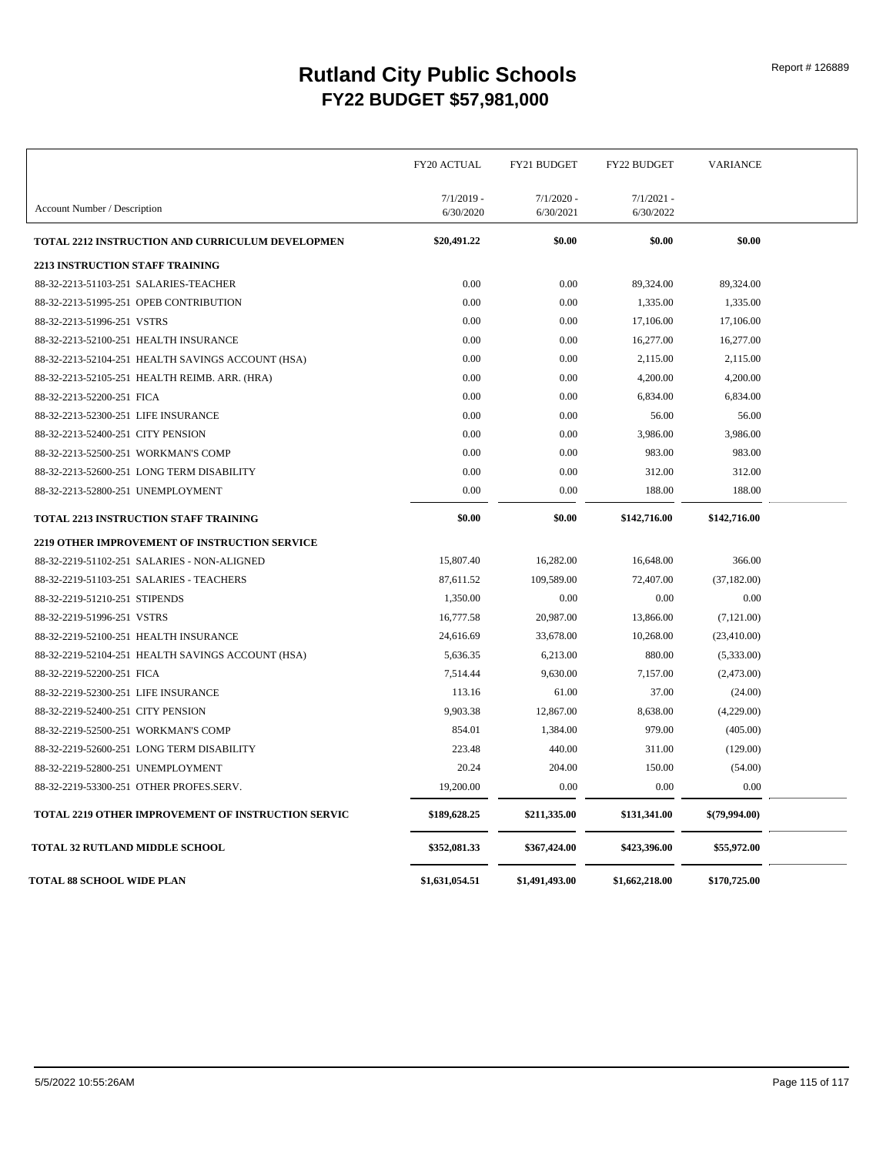|                                                      | FY20 ACTUAL    | FY21 BUDGET               | <b>FY22 BUDGET</b> | <b>VARIANCE</b> |  |
|------------------------------------------------------|----------------|---------------------------|--------------------|-----------------|--|
|                                                      | $7/1/2019$ -   |                           | $7/1/2021 -$       |                 |  |
| Account Number / Description                         | 6/30/2020      | $7/1/2020$ -<br>6/30/2021 | 6/30/2022          |                 |  |
| TOTAL 2212 INSTRUCTION AND CURRICULUM DEVELOPMEN     | \$20,491.22    | \$0.00                    | \$0.00             | \$0.00          |  |
| 2213 INSTRUCTION STAFF TRAINING                      |                |                           |                    |                 |  |
| 88-32-2213-51103-251 SALARIES-TEACHER                | 0.00           | $0.00\,$                  | 89,324.00          | 89,324.00       |  |
| 88-32-2213-51995-251 OPEB CONTRIBUTION               | 0.00           | 0.00                      | 1,335.00           | 1,335.00        |  |
| 88-32-2213-51996-251 VSTRS                           | 0.00           | $0.00\,$                  | 17,106.00          | 17,106.00       |  |
| 88-32-2213-52100-251 HEALTH INSURANCE                | 0.00           | 0.00                      | 16,277.00          | 16,277.00       |  |
| 88-32-2213-52104-251 HEALTH SAVINGS ACCOUNT (HSA)    | 0.00           | 0.00                      | 2,115.00           | 2,115.00        |  |
| 88-32-2213-52105-251 HEALTH REIMB. ARR. (HRA)        | 0.00           | 0.00                      | 4,200.00           | 4,200.00        |  |
| 88-32-2213-52200-251 FICA                            | 0.00           | $0.00\,$                  | 6,834.00           | 6,834.00        |  |
| 88-32-2213-52300-251 LIFE INSURANCE                  | 0.00           | 0.00                      | 56.00              | 56.00           |  |
| 88-32-2213-52400-251 CITY PENSION                    | 0.00           | 0.00                      | 3,986.00           | 3,986.00        |  |
| 88-32-2213-52500-251 WORKMAN'S COMP                  | 0.00           | $0.00\,$                  | 983.00             | 983.00          |  |
| 88-32-2213-52600-251 LONG TERM DISABILITY            | 0.00           | 0.00                      | 312.00             | 312.00          |  |
| 88-32-2213-52800-251 UNEMPLOYMENT                    | 0.00           | 0.00                      | 188.00             | 188.00          |  |
| <b>TOTAL 2213 INSTRUCTION STAFF TRAINING</b>         | \$0.00         | \$0.00                    | \$142,716.00       | \$142,716.00    |  |
| <b>2219 OTHER IMPROVEMENT OF INSTRUCTION SERVICE</b> |                |                           |                    |                 |  |
| 88-32-2219-51102-251 SALARIES - NON-ALIGNED          | 15,807.40      | 16,282.00                 | 16,648.00          | 366.00          |  |
| 88-32-2219-51103-251 SALARIES - TEACHERS             | 87,611.52      | 109,589.00                | 72,407.00          | (37, 182.00)    |  |
| 88-32-2219-51210-251 STIPENDS                        | 1,350.00       | 0.00                      | 0.00               | 0.00            |  |
| 88-32-2219-51996-251 VSTRS                           | 16,777.58      | 20,987.00                 | 13,866.00          | (7, 121.00)     |  |
| 88-32-2219-52100-251 HEALTH INSURANCE                | 24,616.69      | 33,678.00                 | 10,268.00          | (23,410.00)     |  |
| 88-32-2219-52104-251 HEALTH SAVINGS ACCOUNT (HSA)    | 5,636.35       | 6,213.00                  | 880.00             | (5,333.00)      |  |
| 88-32-2219-52200-251 FICA                            | 7,514.44       | 9,630.00                  | 7,157.00           | (2,473.00)      |  |
| 88-32-2219-52300-251 LIFE INSURANCE                  | 113.16         | 61.00                     | 37.00              | (24.00)         |  |
| 88-32-2219-52400-251 CITY PENSION                    | 9,903.38       | 12,867.00                 | 8,638.00           | (4,229.00)      |  |
| 88-32-2219-52500-251 WORKMAN'S COMP                  | 854.01         | 1,384.00                  | 979.00             | (405.00)        |  |
| 88-32-2219-52600-251 LONG TERM DISABILITY            | 223.48         | 440.00                    | 311.00             | (129.00)        |  |
| 88-32-2219-52800-251 UNEMPLOYMENT                    | 20.24          | 204.00                    | 150.00             | (54.00)         |  |
| 88-32-2219-53300-251 OTHER PROFES.SERV.              | 19,200.00      | 0.00                      | 0.00               | 0.00            |  |
| TOTAL 2219 OTHER IMPROVEMENT OF INSTRUCTION SERVIC   | \$189,628.25   | \$211,335.00              | \$131,341.00       | \$(79,994.00)   |  |
| <b>TOTAL 32 RUTLAND MIDDLE SCHOOL</b>                | \$352,081.33   | \$367,424.00              | \$423,396.00       | \$55,972.00     |  |
| <b>TOTAL 88 SCHOOL WIDE PLAN</b>                     | \$1,631,054.51 | \$1,491,493.00            | \$1,662,218.00     | \$170,725.00    |  |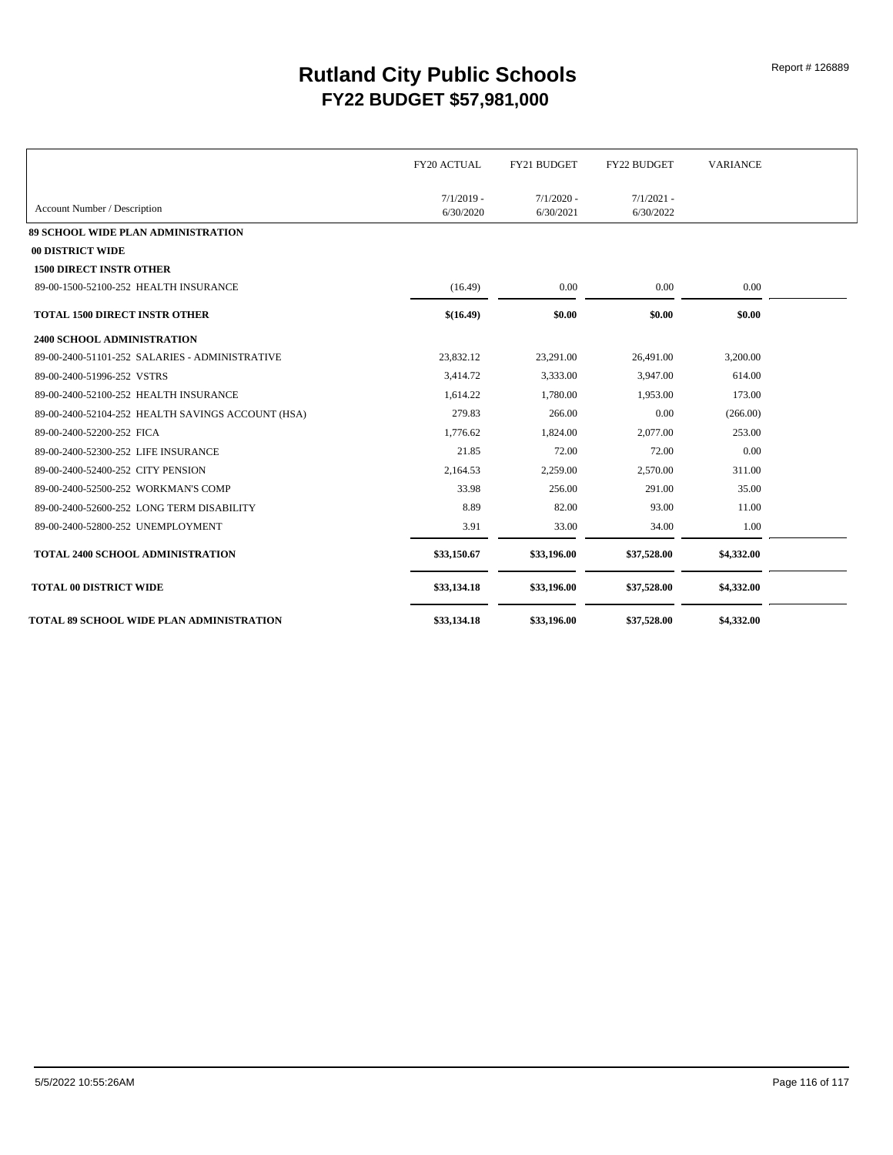|                                                   | <b>FY20 ACTUAL</b> | FY21 BUDGET  | FY22 BUDGET  | <b>VARIANCE</b> |  |
|---------------------------------------------------|--------------------|--------------|--------------|-----------------|--|
|                                                   | $7/1/2019$ -       | $7/1/2020$ - | $7/1/2021$ - |                 |  |
| Account Number / Description                      | 6/30/2020          | 6/30/2021    | 6/30/2022    |                 |  |
| <b>89 SCHOOL WIDE PLAN ADMINISTRATION</b>         |                    |              |              |                 |  |
| <b>00 DISTRICT WIDE</b>                           |                    |              |              |                 |  |
| <b>1500 DIRECT INSTR OTHER</b>                    |                    |              |              |                 |  |
| 89-00-1500-52100-252 HEALTH INSURANCE             | (16.49)            | 0.00         | 0.00         | 0.00            |  |
| <b>TOTAL 1500 DIRECT INSTR OTHER</b>              | \$(16.49)          | \$0.00       | \$0.00       | \$0.00          |  |
| 2400 SCHOOL ADMINISTRATION                        |                    |              |              |                 |  |
| 89-00-2400-51101-252 SALARIES - ADMINISTRATIVE    | 23,832.12          | 23,291.00    | 26,491.00    | 3,200.00        |  |
| 89-00-2400-51996-252 VSTRS                        | 3,414.72           | 3,333.00     | 3,947.00     | 614.00          |  |
| 89-00-2400-52100-252 HEALTH INSURANCE             | 1,614.22           | 1,780.00     | 1,953.00     | 173.00          |  |
| 89-00-2400-52104-252 HEALTH SAVINGS ACCOUNT (HSA) | 279.83             | 266.00       | 0.00         | (266.00)        |  |
| 89-00-2400-52200-252 FICA                         | 1,776.62           | 1,824.00     | 2,077.00     | 253.00          |  |
| 89-00-2400-52300-252 LIFE INSURANCE               | 21.85              | 72.00        | 72.00        | 0.00            |  |
| 89-00-2400-52400-252 CITY PENSION                 | 2,164.53           | 2,259.00     | 2,570.00     | 311.00          |  |
| 89-00-2400-52500-252 WORKMAN'S COMP               | 33.98              | 256.00       | 291.00       | 35.00           |  |
| 89-00-2400-52600-252 LONG TERM DISABILITY         | 8.89               | 82.00        | 93.00        | 11.00           |  |
| 89-00-2400-52800-252 UNEMPLOYMENT                 | 3.91               | 33.00        | 34.00        | 1.00            |  |
| TOTAL 2400 SCHOOL ADMINISTRATION                  | \$33,150.67        | \$33,196.00  | \$37,528.00  | \$4,332.00      |  |
| <b>TOTAL 00 DISTRICT WIDE</b>                     | \$33,134.18        | \$33,196.00  | \$37,528.00  | \$4,332.00      |  |
| <b>TOTAL 89 SCHOOL WIDE PLAN ADMINISTRATION</b>   | \$33,134.18        | \$33,196.00  | \$37,528.00  | \$4,332.00      |  |